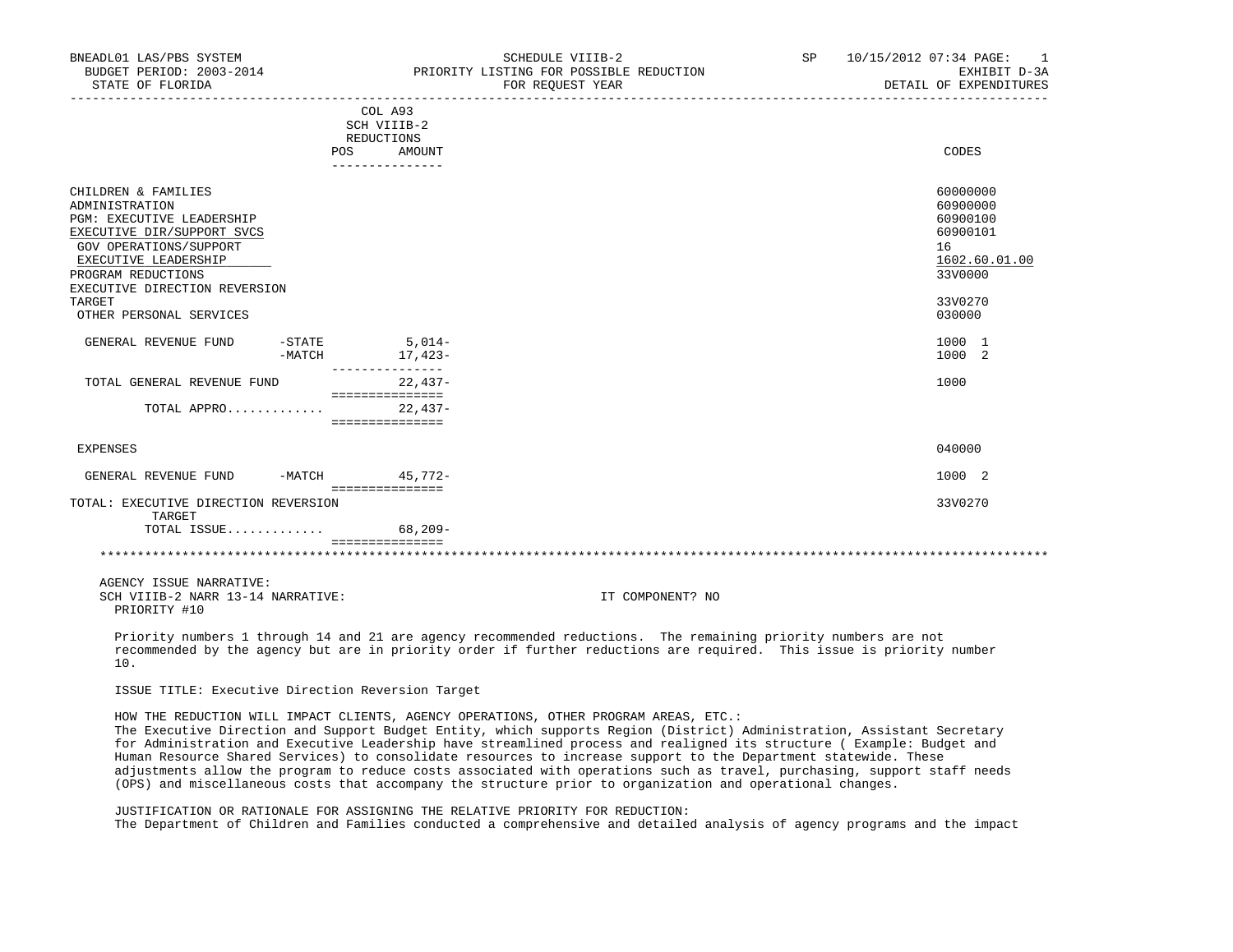| BNEADL01 LAS/PBS SYSTEM<br>BUDGET PERIOD: 2003-2014<br>STATE OF FLORIDA                                                                                                                                                                        |  |                                                                       | SCHEDULE VIIIB-2<br>PRIORITY LISTING FOR POSSIBLE REDUCTION<br>FOR REQUEST YEAR | SP <sub>2</sub> | 10/15/2012 07:34 PAGE: 1<br>EXHIBIT D-3A<br>DETAIL OF EXPENDITURES                                  |
|------------------------------------------------------------------------------------------------------------------------------------------------------------------------------------------------------------------------------------------------|--|-----------------------------------------------------------------------|---------------------------------------------------------------------------------|-----------------|-----------------------------------------------------------------------------------------------------|
|                                                                                                                                                                                                                                                |  | COL A93<br>SCH VIIIB-2<br>REDUCTIONS<br>POS AMOUNT<br>--------------- |                                                                                 |                 | CODES                                                                                               |
| CHILDREN & FAMILIES<br>ADMINISTRATION<br>PGM: EXECUTIVE LEADERSHIP<br>EXECUTIVE DIR/SUPPORT SVCS<br>GOV OPERATIONS/SUPPORT<br>EXECUTIVE LEADERSHIP<br>PROGRAM REDUCTIONS<br>EXECUTIVE DIRECTION REVERSION<br>TARGET<br>OTHER PERSONAL SERVICES |  |                                                                       |                                                                                 |                 | 60000000<br>60900000<br>60900100<br>60900101<br>16<br>1602.60.01.00<br>33V0000<br>33V0270<br>030000 |
| GENERAL REVENUE FUND                                                                                                                                                                                                                           |  | $-STATE$ 5,014-<br>-MATCH 17, 423-<br>_______________                 |                                                                                 |                 | 1000 1<br>1000 2                                                                                    |
| TOTAL GENERAL REVENUE FUND                                                                                                                                                                                                                     |  | $22.437-$<br>===============                                          |                                                                                 |                 | 1000                                                                                                |
| TOTAL APPRO                                                                                                                                                                                                                                    |  | $22.437-$<br>===============                                          |                                                                                 |                 |                                                                                                     |
| <b>EXPENSES</b>                                                                                                                                                                                                                                |  |                                                                       |                                                                                 |                 | 040000                                                                                              |
| GENERAL REVENUE FUND -MATCH 45,772-                                                                                                                                                                                                            |  | ================                                                      |                                                                                 |                 | 1000 2                                                                                              |
| TOTAL: EXECUTIVE DIRECTION REVERSION<br>TARGET<br>TOTAL ISSUE                                                                                                                                                                                  |  | $68,209-$                                                             |                                                                                 |                 | 33V0270                                                                                             |
|                                                                                                                                                                                                                                                |  | ===============                                                       |                                                                                 |                 |                                                                                                     |
| AGENCY ISSUE NARRATIVE:<br>SCH VIIIB-2 NARR 13-14 NARRATIVE:<br>PRIORITY #10                                                                                                                                                                   |  |                                                                       | IT COMPONENT? NO                                                                |                 |                                                                                                     |

 Priority numbers 1 through 14 and 21 are agency recommended reductions. The remaining priority numbers are not recommended by the agency but are in priority order if further reductions are required. This issue is priority number 10.

ISSUE TITLE: Executive Direction Reversion Target

HOW THE REDUCTION WILL IMPACT CLIENTS, AGENCY OPERATIONS, OTHER PROGRAM AREAS, ETC.:

 The Executive Direction and Support Budget Entity, which supports Region (District) Administration, Assistant Secretary for Administration and Executive Leadership have streamlined process and realigned its structure ( Example: Budget and Human Resource Shared Services) to consolidate resources to increase support to the Department statewide. These adjustments allow the program to reduce costs associated with operations such as travel, purchasing, support staff needs (OPS) and miscellaneous costs that accompany the structure prior to organization and operational changes.

 JUSTIFICATION OR RATIONALE FOR ASSIGNING THE RELATIVE PRIORITY FOR REDUCTION: The Department of Children and Families conducted a comprehensive and detailed analysis of agency programs and the impact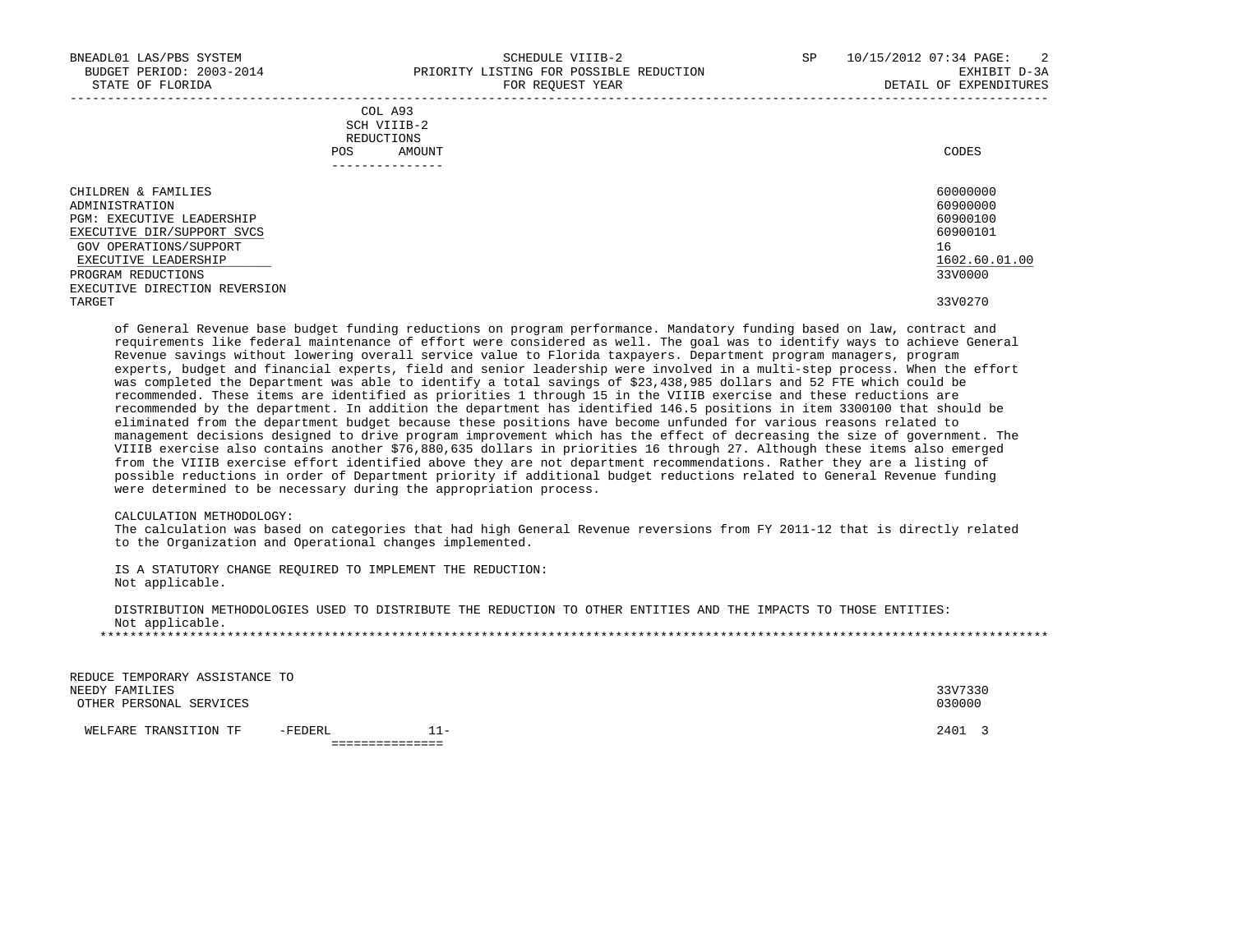|            | _______________ |       |
|------------|-----------------|-------|
| POS        | AMOUNT          | CODES |
| REDUCTIONS |                 |       |
|            | SCH VIIIB-2     |       |
|            | COL A93         |       |

| CHILDREN & FAMILIES           | 60000000      |
|-------------------------------|---------------|
| ADMINISTRATION                | 60900000      |
| PGM: EXECUTIVE LEADERSHIP     | 60900100      |
| EXECUTIVE DIR/SUPPORT SVCS    | 60900101      |
| GOV OPERATIONS/SUPPORT        | 16            |
| EXECUTIVE LEADERSHIP          | 1602.60.01.00 |
| PROGRAM REDUCTIONS            | 33V0000       |
| EXECUTIVE DIRECTION REVERSION |               |
| TARGET                        | 33V0270       |

 of General Revenue base budget funding reductions on program performance. Mandatory funding based on law, contract and requirements like federal maintenance of effort were considered as well. The goal was to identify ways to achieve General Revenue savings without lowering overall service value to Florida taxpayers. Department program managers, program experts, budget and financial experts, field and senior leadership were involved in a multi-step process. When the effort was completed the Department was able to identify a total savings of \$23,438,985 dollars and 52 FTE which could be recommended. These items are identified as priorities 1 through 15 in the VIIIB exercise and these reductions are recommended by the department. In addition the department has identified 146.5 positions in item 3300100 that should be eliminated from the department budget because these positions have become unfunded for various reasons related to management decisions designed to drive program improvement which has the effect of decreasing the size of government. The VIIIB exercise also contains another \$76,880,635 dollars in priorities 16 through 27. Although these items also emerged from the VIIIB exercise effort identified above they are not department recommendations. Rather they are a listing of possible reductions in order of Department priority if additional budget reductions related to General Revenue funding were determined to be necessary during the appropriation process.

#### CALCULATION METHODOLOGY:

 The calculation was based on categories that had high General Revenue reversions from FY 2011-12 that is directly related to the Organization and Operational changes implemented.

 IS A STATUTORY CHANGE REQUIRED TO IMPLEMENT THE REDUCTION: Not applicable.

 DISTRIBUTION METHODOLOGIES USED TO DISTRIBUTE THE REDUCTION TO OTHER ENTITIES AND THE IMPACTS TO THOSE ENTITIES: Not applicable. \*\*\*\*\*\*\*\*\*\*\*\*\*\*\*\*\*\*\*\*\*\*\*\*\*\*\*\*\*\*\*\*\*\*\*\*\*\*\*\*\*\*\*\*\*\*\*\*\*\*\*\*\*\*\*\*\*\*\*\*\*\*\*\*\*\*\*\*\*\*\*\*\*\*\*\*\*\*\*\*\*\*\*\*\*\*\*\*\*\*\*\*\*\*\*\*\*\*\*\*\*\*\*\*\*\*\*\*\*\*\*\*\*\*\*\*\*\*\*\*\*\*\*\*\*\*\*

| WELFARE TRANSITION TF                            | -FEDERL | $1 -$ | 2401 3  |  |
|--------------------------------------------------|---------|-------|---------|--|
| OTHER PERSONAL SERVICES                          |         |       | 030000  |  |
| REDUCE TEMPORARY ASSISTANCE TO<br>NEEDY FAMILIES |         |       | 33V7330 |  |
|                                                  |         |       |         |  |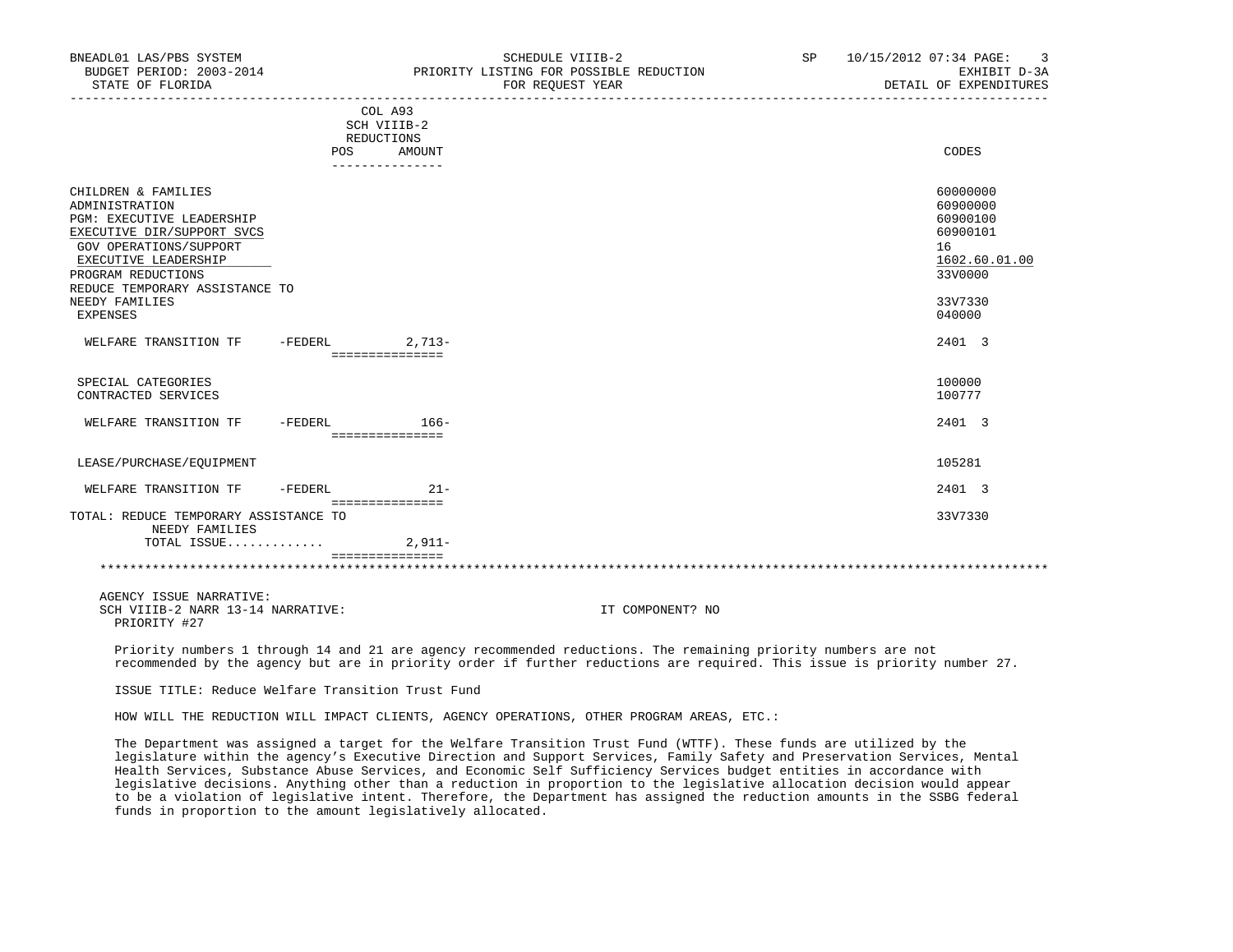| BNEADL01 LAS/PBS SYSTEM<br>BUDGET PERIOD: 2003-2014<br>STATE OF FLORIDA                                                                                                                                                                                |                                                                       |          | SCHEDULE VIIIB-2<br>PRIORITY LISTING FOR POSSIBLE REDUCTION<br>FOR REQUEST YEAR | SP 10/15/2012 07:34 PAGE: 3<br>EXHIBIT D-3A<br>DETAIL OF EXPENDITURES                               |
|--------------------------------------------------------------------------------------------------------------------------------------------------------------------------------------------------------------------------------------------------------|-----------------------------------------------------------------------|----------|---------------------------------------------------------------------------------|-----------------------------------------------------------------------------------------------------|
|                                                                                                                                                                                                                                                        | COL A93<br>SCH VIIIB-2<br>REDUCTIONS<br><b>POS</b><br>_______________ | AMOUNT   |                                                                                 | CODES                                                                                               |
| CHILDREN & FAMILIES<br>ADMINISTRATION<br><b>PGM: EXECUTIVE LEADERSHIP</b><br>EXECUTIVE DIR/SUPPORT SVCS<br>GOV OPERATIONS/SUPPORT<br>EXECUTIVE LEADERSHIP<br>PROGRAM REDUCTIONS<br>REDUCE TEMPORARY ASSISTANCE TO<br>NEEDY FAMILIES<br><b>EXPENSES</b> |                                                                       |          |                                                                                 | 60000000<br>60900000<br>60900100<br>60900101<br>16<br>1602.60.01.00<br>33V0000<br>33V7330<br>040000 |
| WELFARE TRANSITION TF -FEDERL 2.713-                                                                                                                                                                                                                   | ===============                                                       |          |                                                                                 | 2401 3                                                                                              |
| SPECIAL CATEGORIES<br>CONTRACTED SERVICES                                                                                                                                                                                                              |                                                                       |          |                                                                                 | 100000<br>100777                                                                                    |
| WELFARE TRANSITION TF - FEDERL 166-                                                                                                                                                                                                                    | ----------------                                                      |          |                                                                                 | 2401 3                                                                                              |
| LEASE/PURCHASE/EOUIPMENT                                                                                                                                                                                                                               |                                                                       |          |                                                                                 | 105281                                                                                              |
| WELFARE TRANSITION TF -FEDERL                                                                                                                                                                                                                          | ===============                                                       | $21 -$   |                                                                                 | 2401 3                                                                                              |
| TOTAL: REDUCE TEMPORARY ASSISTANCE TO<br>NEEDY FAMILIES                                                                                                                                                                                                |                                                                       |          |                                                                                 | 33V7330                                                                                             |
| TOTAL ISSUE                                                                                                                                                                                                                                            | ===============                                                       | $2.911-$ |                                                                                 |                                                                                                     |
|                                                                                                                                                                                                                                                        |                                                                       |          |                                                                                 |                                                                                                     |
| AGENCY ISSUE NARRATIVE:<br>SCH VIIIB-2 NARR 13-14 NARRATIVE:<br>PRIORITY #27                                                                                                                                                                           |                                                                       |          | IT COMPONENT? NO                                                                |                                                                                                     |

 Priority numbers 1 through 14 and 21 are agency recommended reductions. The remaining priority numbers are not recommended by the agency but are in priority order if further reductions are required. This issue is priority number 27.

ISSUE TITLE: Reduce Welfare Transition Trust Fund

HOW WILL THE REDUCTION WILL IMPACT CLIENTS, AGENCY OPERATIONS, OTHER PROGRAM AREAS, ETC.:

 The Department was assigned a target for the Welfare Transition Trust Fund (WTTF). These funds are utilized by the legislature within the agency's Executive Direction and Support Services, Family Safety and Preservation Services, Mental Health Services, Substance Abuse Services, and Economic Self Sufficiency Services budget entities in accordance with legislative decisions. Anything other than a reduction in proportion to the legislative allocation decision would appear to be a violation of legislative intent. Therefore, the Department has assigned the reduction amounts in the SSBG federal funds in proportion to the amount legislatively allocated.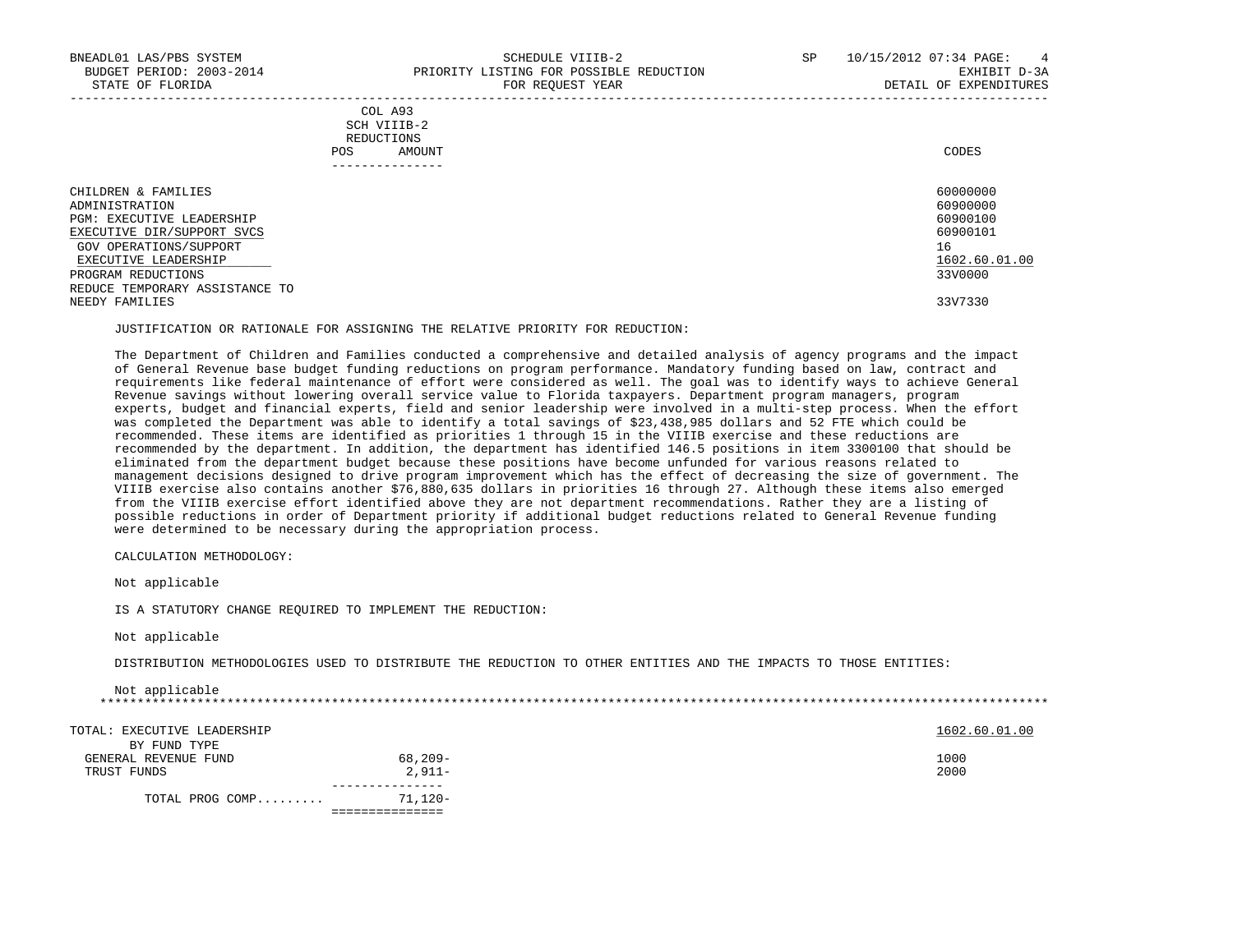| COL A93                                                                                                         |             |
|-----------------------------------------------------------------------------------------------------------------|-------------|
| the contract of the contract of the contract of the contract of the contract of the contract of the contract of |             |
| REDUCTIONS                                                                                                      |             |
| AMOUNT                                                                                                          | CODES       |
|                                                                                                                 | SCH VIIIB-2 |

| ______________                 |               |
|--------------------------------|---------------|
| CHILDREN & FAMILIES            | 60000000      |
| ADMINISTRATION                 | 60900000      |
| PGM: EXECUTIVE LEADERSHIP      | 60900100      |
| EXECUTIVE DIR/SUPPORT SVCS     | 60900101      |
| GOV OPERATIONS/SUPPORT         | 16            |
| EXECUTIVE LEADERSHIP           | 1602.60.01.00 |
| PROGRAM REDUCTIONS             | 33V0000       |
| REDUCE TEMPORARY ASSISTANCE TO |               |
| NEEDY FAMILIES                 | 33V7330       |

JUSTIFICATION OR RATIONALE FOR ASSIGNING THE RELATIVE PRIORITY FOR REDUCTION:

 The Department of Children and Families conducted a comprehensive and detailed analysis of agency programs and the impact of General Revenue base budget funding reductions on program performance. Mandatory funding based on law, contract and requirements like federal maintenance of effort were considered as well. The goal was to identify ways to achieve General Revenue savings without lowering overall service value to Florida taxpayers. Department program managers, program experts, budget and financial experts, field and senior leadership were involved in a multi-step process. When the effort was completed the Department was able to identify a total savings of \$23,438,985 dollars and 52 FTE which could be recommended. These items are identified as priorities 1 through 15 in the VIIIB exercise and these reductions are recommended by the department. In addition, the department has identified 146.5 positions in item 3300100 that should be eliminated from the department budget because these positions have become unfunded for various reasons related to management decisions designed to drive program improvement which has the effect of decreasing the size of government. The VIIIB exercise also contains another \$76,880,635 dollars in priorities 16 through 27. Although these items also emerged from the VIIIB exercise effort identified above they are not department recommendations. Rather they are a listing of possible reductions in order of Department priority if additional budget reductions related to General Revenue funding were determined to be necessary during the appropriation process.

CALCULATION METHODOLOGY:

Not applicable

IS A STATUTORY CHANGE REQUIRED TO IMPLEMENT THE REDUCTION:

Not applicable

DISTRIBUTION METHODOLOGIES USED TO DISTRIBUTE THE REDUCTION TO OTHER ENTITIES AND THE IMPACTS TO THOSE ENTITIES:

| Not applicable              |          |               |
|-----------------------------|----------|---------------|
|                             |          |               |
| TOTAL: EXECUTIVE LEADERSHIP |          | 1602.60.01.00 |
| BY FUND TYPE                |          |               |
| GENERAL REVENUE FUND        | 68,209-  | 1000          |
| TRUST FUNDS                 | $2.911-$ | 2000          |
| TOTAL PROG COMP             | 71,120-  |               |
|                             |          |               |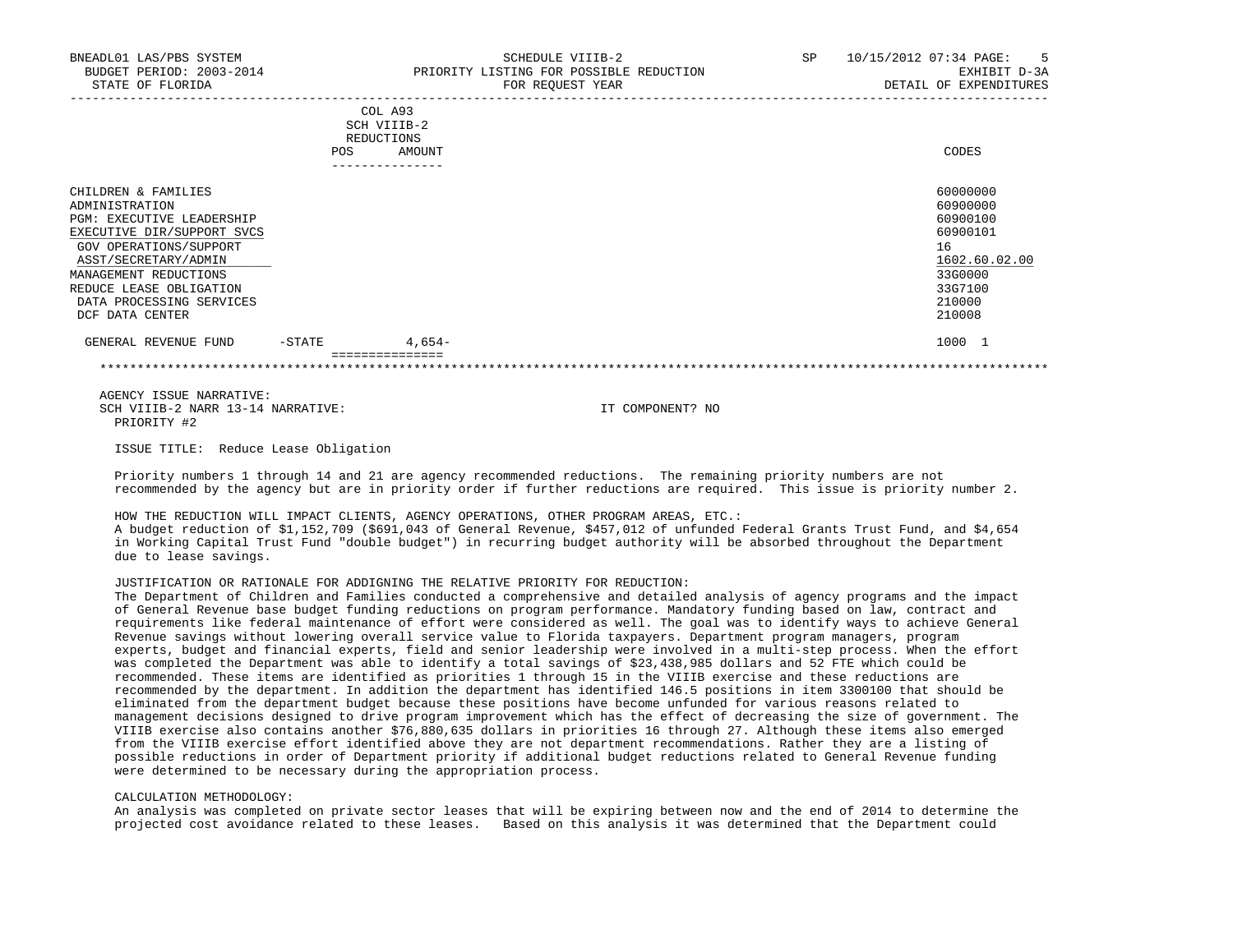| BNEADL01 LAS/PBS SYSTEM<br>BUDGET PERIOD: 2003-2014<br>STATE OF FLORIDA                                                                                                                                                                                      |        |                                                                         | SCHEDULE VIIIB-2<br>PRIORITY LISTING FOR POSSIBLE REDUCTION<br>FOR REQUEST YEAR | SP | 10/15/2012 07:34 PAGE:<br>$5^{\circ}$<br>EXHIBIT D-3A<br>DETAIL OF EXPENDITURES                               |
|--------------------------------------------------------------------------------------------------------------------------------------------------------------------------------------------------------------------------------------------------------------|--------|-------------------------------------------------------------------------|---------------------------------------------------------------------------------|----|---------------------------------------------------------------------------------------------------------------|
|                                                                                                                                                                                                                                                              | POS    | COL A93<br>SCH VIIIB-2<br><b>REDUCTIONS</b><br>AMOUNT<br>-------------- |                                                                                 |    | CODES                                                                                                         |
| CHILDREN & FAMILIES<br>ADMINISTRATION<br><b>PGM: EXECUTIVE LEADERSHIP</b><br>EXECUTIVE DIR/SUPPORT SVCS<br>GOV OPERATIONS/SUPPORT<br>ASST/SECRETARY/ADMIN<br>MANAGEMENT REDUCTIONS<br>REDUCE LEASE OBLIGATION<br>DATA PROCESSING SERVICES<br>DCF DATA CENTER |        |                                                                         |                                                                                 |    | 60000000<br>60900000<br>60900100<br>60900101<br>16<br>1602.60.02.00<br>33G0000<br>33G7100<br>210000<br>210008 |
| GENERAL REVENUE FUND                                                                                                                                                                                                                                         | -STATE | 4,654-<br>===============                                               |                                                                                 |    | 1000 1                                                                                                        |

\*\*\*\*\*\*\*\*\*\*\*\*\*\*\*\*\*\*\*\*\*\*\*\*\*\*\*\*\*\*\*\*\*\*\*\*\*\*\*\*\*\*\*\*\*\*\*\*\*\*\*\*\*\*\*\*\*\*\*\*\*\*\*\*\*\*\*\*\*\*\*\*\*\*\*\*\*\*\*\*\*\*\*\*\*\*\*\*\*\*\*\*\*\*\*\*\*\*\*\*\*\*\*\*\*\*\*\*\*\*\*\*\*\*\*\*\*\*\*\*\*\*\*\*\*\*\*

 AGENCY ISSUE NARRATIVE: SCH VIIIB-2 NARR 13-14 NARRATIVE: IT COMPONENT? NO PRIORITY #2

ISSUE TITLE: Reduce Lease Obligation

 Priority numbers 1 through 14 and 21 are agency recommended reductions. The remaining priority numbers are not recommended by the agency but are in priority order if further reductions are required. This issue is priority number 2.

 HOW THE REDUCTION WILL IMPACT CLIENTS, AGENCY OPERATIONS, OTHER PROGRAM AREAS, ETC.: A budget reduction of \$1,152,709 (\$691,043 of General Revenue, \$457,012 of unfunded Federal Grants Trust Fund, and \$4,654 in Working Capital Trust Fund "double budget") in recurring budget authority will be absorbed throughout the Department due to lease savings.

JUSTIFICATION OR RATIONALE FOR ADDIGNING THE RELATIVE PRIORITY FOR REDUCTION:

 The Department of Children and Families conducted a comprehensive and detailed analysis of agency programs and the impact of General Revenue base budget funding reductions on program performance. Mandatory funding based on law, contract and requirements like federal maintenance of effort were considered as well. The goal was to identify ways to achieve General Revenue savings without lowering overall service value to Florida taxpayers. Department program managers, program experts, budget and financial experts, field and senior leadership were involved in a multi-step process. When the effort was completed the Department was able to identify a total savings of \$23,438,985 dollars and 52 FTE which could be recommended. These items are identified as priorities 1 through 15 in the VIIIB exercise and these reductions are recommended by the department. In addition the department has identified 146.5 positions in item 3300100 that should be eliminated from the department budget because these positions have become unfunded for various reasons related to management decisions designed to drive program improvement which has the effect of decreasing the size of government. The VIIIB exercise also contains another \$76,880,635 dollars in priorities 16 through 27. Although these items also emerged from the VIIIB exercise effort identified above they are not department recommendations. Rather they are a listing of possible reductions in order of Department priority if additional budget reductions related to General Revenue funding were determined to be necessary during the appropriation process.

CALCULATION METHODOLOGY:

 An analysis was completed on private sector leases that will be expiring between now and the end of 2014 to determine the projected cost avoidance related to these leases. Based on this analysis it was determined that the Department could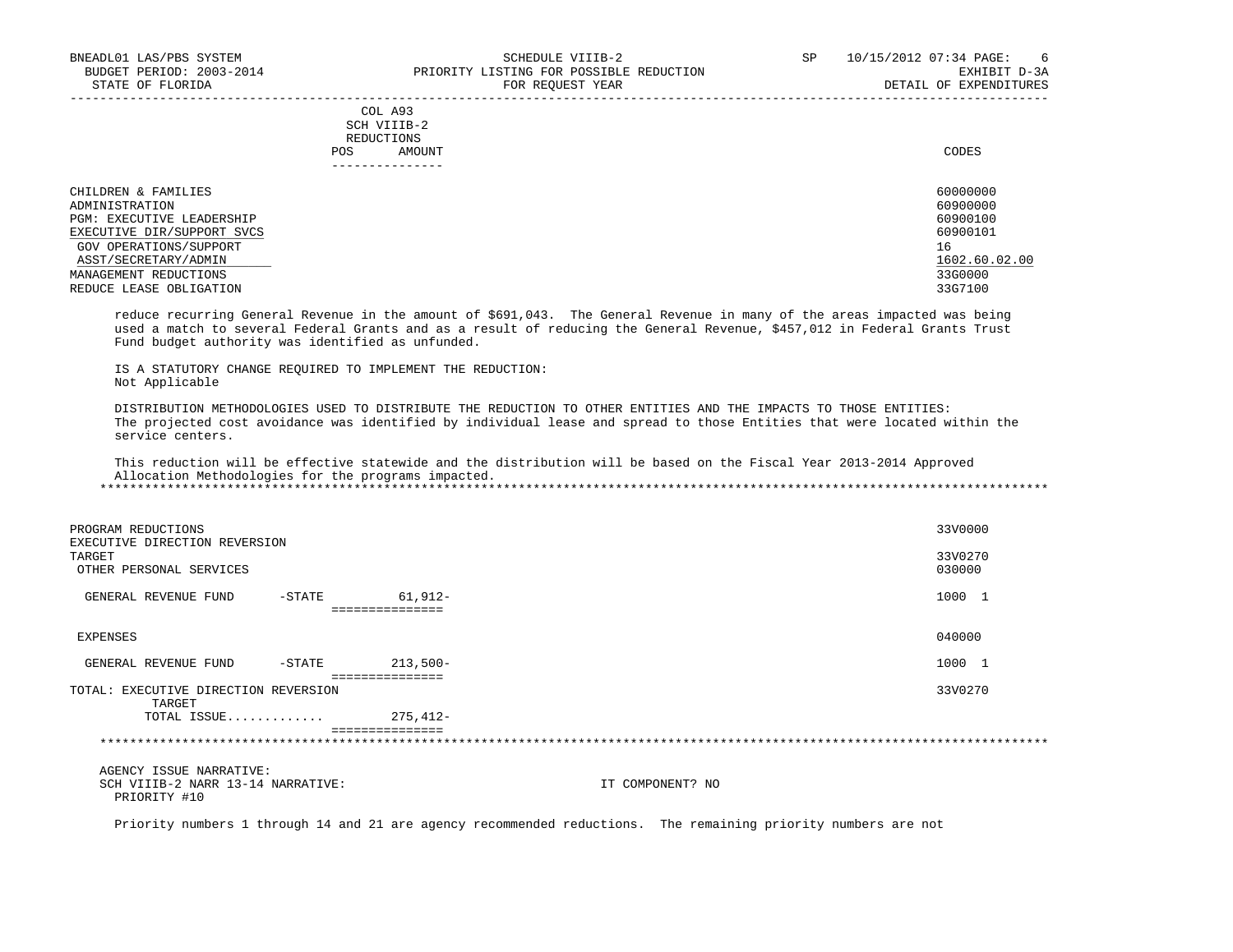COL A93 SCH VIIIB-2 REDUCTIONS POS AMOUNT CODES ---------------

| CHILDREN & FAMILIES              | 60000000      |
|----------------------------------|---------------|
| ADMINISTRATION                   | 60900000      |
| <b>PGM: EXECUTIVE LEADERSHIP</b> | 60900100      |
| EXECUTIVE DIR/SUPPORT SVCS       | 60900101      |
| GOV OPERATIONS/SUPPORT           | 16            |
| ASST/SECRETARY/ADMIN             | 1602.60.02.00 |
| MANAGEMENT REDUCTIONS            | 33G0000       |
| REDUCE LEASE OBLIGATION          | 33G7100       |

-----------------------------------------------------------------------------------------------------------------------------------

 reduce recurring General Revenue in the amount of \$691,043. The General Revenue in many of the areas impacted was being used a match to several Federal Grants and as a result of reducing the General Revenue, \$457,012 in Federal Grants Trust Fund budget authority was identified as unfunded.

 IS A STATUTORY CHANGE REQUIRED TO IMPLEMENT THE REDUCTION: Not Applicable

 DISTRIBUTION METHODOLOGIES USED TO DISTRIBUTE THE REDUCTION TO OTHER ENTITIES AND THE IMPACTS TO THOSE ENTITIES: The projected cost avoidance was identified by individual lease and spread to those Entities that were located within the service centers.

 This reduction will be effective statewide and the distribution will be based on the Fiscal Year 2013-2014 Approved Allocation Methodologies for the programs impacted. \*\*\*\*\*\*\*\*\*\*\*\*\*\*\*\*\*\*\*\*\*\*\*\*\*\*\*\*\*\*\*\*\*\*\*\*\*\*\*\*\*\*\*\*\*\*\*\*\*\*\*\*\*\*\*\*\*\*\*\*\*\*\*\*\*\*\*\*\*\*\*\*\*\*\*\*\*\*\*\*\*\*\*\*\*\*\*\*\*\*\*\*\*\*\*\*\*\*\*\*\*\*\*\*\*\*\*\*\*\*\*\*\*\*\*\*\*\*\*\*\*\*\*\*\*\*\*

| PROGRAM REDUCTIONS<br>EXECUTIVE DIRECTION REVERSION<br>TARGET<br>OTHER PERSONAL SERVICES |           |                 | 33V0000<br>33V0270<br>030000 |
|------------------------------------------------------------------------------------------|-----------|-----------------|------------------------------|
| GENERAL REVENUE FUND                                                                     | $-$ STATE | 61,912-         | 1000 1                       |
|                                                                                          |           | =============== |                              |
| EXPENSES                                                                                 |           |                 | 040000                       |
| GENERAL REVENUE FUND                                                                     | -STATE    | $213,500-$      | 1000 1                       |
| TOTAL: EXECUTIVE DIRECTION REVERSION<br>TARGET                                           |           | =============== | 33V0270                      |
| TOTAL ISSUE                                                                              |           | 275,412-        |                              |
|                                                                                          |           | =============== |                              |
|                                                                                          |           |                 |                              |

 AGENCY ISSUE NARRATIVE: SCH VIIIB-2 NARR 13-14 NARRATIVE: IT COMPONENT? NO PRIORITY #10

Priority numbers 1 through 14 and 21 are agency recommended reductions. The remaining priority numbers are not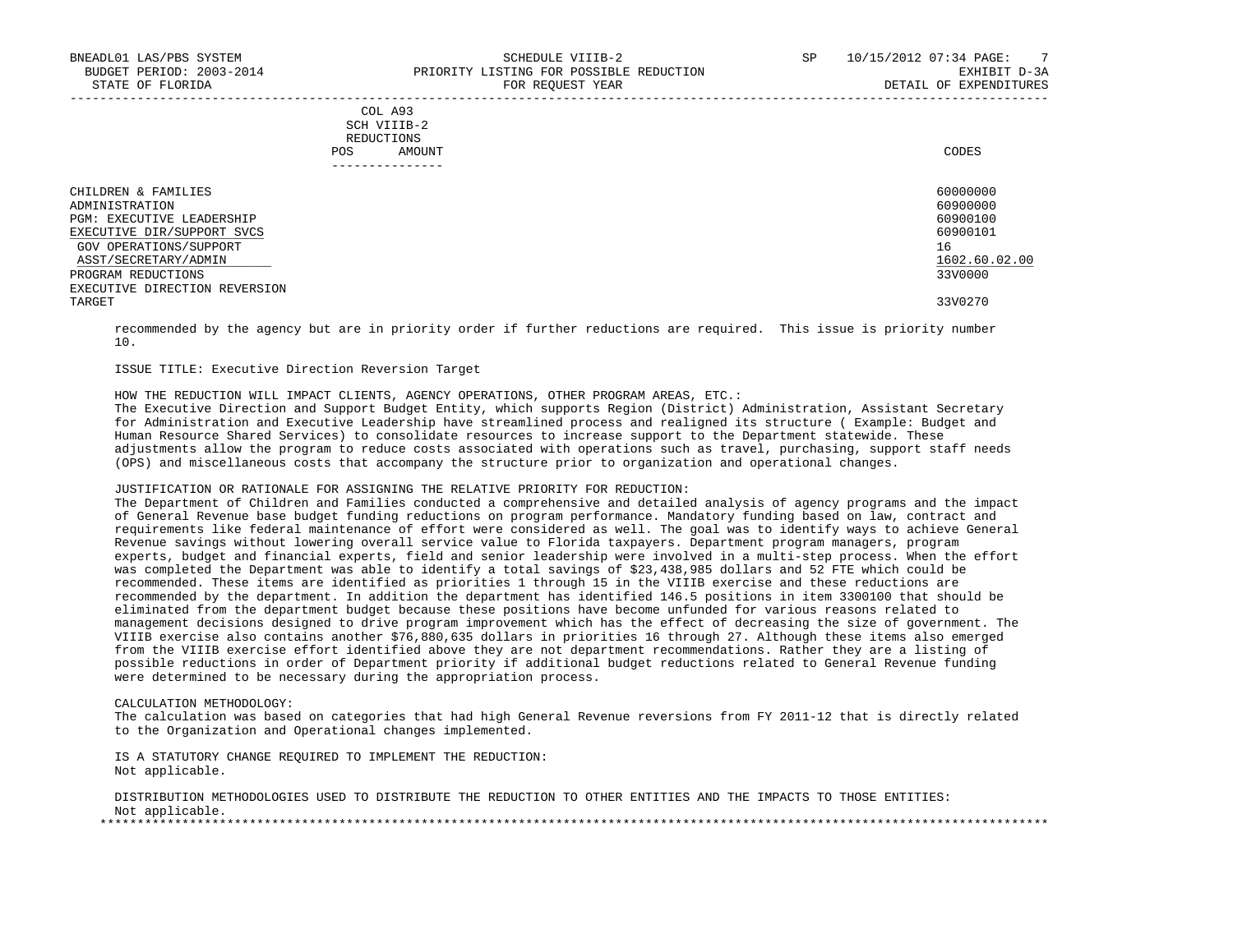|     | COL A93     |       |
|-----|-------------|-------|
|     | SCH VIIIB-2 |       |
|     | REDUCTIONS  |       |
| POS | AMOUNT      | CODES |

| ______________                |               |
|-------------------------------|---------------|
| CHILDREN & FAMILIES           | 60000000      |
| ADMINISTRATION                | 60900000      |
| PGM: EXECUTIVE LEADERSHIP     | 60900100      |
| EXECUTIVE DIR/SUPPORT SVCS    | 60900101      |
| GOV OPERATIONS/SUPPORT        | 16            |
| ASST/SECRETARY/ADMIN          | 1602.60.02.00 |
| PROGRAM REDUCTIONS            | 33V0000       |
| EXECUTIVE DIRECTION REVERSION |               |
| TARGET                        | 33V0270       |
|                               |               |

 recommended by the agency but are in priority order if further reductions are required. This issue is priority number 10.

# ISSUE TITLE: Executive Direction Reversion Target

HOW THE REDUCTION WILL IMPACT CLIENTS, AGENCY OPERATIONS, OTHER PROGRAM AREAS, ETC.:

 The Executive Direction and Support Budget Entity, which supports Region (District) Administration, Assistant Secretary for Administration and Executive Leadership have streamlined process and realigned its structure ( Example: Budget and Human Resource Shared Services) to consolidate resources to increase support to the Department statewide. These adjustments allow the program to reduce costs associated with operations such as travel, purchasing, support staff needs (OPS) and miscellaneous costs that accompany the structure prior to organization and operational changes.

# JUSTIFICATION OR RATIONALE FOR ASSIGNING THE RELATIVE PRIORITY FOR REDUCTION:

 The Department of Children and Families conducted a comprehensive and detailed analysis of agency programs and the impact of General Revenue base budget funding reductions on program performance. Mandatory funding based on law, contract and requirements like federal maintenance of effort were considered as well. The goal was to identify ways to achieve General Revenue savings without lowering overall service value to Florida taxpayers. Department program managers, program experts, budget and financial experts, field and senior leadership were involved in a multi-step process. When the effort was completed the Department was able to identify a total savings of \$23,438,985 dollars and 52 FTE which could be recommended. These items are identified as priorities 1 through 15 in the VIIIB exercise and these reductions are recommended by the department. In addition the department has identified 146.5 positions in item 3300100 that should be eliminated from the department budget because these positions have become unfunded for various reasons related to management decisions designed to drive program improvement which has the effect of decreasing the size of government. The VIIIB exercise also contains another \$76,880,635 dollars in priorities 16 through 27. Although these items also emerged from the VIIIB exercise effort identified above they are not department recommendations. Rather they are a listing of possible reductions in order of Department priority if additional budget reductions related to General Revenue funding were determined to be necessary during the appropriation process.

#### CALCULATION METHODOLOGY:

 The calculation was based on categories that had high General Revenue reversions from FY 2011-12 that is directly related to the Organization and Operational changes implemented.

 IS A STATUTORY CHANGE REQUIRED TO IMPLEMENT THE REDUCTION: Not applicable.

 DISTRIBUTION METHODOLOGIES USED TO DISTRIBUTE THE REDUCTION TO OTHER ENTITIES AND THE IMPACTS TO THOSE ENTITIES: Not applicable. \*\*\*\*\*\*\*\*\*\*\*\*\*\*\*\*\*\*\*\*\*\*\*\*\*\*\*\*\*\*\*\*\*\*\*\*\*\*\*\*\*\*\*\*\*\*\*\*\*\*\*\*\*\*\*\*\*\*\*\*\*\*\*\*\*\*\*\*\*\*\*\*\*\*\*\*\*\*\*\*\*\*\*\*\*\*\*\*\*\*\*\*\*\*\*\*\*\*\*\*\*\*\*\*\*\*\*\*\*\*\*\*\*\*\*\*\*\*\*\*\*\*\*\*\*\*\*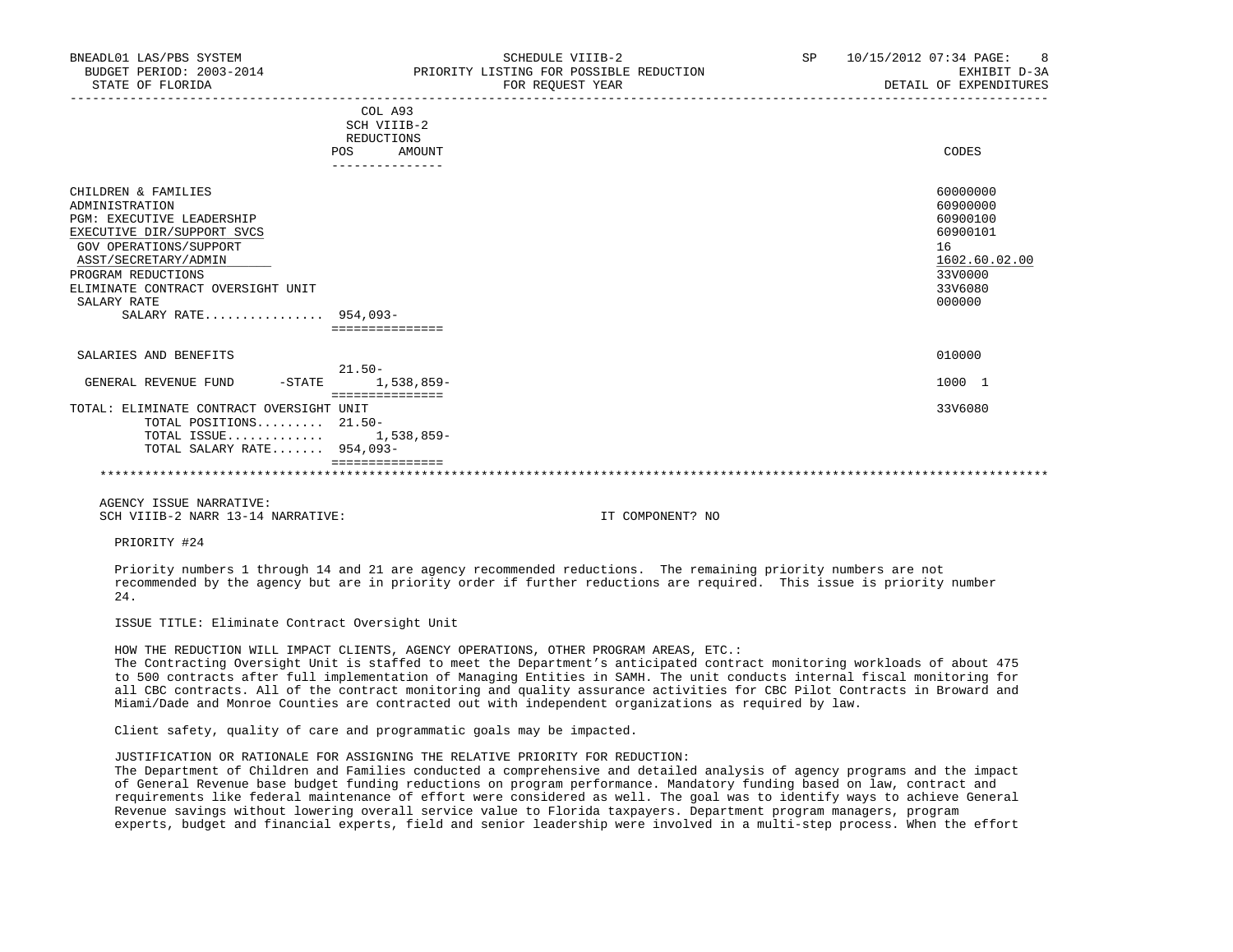| BNEADL01 LAS/PBS SYSTEM<br>BUDGET PERIOD: 2003-2014<br>STATE OF FLORIDA                                                                                                                                                                                     | SCHEDULE VIIIB-2<br>PRIORITY LISTING FOR POSSIBLE REDUCTION<br>FOR REOUEST YEAR | SP | 10/15/2012 07:34 PAGE: 8<br>EXHIBIT D-3A<br>DETAIL OF EXPENDITURES                                  |
|-------------------------------------------------------------------------------------------------------------------------------------------------------------------------------------------------------------------------------------------------------------|---------------------------------------------------------------------------------|----|-----------------------------------------------------------------------------------------------------|
|                                                                                                                                                                                                                                                             | COL A93<br>SCH VIIIB-2                                                          |    |                                                                                                     |
|                                                                                                                                                                                                                                                             | REDUCTIONS<br>POS<br>AMOUNT                                                     |    | CODES                                                                                               |
| CHILDREN & FAMILIES<br>ADMINISTRATION<br><b>PGM: EXECUTIVE LEADERSHIP</b><br>EXECUTIVE DIR/SUPPORT SVCS<br>GOV OPERATIONS/SUPPORT<br>ASST/SECRETARY/ADMIN<br>PROGRAM REDUCTIONS<br>ELIMINATE CONTRACT OVERSIGHT UNIT<br>SALARY RATE<br>SALARY RATE 954,093- | ===============                                                                 |    | 60000000<br>60900000<br>60900100<br>60900101<br>16<br>1602.60.02.00<br>33V0000<br>33V6080<br>000000 |
| SALARIES AND BENEFITS                                                                                                                                                                                                                                       | $21.50 -$                                                                       |    | 010000                                                                                              |
| GENERAL REVENUE FUND<br>-STATE                                                                                                                                                                                                                              | 1,538,859-<br>===============                                                   |    | 1000 1                                                                                              |
| TOTAL: ELIMINATE CONTRACT OVERSIGHT UNIT<br>TOTAL POSITIONS $21.50-$<br>TOTAL ISSUE 1,538,859-<br>TOTAL SALARY RATE 954,093-                                                                                                                                | ===============                                                                 |    | 33V6080                                                                                             |

\*\*\*\*\*\*\*\*\*\*\*\*\*\*\*\*\*\*\*\*\*\*\*\*\*\*\*\*\*\*\*\*\*\*\*\*\*\*\*\*\*\*\*\*\*\*\*\*\*\*\*\*\*\*\*\*\*\*\*\*\*\*\*\*\*\*\*\*\*\*\*\*\*\*\*\*\*\*\*\*\*\*\*\*\*\*\*\*\*\*\*\*\*\*\*\*\*\*\*\*\*\*\*\*\*\*\*\*\*\*\*\*\*\*\*\*\*\*\*\*\*\*\*\*\*\*\*

 AGENCY ISSUE NARRATIVE: SCH VIIIB-2 NARR 13-14 NARRATIVE: IT COMPONENT? NO

PRIORITY #24

 Priority numbers 1 through 14 and 21 are agency recommended reductions. The remaining priority numbers are not recommended by the agency but are in priority order if further reductions are required. This issue is priority number 24.

ISSUE TITLE: Eliminate Contract Oversight Unit

HOW THE REDUCTION WILL IMPACT CLIENTS, AGENCY OPERATIONS, OTHER PROGRAM AREAS, ETC.:

 The Contracting Oversight Unit is staffed to meet the Department's anticipated contract monitoring workloads of about 475 to 500 contracts after full implementation of Managing Entities in SAMH. The unit conducts internal fiscal monitoring for all CBC contracts. All of the contract monitoring and quality assurance activities for CBC Pilot Contracts in Broward and Miami/Dade and Monroe Counties are contracted out with independent organizations as required by law.

Client safety, quality of care and programmatic goals may be impacted.

JUSTIFICATION OR RATIONALE FOR ASSIGNING THE RELATIVE PRIORITY FOR REDUCTION:

 The Department of Children and Families conducted a comprehensive and detailed analysis of agency programs and the impact of General Revenue base budget funding reductions on program performance. Mandatory funding based on law, contract and requirements like federal maintenance of effort were considered as well. The goal was to identify ways to achieve General Revenue savings without lowering overall service value to Florida taxpayers. Department program managers, program experts, budget and financial experts, field and senior leadership were involved in a multi-step process. When the effort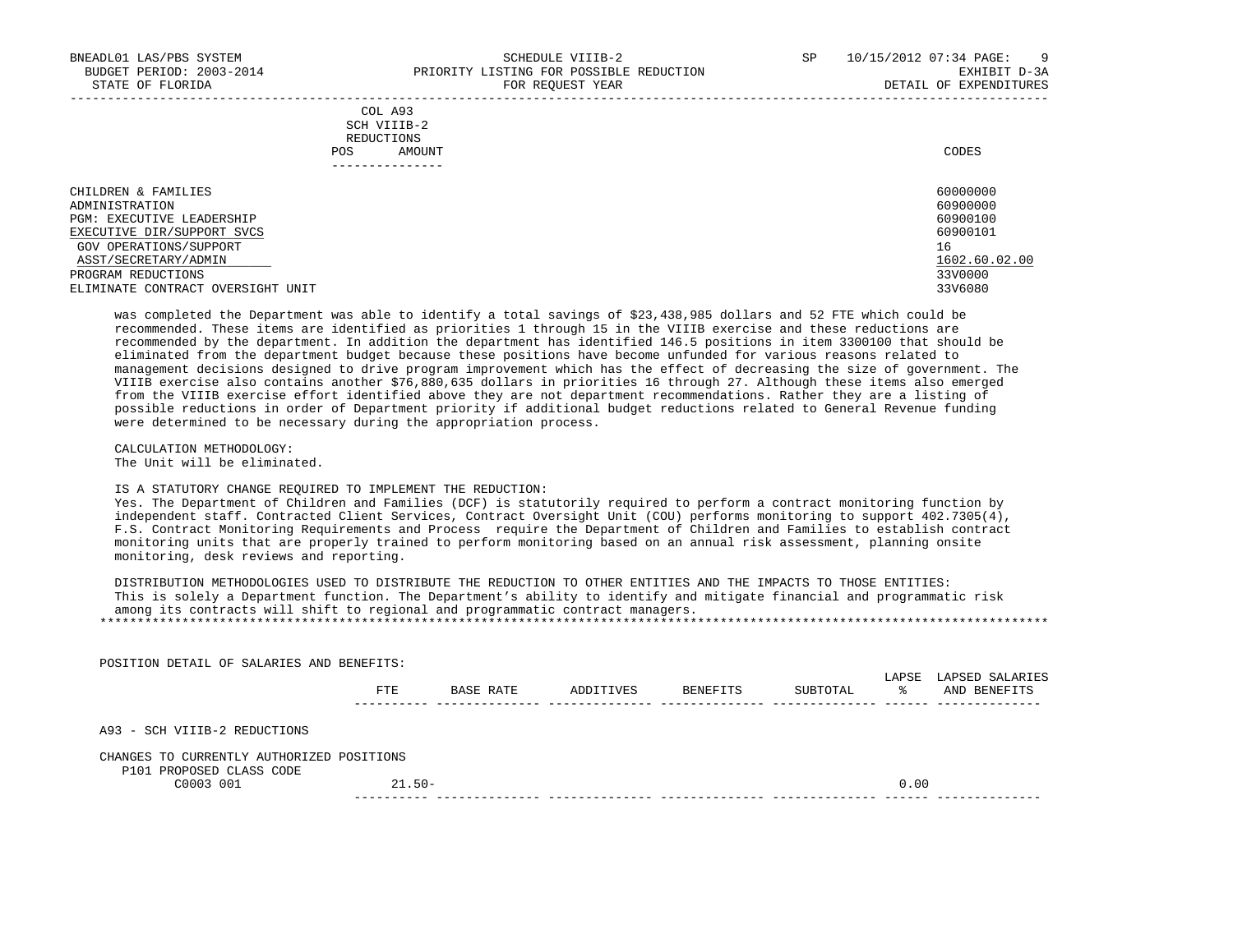|            | _______________ |       |
|------------|-----------------|-------|
| POS        | AMOUNT          | CODES |
| REDUCTIONS |                 |       |
|            | SCH VIIIB-2     |       |
|            | COL A93         |       |

| CHILDREN & FAMILIES               | 60000000      |
|-----------------------------------|---------------|
| ADMINISTRATION                    | 60900000      |
| PGM: EXECUTIVE LEADERSHIP         | 60900100      |
| EXECUTIVE DIR/SUPPORT SVCS        | 60900101      |
| GOV OPERATIONS/SUPPORT            | 16            |
| ASST/SECRETARY/ADMIN              | 1602.60.02.00 |
| PROGRAM REDUCTIONS                | 33V0000       |
| ELIMINATE CONTRACT OVERSIGHT UNIT | 33V6080       |

 was completed the Department was able to identify a total savings of \$23,438,985 dollars and 52 FTE which could be recommended. These items are identified as priorities 1 through 15 in the VIIIB exercise and these reductions are recommended by the department. In addition the department has identified 146.5 positions in item 3300100 that should be eliminated from the department budget because these positions have become unfunded for various reasons related to management decisions designed to drive program improvement which has the effect of decreasing the size of government. The VIIIB exercise also contains another \$76,880,635 dollars in priorities 16 through 27. Although these items also emerged from the VIIIB exercise effort identified above they are not department recommendations. Rather they are a listing of possible reductions in order of Department priority if additional budget reductions related to General Revenue funding were determined to be necessary during the appropriation process.

 CALCULATION METHODOLOGY: The Unit will be eliminated.

#### IS A STATUTORY CHANGE REQUIRED TO IMPLEMENT THE REDUCTION:

 Yes. The Department of Children and Families (DCF) is statutorily required to perform a contract monitoring function by independent staff. Contracted Client Services, Contract Oversight Unit (COU) performs monitoring to support 402.7305(4), F.S. Contract Monitoring Requirements and Process require the Department of Children and Families to establish contract monitoring units that are properly trained to perform monitoring based on an annual risk assessment, planning onsite monitoring, desk reviews and reporting.

 DISTRIBUTION METHODOLOGIES USED TO DISTRIBUTE THE REDUCTION TO OTHER ENTITIES AND THE IMPACTS TO THOSE ENTITIES: This is solely a Department function. The Department's ability to identify and mitigate financial and programmatic risk among its contracts will shift to regional and programmatic contract managers. \*\*\*\*\*\*\*\*\*\*\*\*\*\*\*\*\*\*\*\*\*\*\*\*\*\*\*\*\*\*\*\*\*\*\*\*\*\*\*\*\*\*\*\*\*\*\*\*\*\*\*\*\*\*\*\*\*\*\*\*\*\*\*\*\*\*\*\*\*\*\*\*\*\*\*\*\*\*\*\*\*\*\*\*\*\*\*\*\*\*\*\*\*\*\*\*\*\*\*\*\*\*\*\*\*\*\*\*\*\*\*\*\*\*\*\*\*\*\*\*\*\*\*\*\*\*\*

 POSITION DETAIL OF SALARIES AND BENEFITS: LAPSE LAPSED SALARIES FTE BASE RATE ADDITIVES BENEFITS SUBTOTAL % AND BENEFITS ---------- -------------- -------------- -------------- -------------- ------ -------------- A93 - SCH VIIIB-2 REDUCTIONS CHANGES TO CURRENTLY AUTHORIZED POSITIONS P101 PROPOSED CLASS CODE  $C0003$  001 21.50- 21.50----------- -------------- -------------- -------------- -------------- ------ --------------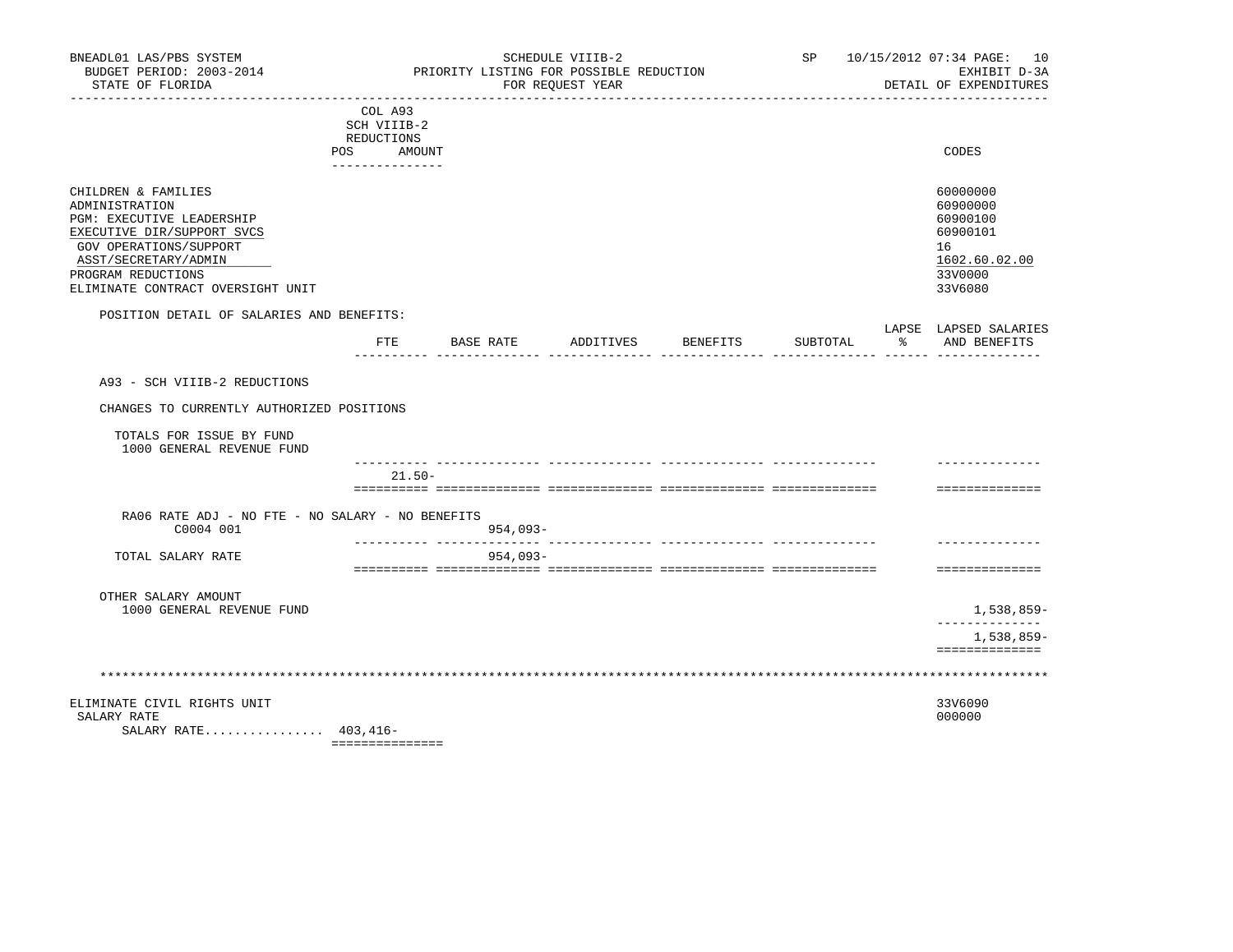| BNEADL01 LAS/PBS SYSTEM<br>BUDGET PERIOD: 2003-2014<br>STATE OF FLORIDA                                                                                                                                       |                                                                       |           | SCHEDULE VIIIB-2<br>PRIORITY LISTING FOR POSSIBLE REDUCTION<br>FOR REQUEST YEAR |          |            | SP 10/15/2012 07:34 PAGE: 10<br>EXHIBIT D-3A<br>DETAIL OF EXPENDITURES                    |
|---------------------------------------------------------------------------------------------------------------------------------------------------------------------------------------------------------------|-----------------------------------------------------------------------|-----------|---------------------------------------------------------------------------------|----------|------------|-------------------------------------------------------------------------------------------|
|                                                                                                                                                                                                               | COL A93<br>SCH VIIIB-2<br>REDUCTIONS<br>POS AMOUNT<br>--------------- |           |                                                                                 |          |            | CODES                                                                                     |
| CHILDREN & FAMILIES<br>ADMINISTRATION<br>PGM: EXECUTIVE LEADERSHIP<br>EXECUTIVE DIR/SUPPORT SVCS<br>GOV OPERATIONS/SUPPORT<br>ASST/SECRETARY/ADMIN<br>PROGRAM REDUCTIONS<br>ELIMINATE CONTRACT OVERSIGHT UNIT |                                                                       |           |                                                                                 |          |            | 60000000<br>60900000<br>60900100<br>60900101<br>16<br>1602.60.02.00<br>33V0000<br>33V6080 |
| POSITION DETAIL OF SALARIES AND BENEFITS:                                                                                                                                                                     | FTE                                                                   | BASE RATE | ADDITIVES BENEFITS                                                              | SUBTOTAL | $^{\circ}$ | LAPSE LAPSED SALARIES<br>AND BENEFITS                                                     |
| A93 - SCH VIIIB-2 REDUCTIONS<br>CHANGES TO CURRENTLY AUTHORIZED POSITIONS<br>TOTALS FOR ISSUE BY FUND<br>1000 GENERAL REVENUE FUND                                                                            |                                                                       |           |                                                                                 |          |            |                                                                                           |
|                                                                                                                                                                                                               | $21.50 -$                                                             |           |                                                                                 |          |            | ==============                                                                            |
| RA06 RATE ADJ - NO FTE - NO SALARY - NO BENEFITS<br>C0004 001                                                                                                                                                 |                                                                       | 954,093-  |                                                                                 |          |            |                                                                                           |
| TOTAL SALARY RATE                                                                                                                                                                                             |                                                                       | 954,093-  |                                                                                 |          |            | ==============                                                                            |
| OTHER SALARY AMOUNT<br>1000 GENERAL REVENUE FUND                                                                                                                                                              |                                                                       |           |                                                                                 |          |            | 1,538,859-                                                                                |
|                                                                                                                                                                                                               |                                                                       |           |                                                                                 |          |            | 1,538,859-<br>==============                                                              |
|                                                                                                                                                                                                               |                                                                       |           |                                                                                 |          |            |                                                                                           |
| ELIMINATE CIVIL RIGHTS UNIT<br>SALARY RATE<br>SALARY RATE 403,416-                                                                                                                                            | ===============                                                       |           |                                                                                 |          |            | 33V6090<br>000000                                                                         |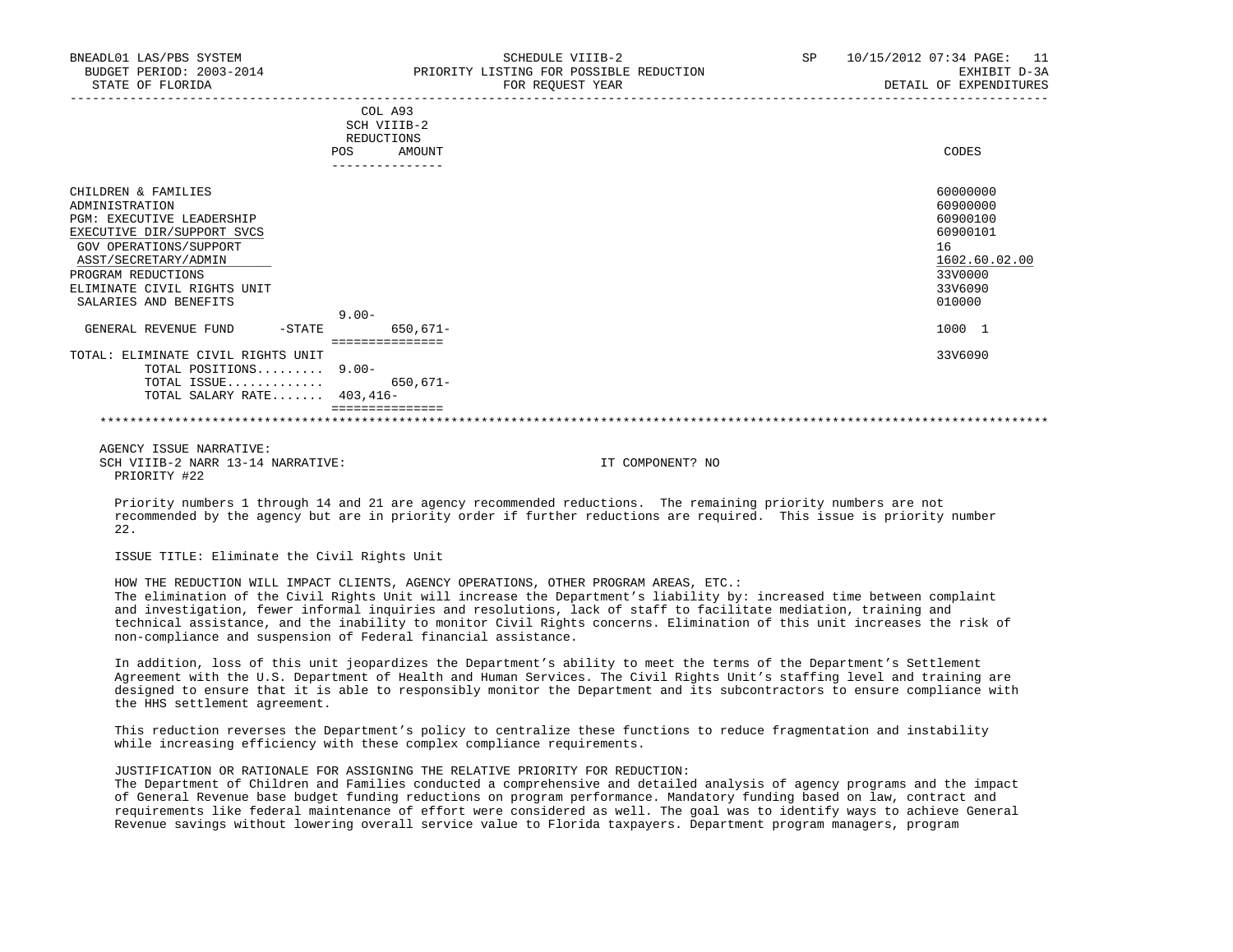| BNEADL01 LAS/PBS SYSTEM<br>BUDGET PERIOD: 2003-2014<br>STATE OF FLORIDA                                                                                                                                                                                                      | SCHEDULE VIIIB-2<br>PRIORITY LISTING FOR POSSIBLE REDUCTION<br>FOR REQUEST YEAR | SP | 10/15/2012 07:34 PAGE:<br>11<br>EXHIBIT D-3A<br>DETAIL OF EXPENDITURES                                        |
|------------------------------------------------------------------------------------------------------------------------------------------------------------------------------------------------------------------------------------------------------------------------------|---------------------------------------------------------------------------------|----|---------------------------------------------------------------------------------------------------------------|
|                                                                                                                                                                                                                                                                              | COL A93<br>SCH VIIIB-2<br>REDUCTIONS                                            |    |                                                                                                               |
|                                                                                                                                                                                                                                                                              | AMOUNT<br>POS<br>--------------                                                 |    | CODES                                                                                                         |
| CHILDREN & FAMILIES<br>ADMINISTRATION<br><b>PGM: EXECUTIVE LEADERSHIP</b><br>EXECUTIVE DIR/SUPPORT SVCS<br>GOV OPERATIONS/SUPPORT<br>ASST/SECRETARY/ADMIN<br>PROGRAM REDUCTIONS<br>ELIMINATE CIVIL RIGHTS UNIT<br>SALARIES AND BENEFITS<br>GENERAL REVENUE FUND<br>$-$ STATE | $9.00 -$<br>650,671-<br>===============                                         |    | 60000000<br>60900000<br>60900100<br>60900101<br>16<br>1602.60.02.00<br>33V0000<br>33V6090<br>010000<br>1000 1 |
| TOTAL: ELIMINATE CIVIL RIGHTS UNIT<br>TOTAL POSITIONS 9.00-<br>TOTAL ISSUE 650,671-<br>TOTAL SALARY RATE $403,416-$                                                                                                                                                          | ===============                                                                 |    | 33V6090                                                                                                       |

# \*\*\*\*\*\*\*\*\*\*\*\*\*\*\*\*\*\*\*\*\*\*\*\*\*\*\*\*\*\*\*\*\*\*\*\*\*\*\*\*\*\*\*\*\*\*\*\*\*\*\*\*\*\*\*\*\*\*\*\*\*\*\*\*\*\*\*\*\*\*\*\*\*\*\*\*\*\*\*\*\*\*\*\*\*\*\*\*\*\*\*\*\*\*\*\*\*\*\*\*\*\*\*\*\*\*\*\*\*\*\*\*\*\*\*\*\*\*\*\*\*\*\*\*\*\*\*

 AGENCY ISSUE NARRATIVE: SCH VIIIB-2 NARR 13-14 NARRATIVE: IT COMPONENT? NO PRIORITY #22

 Priority numbers 1 through 14 and 21 are agency recommended reductions. The remaining priority numbers are not recommended by the agency but are in priority order if further reductions are required. This issue is priority number 22.

ISSUE TITLE: Eliminate the Civil Rights Unit

 HOW THE REDUCTION WILL IMPACT CLIENTS, AGENCY OPERATIONS, OTHER PROGRAM AREAS, ETC.: The elimination of the Civil Rights Unit will increase the Department's liability by: increased time between complaint and investigation, fewer informal inquiries and resolutions, lack of staff to facilitate mediation, training and technical assistance, and the inability to monitor Civil Rights concerns. Elimination of this unit increases the risk of non-compliance and suspension of Federal financial assistance.

 In addition, loss of this unit jeopardizes the Department's ability to meet the terms of the Department's Settlement Agreement with the U.S. Department of Health and Human Services. The Civil Rights Unit's staffing level and training are designed to ensure that it is able to responsibly monitor the Department and its subcontractors to ensure compliance with the HHS settlement agreement.

 This reduction reverses the Department's policy to centralize these functions to reduce fragmentation and instability while increasing efficiency with these complex compliance requirements.

JUSTIFICATION OR RATIONALE FOR ASSIGNING THE RELATIVE PRIORITY FOR REDUCTION:

 The Department of Children and Families conducted a comprehensive and detailed analysis of agency programs and the impact of General Revenue base budget funding reductions on program performance. Mandatory funding based on law, contract and requirements like federal maintenance of effort were considered as well. The goal was to identify ways to achieve General Revenue savings without lowering overall service value to Florida taxpayers. Department program managers, program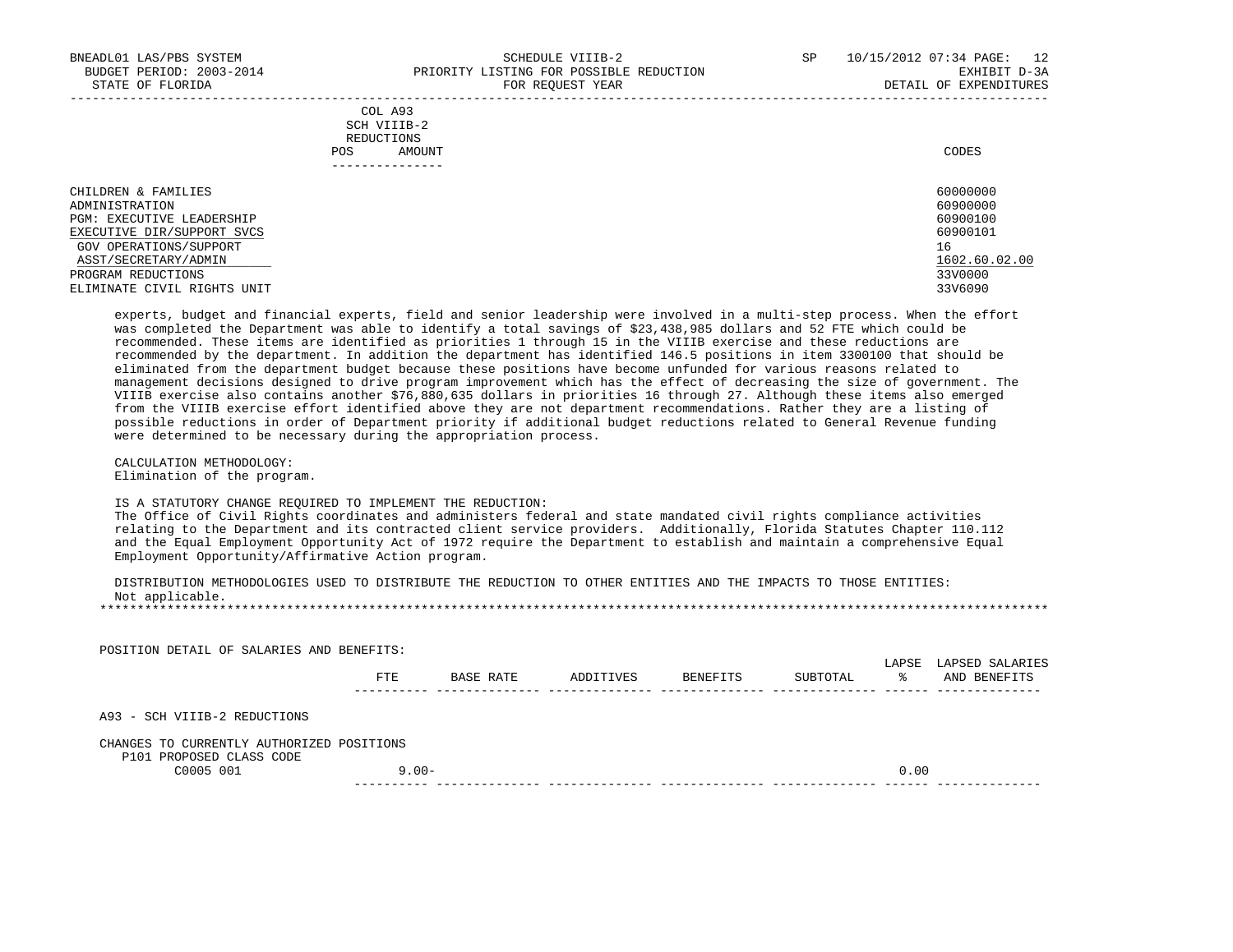|            | _______________ |       |
|------------|-----------------|-------|
| POS        | AMOUNT          | CODES |
| REDUCTIONS |                 |       |
|            | SCH VIIIB-2     |       |
|            | COL A93         |       |

| CHILDREN & FAMILIES         | 60000000      |
|-----------------------------|---------------|
| ADMINISTRATION              | 60900000      |
| PGM: EXECUTIVE LEADERSHIP   | 60900100      |
| EXECUTIVE DIR/SUPPORT SVCS  | 60900101      |
| GOV OPERATIONS/SUPPORT      | 16            |
| ASST/SECRETARY/ADMIN        | 1602.60.02.00 |
| PROGRAM REDUCTIONS          | 33V0000       |
| ELIMINATE CIVIL RIGHTS UNIT | 33V6090       |

 experts, budget and financial experts, field and senior leadership were involved in a multi-step process. When the effort was completed the Department was able to identify a total savings of \$23,438,985 dollars and 52 FTE which could be recommended. These items are identified as priorities 1 through 15 in the VIIIB exercise and these reductions are recommended by the department. In addition the department has identified 146.5 positions in item 3300100 that should be eliminated from the department budget because these positions have become unfunded for various reasons related to management decisions designed to drive program improvement which has the effect of decreasing the size of government. The VIIIB exercise also contains another \$76,880,635 dollars in priorities 16 through 27. Although these items also emerged from the VIIIB exercise effort identified above they are not department recommendations. Rather they are a listing of possible reductions in order of Department priority if additional budget reductions related to General Revenue funding were determined to be necessary during the appropriation process.

 CALCULATION METHODOLOGY: Elimination of the program.

IS A STATUTORY CHANGE REQUIRED TO IMPLEMENT THE REDUCTION:

 The Office of Civil Rights coordinates and administers federal and state mandated civil rights compliance activities relating to the Department and its contracted client service providers. Additionally, Florida Statutes Chapter 110.112 and the Equal Employment Opportunity Act of 1972 require the Department to establish and maintain a comprehensive Equal Employment Opportunity/Affirmative Action program.

 DISTRIBUTION METHODOLOGIES USED TO DISTRIBUTE THE REDUCTION TO OTHER ENTITIES AND THE IMPACTS TO THOSE ENTITIES: Not applicable. \*\*\*\*\*\*\*\*\*\*\*\*\*\*\*\*\*\*\*\*\*\*\*\*\*\*\*\*\*\*\*\*\*\*\*\*\*\*\*\*\*\*\*\*\*\*\*\*\*\*\*\*\*\*\*\*\*\*\*\*\*\*\*\*\*\*\*\*\*\*\*\*\*\*\*\*\*\*\*\*\*\*\*\*\*\*\*\*\*\*\*\*\*\*\*\*\*\*\*\*\*\*\*\*\*\*\*\*\*\*\*\*\*\*\*\*\*\*\*\*\*\*\*\*\*\*\*

| POSITION DETAIL OF SALARIES AND BENEFITS:                             |          |           |           |          |          |            |                                 |
|-----------------------------------------------------------------------|----------|-----------|-----------|----------|----------|------------|---------------------------------|
|                                                                       | FTE      | BASE RATE | ADDITIVES | BENEFITS | SUBTOTAL | LAPSE<br>° | LAPSED SALARIES<br>AND BENEFITS |
| A93 - SCH VIIIB-2 REDUCTIONS                                          |          |           |           |          |          |            |                                 |
| CHANGES TO CURRENTLY AUTHORIZED POSITIONS<br>P101 PROPOSED CLASS CODE |          |           |           |          |          |            |                                 |
| C0005 001                                                             | $9.00 -$ |           |           |          |          | 0.00       |                                 |
|                                                                       |          |           |           |          |          |            |                                 |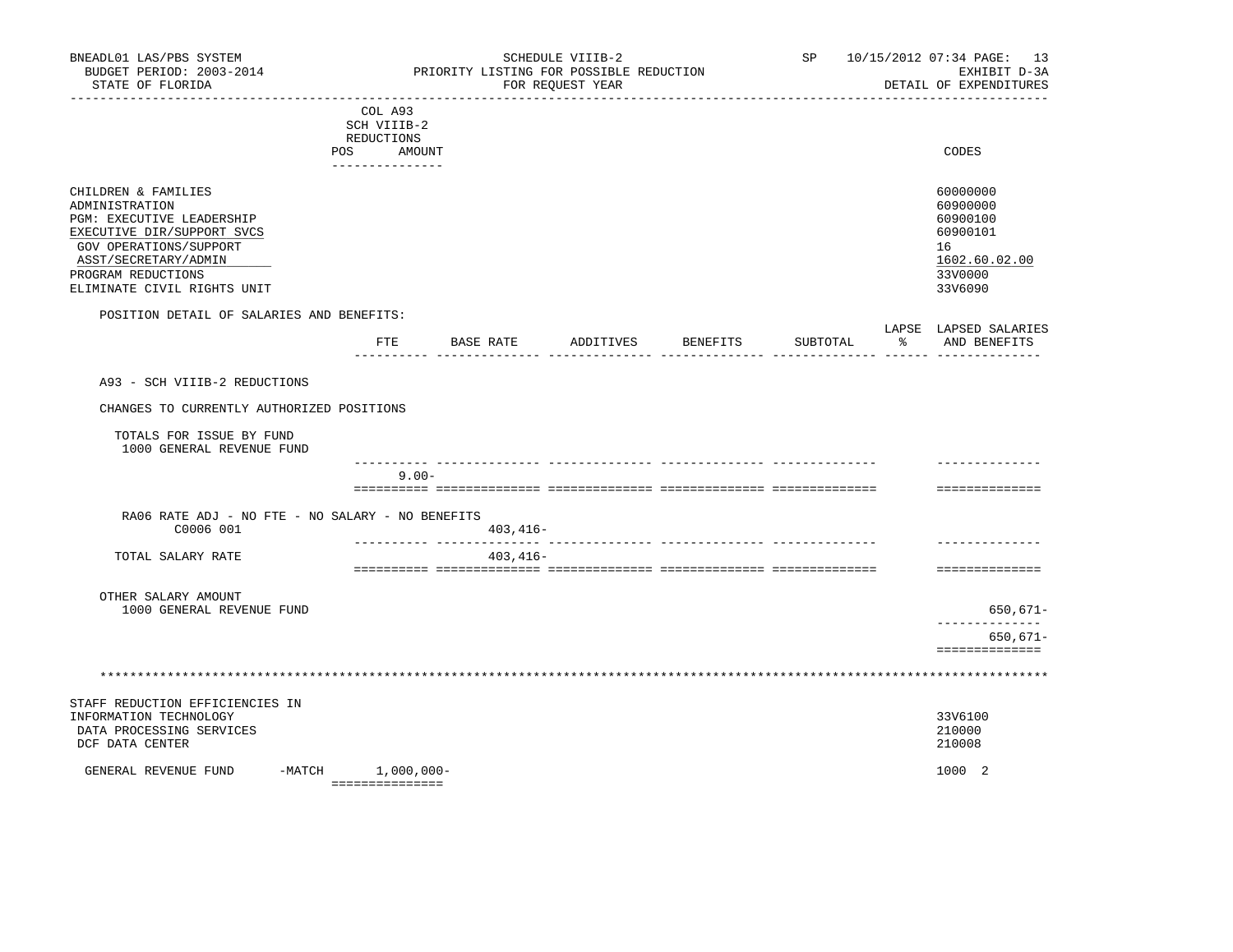| BNEADL01 LAS/PBS SYSTEM<br>BUDGET PERIOD: 2003-2014<br>STATE OF FLORIDA                                                                                                                                 | SCHEDULE VIIIB-2<br>SP<br>PRIORITY LISTING FOR POSSIBLE REDUCTION<br>FOR REQUEST YEAR |                       |          |                                                                                           | 10/15/2012 07:34 PAGE: 13<br>EXHIBIT D-3A<br>DETAIL OF EXPENDITURES |  |
|---------------------------------------------------------------------------------------------------------------------------------------------------------------------------------------------------------|---------------------------------------------------------------------------------------|-----------------------|----------|-------------------------------------------------------------------------------------------|---------------------------------------------------------------------|--|
|                                                                                                                                                                                                         | COL A93<br>SCH VIIIB-2<br>REDUCTIONS<br>POS<br>AMOUNT<br>---------------              |                       |          | CODES                                                                                     |                                                                     |  |
| CHILDREN & FAMILIES<br>ADMINISTRATION<br>PGM: EXECUTIVE LEADERSHIP<br>EXECUTIVE DIR/SUPPORT SVCS<br>GOV OPERATIONS/SUPPORT<br>ASST/SECRETARY/ADMIN<br>PROGRAM REDUCTIONS<br>ELIMINATE CIVIL RIGHTS UNIT |                                                                                       |                       |          | 60000000<br>60900000<br>60900100<br>60900101<br>16<br>1602.60.02.00<br>33V0000<br>33V6090 |                                                                     |  |
| POSITION DETAIL OF SALARIES AND BENEFITS:                                                                                                                                                               | ETE<br>BASE RATE                                                                      | ADDITIVES<br>BENEFITS | SUBTOTAL | LAPSE LAPSED SALARIES<br>$\frac{1}{6}$<br>AND BENEFITS                                    |                                                                     |  |
| A93 - SCH VIIIB-2 REDUCTIONS<br>CHANGES TO CURRENTLY AUTHORIZED POSITIONS                                                                                                                               |                                                                                       |                       |          |                                                                                           |                                                                     |  |
| TOTALS FOR ISSUE BY FUND<br>1000 GENERAL REVENUE FUND                                                                                                                                                   |                                                                                       |                       |          |                                                                                           |                                                                     |  |
|                                                                                                                                                                                                         | $9.00 -$                                                                              |                       |          | ==============                                                                            |                                                                     |  |
| RA06 RATE ADJ - NO FTE - NO SALARY - NO BENEFITS<br>C0006 001                                                                                                                                           | $403, 416 -$                                                                          |                       |          |                                                                                           |                                                                     |  |
| TOTAL SALARY RATE                                                                                                                                                                                       | $403, 416 -$                                                                          |                       |          | ==============                                                                            |                                                                     |  |
| OTHER SALARY AMOUNT<br>1000 GENERAL REVENUE FUND                                                                                                                                                        |                                                                                       |                       |          | $650,671-$<br>-----------<br>$650,671-$<br>==============                                 |                                                                     |  |
|                                                                                                                                                                                                         |                                                                                       |                       |          |                                                                                           |                                                                     |  |
| STAFF REDUCTION EFFICIENCIES IN<br>INFORMATION TECHNOLOGY<br>DATA PROCESSING SERVICES<br>DCF DATA CENTER                                                                                                |                                                                                       |                       |          | 33V6100<br>210000<br>210008                                                               |                                                                     |  |
| GENERAL REVENUE FUND                                                                                                                                                                                    | $-MATCH$ 1,000,000-<br>----------------                                               |                       |          | 1000 2                                                                                    |                                                                     |  |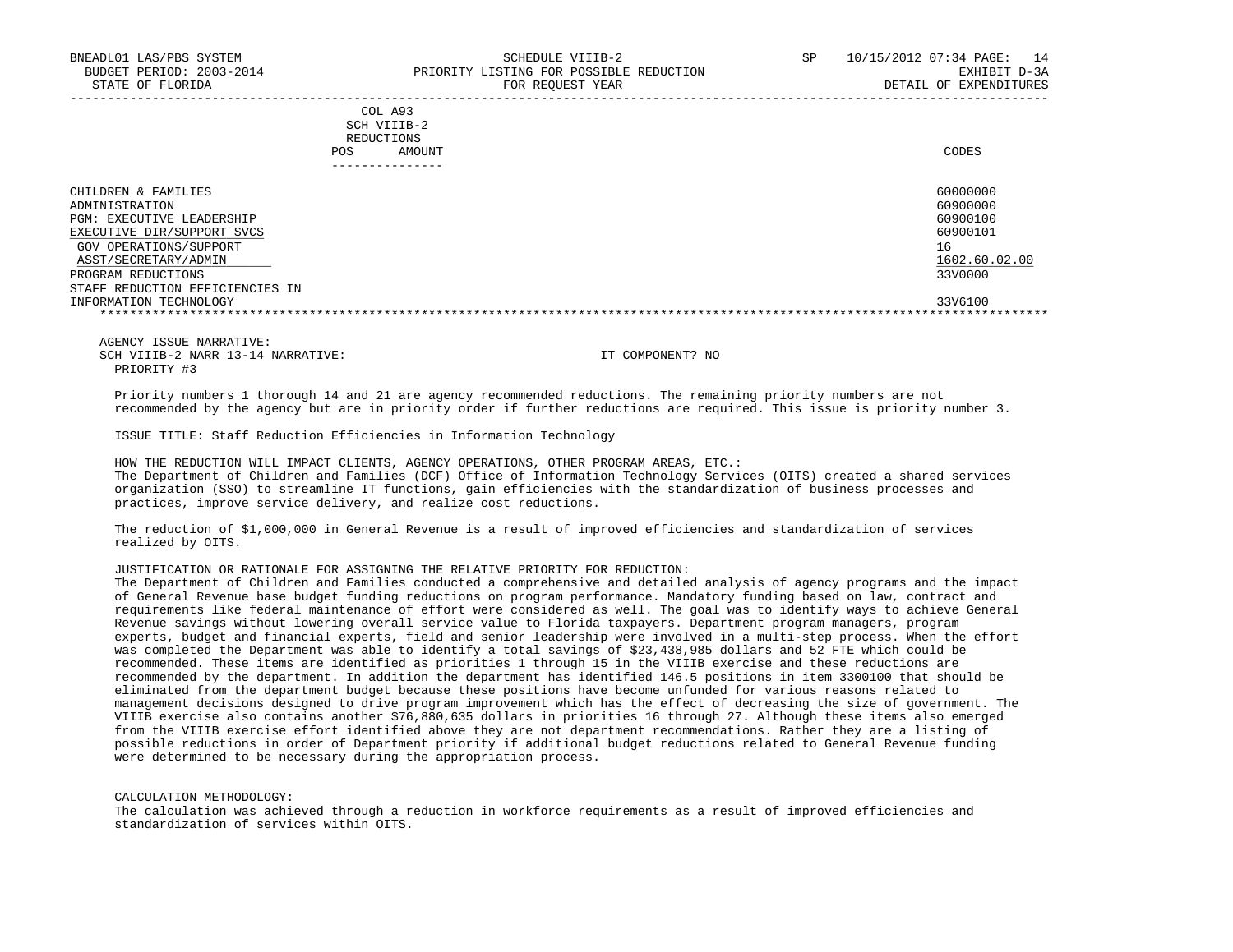|            | _______________ |       |
|------------|-----------------|-------|
| POS        | AMOUNT          | CODES |
| REDUCTIONS |                 |       |
|            | SCH VIIIB-2     |       |
|            | COL A93         |       |

| CHILDREN & FAMILIES             | 60000000      |
|---------------------------------|---------------|
| ADMINISTRATION                  | 60900000      |
| PGM: EXECUTIVE LEADERSHIP       | 60900100      |
| EXECUTIVE DIR/SUPPORT SVCS      | 60900101      |
| GOV OPERATIONS/SUPPORT          | 16            |
| ASST/SECRETARY/ADMIN            | 1602.60.02.00 |
| PROGRAM REDUCTIONS              | 33V0000       |
| STAFF REDUCTION EFFICIENCIES IN |               |
| INFORMATION TECHNOLOGY          | 33V6100       |
|                                 |               |

 AGENCY ISSUE NARRATIVE: SCH VIIIB-2 NARR 13-14 NARRATIVE: IT COMPONENT? NO PRIORITY #3

 Priority numbers 1 thorough 14 and 21 are agency recommended reductions. The remaining priority numbers are not recommended by the agency but are in priority order if further reductions are required. This issue is priority number 3.

ISSUE TITLE: Staff Reduction Efficiencies in Information Technology

 HOW THE REDUCTION WILL IMPACT CLIENTS, AGENCY OPERATIONS, OTHER PROGRAM AREAS, ETC.: The Department of Children and Families (DCF) Office of Information Technology Services (OITS) created a shared services organization (SSO) to streamline IT functions, gain efficiencies with the standardization of business processes and practices, improve service delivery, and realize cost reductions.

 The reduction of \$1,000,000 in General Revenue is a result of improved efficiencies and standardization of services realized by OITS.

# JUSTIFICATION OR RATIONALE FOR ASSIGNING THE RELATIVE PRIORITY FOR REDUCTION:

 The Department of Children and Families conducted a comprehensive and detailed analysis of agency programs and the impact of General Revenue base budget funding reductions on program performance. Mandatory funding based on law, contract and requirements like federal maintenance of effort were considered as well. The goal was to identify ways to achieve General Revenue savings without lowering overall service value to Florida taxpayers. Department program managers, program experts, budget and financial experts, field and senior leadership were involved in a multi-step process. When the effort was completed the Department was able to identify a total savings of \$23,438,985 dollars and 52 FTE which could be recommended. These items are identified as priorities 1 through 15 in the VIIIB exercise and these reductions are recommended by the department. In addition the department has identified 146.5 positions in item 3300100 that should be eliminated from the department budget because these positions have become unfunded for various reasons related to management decisions designed to drive program improvement which has the effect of decreasing the size of government. The VIIIB exercise also contains another \$76,880,635 dollars in priorities 16 through 27. Although these items also emerged from the VIIIB exercise effort identified above they are not department recommendations. Rather they are a listing of possible reductions in order of Department priority if additional budget reductions related to General Revenue funding were determined to be necessary during the appropriation process.

CALCULATION METHODOLOGY:

 The calculation was achieved through a reduction in workforce requirements as a result of improved efficiencies and standardization of services within OITS.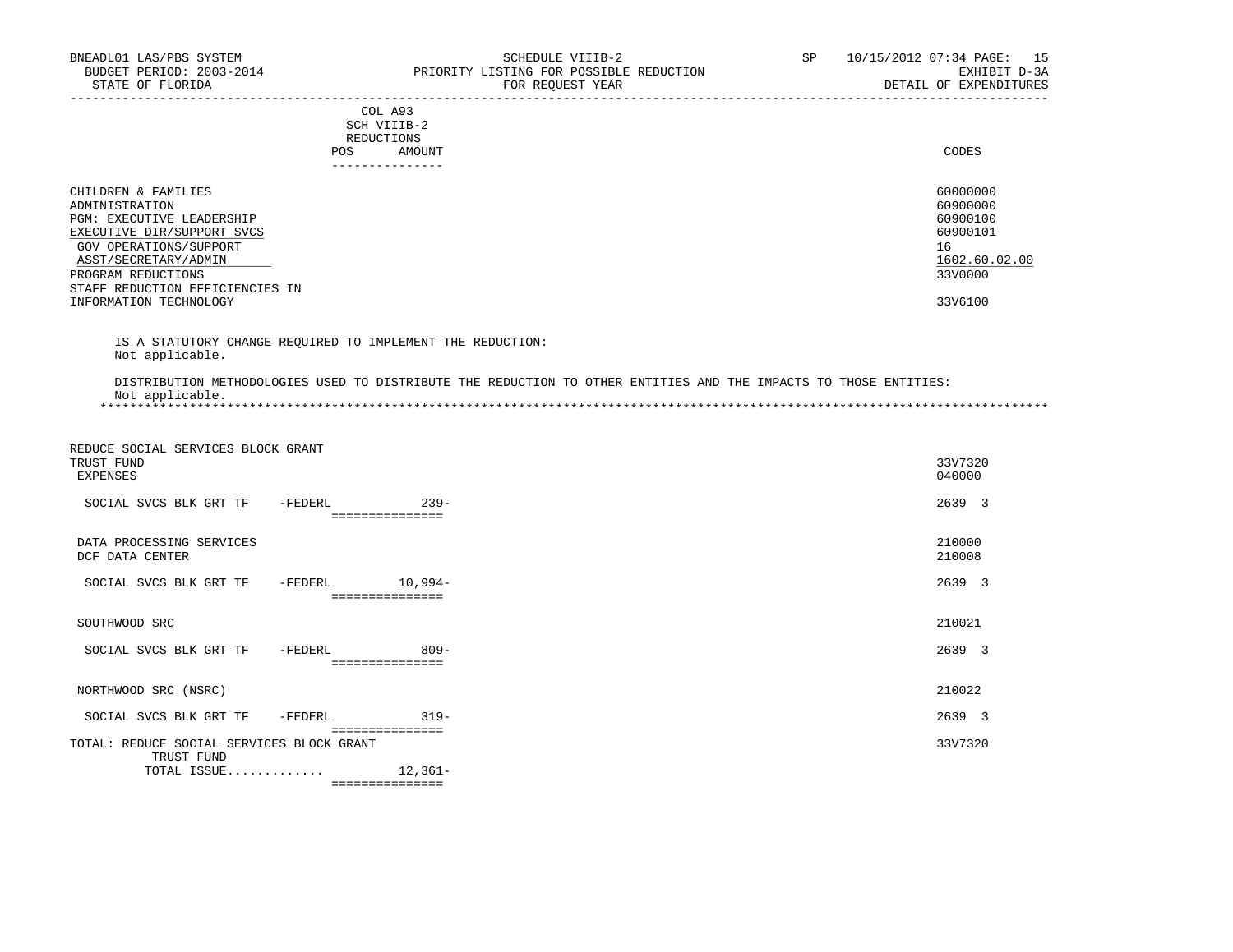|                                                                                                                                                                                                                                       |                 | COL A93<br>SCH VIIIB-2<br>REDUCTIONS |                                                                                                                  |                                                                                           |
|---------------------------------------------------------------------------------------------------------------------------------------------------------------------------------------------------------------------------------------|-----------------|--------------------------------------|------------------------------------------------------------------------------------------------------------------|-------------------------------------------------------------------------------------------|
|                                                                                                                                                                                                                                       | POS             | AMOUNT<br>---------------            |                                                                                                                  | <b>CODES</b>                                                                              |
| CHILDREN & FAMILIES<br>ADMINISTRATION<br>PGM: EXECUTIVE LEADERSHIP<br>EXECUTIVE DIR/SUPPORT SVCS<br>GOV OPERATIONS/SUPPORT<br>ASST/SECRETARY/ADMIN<br>PROGRAM REDUCTIONS<br>STAFF REDUCTION EFFICIENCIES IN<br>INFORMATION TECHNOLOGY |                 |                                      |                                                                                                                  | 60000000<br>60900000<br>60900100<br>60900101<br>16<br>1602.60.02.00<br>33V0000<br>33V6100 |
| IS A STATUTORY CHANGE REQUIRED TO IMPLEMENT THE REDUCTION:<br>Not applicable.                                                                                                                                                         |                 |                                      |                                                                                                                  |                                                                                           |
| Not applicable.                                                                                                                                                                                                                       |                 |                                      | DISTRIBUTION METHODOLOGIES USED TO DISTRIBUTE THE REDUCTION TO OTHER ENTITIES AND THE IMPACTS TO THOSE ENTITIES: |                                                                                           |
| REDUCE SOCIAL SERVICES BLOCK GRANT<br>TRUST FUND<br>EXPENSES                                                                                                                                                                          |                 |                                      |                                                                                                                  | 33V7320<br>040000                                                                         |
| SOCIAL SVCS BLK GRT TF - FEDERL                                                                                                                                                                                                       |                 | $239 -$<br>===============           |                                                                                                                  | 2639 3                                                                                    |
| DATA PROCESSING SERVICES<br>DCF DATA CENTER                                                                                                                                                                                           |                 |                                      |                                                                                                                  | 210000<br>210008                                                                          |
| SOCIAL SVCS BLK GRT TF                                                                                                                                                                                                                | -FEDERL 10,994- | ===============                      |                                                                                                                  | 2639 3                                                                                    |
| SOUTHWOOD SRC                                                                                                                                                                                                                         |                 |                                      |                                                                                                                  | 210021                                                                                    |
| SOCIAL SVCS BLK GRT TF                                                                                                                                                                                                                | -FEDERL         | $809 -$<br>----------------          |                                                                                                                  | 2639 3                                                                                    |
| NORTHWOOD SRC (NSRC)                                                                                                                                                                                                                  |                 |                                      |                                                                                                                  | 210022                                                                                    |
| SOCIAL SVCS BLK GRT TF                                                                                                                                                                                                                | -FEDERL         | $319-$<br>===============            |                                                                                                                  | 2639 3                                                                                    |
| TOTAL: REDUCE SOCIAL SERVICES BLOCK GRANT                                                                                                                                                                                             |                 |                                      |                                                                                                                  | 33V7320                                                                                   |

TRUST FUND

TOTAL ISSUE............. 12,361-

===============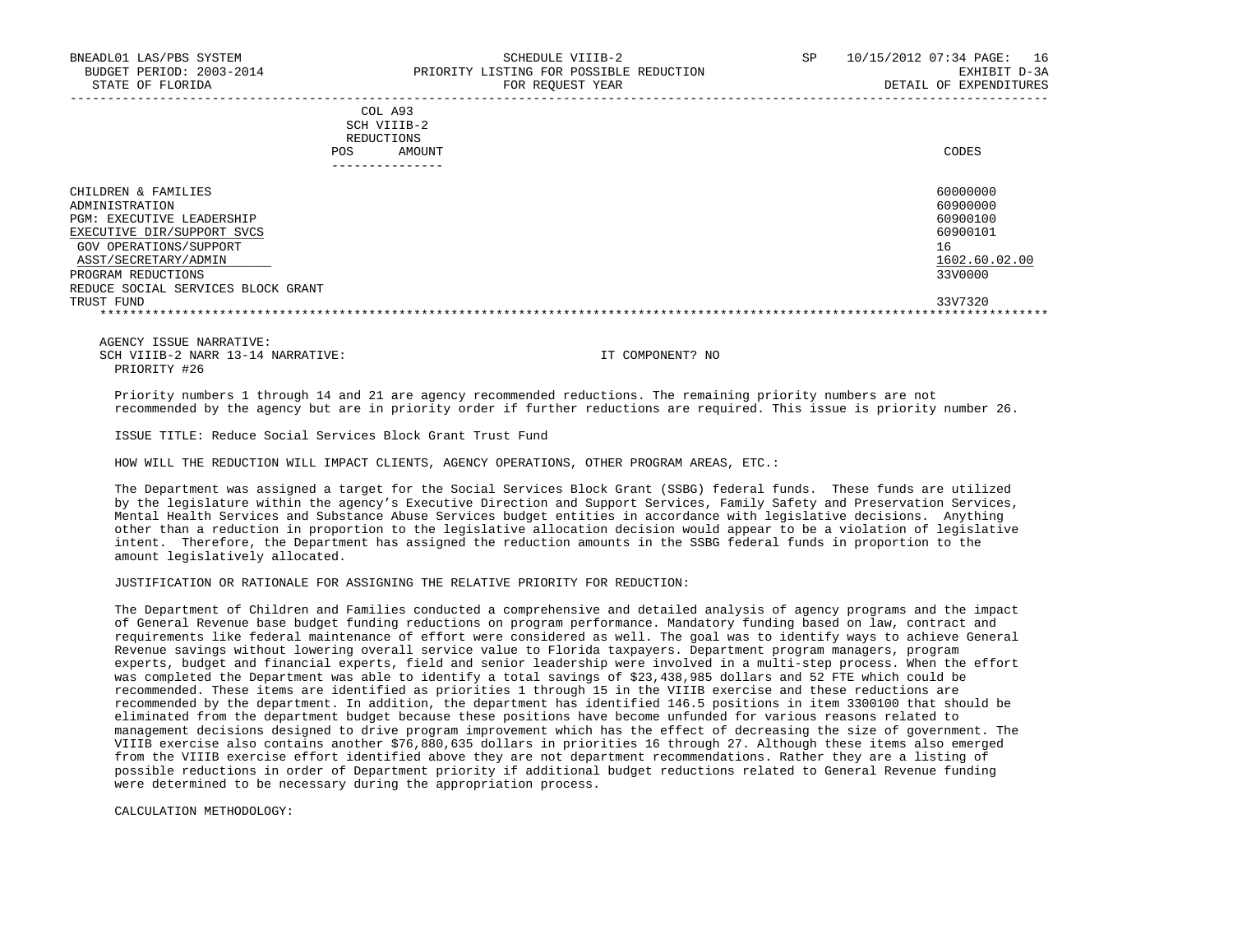| COL A93     |                 |
|-------------|-----------------|
| SCH VIIIB-2 |                 |
| REDUCTIONS  |                 |
| POS         | CODES<br>AMOUNT |

| ______________                     |               |
|------------------------------------|---------------|
| CHILDREN & FAMILIES                | 60000000      |
| ADMINISTRATION                     | 60900000      |
| PGM: EXECUTIVE LEADERSHIP          | 60900100      |
| EXECUTIVE DIR/SUPPORT SVCS         | 60900101      |
| GOV OPERATIONS/SUPPORT             | 16            |
| ASST/SECRETARY/ADMIN               | 1602.60.02.00 |
| PROGRAM REDUCTIONS                 | 33V0000       |
| REDUCE SOCIAL SERVICES BLOCK GRANT |               |
| TRUST FUND                         | 33V7320       |
|                                    |               |

 AGENCY ISSUE NARRATIVE: SCH VIIIB-2 NARR 13-14 NARRATIVE: IT COMPONENT? NO PRIORITY #26

 Priority numbers 1 through 14 and 21 are agency recommended reductions. The remaining priority numbers are not recommended by the agency but are in priority order if further reductions are required. This issue is priority number 26.

ISSUE TITLE: Reduce Social Services Block Grant Trust Fund

HOW WILL THE REDUCTION WILL IMPACT CLIENTS, AGENCY OPERATIONS, OTHER PROGRAM AREAS, ETC.:

 The Department was assigned a target for the Social Services Block Grant (SSBG) federal funds. These funds are utilized by the legislature within the agency's Executive Direction and Support Services, Family Safety and Preservation Services, Mental Health Services and Substance Abuse Services budget entities in accordance with legislative decisions. Anything other than a reduction in proportion to the legislative allocation decision would appear to be a violation of legislative intent. Therefore, the Department has assigned the reduction amounts in the SSBG federal funds in proportion to the amount legislatively allocated.

JUSTIFICATION OR RATIONALE FOR ASSIGNING THE RELATIVE PRIORITY FOR REDUCTION:

 The Department of Children and Families conducted a comprehensive and detailed analysis of agency programs and the impact of General Revenue base budget funding reductions on program performance. Mandatory funding based on law, contract and requirements like federal maintenance of effort were considered as well. The goal was to identify ways to achieve General Revenue savings without lowering overall service value to Florida taxpayers. Department program managers, program experts, budget and financial experts, field and senior leadership were involved in a multi-step process. When the effort was completed the Department was able to identify a total savings of \$23,438,985 dollars and 52 FTE which could be recommended. These items are identified as priorities 1 through 15 in the VIIIB exercise and these reductions are recommended by the department. In addition, the department has identified 146.5 positions in item 3300100 that should be eliminated from the department budget because these positions have become unfunded for various reasons related to management decisions designed to drive program improvement which has the effect of decreasing the size of government. The VIIIB exercise also contains another \$76,880,635 dollars in priorities 16 through 27. Although these items also emerged from the VIIIB exercise effort identified above they are not department recommendations. Rather they are a listing of possible reductions in order of Department priority if additional budget reductions related to General Revenue funding were determined to be necessary during the appropriation process.

CALCULATION METHODOLOGY: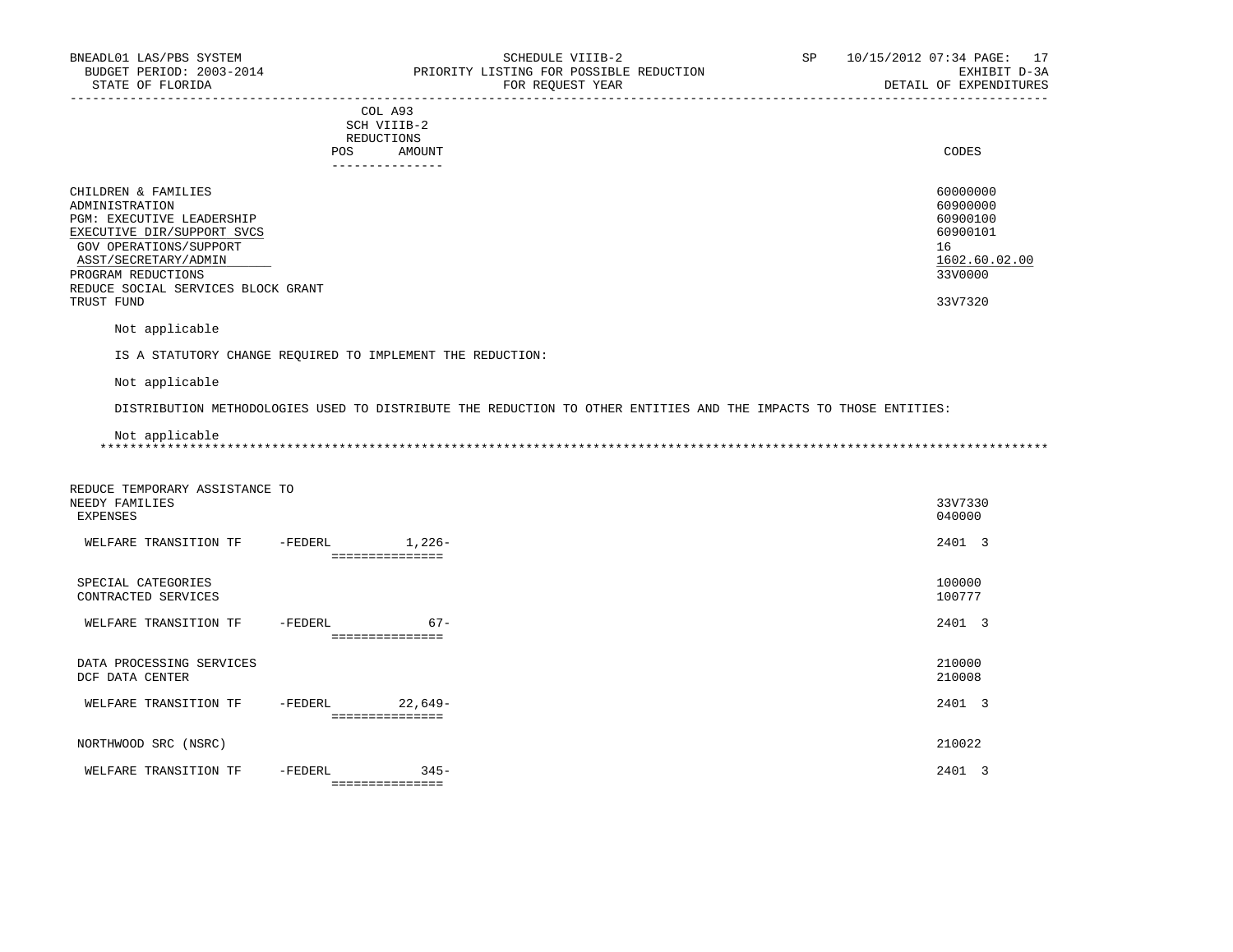|                          |            | COL A93         |          |
|--------------------------|------------|-----------------|----------|
|                          |            | SCH VIIIB-2     |          |
|                          |            | REDUCTIONS      |          |
|                          | <b>POS</b> | AMOUNT          | CODES    |
|                          |            | --------------- |          |
| CHILDREN & FAMILIES      |            |                 | 60000000 |
| ADMINISTRATION           |            |                 | 60900000 |
| DOM: DUDOURTHE IDIODOUTD |            |                 | 0.000100 |

|                                    | - - - - - - - - |
|------------------------------------|-----------------|
| PGM: EXECUTIVE LEADERSHIP          | 60900100        |
| EXECUTIVE DIR/SUPPORT SVCS         | 60900101        |
| GOV OPERATIONS/SUPPORT             | 16              |
| ASST/SECRETARY/ADMIN               | 1602.60.02.00   |
| PROGRAM REDUCTIONS                 | 33V0000         |
| REDUCE SOCIAL SERVICES BLOCK GRANT |                 |
| TRUST FUND                         | 33V7320         |
|                                    |                 |

Not applicable

IS A STATUTORY CHANGE REQUIRED TO IMPLEMENT THE REDUCTION:

Not applicable

DISTRIBUTION METHODOLOGIES USED TO DISTRIBUTE THE REDUCTION TO OTHER ENTITIES AND THE IMPACTS TO THOSE ENTITIES:

Not applicable

\*\*\*\*\*\*\*\*\*\*\*\*\*\*\*\*\*\*\*\*\*\*\*\*\*\*\*\*\*\*\*\*\*\*\*\*\*\*\*\*\*\*\*\*\*\*\*\*\*\*\*\*\*\*\*\*\*\*\*\*\*\*\*\*\*\*\*\*\*\*\*\*\*\*\*\*\*\*\*\*\*\*\*\*\*\*\*\*\*\*\*\*\*\*\*\*\*\*\*\*\*\*\*\*\*\*\*\*\*\*\*\*\*\*\*\*\*\*\*\*\*\*\*\*\*\*\*

| REDUCE TEMPORARY ASSISTANCE TO<br>NEEDY FAMILIES<br>EXPENSES |         |                             | 33V7330<br>040000 |
|--------------------------------------------------------------|---------|-----------------------------|-------------------|
| WELFARE TRANSITION TF                                        | -FEDERL | $1,226-$<br>=============== | 2401 3            |
| SPECIAL CATEGORIES<br>CONTRACTED SERVICES                    |         |                             | 100000<br>100777  |
| WELFARE TRANSITION TF                                        | -FEDERL | $67 -$<br>===============   | 2401 3            |
| DATA PROCESSING SERVICES<br>DCF DATA CENTER                  |         |                             | 210000<br>210008  |
| WELFARE TRANSITION TF                                        | -FEDERL | $22,649-$<br>=============  | 2401 3            |
| NORTHWOOD SRC (NSRC)                                         |         |                             | 210022            |
| WELFARE TRANSITION TF                                        | -FEDERL | $345 -$<br>===============  | 2401 3            |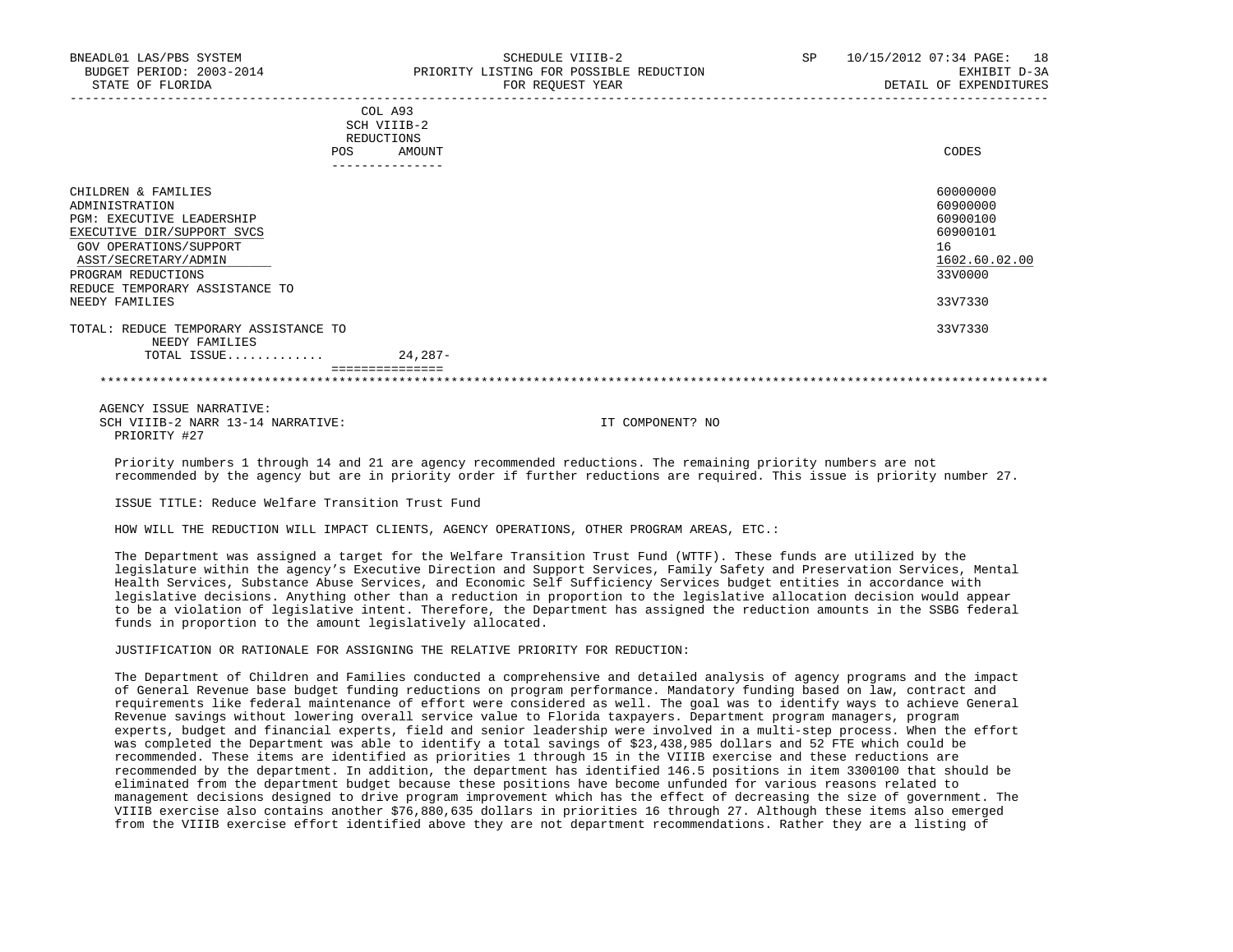| POS                                                                                                                                                                                                                                 | COL A93<br>SCH VIIIB-2<br>REDUCTIONS<br>AMOUNT<br>_______________ | CODES                                                                                     |
|-------------------------------------------------------------------------------------------------------------------------------------------------------------------------------------------------------------------------------------|-------------------------------------------------------------------|-------------------------------------------------------------------------------------------|
| CHILDREN & FAMILIES<br>ADMINISTRATION<br><b>PGM: EXECUTIVE LEADERSHIP</b><br>EXECUTIVE DIR/SUPPORT SVCS<br>GOV OPERATIONS/SUPPORT<br>ASST/SECRETARY/ADMIN<br>PROGRAM REDUCTIONS<br>REDUCE TEMPORARY ASSISTANCE TO<br>NEEDY FAMILIES |                                                                   | 60000000<br>60900000<br>60900100<br>60900101<br>16<br>1602.60.02.00<br>33V0000<br>33V7330 |
| TOTAL: REDUCE TEMPORARY ASSISTANCE TO<br>NEEDY FAMILIES                                                                                                                                                                             |                                                                   | 33V7330                                                                                   |
| TOTAL ISSUE                                                                                                                                                                                                                         | $24, 287 -$                                                       |                                                                                           |

 AGENCY ISSUE NARRATIVE: SCH VIIIB-2 NARR 13-14 NARRATIVE: IT COMPONENT? NO PRIORITY #27

 Priority numbers 1 through 14 and 21 are agency recommended reductions. The remaining priority numbers are not recommended by the agency but are in priority order if further reductions are required. This issue is priority number 27.

ISSUE TITLE: Reduce Welfare Transition Trust Fund

HOW WILL THE REDUCTION WILL IMPACT CLIENTS, AGENCY OPERATIONS, OTHER PROGRAM AREAS, ETC.:

 The Department was assigned a target for the Welfare Transition Trust Fund (WTTF). These funds are utilized by the legislature within the agency's Executive Direction and Support Services, Family Safety and Preservation Services, Mental Health Services, Substance Abuse Services, and Economic Self Sufficiency Services budget entities in accordance with legislative decisions. Anything other than a reduction in proportion to the legislative allocation decision would appear to be a violation of legislative intent. Therefore, the Department has assigned the reduction amounts in the SSBG federal funds in proportion to the amount legislatively allocated.

## JUSTIFICATION OR RATIONALE FOR ASSIGNING THE RELATIVE PRIORITY FOR REDUCTION:

 The Department of Children and Families conducted a comprehensive and detailed analysis of agency programs and the impact of General Revenue base budget funding reductions on program performance. Mandatory funding based on law, contract and requirements like federal maintenance of effort were considered as well. The goal was to identify ways to achieve General Revenue savings without lowering overall service value to Florida taxpayers. Department program managers, program experts, budget and financial experts, field and senior leadership were involved in a multi-step process. When the effort was completed the Department was able to identify a total savings of \$23,438,985 dollars and 52 FTE which could be recommended. These items are identified as priorities 1 through 15 in the VIIIB exercise and these reductions are recommended by the department. In addition, the department has identified 146.5 positions in item 3300100 that should be eliminated from the department budget because these positions have become unfunded for various reasons related to management decisions designed to drive program improvement which has the effect of decreasing the size of government. The VIIIB exercise also contains another \$76,880,635 dollars in priorities 16 through 27. Although these items also emerged from the VIIIB exercise effort identified above they are not department recommendations. Rather they are a listing of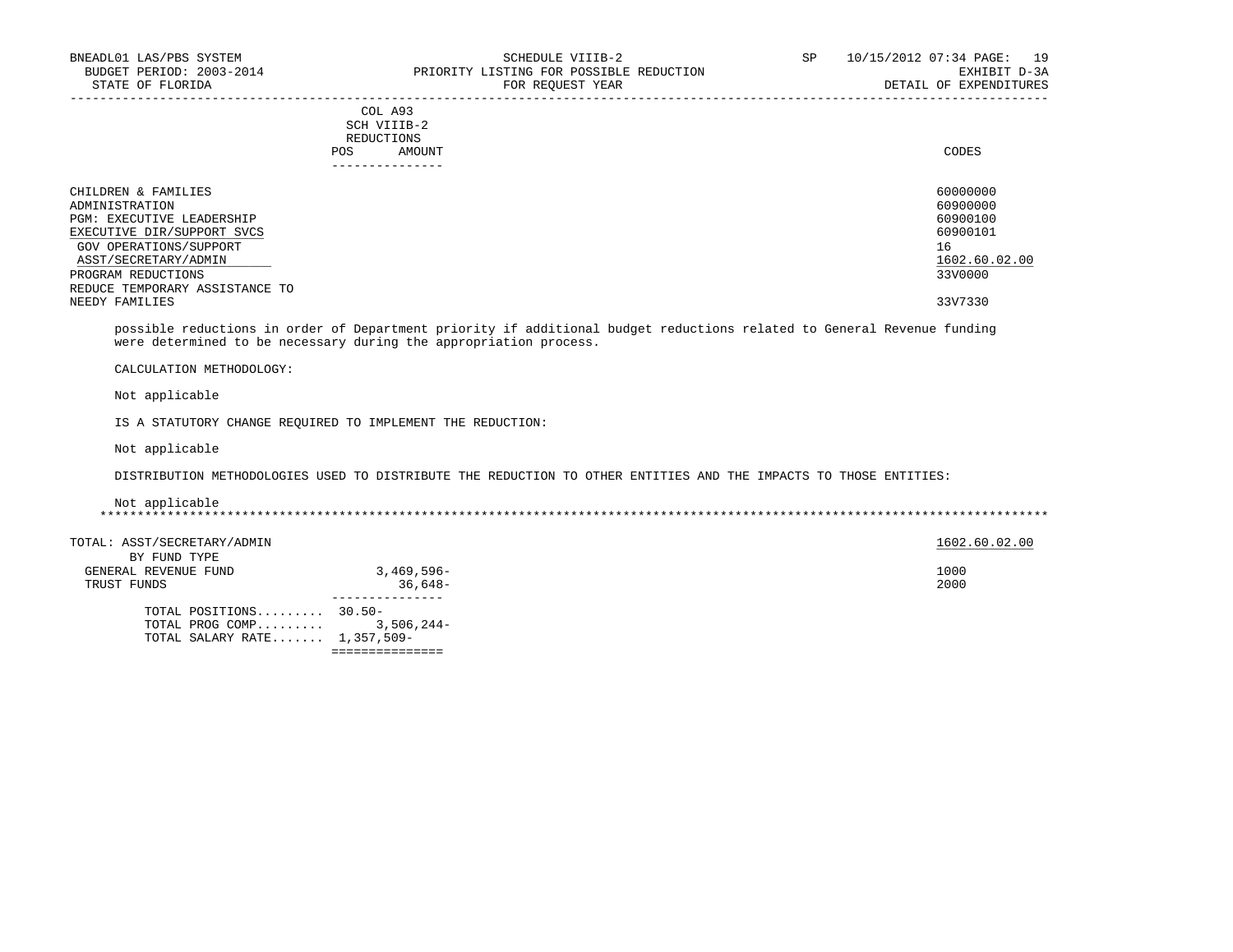# COL A93 SCH VIIIB-2 REDUCTIONS POS AMOUNT CODES AND A LOCAL CODES AND A LOCAL CODES AND A LOCAL CODES CODES AND A LOCAL CODES AND A LOCAL CODES ---------------

| CHILDREN & FAMILIES              | 60000000      |
|----------------------------------|---------------|
| ADMINISTRATION                   | 60900000      |
| <b>PGM: EXECUTIVE LEADERSHIP</b> | 60900100      |
| EXECUTIVE DIR/SUPPORT SVCS       | 60900101      |
| GOV OPERATIONS/SUPPORT           | 16            |
| ASST/SECRETARY/ADMIN             | 1602.60.02.00 |
| PROGRAM REDUCTIONS               | 33V0000       |
| REDUCE TEMPORARY ASSISTANCE TO   |               |
| NEEDY FAMILIES                   | 33V7330       |

-----------------------------------------------------------------------------------------------------------------------------------

 possible reductions in order of Department priority if additional budget reductions related to General Revenue funding were determined to be necessary during the appropriation process.

CALCULATION METHODOLOGY:

Not applicable

IS A STATUTORY CHANGE REQUIRED TO IMPLEMENT THE REDUCTION:

Not applicable

DISTRIBUTION METHODOLOGIES USED TO DISTRIBUTE THE REDUCTION TO OTHER ENTITIES AND THE IMPACTS TO THOSE ENTITIES:

 Not applicable \*\*\*\*\*\*\*\*\*\*\*\*\*\*\*\*\*\*\*\*\*\*\*\*\*\*\*\*\*\*\*\*\*\*\*\*\*\*\*\*\*\*\*\*\*\*\*\*\*\*\*\*\*\*\*\*\*\*\*\*\*\*\*\*\*\*\*\*\*\*\*\*\*\*\*\*\*\*\*\*\*\*\*\*\*\*\*\*\*\*\*\*\*\*\*\*\*\*\*\*\*\*\*\*\*\*\*\*\*\*\*\*\*\*\*\*\*\*\*\*\*\*\*\*\*\*\*

TOTAL: ASST/SECRETARY/ADMIN 1602.60.02.00  $1602.6002.00$ BY FUND TYPE

| DI FUND IIFE           |              |
|------------------------|--------------|
| GENERAL REVENUE FUND   | $3,469,596-$ |
| TRUST FUNDS            | $36.648-$    |
|                        |              |
| TOTAL POSITIONS 30.50- |              |
| TOTAL PROG COMP        | $3.506.244-$ |

 TOTAL SALARY RATE....... 1,357,509- ===============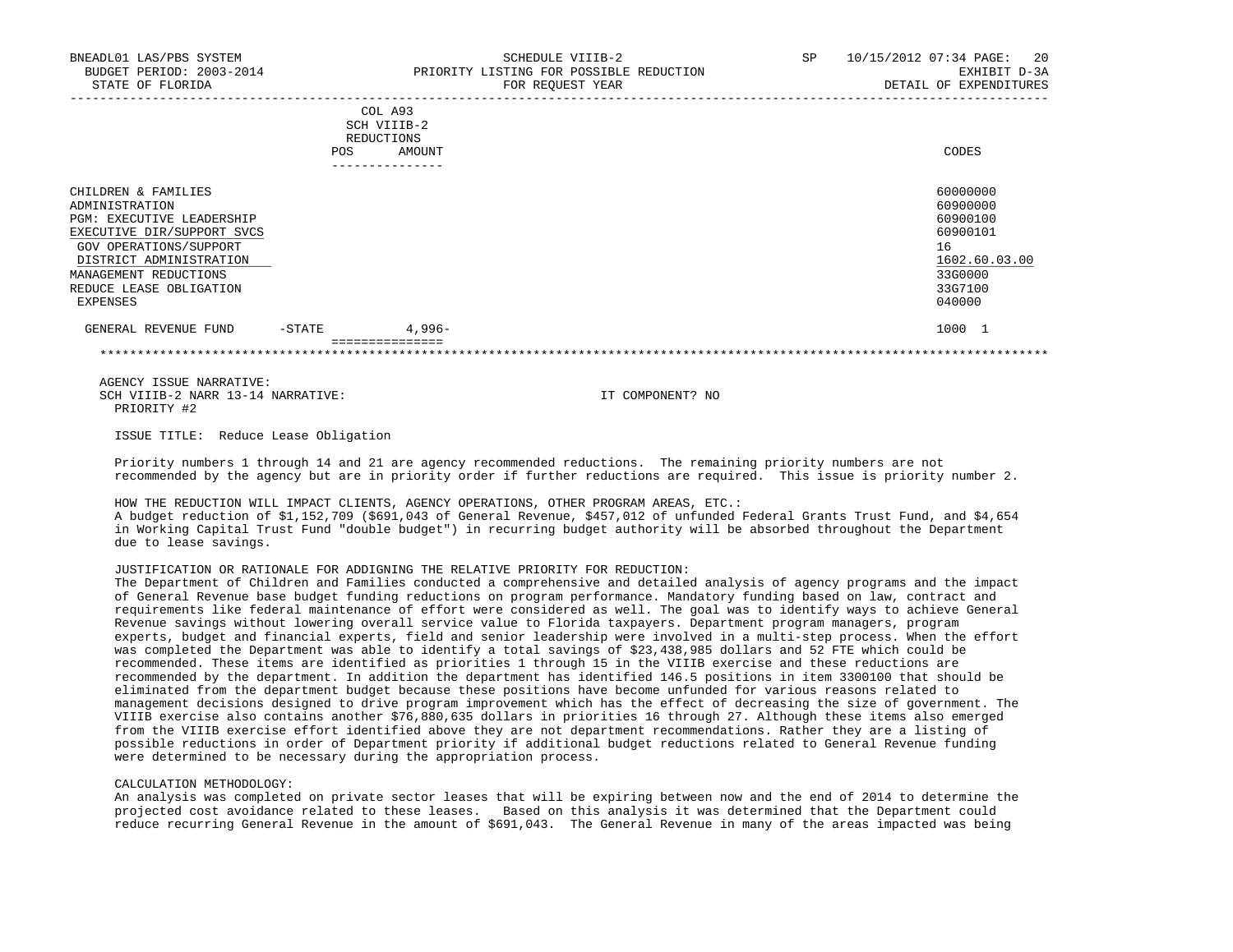|     | COL A93     |       |
|-----|-------------|-------|
|     | SCH VIIIB-2 |       |
|     | REDUCTIONS  |       |
| POS | AMOUNT      | CODES |
|     |             |       |

|                                                                                                                                                                                                                              |           | -------------   |                                                                                                     |
|------------------------------------------------------------------------------------------------------------------------------------------------------------------------------------------------------------------------------|-----------|-----------------|-----------------------------------------------------------------------------------------------------|
| CHILDREN & FAMILIES<br>ADMINISTRATION<br><b>PGM: EXECUTIVE LEADERSHIP</b><br>EXECUTIVE DIR/SUPPORT SVCS<br>GOV OPERATIONS/SUPPORT<br>DISTRICT ADMINISTRATION<br>MANAGEMENT REDUCTIONS<br>REDUCE LEASE OBLIGATION<br>EXPENSES |           |                 | 60000000<br>60900000<br>60900100<br>60900101<br>16<br>1602.60.03.00<br>33G0000<br>33G7100<br>040000 |
| GENERAL REVENUE FUND                                                                                                                                                                                                         | $-$ STATE | 4,996-          | 1000                                                                                                |
|                                                                                                                                                                                                                              |           | --------------- |                                                                                                     |

\*\*\*\*\*\*\*\*\*\*\*\*\*\*\*\*\*\*\*\*\*\*\*\*\*\*\*\*\*\*\*\*\*\*\*\*\*\*\*\*\*\*\*\*\*\*\*\*\*\*\*\*\*\*\*\*\*\*\*\*\*\*\*\*\*\*\*\*\*\*\*\*\*\*\*\*\*\*\*\*\*\*\*\*\*\*\*\*\*\*\*\*\*\*\*\*\*\*\*\*\*\*\*\*\*\*\*\*\*\*\*\*\*\*\*\*\*\*\*\*\*\*\*\*\*\*\*

 AGENCY ISSUE NARRATIVE: SCH VIIIB-2 NARR 13-14 NARRATIVE: IT COMPONENT? NO PRIORITY #2

ISSUE TITLE: Reduce Lease Obligation

 Priority numbers 1 through 14 and 21 are agency recommended reductions. The remaining priority numbers are not recommended by the agency but are in priority order if further reductions are required. This issue is priority number 2.

 HOW THE REDUCTION WILL IMPACT CLIENTS, AGENCY OPERATIONS, OTHER PROGRAM AREAS, ETC.: A budget reduction of \$1,152,709 (\$691,043 of General Revenue, \$457,012 of unfunded Federal Grants Trust Fund, and \$4,654 in Working Capital Trust Fund "double budget") in recurring budget authority will be absorbed throughout the Department due to lease savings.

JUSTIFICATION OR RATIONALE FOR ADDIGNING THE RELATIVE PRIORITY FOR REDUCTION:

 The Department of Children and Families conducted a comprehensive and detailed analysis of agency programs and the impact of General Revenue base budget funding reductions on program performance. Mandatory funding based on law, contract and requirements like federal maintenance of effort were considered as well. The goal was to identify ways to achieve General Revenue savings without lowering overall service value to Florida taxpayers. Department program managers, program experts, budget and financial experts, field and senior leadership were involved in a multi-step process. When the effort was completed the Department was able to identify a total savings of \$23,438,985 dollars and 52 FTE which could be recommended. These items are identified as priorities 1 through 15 in the VIIIB exercise and these reductions are recommended by the department. In addition the department has identified 146.5 positions in item 3300100 that should be eliminated from the department budget because these positions have become unfunded for various reasons related to management decisions designed to drive program improvement which has the effect of decreasing the size of government. The VIIIB exercise also contains another \$76,880,635 dollars in priorities 16 through 27. Although these items also emerged from the VIIIB exercise effort identified above they are not department recommendations. Rather they are a listing of possible reductions in order of Department priority if additional budget reductions related to General Revenue funding were determined to be necessary during the appropriation process.

#### CALCULATION METHODOLOGY:

 An analysis was completed on private sector leases that will be expiring between now and the end of 2014 to determine the projected cost avoidance related to these leases. Based on this analysis it was determined that the Department could reduce recurring General Revenue in the amount of \$691,043. The General Revenue in many of the areas impacted was being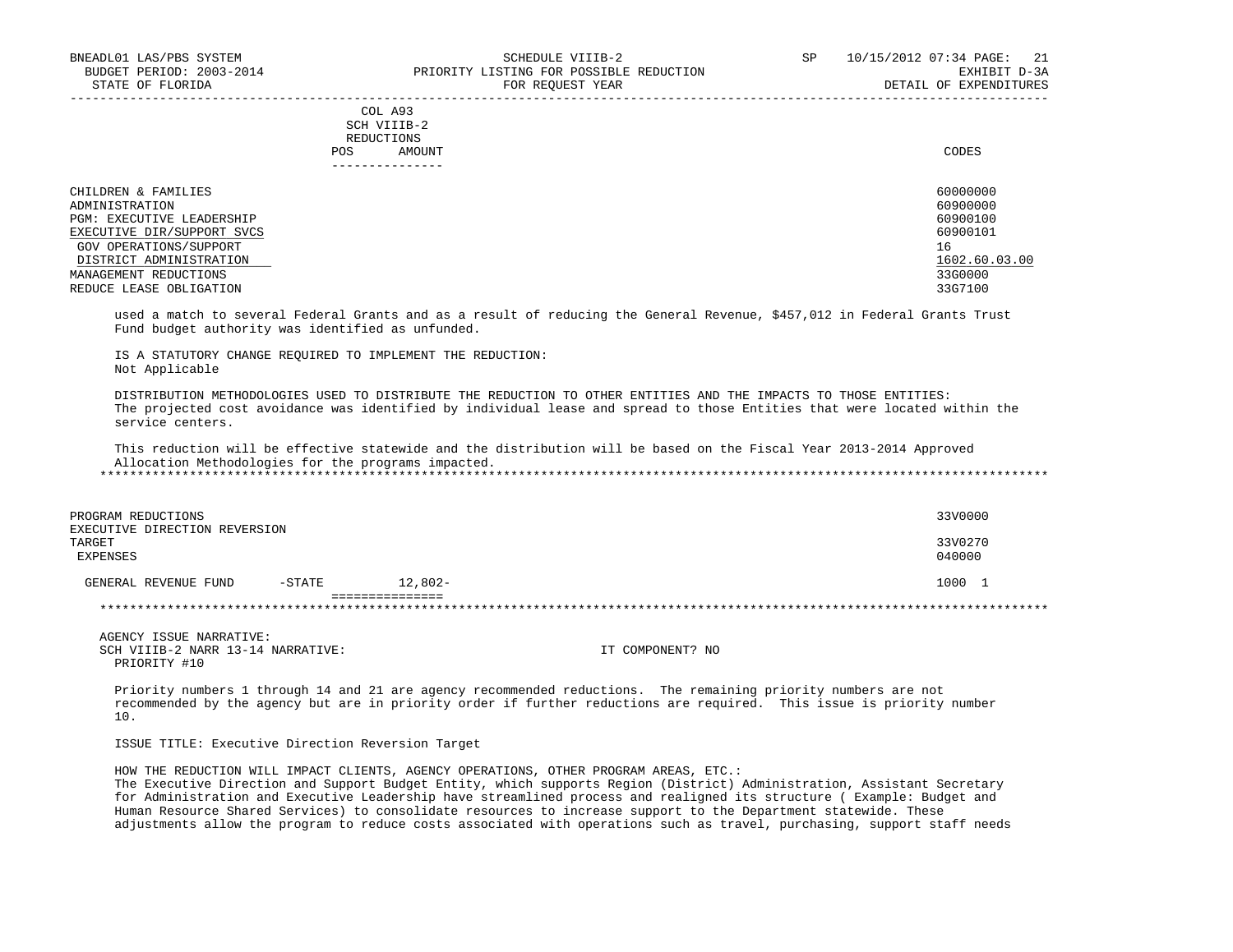|            | _______________ |       |
|------------|-----------------|-------|
| POS        | AMOUNT          | CODES |
| REDUCTIONS |                 |       |
|            | SCH VIIIB-2     |       |
|            | COL A93         |       |

| CHILDREN & FAMILIES        | 60000000        |
|----------------------------|-----------------|
| ADMINISTRATION             | 60900000        |
| PGM: EXECUTIVE LEADERSHIP  | 60900100        |
| EXECUTIVE DIR/SUPPORT SVCS | 60900101        |
| GOV OPERATIONS/SUPPORT     | 16 <sup>1</sup> |
| DISTRICT ADMINISTRATION    | 1602.60.03.00   |
| MANAGEMENT REDUCTIONS      | 33G0000         |
| REDUCE LEASE OBLIGATION    | 33G7100         |

 used a match to several Federal Grants and as a result of reducing the General Revenue, \$457,012 in Federal Grants Trust Fund budget authority was identified as unfunded.

 IS A STATUTORY CHANGE REQUIRED TO IMPLEMENT THE REDUCTION: Not Applicable

 DISTRIBUTION METHODOLOGIES USED TO DISTRIBUTE THE REDUCTION TO OTHER ENTITIES AND THE IMPACTS TO THOSE ENTITIES: The projected cost avoidance was identified by individual lease and spread to those Entities that were located within the service centers.

 This reduction will be effective statewide and the distribution will be based on the Fiscal Year 2013-2014 Approved Allocation Methodologies for the programs impacted. \*\*\*\*\*\*\*\*\*\*\*\*\*\*\*\*\*\*\*\*\*\*\*\*\*\*\*\*\*\*\*\*\*\*\*\*\*\*\*\*\*\*\*\*\*\*\*\*\*\*\*\*\*\*\*\*\*\*\*\*\*\*\*\*\*\*\*\*\*\*\*\*\*\*\*\*\*\*\*\*\*\*\*\*\*\*\*\*\*\*\*\*\*\*\*\*\*\*\*\*\*\*\*\*\*\*\*\*\*\*\*\*\*\*\*\*\*\*\*\*\*\*\*\*\*\*\*

 PROGRAM REDUCTIONS 33V0000 EXECUTIVE DIRECTION REVERSION<br>TARGET TARGET 33V0270 EXPENSES 040000 GENERAL REVENUE FUND -STATE 12,802- 1000 1 ================= \*\*\*\*\*\*\*\*\*\*\*\*\*\*\*\*\*\*\*\*\*\*\*\*\*\*\*\*\*\*\*\*\*\*\*\*\*\*\*\*\*\*\*\*\*\*\*\*\*\*\*\*\*\*\*\*\*\*\*\*\*\*\*\*\*\*\*\*\*\*\*\*\*\*\*\*\*\*\*\*\*\*\*\*\*\*\*\*\*\*\*\*\*\*\*\*\*\*\*\*\*\*\*\*\*\*\*\*\*\*\*\*\*\*\*\*\*\*\*\*\*\*\*\*\*\*\*

 AGENCY ISSUE NARRATIVE: SCH VIIIB-2 NARR 13-14 NARRATIVE: IT COMPONENT? NO PRIORITY #10

 Priority numbers 1 through 14 and 21 are agency recommended reductions. The remaining priority numbers are not recommended by the agency but are in priority order if further reductions are required. This issue is priority number 10.

ISSUE TITLE: Executive Direction Reversion Target

 HOW THE REDUCTION WILL IMPACT CLIENTS, AGENCY OPERATIONS, OTHER PROGRAM AREAS, ETC.: The Executive Direction and Support Budget Entity, which supports Region (District) Administration, Assistant Secretary for Administration and Executive Leadership have streamlined process and realigned its structure ( Example: Budget and Human Resource Shared Services) to consolidate resources to increase support to the Department statewide. These adjustments allow the program to reduce costs associated with operations such as travel, purchasing, support staff needs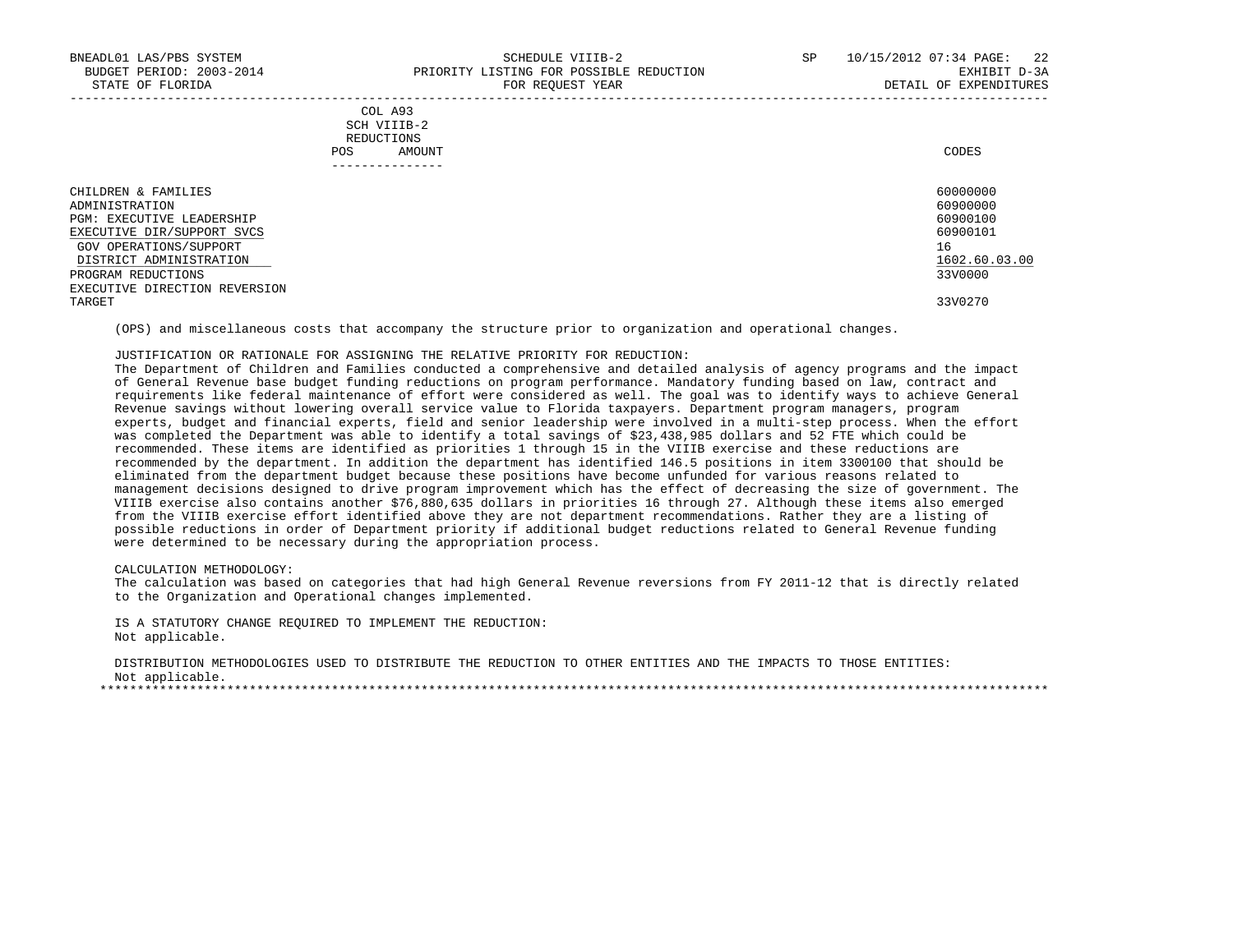| COL A93                                                                                                         |             |
|-----------------------------------------------------------------------------------------------------------------|-------------|
| the contract of the contract of the contract of the contract of the contract of the contract of the contract of |             |
| REDUCTIONS                                                                                                      |             |
| AMOUNT                                                                                                          | CODES       |
|                                                                                                                 | SCH VIIIB-2 |

| . _ _ _ _ _ _ _ _ _ _ _ _ _   |               |
|-------------------------------|---------------|
| CHILDREN & FAMILIES           | 60000000      |
| ADMINISTRATION                | 60900000      |
| PGM: EXECUTIVE LEADERSHIP     | 60900100      |
| EXECUTIVE DIR/SUPPORT SVCS    | 60900101      |
| GOV OPERATIONS/SUPPORT        | 16            |
| DISTRICT ADMINISTRATION       | 1602.60.03.00 |
| PROGRAM REDUCTIONS            | 33V0000       |
| EXECUTIVE DIRECTION REVERSION |               |
| TARGET                        | 33V0270       |

(OPS) and miscellaneous costs that accompany the structure prior to organization and operational changes.

## JUSTIFICATION OR RATIONALE FOR ASSIGNING THE RELATIVE PRIORITY FOR REDUCTION:

 The Department of Children and Families conducted a comprehensive and detailed analysis of agency programs and the impact of General Revenue base budget funding reductions on program performance. Mandatory funding based on law, contract and requirements like federal maintenance of effort were considered as well. The goal was to identify ways to achieve General Revenue savings without lowering overall service value to Florida taxpayers. Department program managers, program experts, budget and financial experts, field and senior leadership were involved in a multi-step process. When the effort was completed the Department was able to identify a total savings of \$23,438,985 dollars and 52 FTE which could be recommended. These items are identified as priorities 1 through 15 in the VIIIB exercise and these reductions are recommended by the department. In addition the department has identified 146.5 positions in item 3300100 that should be eliminated from the department budget because these positions have become unfunded for various reasons related to management decisions designed to drive program improvement which has the effect of decreasing the size of government. The VIIIB exercise also contains another \$76,880,635 dollars in priorities 16 through 27. Although these items also emerged from the VIIIB exercise effort identified above they are not department recommendations. Rather they are a listing of possible reductions in order of Department priority if additional budget reductions related to General Revenue funding were determined to be necessary during the appropriation process.

#### CALCULATION METHODOLOGY:

 The calculation was based on categories that had high General Revenue reversions from FY 2011-12 that is directly related to the Organization and Operational changes implemented.

 IS A STATUTORY CHANGE REQUIRED TO IMPLEMENT THE REDUCTION: Not applicable.

 DISTRIBUTION METHODOLOGIES USED TO DISTRIBUTE THE REDUCTION TO OTHER ENTITIES AND THE IMPACTS TO THOSE ENTITIES: Not applicable. \*\*\*\*\*\*\*\*\*\*\*\*\*\*\*\*\*\*\*\*\*\*\*\*\*\*\*\*\*\*\*\*\*\*\*\*\*\*\*\*\*\*\*\*\*\*\*\*\*\*\*\*\*\*\*\*\*\*\*\*\*\*\*\*\*\*\*\*\*\*\*\*\*\*\*\*\*\*\*\*\*\*\*\*\*\*\*\*\*\*\*\*\*\*\*\*\*\*\*\*\*\*\*\*\*\*\*\*\*\*\*\*\*\*\*\*\*\*\*\*\*\*\*\*\*\*\*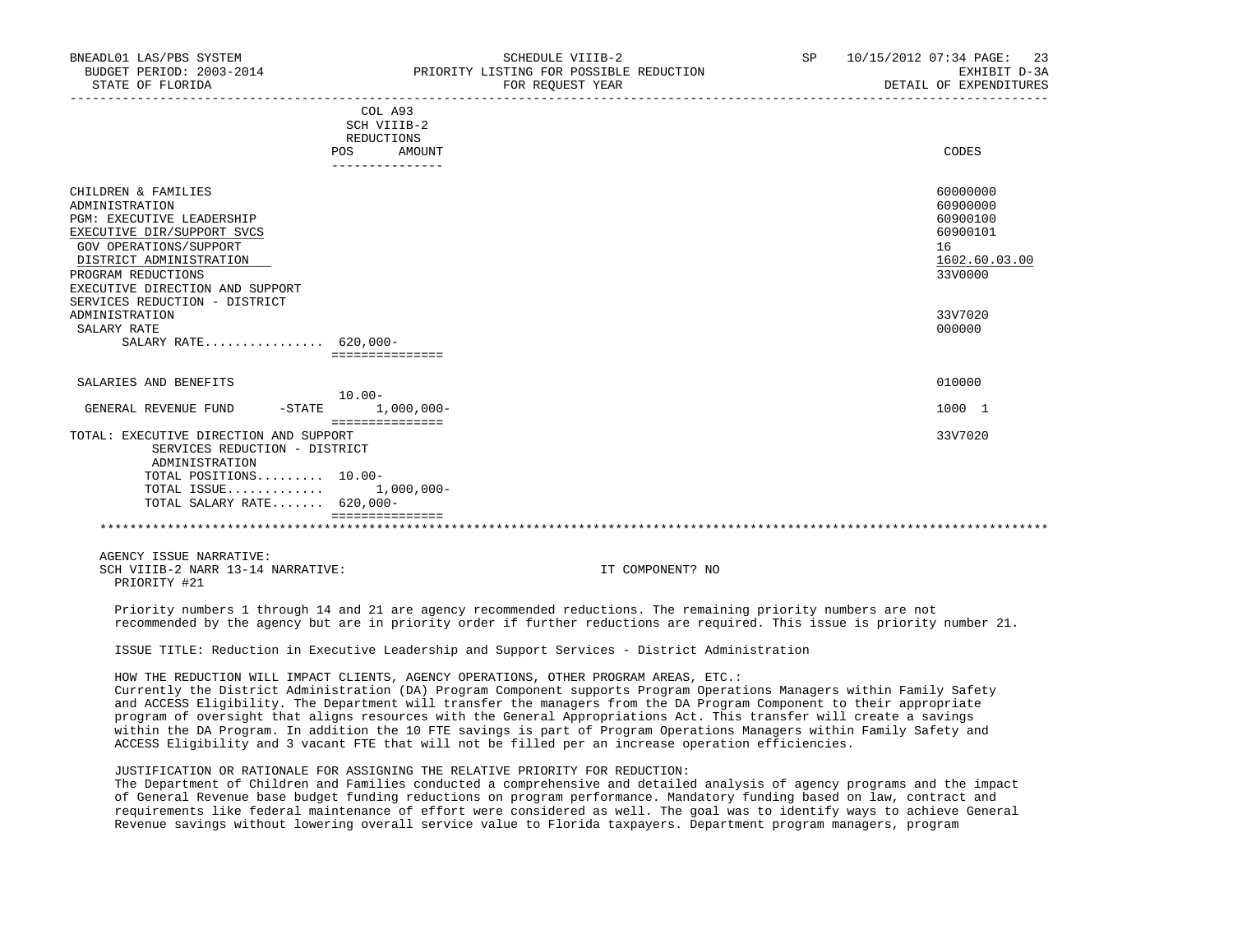| BNEADL01 LAS/PBS SYSTEM<br>BUDGET PERIOD: 2003-2014<br>STATE OF FLORIDA | SCHEDULE VIIIB-2<br>PRIORITY LISTING FOR POSSIBLE REDUCTION<br>FOR REQUEST YEAR | 10/15/2012 07:34 PAGE: 23<br>SP<br>EXHIBIT D-3A<br>DETAIL OF EXPENDITURES |
|-------------------------------------------------------------------------|---------------------------------------------------------------------------------|---------------------------------------------------------------------------|
|                                                                         | COL A93<br>SCH VIIIB-2                                                          |                                                                           |
|                                                                         | REDUCTIONS                                                                      |                                                                           |
|                                                                         | AMOUNT<br>POS.                                                                  | CODES                                                                     |
|                                                                         |                                                                                 |                                                                           |
| CHILDREN & FAMILIES                                                     |                                                                                 | 60000000                                                                  |
| ADMINISTRATION                                                          |                                                                                 | 60900000                                                                  |
| PGM: EXECUTIVE LEADERSHIP                                               |                                                                                 | 60900100                                                                  |

| EXECUTIVE DIR/SUPPORT SVCS                                | 60900101      |
|-----------------------------------------------------------|---------------|
| GOV OPERATIONS/SUPPORT                                    | 16            |
| DISTRICT ADMINISTRATION                                   | 1602.60.03.00 |
| PROGRAM REDUCTIONS                                        | 33V0000       |
| EXECUTIVE DIRECTION AND SUPPORT                           |               |
| SERVICES REDUCTION - DISTRICT                             |               |
| ADMINISTRATION                                            | 33V7020       |
| SALARY RATE                                               | 000000        |
| SALARY RATE 620,000-                                      |               |
| ===============                                           |               |
| SALARIES AND BENEFITS                                     | 010000        |
| $10.00 -$                                                 |               |
| $1,000,000-$<br>GENERAL REVENUE FUND<br>$-$ STATE         | 1000 1        |
| :==============<br>TOTAL: EXECUTIVE DIRECTION AND SUPPORT | 33V7020       |
|                                                           |               |

 SERVICES REDUCTION - DISTRICT ADMINISTRATION TOTAL POSITIONS......... 10.00- TOTAL ISSUE............. 1,000,000- TOTAL SALARY RATE....... 620,000- ===============

\*\*\*\*\*\*\*\*\*\*\*\*\*\*\*\*\*\*\*\*\*\*\*\*\*\*\*\*\*\*\*\*\*\*\*\*\*\*\*\*\*\*\*\*\*\*\*\*\*\*\*\*\*\*\*\*\*\*\*\*\*\*\*\*\*\*\*\*\*\*\*\*\*\*\*\*\*\*\*\*\*\*\*\*\*\*\*\*\*\*\*\*\*\*\*\*\*\*\*\*\*\*\*\*\*\*\*\*\*\*\*\*\*\*\*\*\*\*\*\*\*\*\*\*\*\*\*

AGENCY ISSUE NARRATIVE:

SCH VIIIB-2 NARR 13-14 NARRATIVE: IT COMPONENT? NO PRIORITY #21

 Priority numbers 1 through 14 and 21 are agency recommended reductions. The remaining priority numbers are not recommended by the agency but are in priority order if further reductions are required. This issue is priority number 21.

ISSUE TITLE: Reduction in Executive Leadership and Support Services - District Administration

 HOW THE REDUCTION WILL IMPACT CLIENTS, AGENCY OPERATIONS, OTHER PROGRAM AREAS, ETC.: Currently the District Administration (DA) Program Component supports Program Operations Managers within Family Safety

 and ACCESS Eligibility. The Department will transfer the managers from the DA Program Component to their appropriate program of oversight that aligns resources with the General Appropriations Act. This transfer will create a savings within the DA Program. In addition the 10 FTE savings is part of Program Operations Managers within Family Safety and ACCESS Eligibility and 3 vacant FTE that will not be filled per an increase operation efficiencies.

JUSTIFICATION OR RATIONALE FOR ASSIGNING THE RELATIVE PRIORITY FOR REDUCTION:

 The Department of Children and Families conducted a comprehensive and detailed analysis of agency programs and the impact of General Revenue base budget funding reductions on program performance. Mandatory funding based on law, contract and requirements like federal maintenance of effort were considered as well. The goal was to identify ways to achieve General Revenue savings without lowering overall service value to Florida taxpayers. Department program managers, program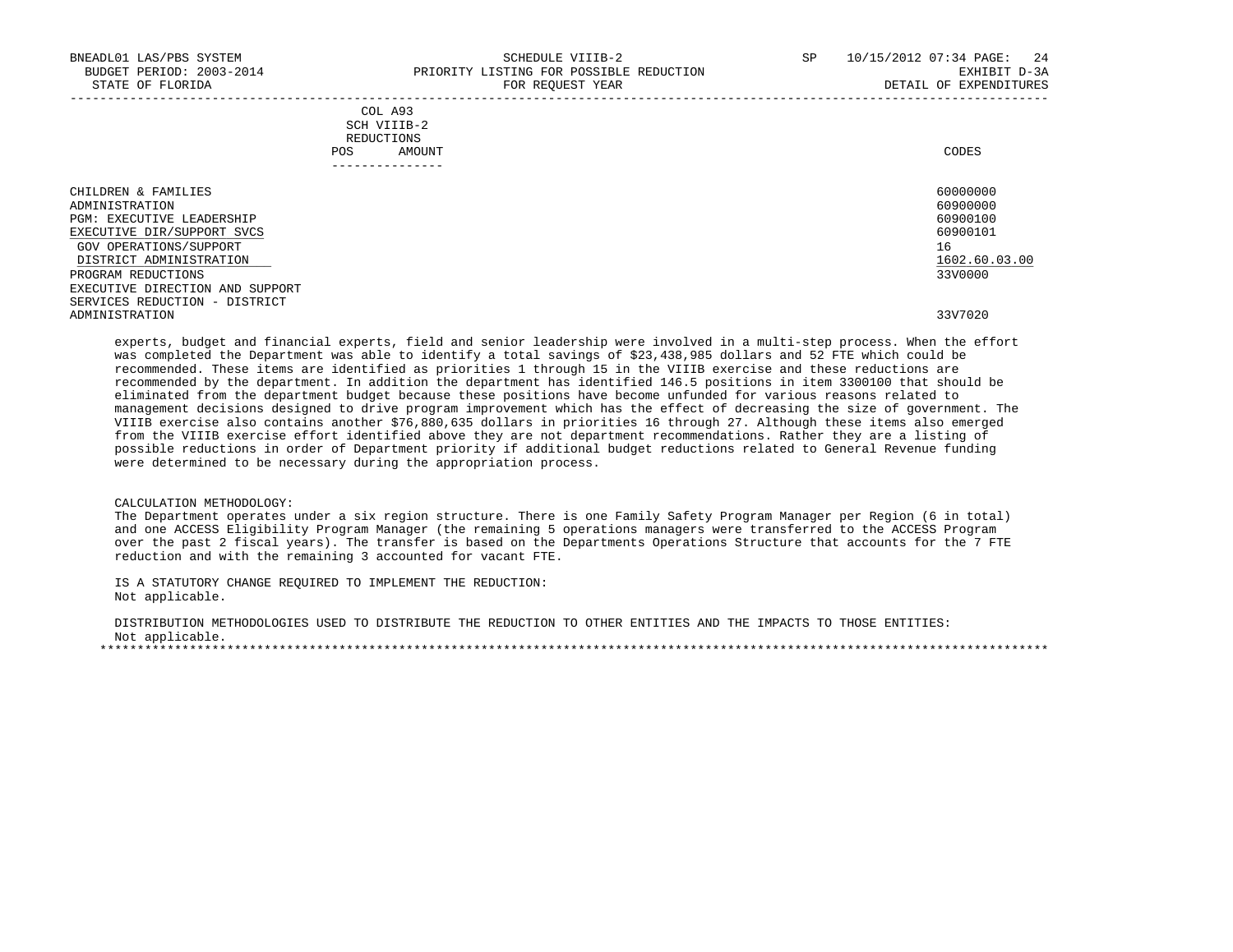|            | _______________ |       |
|------------|-----------------|-------|
| POS        | AMOUNT          | CODES |
| REDUCTIONS |                 |       |
|            | SCH VIIIB-2     |       |
|            | COL A93         |       |

| CHILDREN & FAMILIES             | 60000000      |
|---------------------------------|---------------|
| ADMINISTRATION                  | 60900000      |
| PGM: EXECUTIVE LEADERSHIP       | 60900100      |
| EXECUTIVE DIR/SUPPORT SVCS      | 60900101      |
| GOV OPERATIONS/SUPPORT          | 16            |
| DISTRICT ADMINISTRATION         | 1602.60.03.00 |
| PROGRAM REDUCTIONS              | 33V0000       |
| EXECUTIVE DIRECTION AND SUPPORT |               |
| SERVICES REDUCTION - DISTRICT   |               |
| ADMINISTRATION                  | 33V7020       |

 experts, budget and financial experts, field and senior leadership were involved in a multi-step process. When the effort was completed the Department was able to identify a total savings of \$23,438,985 dollars and 52 FTE which could be recommended. These items are identified as priorities 1 through 15 in the VIIIB exercise and these reductions are recommended by the department. In addition the department has identified 146.5 positions in item 3300100 that should be eliminated from the department budget because these positions have become unfunded for various reasons related to management decisions designed to drive program improvement which has the effect of decreasing the size of government. The VIIIB exercise also contains another \$76,880,635 dollars in priorities 16 through 27. Although these items also emerged from the VIIIB exercise effort identified above they are not department recommendations. Rather they are a listing of possible reductions in order of Department priority if additional budget reductions related to General Revenue funding were determined to be necessary during the appropriation process.

#### CALCULATION METHODOLOGY:

 The Department operates under a six region structure. There is one Family Safety Program Manager per Region (6 in total) and one ACCESS Eligibility Program Manager (the remaining 5 operations managers were transferred to the ACCESS Program over the past 2 fiscal years). The transfer is based on the Departments Operations Structure that accounts for the 7 FTE reduction and with the remaining 3 accounted for vacant FTE.

 IS A STATUTORY CHANGE REQUIRED TO IMPLEMENT THE REDUCTION: Not applicable.

 DISTRIBUTION METHODOLOGIES USED TO DISTRIBUTE THE REDUCTION TO OTHER ENTITIES AND THE IMPACTS TO THOSE ENTITIES: Not applicable. \*\*\*\*\*\*\*\*\*\*\*\*\*\*\*\*\*\*\*\*\*\*\*\*\*\*\*\*\*\*\*\*\*\*\*\*\*\*\*\*\*\*\*\*\*\*\*\*\*\*\*\*\*\*\*\*\*\*\*\*\*\*\*\*\*\*\*\*\*\*\*\*\*\*\*\*\*\*\*\*\*\*\*\*\*\*\*\*\*\*\*\*\*\*\*\*\*\*\*\*\*\*\*\*\*\*\*\*\*\*\*\*\*\*\*\*\*\*\*\*\*\*\*\*\*\*\*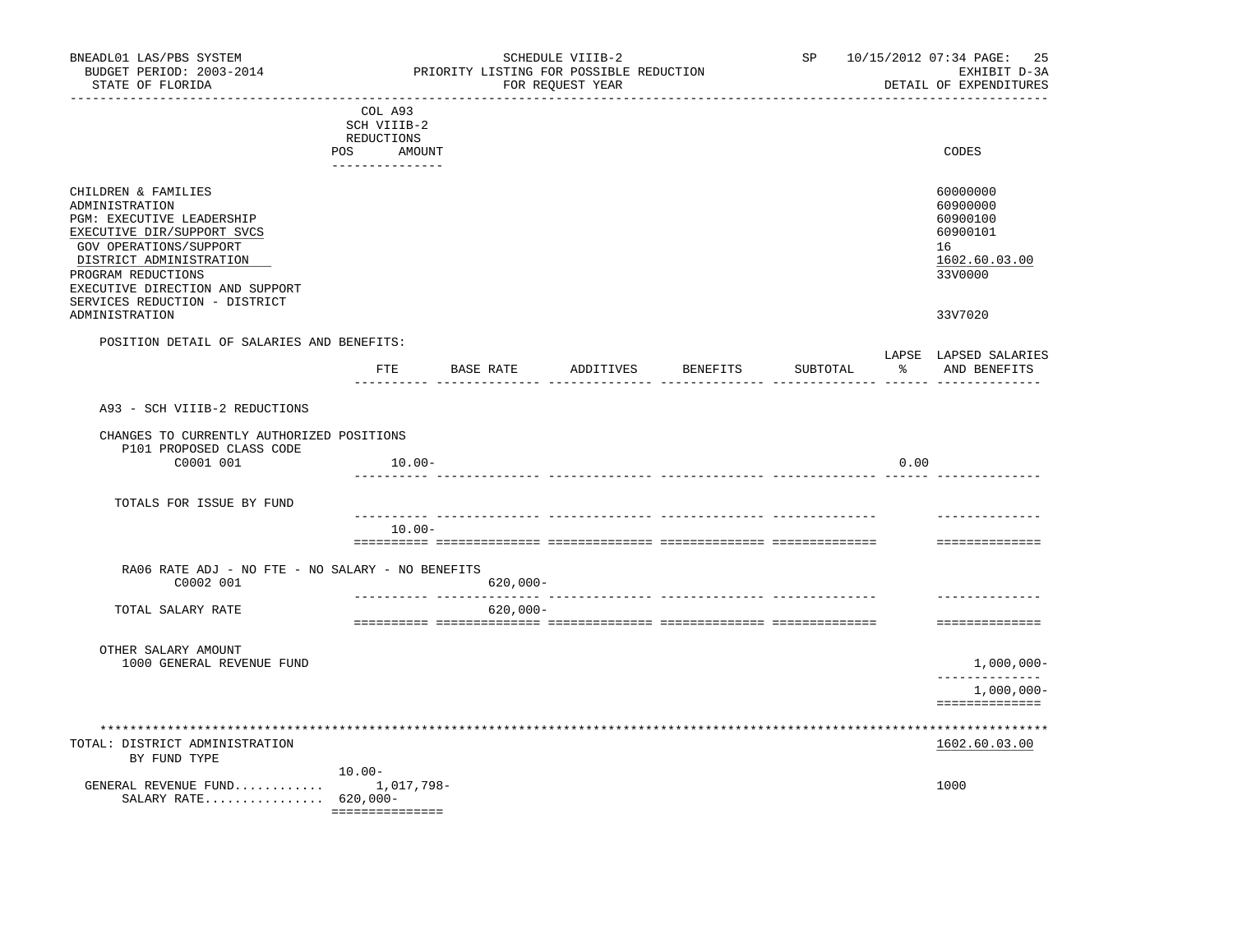| BNEADL01 LAS/PBS SYSTEM<br>BUDGET PERIOD: 2003-2014<br>STATE OF FLORIDA                                                                                                                                                                         |                                                                          | PRIORITY LISTING FOR POSSIBLE REDUCTION | SCHEDULE VIIIB-2<br>FOR REQUEST YEAR |                    |          |      | SP 10/15/2012 07:34 PAGE: 25<br>EXHIBIT D-3A<br>DETAIL OF EXPENDITURES         |
|-------------------------------------------------------------------------------------------------------------------------------------------------------------------------------------------------------------------------------------------------|--------------------------------------------------------------------------|-----------------------------------------|--------------------------------------|--------------------|----------|------|--------------------------------------------------------------------------------|
|                                                                                                                                                                                                                                                 | COL A93<br>SCH VIIIB-2<br>REDUCTIONS<br>POS<br>AMOUNT<br>_______________ |                                         |                                      |                    |          |      | CODES                                                                          |
| CHILDREN & FAMILIES<br>ADMINISTRATION<br>PGM: EXECUTIVE LEADERSHIP<br>EXECUTIVE DIR/SUPPORT SVCS<br>GOV OPERATIONS/SUPPORT<br>DISTRICT ADMINISTRATION<br>PROGRAM REDUCTIONS<br>EXECUTIVE DIRECTION AND SUPPORT<br>SERVICES REDUCTION - DISTRICT |                                                                          |                                         |                                      |                    |          |      | 60000000<br>60900000<br>60900100<br>60900101<br>16<br>1602.60.03.00<br>33V0000 |
| ADMINISTRATION                                                                                                                                                                                                                                  |                                                                          |                                         |                                      |                    |          |      | 33V7020                                                                        |
| POSITION DETAIL OF SALARIES AND BENEFITS:                                                                                                                                                                                                       | $_{\rm FTE}$                                                             | BASE RATE                               |                                      | ADDITIVES BENEFITS | SUBTOTAL |      | LAPSE LAPSED SALARIES<br>% AND BENEFITS                                        |
| A93 - SCH VIIIB-2 REDUCTIONS                                                                                                                                                                                                                    |                                                                          |                                         |                                      |                    |          |      |                                                                                |
| CHANGES TO CURRENTLY AUTHORIZED POSITIONS                                                                                                                                                                                                       |                                                                          |                                         |                                      |                    |          |      |                                                                                |
| P101 PROPOSED CLASS CODE<br>C0001 001                                                                                                                                                                                                           | 10.00-                                                                   |                                         |                                      |                    |          | 0.00 |                                                                                |
| TOTALS FOR ISSUE BY FUND                                                                                                                                                                                                                        |                                                                          |                                         |                                      |                    |          |      |                                                                                |
|                                                                                                                                                                                                                                                 | $10.00 -$                                                                |                                         |                                      |                    |          |      | --------------                                                                 |
|                                                                                                                                                                                                                                                 |                                                                          |                                         |                                      |                    |          |      | ==============                                                                 |
| RA06 RATE ADJ - NO FTE - NO SALARY - NO BENEFITS<br>C0002 001                                                                                                                                                                                   |                                                                          | $620,000 -$                             |                                      |                    |          |      |                                                                                |
| TOTAL SALARY RATE                                                                                                                                                                                                                               |                                                                          | $620,000 -$                             |                                      |                    |          |      | --------------<br>==============                                               |
| OTHER SALARY AMOUNT                                                                                                                                                                                                                             |                                                                          |                                         |                                      |                    |          |      |                                                                                |
| 1000 GENERAL REVENUE FUND                                                                                                                                                                                                                       |                                                                          |                                         |                                      |                    |          |      | $1,000,000 -$<br>--------------                                                |
|                                                                                                                                                                                                                                                 |                                                                          |                                         |                                      |                    |          |      | $1,000,000-$<br>==============                                                 |
| TOTAL: DISTRICT ADMINISTRATION                                                                                                                                                                                                                  |                                                                          |                                         |                                      |                    |          |      | 1602.60.03.00                                                                  |
| BY FUND TYPE<br>GENERAL REVENUE FUND $1,017,798-$<br>SALARY RATE 620,000-                                                                                                                                                                       | $10.00 -$<br>===============                                             |                                         |                                      |                    |          |      | 1000                                                                           |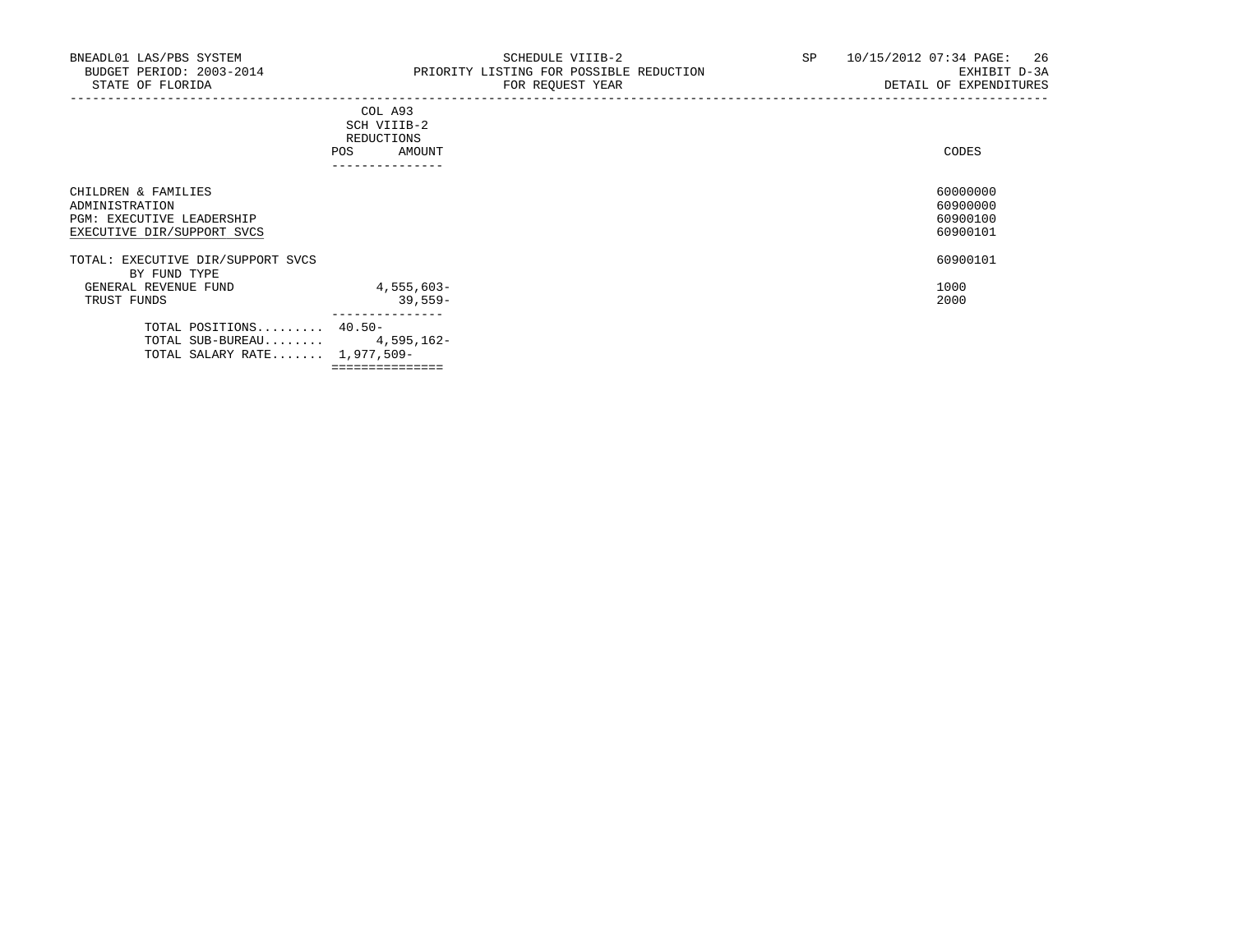|                                                                                                  | COL A93<br>SCH VIIIB-2<br>REDUCTIONS<br>AMOUNT<br>POS<br>--------------- | CODES                                        |
|--------------------------------------------------------------------------------------------------|--------------------------------------------------------------------------|----------------------------------------------|
| CHILDREN & FAMILIES<br>ADMINISTRATION<br>PGM: EXECUTIVE LEADERSHIP<br>EXECUTIVE DIR/SUPPORT SVCS |                                                                          | 60000000<br>60900000<br>60900100<br>60900101 |
| TOTAL: EXECUTIVE DIR/SUPPORT SVCS<br>BY FUND TYPE                                                |                                                                          | 60900101                                     |
| GENERAL REVENUE FUND<br>TRUST FUNDS                                                              | 4,555,603-<br>$39,559-$<br>---------------                               | 1000<br>2000                                 |
| TOTAL POSITIONS 40.50-<br>TOTAL SUB-BUREAU $4,595,162-$<br>TOTAL SALARY RATE 1,977,509-          |                                                                          |                                              |

===============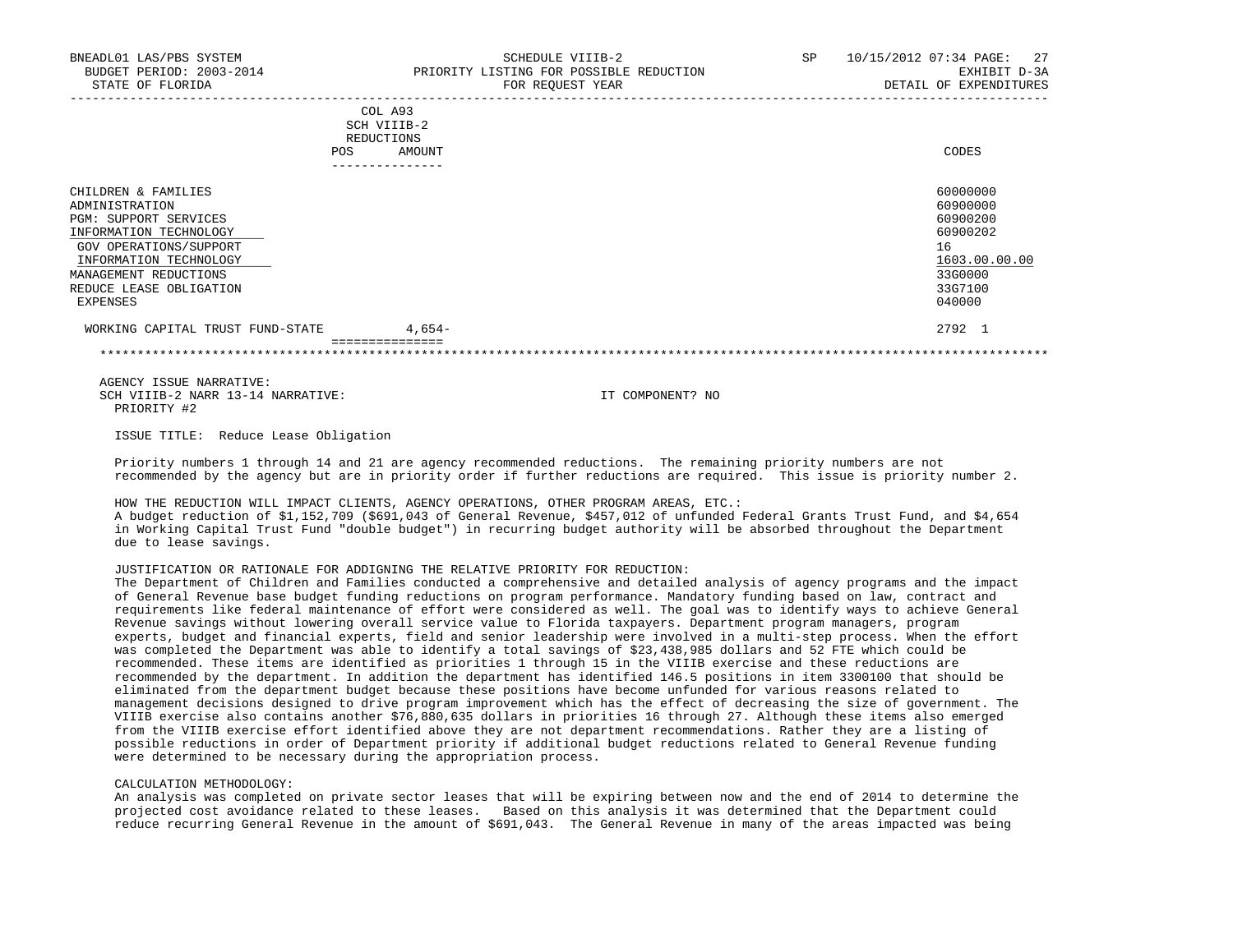| <b>POS</b>                                                                                                                                                                                                          | COL A93<br>SCH VIIIB-2<br>REDUCTIONS<br>AMOUNT | CODES                                                                                               |
|---------------------------------------------------------------------------------------------------------------------------------------------------------------------------------------------------------------------|------------------------------------------------|-----------------------------------------------------------------------------------------------------|
|                                                                                                                                                                                                                     | ---------------                                |                                                                                                     |
| CHILDREN & FAMILIES<br>ADMINISTRATION<br><b>PGM: SUPPORT SERVICES</b><br>INFORMATION TECHNOLOGY<br>GOV OPERATIONS/SUPPORT<br>INFORMATION TECHNOLOGY<br>MANAGEMENT REDUCTIONS<br>REDUCE LEASE OBLIGATION<br>EXPENSES |                                                | 60000000<br>60900000<br>60900200<br>60900202<br>16<br>1603.00.00.00<br>33G0000<br>33G7100<br>040000 |
| WORKING CAPITAL TRUST FUND-STATE                                                                                                                                                                                    | $4,654-$                                       | 2792 1                                                                                              |

 =============== \*\*\*\*\*\*\*\*\*\*\*\*\*\*\*\*\*\*\*\*\*\*\*\*\*\*\*\*\*\*\*\*\*\*\*\*\*\*\*\*\*\*\*\*\*\*\*\*\*\*\*\*\*\*\*\*\*\*\*\*\*\*\*\*\*\*\*\*\*\*\*\*\*\*\*\*\*\*\*\*\*\*\*\*\*\*\*\*\*\*\*\*\*\*\*\*\*\*\*\*\*\*\*\*\*\*\*\*\*\*\*\*\*\*\*\*\*\*\*\*\*\*\*\*\*\*\*

 AGENCY ISSUE NARRATIVE: SCH VIIIB-2 NARR 13-14 NARRATIVE: IT COMPONENT? NO PRIORITY #2

ISSUE TITLE: Reduce Lease Obligation

 Priority numbers 1 through 14 and 21 are agency recommended reductions. The remaining priority numbers are not recommended by the agency but are in priority order if further reductions are required. This issue is priority number 2.

 HOW THE REDUCTION WILL IMPACT CLIENTS, AGENCY OPERATIONS, OTHER PROGRAM AREAS, ETC.: A budget reduction of \$1,152,709 (\$691,043 of General Revenue, \$457,012 of unfunded Federal Grants Trust Fund, and \$4,654 in Working Capital Trust Fund "double budget") in recurring budget authority will be absorbed throughout the Department due to lease savings.

JUSTIFICATION OR RATIONALE FOR ADDIGNING THE RELATIVE PRIORITY FOR REDUCTION:

 The Department of Children and Families conducted a comprehensive and detailed analysis of agency programs and the impact of General Revenue base budget funding reductions on program performance. Mandatory funding based on law, contract and requirements like federal maintenance of effort were considered as well. The goal was to identify ways to achieve General Revenue savings without lowering overall service value to Florida taxpayers. Department program managers, program experts, budget and financial experts, field and senior leadership were involved in a multi-step process. When the effort was completed the Department was able to identify a total savings of \$23,438,985 dollars and 52 FTE which could be recommended. These items are identified as priorities 1 through 15 in the VIIIB exercise and these reductions are recommended by the department. In addition the department has identified 146.5 positions in item 3300100 that should be eliminated from the department budget because these positions have become unfunded for various reasons related to management decisions designed to drive program improvement which has the effect of decreasing the size of government. The VIIIB exercise also contains another \$76,880,635 dollars in priorities 16 through 27. Although these items also emerged from the VIIIB exercise effort identified above they are not department recommendations. Rather they are a listing of possible reductions in order of Department priority if additional budget reductions related to General Revenue funding were determined to be necessary during the appropriation process.

#### CALCULATION METHODOLOGY:

 An analysis was completed on private sector leases that will be expiring between now and the end of 2014 to determine the projected cost avoidance related to these leases. Based on this analysis it was determined that the Department could reduce recurring General Revenue in the amount of \$691,043. The General Revenue in many of the areas impacted was being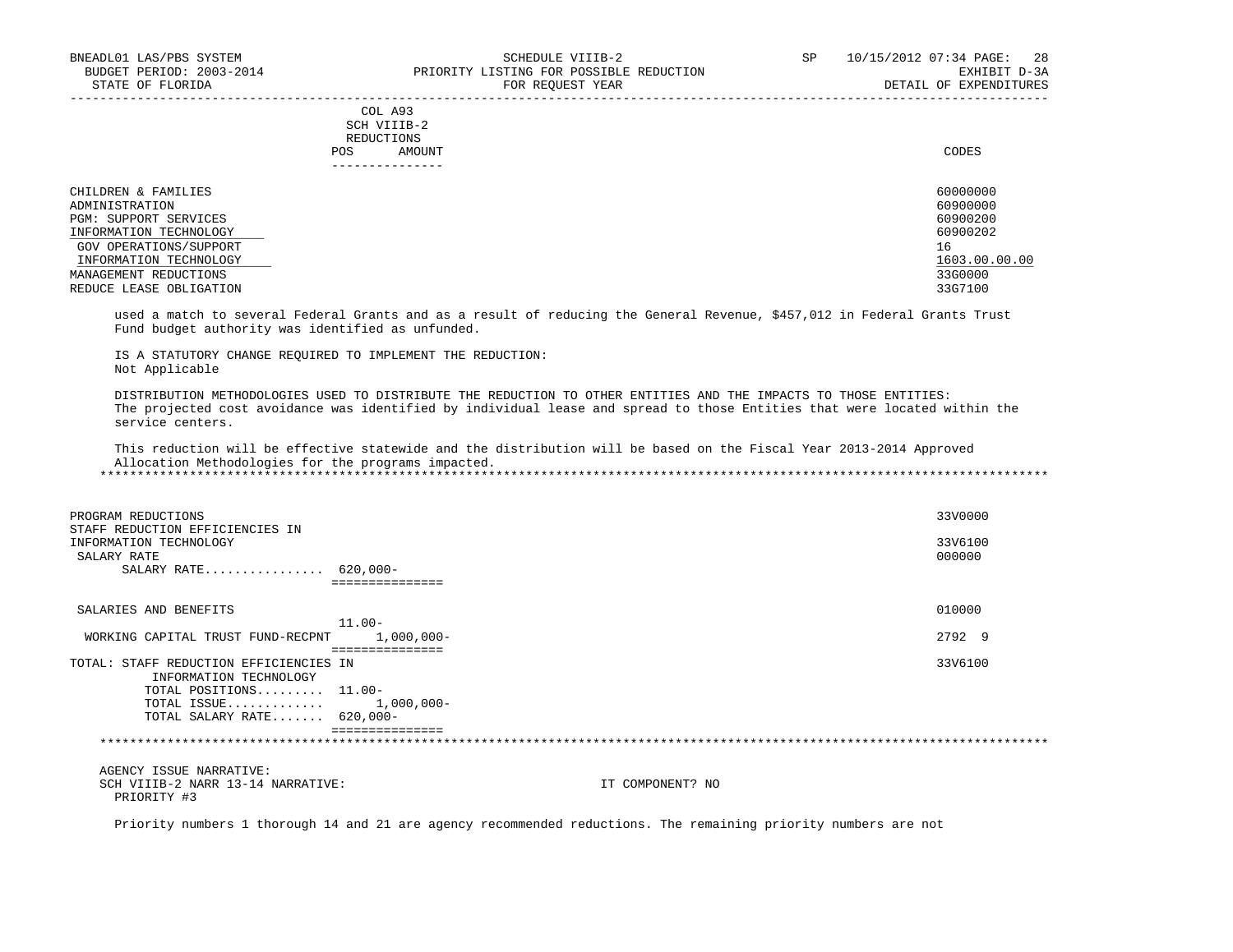|     | --------------- |       |
|-----|-----------------|-------|
| POS | AMOUNT          | CODES |
|     | REDUCTIONS      |       |
|     | SCH VIIIB-2     |       |
|     | COL A93         |       |

| CHILDREN & FAMILIES     | 60000000      |
|-------------------------|---------------|
| ADMINISTRATION          | 60900000      |
| PGM: SUPPORT SERVICES   | 60900200      |
| INFORMATION TECHNOLOGY  | 60900202      |
| GOV OPERATIONS/SUPPORT  | 16            |
| INFORMATION TECHNOLOGY  | 1603.00.00.00 |
| MANAGEMENT REDUCTIONS   | 33G0000       |
| REDUCE LEASE OBLIGATION | 33G7100       |

 used a match to several Federal Grants and as a result of reducing the General Revenue, \$457,012 in Federal Grants Trust Fund budget authority was identified as unfunded.

 IS A STATUTORY CHANGE REQUIRED TO IMPLEMENT THE REDUCTION: Not Applicable

 DISTRIBUTION METHODOLOGIES USED TO DISTRIBUTE THE REDUCTION TO OTHER ENTITIES AND THE IMPACTS TO THOSE ENTITIES: The projected cost avoidance was identified by individual lease and spread to those Entities that were located within the service centers.

 This reduction will be effective statewide and the distribution will be based on the Fiscal Year 2013-2014 Approved Allocation Methodologies for the programs impacted. \*\*\*\*\*\*\*\*\*\*\*\*\*\*\*\*\*\*\*\*\*\*\*\*\*\*\*\*\*\*\*\*\*\*\*\*\*\*\*\*\*\*\*\*\*\*\*\*\*\*\*\*\*\*\*\*\*\*\*\*\*\*\*\*\*\*\*\*\*\*\*\*\*\*\*\*\*\*\*\*\*\*\*\*\*\*\*\*\*\*\*\*\*\*\*\*\*\*\*\*\*\*\*\*\*\*\*\*\*\*\*\*\*\*\*\*\*\*\*\*\*\*\*\*\*\*\*

 PROGRAM REDUCTIONS 33V0000 STAFF REDUCTION EFFICIENCIES IN INFORMATION TECHNOLOGY 33V6100<br>SALARY RATE 6000000 SALARY RATE 2000000 CONTROL 200000 CONTROL 200000 CONTROL 200000 CONTROL 200000 CONTROL 200000 CONTROL 20000 CO SALARY RATE................ 620,000- =============== SALARIES AND BENEFITS 010000 11.00- WORKING CAPITAL TRUST FUND-RECPNT 1,000,000-<br>
2792 9 =============== TOTAL: STAFF REDUCTION EFFICIENCIES IN 33V6100 INFORMATION TECHNOLOGY TOTAL POSITIONS......... 11.00- TOTAL ISSUE............. 1,000,000- TOTAL SALARY RATE....... 620,000- =============== \*\*\*\*\*\*\*\*\*\*\*\*\*\*\*\*\*\*\*\*\*\*\*\*\*\*\*\*\*\*\*\*\*\*\*\*\*\*\*\*\*\*\*\*\*\*\*\*\*\*\*\*\*\*\*\*\*\*\*\*\*\*\*\*\*\*\*\*\*\*\*\*\*\*\*\*\*\*\*\*\*\*\*\*\*\*\*\*\*\*\*\*\*\*\*\*\*\*\*\*\*\*\*\*\*\*\*\*\*\*\*\*\*\*\*\*\*\*\*\*\*\*\*\*\*\*\* AGENCY ISSUE NARRATIVE: SCH VIIIB-2 NARR 13-14 NARRATIVE: IT COMPONENT? NO PRIORITY #3

Priority numbers 1 thorough 14 and 21 are agency recommended reductions. The remaining priority numbers are not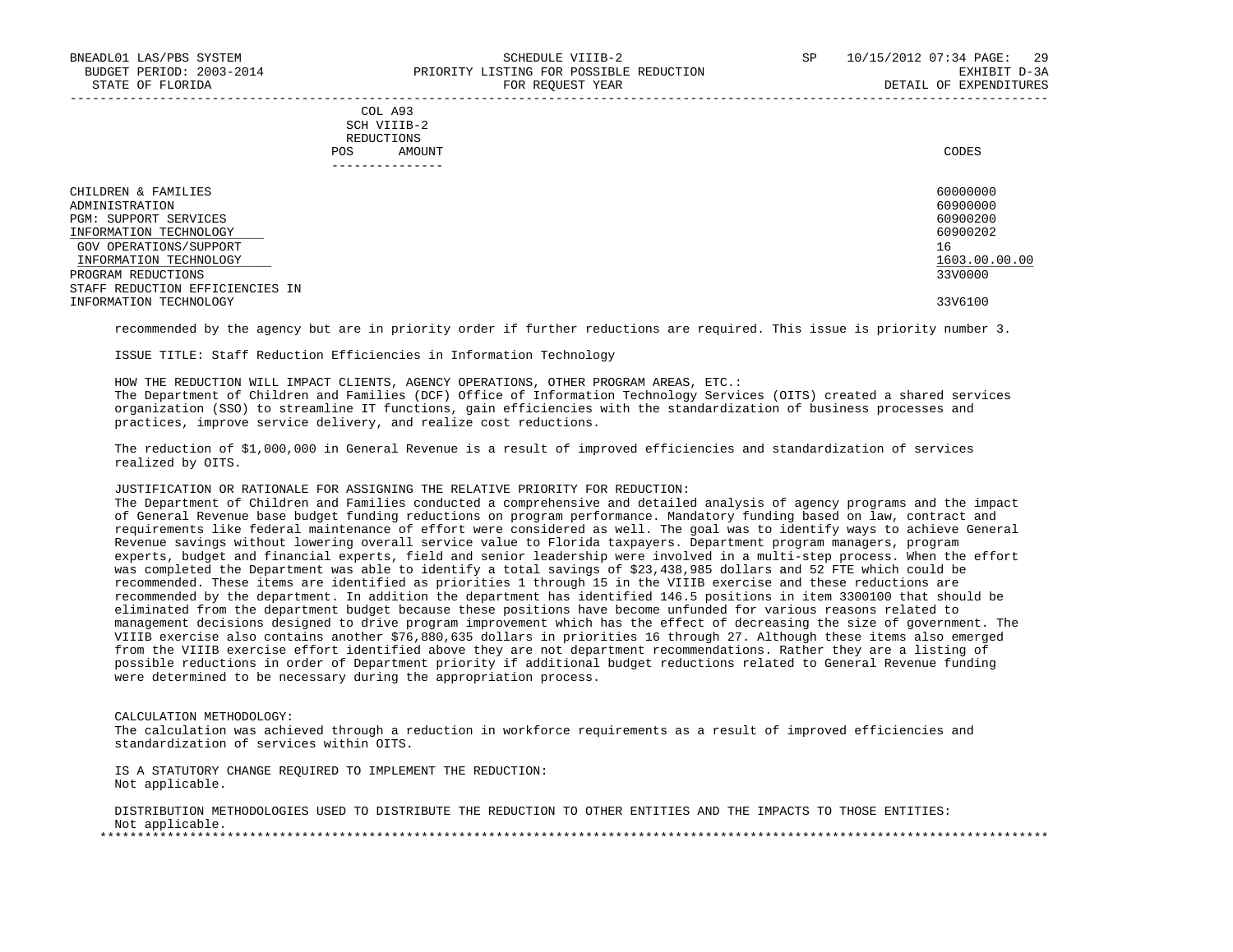# COL A93 SCH VIIIB-2 REDUCTIONS POS AMOUNT CODES ---------------

| CHILDREN & FAMILIES             | 60000000      |
|---------------------------------|---------------|
| ADMINISTRATION                  | 60900000      |
| PGM: SUPPORT SERVICES           | 60900200      |
| INFORMATION TECHNOLOGY          | 60900202      |
| GOV OPERATIONS/SUPPORT          | 16            |
| INFORMATION TECHNOLOGY          | 1603.00.00.00 |
| PROGRAM REDUCTIONS              | 33V0000       |
| STAFF REDUCTION EFFICIENCIES IN |               |
| INFORMATION TECHNOLOGY          | 33V6100       |

recommended by the agency but are in priority order if further reductions are required. This issue is priority number 3.

ISSUE TITLE: Staff Reduction Efficiencies in Information Technology

 HOW THE REDUCTION WILL IMPACT CLIENTS, AGENCY OPERATIONS, OTHER PROGRAM AREAS, ETC.: The Department of Children and Families (DCF) Office of Information Technology Services (OITS) created a shared services organization (SSO) to streamline IT functions, gain efficiencies with the standardization of business processes and practices, improve service delivery, and realize cost reductions.

 The reduction of \$1,000,000 in General Revenue is a result of improved efficiencies and standardization of services realized by OITS.

JUSTIFICATION OR RATIONALE FOR ASSIGNING THE RELATIVE PRIORITY FOR REDUCTION:

 The Department of Children and Families conducted a comprehensive and detailed analysis of agency programs and the impact of General Revenue base budget funding reductions on program performance. Mandatory funding based on law, contract and requirements like federal maintenance of effort were considered as well. The goal was to identify ways to achieve General Revenue savings without lowering overall service value to Florida taxpayers. Department program managers, program experts, budget and financial experts, field and senior leadership were involved in a multi-step process. When the effort was completed the Department was able to identify a total savings of \$23,438,985 dollars and 52 FTE which could be recommended. These items are identified as priorities 1 through 15 in the VIIIB exercise and these reductions are recommended by the department. In addition the department has identified 146.5 positions in item 3300100 that should be eliminated from the department budget because these positions have become unfunded for various reasons related to management decisions designed to drive program improvement which has the effect of decreasing the size of government. The VIIIB exercise also contains another \$76,880,635 dollars in priorities 16 through 27. Although these items also emerged from the VIIIB exercise effort identified above they are not department recommendations. Rather they are a listing of possible reductions in order of Department priority if additional budget reductions related to General Revenue funding were determined to be necessary during the appropriation process.

CALCULATION METHODOLOGY:

 The calculation was achieved through a reduction in workforce requirements as a result of improved efficiencies and standardization of services within OITS.

 IS A STATUTORY CHANGE REQUIRED TO IMPLEMENT THE REDUCTION: Not applicable.

 DISTRIBUTION METHODOLOGIES USED TO DISTRIBUTE THE REDUCTION TO OTHER ENTITIES AND THE IMPACTS TO THOSE ENTITIES: Not applicable. \*\*\*\*\*\*\*\*\*\*\*\*\*\*\*\*\*\*\*\*\*\*\*\*\*\*\*\*\*\*\*\*\*\*\*\*\*\*\*\*\*\*\*\*\*\*\*\*\*\*\*\*\*\*\*\*\*\*\*\*\*\*\*\*\*\*\*\*\*\*\*\*\*\*\*\*\*\*\*\*\*\*\*\*\*\*\*\*\*\*\*\*\*\*\*\*\*\*\*\*\*\*\*\*\*\*\*\*\*\*\*\*\*\*\*\*\*\*\*\*\*\*\*\*\*\*\*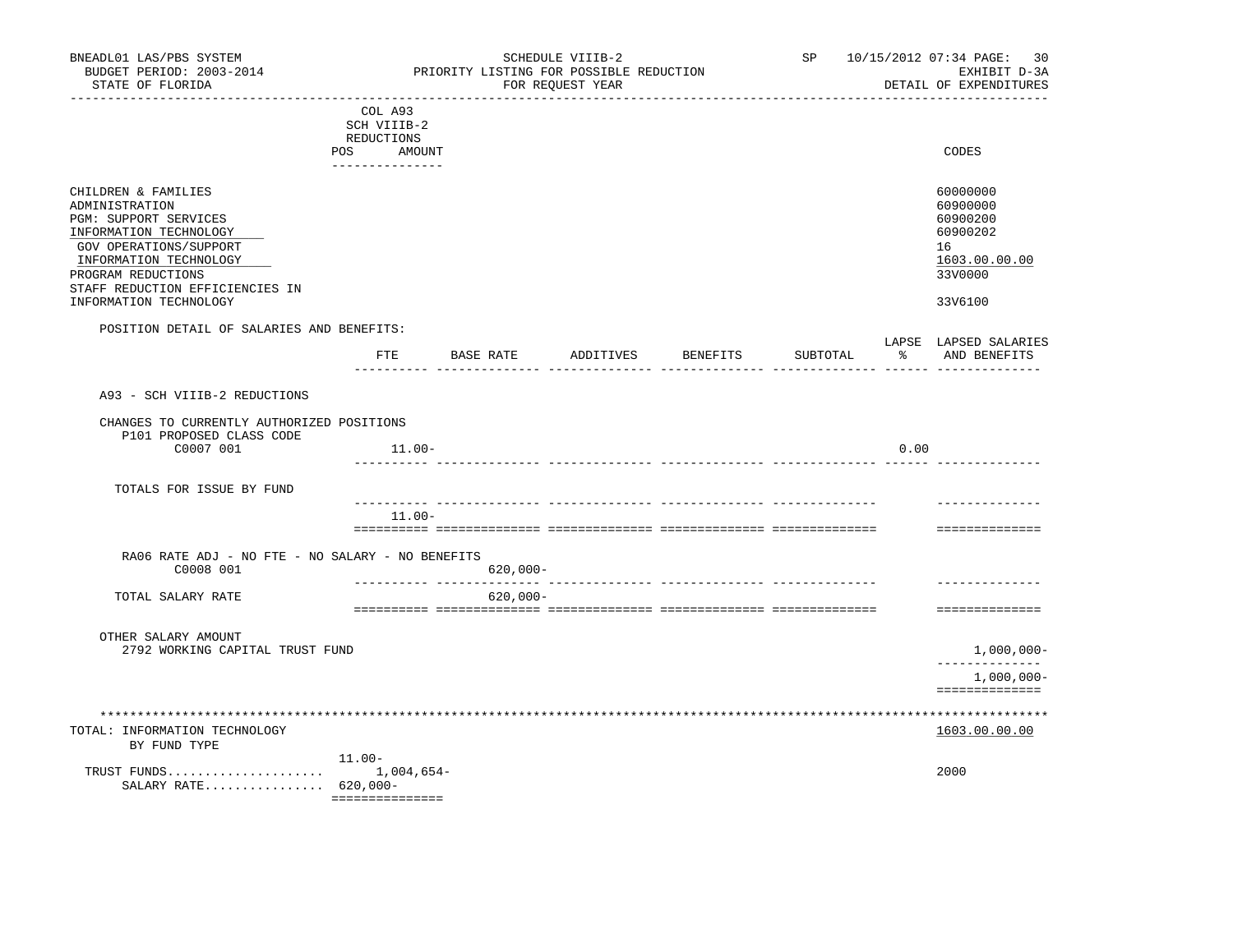| BNEADL01 LAS/PBS SYSTEM<br>BUDGET PERIOD: 2003-2014<br>STATE OF FLORIDA                                                                                                                               |                                                                          | PRIORITY LISTING FOR POSSIBLE REDUCTION | SCHEDULE VIIIB-2<br>FOR REQUEST YEAR |          | SP and the set of the set of the set of the set of the set of the set of the set of the set of the set of the set of the set of the set of the set of the set of the set of the set of the set of the set of the set of the se |      | 10/15/2012 07:34 PAGE: 30<br>EXHIBIT D-3A<br>DETAIL OF EXPENDITURES            |
|-------------------------------------------------------------------------------------------------------------------------------------------------------------------------------------------------------|--------------------------------------------------------------------------|-----------------------------------------|--------------------------------------|----------|--------------------------------------------------------------------------------------------------------------------------------------------------------------------------------------------------------------------------------|------|--------------------------------------------------------------------------------|
|                                                                                                                                                                                                       | COL A93<br>SCH VIIIB-2<br>REDUCTIONS<br>POS<br>AMOUNT<br>--------------- |                                         |                                      |          |                                                                                                                                                                                                                                |      | CODES                                                                          |
| CHILDREN & FAMILIES<br>ADMINISTRATION<br>PGM: SUPPORT SERVICES<br>INFORMATION TECHNOLOGY<br>GOV OPERATIONS/SUPPORT<br>INFORMATION TECHNOLOGY<br>PROGRAM REDUCTIONS<br>STAFF REDUCTION EFFICIENCIES IN |                                                                          |                                         |                                      |          |                                                                                                                                                                                                                                |      | 60000000<br>60900000<br>60900200<br>60900202<br>16<br>1603.00.00.00<br>33V0000 |
| INFORMATION TECHNOLOGY                                                                                                                                                                                |                                                                          |                                         |                                      |          |                                                                                                                                                                                                                                |      | 33V6100                                                                        |
| POSITION DETAIL OF SALARIES AND BENEFITS:                                                                                                                                                             | $_{\rm FTE}$                                                             | BASE RATE                               | ADDITIVES                            | BENEFITS | SUBTOTAL                                                                                                                                                                                                                       | ႜ    | LAPSE LAPSED SALARIES<br>AND BENEFITS                                          |
| A93 - SCH VIIIB-2 REDUCTIONS                                                                                                                                                                          |                                                                          |                                         |                                      |          |                                                                                                                                                                                                                                |      |                                                                                |
| CHANGES TO CURRENTLY AUTHORIZED POSITIONS<br>P101 PROPOSED CLASS CODE                                                                                                                                 |                                                                          |                                         |                                      |          |                                                                                                                                                                                                                                |      |                                                                                |
| C0007 001                                                                                                                                                                                             | $11.00-$                                                                 |                                         |                                      |          |                                                                                                                                                                                                                                | 0.00 |                                                                                |
| TOTALS FOR ISSUE BY FUND                                                                                                                                                                              |                                                                          |                                         |                                      |          |                                                                                                                                                                                                                                |      |                                                                                |
|                                                                                                                                                                                                       | $11.00 -$                                                                |                                         |                                      |          |                                                                                                                                                                                                                                |      |                                                                                |
|                                                                                                                                                                                                       |                                                                          |                                         |                                      |          |                                                                                                                                                                                                                                |      | ==============                                                                 |
| RA06 RATE ADJ - NO FTE - NO SALARY - NO BENEFITS<br>C0008 001                                                                                                                                         |                                                                          | $620,000 -$                             |                                      |          |                                                                                                                                                                                                                                |      |                                                                                |
| TOTAL SALARY RATE                                                                                                                                                                                     |                                                                          | $620,000 -$                             |                                      |          |                                                                                                                                                                                                                                |      |                                                                                |
|                                                                                                                                                                                                       |                                                                          |                                         |                                      |          |                                                                                                                                                                                                                                |      | ==============                                                                 |
| OTHER SALARY AMOUNT<br>2792 WORKING CAPITAL TRUST FUND                                                                                                                                                |                                                                          |                                         |                                      |          |                                                                                                                                                                                                                                |      | $1,000,000-$                                                                   |
|                                                                                                                                                                                                       |                                                                          |                                         |                                      |          |                                                                                                                                                                                                                                |      | -------------<br>$1,000,000-$                                                  |
|                                                                                                                                                                                                       |                                                                          |                                         |                                      |          |                                                                                                                                                                                                                                |      | ==============                                                                 |
| TOTAL: INFORMATION TECHNOLOGY<br>BY FUND TYPE                                                                                                                                                         |                                                                          |                                         |                                      |          |                                                                                                                                                                                                                                |      | ***************<br>1603.00.00.00                                               |
| SALARY RATE 620,000-                                                                                                                                                                                  | $11.00 -$<br>===============                                             |                                         |                                      |          |                                                                                                                                                                                                                                |      | 2000                                                                           |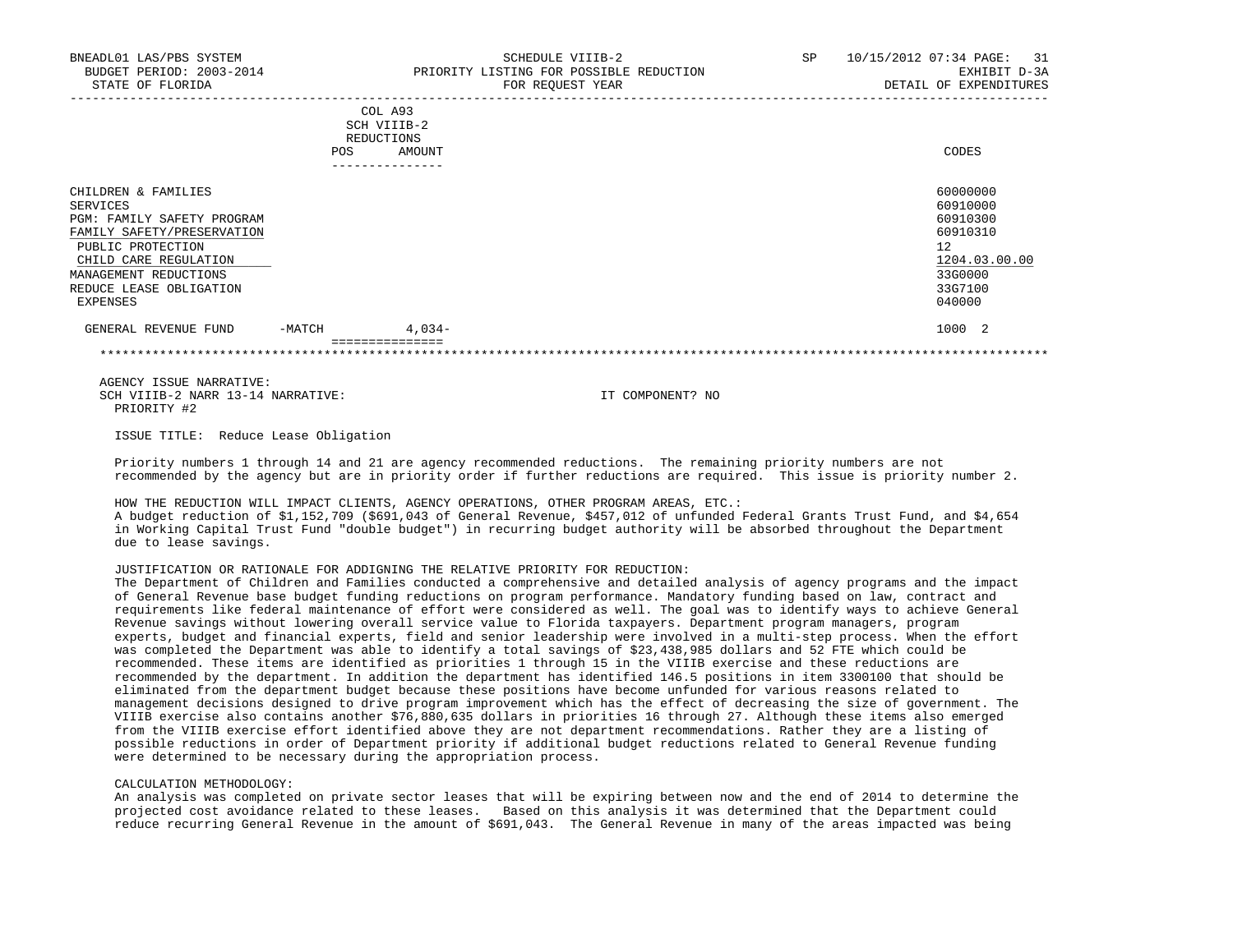|                                                                                                                                                                                                           | <b>POS</b> | COL A93<br>SCH VIIIB-2<br>REDUCTIONS<br>AMOUNT | CODES                                                                                               |
|-----------------------------------------------------------------------------------------------------------------------------------------------------------------------------------------------------------|------------|------------------------------------------------|-----------------------------------------------------------------------------------------------------|
| CHILDREN & FAMILIES<br>SERVICES<br>PGM: FAMILY SAFETY PROGRAM<br>FAMILY SAFETY/PRESERVATION<br>PUBLIC PROTECTION<br>CHILD CARE REGULATION<br>MANAGEMENT REDUCTIONS<br>REDUCE LEASE OBLIGATION<br>EXPENSES |            | ------------                                   | 60000000<br>60910000<br>60910300<br>60910310<br>12<br>1204.03.00.00<br>33G0000<br>33G7100<br>040000 |
| GENERAL REVENUE FUND                                                                                                                                                                                      | $-MATCH$   | $4,034-$<br>===============                    | 1000<br>-2                                                                                          |

 AGENCY ISSUE NARRATIVE: SCH VIIIB-2 NARR 13-14 NARRATIVE: IT COMPONENT? NO PRIORITY #2

ISSUE TITLE: Reduce Lease Obligation

 Priority numbers 1 through 14 and 21 are agency recommended reductions. The remaining priority numbers are not recommended by the agency but are in priority order if further reductions are required. This issue is priority number 2.

\*\*\*\*\*\*\*\*\*\*\*\*\*\*\*\*\*\*\*\*\*\*\*\*\*\*\*\*\*\*\*\*\*\*\*\*\*\*\*\*\*\*\*\*\*\*\*\*\*\*\*\*\*\*\*\*\*\*\*\*\*\*\*\*\*\*\*\*\*\*\*\*\*\*\*\*\*\*\*\*\*\*\*\*\*\*\*\*\*\*\*\*\*\*\*\*\*\*\*\*\*\*\*\*\*\*\*\*\*\*\*\*\*\*\*\*\*\*\*\*\*\*\*\*\*\*\*

 HOW THE REDUCTION WILL IMPACT CLIENTS, AGENCY OPERATIONS, OTHER PROGRAM AREAS, ETC.: A budget reduction of \$1,152,709 (\$691,043 of General Revenue, \$457,012 of unfunded Federal Grants Trust Fund, and \$4,654 in Working Capital Trust Fund "double budget") in recurring budget authority will be absorbed throughout the Department due to lease savings.

JUSTIFICATION OR RATIONALE FOR ADDIGNING THE RELATIVE PRIORITY FOR REDUCTION:

 The Department of Children and Families conducted a comprehensive and detailed analysis of agency programs and the impact of General Revenue base budget funding reductions on program performance. Mandatory funding based on law, contract and requirements like federal maintenance of effort were considered as well. The goal was to identify ways to achieve General Revenue savings without lowering overall service value to Florida taxpayers. Department program managers, program experts, budget and financial experts, field and senior leadership were involved in a multi-step process. When the effort was completed the Department was able to identify a total savings of \$23,438,985 dollars and 52 FTE which could be recommended. These items are identified as priorities 1 through 15 in the VIIIB exercise and these reductions are recommended by the department. In addition the department has identified 146.5 positions in item 3300100 that should be eliminated from the department budget because these positions have become unfunded for various reasons related to management decisions designed to drive program improvement which has the effect of decreasing the size of government. The VIIIB exercise also contains another \$76,880,635 dollars in priorities 16 through 27. Although these items also emerged from the VIIIB exercise effort identified above they are not department recommendations. Rather they are a listing of possible reductions in order of Department priority if additional budget reductions related to General Revenue funding were determined to be necessary during the appropriation process.

#### CALCULATION METHODOLOGY:

 An analysis was completed on private sector leases that will be expiring between now and the end of 2014 to determine the projected cost avoidance related to these leases. Based on this analysis it was determined that the Department could reduce recurring General Revenue in the amount of \$691,043. The General Revenue in many of the areas impacted was being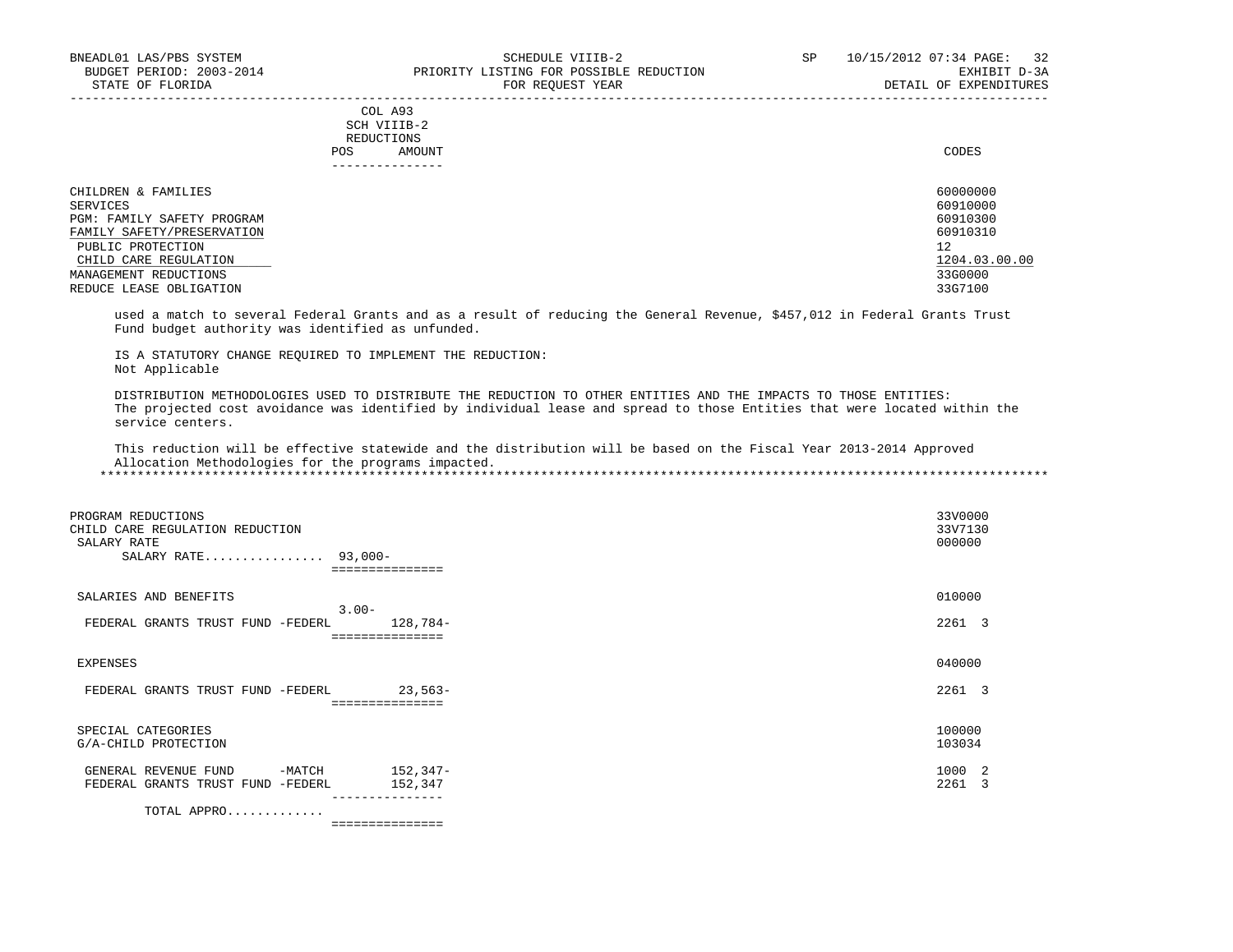# COL A93 SCH VIIIB-2 REDUCTIONS POS AMOUNT CODES ---------------

| CHILDREN & FAMILIES        | 60000000      |
|----------------------------|---------------|
| SERVICES                   | 60910000      |
| PGM: FAMILY SAFETY PROGRAM | 60910300      |
| FAMILY SAFETY/PRESERVATION | 60910310      |
| PUBLIC PROTECTION          | 12            |
| CHILD CARE REGULATION      | 1204.03.00.00 |
| MANAGEMENT REDUCTIONS      | 33G0000       |
| REDUCE LEASE OBLIGATION    | 33G7100       |

 used a match to several Federal Grants and as a result of reducing the General Revenue, \$457,012 in Federal Grants Trust Fund budget authority was identified as unfunded.

 IS A STATUTORY CHANGE REQUIRED TO IMPLEMENT THE REDUCTION: Not Applicable

 DISTRIBUTION METHODOLOGIES USED TO DISTRIBUTE THE REDUCTION TO OTHER ENTITIES AND THE IMPACTS TO THOSE ENTITIES: The projected cost avoidance was identified by individual lease and spread to those Entities that were located within the service centers.

 This reduction will be effective statewide and the distribution will be based on the Fiscal Year 2013-2014 Approved Allocation Methodologies for the programs impacted.

\*\*\*\*\*\*\*\*\*\*\*\*\*\*\*\*\*\*\*\*\*\*\*\*\*\*\*\*\*\*\*\*\*\*\*\*\*\*\*\*\*\*\*\*\*\*\*\*\*\*\*\*\*\*\*\*\*\*\*\*\*\*\*\*\*\*\*\*\*\*\*\*\*\*\*\*\*\*\*\*\*\*\*\*\*\*\*\*\*\*\*\*\*\*\*\*\*\*\*\*\*\*\*\*\*\*\*\*\*\*\*\*\*\*\*\*\*\*\*\*\*\*\*\*\*\*\*

| PROGRAM REDUCTIONS                             |                              | 33V0000           |
|------------------------------------------------|------------------------------|-------------------|
| CHILD CARE REGULATION REDUCTION<br>SALARY RATE |                              | 33V7130<br>000000 |
| SALARY RATE 93,000-                            |                              |                   |
|                                                |                              |                   |
| SALARIES AND BENEFITS                          |                              | 010000            |
| $3.00 -$                                       |                              |                   |
| FEDERAL GRANTS TRUST FUND -FEDERL              | 128,784-                     | 2261 3            |
|                                                | ===============              |                   |
| EXPENSES                                       |                              | 040000            |
|                                                |                              | 2261 3            |
| FEDERAL GRANTS TRUST FUND -FEDERL              | $23,563-$<br>=============== |                   |
|                                                |                              |                   |
| SPECIAL CATEGORIES                             |                              | 100000            |
| G/A-CHILD PROTECTION                           |                              | 103034            |
| $-MATCH$<br>GENERAL REVENUE FUND               | 152,347-                     | 1000 2            |
| FEDERAL GRANTS TRUST FUND<br>-FEDERL           | 152,347                      | 2261<br>- 3       |
|                                                | ---------------              |                   |

TOTAL APPRO.............

===============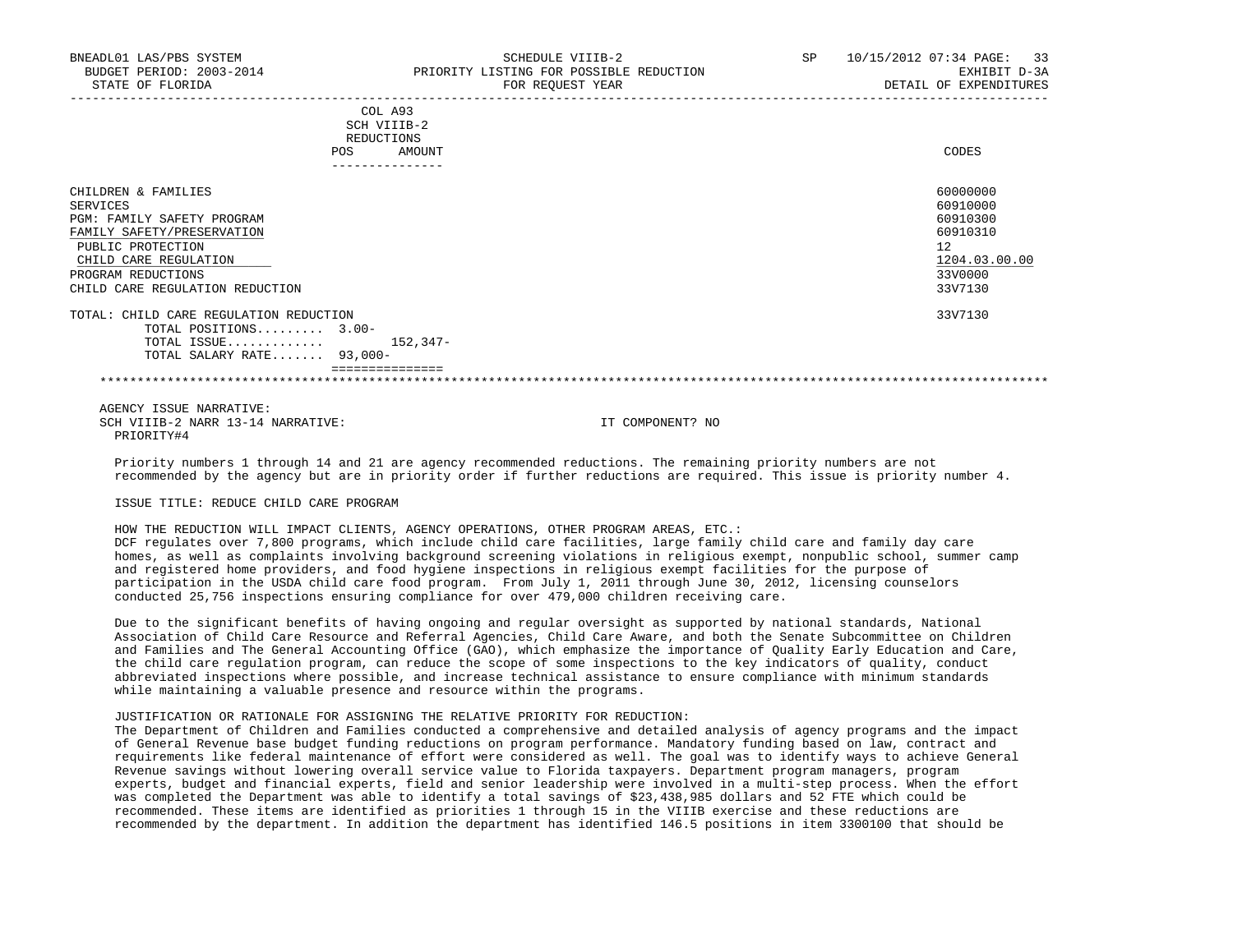| CODES                                                                                     |
|-------------------------------------------------------------------------------------------|
| 60000000<br>60910000<br>60910300<br>60910310<br>12<br>1204.03.00.00<br>33V0000<br>33V7130 |
| 33V7130                                                                                   |
|                                                                                           |

 AGENCY ISSUE NARRATIVE: SCH VIIIB-2 NARR 13-14 NARRATIVE: IT COMPONENT? NO PRIORITY#4

 Priority numbers 1 through 14 and 21 are agency recommended reductions. The remaining priority numbers are not recommended by the agency but are in priority order if further reductions are required. This issue is priority number 4.

# ISSUE TITLE: REDUCE CHILD CARE PROGRAM

 HOW THE REDUCTION WILL IMPACT CLIENTS, AGENCY OPERATIONS, OTHER PROGRAM AREAS, ETC.: DCF regulates over 7,800 programs, which include child care facilities, large family child care and family day care homes, as well as complaints involving background screening violations in religious exempt, nonpublic school, summer camp and registered home providers, and food hygiene inspections in religious exempt facilities for the purpose of participation in the USDA child care food program. From July 1, 2011 through June 30, 2012, licensing counselors conducted 25,756 inspections ensuring compliance for over 479,000 children receiving care.

 Due to the significant benefits of having ongoing and regular oversight as supported by national standards, National Association of Child Care Resource and Referral Agencies, Child Care Aware, and both the Senate Subcommittee on Children and Families and The General Accounting Office (GAO), which emphasize the importance of Quality Early Education and Care, the child care regulation program, can reduce the scope of some inspections to the key indicators of quality, conduct abbreviated inspections where possible, and increase technical assistance to ensure compliance with minimum standards while maintaining a valuable presence and resource within the programs.

## JUSTIFICATION OR RATIONALE FOR ASSIGNING THE RELATIVE PRIORITY FOR REDUCTION:

 The Department of Children and Families conducted a comprehensive and detailed analysis of agency programs and the impact of General Revenue base budget funding reductions on program performance. Mandatory funding based on law, contract and requirements like federal maintenance of effort were considered as well. The goal was to identify ways to achieve General Revenue savings without lowering overall service value to Florida taxpayers. Department program managers, program experts, budget and financial experts, field and senior leadership were involved in a multi-step process. When the effort was completed the Department was able to identify a total savings of \$23,438,985 dollars and 52 FTE which could be recommended. These items are identified as priorities 1 through 15 in the VIIIB exercise and these reductions are recommended by the department. In addition the department has identified 146.5 positions in item 3300100 that should be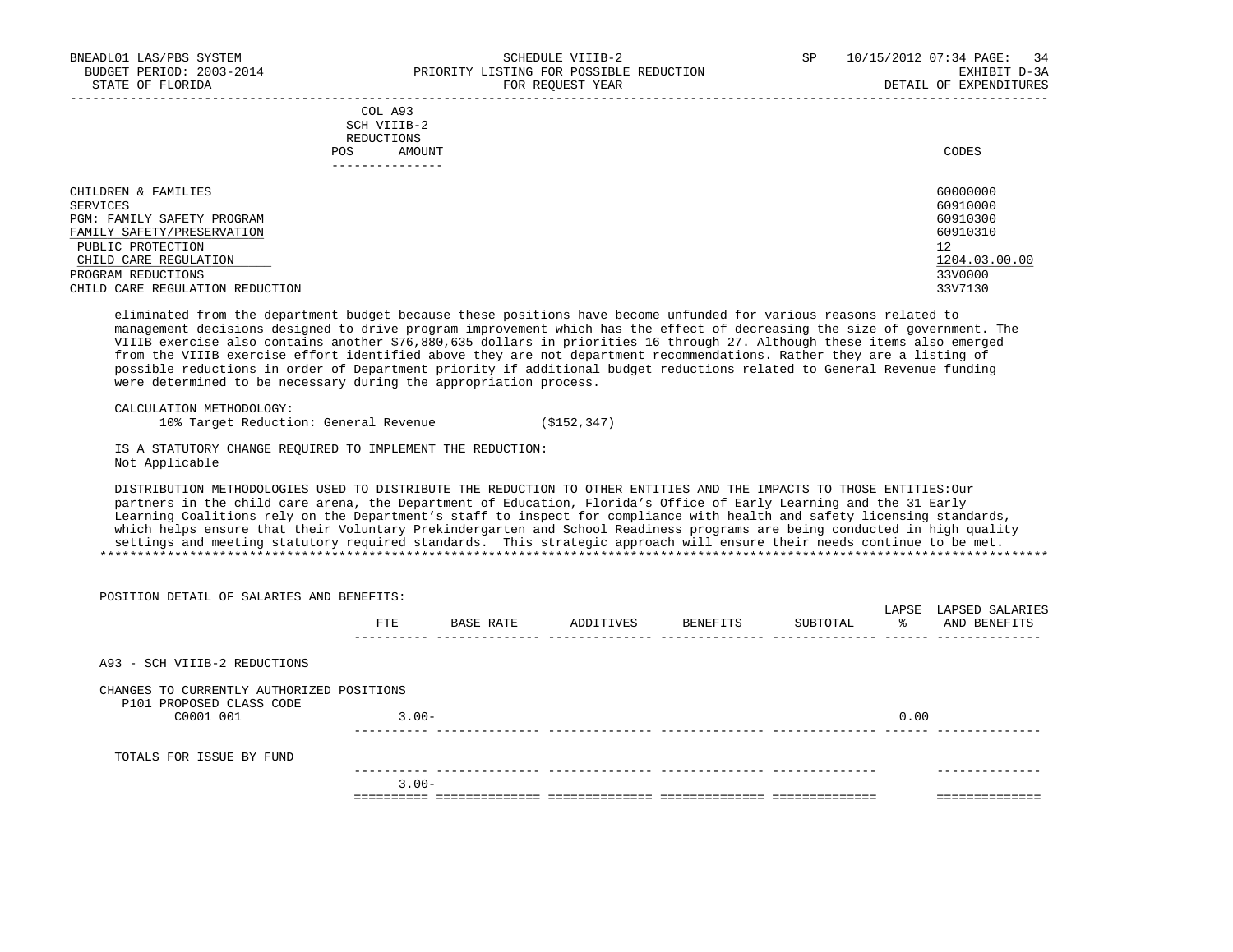|     | --------------- |       |
|-----|-----------------|-------|
| POS | AMOUNT          | CODES |
|     | REDUCTIONS      |       |
|     | SCH VIIIB-2     |       |
|     | COL A93         |       |

| CHILDREN & FAMILIES             | 60000000      |
|---------------------------------|---------------|
| SERVICES                        | 60910000      |
| PGM: FAMILY SAFETY PROGRAM      | 60910300      |
| FAMILY SAFETY/PRESERVATION      | 60910310      |
| PUBLIC PROTECTION               | 12            |
| CHILD CARE REGULATION           | 1204.03.00.00 |
| PROGRAM REDUCTIONS              | 33V0000       |
| CHILD CARE REGULATION REDUCTION | 33V7130       |

 eliminated from the department budget because these positions have become unfunded for various reasons related to management decisions designed to drive program improvement which has the effect of decreasing the size of government. The VIIIB exercise also contains another \$76,880,635 dollars in priorities 16 through 27. Although these items also emerged from the VIIIB exercise effort identified above they are not department recommendations. Rather they are a listing of possible reductions in order of Department priority if additional budget reductions related to General Revenue funding were determined to be necessary during the appropriation process.

```
 CALCULATION METHODOLOGY:
```
10% Target Reduction: General Revenue (\$152,347)

 IS A STATUTORY CHANGE REQUIRED TO IMPLEMENT THE REDUCTION: Not Applicable

 DISTRIBUTION METHODOLOGIES USED TO DISTRIBUTE THE REDUCTION TO OTHER ENTITIES AND THE IMPACTS TO THOSE ENTITIES:Our partners in the child care arena, the Department of Education, Florida's Office of Early Learning and the 31 Early Learning Coalitions rely on the Department's staff to inspect for compliance with health and safety licensing standards, which helps ensure that their Voluntary Prekindergarten and School Readiness programs are being conducted in high quality settings and meeting statutory required standards. This strategic approach will ensure their needs continue to be met. \*\*\*\*\*\*\*\*\*\*\*\*\*\*\*\*\*\*\*\*\*\*\*\*\*\*\*\*\*\*\*\*\*\*\*\*\*\*\*\*\*\*\*\*\*\*\*\*\*\*\*\*\*\*\*\*\*\*\*\*\*\*\*\*\*\*\*\*\*\*\*\*\*\*\*\*\*\*\*\*\*\*\*\*\*\*\*\*\*\*\*\*\*\*\*\*\*\*\*\*\*\*\*\*\*\*\*\*\*\*\*\*\*\*\*\*\*\*\*\*\*\*\*\*\*\*\*

| POSITION DETAIL OF SALARIES AND BENEFITS:                             |          |           |           |          |          |          |                                       |
|-----------------------------------------------------------------------|----------|-----------|-----------|----------|----------|----------|---------------------------------------|
|                                                                       | FTE      | BASE RATE | ADDITIVES | BENEFITS | SUBTOTAL | $\sim$ 8 | LAPSE LAPSED SALARIES<br>AND BENEFITS |
| A93 - SCH VIIIB-2 REDUCTIONS                                          |          |           |           |          |          |          |                                       |
| CHANGES TO CURRENTLY AUTHORIZED POSITIONS<br>P101 PROPOSED CLASS CODE |          |           |           |          |          |          |                                       |
| C0001 001                                                             | $3.00 -$ |           |           |          |          | 0.00     |                                       |
| TOTALS FOR ISSUE BY FUND                                              |          |           |           |          |          |          |                                       |
|                                                                       | $3.00 -$ |           |           |          |          |          |                                       |
|                                                                       |          |           |           |          |          |          |                                       |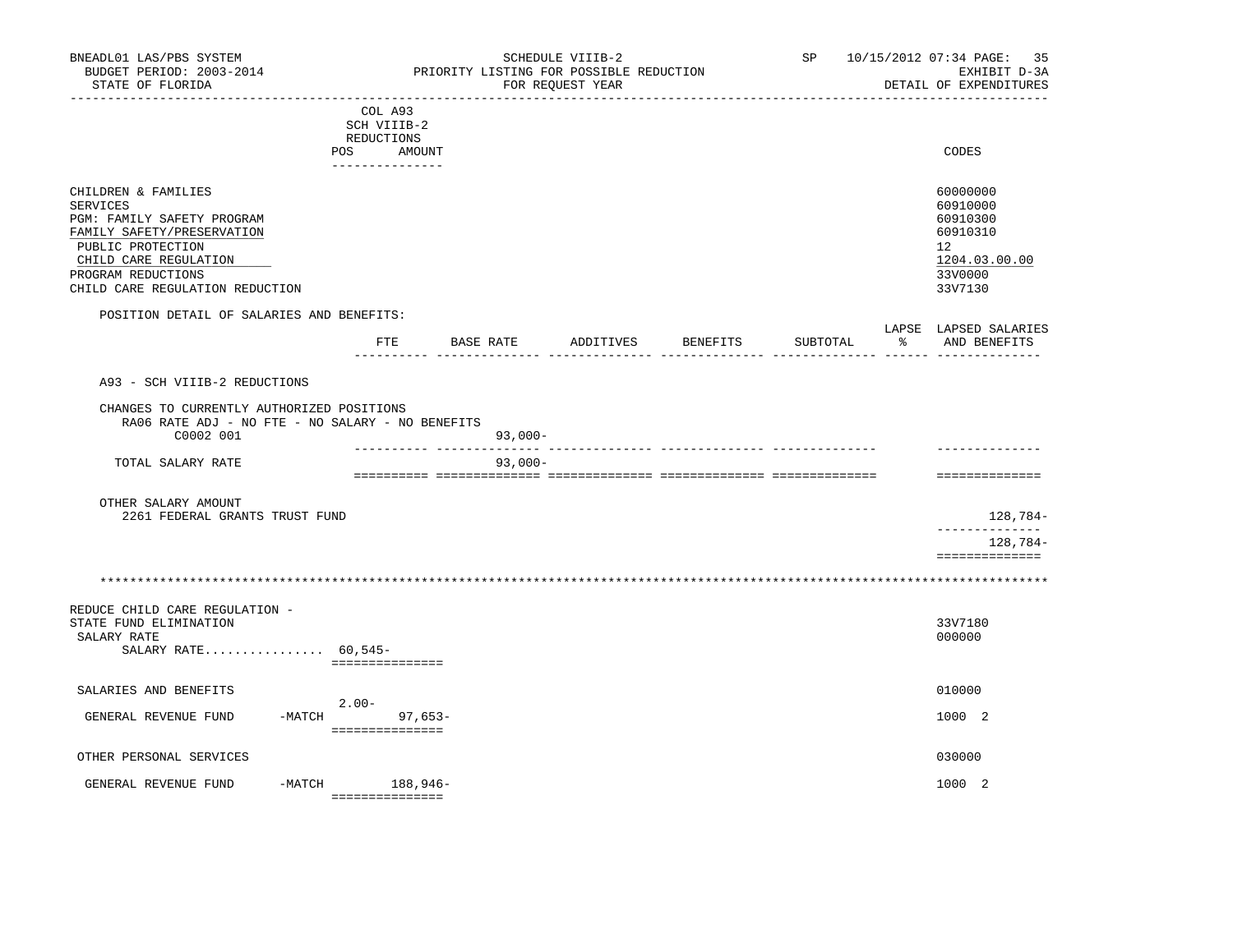| BNEADL01 LAS/PBS SYSTEM<br>BUDGET PERIOD: 2003-2014<br>STATE OF FLORIDA<br>-------------------------                                                                                               |                                                                                 |                            |           | SCHEDULE VIIIB-2<br>PRIORITY LISTING FOR POSSIBLE REDUCTION<br>FOR REQUEST YEAR | ---------------------- |          | SP 10/15/2012 07:34 PAGE: 35<br>EXHIBIT D-3A<br>DETAIL OF EXPENDITURES                                 |
|----------------------------------------------------------------------------------------------------------------------------------------------------------------------------------------------------|---------------------------------------------------------------------------------|----------------------------|-----------|---------------------------------------------------------------------------------|------------------------|----------|--------------------------------------------------------------------------------------------------------|
|                                                                                                                                                                                                    | COL A93<br>SCH VIIIB-2<br><b>REDUCTIONS</b><br>POS<br>AMOUNT<br>--------------- |                            |           |                                                                                 |                        |          | CODES                                                                                                  |
| CHILDREN & FAMILIES<br>SERVICES<br>PGM: FAMILY SAFETY PROGRAM<br>FAMILY SAFETY/PRESERVATION<br>PUBLIC PROTECTION<br>CHILD CARE REGULATION<br>PROGRAM REDUCTIONS<br>CHILD CARE REGULATION REDUCTION |                                                                                 |                            |           |                                                                                 |                        |          | 60000000<br>60910000<br>60910300<br>60910310<br>12 <sup>°</sup><br>1204.03.00.00<br>33V0000<br>33V7130 |
| POSITION DETAIL OF SALARIES AND BENEFITS:                                                                                                                                                          | $_{\rm FTE}$                                                                    |                            | BASE RATE |                                                                                 | ADDITIVES BENEFITS     | SUBTOTAL | LAPSE LAPSED SALARIES<br>% AND BENEFITS                                                                |
| A93 - SCH VIIIB-2 REDUCTIONS<br>CHANGES TO CURRENTLY AUTHORIZED POSITIONS<br>RA06 RATE ADJ - NO FTE - NO SALARY - NO BENEFITS<br>C0002 001                                                         |                                                                                 |                            | $93,000-$ |                                                                                 |                        |          |                                                                                                        |
| TOTAL SALARY RATE                                                                                                                                                                                  |                                                                                 | ---------- --------------- | $93,000-$ |                                                                                 |                        |          | ==============                                                                                         |
| OTHER SALARY AMOUNT<br>2261 FEDERAL GRANTS TRUST FUND                                                                                                                                              |                                                                                 |                            |           |                                                                                 |                        |          | 128,784-                                                                                               |
|                                                                                                                                                                                                    |                                                                                 |                            |           |                                                                                 |                        |          | 128,784-<br>==============                                                                             |
|                                                                                                                                                                                                    |                                                                                 |                            |           |                                                                                 |                        |          |                                                                                                        |
| REDUCE CHILD CARE REGULATION -<br>STATE FUND ELIMINATION<br>SALARY RATE<br>SALARY RATE 60,545-                                                                                                     | ===============                                                                 |                            |           |                                                                                 |                        |          | 33V7180<br>000000                                                                                      |
| SALARIES AND BENEFITS<br>GENERAL REVENUE FUND                                                                                                                                                      | $2.00-$<br>$-MATCH$                                                             | $97,653-$                  |           |                                                                                 |                        |          | 010000<br>1000 2                                                                                       |
|                                                                                                                                                                                                    | ===============                                                                 |                            |           |                                                                                 |                        |          |                                                                                                        |
| OTHER PERSONAL SERVICES<br>GENERAL REVENUE FUND                                                                                                                                                    | -MATCH 188,946-<br>----------------                                             |                            |           |                                                                                 |                        |          | 030000<br>1000 2                                                                                       |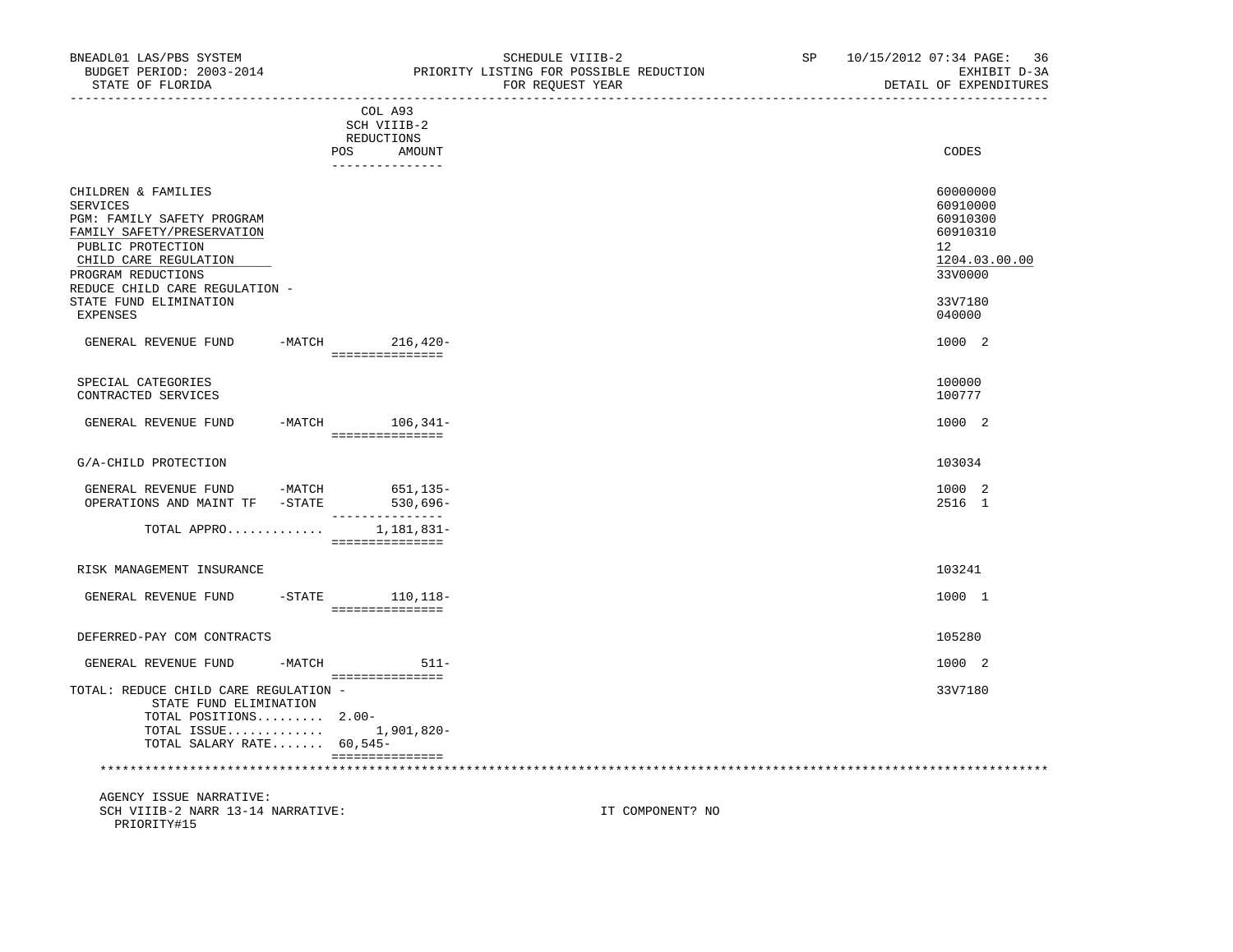| BNEADL01 LAS/PBS SYSTEM<br>BUDGET PERIOD: 2003-2014<br>STATE OF FLORIDA                                                                                                                                                                                                         | SCHEDULE VIIIB-2<br>PRIORITY LISTING FOR POSSIBLE REDUCTION<br>FOR REQUEST YEAR | SP and the set of the set of the set of the set of the set of the set of the set of the set of the set of the s | 10/15/2012 07:34 PAGE: 36<br>EXHIBIT D-3A<br>DETAIL OF EXPENDITURES                                           |
|---------------------------------------------------------------------------------------------------------------------------------------------------------------------------------------------------------------------------------------------------------------------------------|---------------------------------------------------------------------------------|-----------------------------------------------------------------------------------------------------------------|---------------------------------------------------------------------------------------------------------------|
|                                                                                                                                                                                                                                                                                 | COL A93<br>SCH VIIIB-2<br>REDUCTIONS<br>AMOUNT<br>POS                           |                                                                                                                 | CODES                                                                                                         |
|                                                                                                                                                                                                                                                                                 | ---------------                                                                 |                                                                                                                 |                                                                                                               |
| CHILDREN & FAMILIES<br>SERVICES<br>PGM: FAMILY SAFETY PROGRAM<br>FAMILY SAFETY/PRESERVATION<br>PUBLIC PROTECTION<br>CHILD CARE REGULATION<br>PROGRAM REDUCTIONS<br>REDUCE CHILD CARE REGULATION -<br>STATE FUND ELIMINATION<br>EXPENSES<br>GENERAL REVENUE FUND -MATCH 216,420- |                                                                                 |                                                                                                                 | 60000000<br>60910000<br>60910300<br>60910310<br>12<br>1204.03.00.00<br>33V0000<br>33V7180<br>040000<br>1000 2 |
|                                                                                                                                                                                                                                                                                 | ===============                                                                 |                                                                                                                 |                                                                                                               |
| SPECIAL CATEGORIES<br>CONTRACTED SERVICES                                                                                                                                                                                                                                       |                                                                                 |                                                                                                                 | 100000<br>100777                                                                                              |
| GENERAL REVENUE FUND -MATCH 106,341-                                                                                                                                                                                                                                            | ===============                                                                 |                                                                                                                 | 1000 2                                                                                                        |
| G/A-CHILD PROTECTION                                                                                                                                                                                                                                                            |                                                                                 |                                                                                                                 | 103034                                                                                                        |

| GENERAL REVENUE FUND    | -MATCH | 651,135-    |
|-------------------------|--------|-------------|
|                         |        |             |
| OPERATIONS AND MAINT TF | -STATE | $530.696 -$ |
|                         |        |             |
| TOTAL APPRO             |        | 1,181,831-  |

===============

# RISK MANAGEMENT INSURANCE 103241 GENERAL REVENUE FUND -STATE 110,118- 1000 1 =============== DEFERRED-PAY COM CONTRACTS 105280 GENERAL REVENUE FUND -MATCH 511- 511- =============== TOTAL: REDUCE CHILD CARE REGULATION - 33V7180 STATE FUND ELIMINATION TOTAL POSITIONS......... 2.00- TOTAL ISSUE............. 1,901,820-

 =============== \*\*\*\*\*\*\*\*\*\*\*\*\*\*\*\*\*\*\*\*\*\*\*\*\*\*\*\*\*\*\*\*\*\*\*\*\*\*\*\*\*\*\*\*\*\*\*\*\*\*\*\*\*\*\*\*\*\*\*\*\*\*\*\*\*\*\*\*\*\*\*\*\*\*\*\*\*\*\*\*\*\*\*\*\*\*\*\*\*\*\*\*\*\*\*\*\*\*\*\*\*\*\*\*\*\*\*\*\*\*\*\*\*\*\*\*\*\*\*\*\*\*\*\*\*\*\*

TOTAL SALARY RATE....... 60,545-

 AGENCY ISSUE NARRATIVE: SCH VIIIB-2 NARR 13-14 NARRATIVE: **IT COMPONENT?** NO PRIORITY#15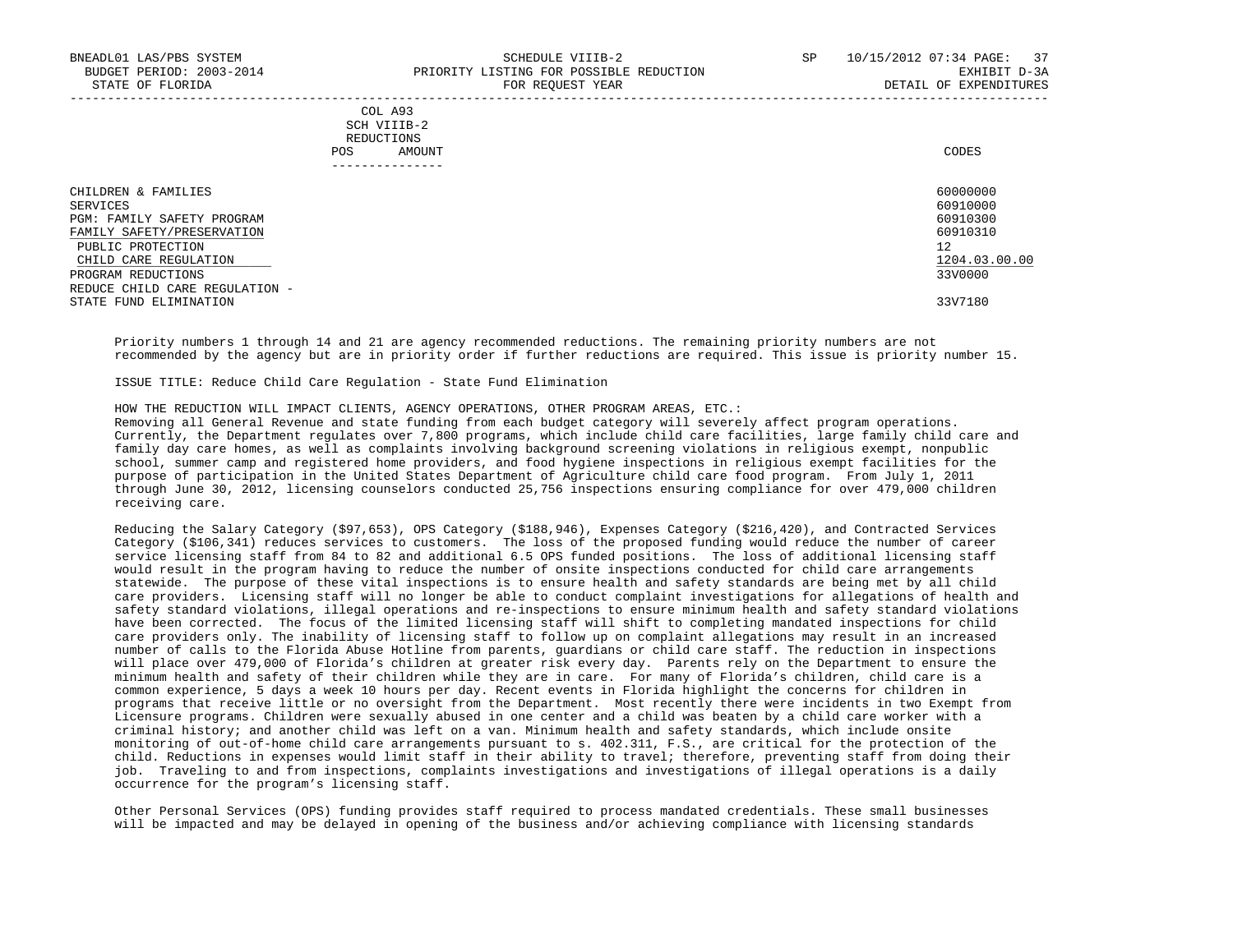### COL A93 SCH VIIIB-2 REDUCTIONS POS AMOUNT CODES ---------------

| CHILDREN & FAMILIES            | 60000000      |
|--------------------------------|---------------|
| SERVICES                       | 60910000      |
| PGM: FAMILY SAFETY PROGRAM     | 60910300      |
| FAMILY SAFETY/PRESERVATION     | 60910310      |
| PUBLIC PROTECTION              | 12            |
| CHILD CARE REGULATION          | 1204.03.00.00 |
| PROGRAM REDUCTIONS             | 33V0000       |
| REDUCE CHILD CARE REGULATION - |               |
| STATE FUND ELIMINATION         | 33V7180       |

-----------------------------------------------------------------------------------------------------------------------------------

 Priority numbers 1 through 14 and 21 are agency recommended reductions. The remaining priority numbers are not recommended by the agency but are in priority order if further reductions are required. This issue is priority number 15.

ISSUE TITLE: Reduce Child Care Regulation - State Fund Elimination

HOW THE REDUCTION WILL IMPACT CLIENTS, AGENCY OPERATIONS, OTHER PROGRAM AREAS, ETC.:

 Removing all General Revenue and state funding from each budget category will severely affect program operations. Currently, the Department regulates over 7,800 programs, which include child care facilities, large family child care and family day care homes, as well as complaints involving background screening violations in religious exempt, nonpublic school, summer camp and registered home providers, and food hygiene inspections in religious exempt facilities for the purpose of participation in the United States Department of Agriculture child care food program. From July 1, 2011 through June 30, 2012, licensing counselors conducted 25,756 inspections ensuring compliance for over 479,000 children receiving care.

 Reducing the Salary Category (\$97,653), OPS Category (\$188,946), Expenses Category (\$216,420), and Contracted Services Category (\$106,341) reduces services to customers. The loss of the proposed funding would reduce the number of career service licensing staff from 84 to 82 and additional 6.5 OPS funded positions. The loss of additional licensing staff would result in the program having to reduce the number of onsite inspections conducted for child care arrangements statewide. The purpose of these vital inspections is to ensure health and safety standards are being met by all child care providers. Licensing staff will no longer be able to conduct complaint investigations for allegations of health and safety standard violations, illegal operations and re-inspections to ensure minimum health and safety standard violations have been corrected. The focus of the limited licensing staff will shift to completing mandated inspections for child care providers only. The inability of licensing staff to follow up on complaint allegations may result in an increased number of calls to the Florida Abuse Hotline from parents, guardians or child care staff. The reduction in inspections will place over 479,000 of Florida's children at greater risk every day. Parents rely on the Department to ensure the minimum health and safety of their children while they are in care. For many of Florida's children, child care is a common experience, 5 days a week 10 hours per day. Recent events in Florida highlight the concerns for children in programs that receive little or no oversight from the Department. Most recently there were incidents in two Exempt from Licensure programs. Children were sexually abused in one center and a child was beaten by a child care worker with a criminal history; and another child was left on a van. Minimum health and safety standards, which include onsite monitoring of out-of-home child care arrangements pursuant to s. 402.311, F.S., are critical for the protection of the child. Reductions in expenses would limit staff in their ability to travel; therefore, preventing staff from doing their job. Traveling to and from inspections, complaints investigations and investigations of illegal operations is a daily occurrence for the program's licensing staff.

 Other Personal Services (OPS) funding provides staff required to process mandated credentials. These small businesses will be impacted and may be delayed in opening of the business and/or achieving compliance with licensing standards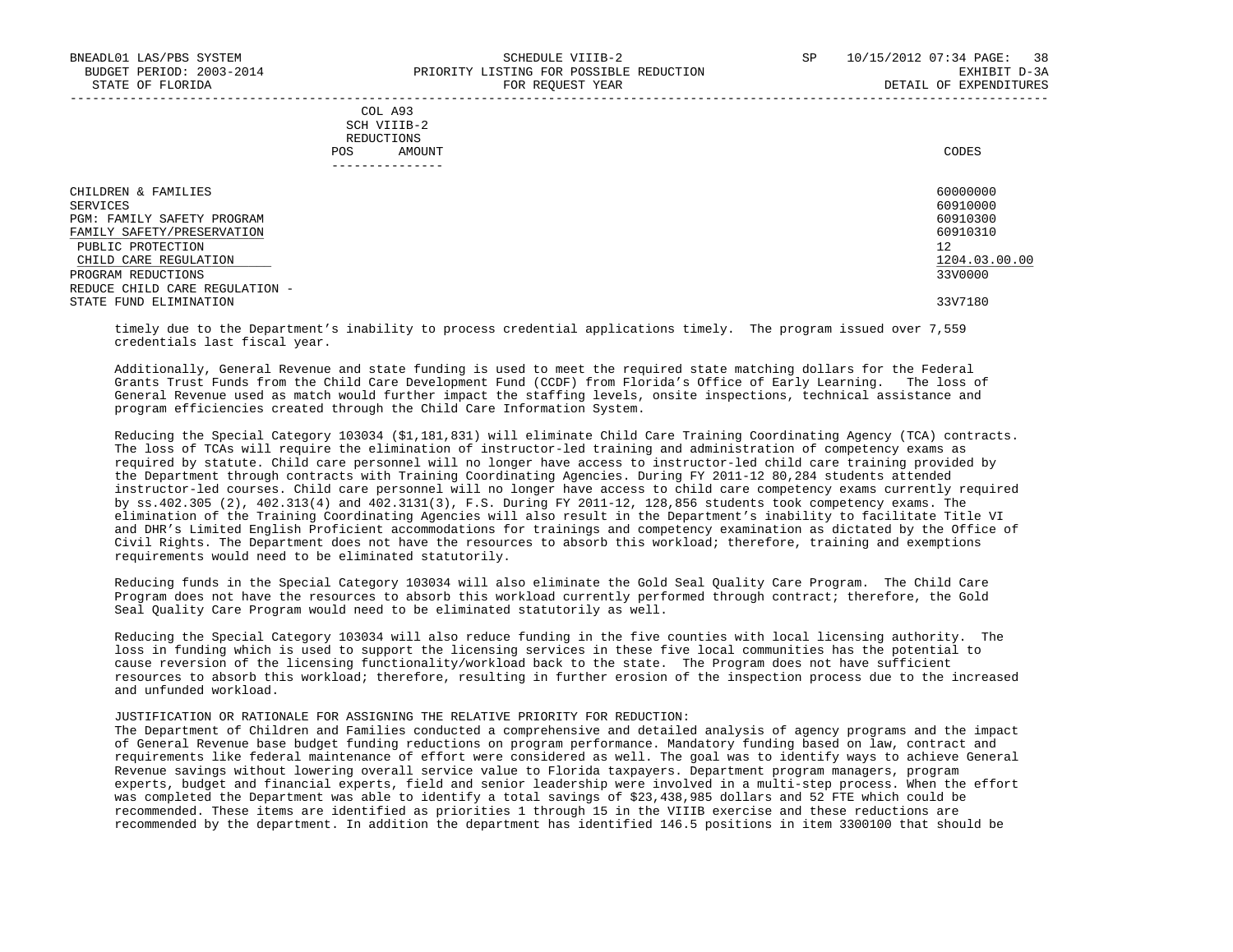| COL A93     |                 |
|-------------|-----------------|
| SCH VIIIB-2 |                 |
| REDUCTIONS  |                 |
| POS         | CODES<br>AMOUNT |

| - - - - - - - - - - - - - -    |               |
|--------------------------------|---------------|
| CHILDREN & FAMILIES            | 60000000      |
| SERVICES                       | 60910000      |
| PGM: FAMILY SAFETY PROGRAM     | 60910300      |
| FAMILY SAFETY/PRESERVATION     | 60910310      |
| PUBLIC PROTECTION              | 12            |
| CHILD CARE REGULATION          | 1204.03.00.00 |
| PROGRAM REDUCTIONS             | 33V0000       |
| REDUCE CHILD CARE REGULATION - |               |
| STATE FUND ELIMINATION         | 33V7180       |

 timely due to the Department's inability to process credential applications timely. The program issued over 7,559 credentials last fiscal year.

 Additionally, General Revenue and state funding is used to meet the required state matching dollars for the Federal Grants Trust Funds from the Child Care Development Fund (CCDF) from Florida's Office of Early Learning. The loss of General Revenue used as match would further impact the staffing levels, onsite inspections, technical assistance and program efficiencies created through the Child Care Information System.

 Reducing the Special Category 103034 (\$1,181,831) will eliminate Child Care Training Coordinating Agency (TCA) contracts. The loss of TCAs will require the elimination of instructor-led training and administration of competency exams as required by statute. Child care personnel will no longer have access to instructor-led child care training provided by the Department through contracts with Training Coordinating Agencies. During FY 2011-12 80,284 students attended instructor-led courses. Child care personnel will no longer have access to child care competency exams currently required by ss.402.305 (2), 402.313(4) and 402.3131(3), F.S. During FY 2011-12, 128,856 students took competency exams. The elimination of the Training Coordinating Agencies will also result in the Department's inability to facilitate Title VI and DHR's Limited English Proficient accommodations for trainings and competency examination as dictated by the Office of Civil Rights. The Department does not have the resources to absorb this workload; therefore, training and exemptions requirements would need to be eliminated statutorily.

 Reducing funds in the Special Category 103034 will also eliminate the Gold Seal Quality Care Program. The Child Care Program does not have the resources to absorb this workload currently performed through contract; therefore, the Gold Seal Quality Care Program would need to be eliminated statutorily as well.

 Reducing the Special Category 103034 will also reduce funding in the five counties with local licensing authority. The loss in funding which is used to support the licensing services in these five local communities has the potential to cause reversion of the licensing functionality/workload back to the state. The Program does not have sufficient resources to absorb this workload; therefore, resulting in further erosion of the inspection process due to the increased and unfunded workload.

#### JUSTIFICATION OR RATIONALE FOR ASSIGNING THE RELATIVE PRIORITY FOR REDUCTION:

 The Department of Children and Families conducted a comprehensive and detailed analysis of agency programs and the impact of General Revenue base budget funding reductions on program performance. Mandatory funding based on law, contract and requirements like federal maintenance of effort were considered as well. The goal was to identify ways to achieve General Revenue savings without lowering overall service value to Florida taxpayers. Department program managers, program experts, budget and financial experts, field and senior leadership were involved in a multi-step process. When the effort was completed the Department was able to identify a total savings of \$23,438,985 dollars and 52 FTE which could be recommended. These items are identified as priorities 1 through 15 in the VIIIB exercise and these reductions are recommended by the department. In addition the department has identified 146.5 positions in item 3300100 that should be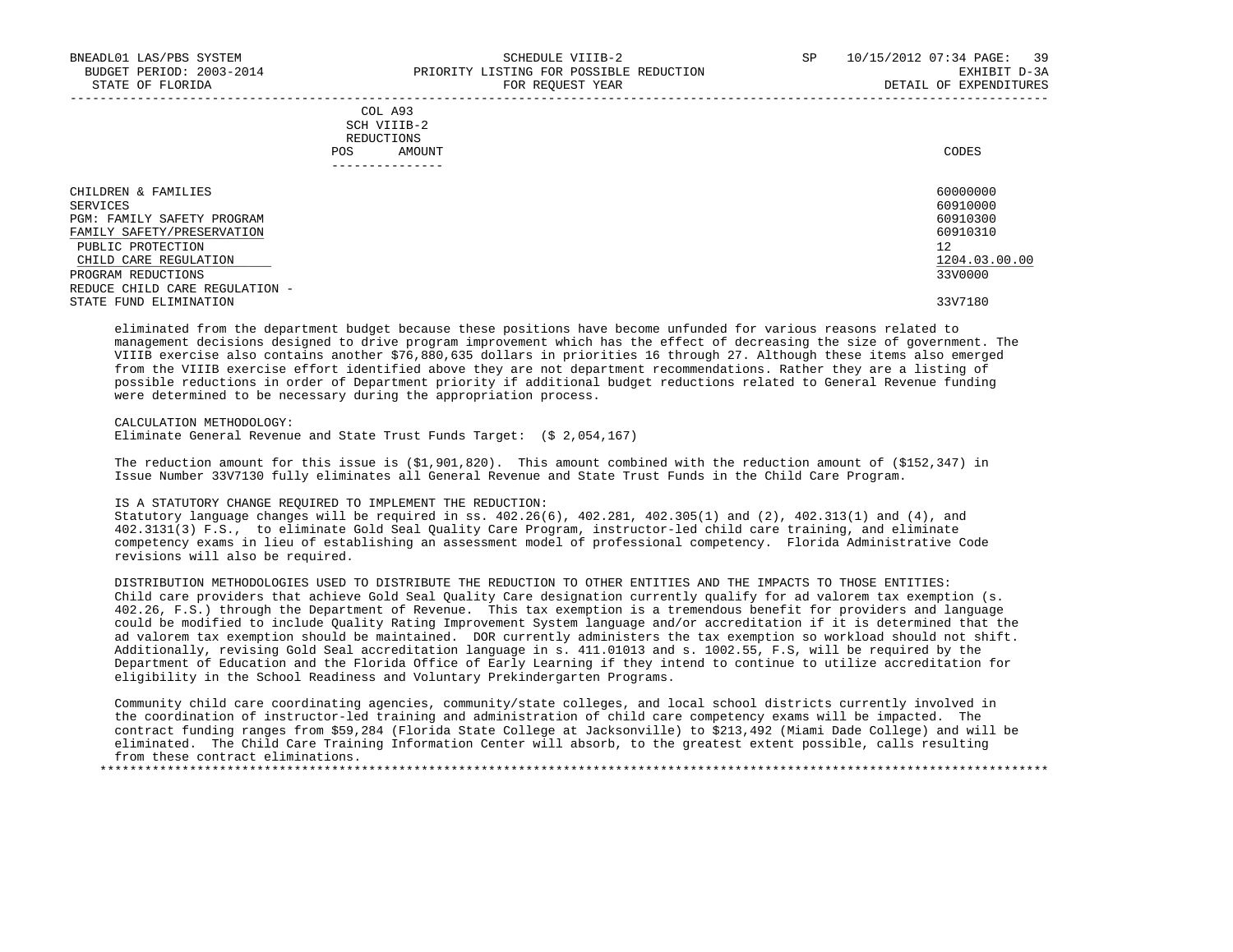|            | _______________ |       |
|------------|-----------------|-------|
| POS        | AMOUNT          | CODES |
| REDUCTIONS |                 |       |
|            | SCH VIIIB-2     |       |
|            | COL A93         |       |

| CHILDREN & FAMILIES            | 60000000      |
|--------------------------------|---------------|
| SERVICES                       | 60910000      |
| PGM: FAMILY SAFETY PROGRAM     | 60910300      |
| FAMILY SAFETY/PRESERVATION     | 60910310      |
| PUBLIC PROTECTION              | 12            |
| CHILD CARE REGULATION          | 1204.03.00.00 |
| PROGRAM REDUCTIONS             | 33V0000       |
| REDUCE CHILD CARE REGULATION - |               |
| STATE FUND ELIMINATION         | 33V7180       |

 eliminated from the department budget because these positions have become unfunded for various reasons related to management decisions designed to drive program improvement which has the effect of decreasing the size of government. The VIIIB exercise also contains another \$76,880,635 dollars in priorities 16 through 27. Although these items also emerged from the VIIIB exercise effort identified above they are not department recommendations. Rather they are a listing of possible reductions in order of Department priority if additional budget reductions related to General Revenue funding were determined to be necessary during the appropriation process.

CALCULATION METHODOLOGY:

Eliminate General Revenue and State Trust Funds Target: (\$ 2,054,167)

 The reduction amount for this issue is (\$1,901,820). This amount combined with the reduction amount of (\$152,347) in Issue Number 33V7130 fully eliminates all General Revenue and State Trust Funds in the Child Care Program.

#### IS A STATUTORY CHANGE REQUIRED TO IMPLEMENT THE REDUCTION:

 Statutory language changes will be required in ss. 402.26(6), 402.281, 402.305(1) and (2), 402.313(1) and (4), and 402.3131(3) F.S., to eliminate Gold Seal Quality Care Program, instructor-led child care training, and eliminate competency exams in lieu of establishing an assessment model of professional competency. Florida Administrative Code revisions will also be required.

 DISTRIBUTION METHODOLOGIES USED TO DISTRIBUTE THE REDUCTION TO OTHER ENTITIES AND THE IMPACTS TO THOSE ENTITIES: Child care providers that achieve Gold Seal Quality Care designation currently qualify for ad valorem tax exemption (s. 402.26, F.S.) through the Department of Revenue. This tax exemption is a tremendous benefit for providers and language could be modified to include Quality Rating Improvement System language and/or accreditation if it is determined that the ad valorem tax exemption should be maintained. DOR currently administers the tax exemption so workload should not shift. Additionally, revising Gold Seal accreditation language in s. 411.01013 and s. 1002.55, F.S, will be required by the Department of Education and the Florida Office of Early Learning if they intend to continue to utilize accreditation for eligibility in the School Readiness and Voluntary Prekindergarten Programs.

 Community child care coordinating agencies, community/state colleges, and local school districts currently involved in the coordination of instructor-led training and administration of child care competency exams will be impacted. The contract funding ranges from \$59,284 (Florida State College at Jacksonville) to \$213,492 (Miami Dade College) and will be eliminated. The Child Care Training Information Center will absorb, to the greatest extent possible, calls resulting from these contract eliminations. \*\*\*\*\*\*\*\*\*\*\*\*\*\*\*\*\*\*\*\*\*\*\*\*\*\*\*\*\*\*\*\*\*\*\*\*\*\*\*\*\*\*\*\*\*\*\*\*\*\*\*\*\*\*\*\*\*\*\*\*\*\*\*\*\*\*\*\*\*\*\*\*\*\*\*\*\*\*\*\*\*\*\*\*\*\*\*\*\*\*\*\*\*\*\*\*\*\*\*\*\*\*\*\*\*\*\*\*\*\*\*\*\*\*\*\*\*\*\*\*\*\*\*\*\*\*\*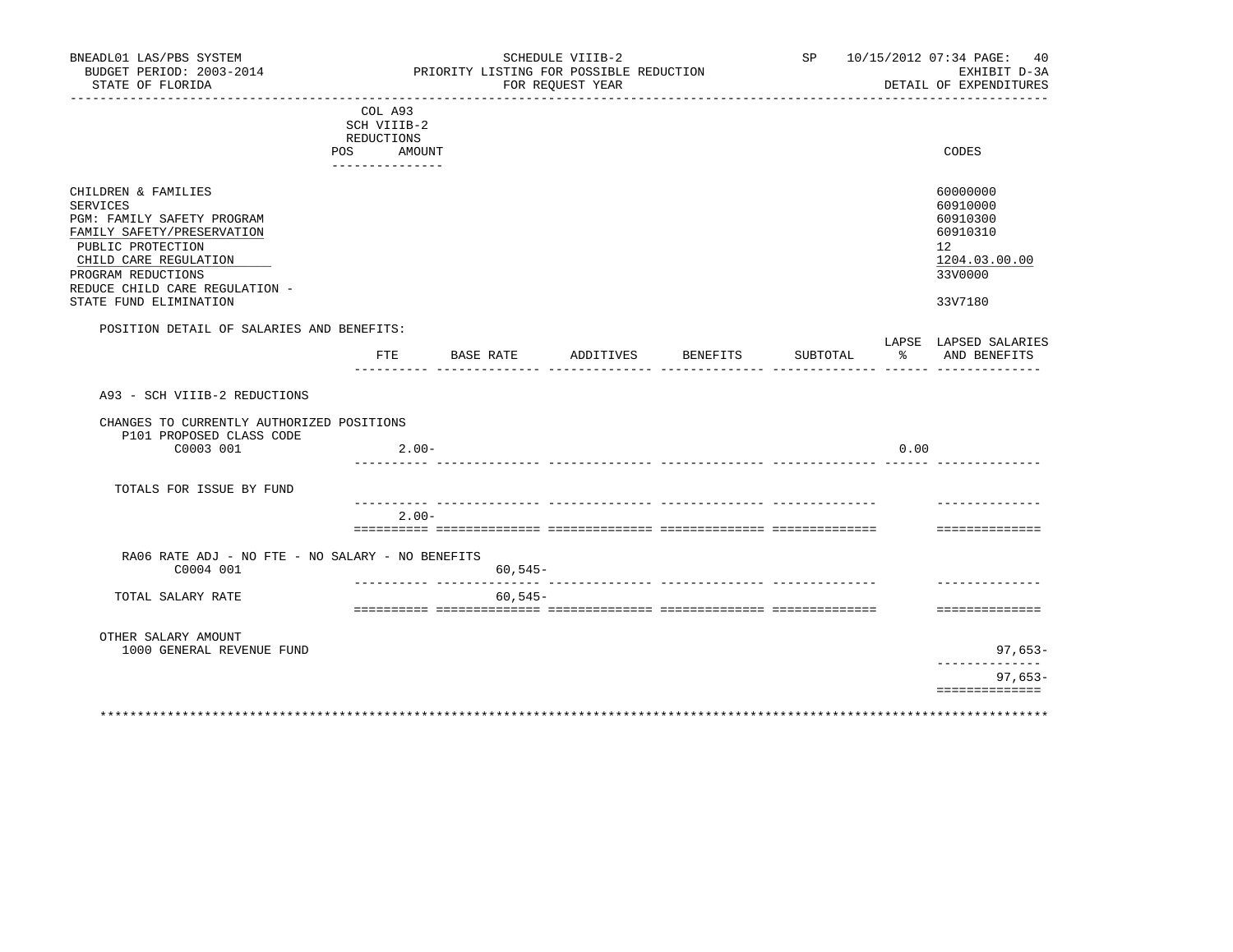| BUDGET PERIOD: 2003-2014<br>STATE OF FLORIDA                                                                                                                                                                                | SCHEDULE VIIIB-2<br>PRIORITY LISTING FOR POSSIBLE REDUCTION<br>FOR REQUEST YEAR |             |           |          |          |      | SP 10/15/2012 07:34 PAGE: 40<br>EXHIBIT D-3A<br>DETAIL OF EXPENDITURES                                 |  |
|-----------------------------------------------------------------------------------------------------------------------------------------------------------------------------------------------------------------------------|---------------------------------------------------------------------------------|-------------|-----------|----------|----------|------|--------------------------------------------------------------------------------------------------------|--|
|                                                                                                                                                                                                                             | COL A93<br>SCH VIIIB-2<br>REDUCTIONS<br>POS AMOUNT<br>---------------           |             |           |          |          |      | CODES                                                                                                  |  |
| CHILDREN & FAMILIES<br>SERVICES<br>PGM: FAMILY SAFETY PROGRAM<br>FAMILY SAFETY/PRESERVATION<br>PUBLIC PROTECTION<br>CHILD CARE REGULATION<br>PROGRAM REDUCTIONS<br>REDUCE CHILD CARE REGULATION -<br>STATE FUND ELIMINATION |                                                                                 |             |           |          |          |      | 60000000<br>60910000<br>60910300<br>60910310<br>12 <sup>°</sup><br>1204.03.00.00<br>33V0000<br>33V7180 |  |
| POSITION DETAIL OF SALARIES AND BENEFITS:                                                                                                                                                                                   | FTE                                                                             | BASE RATE   | ADDITIVES | BENEFITS | SUBTOTAL | ႜ    | LAPSE LAPSED SALARIES<br>AND BENEFITS                                                                  |  |
| A93 - SCH VIIIB-2 REDUCTIONS<br>CHANGES TO CURRENTLY AUTHORIZED POSITIONS<br>P101 PROPOSED CLASS CODE<br>C0003 001                                                                                                          | $2.00 -$                                                                        |             |           |          |          | 0.00 |                                                                                                        |  |
| TOTALS FOR ISSUE BY FUND                                                                                                                                                                                                    |                                                                                 |             |           |          |          |      |                                                                                                        |  |
|                                                                                                                                                                                                                             | $2.00 -$                                                                        |             |           |          |          |      | ==============                                                                                         |  |
| RA06 RATE ADJ - NO FTE - NO SALARY - NO BENEFITS<br>C0004 001                                                                                                                                                               |                                                                                 | $60, 545 -$ |           |          |          |      |                                                                                                        |  |
| TOTAL SALARY RATE                                                                                                                                                                                                           |                                                                                 | $60.545 -$  |           |          |          |      | ==============                                                                                         |  |
| OTHER SALARY AMOUNT                                                                                                                                                                                                         |                                                                                 |             |           |          |          |      |                                                                                                        |  |
| 1000 GENERAL REVENUE FUND                                                                                                                                                                                                   |                                                                                 |             |           |          |          |      | 97,653–<br>. _ _ _ _ _ _ _ _ _ _                                                                       |  |
|                                                                                                                                                                                                                             |                                                                                 |             |           |          |          |      | $97,653-$<br>==============                                                                            |  |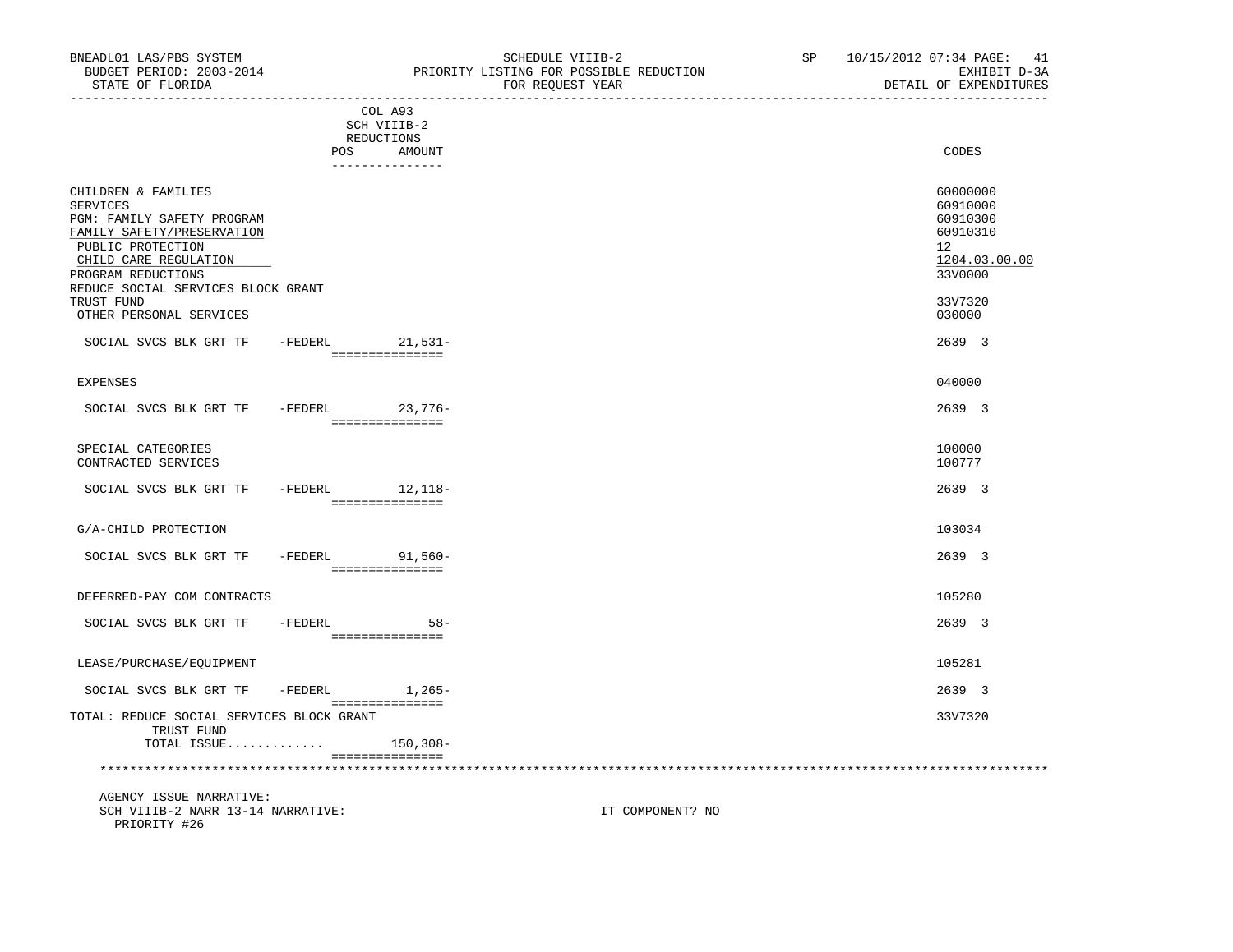|                                                                                                                                                                                                              |         | COL A93<br>SCH VIIIB-2<br>REDUCTIONS |                                     |                                                                                             |
|--------------------------------------------------------------------------------------------------------------------------------------------------------------------------------------------------------------|---------|--------------------------------------|-------------------------------------|---------------------------------------------------------------------------------------------|
|                                                                                                                                                                                                              |         | POS                                  | AMOUNT<br>---------------           | CODES                                                                                       |
| CHILDREN & FAMILIES<br><b>SERVICES</b><br>PGM: FAMILY SAFETY PROGRAM<br>FAMILY SAFETY/PRESERVATION<br>PUBLIC PROTECTION<br>CHILD CARE REGULATION<br>PROGRAM REDUCTIONS<br>REDUCE SOCIAL SERVICES BLOCK GRANT |         |                                      |                                     | 60000000<br>60910000<br>60910300<br>60910310<br>12 <sup>°</sup><br>1204.03.00.00<br>33V0000 |
| TRUST FUND<br>OTHER PERSONAL SERVICES                                                                                                                                                                        |         |                                      |                                     | 33V7320<br>030000                                                                           |
| SOCIAL SVCS BLK GRT TF                                                                                                                                                                                       |         |                                      | -FEDERL 21,531-<br>================ | 2639 3                                                                                      |
| <b>EXPENSES</b>                                                                                                                                                                                              |         |                                      |                                     | 040000                                                                                      |
| SOCIAL SVCS BLK GRT TF - FEDERL 23,776-                                                                                                                                                                      |         |                                      | ________________                    | 2639 3                                                                                      |
| SPECIAL CATEGORIES<br>CONTRACTED SERVICES                                                                                                                                                                    |         |                                      |                                     | 100000<br>100777                                                                            |
| SOCIAL SVCS BLK GRT TF                                                                                                                                                                                       |         |                                      | -FEDERL 12,118-<br>================ | 2639 3                                                                                      |
| G/A-CHILD PROTECTION                                                                                                                                                                                         |         |                                      |                                     | 103034                                                                                      |
| SOCIAL SVCS BLK GRT TF                                                                                                                                                                                       |         |                                      | -FEDERL 91,560-<br>===============  | 2639 3                                                                                      |
| DEFERRED-PAY COM CONTRACTS                                                                                                                                                                                   |         |                                      |                                     | 105280                                                                                      |
| SOCIAL SVCS BLK GRT TF                                                                                                                                                                                       | -FEDERL |                                      | $58 -$<br>===============           | 2639 3                                                                                      |
| LEASE/PURCHASE/EOUIPMENT                                                                                                                                                                                     |         |                                      |                                     | 105281                                                                                      |
| SOCIAL SVCS BLK GRT TF                                                                                                                                                                                       | -FEDERL |                                      | 1,265-<br>===============           | 2639 3                                                                                      |
| TOTAL: REDUCE SOCIAL SERVICES BLOCK GRANT<br>TRUST FUND<br>TOTAL ISSUE                                                                                                                                       |         |                                      | $150, 308 -$                        | 33V7320                                                                                     |
|                                                                                                                                                                                                              |         |                                      | ===============                     |                                                                                             |

 AGENCY ISSUE NARRATIVE: SCH VIIIB-2 NARR 13-14 NARRATIVE: IT COMPONENT? NO PRIORITY #26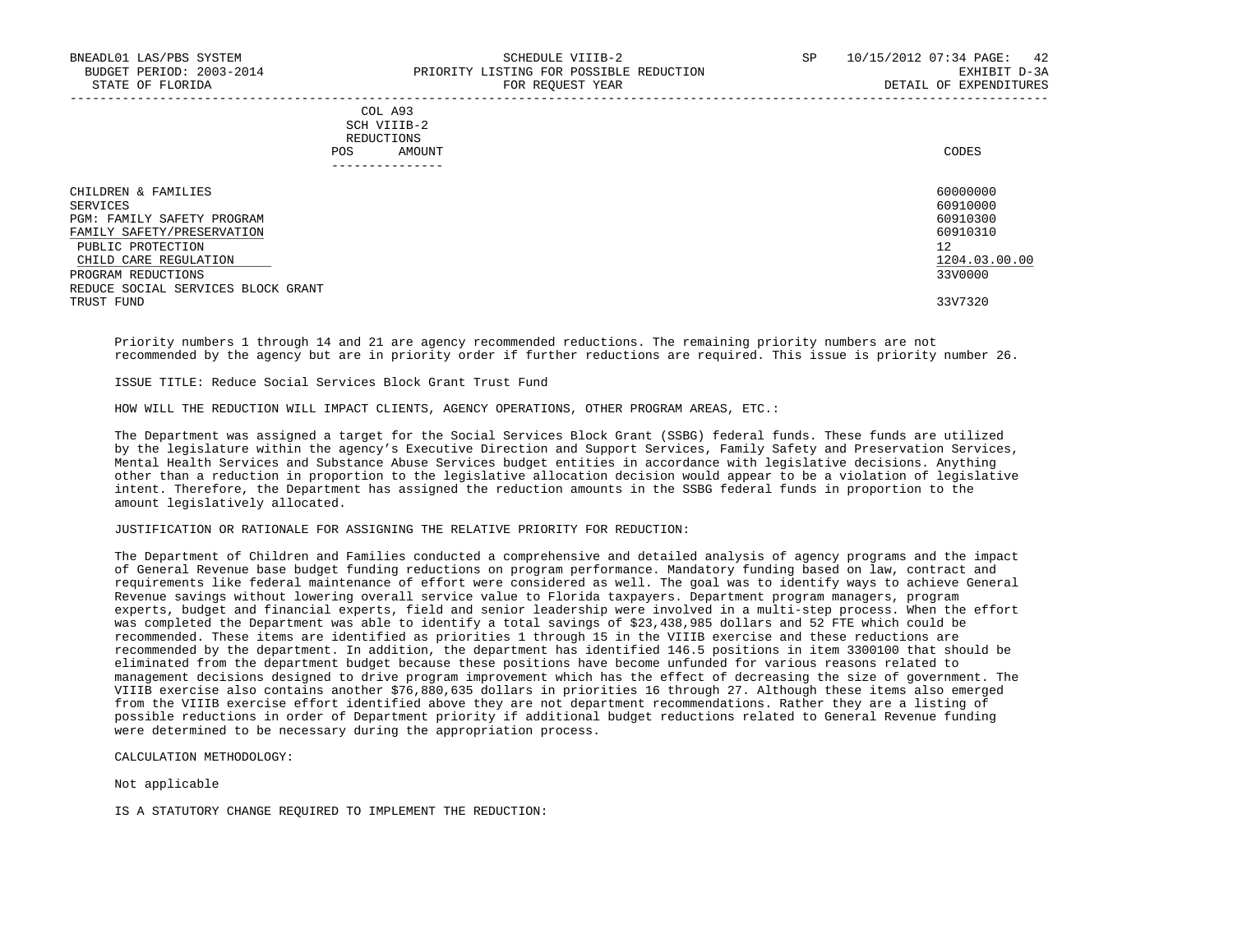### COL A93 SCH VIIIB-2 REDUCTIONS POS AMOUNT CODES ---------------

| CHILDREN & FAMILIES                | 60000000      |
|------------------------------------|---------------|
| SERVICES                           | 60910000      |
| PGM: FAMILY SAFETY PROGRAM         | 60910300      |
| FAMILY SAFETY/PRESERVATION         | 60910310      |
| PUBLIC PROTECTION                  | 12            |
| CHILD CARE REGULATION              | 1204.03.00.00 |
| PROGRAM REDUCTIONS                 | 33V0000       |
| REDUCE SOCIAL SERVICES BLOCK GRANT |               |
| TRUST FUND                         | 33V7320       |

-----------------------------------------------------------------------------------------------------------------------------------

 Priority numbers 1 through 14 and 21 are agency recommended reductions. The remaining priority numbers are not recommended by the agency but are in priority order if further reductions are required. This issue is priority number 26.

ISSUE TITLE: Reduce Social Services Block Grant Trust Fund

HOW WILL THE REDUCTION WILL IMPACT CLIENTS, AGENCY OPERATIONS, OTHER PROGRAM AREAS, ETC.:

 The Department was assigned a target for the Social Services Block Grant (SSBG) federal funds. These funds are utilized by the legislature within the agency's Executive Direction and Support Services, Family Safety and Preservation Services, Mental Health Services and Substance Abuse Services budget entities in accordance with legislative decisions. Anything other than a reduction in proportion to the legislative allocation decision would appear to be a violation of legislative intent. Therefore, the Department has assigned the reduction amounts in the SSBG federal funds in proportion to the amount legislatively allocated.

#### JUSTIFICATION OR RATIONALE FOR ASSIGNING THE RELATIVE PRIORITY FOR REDUCTION:

 The Department of Children and Families conducted a comprehensive and detailed analysis of agency programs and the impact of General Revenue base budget funding reductions on program performance. Mandatory funding based on law, contract and requirements like federal maintenance of effort were considered as well. The goal was to identify ways to achieve General Revenue savings without lowering overall service value to Florida taxpayers. Department program managers, program experts, budget and financial experts, field and senior leadership were involved in a multi-step process. When the effort was completed the Department was able to identify a total savings of \$23,438,985 dollars and 52 FTE which could be recommended. These items are identified as priorities 1 through 15 in the VIIIB exercise and these reductions are recommended by the department. In addition, the department has identified 146.5 positions in item 3300100 that should be eliminated from the department budget because these positions have become unfunded for various reasons related to management decisions designed to drive program improvement which has the effect of decreasing the size of government. The VIIIB exercise also contains another \$76,880,635 dollars in priorities 16 through 27. Although these items also emerged from the VIIIB exercise effort identified above they are not department recommendations. Rather they are a listing of possible reductions in order of Department priority if additional budget reductions related to General Revenue funding were determined to be necessary during the appropriation process.

CALCULATION METHODOLOGY:

Not applicable

IS A STATUTORY CHANGE REQUIRED TO IMPLEMENT THE REDUCTION: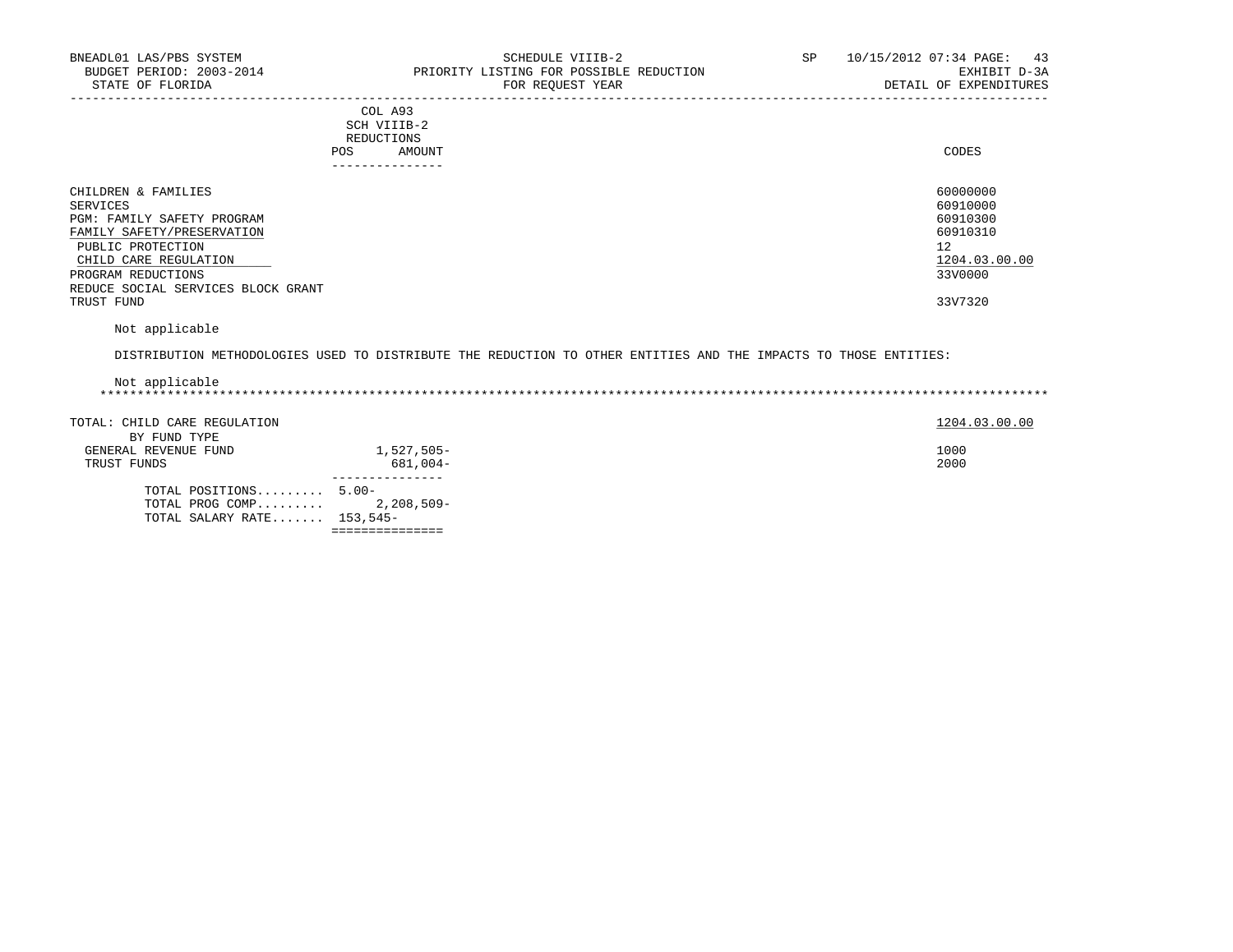| COL A93                                                                                                        |
|----------------------------------------------------------------------------------------------------------------|
| SCH VIIIB-2<br>the contract of the contract of the contract of the contract of the contract of the contract of |
| REDUCTIONS                                                                                                     |
| CODES<br>AMOUNT                                                                                                |
|                                                                                                                |

| - - - - - - - - - - - - - -        |               |
|------------------------------------|---------------|
| CHILDREN & FAMILIES                | 60000000      |
| SERVICES                           | 60910000      |
| PGM: FAMILY SAFETY PROGRAM         | 60910300      |
| FAMILY SAFETY/PRESERVATION         | 60910310      |
| PUBLIC PROTECTION                  | 12            |
| CHILD CARE REGULATION              | 1204.03.00.00 |
| PROGRAM REDUCTIONS                 | 33V0000       |
| REDUCE SOCIAL SERVICES BLOCK GRANT |               |
| TRUST FUND                         | 33V7320       |

Not applicable

DISTRIBUTION METHODOLOGIES USED TO DISTRIBUTE THE REDUCTION TO OTHER ENTITIES AND THE IMPACTS TO THOSE ENTITIES:

| Not applicable               |              |               |
|------------------------------|--------------|---------------|
| TOTAL: CHILD CARE REGULATION |              | 1204.03.00.00 |
| BY FUND TYPE                 |              |               |
| GENERAL REVENUE FUND         | 1,527,505-   | 1000          |
| TRUST FUNDS                  | 681,004-     | 2000          |
| TOTAL POSITIONS 5.00-        |              |               |
| TOTAL PROG COMP              | 2,208,509-   |               |
| TOTAL SALARY RATE $153,545-$ |              |               |
|                              | :=========== |               |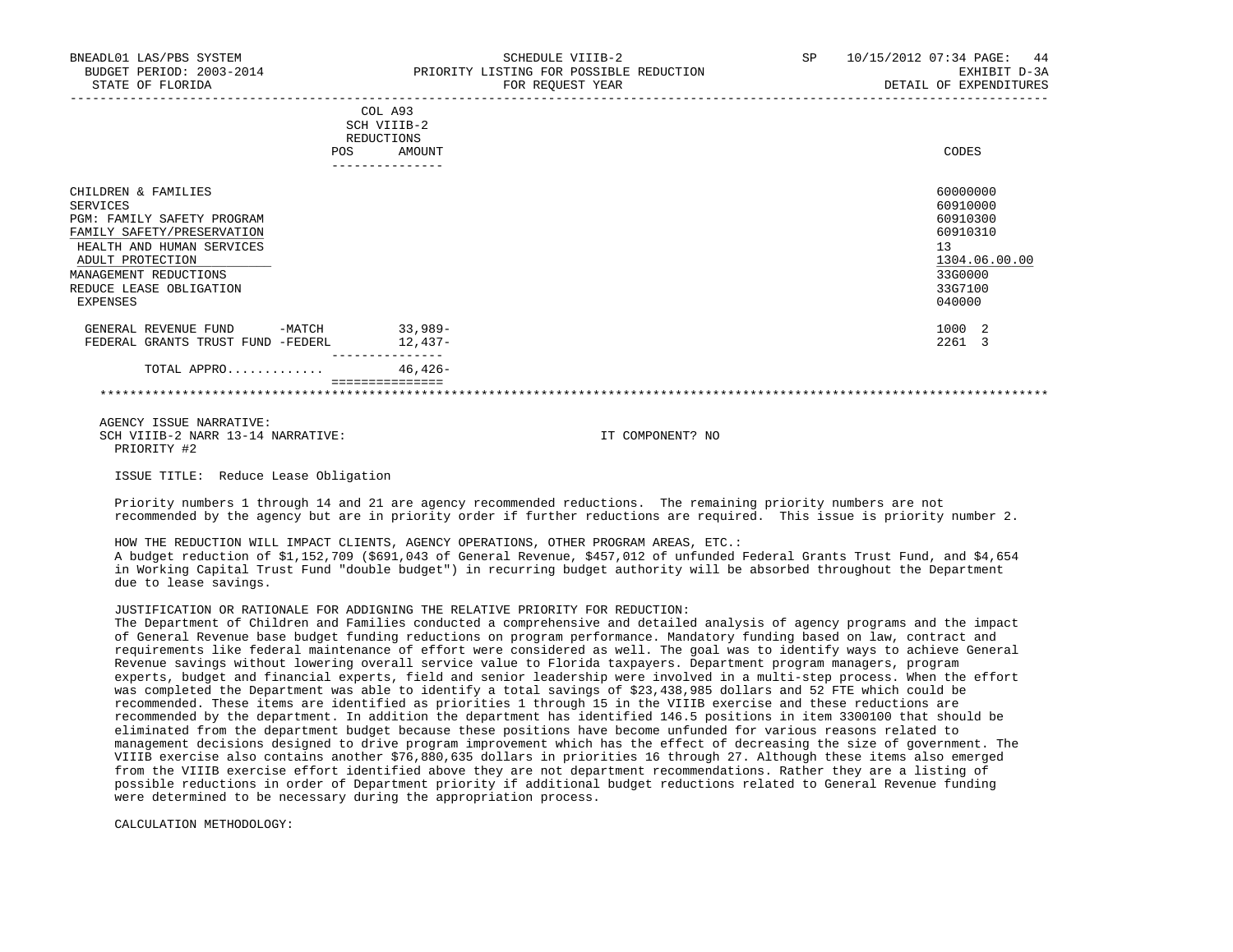| BNEADL01 LAS/PBS SYSTEM<br>BUDGET PERIOD: 2003-2014<br>STATE OF FLORIDA                                                                                                                                      |     |                                                | SCHEDULE VIIIB-2<br>PRIORITY LISTING FOR POSSIBLE REDUCTION<br>FOR REQUEST YEAR | SP and the set of the set of the set of the set of the set of the set of the set of the set of the set of the set of the set of the set of the set of the set of the set of the set of the set of the set of the set of the se | 10/15/2012 07:34 PAGE: 44<br>EXHIBIT D-3A<br>DETAIL OF EXPENDITURES                                 |
|--------------------------------------------------------------------------------------------------------------------------------------------------------------------------------------------------------------|-----|------------------------------------------------|---------------------------------------------------------------------------------|--------------------------------------------------------------------------------------------------------------------------------------------------------------------------------------------------------------------------------|-----------------------------------------------------------------------------------------------------|
|                                                                                                                                                                                                              | POS | COL A93<br>SCH VIIIB-2<br>REDUCTIONS<br>AMOUNT |                                                                                 |                                                                                                                                                                                                                                | CODES                                                                                               |
| CHILDREN & FAMILIES<br>SERVICES<br>PGM: FAMILY SAFETY PROGRAM<br>FAMILY SAFETY/PRESERVATION<br>HEALTH AND HUMAN SERVICES<br>ADULT PROTECTION<br>MANAGEMENT REDUCTIONS<br>REDUCE LEASE OBLIGATION<br>EXPENSES |     |                                                |                                                                                 |                                                                                                                                                                                                                                | 60000000<br>60910000<br>60910300<br>60910310<br>13<br>1304.06.00.00<br>33G0000<br>33G7100<br>040000 |
| GENERAL REVENUE FUND -MATCH 33,989-<br>FEDERAL GRANTS TRUST FUND -FEDERL                                                                                                                                     |     | 12,437-<br>--------------                      |                                                                                 |                                                                                                                                                                                                                                | 1000 2<br>2261 3                                                                                    |
| TOTAL APPRO                                                                                                                                                                                                  |     | 46,426-                                        |                                                                                 |                                                                                                                                                                                                                                |                                                                                                     |

 =============== \*\*\*\*\*\*\*\*\*\*\*\*\*\*\*\*\*\*\*\*\*\*\*\*\*\*\*\*\*\*\*\*\*\*\*\*\*\*\*\*\*\*\*\*\*\*\*\*\*\*\*\*\*\*\*\*\*\*\*\*\*\*\*\*\*\*\*\*\*\*\*\*\*\*\*\*\*\*\*\*\*\*\*\*\*\*\*\*\*\*\*\*\*\*\*\*\*\*\*\*\*\*\*\*\*\*\*\*\*\*\*\*\*\*\*\*\*\*\*\*\*\*\*\*\*\*\*

 AGENCY ISSUE NARRATIVE: SCH VIIIB-2 NARR 13-14 NARRATIVE: IT COMPONENT? NO PRIORITY #2

ISSUE TITLE: Reduce Lease Obligation

 Priority numbers 1 through 14 and 21 are agency recommended reductions. The remaining priority numbers are not recommended by the agency but are in priority order if further reductions are required. This issue is priority number 2.

 HOW THE REDUCTION WILL IMPACT CLIENTS, AGENCY OPERATIONS, OTHER PROGRAM AREAS, ETC.: A budget reduction of \$1,152,709 (\$691,043 of General Revenue, \$457,012 of unfunded Federal Grants Trust Fund, and \$4,654 in Working Capital Trust Fund "double budget") in recurring budget authority will be absorbed throughout the Department due to lease savings.

## JUSTIFICATION OR RATIONALE FOR ADDIGNING THE RELATIVE PRIORITY FOR REDUCTION:

 The Department of Children and Families conducted a comprehensive and detailed analysis of agency programs and the impact of General Revenue base budget funding reductions on program performance. Mandatory funding based on law, contract and requirements like federal maintenance of effort were considered as well. The goal was to identify ways to achieve General Revenue savings without lowering overall service value to Florida taxpayers. Department program managers, program experts, budget and financial experts, field and senior leadership were involved in a multi-step process. When the effort was completed the Department was able to identify a total savings of \$23,438,985 dollars and 52 FTE which could be recommended. These items are identified as priorities 1 through 15 in the VIIIB exercise and these reductions are recommended by the department. In addition the department has identified 146.5 positions in item 3300100 that should be eliminated from the department budget because these positions have become unfunded for various reasons related to management decisions designed to drive program improvement which has the effect of decreasing the size of government. The VIIIB exercise also contains another \$76,880,635 dollars in priorities 16 through 27. Although these items also emerged from the VIIIB exercise effort identified above they are not department recommendations. Rather they are a listing of possible reductions in order of Department priority if additional budget reductions related to General Revenue funding were determined to be necessary during the appropriation process.

CALCULATION METHODOLOGY: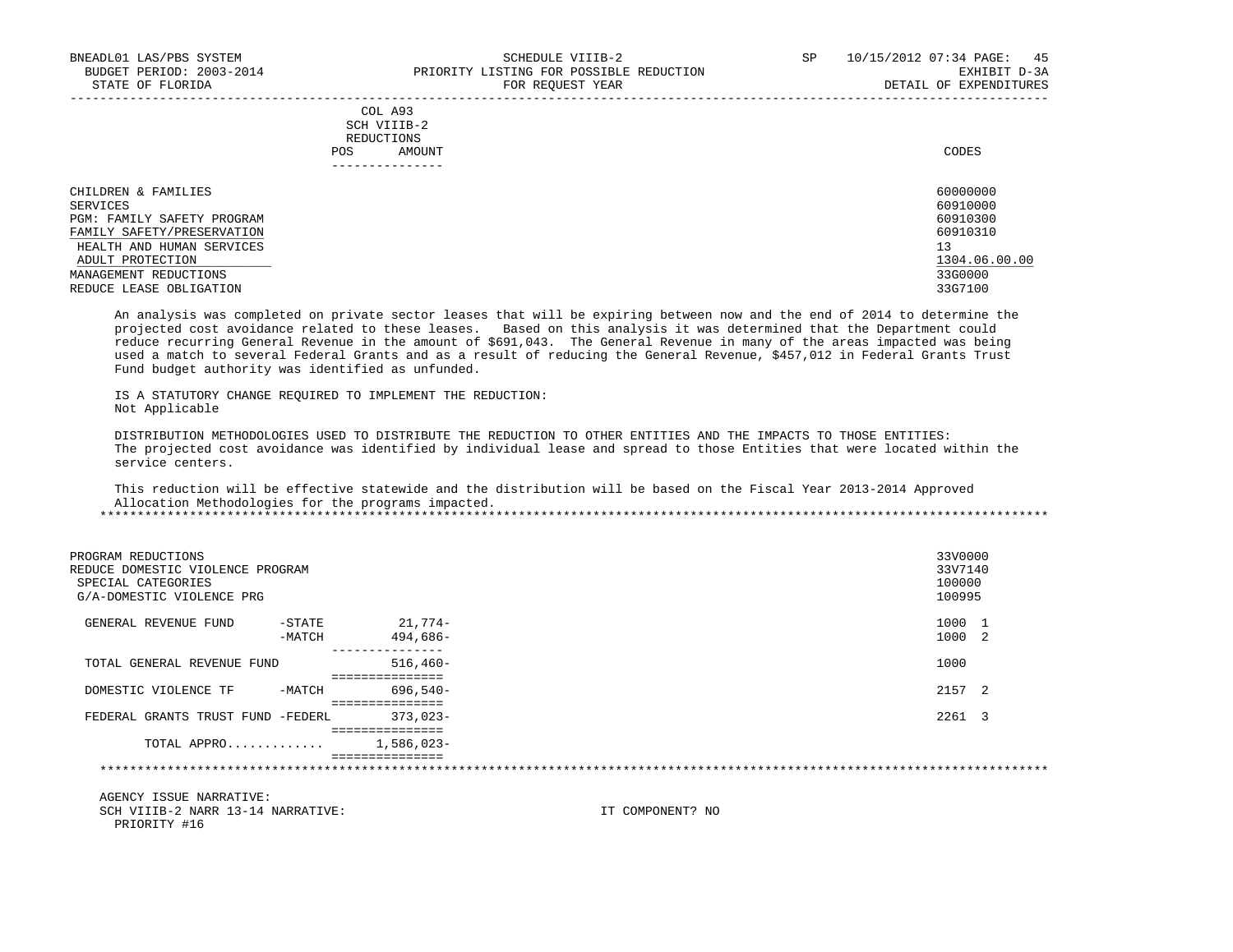|     | --------------- |       |
|-----|-----------------|-------|
| POS | AMOUNT          | CODES |
|     | REDUCTIONS      |       |
|     | SCH VIIIB-2     |       |
|     | COL A93         |       |

| CHILDREN & FAMILIES        | 60000000      |
|----------------------------|---------------|
| SERVICES                   | 60910000      |
| PGM: FAMILY SAFETY PROGRAM | 60910300      |
| FAMILY SAFETY/PRESERVATION | 60910310      |
| HEALTH AND HUMAN SERVICES  | 13            |
| ADULT PROTECTION           | 1304.06.00.00 |
| MANAGEMENT REDUCTIONS      | 33G0000       |
| REDUCE LEASE OBLIGATION    | 33G7100       |

 An analysis was completed on private sector leases that will be expiring between now and the end of 2014 to determine the projected cost avoidance related to these leases. Based on this analysis it was determined that the Department could reduce recurring General Revenue in the amount of \$691,043. The General Revenue in many of the areas impacted was being used a match to several Federal Grants and as a result of reducing the General Revenue, \$457,012 in Federal Grants Trust Fund budget authority was identified as unfunded.

 IS A STATUTORY CHANGE REQUIRED TO IMPLEMENT THE REDUCTION: Not Applicable

 DISTRIBUTION METHODOLOGIES USED TO DISTRIBUTE THE REDUCTION TO OTHER ENTITIES AND THE IMPACTS TO THOSE ENTITIES: The projected cost avoidance was identified by individual lease and spread to those Entities that were located within the service centers.

 This reduction will be effective statewide and the distribution will be based on the Fiscal Year 2013-2014 Approved Allocation Methodologies for the programs impacted.

| PROGRAM REDUCTIONS<br>REDUCE DOMESTIC VIOLENCE PROGRAM<br>SPECIAL CATEGORIES<br>G/A-DOMESTIC VIOLENCE PRG |                     |                                                   | 33V0000<br>33V7140<br>100000<br>100995 |
|-----------------------------------------------------------------------------------------------------------|---------------------|---------------------------------------------------|----------------------------------------|
| GENERAL REVENUE FUND                                                                                      | $-$ STATE<br>-MATCH | 21,774-<br>$494.686-$                             | 1000 1<br>1000 2                       |
| TOTAL GENERAL REVENUE FUND                                                                                |                     | ----------------<br>$516,460-$<br>=============== | 1000                                   |
| DOMESTIC VIOLENCE TF                                                                                      | -MATCH              | 696,540-                                          | 2157 2                                 |
| FEDERAL GRANTS TRUST FUND -FEDERL                                                                         |                     | $373.023 -$                                       | 2261 3                                 |
| TOTAL APPRO                                                                                               |                     | ===============<br>$1,586,023-$                   |                                        |
|                                                                                                           |                     | ===============                                   |                                        |

 AGENCY ISSUE NARRATIVE: SCH VIIIB-2 NARR 13-14 NARRATIVE: IT COMPONENT? NO PRIORITY #16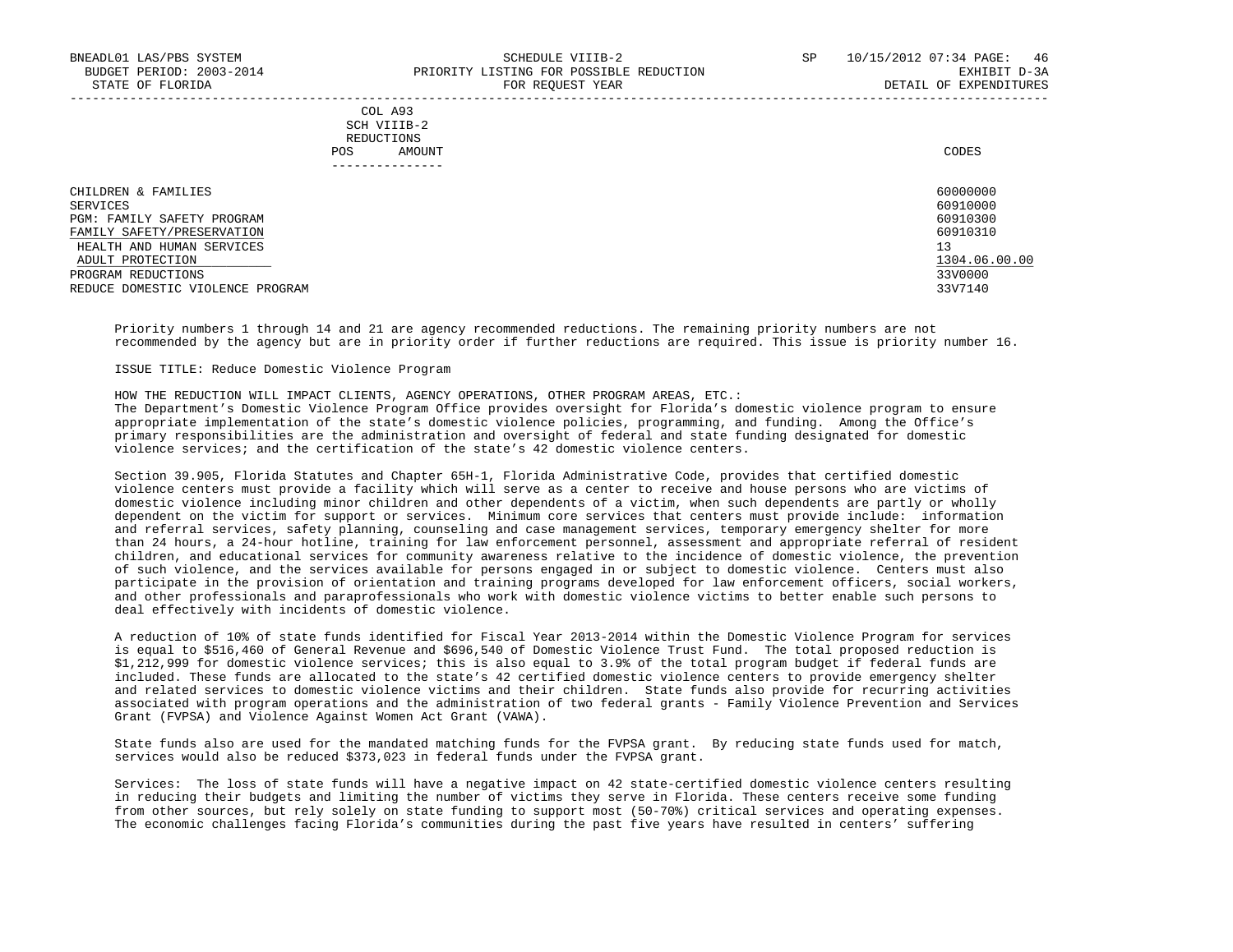#### COL A93 SCH VIIIB-2 REDUCTIONS POS AMOUNT CODES ---------------

| CHILDREN & FAMILIES              | 60000000      |
|----------------------------------|---------------|
| SERVICES                         | 60910000      |
| PGM: FAMILY SAFETY PROGRAM       | 60910300      |
| FAMILY SAFETY/PRESERVATION       | 60910310      |
| HEALTH AND HUMAN SERVICES        |               |
| ADULT PROTECTION                 | 1304.06.00.00 |
| PROGRAM REDUCTIONS               | 33V0000       |
| REDUCE DOMESTIC VIOLENCE PROGRAM | 33V7140       |

-----------------------------------------------------------------------------------------------------------------------------------

 Priority numbers 1 through 14 and 21 are agency recommended reductions. The remaining priority numbers are not recommended by the agency but are in priority order if further reductions are required. This issue is priority number 16.

ISSUE TITLE: Reduce Domestic Violence Program

 HOW THE REDUCTION WILL IMPACT CLIENTS, AGENCY OPERATIONS, OTHER PROGRAM AREAS, ETC.: The Department's Domestic Violence Program Office provides oversight for Florida's domestic violence program to ensure appropriate implementation of the state's domestic violence policies, programming, and funding. Among the Office's primary responsibilities are the administration and oversight of federal and state funding designated for domestic violence services; and the certification of the state's 42 domestic violence centers.

 Section 39.905, Florida Statutes and Chapter 65H-1, Florida Administrative Code, provides that certified domestic violence centers must provide a facility which will serve as a center to receive and house persons who are victims of domestic violence including minor children and other dependents of a victim, when such dependents are partly or wholly dependent on the victim for support or services. Minimum core services that centers must provide include: information and referral services, safety planning, counseling and case management services, temporary emergency shelter for more than 24 hours, a 24-hour hotline, training for law enforcement personnel, assessment and appropriate referral of resident children, and educational services for community awareness relative to the incidence of domestic violence, the prevention of such violence, and the services available for persons engaged in or subject to domestic violence. Centers must also participate in the provision of orientation and training programs developed for law enforcement officers, social workers, and other professionals and paraprofessionals who work with domestic violence victims to better enable such persons to deal effectively with incidents of domestic violence.

 A reduction of 10% of state funds identified for Fiscal Year 2013-2014 within the Domestic Violence Program for services is equal to \$516,460 of General Revenue and \$696,540 of Domestic Violence Trust Fund. The total proposed reduction is \$1,212,999 for domestic violence services; this is also equal to 3.9% of the total program budget if federal funds are included. These funds are allocated to the state's 42 certified domestic violence centers to provide emergency shelter and related services to domestic violence victims and their children. State funds also provide for recurring activities associated with program operations and the administration of two federal grants - Family Violence Prevention and Services Grant (FVPSA) and Violence Against Women Act Grant (VAWA).

 State funds also are used for the mandated matching funds for the FVPSA grant. By reducing state funds used for match, services would also be reduced \$373,023 in federal funds under the FVPSA grant.

 Services: The loss of state funds will have a negative impact on 42 state-certified domestic violence centers resulting in reducing their budgets and limiting the number of victims they serve in Florida. These centers receive some funding from other sources, but rely solely on state funding to support most (50-70%) critical services and operating expenses. The economic challenges facing Florida's communities during the past five years have resulted in centers' suffering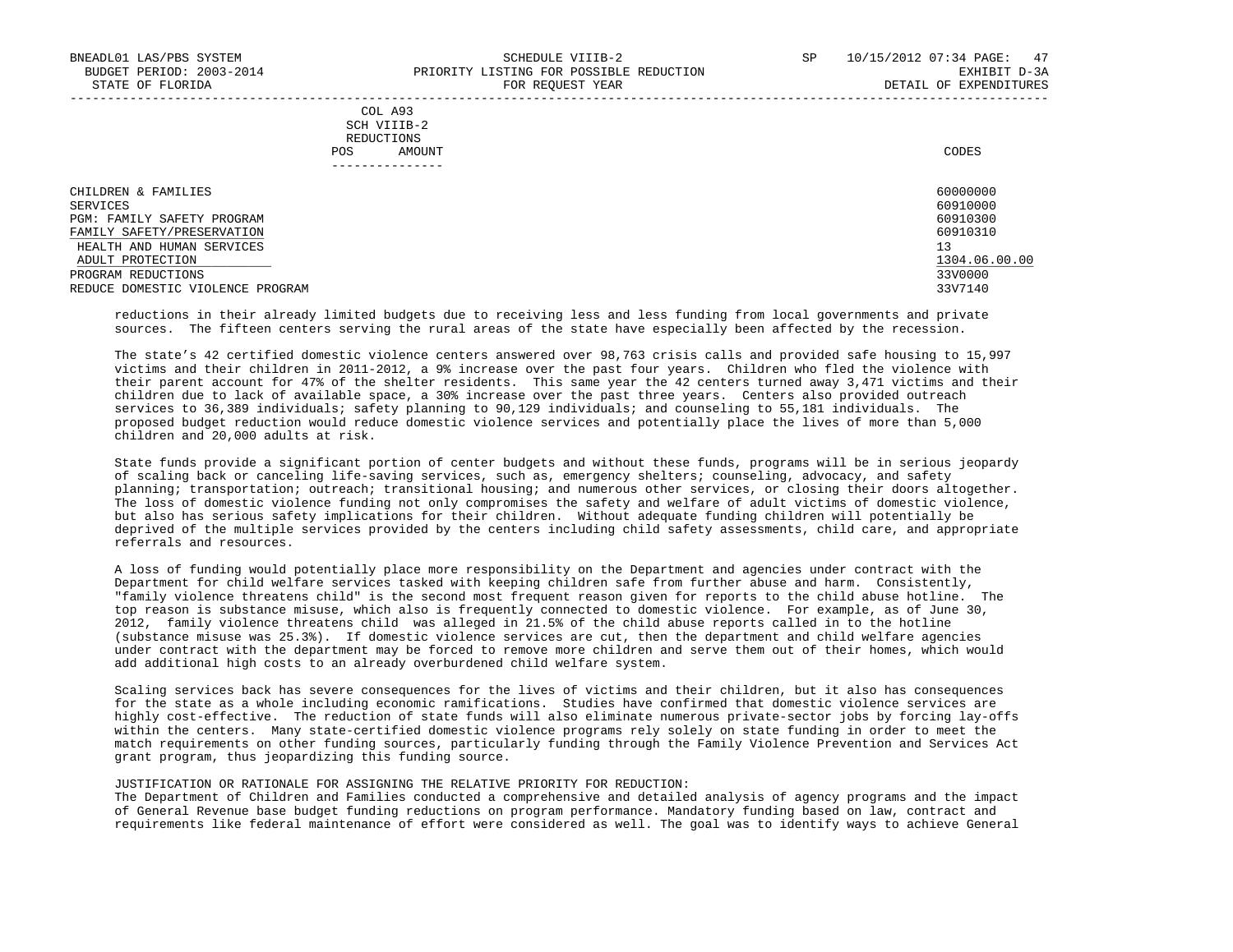|     | COL A93     |       |
|-----|-------------|-------|
|     | SCH VIIIB-2 |       |
|     | REDUCTIONS  |       |
| POS | AMOUNT      | CODES |

| CHILDREN & FAMILIES               | 60000000      |
|-----------------------------------|---------------|
| SERVICES                          | 60910000      |
| <b>PGM: FAMILY SAFETY PROGRAM</b> | 60910300      |
| FAMILY SAFETY/PRESERVATION        | 60910310      |
| HEALTH AND HUMAN SERVICES         | 13            |
| ADULT PROTECTION                  | 1304.06.00.00 |
| PROGRAM REDUCTIONS                | 33V0000       |
| REDUCE DOMESTIC VIOLENCE PROGRAM  | 33V7140       |

 reductions in their already limited budgets due to receiving less and less funding from local governments and private sources. The fifteen centers serving the rural areas of the state have especially been affected by the recession.

 The state's 42 certified domestic violence centers answered over 98,763 crisis calls and provided safe housing to 15,997 victims and their children in 2011-2012, a 9% increase over the past four years. Children who fled the violence with their parent account for 47% of the shelter residents. This same year the 42 centers turned away 3,471 victims and their children due to lack of available space, a 30% increase over the past three years. Centers also provided outreach services to 36,389 individuals; safety planning to 90,129 individuals; and counseling to 55,181 individuals. The proposed budget reduction would reduce domestic violence services and potentially place the lives of more than 5,000 children and 20,000 adults at risk.

 State funds provide a significant portion of center budgets and without these funds, programs will be in serious jeopardy of scaling back or canceling life-saving services, such as, emergency shelters; counseling, advocacy, and safety planning; transportation; outreach; transitional housing; and numerous other services, or closing their doors altogether. The loss of domestic violence funding not only compromises the safety and welfare of adult victims of domestic violence, but also has serious safety implications for their children. Without adequate funding children will potentially be deprived of the multiple services provided by the centers including child safety assessments, child care, and appropriate referrals and resources.

 A loss of funding would potentially place more responsibility on the Department and agencies under contract with the Department for child welfare services tasked with keeping children safe from further abuse and harm. Consistently, "family violence threatens child" is the second most frequent reason given for reports to the child abuse hotline. The top reason is substance misuse, which also is frequently connected to domestic violence. For example, as of June 30, 2012, family violence threatens child was alleged in 21.5% of the child abuse reports called in to the hotline (substance misuse was 25.3%). If domestic violence services are cut, then the department and child welfare agencies under contract with the department may be forced to remove more children and serve them out of their homes, which would add additional high costs to an already overburdened child welfare system.

 Scaling services back has severe consequences for the lives of victims and their children, but it also has consequences for the state as a whole including economic ramifications. Studies have confirmed that domestic violence services are highly cost-effective. The reduction of state funds will also eliminate numerous private-sector jobs by forcing lay-offs within the centers. Many state-certified domestic violence programs rely solely on state funding in order to meet the match requirements on other funding sources, particularly funding through the Family Violence Prevention and Services Act grant program, thus jeopardizing this funding source.

#### JUSTIFICATION OR RATIONALE FOR ASSIGNING THE RELATIVE PRIORITY FOR REDUCTION:

 The Department of Children and Families conducted a comprehensive and detailed analysis of agency programs and the impact of General Revenue base budget funding reductions on program performance. Mandatory funding based on law, contract and requirements like federal maintenance of effort were considered as well. The goal was to identify ways to achieve General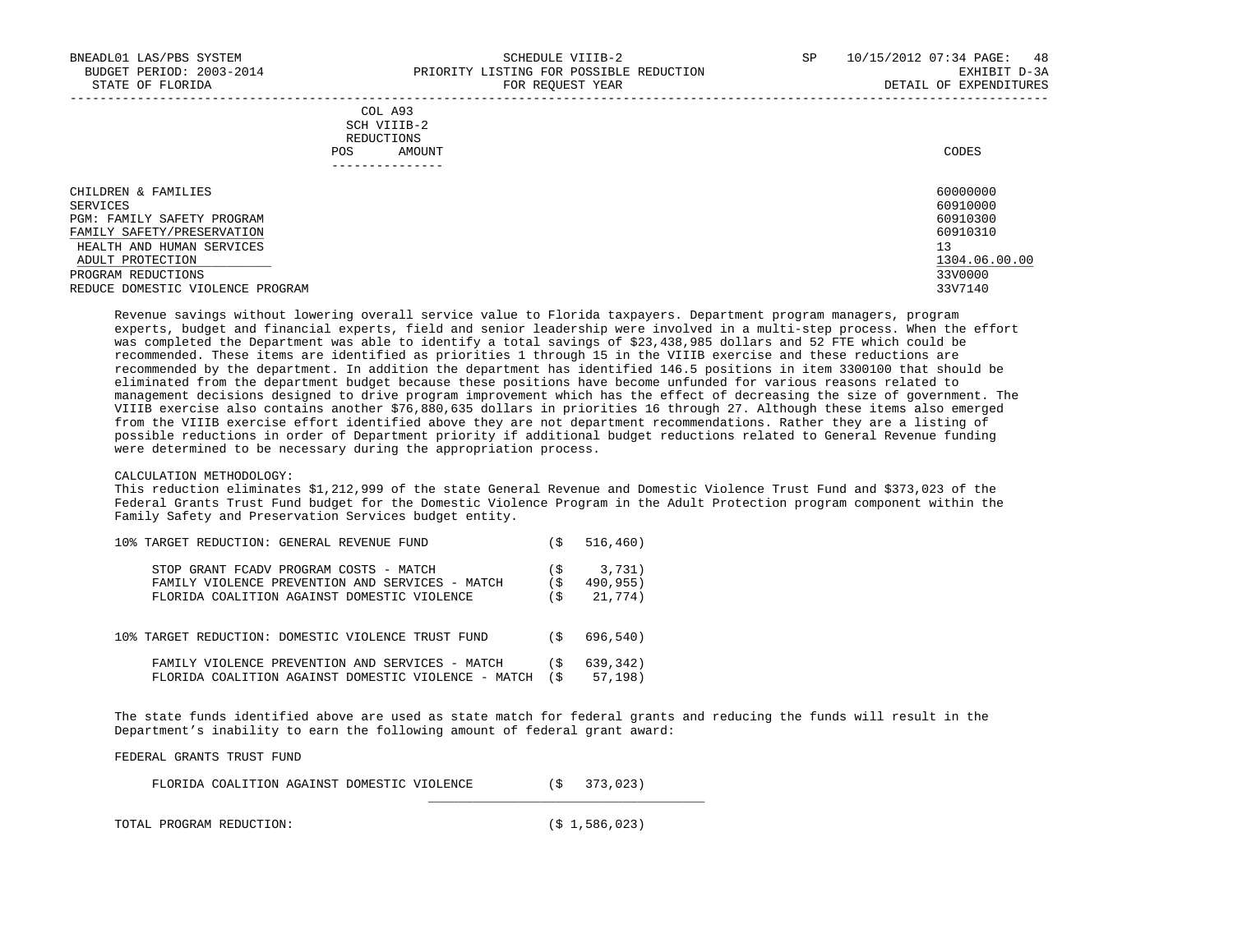|     | --------------- |       |
|-----|-----------------|-------|
| POS | AMOUNT          | CODES |
|     | REDUCTIONS      |       |
|     | SCH VIIIB-2     |       |
|     | COL A93         |       |

| CHILDREN & FAMILIES              | 60000000      |
|----------------------------------|---------------|
| SERVICES                         | 60910000      |
| PGM: FAMILY SAFETY PROGRAM       | 60910300      |
| FAMILY SAFETY/PRESERVATION       | 60910310      |
| HEALTH AND HUMAN SERVICES        | 13            |
| ADULT PROTECTION                 | 1304.06.00.00 |
| PROGRAM REDUCTIONS               | 33V0000       |
| REDUCE DOMESTIC VIOLENCE PROGRAM | 33V7140       |

 Revenue savings without lowering overall service value to Florida taxpayers. Department program managers, program experts, budget and financial experts, field and senior leadership were involved in a multi-step process. When the effort was completed the Department was able to identify a total savings of \$23,438,985 dollars and 52 FTE which could be recommended. These items are identified as priorities 1 through 15 in the VIIIB exercise and these reductions are recommended by the department. In addition the department has identified 146.5 positions in item 3300100 that should be eliminated from the department budget because these positions have become unfunded for various reasons related to management decisions designed to drive program improvement which has the effect of decreasing the size of government. The VIIIB exercise also contains another \$76,880,635 dollars in priorities 16 through 27. Although these items also emerged from the VIIIB exercise effort identified above they are not department recommendations. Rather they are a listing of possible reductions in order of Department priority if additional budget reductions related to General Revenue funding were determined to be necessary during the appropriation process.

#### CALCULATION METHODOLOGY:

 This reduction eliminates \$1,212,999 of the state General Revenue and Domestic Violence Trust Fund and \$373,023 of the Federal Grants Trust Fund budget for the Domestic Violence Program in the Adult Protection program component within the Family Safety and Preservation Services budget entity.

| 10% TARGET REDUCTION: GENERAL REVENUE FUND          | -S   | 516, 460) |
|-----------------------------------------------------|------|-----------|
| STOP GRANT FCADV PROGRAM COSTS - MATCH              | `S   | 3,731)    |
| FAMILY VIOLENCE PREVENTION AND SERVICES - MATCH     | -S   | 490,955)  |
| FLORIDA COALITION AGAINST DOMESTIC VIOLENCE         | Ŝ.   | 21,774)   |
| 10% TARGET REDUCTION: DOMESTIC VIOLENCE TRUST FUND  | ิร   | 696,540)  |
| FAMILY VIOLENCE PREVENTION AND SERVICES - MATCH     | ۰Ś   | 639,342)  |
| FLORIDA COALITION AGAINST DOMESTIC VIOLENCE - MATCH | ( \$ | 57, 198)  |

 The state funds identified above are used as state match for federal grants and reducing the funds will result in the Department's inability to earn the following amount of federal grant award:

FEDERAL GRANTS TRUST FUND

|  | FLORIDA COALITION AGAINST DOMESTIC VIOLENCE |  |  |  |  | 373,023 |
|--|---------------------------------------------|--|--|--|--|---------|
|--|---------------------------------------------|--|--|--|--|---------|

 $\_$ 

TOTAL PROGRAM REDUCTION: (\$ 1,586,023)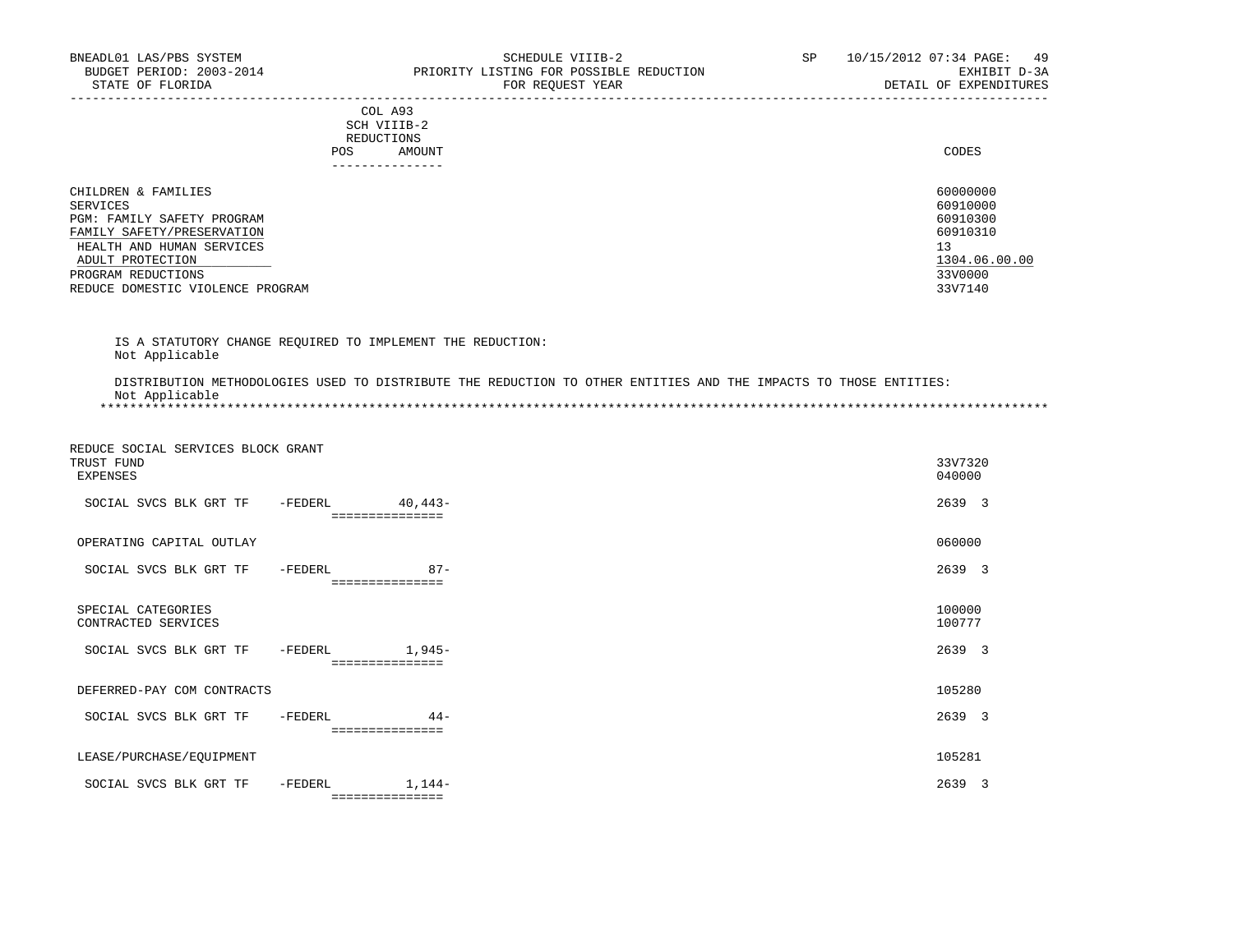-----------------------------------------------------------------------------------------------------------------------------------

|     | --------------- |       |
|-----|-----------------|-------|
| POS | AMOUNT          | CODES |
|     | REDUCTIONS      |       |
|     | SCH VIIIB-2     |       |
|     | COL A93         |       |

|                                  | POS<br>AMOUNT | CODES         |
|----------------------------------|---------------|---------------|
|                                  |               |               |
| CHILDREN & FAMILIES              |               | 60000000      |
| SERVICES                         |               | 60910000      |
| PGM: FAMILY SAFETY PROGRAM       |               | 60910300      |
| FAMILY SAFETY/PRESERVATION       |               | 60910310      |
| HEALTH AND HUMAN SERVICES        |               | 13            |
| ADULT PROTECTION                 |               | 1304.06.00.00 |
| PROGRAM REDUCTIONS               |               | 33V0000       |
| REDUCE DOMESTIC VIOLENCE PROGRAM |               | 33V7140       |

 IS A STATUTORY CHANGE REQUIRED TO IMPLEMENT THE REDUCTION: Not Applicable

 DISTRIBUTION METHODOLOGIES USED TO DISTRIBUTE THE REDUCTION TO OTHER ENTITIES AND THE IMPACTS TO THOSE ENTITIES: Not Applicable \*\*\*\*\*\*\*\*\*\*\*\*\*\*\*\*\*\*\*\*\*\*\*\*\*\*\*\*\*\*\*\*\*\*\*\*\*\*\*\*\*\*\*\*\*\*\*\*\*\*\*\*\*\*\*\*\*\*\*\*\*\*\*\*\*\*\*\*\*\*\*\*\*\*\*\*\*\*\*\*\*\*\*\*\*\*\*\*\*\*\*\*\*\*\*\*\*\*\*\*\*\*\*\*\*\*\*\*\*\*\*\*\*\*\*\*\*\*\*\*\*\*\*\*\*\*\*

 REDUCE SOCIAL SERVICES BLOCK GRANT TRUST FUND 33V7320 EXPENSES 040000 SOCIAL SVCS BLK GRT TF -FEDERL 40,443-<br>
2639 3 =============== OPERATING CAPITAL OUTLAY 060000 SOCIAL SVCS BLK GRT TF -FEDERL 87- 87- 2639 3 =============== SPECIAL CATEGORIES 100000 CONTRACTED SERVICES SOCIAL SVCS BLK GRT TF -FEDERL 1,945- 2639 3 ================ DEFERRED-PAY COM CONTRACTS 105280 SOCIAL SVCS BLK GRT TF -FEDERL 44- 2639 3 =============== LEASE/PURCHASE/EQUIPMENT 105281 SOCIAL SVCS BLK GRT TF -FEDERL 1,144-<br>
2639 3 ===============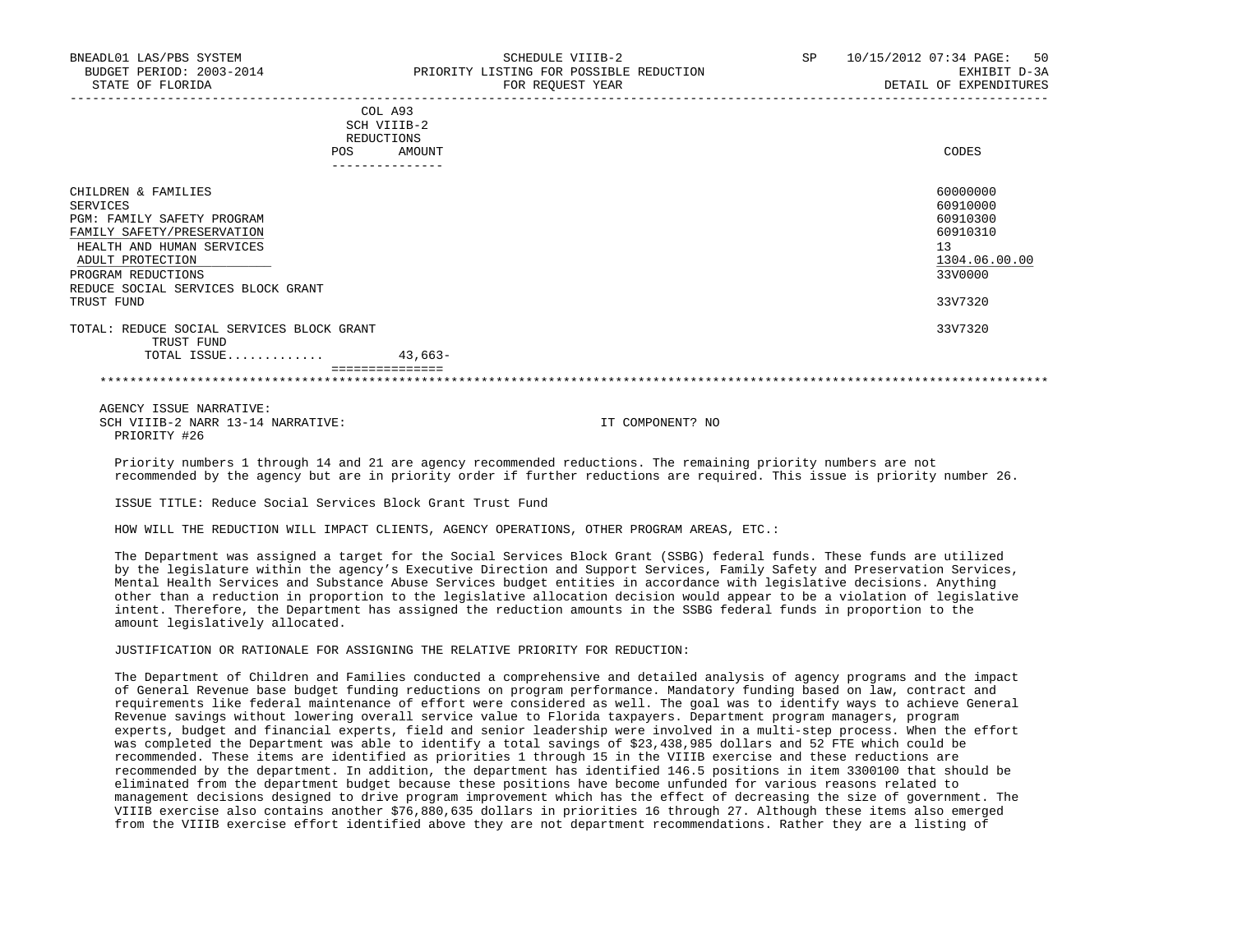|     | COL A93     |       |
|-----|-------------|-------|
|     | SCH VIIIB-2 |       |
|     | REDUCTIONS  |       |
| POS | AMOUNT      | CODES |

| CHILDREN & FAMILIES                       |           | 60000000      |
|-------------------------------------------|-----------|---------------|
| SERVICES                                  |           | 60910000      |
| PGM: FAMILY SAFETY PROGRAM                |           | 60910300      |
| FAMILY SAFETY/PRESERVATION                |           | 60910310      |
| HEALTH AND HUMAN SERVICES                 |           | 13            |
| ADULT PROTECTION                          |           | 1304.06.00.00 |
| PROGRAM REDUCTIONS                        |           | 33V0000       |
| REDUCE SOCIAL SERVICES BLOCK GRANT        |           |               |
| TRUST FUND                                |           | 33V7320       |
| TOTAL: REDUCE SOCIAL SERVICES BLOCK GRANT |           | 33V7320       |
| TRUST FUND                                |           |               |
| TOTAL ISSUE                               | $43.663-$ |               |
|                                           |           |               |
|                                           |           |               |

 AGENCY ISSUE NARRATIVE: SCH VIIIB-2 NARR 13-14 NARRATIVE: IT COMPONENT? NO PRIORITY #26

 Priority numbers 1 through 14 and 21 are agency recommended reductions. The remaining priority numbers are not recommended by the agency but are in priority order if further reductions are required. This issue is priority number 26.

ISSUE TITLE: Reduce Social Services Block Grant Trust Fund

HOW WILL THE REDUCTION WILL IMPACT CLIENTS, AGENCY OPERATIONS, OTHER PROGRAM AREAS, ETC.:

 The Department was assigned a target for the Social Services Block Grant (SSBG) federal funds. These funds are utilized by the legislature within the agency's Executive Direction and Support Services, Family Safety and Preservation Services, Mental Health Services and Substance Abuse Services budget entities in accordance with legislative decisions. Anything other than a reduction in proportion to the legislative allocation decision would appear to be a violation of legislative intent. Therefore, the Department has assigned the reduction amounts in the SSBG federal funds in proportion to the amount legislatively allocated.

JUSTIFICATION OR RATIONALE FOR ASSIGNING THE RELATIVE PRIORITY FOR REDUCTION:

 The Department of Children and Families conducted a comprehensive and detailed analysis of agency programs and the impact of General Revenue base budget funding reductions on program performance. Mandatory funding based on law, contract and requirements like federal maintenance of effort were considered as well. The goal was to identify ways to achieve General Revenue savings without lowering overall service value to Florida taxpayers. Department program managers, program experts, budget and financial experts, field and senior leadership were involved in a multi-step process. When the effort was completed the Department was able to identify a total savings of \$23,438,985 dollars and 52 FTE which could be recommended. These items are identified as priorities 1 through 15 in the VIIIB exercise and these reductions are recommended by the department. In addition, the department has identified 146.5 positions in item 3300100 that should be eliminated from the department budget because these positions have become unfunded for various reasons related to management decisions designed to drive program improvement which has the effect of decreasing the size of government. The VIIIB exercise also contains another \$76,880,635 dollars in priorities 16 through 27. Although these items also emerged from the VIIIB exercise effort identified above they are not department recommendations. Rather they are a listing of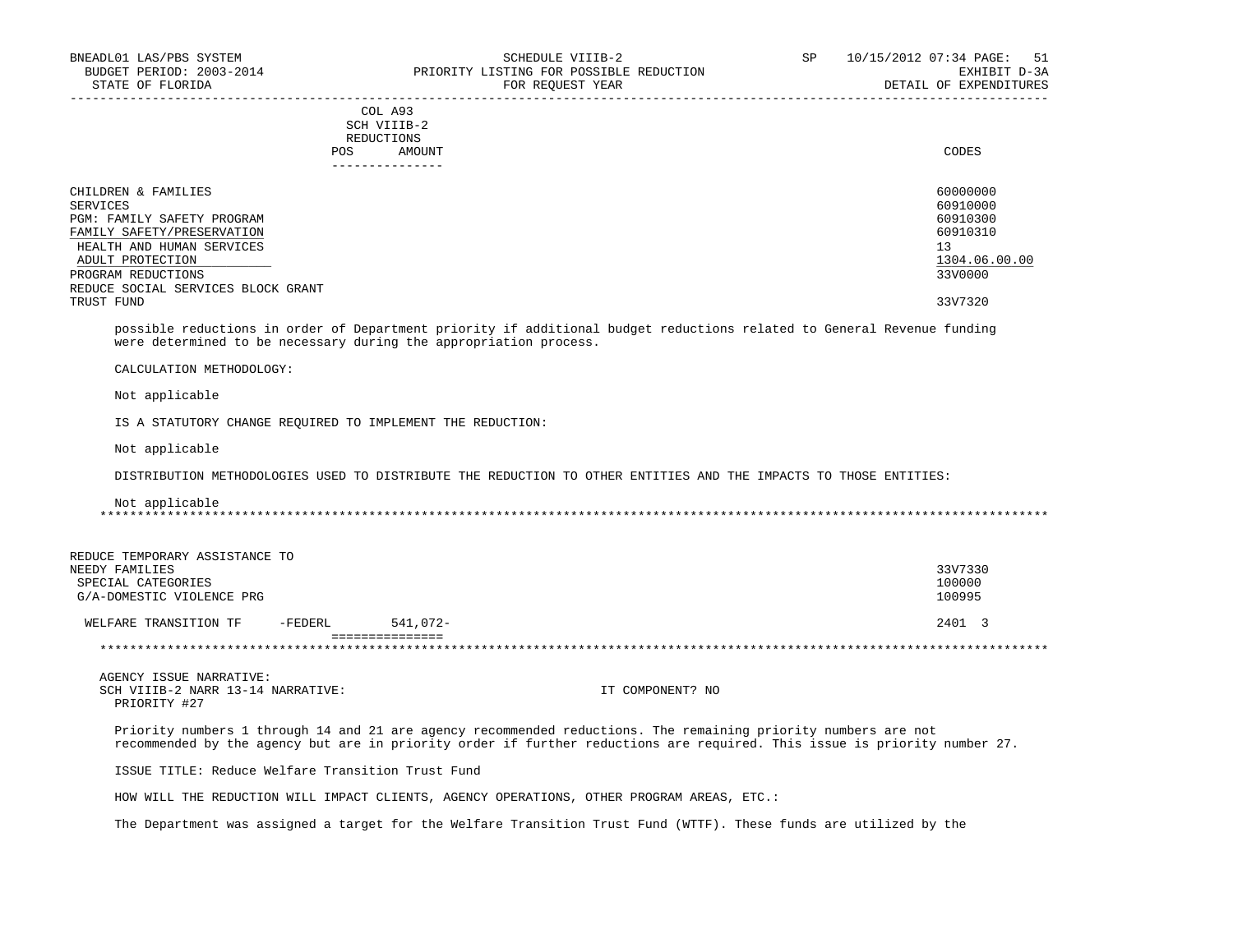### COL A93 SCH VIIIB-2 REDUCTIONS POS AMOUNT CODES ---------------

| CHILDREN & FAMILIES                | 60000000      |
|------------------------------------|---------------|
| SERVICES                           | 60910000      |
| PGM: FAMILY SAFETY PROGRAM         | 60910300      |
| FAMILY SAFETY/PRESERVATION         | 60910310      |
| HEALTH AND HUMAN SERVICES          | 13            |
| ADULT PROTECTION                   | 1304.06.00.00 |
| PROGRAM REDUCTIONS                 | 33V0000       |
| REDUCE SOCIAL SERVICES BLOCK GRANT |               |
| TRUST FUND                         | 33V7320       |

-----------------------------------------------------------------------------------------------------------------------------------

 possible reductions in order of Department priority if additional budget reductions related to General Revenue funding were determined to be necessary during the appropriation process.

CALCULATION METHODOLOGY:

Not applicable

IS A STATUTORY CHANGE REQUIRED TO IMPLEMENT THE REDUCTION:

Not applicable

DISTRIBUTION METHODOLOGIES USED TO DISTRIBUTE THE REDUCTION TO OTHER ENTITIES AND THE IMPACTS TO THOSE ENTITIES:

# Not applicable \*\*\*\*\*\*\*\*\*\*\*\*\*\*\*\*\*\*\*\*\*\*\*\*\*\*\*\*\*\*\*\*\*\*\*\*\*\*\*\*\*\*\*\*\*\*\*\*\*\*\*\*\*\*\*\*\*\*\*\*\*\*\*\*\*\*\*\*\*\*\*\*\*\*\*\*\*\*\*\*\*\*\*\*\*\*\*\*\*\*\*\*\*\*\*\*\*\*\*\*\*\*\*\*\*\*\*\*\*\*\*\*\*\*\*\*\*\*\*\*\*\*\*\*\*\*\*

| REDUCE TEMPORARY ASSISTANCE TO |         |          |         |
|--------------------------------|---------|----------|---------|
| NEEDY FAMILIES                 |         |          | 33V7330 |
| SPECIAL CATEGORIES             |         |          | 100000  |
| G/A-DOMESTIC VIOLENCE PRG      |         |          | 100995  |
| WELFARE TRANSITION TF          | -FEDERL | 541,072- | 2401 3  |
|                                |         |          |         |
|                                |         |          |         |

AGENCY ISSUE NARRATIVE:<br>SCH VIIIB-2 NARR 13-14 NARRATIVE: IT COMPONENT? NO PRIORITY #27

 Priority numbers 1 through 14 and 21 are agency recommended reductions. The remaining priority numbers are not recommended by the agency but are in priority order if further reductions are required. This issue is priority number 27.

ISSUE TITLE: Reduce Welfare Transition Trust Fund

HOW WILL THE REDUCTION WILL IMPACT CLIENTS, AGENCY OPERATIONS, OTHER PROGRAM AREAS, ETC.:

The Department was assigned a target for the Welfare Transition Trust Fund (WTTF). These funds are utilized by the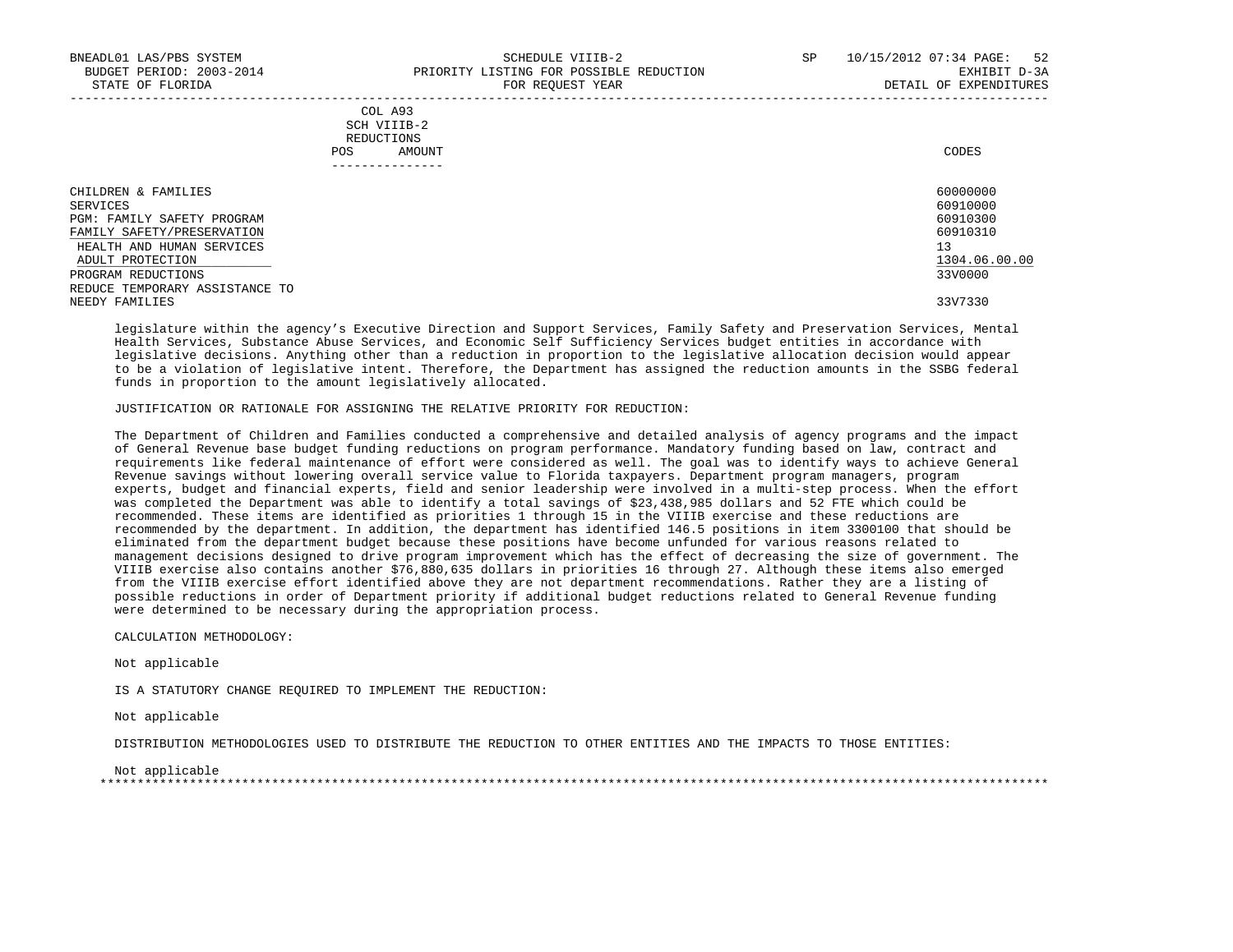|            | _______________ |       |
|------------|-----------------|-------|
| POS        | AMOUNT          | CODES |
| REDUCTIONS |                 |       |
|            | SCH VIIIB-2     |       |
|            | COL A93         |       |

| CHILDREN & FAMILIES            | 60000000      |
|--------------------------------|---------------|
| SERVICES                       | 60910000      |
| PGM: FAMILY SAFETY PROGRAM     | 60910300      |
| FAMILY SAFETY/PRESERVATION     | 60910310      |
| HEALTH AND HUMAN SERVICES      | 13            |
| ADULT PROTECTION               | 1304.06.00.00 |
| PROGRAM REDUCTIONS             | 33V0000       |
| REDUCE TEMPORARY ASSISTANCE TO |               |
| NEEDY FAMILIES                 | 33V7330       |

 legislature within the agency's Executive Direction and Support Services, Family Safety and Preservation Services, Mental Health Services, Substance Abuse Services, and Economic Self Sufficiency Services budget entities in accordance with legislative decisions. Anything other than a reduction in proportion to the legislative allocation decision would appear to be a violation of legislative intent. Therefore, the Department has assigned the reduction amounts in the SSBG federal funds in proportion to the amount legislatively allocated.

#### JUSTIFICATION OR RATIONALE FOR ASSIGNING THE RELATIVE PRIORITY FOR REDUCTION:

 The Department of Children and Families conducted a comprehensive and detailed analysis of agency programs and the impact of General Revenue base budget funding reductions on program performance. Mandatory funding based on law, contract and requirements like federal maintenance of effort were considered as well. The goal was to identify ways to achieve General Revenue savings without lowering overall service value to Florida taxpayers. Department program managers, program experts, budget and financial experts, field and senior leadership were involved in a multi-step process. When the effort was completed the Department was able to identify a total savings of \$23,438,985 dollars and 52 FTE which could be recommended. These items are identified as priorities 1 through 15 in the VIIIB exercise and these reductions are recommended by the department. In addition, the department has identified 146.5 positions in item 3300100 that should be eliminated from the department budget because these positions have become unfunded for various reasons related to management decisions designed to drive program improvement which has the effect of decreasing the size of government. The VIIIB exercise also contains another \$76,880,635 dollars in priorities 16 through 27. Although these items also emerged from the VIIIB exercise effort identified above they are not department recommendations. Rather they are a listing of possible reductions in order of Department priority if additional budget reductions related to General Revenue funding were determined to be necessary during the appropriation process.

CALCULATION METHODOLOGY:

Not applicable

IS A STATUTORY CHANGE REQUIRED TO IMPLEMENT THE REDUCTION:

Not applicable

DISTRIBUTION METHODOLOGIES USED TO DISTRIBUTE THE REDUCTION TO OTHER ENTITIES AND THE IMPACTS TO THOSE ENTITIES:

 Not applicable \*\*\*\*\*\*\*\*\*\*\*\*\*\*\*\*\*\*\*\*\*\*\*\*\*\*\*\*\*\*\*\*\*\*\*\*\*\*\*\*\*\*\*\*\*\*\*\*\*\*\*\*\*\*\*\*\*\*\*\*\*\*\*\*\*\*\*\*\*\*\*\*\*\*\*\*\*\*\*\*\*\*\*\*\*\*\*\*\*\*\*\*\*\*\*\*\*\*\*\*\*\*\*\*\*\*\*\*\*\*\*\*\*\*\*\*\*\*\*\*\*\*\*\*\*\*\*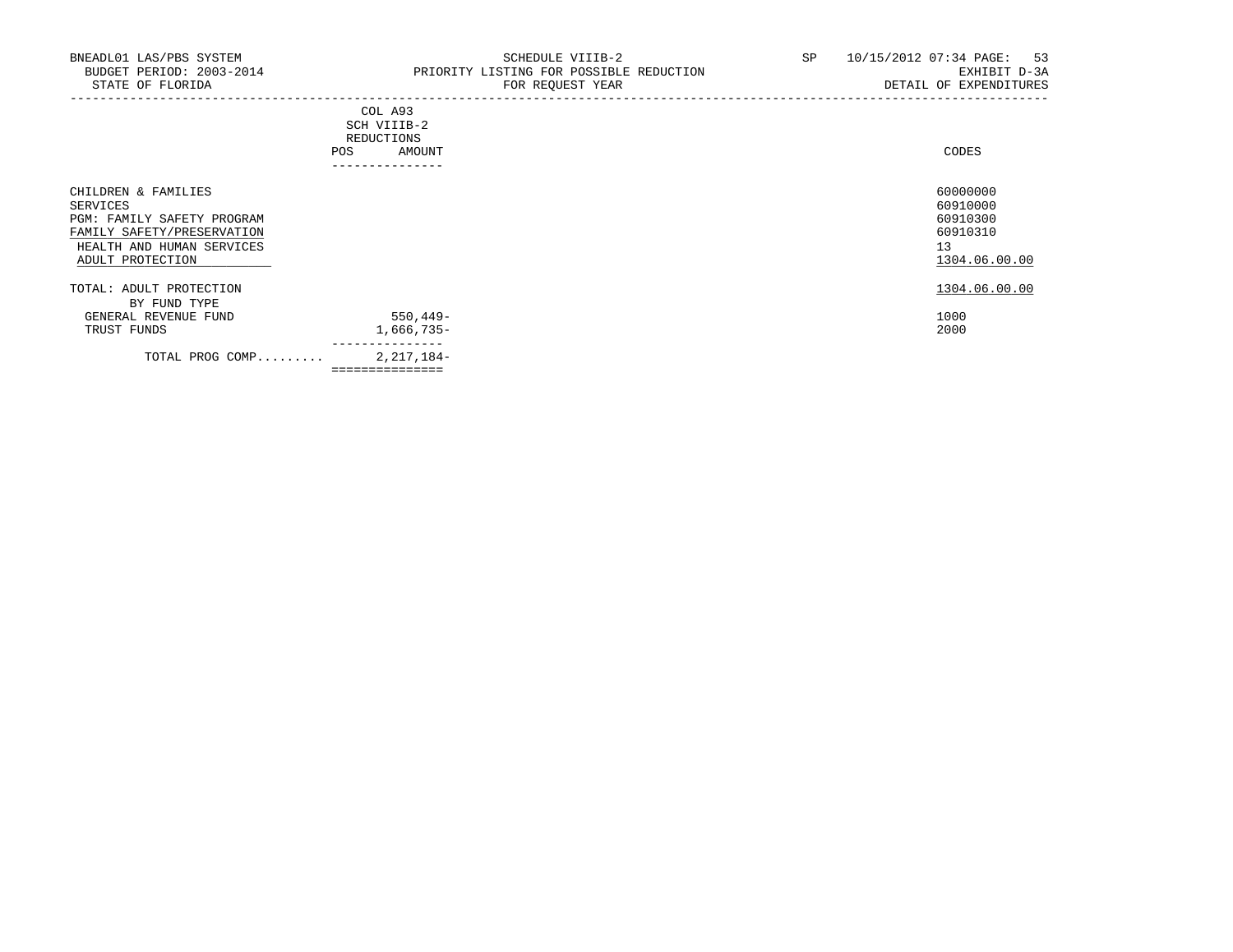## COL A93 SCH VIIIB-2 REDUCTIONS POS AMOUNT ---------------

| CHILDREN & FAMILIES<br>SERVICES<br>PGM: FAMILY SAFETY PROGRAM<br>FAMILY SAFETY/PRESERVATION<br>HEALTH AND HUMAN SERVICES<br>ADULT PROTECTION |                 | 60000000<br>60910000<br>60910300<br>60910310<br>13<br>1304.06.00.00 |
|----------------------------------------------------------------------------------------------------------------------------------------------|-----------------|---------------------------------------------------------------------|
| TOTAL: ADULT PROTECTION                                                                                                                      |                 | 1304.06.00.00                                                       |
| BY FUND TYPE<br>GENERAL REVENUE FUND                                                                                                         | $550.449 -$     | 1000                                                                |
| TRUST FUNDS                                                                                                                                  | 1,666,735-      | 2000                                                                |
| TOTAL PROG COMP                                                                                                                              | 2, 217, 184-    |                                                                     |
|                                                                                                                                              | =============== |                                                                     |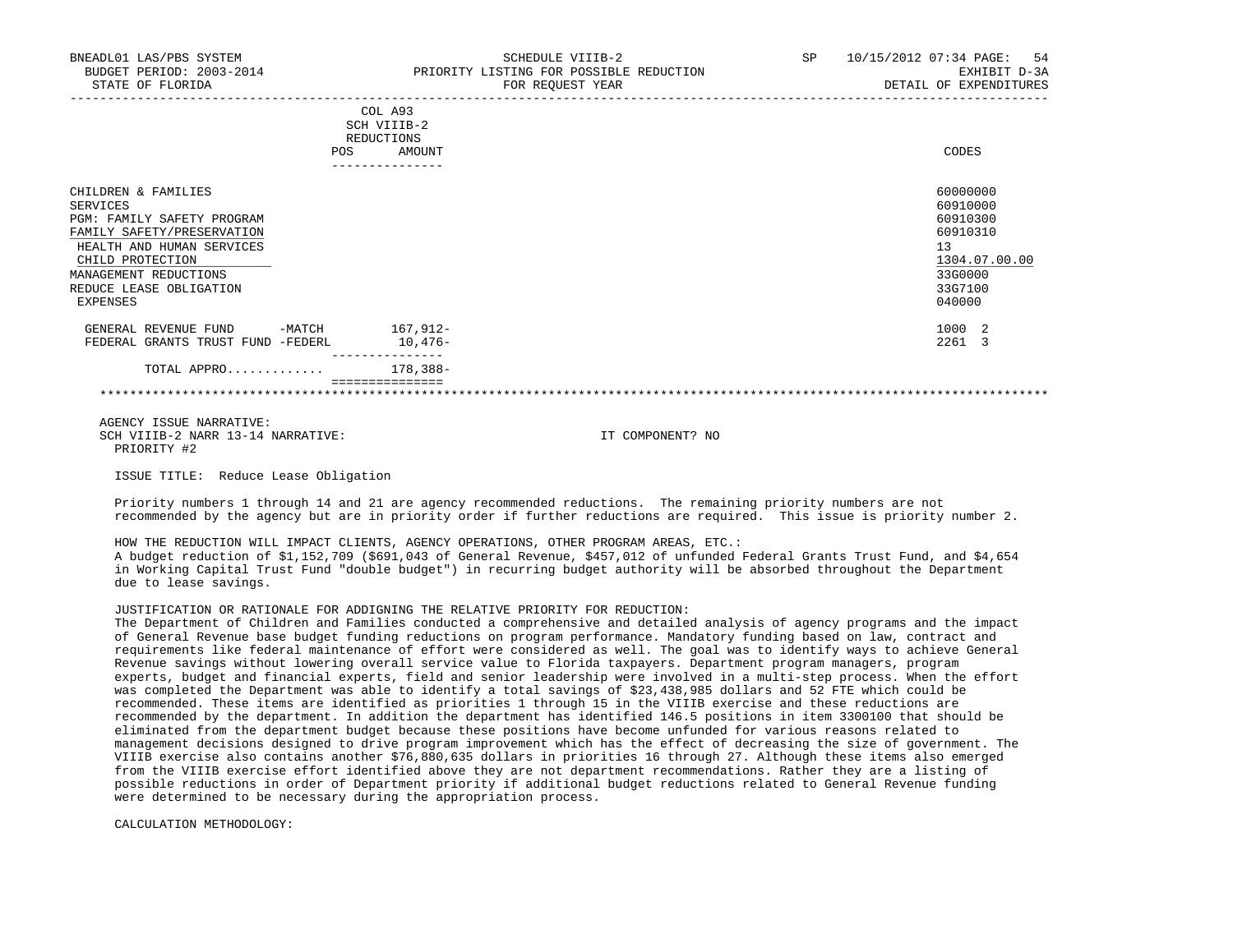| BNEADL01 LAS/PBS SYSTEM<br>BUDGET PERIOD: 2003-2014<br>STATE OF FLORIDA                                                                      | SCHEDULE VIIIB-2<br>PRIORITY LISTING FOR POSSIBLE REDUCTION<br>FOR REQUEST YEAR | -54<br><b>SP</b><br>10/15/2012 07:34 PAGE:<br>EXHIBIT D-3A<br>DETAIL OF EXPENDITURES |
|----------------------------------------------------------------------------------------------------------------------------------------------|---------------------------------------------------------------------------------|--------------------------------------------------------------------------------------|
|                                                                                                                                              | COL A93<br>SCH VIIIB-2<br>REDUCTIONS<br>AMOUNT<br><b>POS</b><br>--------------  | CODES                                                                                |
| CHILDREN & FAMILIES<br>SERVICES<br>PGM: FAMILY SAFETY PROGRAM<br>FAMILY SAFETY/PRESERVATION<br>HEALTH AND HUMAN SERVICES<br>CHILD PROTECTION |                                                                                 | 60000000<br>60910000<br>60910300<br>60910310<br>13<br>1304.07.00.00                  |

 MANAGEMENT REDUCTIONS 33G0000 REDUCE LEASE OBLIGATION 33G7100<br>EXPENSES 0910000 EXPENSES 040000 GENERAL REVENUE FUND -MATCH 167,912-<br>
1000 2 FEDERAL GRANTS TRUST FUND -FEDERL 10,476- 2261 3

 AGENCY ISSUE NARRATIVE: SCH VIIIB-2 NARR 13-14 NARRATIVE: IT COMPONENT? NO PRIORITY #2

ISSUE TITLE: Reduce Lease Obligation

TOTAL APPRO............. 178,388-

 Priority numbers 1 through 14 and 21 are agency recommended reductions. The remaining priority numbers are not recommended by the agency but are in priority order if further reductions are required. This issue is priority number 2.

\*\*\*\*\*\*\*\*\*\*\*\*\*\*\*\*\*\*\*\*\*\*\*\*\*\*\*\*\*\*\*\*\*\*\*\*\*\*\*\*\*\*\*\*\*\*\*\*\*\*\*\*\*\*\*\*\*\*\*\*\*\*\*\*\*\*\*\*\*\*\*\*\*\*\*\*\*\*\*\*\*\*\*\*\*\*\*\*\*\*\*\*\*\*\*\*\*\*\*\*\*\*\*\*\*\*\*\*\*\*\*\*\*\*\*\*\*\*\*\*\*\*\*\*\*\*\*

 HOW THE REDUCTION WILL IMPACT CLIENTS, AGENCY OPERATIONS, OTHER PROGRAM AREAS, ETC.: A budget reduction of \$1,152,709 (\$691,043 of General Revenue, \$457,012 of unfunded Federal Grants Trust Fund, and \$4,654 in Working Capital Trust Fund "double budget") in recurring budget authority will be absorbed throughout the Department due to lease savings.

## JUSTIFICATION OR RATIONALE FOR ADDIGNING THE RELATIVE PRIORITY FOR REDUCTION:

---------------

===============

 The Department of Children and Families conducted a comprehensive and detailed analysis of agency programs and the impact of General Revenue base budget funding reductions on program performance. Mandatory funding based on law, contract and requirements like federal maintenance of effort were considered as well. The goal was to identify ways to achieve General Revenue savings without lowering overall service value to Florida taxpayers. Department program managers, program experts, budget and financial experts, field and senior leadership were involved in a multi-step process. When the effort was completed the Department was able to identify a total savings of \$23,438,985 dollars and 52 FTE which could be recommended. These items are identified as priorities 1 through 15 in the VIIIB exercise and these reductions are recommended by the department. In addition the department has identified 146.5 positions in item 3300100 that should be eliminated from the department budget because these positions have become unfunded for various reasons related to management decisions designed to drive program improvement which has the effect of decreasing the size of government. The VIIIB exercise also contains another \$76,880,635 dollars in priorities 16 through 27. Although these items also emerged from the VIIIB exercise effort identified above they are not department recommendations. Rather they are a listing of possible reductions in order of Department priority if additional budget reductions related to General Revenue funding were determined to be necessary during the appropriation process.

CALCULATION METHODOLOGY: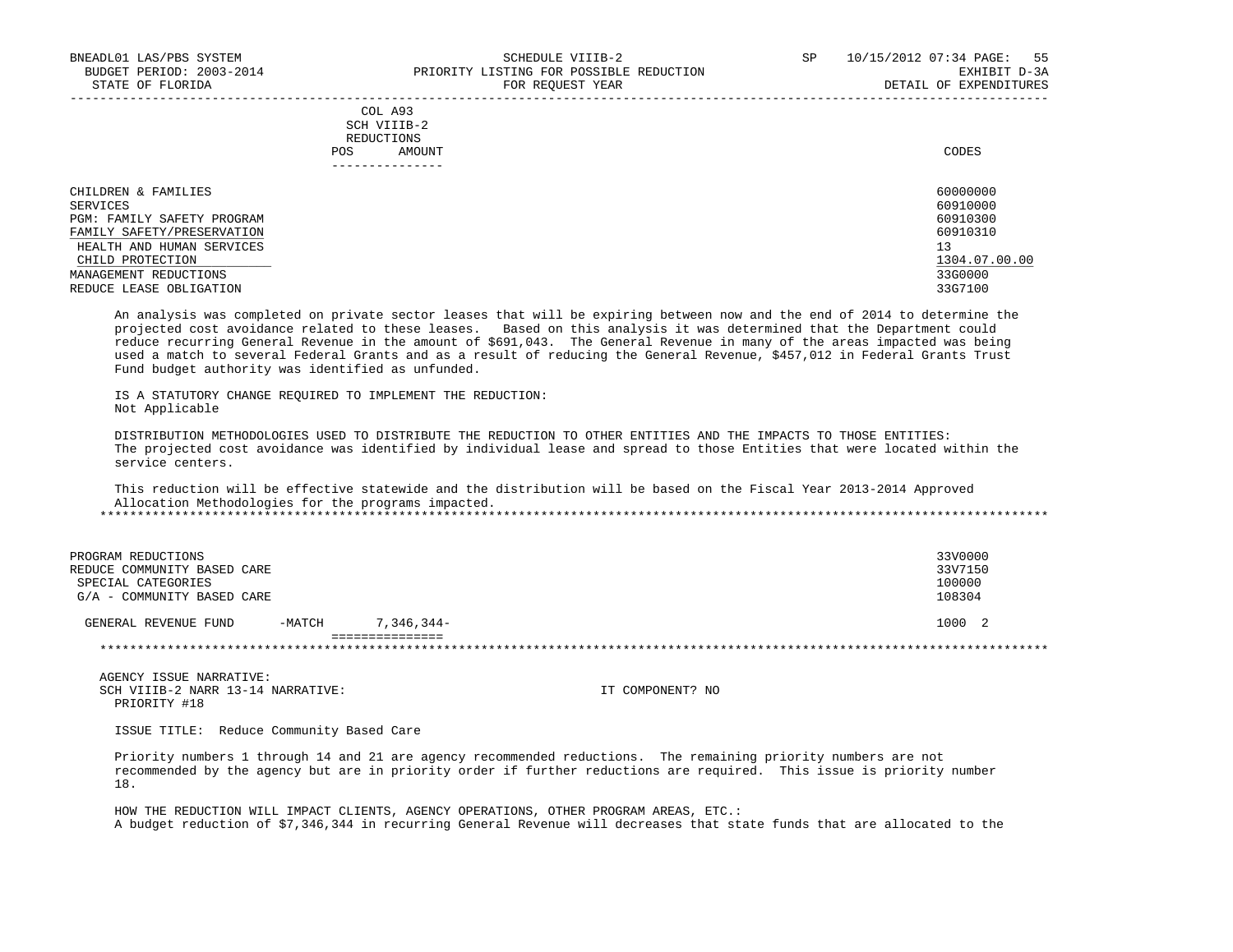|            | _______________ |       |
|------------|-----------------|-------|
| POS        | AMOUNT          | CODES |
| REDUCTIONS |                 |       |
|            | SCH VIIIB-2     |       |
|            | COL A93         |       |

| CHILDREN & FAMILIES        | 60000000      |
|----------------------------|---------------|
| SERVICES                   | 60910000      |
| PGM: FAMILY SAFETY PROGRAM | 60910300      |
| FAMILY SAFETY/PRESERVATION | 60910310      |
| HEALTH AND HUMAN SERVICES  | 13            |
| CHILD PROTECTION           | 1304.07.00.00 |
| MANAGEMENT REDUCTIONS      | 33G0000       |
| REDUCE LEASE OBLIGATION    | 33G7100       |

 An analysis was completed on private sector leases that will be expiring between now and the end of 2014 to determine the projected cost avoidance related to these leases. Based on this analysis it was determined that the Department could reduce recurring General Revenue in the amount of \$691,043. The General Revenue in many of the areas impacted was being used a match to several Federal Grants and as a result of reducing the General Revenue, \$457,012 in Federal Grants Trust Fund budget authority was identified as unfunded.

 IS A STATUTORY CHANGE REQUIRED TO IMPLEMENT THE REDUCTION: Not Applicable

 DISTRIBUTION METHODOLOGIES USED TO DISTRIBUTE THE REDUCTION TO OTHER ENTITIES AND THE IMPACTS TO THOSE ENTITIES: The projected cost avoidance was identified by individual lease and spread to those Entities that were located within the service centers.

 This reduction will be effective statewide and the distribution will be based on the Fiscal Year 2013-2014 Approved Allocation Methodologies for the programs impacted. \*\*\*\*\*\*\*\*\*\*\*\*\*\*\*\*\*\*\*\*\*\*\*\*\*\*\*\*\*\*\*\*\*\*\*\*\*\*\*\*\*\*\*\*\*\*\*\*\*\*\*\*\*\*\*\*\*\*\*\*\*\*\*\*\*\*\*\*\*\*\*\*\*\*\*\*\*\*\*\*\*\*\*\*\*\*\*\*\*\*\*\*\*\*\*\*\*\*\*\*\*\*\*\*\*\*\*\*\*\*\*\*\*\*\*\*\*\*\*\*\*\*\*\*\*\*\*

| PROGRAM REDUCTIONS<br>REDUCE COMMUNITY BASED CARE<br>SPECIAL CATEGORIES<br>G/A - COMMUNITY BASED CARE |          |              | 33V0000<br>33V7150<br>100000<br>108304 |
|-------------------------------------------------------------------------------------------------------|----------|--------------|----------------------------------------|
| GENERAL REVENUE FUND                                                                                  | $-MATCH$ | $7,346,344-$ | 1000 2                                 |
|                                                                                                       |          |              |                                        |

 AGENCY ISSUE NARRATIVE: SCH VIIIB-2 NARR 13-14 NARRATIVE: IT COMPONENT? NO PRIORITY #18

ISSUE TITLE: Reduce Community Based Care

 Priority numbers 1 through 14 and 21 are agency recommended reductions. The remaining priority numbers are not recommended by the agency but are in priority order if further reductions are required. This issue is priority number 18.

 HOW THE REDUCTION WILL IMPACT CLIENTS, AGENCY OPERATIONS, OTHER PROGRAM AREAS, ETC.: A budget reduction of \$7,346,344 in recurring General Revenue will decreases that state funds that are allocated to the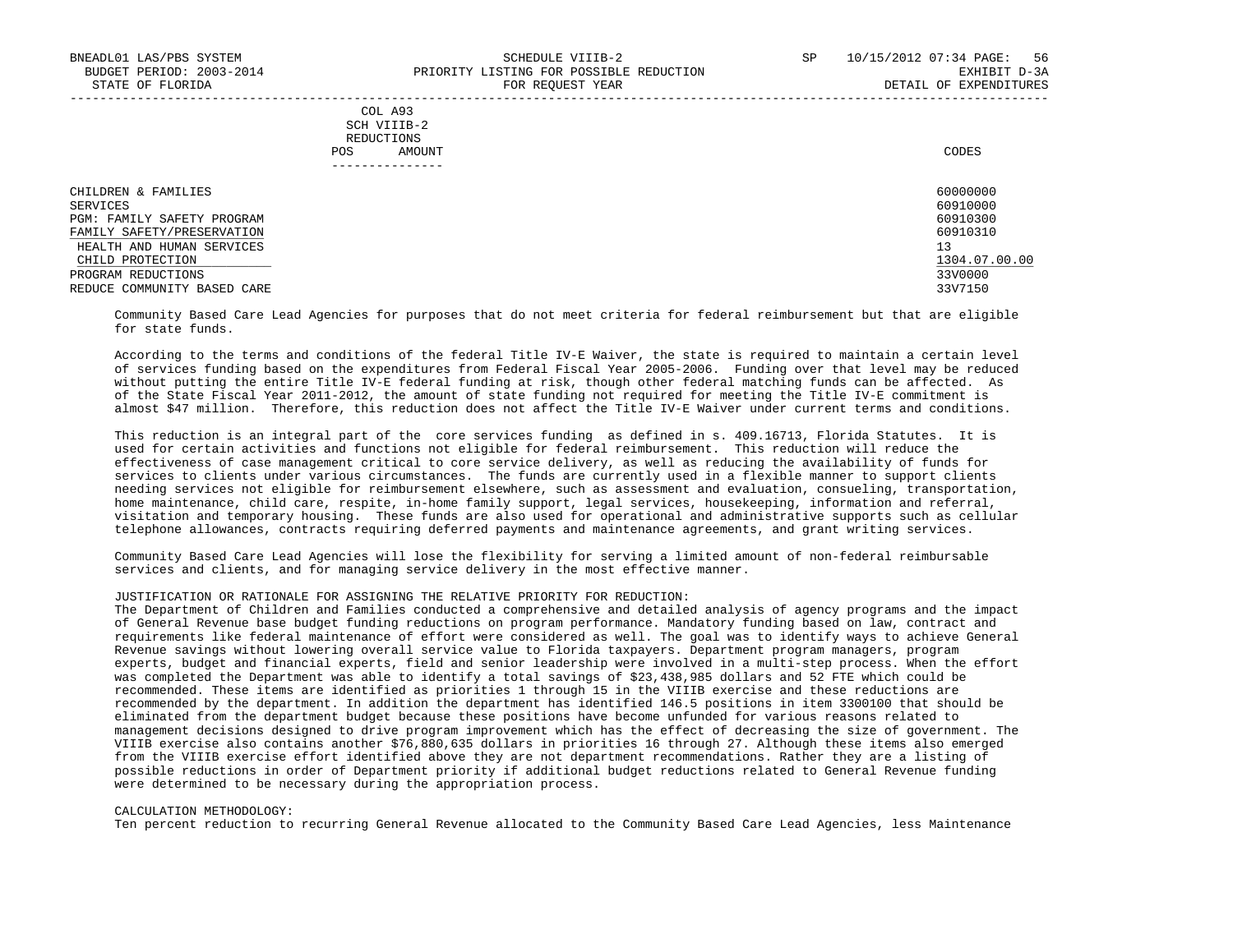| COL A93                                                                                                        |
|----------------------------------------------------------------------------------------------------------------|
| SCH VIIIB-2<br>the contract of the contract of the contract of the contract of the contract of the contract of |
| REDUCTIONS                                                                                                     |
| CODES<br>AMOUNT                                                                                                |
|                                                                                                                |

| CHILDREN & FAMILIES         | 60000000      |
|-----------------------------|---------------|
| SERVICES                    | 60910000      |
| PGM: FAMILY SAFETY PROGRAM  | 60910300      |
| FAMILY SAFETY/PRESERVATION  | 60910310      |
| HEALTH AND HUMAN SERVICES   | 13            |
| CHILD PROTECTION            | 1304.07.00.00 |
| PROGRAM REDUCTIONS          | 33V0000       |
| REDUCE COMMUNITY BASED CARE | 33V7150       |

 Community Based Care Lead Agencies for purposes that do not meet criteria for federal reimbursement but that are eligible for state funds.

 According to the terms and conditions of the federal Title IV-E Waiver, the state is required to maintain a certain level of services funding based on the expenditures from Federal Fiscal Year 2005-2006. Funding over that level may be reduced without putting the entire Title IV-E federal funding at risk, though other federal matching funds can be affected. As of the State Fiscal Year 2011-2012, the amount of state funding not required for meeting the Title IV-E commitment is almost \$47 million. Therefore, this reduction does not affect the Title IV-E Waiver under current terms and conditions.

 This reduction is an integral part of the core services funding as defined in s. 409.16713, Florida Statutes. It is used for certain activities and functions not eligible for federal reimbursement. This reduction will reduce the effectiveness of case management critical to core service delivery, as well as reducing the availability of funds for services to clients under various circumstances. The funds are currently used in a flexible manner to support clients needing services not eligible for reimbursement elsewhere, such as assessment and evaluation, consueling, transportation, home maintenance, child care, respite, in-home family support, legal services, housekeeping, information and referral, visitation and temporary housing. These funds are also used for operational and administrative supports such as cellular telephone allowances, contracts requiring deferred payments and maintenance agreements, and grant writing services.

 Community Based Care Lead Agencies will lose the flexibility for serving a limited amount of non-federal reimbursable services and clients, and for managing service delivery in the most effective manner.

### JUSTIFICATION OR RATIONALE FOR ASSIGNING THE RELATIVE PRIORITY FOR REDUCTION:

 The Department of Children and Families conducted a comprehensive and detailed analysis of agency programs and the impact of General Revenue base budget funding reductions on program performance. Mandatory funding based on law, contract and requirements like federal maintenance of effort were considered as well. The goal was to identify ways to achieve General Revenue savings without lowering overall service value to Florida taxpayers. Department program managers, program experts, budget and financial experts, field and senior leadership were involved in a multi-step process. When the effort was completed the Department was able to identify a total savings of \$23,438,985 dollars and 52 FTE which could be recommended. These items are identified as priorities 1 through 15 in the VIIIB exercise and these reductions are recommended by the department. In addition the department has identified 146.5 positions in item 3300100 that should be eliminated from the department budget because these positions have become unfunded for various reasons related to management decisions designed to drive program improvement which has the effect of decreasing the size of government. The VIIIB exercise also contains another \$76,880,635 dollars in priorities 16 through 27. Although these items also emerged from the VIIIB exercise effort identified above they are not department recommendations. Rather they are a listing of possible reductions in order of Department priority if additional budget reductions related to General Revenue funding were determined to be necessary during the appropriation process.

#### CALCULATION METHODOLOGY:

Ten percent reduction to recurring General Revenue allocated to the Community Based Care Lead Agencies, less Maintenance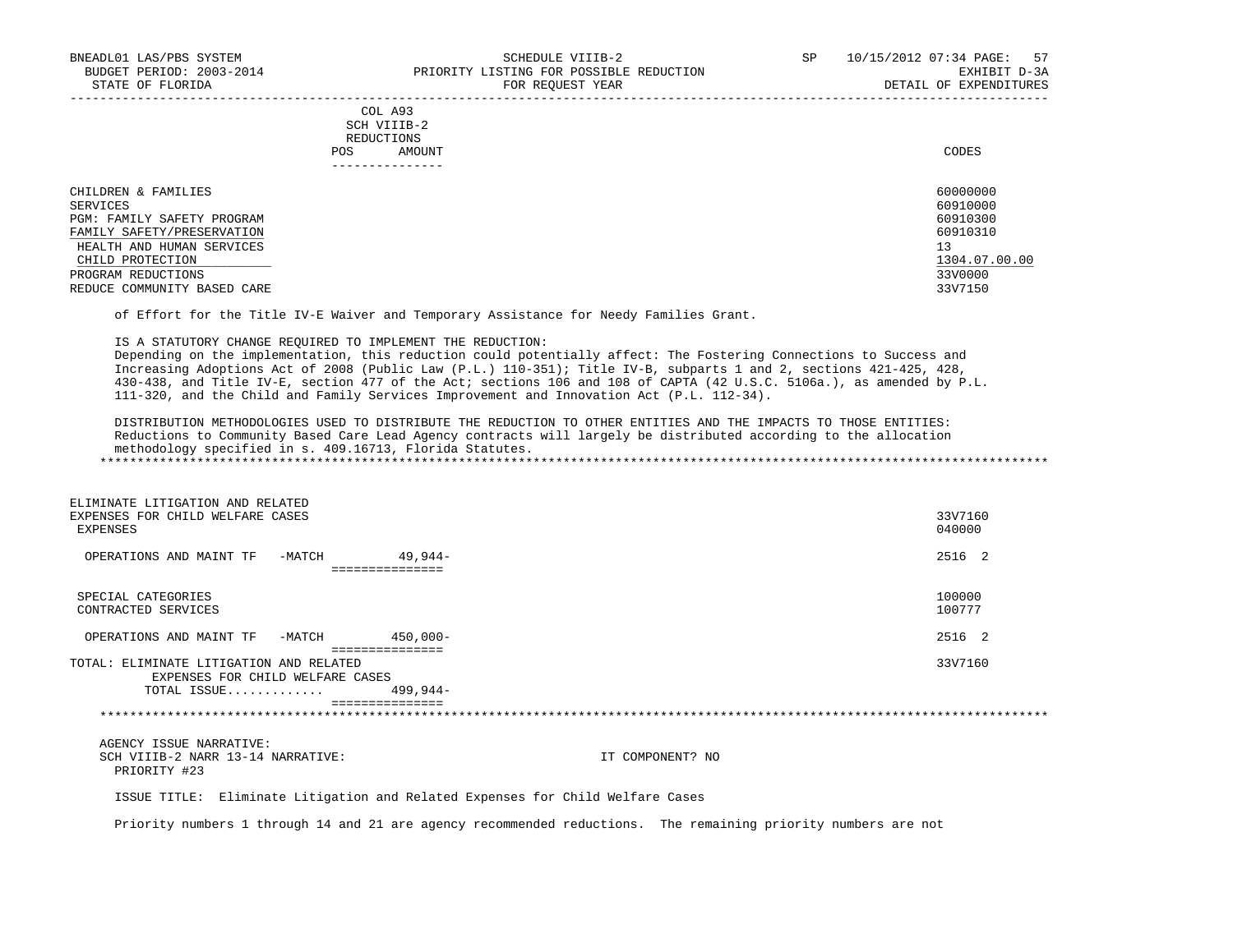|     | --------------- |       |
|-----|-----------------|-------|
| POS | AMOUNT          | CODES |
|     | REDUCTIONS      |       |
|     | SCH VIIIB-2     |       |
|     | COL A93         |       |

| CHILDREN & FAMILIES         | 60000000      |
|-----------------------------|---------------|
| SERVICES                    | 60910000      |
| PGM: FAMILY SAFETY PROGRAM  | 60910300      |
| FAMILY SAFETY/PRESERVATION  | 60910310      |
| HEALTH AND HUMAN SERVICES   | 13            |
| CHILD PROTECTION            | 1304.07.00.00 |
| PROGRAM REDUCTIONS          | 33V0000       |
| REDUCE COMMUNITY BASED CARE | 33V7150       |

of Effort for the Title IV-E Waiver and Temporary Assistance for Needy Families Grant.

IS A STATUTORY CHANGE REQUIRED TO IMPLEMENT THE REDUCTION:

 Depending on the implementation, this reduction could potentially affect: The Fostering Connections to Success and Increasing Adoptions Act of 2008 (Public Law (P.L.) 110-351); Title IV-B, subparts 1 and 2, sections 421-425, 428, 430-438, and Title IV-E, section 477 of the Act; sections 106 and 108 of CAPTA (42 U.S.C. 5106a.), as amended by P.L. 111-320, and the Child and Family Services Improvement and Innovation Act (P.L. 112-34).

 DISTRIBUTION METHODOLOGIES USED TO DISTRIBUTE THE REDUCTION TO OTHER ENTITIES AND THE IMPACTS TO THOSE ENTITIES: Reductions to Community Based Care Lead Agency contracts will largely be distributed according to the allocation methodology specified in s. 409.16713, Florida Statutes. \*\*\*\*\*\*\*\*\*\*\*\*\*\*\*\*\*\*\*\*\*\*\*\*\*\*\*\*\*\*\*\*\*\*\*\*\*\*\*\*\*\*\*\*\*\*\*\*\*\*\*\*\*\*\*\*\*\*\*\*\*\*\*\*\*\*\*\*\*\*\*\*\*\*\*\*\*\*\*\*\*\*\*\*\*\*\*\*\*\*\*\*\*\*\*\*\*\*\*\*\*\*\*\*\*\*\*\*\*\*\*\*\*\*\*\*\*\*\*\*\*\*\*\*\*\*\*

| ELIMINATE LITIGATION AND RELATED<br>EXPENSES FOR CHILD WELFARE CASES<br>EXPENSES           |                             | 33V7160<br>040000 |
|--------------------------------------------------------------------------------------------|-----------------------------|-------------------|
| OPERATIONS AND MAINT TF<br>-MATCH                                                          | $49.944-$<br>============== | 2516 2            |
| SPECIAL CATEGORIES<br>CONTRACTED SERVICES                                                  |                             | 100000<br>100777  |
| OPERATIONS AND MAINT TF<br>-MATCH                                                          | 450,000-                    | 2516 2            |
| TOTAL: ELIMINATE LITIGATION AND RELATED<br>EXPENSES FOR CHILD WELFARE CASES<br>TOTAL ISSUE | ===============<br>499,944- | 33V7160           |
|                                                                                            | ===============             |                   |
| AGENCY ISSUE NARRATIVE:                                                                    |                             |                   |

SCH VIIIB-2 NARR 13-14 NARRATIVE: IT COMPONENT? NO PRIORITY #23

ISSUE TITLE: Eliminate Litigation and Related Expenses for Child Welfare Cases

Priority numbers 1 through 14 and 21 are agency recommended reductions. The remaining priority numbers are not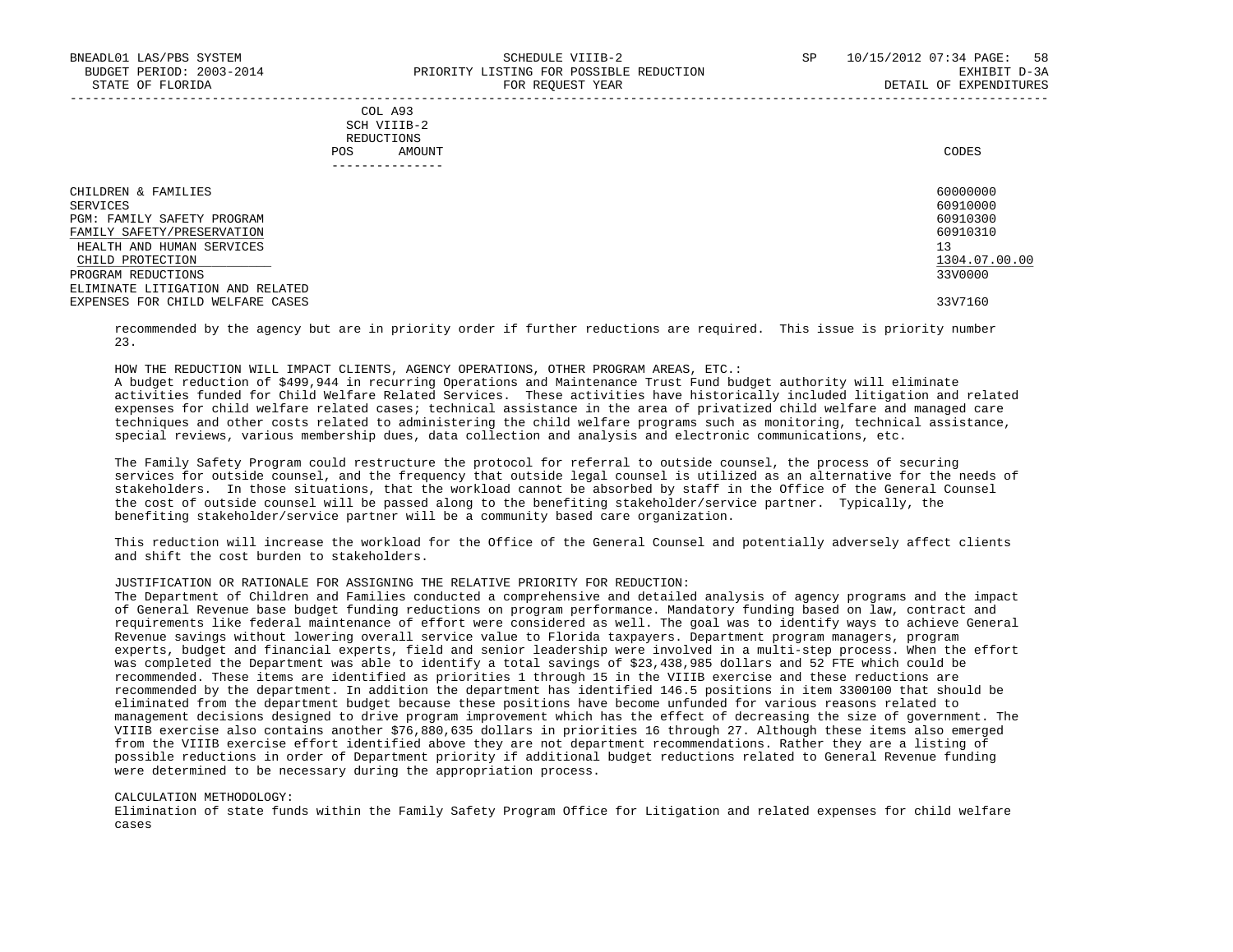| COL A93     |                 |
|-------------|-----------------|
| SCH VIIIB-2 |                 |
| REDUCTIONS  |                 |
| POS         | CODES<br>AMOUNT |

| ------------                     |               |
|----------------------------------|---------------|
| CHILDREN & FAMILIES              | 60000000      |
| SERVICES                         | 60910000      |
| PGM: FAMILY SAFETY PROGRAM       | 60910300      |
| FAMILY SAFETY/PRESERVATION       | 60910310      |
| HEALTH AND HUMAN SERVICES        | 13            |
| CHILD PROTECTION                 | 1304.07.00.00 |
| PROGRAM REDUCTIONS               | 33V0000       |
| ELIMINATE LITIGATION AND RELATED |               |
| EXPENSES FOR CHILD WELFARE CASES | 33V7160       |

 recommended by the agency but are in priority order if further reductions are required. This issue is priority number 23.

HOW THE REDUCTION WILL IMPACT CLIENTS, AGENCY OPERATIONS, OTHER PROGRAM AREAS, ETC.:

 A budget reduction of \$499,944 in recurring Operations and Maintenance Trust Fund budget authority will eliminate activities funded for Child Welfare Related Services. These activities have historically included litigation and related expenses for child welfare related cases; technical assistance in the area of privatized child welfare and managed care techniques and other costs related to administering the child welfare programs such as monitoring, technical assistance, special reviews, various membership dues, data collection and analysis and electronic communications, etc.

 The Family Safety Program could restructure the protocol for referral to outside counsel, the process of securing services for outside counsel, and the frequency that outside legal counsel is utilized as an alternative for the needs of stakeholders. In those situations, that the workload cannot be absorbed by staff in the Office of the General Counsel the cost of outside counsel will be passed along to the benefiting stakeholder/service partner. Typically, the benefiting stakeholder/service partner will be a community based care organization.

 This reduction will increase the workload for the Office of the General Counsel and potentially adversely affect clients and shift the cost burden to stakeholders.

### JUSTIFICATION OR RATIONALE FOR ASSIGNING THE RELATIVE PRIORITY FOR REDUCTION:

 The Department of Children and Families conducted a comprehensive and detailed analysis of agency programs and the impact of General Revenue base budget funding reductions on program performance. Mandatory funding based on law, contract and requirements like federal maintenance of effort were considered as well. The goal was to identify ways to achieve General Revenue savings without lowering overall service value to Florida taxpayers. Department program managers, program experts, budget and financial experts, field and senior leadership were involved in a multi-step process. When the effort was completed the Department was able to identify a total savings of \$23,438,985 dollars and 52 FTE which could be recommended. These items are identified as priorities 1 through 15 in the VIIIB exercise and these reductions are recommended by the department. In addition the department has identified 146.5 positions in item 3300100 that should be eliminated from the department budget because these positions have become unfunded for various reasons related to management decisions designed to drive program improvement which has the effect of decreasing the size of government. The VIIIB exercise also contains another \$76,880,635 dollars in priorities 16 through 27. Although these items also emerged from the VIIIB exercise effort identified above they are not department recommendations. Rather they are a listing of possible reductions in order of Department priority if additional budget reductions related to General Revenue funding were determined to be necessary during the appropriation process.

#### CALCULATION METHODOLOGY:

 Elimination of state funds within the Family Safety Program Office for Litigation and related expenses for child welfare cases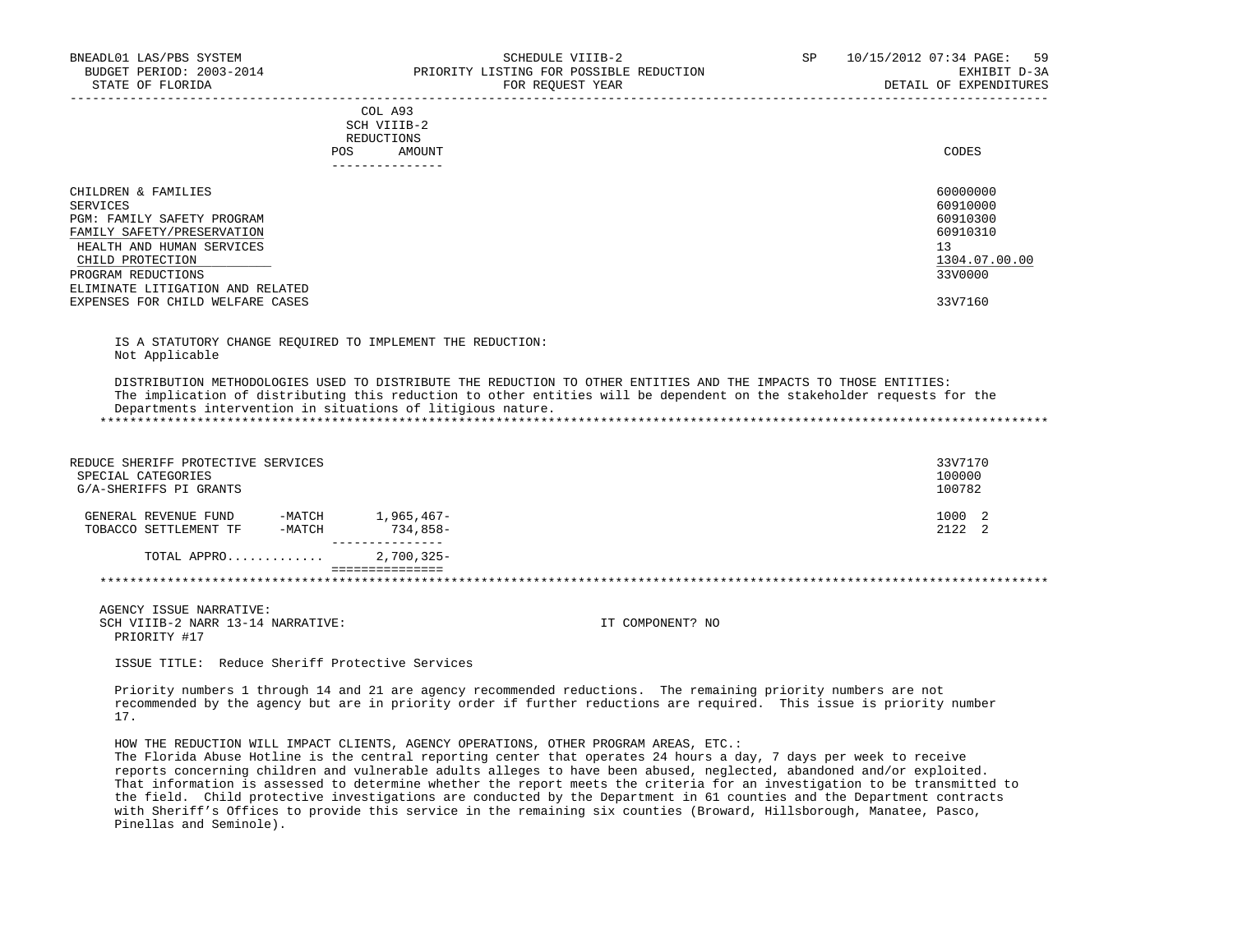|                                                                                                                                                                                                                                            | COL A93<br>SCH VIIIB-2<br>REDUCTIONS<br>AMOUNT<br><b>POS</b><br>------------- | CODES                                                                                     |
|--------------------------------------------------------------------------------------------------------------------------------------------------------------------------------------------------------------------------------------------|-------------------------------------------------------------------------------|-------------------------------------------------------------------------------------------|
| CHILDREN & FAMILIES<br>SERVICES<br>PGM: FAMILY SAFETY PROGRAM<br>FAMILY SAFETY/PRESERVATION<br>HEALTH AND HUMAN SERVICES<br>CHILD PROTECTION<br>PROGRAM REDUCTIONS<br>ELIMINATE LITIGATION AND RELATED<br>EXPENSES FOR CHILD WELFARE CASES |                                                                               | 60000000<br>60910000<br>60910300<br>60910310<br>13<br>1304.07.00.00<br>33V0000<br>33V7160 |

 IS A STATUTORY CHANGE REQUIRED TO IMPLEMENT THE REDUCTION: Not Applicable

 DISTRIBUTION METHODOLOGIES USED TO DISTRIBUTE THE REDUCTION TO OTHER ENTITIES AND THE IMPACTS TO THOSE ENTITIES: The implication of distributing this reduction to other entities will be dependent on the stakeholder requests for the Departments intervention in situations of litigious nature. \*\*\*\*\*\*\*\*\*\*\*\*\*\*\*\*\*\*\*\*\*\*\*\*\*\*\*\*\*\*\*\*\*\*\*\*\*\*\*\*\*\*\*\*\*\*\*\*\*\*\*\*\*\*\*\*\*\*\*\*\*\*\*\*\*\*\*\*\*\*\*\*\*\*\*\*\*\*\*\*\*\*\*\*\*\*\*\*\*\*\*\*\*\*\*\*\*\*\*\*\*\*\*\*\*\*\*\*\*\*\*\*\*\*\*\*\*\*\*\*\*\*\*\*\*\*\*

| REDUCE SHERIFF PROTECTIVE SERVICES<br>SPECIAL CATEGORIES<br>G/A-SHERIFFS PI GRANTS |                  |                          |  | 33V7170<br>100000<br>100782 |  |
|------------------------------------------------------------------------------------|------------------|--------------------------|--|-----------------------------|--|
| GENERAL REVENUE FUND<br>TOBACCO SETTLEMENT TF                                      | -MATCH<br>-MATCH | 1,965,467-<br>$734.858-$ |  | 1000 2<br>212222            |  |
| TOTAL APPRO                                                                        |                  | $2,700,325-$             |  |                             |  |
|                                                                                    |                  |                          |  |                             |  |

 AGENCY ISSUE NARRATIVE: SCH VIIIB-2 NARR 13-14 NARRATIVE: IT COMPONENT? NO PRIORITY #17

ISSUE TITLE: Reduce Sheriff Protective Services

 Priority numbers 1 through 14 and 21 are agency recommended reductions. The remaining priority numbers are not recommended by the agency but are in priority order if further reductions are required. This issue is priority number 17.

HOW THE REDUCTION WILL IMPACT CLIENTS, AGENCY OPERATIONS, OTHER PROGRAM AREAS, ETC.:

 The Florida Abuse Hotline is the central reporting center that operates 24 hours a day, 7 days per week to receive reports concerning children and vulnerable adults alleges to have been abused, neglected, abandoned and/or exploited. That information is assessed to determine whether the report meets the criteria for an investigation to be transmitted to the field. Child protective investigations are conducted by the Department in 61 counties and the Department contracts with Sheriff's Offices to provide this service in the remaining six counties (Broward, Hillsborough, Manatee, Pasco, Pinellas and Seminole).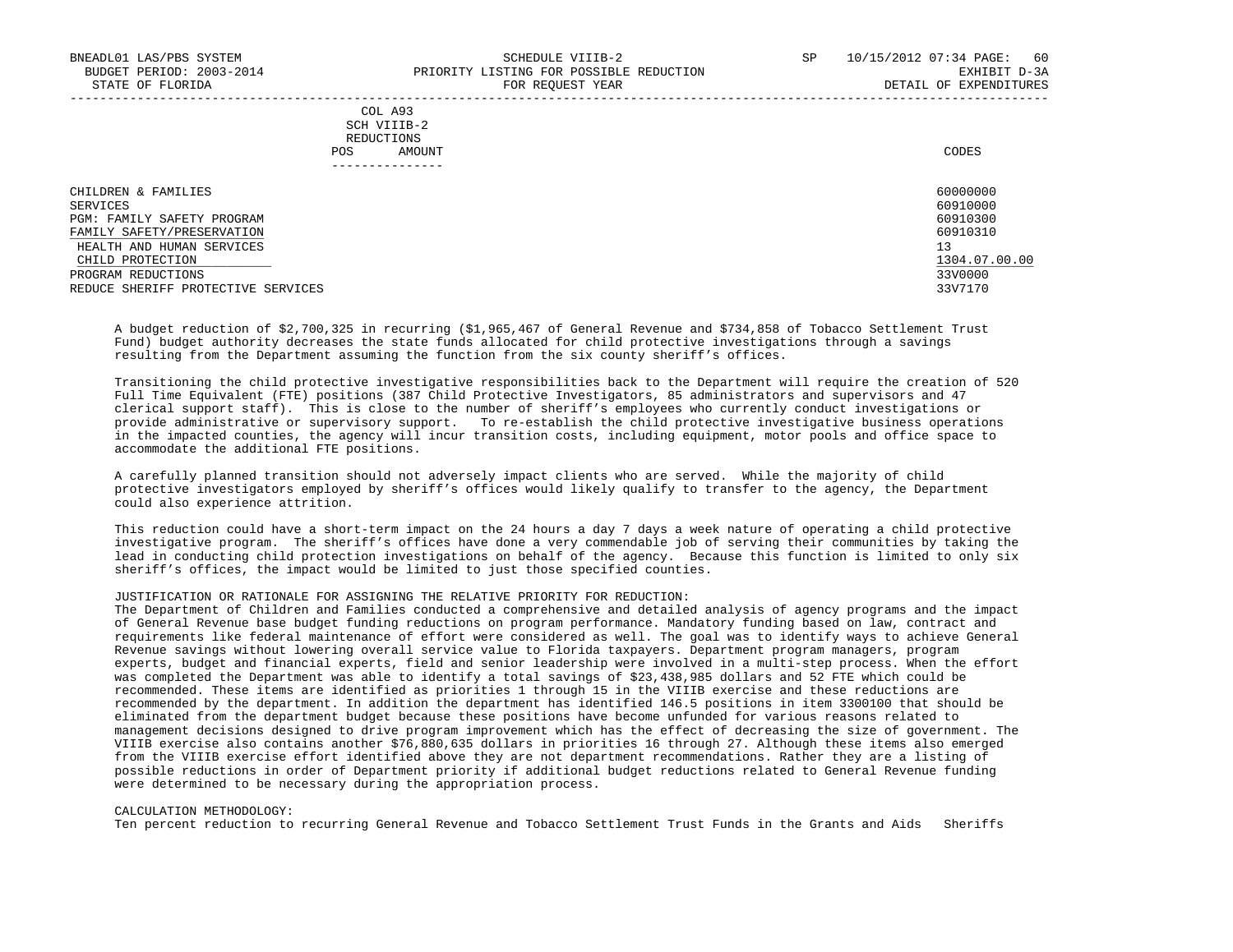#### COL A93 SCH VIIIB-2 REDUCTIONS POS AMOUNT CODES ---------------

| CHILDREN & FAMILIES                | 60000000      |
|------------------------------------|---------------|
| SERVICES                           | 60910000      |
| PGM: FAMILY SAFETY PROGRAM         | 60910300      |
| FAMILY SAFETY/PRESERVATION         | 60910310      |
| HEALTH AND HUMAN SERVICES          | 13            |
| CHILD PROTECTION                   | 1304.07.00.00 |
| PROGRAM REDUCTIONS                 | 33V0000       |
| REDUCE SHERIFF PROTECTIVE SERVICES | 33V7170       |

-----------------------------------------------------------------------------------------------------------------------------------

 A budget reduction of \$2,700,325 in recurring (\$1,965,467 of General Revenue and \$734,858 of Tobacco Settlement Trust Fund) budget authority decreases the state funds allocated for child protective investigations through a savings resulting from the Department assuming the function from the six county sheriff's offices.

 Transitioning the child protective investigative responsibilities back to the Department will require the creation of 520 Full Time Equivalent (FTE) positions (387 Child Protective Investigators, 85 administrators and supervisors and 47 clerical support staff). This is close to the number of sheriff's employees who currently conduct investigations or provide administrative or supervisory support. To re-establish the child protective investigative business operations in the impacted counties, the agency will incur transition costs, including equipment, motor pools and office space to accommodate the additional FTE positions.

 A carefully planned transition should not adversely impact clients who are served. While the majority of child protective investigators employed by sheriff's offices would likely qualify to transfer to the agency, the Department could also experience attrition.

 This reduction could have a short-term impact on the 24 hours a day 7 days a week nature of operating a child protective investigative program. The sheriff's offices have done a very commendable job of serving their communities by taking the lead in conducting child protection investigations on behalf of the agency. Because this function is limited to only six sheriff's offices, the impact would be limited to just those specified counties.

### JUSTIFICATION OR RATIONALE FOR ASSIGNING THE RELATIVE PRIORITY FOR REDUCTION:

 The Department of Children and Families conducted a comprehensive and detailed analysis of agency programs and the impact of General Revenue base budget funding reductions on program performance. Mandatory funding based on law, contract and requirements like federal maintenance of effort were considered as well. The goal was to identify ways to achieve General Revenue savings without lowering overall service value to Florida taxpayers. Department program managers, program experts, budget and financial experts, field and senior leadership were involved in a multi-step process. When the effort was completed the Department was able to identify a total savings of \$23,438,985 dollars and 52 FTE which could be recommended. These items are identified as priorities 1 through 15 in the VIIIB exercise and these reductions are recommended by the department. In addition the department has identified 146.5 positions in item 3300100 that should be eliminated from the department budget because these positions have become unfunded for various reasons related to management decisions designed to drive program improvement which has the effect of decreasing the size of government. The VIIIB exercise also contains another \$76,880,635 dollars in priorities 16 through 27. Although these items also emerged from the VIIIB exercise effort identified above they are not department recommendations. Rather they are a listing of possible reductions in order of Department priority if additional budget reductions related to General Revenue funding were determined to be necessary during the appropriation process.

#### CALCULATION METHODOLOGY:

Ten percent reduction to recurring General Revenue and Tobacco Settlement Trust Funds in the Grants and Aids Sheriffs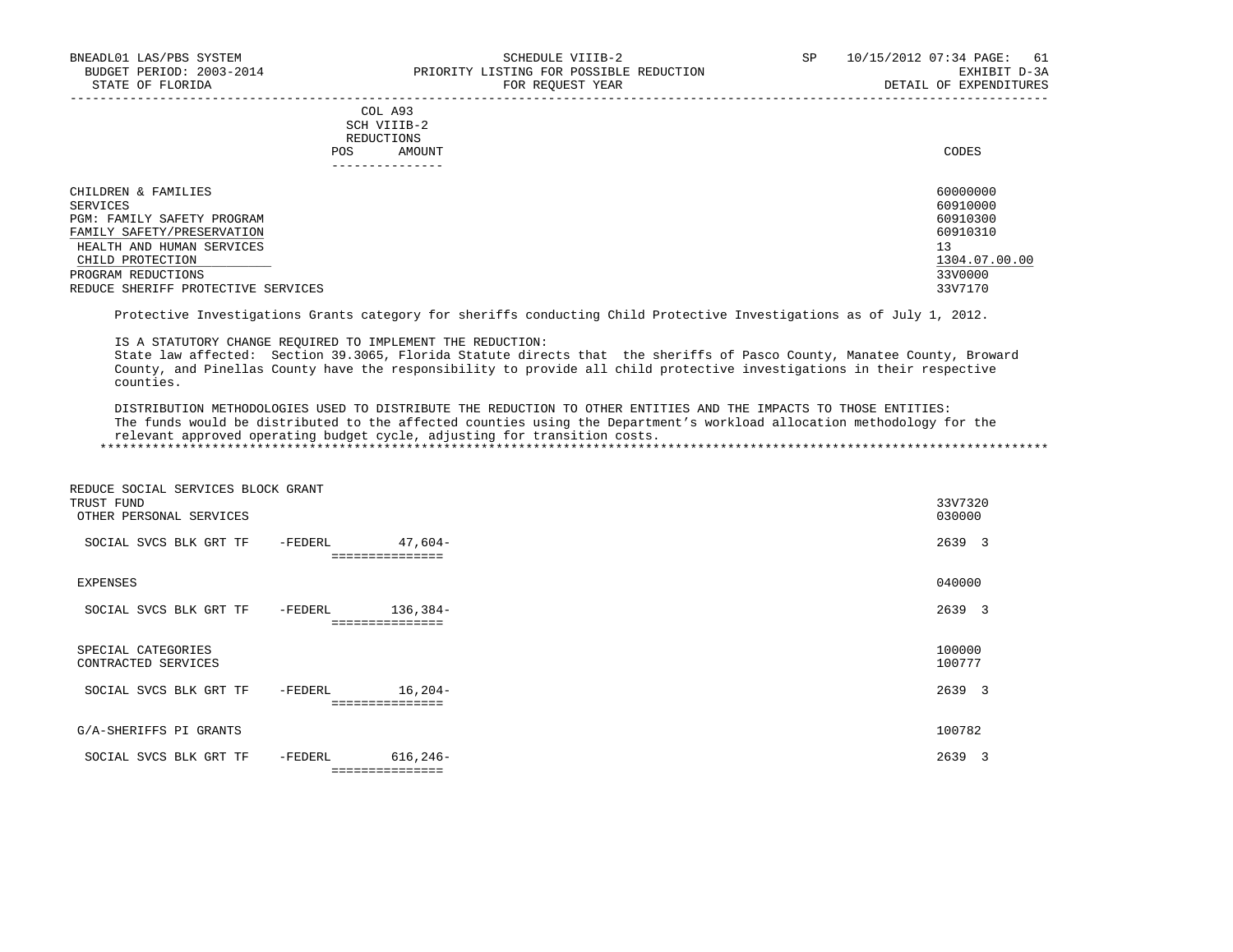|      | COL A93     |
|------|-------------|
|      | SCH VIIIB-2 |
|      | REDUCTIONS  |
| POS. | AMOUNT      |
|      |             |

|                                    | POS | AMOUNT        | CODES         |
|------------------------------------|-----|---------------|---------------|
|                                    |     | ------------- |               |
| CHILDREN & FAMILIES                |     |               | 60000000      |
| SERVICES                           |     |               | 60910000      |
| PGM: FAMILY SAFETY PROGRAM         |     |               | 60910300      |
| FAMILY SAFETY/PRESERVATION         |     |               | 60910310      |
| HEALTH AND HUMAN SERVICES          |     |               | 13            |
| CHILD PROTECTION                   |     |               | 1304.07.00.00 |
| PROGRAM REDUCTIONS                 |     |               | 33V0000       |
| REDUCE SHERIFF PROTECTIVE SERVICES |     |               | 33V7170       |
|                                    |     |               |               |

Protective Investigations Grants category for sheriffs conducting Child Protective Investigations as of July 1, 2012.

IS A STATUTORY CHANGE REQUIRED TO IMPLEMENT THE REDUCTION:

 State law affected: Section 39.3065, Florida Statute directs that the sheriffs of Pasco County, Manatee County, Broward County, and Pinellas County have the responsibility to provide all child protective investigations in their respective counties.

 DISTRIBUTION METHODOLOGIES USED TO DISTRIBUTE THE REDUCTION TO OTHER ENTITIES AND THE IMPACTS TO THOSE ENTITIES: The funds would be distributed to the affected counties using the Department's workload allocation methodology for the relevant approved operating budget cycle, adjusting for transition costs. \*\*\*\*\*\*\*\*\*\*\*\*\*\*\*\*\*\*\*\*\*\*\*\*\*\*\*\*\*\*\*\*\*\*\*\*\*\*\*\*\*\*\*\*\*\*\*\*\*\*\*\*\*\*\*\*\*\*\*\*\*\*\*\*\*\*\*\*\*\*\*\*\*\*\*\*\*\*\*\*\*\*\*\*\*\*\*\*\*\*\*\*\*\*\*\*\*\*\*\*\*\*\*\*\*\*\*\*\*\*\*\*\*\*\*\*\*\*\*\*\*\*\*\*\*\*\*

| REDUCE SOCIAL SERVICES BLOCK GRANT<br>TRUST FUND<br>OTHER PERSONAL SERVICES |         |                                 | 33V7320<br>030000 |
|-----------------------------------------------------------------------------|---------|---------------------------------|-------------------|
| SOCIAL SVCS BLK GRT TF                                                      | -FEDERL | $47,604-$<br>===============    | 2639 3            |
|                                                                             |         |                                 |                   |
| EXPENSES                                                                    |         |                                 | 040000            |
| SOCIAL SVCS BLK GRT TF                                                      | -FEDERL | $136,384-$                      | 2639 3            |
| SPECIAL CATEGORIES<br>CONTRACTED SERVICES                                   |         |                                 | 100000<br>100777  |
| SOCIAL SVCS BLK GRT TF                                                      | -FEDERL | 16,204-<br>:============        | 2639 3            |
|                                                                             |         |                                 |                   |
| G/A-SHERIFFS PI GRANTS                                                      |         |                                 | 100782            |
| SOCIAL SVCS BLK GRT TF                                                      | -FEDERL | $616, 246 -$<br>=============== | 2639 3            |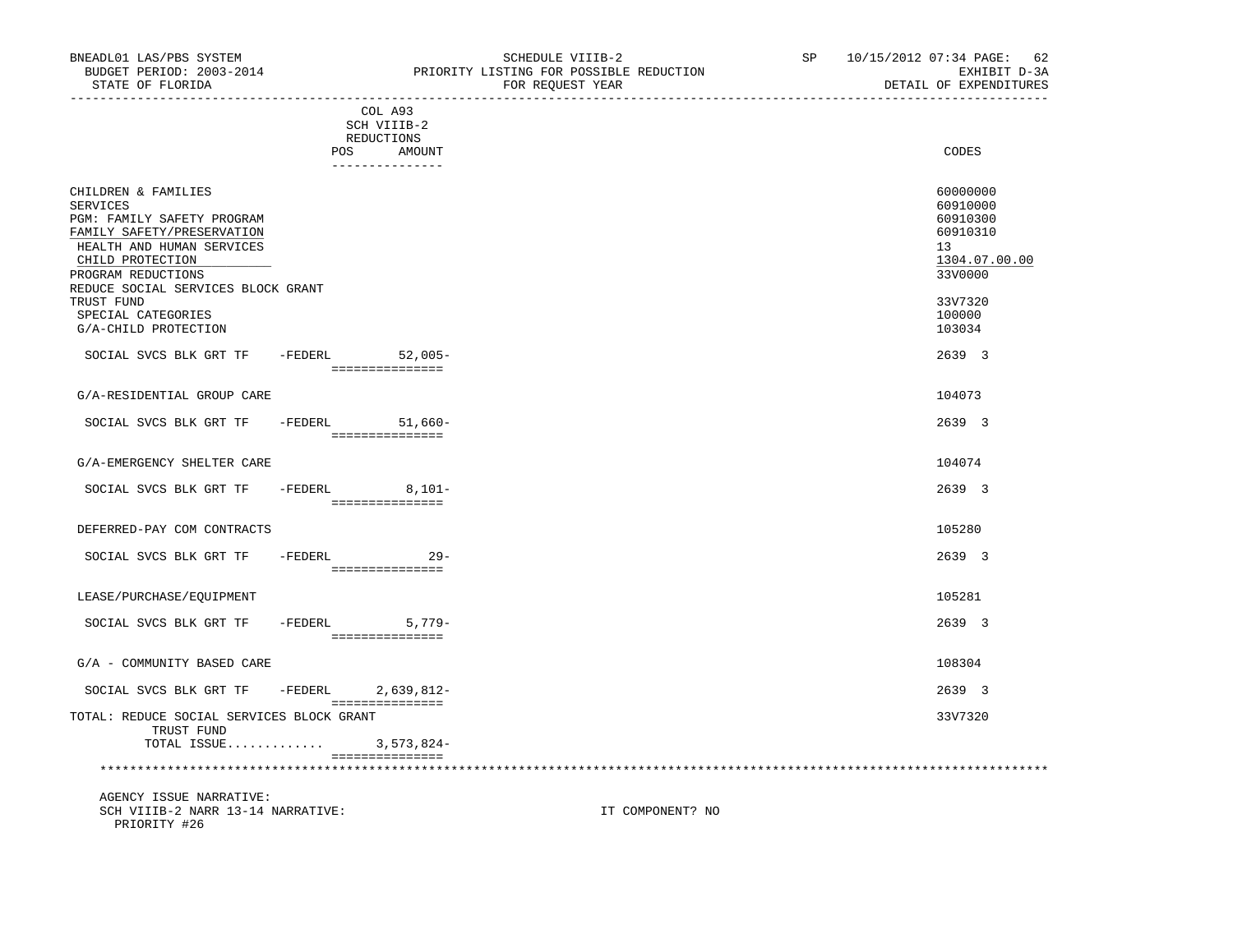| COL A93<br>SCH VIIIB-2<br>REDUCTIONS<br>POS<br>AMOUNT<br>---------------                                                                                                                                                                                                           | CODES                                                                                                         |
|------------------------------------------------------------------------------------------------------------------------------------------------------------------------------------------------------------------------------------------------------------------------------------|---------------------------------------------------------------------------------------------------------------|
| CHILDREN & FAMILIES<br><b>SERVICES</b><br><b>PGM: FAMILY SAFETY PROGRAM</b><br>FAMILY SAFETY/PRESERVATION<br>HEALTH AND HUMAN SERVICES<br>CHILD PROTECTION<br>PROGRAM REDUCTIONS<br>REDUCE SOCIAL SERVICES BLOCK GRANT<br>TRUST FUND<br>SPECIAL CATEGORIES<br>G/A-CHILD PROTECTION | 60000000<br>60910000<br>60910300<br>60910310<br>13<br>1304.07.00.00<br>33V0000<br>33V7320<br>100000<br>103034 |
| $52,005-$<br>SOCIAL SVCS BLK GRT TF<br>-FEDERL<br>===============                                                                                                                                                                                                                  | 2639 3                                                                                                        |
| G/A-RESIDENTIAL GROUP CARE                                                                                                                                                                                                                                                         | 104073                                                                                                        |
| SOCIAL SVCS BLK GRT TF<br>-FEDERL<br>$51.660 -$<br>===============                                                                                                                                                                                                                 | 2639 3                                                                                                        |
| G/A-EMERGENCY SHELTER CARE                                                                                                                                                                                                                                                         | 104074                                                                                                        |
| SOCIAL SVCS BLK GRT TF<br>-FEDERL<br>$8,101-$<br>===============                                                                                                                                                                                                                   | 2639 3                                                                                                        |
| DEFERRED-PAY COM CONTRACTS                                                                                                                                                                                                                                                         | 105280                                                                                                        |
| SOCIAL SVCS BLK GRT TF<br>$-FEDERL$<br>$29 -$<br>===============                                                                                                                                                                                                                   | 2639 3                                                                                                        |
| LEASE/PURCHASE/EQUIPMENT                                                                                                                                                                                                                                                           | 105281                                                                                                        |
| SOCIAL SVCS BLK GRT TF<br>$5,779-$<br>-FEDERL<br>===============                                                                                                                                                                                                                   | 2639 3                                                                                                        |
| G/A - COMMUNITY BASED CARE                                                                                                                                                                                                                                                         | 108304                                                                                                        |
| SOCIAL SVCS BLK GRT TF<br>-FEDERL<br>$2,639,812-$                                                                                                                                                                                                                                  | 2639 3                                                                                                        |

 =============== TOTAL: REDUCE SOCIAL SERVICES BLOCK GRANT 33V7320

 TOTAL ISSUE............. 3,573,824- =============== \*\*\*\*\*\*\*\*\*\*\*\*\*\*\*\*\*\*\*\*\*\*\*\*\*\*\*\*\*\*\*\*\*\*\*\*\*\*\*\*\*\*\*\*\*\*\*\*\*\*\*\*\*\*\*\*\*\*\*\*\*\*\*\*\*\*\*\*\*\*\*\*\*\*\*\*\*\*\*\*\*\*\*\*\*\*\*\*\*\*\*\*\*\*\*\*\*\*\*\*\*\*\*\*\*\*\*\*\*\*\*\*\*\*\*\*\*\*\*\*\*\*\*\*\*\*\*

 AGENCY ISSUE NARRATIVE: SCH VIIIB-2 NARR 13-14 NARRATIVE: IT COMPONENT? NO PRIORITY #26

TRUST FUND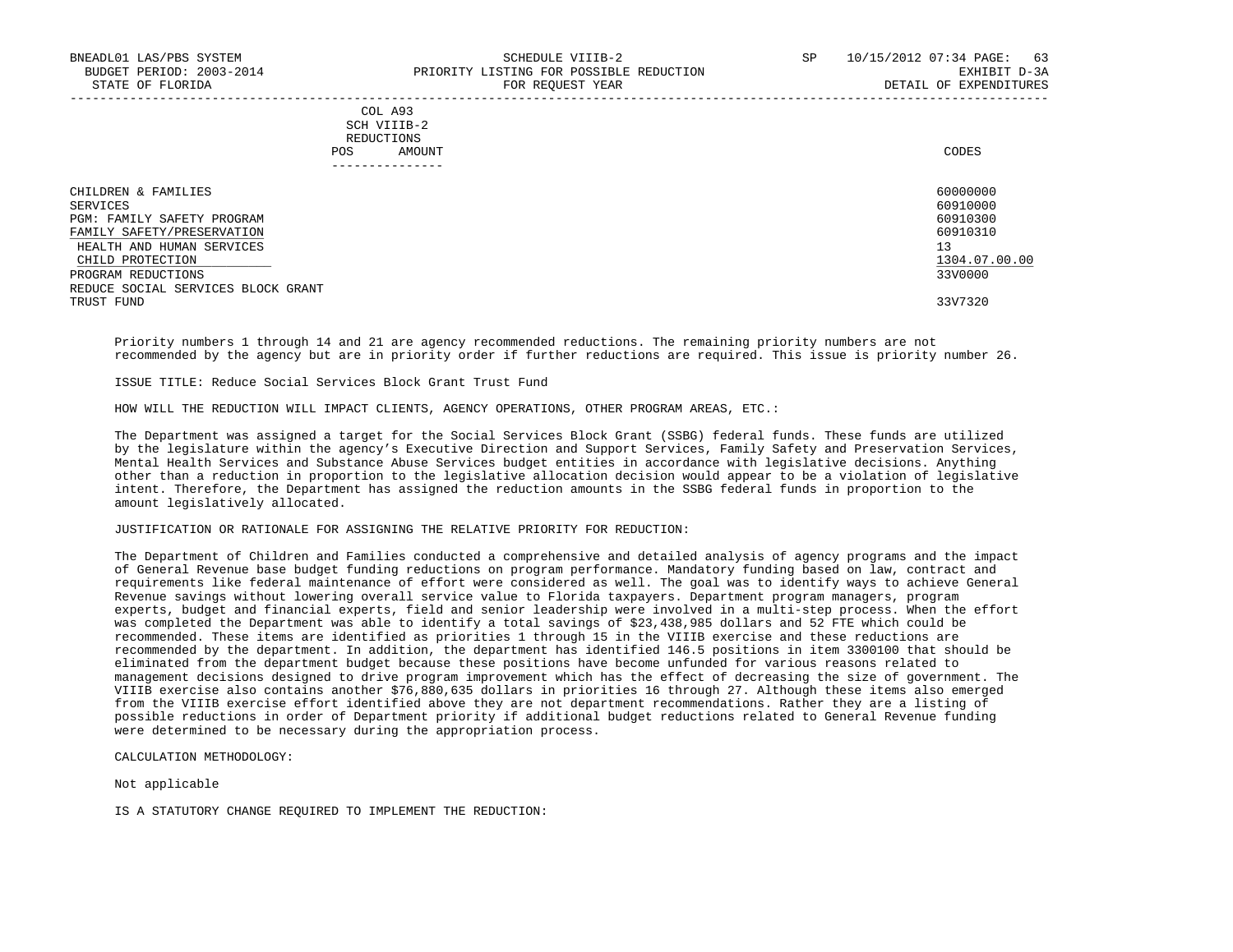### COL A93 SCH VIIIB-2 REDUCTIONS POS AMOUNT CODES ---------------

| CHILDREN & FAMILIES                | 60000000      |
|------------------------------------|---------------|
| SERVICES                           | 60910000      |
| PGM: FAMILY SAFETY PROGRAM         | 60910300      |
| FAMILY SAFETY/PRESERVATION         | 60910310      |
| HEALTH AND HUMAN SERVICES          | 13            |
| CHILD PROTECTION                   | 1304.07.00.00 |
| PROGRAM REDUCTIONS                 | 33V0000       |
| REDUCE SOCIAL SERVICES BLOCK GRANT |               |
| TRUST FUND                         | 33V7320       |

-----------------------------------------------------------------------------------------------------------------------------------

 Priority numbers 1 through 14 and 21 are agency recommended reductions. The remaining priority numbers are not recommended by the agency but are in priority order if further reductions are required. This issue is priority number 26.

ISSUE TITLE: Reduce Social Services Block Grant Trust Fund

HOW WILL THE REDUCTION WILL IMPACT CLIENTS, AGENCY OPERATIONS, OTHER PROGRAM AREAS, ETC.:

 The Department was assigned a target for the Social Services Block Grant (SSBG) federal funds. These funds are utilized by the legislature within the agency's Executive Direction and Support Services, Family Safety and Preservation Services, Mental Health Services and Substance Abuse Services budget entities in accordance with legislative decisions. Anything other than a reduction in proportion to the legislative allocation decision would appear to be a violation of legislative intent. Therefore, the Department has assigned the reduction amounts in the SSBG federal funds in proportion to the amount legislatively allocated.

#### JUSTIFICATION OR RATIONALE FOR ASSIGNING THE RELATIVE PRIORITY FOR REDUCTION:

 The Department of Children and Families conducted a comprehensive and detailed analysis of agency programs and the impact of General Revenue base budget funding reductions on program performance. Mandatory funding based on law, contract and requirements like federal maintenance of effort were considered as well. The goal was to identify ways to achieve General Revenue savings without lowering overall service value to Florida taxpayers. Department program managers, program experts, budget and financial experts, field and senior leadership were involved in a multi-step process. When the effort was completed the Department was able to identify a total savings of \$23,438,985 dollars and 52 FTE which could be recommended. These items are identified as priorities 1 through 15 in the VIIIB exercise and these reductions are recommended by the department. In addition, the department has identified 146.5 positions in item 3300100 that should be eliminated from the department budget because these positions have become unfunded for various reasons related to management decisions designed to drive program improvement which has the effect of decreasing the size of government. The VIIIB exercise also contains another \$76,880,635 dollars in priorities 16 through 27. Although these items also emerged from the VIIIB exercise effort identified above they are not department recommendations. Rather they are a listing of possible reductions in order of Department priority if additional budget reductions related to General Revenue funding were determined to be necessary during the appropriation process.

CALCULATION METHODOLOGY:

Not applicable

IS A STATUTORY CHANGE REQUIRED TO IMPLEMENT THE REDUCTION: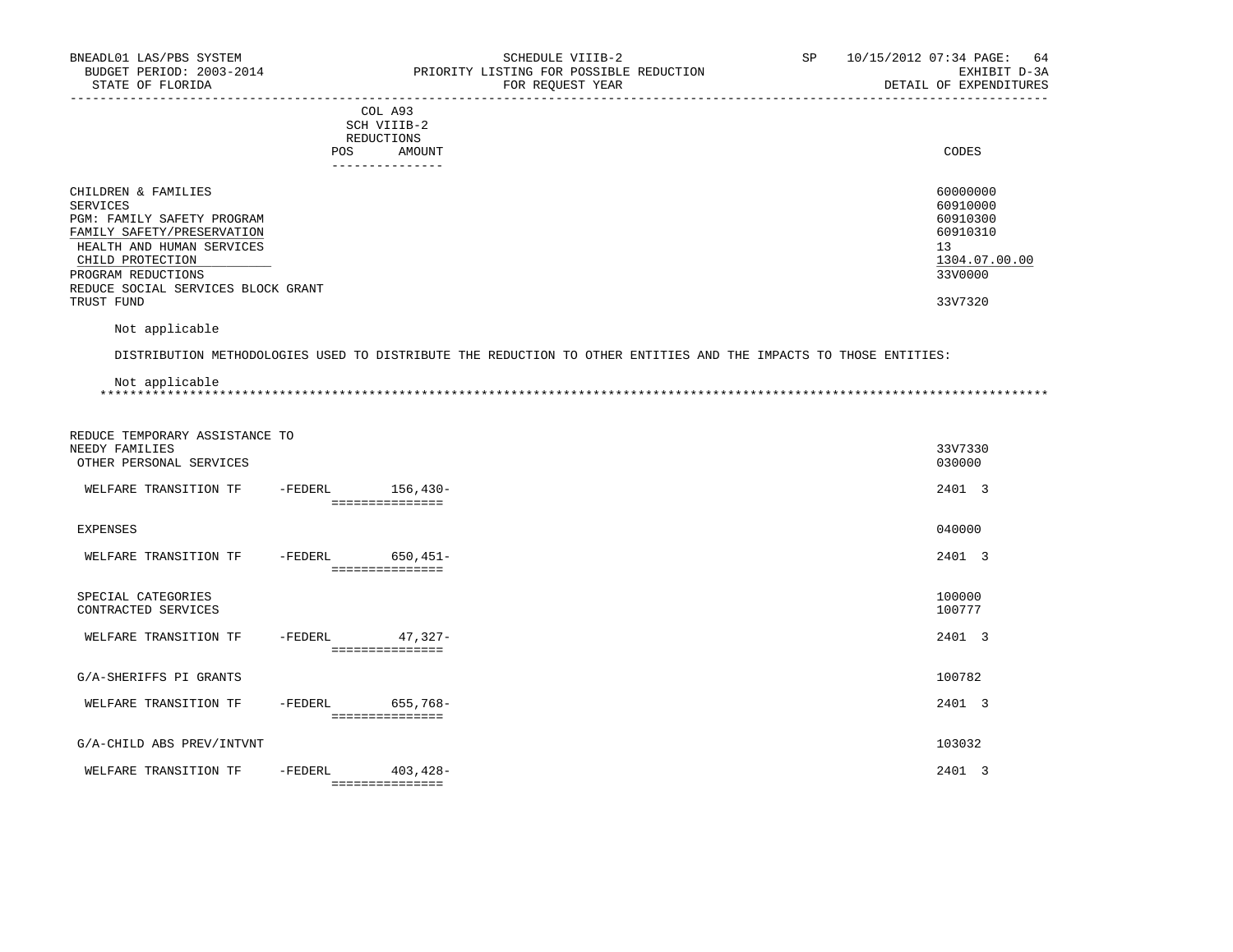| BNEADL01 LAS/PBS SYSTEM<br>BUDGET PERIOD: 2003-2014<br>STATE OF FLORIDA                                                                                                                                                | SCHEDULE VIIIB-2<br>PRIORITY LISTING FOR POSSIBLE REDUCTION<br>FOR REQUEST YEAR | SP<br>64<br>10/15/2012 07:34 PAGE:<br>EXHIBIT D-3A<br>DETAIL OF EXPENDITURES              |
|------------------------------------------------------------------------------------------------------------------------------------------------------------------------------------------------------------------------|---------------------------------------------------------------------------------|-------------------------------------------------------------------------------------------|
|                                                                                                                                                                                                                        | COL A93<br>SCH VIIIB-2<br>REDUCTIONS<br>POS<br>AMOUNT<br>--------------         | CODES                                                                                     |
| CHILDREN & FAMILIES<br>SERVICES<br>PGM: FAMILY SAFETY PROGRAM<br>FAMILY SAFETY/PRESERVATION<br>HEALTH AND HUMAN SERVICES<br>CHILD PROTECTION<br>PROGRAM REDUCTIONS<br>REDUCE SOCIAL SERVICES BLOCK GRANT<br>TRUST FUND |                                                                                 | 60000000<br>60910000<br>60910300<br>60910310<br>13<br>1304.07.00.00<br>33V0000<br>33V7320 |
|                                                                                                                                                                                                                        |                                                                                 |                                                                                           |

Not applicable

DISTRIBUTION METHODOLOGIES USED TO DISTRIBUTE THE REDUCTION TO OTHER ENTITIES AND THE IMPACTS TO THOSE ENTITIES:

| Not applicable |  |
|----------------|--|
|                |  |

| REDUCE TEMPORARY ASSISTANCE TO<br>NEEDY FAMILIES<br>OTHER PERSONAL SERVICES |         |                                 | 33V7330<br>030000     |
|-----------------------------------------------------------------------------|---------|---------------------------------|-----------------------|
| WELFARE TRANSITION TF                                                       | -FEDERL | $156, 430 -$<br>=============== | 2401 3                |
| <b>EXPENSES</b>                                                             |         |                                 | 040000                |
| WELFARE TRANSITION TF                                                       | -FEDERL | $650, 451 -$<br>=============== | 2401 3                |
| SPECIAL CATEGORIES<br>CONTRACTED SERVICES                                   |         |                                 | 100000<br>100777      |
| WELFARE TRANSITION TF                                                       | -FEDERL | $47,327-$<br>===============    | 2401 3                |
| G/A-SHERIFFS PI GRANTS                                                      |         |                                 | 100782                |
| WELFARE TRANSITION TF                                                       | -FEDERL | 655,768-<br>===============     | 2401 3                |
| G/A-CHILD ABS PREV/INTVNT                                                   |         |                                 | 103032                |
| WELFARE TRANSITION TF                                                       | -FEDERL | $403, 428 -$<br>=============== | 2401<br>$\mathcal{R}$ |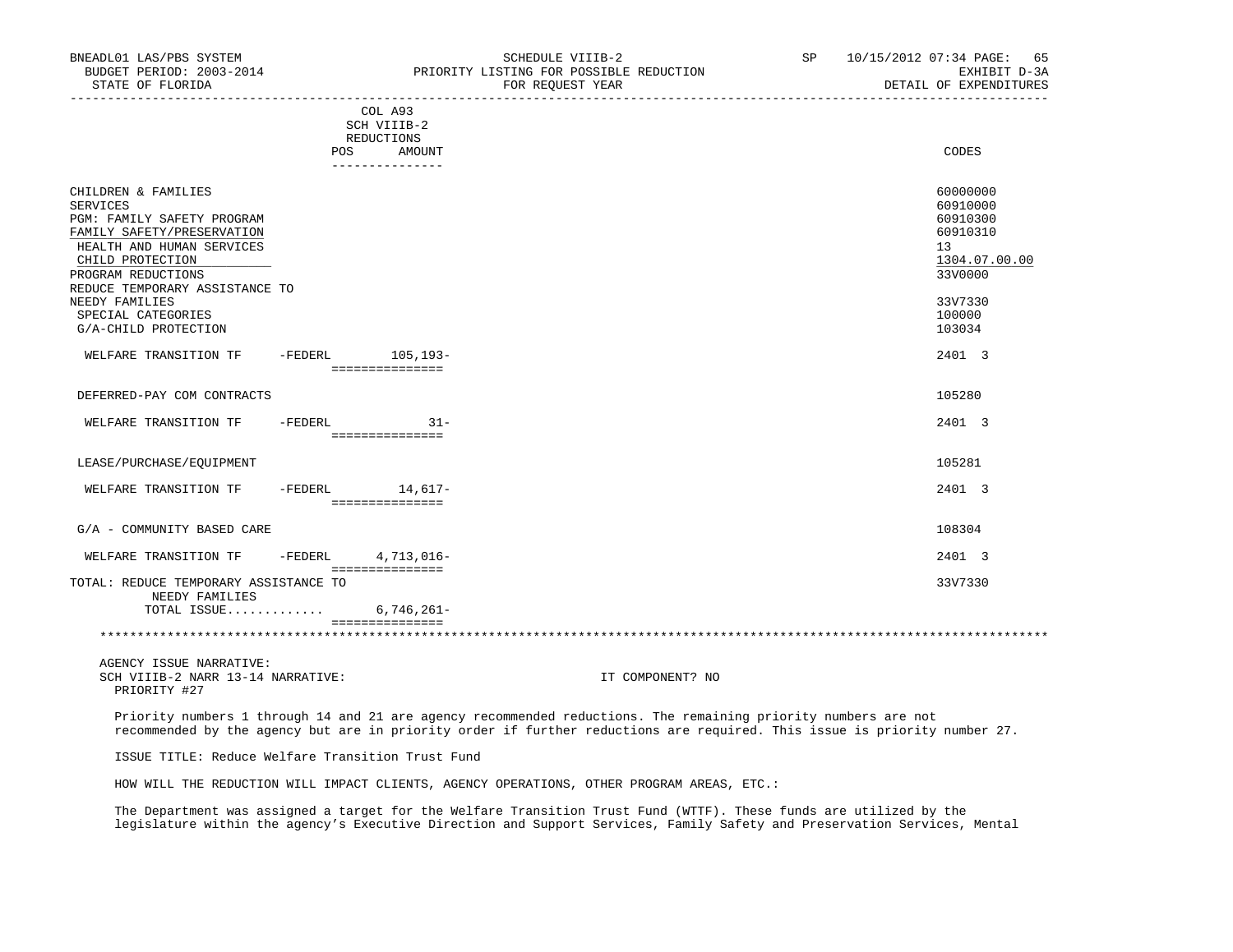| BNEADL01 LAS/PBS SYSTEM<br>BUDGET PERIOD: 2003-2014<br>STATE OF FLORIDA                                                                                                   |                                                    | SCHEDULE VIIIB-2<br>PRIORITY LISTING FOR POSSIBLE REDUCTION<br>FOR REOUEST YEAR                                                                                                                                                             | SP 10/15/2012 07:34 PAGE: 65<br>DETAIL OF EXPENDITURES        | EXHIBIT D-3A  |
|---------------------------------------------------------------------------------------------------------------------------------------------------------------------------|----------------------------------------------------|---------------------------------------------------------------------------------------------------------------------------------------------------------------------------------------------------------------------------------------------|---------------------------------------------------------------|---------------|
|                                                                                                                                                                           | COL A93<br>SCH VIIIB-2<br>REDUCTIONS<br>POS AMOUNT | ____________________________________                                                                                                                                                                                                        | CODES                                                         |               |
|                                                                                                                                                                           | ---------------                                    |                                                                                                                                                                                                                                             |                                                               |               |
| CHILDREN & FAMILIES<br><b>SERVICES</b><br>PGM: FAMILY SAFETY PROGRAM<br>FAMILY SAFETY/PRESERVATION<br>HEALTH AND HUMAN SERVICES<br>CHILD PROTECTION<br>PROGRAM REDUCTIONS |                                                    |                                                                                                                                                                                                                                             | 60000000<br>60910000<br>60910300<br>60910310<br>13<br>33V0000 | 1304.07.00.00 |
| REDUCE TEMPORARY ASSISTANCE TO<br>NEEDY FAMILIES                                                                                                                          |                                                    |                                                                                                                                                                                                                                             | 33V7330                                                       |               |
| SPECIAL CATEGORIES<br>G/A-CHILD PROTECTION                                                                                                                                |                                                    |                                                                                                                                                                                                                                             | 100000<br>103034                                              |               |
| WELFARE TRANSITION TF -FEDERL 105,193-                                                                                                                                    |                                                    |                                                                                                                                                                                                                                             | 2401 3                                                        |               |
| DEFERRED-PAY COM CONTRACTS                                                                                                                                                |                                                    |                                                                                                                                                                                                                                             | 105280                                                        |               |
| WELFARE TRANSITION TF - FEDERL 31-                                                                                                                                        | ===============                                    |                                                                                                                                                                                                                                             | 2401 3                                                        |               |
| LEASE/PURCHASE/EQUIPMENT                                                                                                                                                  |                                                    |                                                                                                                                                                                                                                             | 105281                                                        |               |
| WELFARE TRANSITION TF                                                                                                                                                     | -FEDERL 14,617-<br>___________________             |                                                                                                                                                                                                                                             | 2401 3                                                        |               |
| G/A - COMMUNITY BASED CARE                                                                                                                                                |                                                    |                                                                                                                                                                                                                                             | 108304                                                        |               |
| WELFARE TRANSITION TF -FEDERL 4,713,016-                                                                                                                                  |                                                    |                                                                                                                                                                                                                                             | 2401 3                                                        |               |
| TOTAL: REDUCE TEMPORARY ASSISTANCE TO<br>NEEDY FAMILIES                                                                                                                   |                                                    |                                                                                                                                                                                                                                             | 33V7330                                                       |               |
| TOTAL ISSUE                                                                                                                                                               | $6,746,261-$<br>===============                    |                                                                                                                                                                                                                                             |                                                               |               |
|                                                                                                                                                                           |                                                    |                                                                                                                                                                                                                                             |                                                               |               |
| AGENCY ISSUE NARRATIVE:<br>SCH VIIIB-2 NARR 13-14 NARRATIVE:<br>PRIORITY #27                                                                                              |                                                    | IT COMPONENT? NO                                                                                                                                                                                                                            |                                                               |               |
|                                                                                                                                                                           |                                                    | Priority numbers 1 through 14 and 21 are agency recommended reductions. The remaining priority numbers are not<br>recommended by the agency but are in priority order if further reductions are required. This issue is priority number 27. |                                                               |               |

ISSUE TITLE: Reduce Welfare Transition Trust Fund

HOW WILL THE REDUCTION WILL IMPACT CLIENTS, AGENCY OPERATIONS, OTHER PROGRAM AREAS, ETC.:

 The Department was assigned a target for the Welfare Transition Trust Fund (WTTF). These funds are utilized by the legislature within the agency's Executive Direction and Support Services, Family Safety and Preservation Services, Mental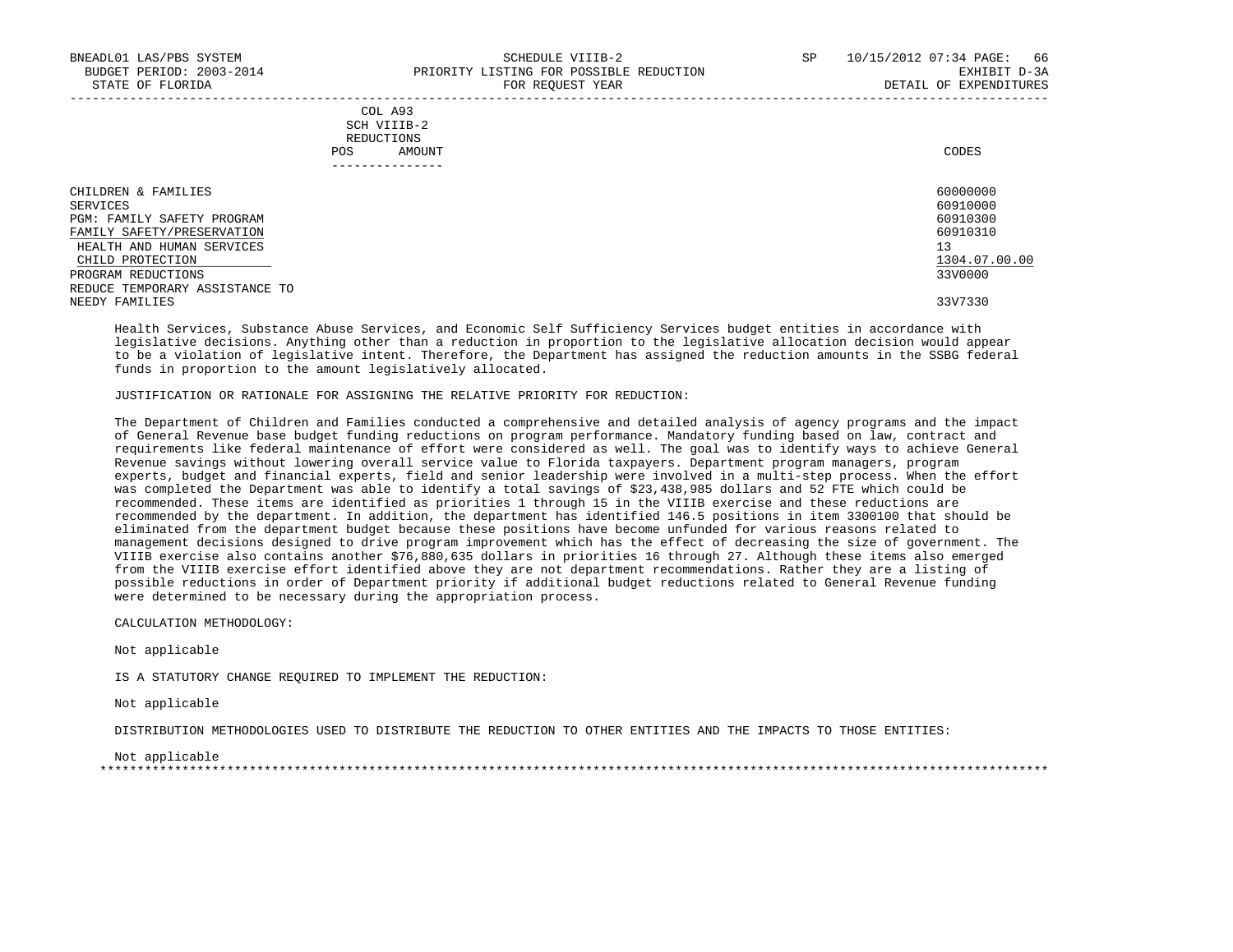|            | _______________ |       |
|------------|-----------------|-------|
| POS        | AMOUNT          | CODES |
| REDUCTIONS |                 |       |
|            | SCH VIIIB-2     |       |
|            | COL A93         |       |

| CHILDREN & FAMILIES            | 60000000      |
|--------------------------------|---------------|
| SERVICES                       | 60910000      |
| PGM: FAMILY SAFETY PROGRAM     | 60910300      |
| FAMILY SAFETY/PRESERVATION     | 60910310      |
| HEALTH AND HUMAN SERVICES      | 13            |
| CHILD PROTECTION               | 1304.07.00.00 |
| PROGRAM REDUCTIONS             | 33V0000       |
| REDUCE TEMPORARY ASSISTANCE TO |               |
| NEEDY FAMILIES                 | 33V7330       |

 Health Services, Substance Abuse Services, and Economic Self Sufficiency Services budget entities in accordance with legislative decisions. Anything other than a reduction in proportion to the legislative allocation decision would appear to be a violation of legislative intent. Therefore, the Department has assigned the reduction amounts in the SSBG federal funds in proportion to the amount legislatively allocated.

#### JUSTIFICATION OR RATIONALE FOR ASSIGNING THE RELATIVE PRIORITY FOR REDUCTION:

 The Department of Children and Families conducted a comprehensive and detailed analysis of agency programs and the impact of General Revenue base budget funding reductions on program performance. Mandatory funding based on law, contract and requirements like federal maintenance of effort were considered as well. The goal was to identify ways to achieve General Revenue savings without lowering overall service value to Florida taxpayers. Department program managers, program experts, budget and financial experts, field and senior leadership were involved in a multi-step process. When the effort was completed the Department was able to identify a total savings of \$23,438,985 dollars and 52 FTE which could be recommended. These items are identified as priorities 1 through 15 in the VIIIB exercise and these reductions are recommended by the department. In addition, the department has identified 146.5 positions in item 3300100 that should be eliminated from the department budget because these positions have become unfunded for various reasons related to management decisions designed to drive program improvement which has the effect of decreasing the size of government. The VIIIB exercise also contains another \$76,880,635 dollars in priorities 16 through 27. Although these items also emerged from the VIIIB exercise effort identified above they are not department recommendations. Rather they are a listing of possible reductions in order of Department priority if additional budget reductions related to General Revenue funding were determined to be necessary during the appropriation process.

CALCULATION METHODOLOGY:

Not applicable

IS A STATUTORY CHANGE REQUIRED TO IMPLEMENT THE REDUCTION:

Not applicable

DISTRIBUTION METHODOLOGIES USED TO DISTRIBUTE THE REDUCTION TO OTHER ENTITIES AND THE IMPACTS TO THOSE ENTITIES:

 Not applicable \*\*\*\*\*\*\*\*\*\*\*\*\*\*\*\*\*\*\*\*\*\*\*\*\*\*\*\*\*\*\*\*\*\*\*\*\*\*\*\*\*\*\*\*\*\*\*\*\*\*\*\*\*\*\*\*\*\*\*\*\*\*\*\*\*\*\*\*\*\*\*\*\*\*\*\*\*\*\*\*\*\*\*\*\*\*\*\*\*\*\*\*\*\*\*\*\*\*\*\*\*\*\*\*\*\*\*\*\*\*\*\*\*\*\*\*\*\*\*\*\*\*\*\*\*\*\*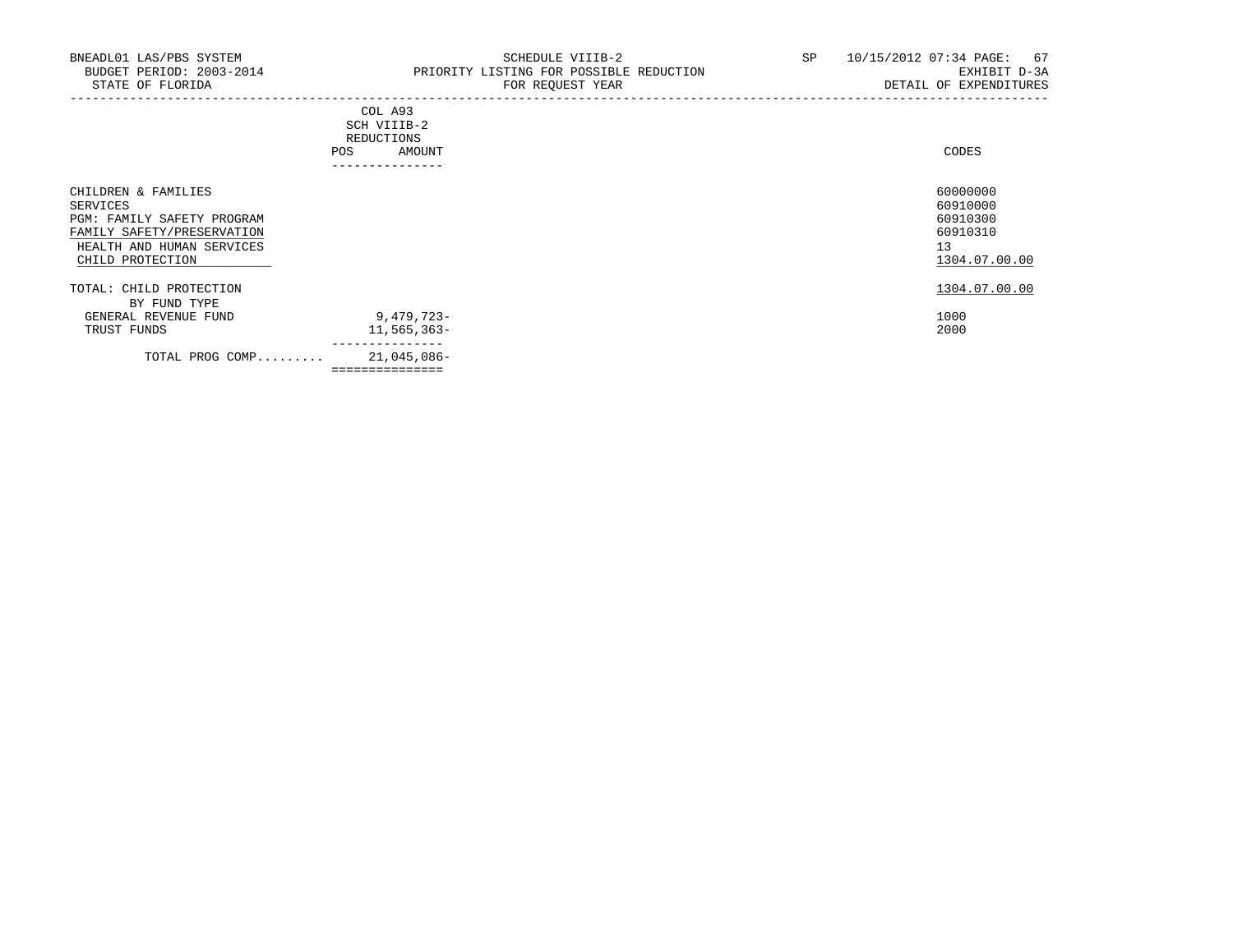| . _ _ _ _ _ _ _ _ _ _ _                                                                                                        |       |
|--------------------------------------------------------------------------------------------------------------------------------|-------|
| AMOUNT                                                                                                                         | CODES |
| <b>REDUCTIONS</b>                                                                                                              |       |
| SCH VIIIB-2<br>the contract of the contract of the contract of the contract of the contract of the contract of the contract of |       |
| COL A93                                                                                                                        |       |
|                                                                                                                                |       |

| 1304.07.00.00<br>TOTAL: CHILD PROTECTION<br>BY FUND TYPE<br>9,479,723-<br>1000<br>GENERAL REVENUE FUND<br>2000<br>$11,565,363-$<br>TRUST FUNDS<br>21,045,086-<br>TOTAL PROG COMP | CHILDREN & FAMILIES<br>SERVICES<br>PGM: FAMILY SAFETY PROGRAM<br>FAMILY SAFETY/PRESERVATION<br>HEALTH AND HUMAN SERVICES<br>CHILD PROTECTION | 60000000<br>60910000<br>60910300<br>60910310<br>13<br>1304.07.00.00 |
|----------------------------------------------------------------------------------------------------------------------------------------------------------------------------------|----------------------------------------------------------------------------------------------------------------------------------------------|---------------------------------------------------------------------|
|                                                                                                                                                                                  |                                                                                                                                              |                                                                     |
|                                                                                                                                                                                  |                                                                                                                                              |                                                                     |
|                                                                                                                                                                                  |                                                                                                                                              |                                                                     |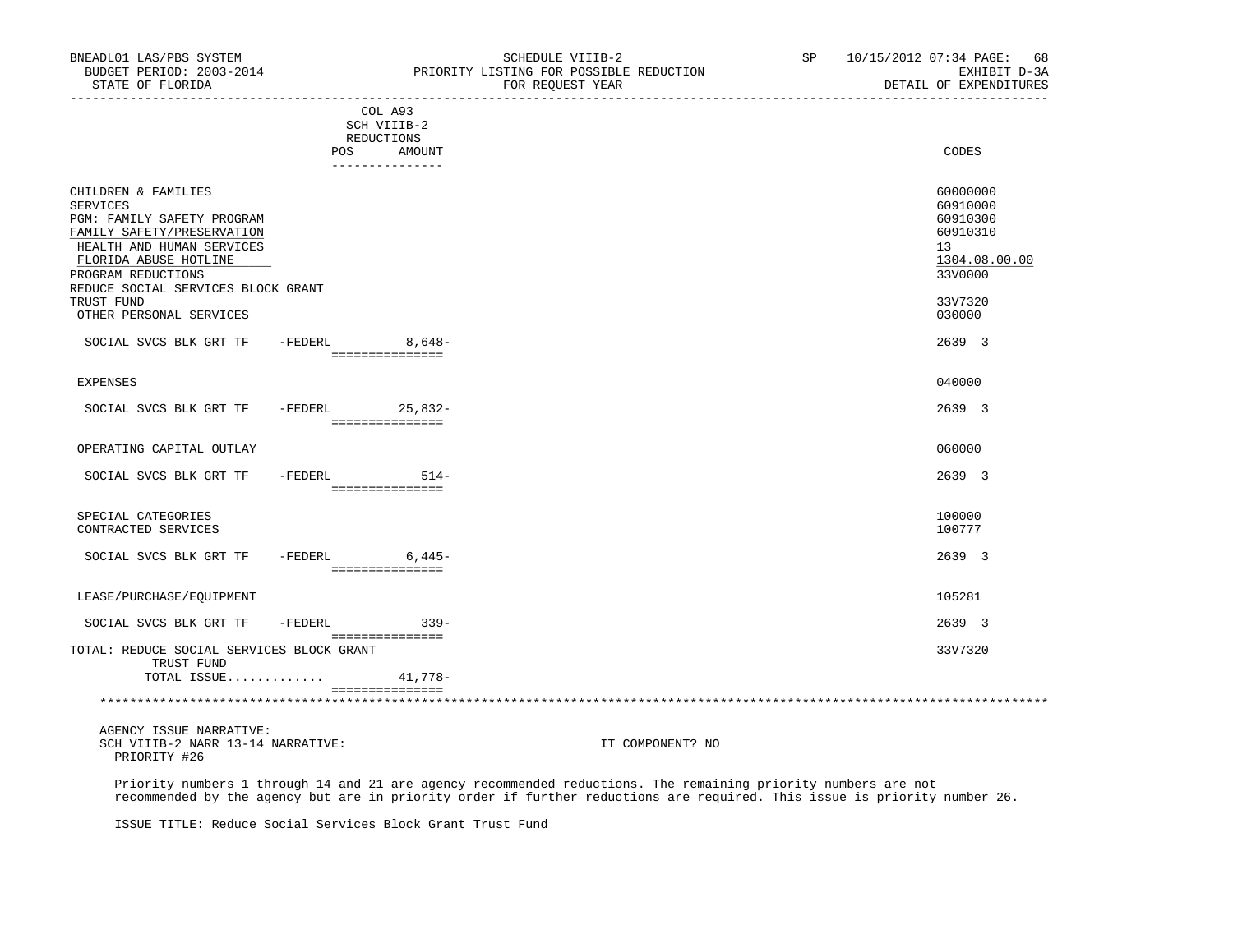| BNEADL01 LAS/PBS SYSTEM<br>BUDGET PERIOD: 2003-2014<br>STATE OF FLORIDA<br>_________________                                                                                                                  |         |                                                                      | SCHEDULE VIIIB-2<br>PRIORITY LISTING FOR POSSIBLE REDUCTION<br>FOR REQUEST YEAR | SP | 10/15/2012 07:34 PAGE: 68<br>EXHIBIT D-3A<br>DETAIL OF EXPENDITURES            |
|---------------------------------------------------------------------------------------------------------------------------------------------------------------------------------------------------------------|---------|----------------------------------------------------------------------|---------------------------------------------------------------------------------|----|--------------------------------------------------------------------------------|
|                                                                                                                                                                                                               |         | COL A93<br>SCH VIIIB-2<br>REDUCTIONS<br>POS AMOUNT<br>-------------- |                                                                                 |    | CODES                                                                          |
| CHILDREN & FAMILIES<br>SERVICES<br>PGM: FAMILY SAFETY PROGRAM<br>FAMILY SAFETY/PRESERVATION<br>HEALTH AND HUMAN SERVICES<br>FLORIDA ABUSE HOTLINE<br>PROGRAM REDUCTIONS<br>REDUCE SOCIAL SERVICES BLOCK GRANT |         |                                                                      |                                                                                 |    | 60000000<br>60910000<br>60910300<br>60910310<br>13<br>1304.08.00.00<br>33V0000 |
| TRUST FUND<br>OTHER PERSONAL SERVICES                                                                                                                                                                         |         |                                                                      |                                                                                 |    | 33V7320<br>030000                                                              |
| SOCIAL SVCS BLK GRT TF                                                                                                                                                                                        |         | -FEDERL 8,648-                                                       |                                                                                 |    | 2639 3                                                                         |
| EXPENSES                                                                                                                                                                                                      |         | ===============                                                      |                                                                                 |    | 040000                                                                         |
| SOCIAL SVCS BLK GRT TF                                                                                                                                                                                        |         | -FEDERL 25,832-<br>___________________                               |                                                                                 |    | 2639 3                                                                         |
| OPERATING CAPITAL OUTLAY                                                                                                                                                                                      |         |                                                                      |                                                                                 |    | 060000                                                                         |
| SOCIAL SVCS BLK GRT TF - FEDERL 514-                                                                                                                                                                          |         | ===============                                                      |                                                                                 |    | 2639 3                                                                         |
| SPECIAL CATEGORIES<br>CONTRACTED SERVICES                                                                                                                                                                     |         |                                                                      |                                                                                 |    | 100000<br>100777                                                               |
| SOCIAL SVCS BLK GRT TF                                                                                                                                                                                        |         | $-FEDERL$ 6,445-<br>===============                                  |                                                                                 |    | 2639 3                                                                         |
| LEASE/PURCHASE/EQUIPMENT                                                                                                                                                                                      |         |                                                                      |                                                                                 |    | 105281                                                                         |
| SOCIAL SVCS BLK GRT TF                                                                                                                                                                                        | -FEDERL | $339 -$                                                              |                                                                                 |    | 2639 3                                                                         |
| TOTAL: REDUCE SOCIAL SERVICES BLOCK GRANT<br>TRUST FUND<br>TOTAL ISSUE                                                                                                                                        |         | ===============<br>41,778-                                           |                                                                                 |    | 33V7320                                                                        |
|                                                                                                                                                                                                               |         | ===============                                                      |                                                                                 |    |                                                                                |
| AGENCY ISSUE NARRATIVE:<br>SCH VIIIB-2 NARR 13-14 NARRATIVE:<br>PRIORITY #26                                                                                                                                  |         |                                                                      | IT COMPONENT? NO                                                                |    |                                                                                |

 Priority numbers 1 through 14 and 21 are agency recommended reductions. The remaining priority numbers are not recommended by the agency but are in priority order if further reductions are required. This issue is priority number 26.

ISSUE TITLE: Reduce Social Services Block Grant Trust Fund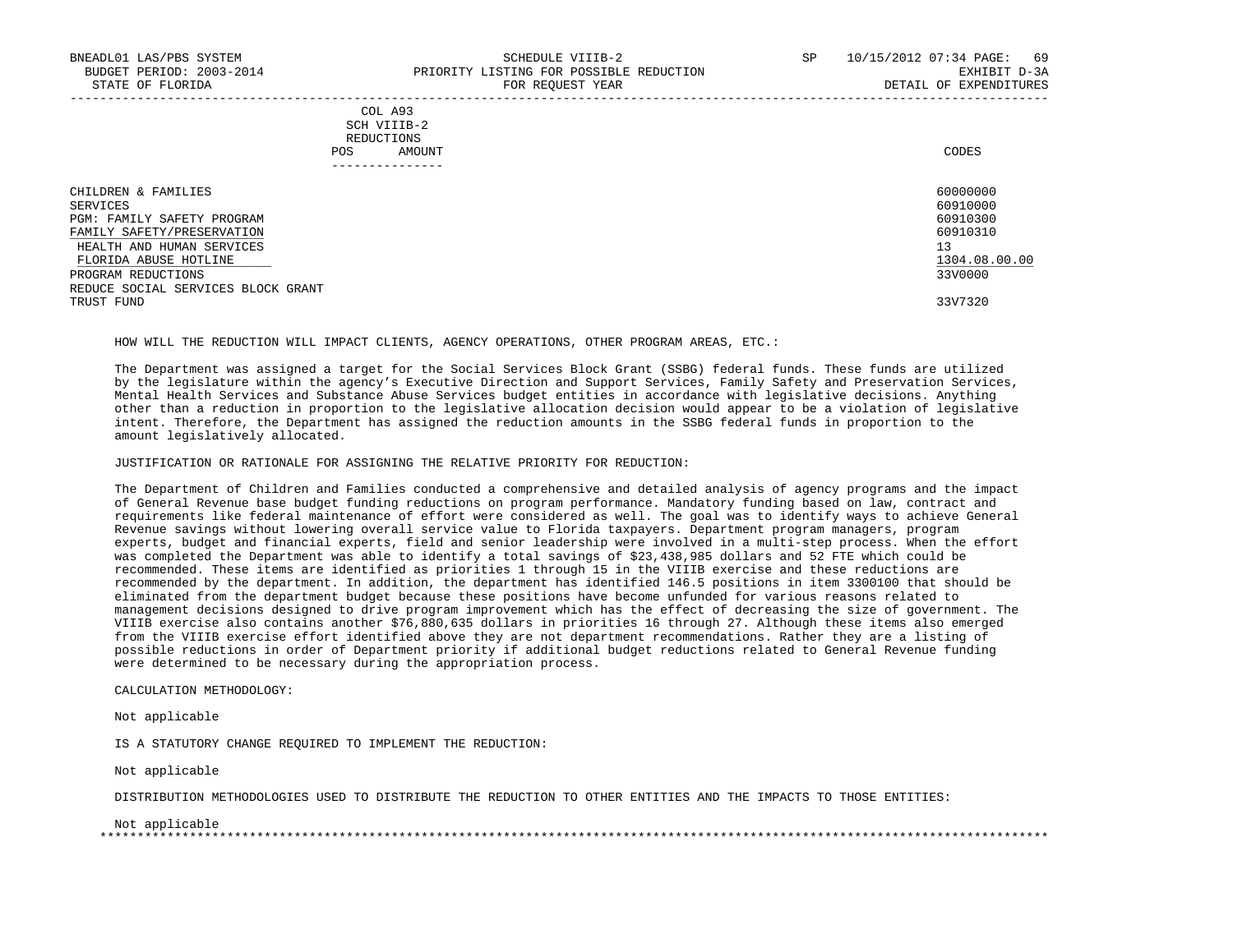| COL A93     |                 |
|-------------|-----------------|
| SCH VIIIB-2 |                 |
| REDUCTIONS  |                 |
| POS         | CODES<br>AMOUNT |

| ------------                       |               |
|------------------------------------|---------------|
| CHILDREN & FAMILIES                | 60000000      |
| SERVICES                           | 60910000      |
| PGM: FAMILY SAFETY PROGRAM         | 60910300      |
| FAMILY SAFETY/PRESERVATION         | 60910310      |
| HEALTH AND HUMAN SERVICES          | 13            |
| FLORIDA ABUSE HOTLINE              | 1304.08.00.00 |
| PROGRAM REDUCTIONS                 | 33V0000       |
| REDUCE SOCIAL SERVICES BLOCK GRANT |               |
| TRUST FUND                         | 33V7320       |

HOW WILL THE REDUCTION WILL IMPACT CLIENTS, AGENCY OPERATIONS, OTHER PROGRAM AREAS, ETC.:

 The Department was assigned a target for the Social Services Block Grant (SSBG) federal funds. These funds are utilized by the legislature within the agency's Executive Direction and Support Services, Family Safety and Preservation Services, Mental Health Services and Substance Abuse Services budget entities in accordance with legislative decisions. Anything other than a reduction in proportion to the legislative allocation decision would appear to be a violation of legislative intent. Therefore, the Department has assigned the reduction amounts in the SSBG federal funds in proportion to the amount legislatively allocated.

JUSTIFICATION OR RATIONALE FOR ASSIGNING THE RELATIVE PRIORITY FOR REDUCTION:

 The Department of Children and Families conducted a comprehensive and detailed analysis of agency programs and the impact of General Revenue base budget funding reductions on program performance. Mandatory funding based on law, contract and requirements like federal maintenance of effort were considered as well. The goal was to identify ways to achieve General Revenue savings without lowering overall service value to Florida taxpayers. Department program managers, program experts, budget and financial experts, field and senior leadership were involved in a multi-step process. When the effort was completed the Department was able to identify a total savings of \$23,438,985 dollars and 52 FTE which could be recommended. These items are identified as priorities 1 through 15 in the VIIIB exercise and these reductions are recommended by the department. In addition, the department has identified 146.5 positions in item 3300100 that should be eliminated from the department budget because these positions have become unfunded for various reasons related to management decisions designed to drive program improvement which has the effect of decreasing the size of government. The VIIIB exercise also contains another \$76,880,635 dollars in priorities 16 through 27. Although these items also emerged from the VIIIB exercise effort identified above they are not department recommendations. Rather they are a listing of possible reductions in order of Department priority if additional budget reductions related to General Revenue funding were determined to be necessary during the appropriation process.

CALCULATION METHODOLOGY:

Not applicable

IS A STATUTORY CHANGE REQUIRED TO IMPLEMENT THE REDUCTION:

Not applicable

DISTRIBUTION METHODOLOGIES USED TO DISTRIBUTE THE REDUCTION TO OTHER ENTITIES AND THE IMPACTS TO THOSE ENTITIES:

Not applicable

\*\*\*\*\*\*\*\*\*\*\*\*\*\*\*\*\*\*\*\*\*\*\*\*\*\*\*\*\*\*\*\*\*\*\*\*\*\*\*\*\*\*\*\*\*\*\*\*\*\*\*\*\*\*\*\*\*\*\*\*\*\*\*\*\*\*\*\*\*\*\*\*\*\*\*\*\*\*\*\*\*\*\*\*\*\*\*\*\*\*\*\*\*\*\*\*\*\*\*\*\*\*\*\*\*\*\*\*\*\*\*\*\*\*\*\*\*\*\*\*\*\*\*\*\*\*\*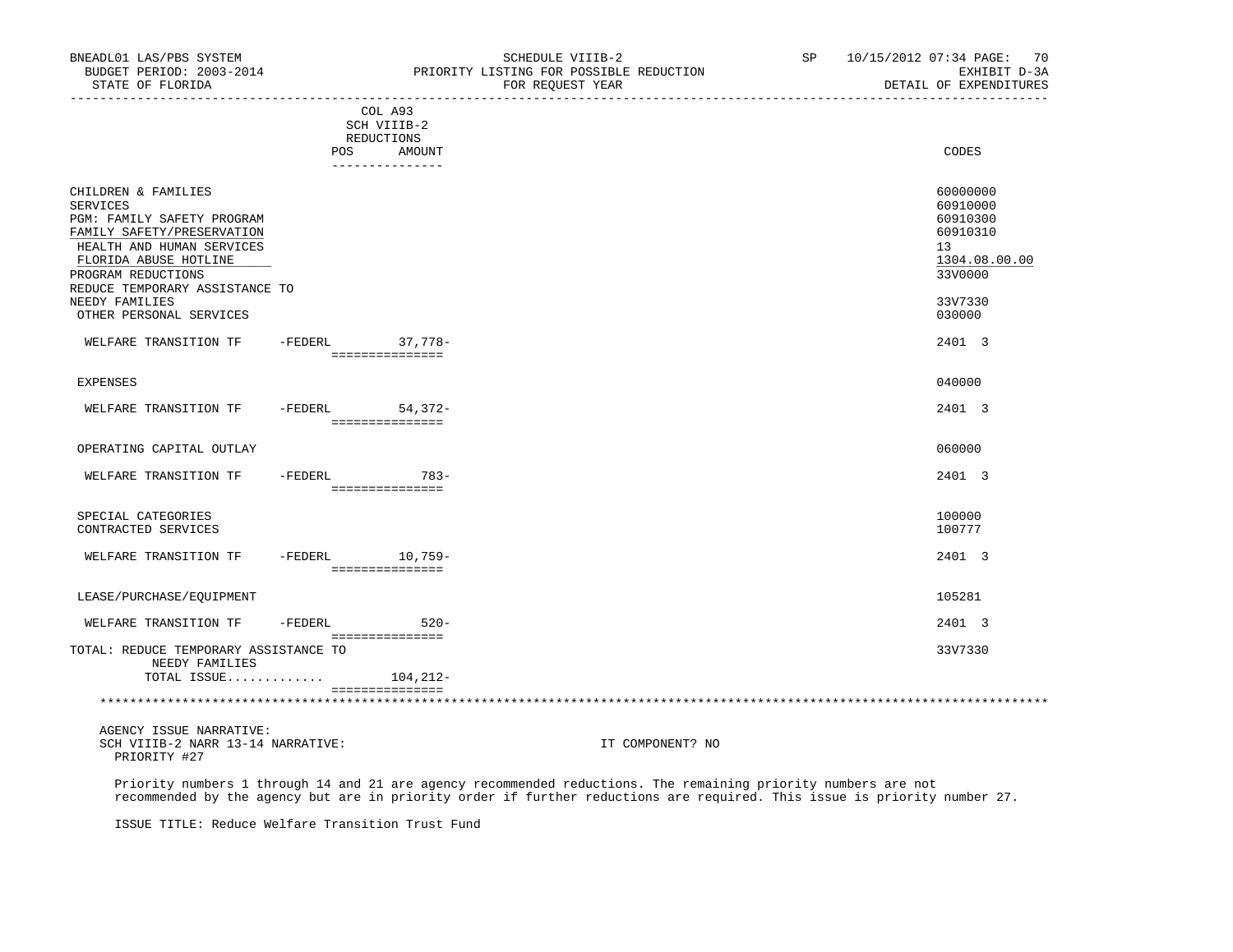| BNEADL01 LAS/PBS SYSTEM<br>BUDGET PERIOD: 2003-2014<br>STATE OF FLORIDA<br>_________________                                                                                                              |         |                                                                      | SCHEDULE VIIIB-2<br>PRIORITY LISTING FOR POSSIBLE REDUCTION<br>FOR REQUEST YEAR<br>______________________ | SP | 10/15/2012 07:34 PAGE: 70<br>EXHIBIT D-3A<br>DETAIL OF EXPENDITURES            |
|-----------------------------------------------------------------------------------------------------------------------------------------------------------------------------------------------------------|---------|----------------------------------------------------------------------|-----------------------------------------------------------------------------------------------------------|----|--------------------------------------------------------------------------------|
|                                                                                                                                                                                                           |         | COL A93<br>SCH VIIIB-2<br>REDUCTIONS<br>POS AMOUNT<br>-------------- |                                                                                                           |    | CODES                                                                          |
| CHILDREN & FAMILIES<br>SERVICES<br>PGM: FAMILY SAFETY PROGRAM<br>FAMILY SAFETY/PRESERVATION<br>HEALTH AND HUMAN SERVICES<br>FLORIDA ABUSE HOTLINE<br>PROGRAM REDUCTIONS<br>REDUCE TEMPORARY ASSISTANCE TO |         |                                                                      |                                                                                                           |    | 60000000<br>60910000<br>60910300<br>60910310<br>13<br>1304.08.00.00<br>33V0000 |
| NEEDY FAMILIES<br>OTHER PERSONAL SERVICES                                                                                                                                                                 |         |                                                                      |                                                                                                           |    | 33V7330<br>030000                                                              |
| WELFARE TRANSITION TF                                                                                                                                                                                     |         | -FEDERL 37,778-<br>----------------                                  |                                                                                                           |    | 2401 3                                                                         |
| EXPENSES                                                                                                                                                                                                  |         |                                                                      |                                                                                                           |    | 040000                                                                         |
| WELFARE TRANSITION TF                                                                                                                                                                                     |         | -FEDERL 54,372-<br>___________________                               |                                                                                                           |    | 2401 3                                                                         |
| OPERATING CAPITAL OUTLAY                                                                                                                                                                                  |         |                                                                      |                                                                                                           |    | 060000                                                                         |
| WELFARE TRANSITION TF                                                                                                                                                                                     |         | -FEDERL 783-<br>===============                                      |                                                                                                           |    | 2401 3                                                                         |
| SPECIAL CATEGORIES<br>CONTRACTED SERVICES                                                                                                                                                                 |         |                                                                      |                                                                                                           |    | 100000<br>100777                                                               |
| WELFARE TRANSITION TF                                                                                                                                                                                     |         | -FEDERL 10,759-<br>===============                                   |                                                                                                           |    | 2401 3                                                                         |
| LEASE/PURCHASE/EQUIPMENT                                                                                                                                                                                  |         |                                                                      |                                                                                                           |    | 105281                                                                         |
| WELFARE TRANSITION TF                                                                                                                                                                                     | -FEDERL | $520 -$                                                              |                                                                                                           |    | 2401 3                                                                         |
| TOTAL: REDUCE TEMPORARY ASSISTANCE TO<br>NEEDY FAMILIES<br>TOTAL ISSUE                                                                                                                                    |         | ================<br>104,212-                                         |                                                                                                           |    | 33V7330                                                                        |
|                                                                                                                                                                                                           |         | ===============                                                      |                                                                                                           |    |                                                                                |
| AGENCY ISSUE NARRATIVE:<br>SCH VIIIB-2 NARR 13-14 NARRATIVE:<br>PRIORITY #27                                                                                                                              |         |                                                                      | IT COMPONENT? NO                                                                                          |    |                                                                                |

 Priority numbers 1 through 14 and 21 are agency recommended reductions. The remaining priority numbers are not recommended by the agency but are in priority order if further reductions are required. This issue is priority number 27.

ISSUE TITLE: Reduce Welfare Transition Trust Fund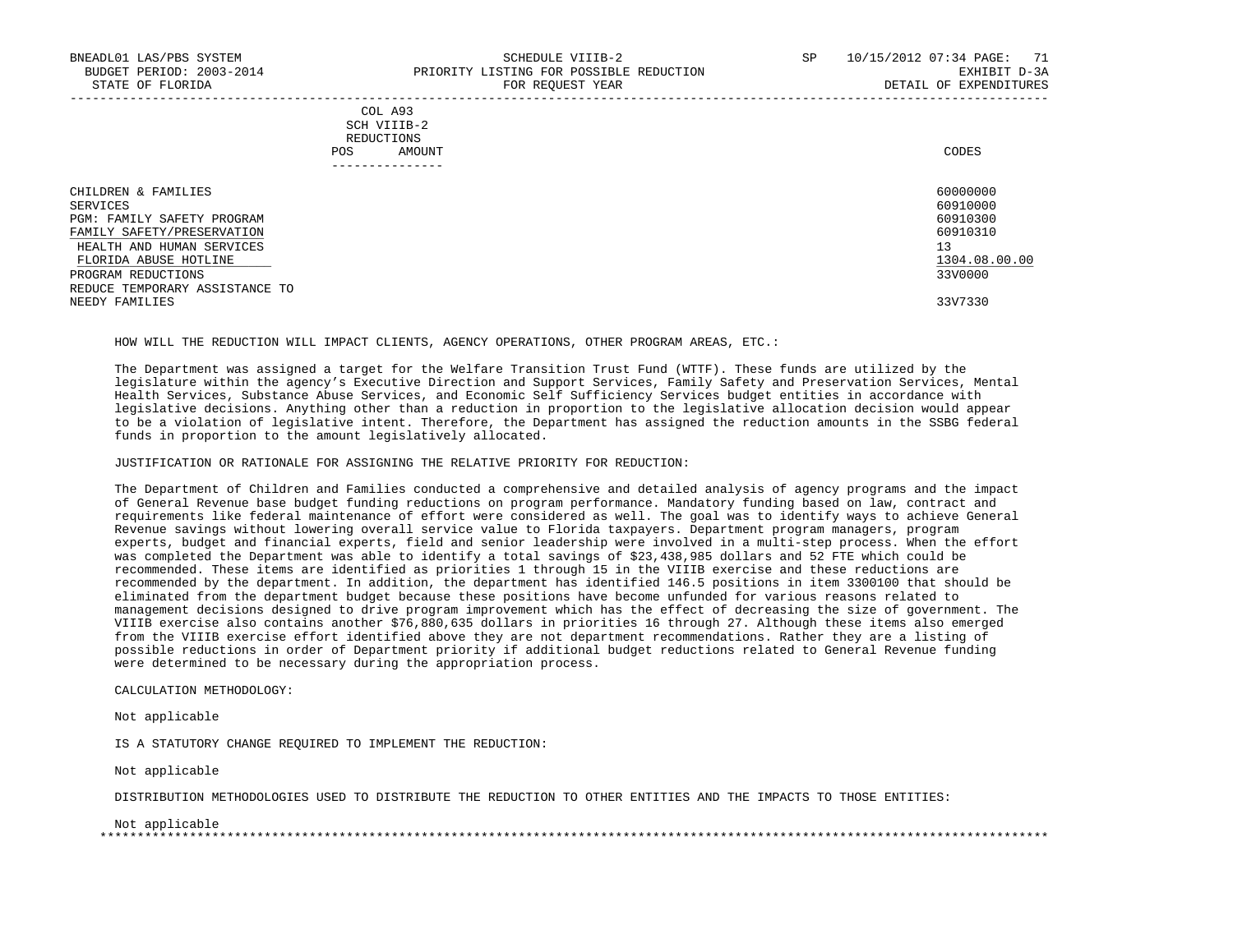|            | _______________ |       |
|------------|-----------------|-------|
| POS        | AMOUNT          | CODES |
| REDUCTIONS |                 |       |
|            | SCH VIIIB-2     |       |
|            | COL A93         |       |

| CHILDREN & FAMILIES            | 60000000      |
|--------------------------------|---------------|
| SERVICES                       | 60910000      |
| PGM: FAMILY SAFETY PROGRAM     | 60910300      |
| FAMILY SAFETY/PRESERVATION     | 60910310      |
| HEALTH AND HUMAN SERVICES      | 13            |
| FLORIDA ABUSE HOTLINE          | 1304.08.00.00 |
| PROGRAM REDUCTIONS             | 33V0000       |
| REDUCE TEMPORARY ASSISTANCE TO |               |
| NEEDY FAMILIES                 | 33V7330       |
|                                |               |

HOW WILL THE REDUCTION WILL IMPACT CLIENTS, AGENCY OPERATIONS, OTHER PROGRAM AREAS, ETC.:

 The Department was assigned a target for the Welfare Transition Trust Fund (WTTF). These funds are utilized by the legislature within the agency's Executive Direction and Support Services, Family Safety and Preservation Services, Mental Health Services, Substance Abuse Services, and Economic Self Sufficiency Services budget entities in accordance with legislative decisions. Anything other than a reduction in proportion to the legislative allocation decision would appear to be a violation of legislative intent. Therefore, the Department has assigned the reduction amounts in the SSBG federal funds in proportion to the amount legislatively allocated.

JUSTIFICATION OR RATIONALE FOR ASSIGNING THE RELATIVE PRIORITY FOR REDUCTION:

 The Department of Children and Families conducted a comprehensive and detailed analysis of agency programs and the impact of General Revenue base budget funding reductions on program performance. Mandatory funding based on law, contract and requirements like federal maintenance of effort were considered as well. The goal was to identify ways to achieve General Revenue savings without lowering overall service value to Florida taxpayers. Department program managers, program experts, budget and financial experts, field and senior leadership were involved in a multi-step process. When the effort was completed the Department was able to identify a total savings of \$23,438,985 dollars and 52 FTE which could be recommended. These items are identified as priorities 1 through 15 in the VIIIB exercise and these reductions are recommended by the department. In addition, the department has identified 146.5 positions in item 3300100 that should be eliminated from the department budget because these positions have become unfunded for various reasons related to management decisions designed to drive program improvement which has the effect of decreasing the size of government. The VIIIB exercise also contains another \$76,880,635 dollars in priorities 16 through 27. Although these items also emerged from the VIIIB exercise effort identified above they are not department recommendations. Rather they are a listing of possible reductions in order of Department priority if additional budget reductions related to General Revenue funding were determined to be necessary during the appropriation process.

CALCULATION METHODOLOGY:

Not applicable

IS A STATUTORY CHANGE REQUIRED TO IMPLEMENT THE REDUCTION:

Not applicable

DISTRIBUTION METHODOLOGIES USED TO DISTRIBUTE THE REDUCTION TO OTHER ENTITIES AND THE IMPACTS TO THOSE ENTITIES:

Not applicable

\*\*\*\*\*\*\*\*\*\*\*\*\*\*\*\*\*\*\*\*\*\*\*\*\*\*\*\*\*\*\*\*\*\*\*\*\*\*\*\*\*\*\*\*\*\*\*\*\*\*\*\*\*\*\*\*\*\*\*\*\*\*\*\*\*\*\*\*\*\*\*\*\*\*\*\*\*\*\*\*\*\*\*\*\*\*\*\*\*\*\*\*\*\*\*\*\*\*\*\*\*\*\*\*\*\*\*\*\*\*\*\*\*\*\*\*\*\*\*\*\*\*\*\*\*\*\*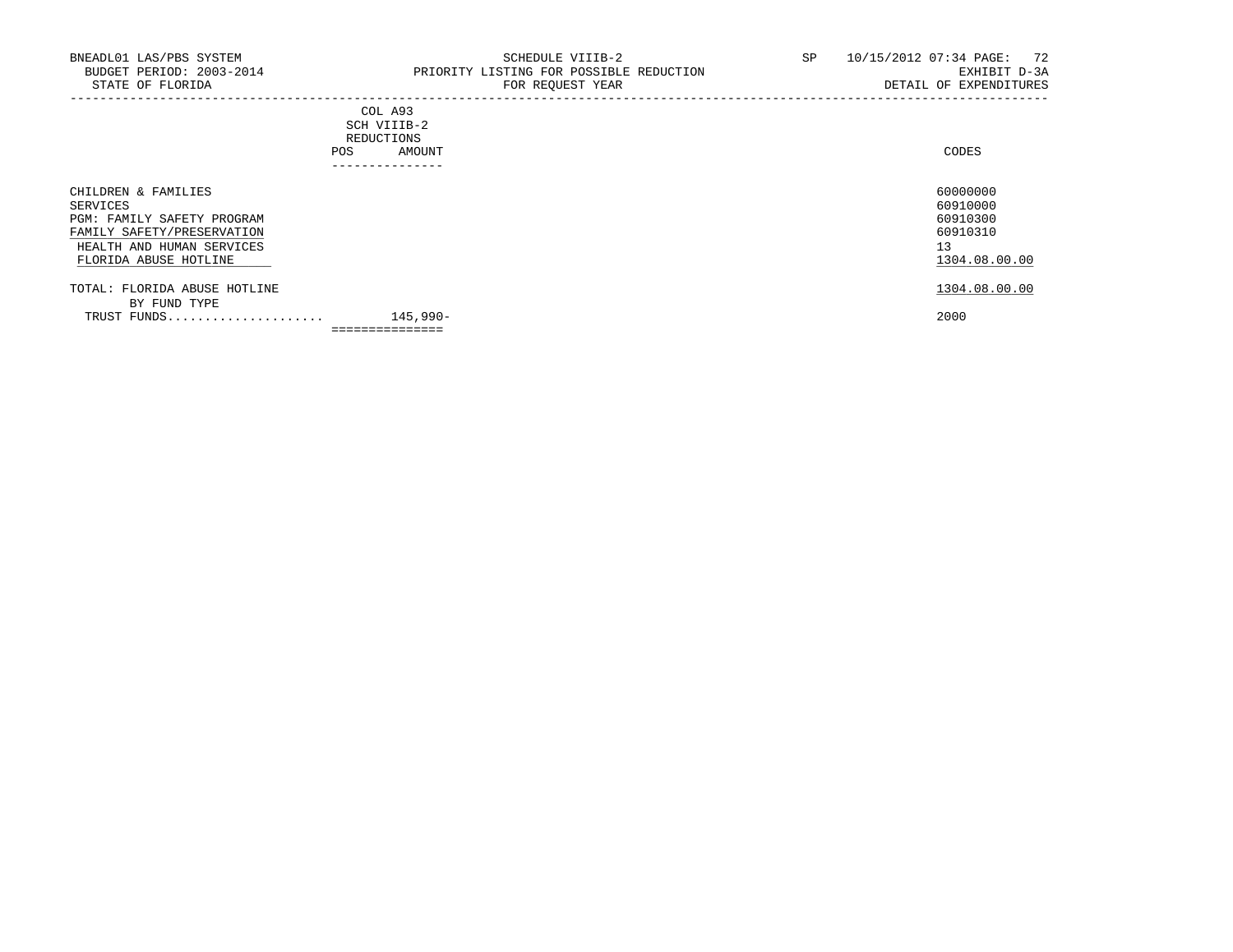## COL A93 SCH VIIIB-2 REDUCTIONS POS AMOUNT ---------------

| CHILDREN & FAMILIES          |                 | 60000000      |
|------------------------------|-----------------|---------------|
| SERVICES                     |                 | 60910000      |
| PGM: FAMILY SAFETY PROGRAM   |                 | 60910300      |
| FAMILY SAFETY/PRESERVATION   |                 | 60910310      |
| HEALTH AND HUMAN SERVICES    |                 | 13            |
| FLORIDA ABUSE HOTLINE        |                 | 1304.08.00.00 |
| TOTAL: FLORIDA ABUSE HOTLINE |                 | 1304.08.00.00 |
| BY FUND TYPE                 |                 |               |
| TRUST FUNDS                  | 145,990-        | 2000          |
|                              | =============== |               |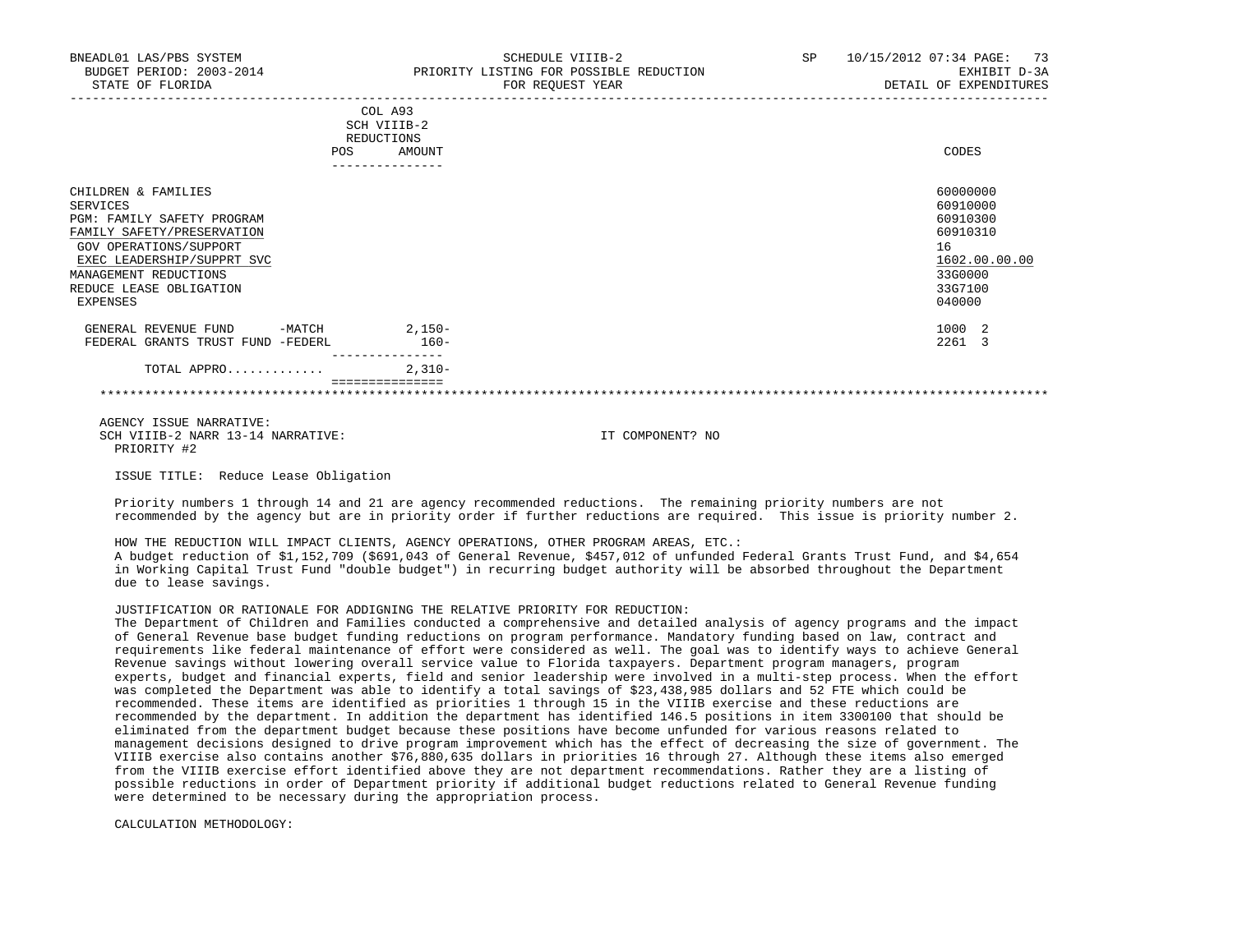| BNEADL01 LAS/PBS SYSTEM<br>BUDGET PERIOD: 2003-2014<br>STATE OF FLORIDA                                                                                                                                                    | SCHEDULE VIIIB-2<br>PRIORITY LISTING FOR POSSIBLE REDUCTION<br>FOR REQUEST YEAR                 | 10/15/2012 07:34 PAGE:<br>-73<br>SP<br>EXHIBIT D-3A<br>DETAIL OF EXPENDITURES                       |
|----------------------------------------------------------------------------------------------------------------------------------------------------------------------------------------------------------------------------|-------------------------------------------------------------------------------------------------|-----------------------------------------------------------------------------------------------------|
|                                                                                                                                                                                                                            | COL A93<br>SCH VIIIB-2<br>REDUCTIONS<br>AMOUNT<br><b>POS</b><br>. _ _ _ _ _ _ _ _ _ _ _ _ _ _ _ | CODES                                                                                               |
| CHILDREN & FAMILIES<br>SERVICES<br>PGM: FAMILY SAFETY PROGRAM<br>FAMILY SAFETY/PRESERVATION<br>GOV OPERATIONS/SUPPORT<br>EXEC LEADERSHIP/SUPPRT SVC<br>MANAGEMENT REDUCTIONS<br>REDUCE LEASE OBLIGATION<br><b>EXPENSES</b> |                                                                                                 | 60000000<br>60910000<br>60910300<br>60910310<br>16<br>1602.00.00.00<br>33G0000<br>33G7100<br>040000 |
| GENERAL REVENUE FUND<br>$-MATCH$<br>FEDERAL GRANTS TRUST FUND -FEDERL                                                                                                                                                      | $2,150-$<br>$160 -$                                                                             | 1000 2<br>2261                                                                                      |

 TOTAL APPRO............. 2,310- ===============

\*\*\*\*\*\*\*\*\*\*\*\*\*\*\*\*\*\*\*\*\*\*\*\*\*\*\*\*\*\*\*\*\*\*\*\*\*\*\*\*\*\*\*\*\*\*\*\*\*\*\*\*\*\*\*\*\*\*\*\*\*\*\*\*\*\*\*\*\*\*\*\*\*\*\*\*\*\*\*\*\*\*\*\*\*\*\*\*\*\*\*\*\*\*\*\*\*\*\*\*\*\*\*\*\*\*\*\*\*\*\*\*\*\*\*\*\*\*\*\*\*\*\*\*\*\*\*

 AGENCY ISSUE NARRATIVE: SCH VIIIB-2 NARR 13-14 NARRATIVE: IT COMPONENT? NO PRIORITY #2

ISSUE TITLE: Reduce Lease Obligation

 Priority numbers 1 through 14 and 21 are agency recommended reductions. The remaining priority numbers are not recommended by the agency but are in priority order if further reductions are required. This issue is priority number 2.

 HOW THE REDUCTION WILL IMPACT CLIENTS, AGENCY OPERATIONS, OTHER PROGRAM AREAS, ETC.: A budget reduction of \$1,152,709 (\$691,043 of General Revenue, \$457,012 of unfunded Federal Grants Trust Fund, and \$4,654 in Working Capital Trust Fund "double budget") in recurring budget authority will be absorbed throughout the Department due to lease savings.

# JUSTIFICATION OR RATIONALE FOR ADDIGNING THE RELATIVE PRIORITY FOR REDUCTION:

---------------

 The Department of Children and Families conducted a comprehensive and detailed analysis of agency programs and the impact of General Revenue base budget funding reductions on program performance. Mandatory funding based on law, contract and requirements like federal maintenance of effort were considered as well. The goal was to identify ways to achieve General Revenue savings without lowering overall service value to Florida taxpayers. Department program managers, program experts, budget and financial experts, field and senior leadership were involved in a multi-step process. When the effort was completed the Department was able to identify a total savings of \$23,438,985 dollars and 52 FTE which could be recommended. These items are identified as priorities 1 through 15 in the VIIIB exercise and these reductions are recommended by the department. In addition the department has identified 146.5 positions in item 3300100 that should be eliminated from the department budget because these positions have become unfunded for various reasons related to management decisions designed to drive program improvement which has the effect of decreasing the size of government. The VIIIB exercise also contains another \$76,880,635 dollars in priorities 16 through 27. Although these items also emerged from the VIIIB exercise effort identified above they are not department recommendations. Rather they are a listing of possible reductions in order of Department priority if additional budget reductions related to General Revenue funding were determined to be necessary during the appropriation process.

CALCULATION METHODOLOGY: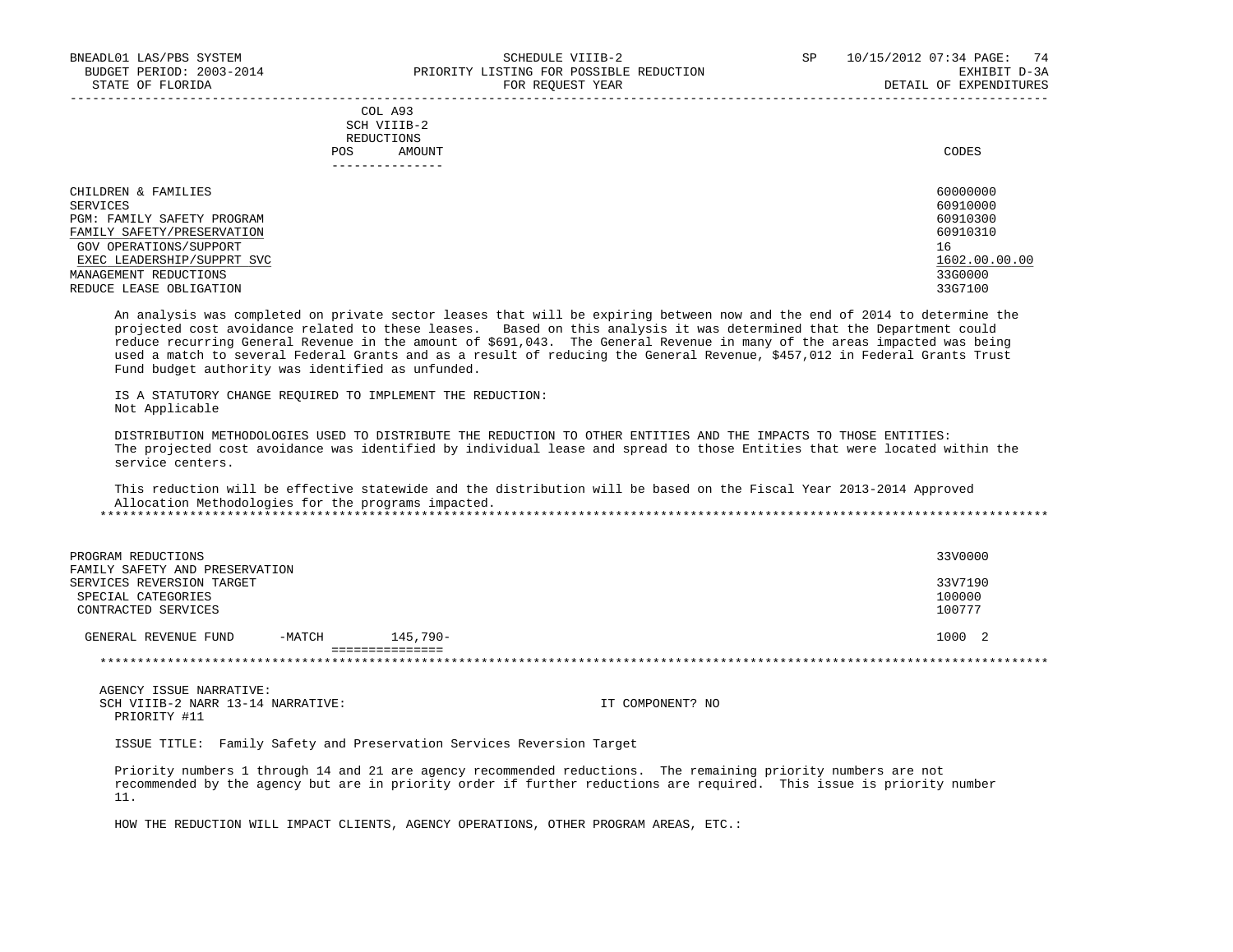|            | _______________ |       |
|------------|-----------------|-------|
| POS        | AMOUNT          | CODES |
| REDUCTIONS |                 |       |
|            | SCH VIIIB-2     |       |
|            | COL A93         |       |

| CHILDREN & FAMILIES        | 60000000      |
|----------------------------|---------------|
| SERVICES                   | 60910000      |
| PGM: FAMILY SAFETY PROGRAM | 60910300      |
| FAMILY SAFETY/PRESERVATION | 60910310      |
| GOV OPERATIONS/SUPPORT     | 16            |
| EXEC LEADERSHIP/SUPPRT SVC | 1602.00.00.00 |
| MANAGEMENT REDUCTIONS      | 33G0000       |
| REDUCE LEASE OBLIGATION    | 33G7100       |

 An analysis was completed on private sector leases that will be expiring between now and the end of 2014 to determine the projected cost avoidance related to these leases. Based on this analysis it was determined that the Department could reduce recurring General Revenue in the amount of \$691,043. The General Revenue in many of the areas impacted was being used a match to several Federal Grants and as a result of reducing the General Revenue, \$457,012 in Federal Grants Trust Fund budget authority was identified as unfunded.

 IS A STATUTORY CHANGE REQUIRED TO IMPLEMENT THE REDUCTION: Not Applicable

 DISTRIBUTION METHODOLOGIES USED TO DISTRIBUTE THE REDUCTION TO OTHER ENTITIES AND THE IMPACTS TO THOSE ENTITIES: The projected cost avoidance was identified by individual lease and spread to those Entities that were located within the service centers.

 This reduction will be effective statewide and the distribution will be based on the Fiscal Year 2013-2014 Approved Allocation Methodologies for the programs impacted.

| PROGRAM REDUCTIONS<br>FAMILY SAFETY AND PRESERVATION                   |        |             | 33V0000                     |
|------------------------------------------------------------------------|--------|-------------|-----------------------------|
| SERVICES REVERSION TARGET<br>SPECIAL CATEGORIES<br>CONTRACTED SERVICES |        |             | 33V7190<br>100000<br>100777 |
| GENERAL REVENUE FUND                                                   | -MATCH | $145.790 -$ | 1000 2                      |
|                                                                        |        |             |                             |

 AGENCY ISSUE NARRATIVE: SCH VIIIB-2 NARR 13-14 NARRATIVE: IT COMPONENT? NO PRIORITY #11

ISSUE TITLE: Family Safety and Preservation Services Reversion Target

 Priority numbers 1 through 14 and 21 are agency recommended reductions. The remaining priority numbers are not recommended by the agency but are in priority order if further reductions are required. This issue is priority number 11.

HOW THE REDUCTION WILL IMPACT CLIENTS, AGENCY OPERATIONS, OTHER PROGRAM AREAS, ETC.: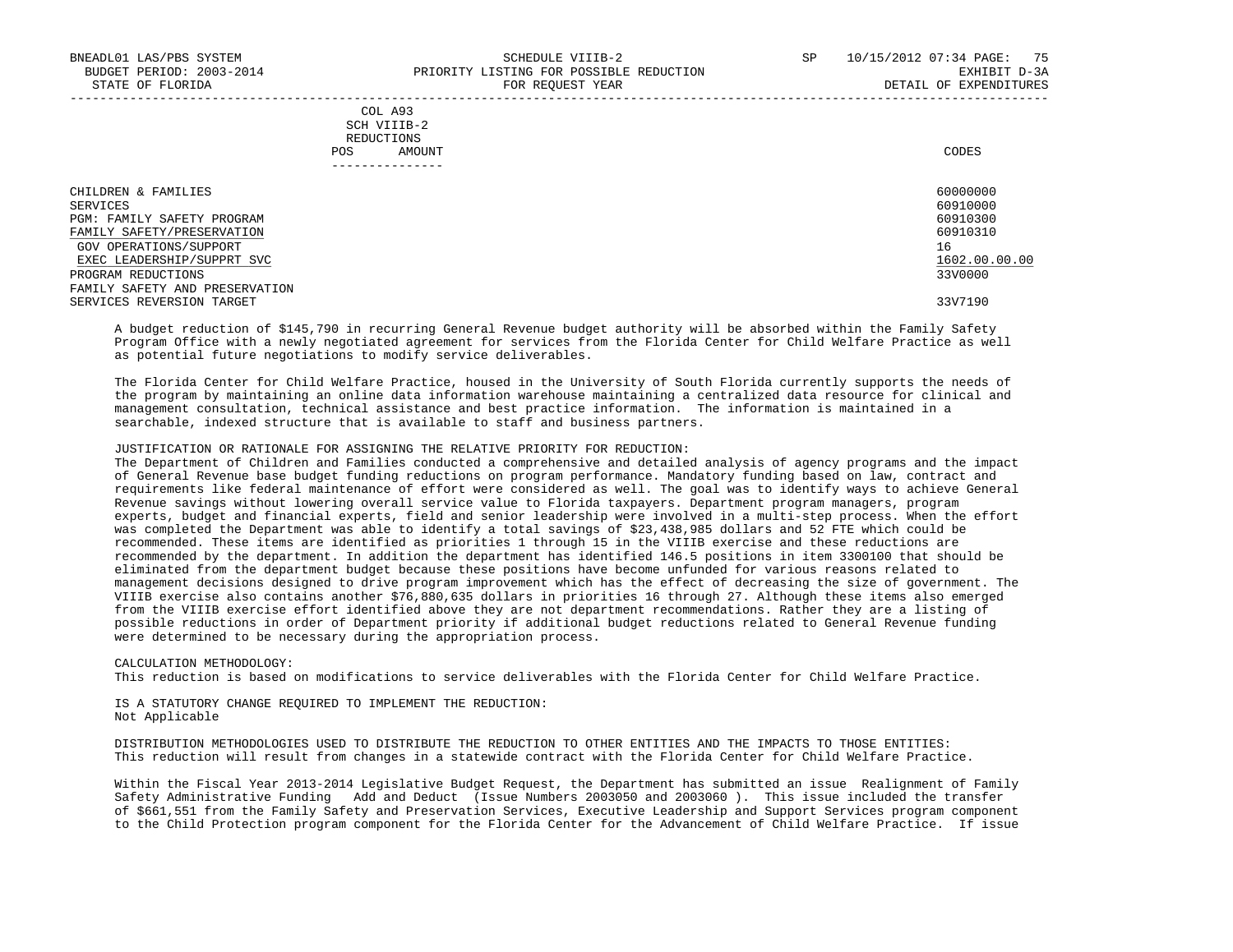| COL A93                                                                                                         |             |
|-----------------------------------------------------------------------------------------------------------------|-------------|
| the contract of the contract of the contract of the contract of the contract of the contract of the contract of |             |
| REDUCTIONS                                                                                                      |             |
| AMOUNT                                                                                                          | CODES       |
|                                                                                                                 | SCH VIIIB-2 |

| --------------                 |               |
|--------------------------------|---------------|
| CHILDREN & FAMILIES            | 60000000      |
| SERVICES                       | 60910000      |
| PGM: FAMILY SAFETY PROGRAM     | 60910300      |
| FAMILY SAFETY/PRESERVATION     | 60910310      |
| GOV OPERATIONS/SUPPORT         | 16            |
| EXEC LEADERSHIP/SUPPRT SVC     | 1602.00.00.00 |
| PROGRAM REDUCTIONS             | 33V0000       |
| FAMILY SAFETY AND PRESERVATION |               |
| SERVICES REVERSION TARGET      | 33V7190       |

 A budget reduction of \$145,790 in recurring General Revenue budget authority will be absorbed within the Family Safety Program Office with a newly negotiated agreement for services from the Florida Center for Child Welfare Practice as well as potential future negotiations to modify service deliverables.

 The Florida Center for Child Welfare Practice, housed in the University of South Florida currently supports the needs of the program by maintaining an online data information warehouse maintaining a centralized data resource for clinical and management consultation, technical assistance and best practice information. The information is maintained in a searchable, indexed structure that is available to staff and business partners.

# JUSTIFICATION OR RATIONALE FOR ASSIGNING THE RELATIVE PRIORITY FOR REDUCTION:

 The Department of Children and Families conducted a comprehensive and detailed analysis of agency programs and the impact of General Revenue base budget funding reductions on program performance. Mandatory funding based on law, contract and requirements like federal maintenance of effort were considered as well. The goal was to identify ways to achieve General Revenue savings without lowering overall service value to Florida taxpayers. Department program managers, program experts, budget and financial experts, field and senior leadership were involved in a multi-step process. When the effort was completed the Department was able to identify a total savings of \$23,438,985 dollars and 52 FTE which could be recommended. These items are identified as priorities 1 through 15 in the VIIIB exercise and these reductions are recommended by the department. In addition the department has identified 146.5 positions in item 3300100 that should be eliminated from the department budget because these positions have become unfunded for various reasons related to management decisions designed to drive program improvement which has the effect of decreasing the size of government. The VIIIB exercise also contains another \$76,880,635 dollars in priorities 16 through 27. Although these items also emerged from the VIIIB exercise effort identified above they are not department recommendations. Rather they are a listing of possible reductions in order of Department priority if additional budget reductions related to General Revenue funding were determined to be necessary during the appropriation process.

 CALCULATION METHODOLOGY: This reduction is based on modifications to service deliverables with the Florida Center for Child Welfare Practice.

 IS A STATUTORY CHANGE REQUIRED TO IMPLEMENT THE REDUCTION: Not Applicable

 DISTRIBUTION METHODOLOGIES USED TO DISTRIBUTE THE REDUCTION TO OTHER ENTITIES AND THE IMPACTS TO THOSE ENTITIES: This reduction will result from changes in a statewide contract with the Florida Center for Child Welfare Practice.

 Within the Fiscal Year 2013-2014 Legislative Budget Request, the Department has submitted an issue Realignment of Family Safety Administrative Funding Add and Deduct (Issue Numbers 2003050 and 2003060 ). This issue included the transfer of \$661,551 from the Family Safety and Preservation Services, Executive Leadership and Support Services program component to the Child Protection program component for the Florida Center for the Advancement of Child Welfare Practice. If issue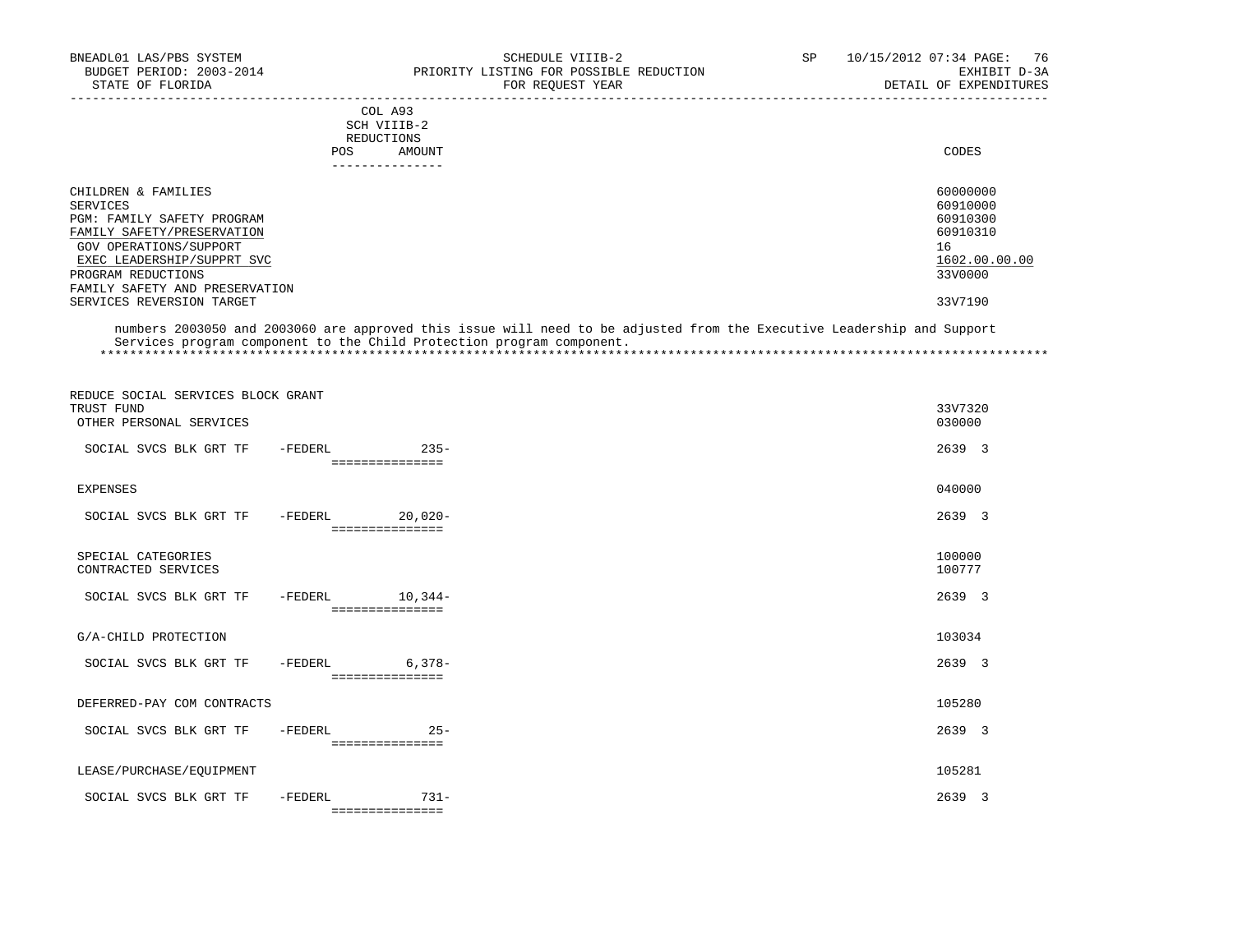| BNEADL01 LAS/PBS SYSTEM<br>BUDGET PERIOD: 2003-2014<br>STATE OF FLORIDA                     | SCHEDULE VIIIB-2<br>PRIORITY LISTING FOR POSSIBLE REDUCTION<br>FOR REOUEST YEAR | 10/15/2012 07:34 PAGE: 76<br>SP<br>EXHIBIT D-3A<br>DETAIL OF EXPENDITURES |
|---------------------------------------------------------------------------------------------|---------------------------------------------------------------------------------|---------------------------------------------------------------------------|
|                                                                                             | COL A93<br>SCH VIIIB-2<br>REDUCTIONS<br>AMOUNT<br><b>POS</b>                    | CODES                                                                     |
| CHILDREN & FAMILIES<br>SERVICES<br>PGM: FAMILY SAFETY PROGRAM<br>FAMILY SAFETY/PRESERVATION |                                                                                 | 60000000<br>60910000<br>60910300<br>60910310                              |

GOV OPERATIONS/SUPPORT 16<br>
EXEC LEADERSHIP/SUPPRT SVC 1602.00.00 EXEC LEADERSHIP/SUPPRT SVC  $\frac{1602.00}{3300000}$ PROGRAM REDUCTIONS FAMILY SAFETY AND PRESERVATION SERVICES REVERSION TARGET 33V7190

 numbers 2003050 and 2003060 are approved this issue will need to be adjusted from the Executive Leadership and Support Services program component to the Child Protection program component. \*\*\*\*\*\*\*\*\*\*\*\*\*\*\*\*\*\*\*\*\*\*\*\*\*\*\*\*\*\*\*\*\*\*\*\*\*\*\*\*\*\*\*\*\*\*\*\*\*\*\*\*\*\*\*\*\*\*\*\*\*\*\*\*\*\*\*\*\*\*\*\*\*\*\*\*\*\*\*\*\*\*\*\*\*\*\*\*\*\*\*\*\*\*\*\*\*\*\*\*\*\*\*\*\*\*\*\*\*\*\*\*\*\*\*\*\*\*\*\*\*\*\*\*\*\*\*

| REDUCE SOCIAL SERVICES BLOCK GRANT<br>TRUST FUND<br>OTHER PERSONAL SERVICES |           |                              | 33V7320<br>030000 |  |
|-----------------------------------------------------------------------------|-----------|------------------------------|-------------------|--|
| SOCIAL SVCS BLK GRT TF                                                      | -FEDERL   | $235-$<br>===============    | 2639 3            |  |
| <b>EXPENSES</b>                                                             |           |                              | 040000            |  |
| SOCIAL SVCS BLK GRT TF                                                      | $-FEDERL$ | $20,020-$<br>=============== | 2639 3            |  |
| SPECIAL CATEGORIES<br>CONTRACTED SERVICES                                   |           |                              | 100000<br>100777  |  |
| SOCIAL SVCS BLK GRT TF                                                      | -FEDERL   | $10,344-$<br>=============== | 2639 3            |  |
| G/A-CHILD PROTECTION                                                        |           |                              | 103034            |  |
| SOCIAL SVCS BLK GRT TF                                                      | -FEDERL   | $6,378-$<br>===============  | 2639 3            |  |
| DEFERRED-PAY COM CONTRACTS                                                  |           |                              | 105280            |  |
| SOCIAL SVCS BLK GRT TF                                                      | -FEDERL   | $25 -$<br>===============    | 2639 3            |  |
| LEASE/PURCHASE/EQUIPMENT                                                    |           |                              | 105281            |  |
| SOCIAL SVCS BLK GRT TF                                                      | -FEDERL   | $731 -$<br>===============   | 2639 3            |  |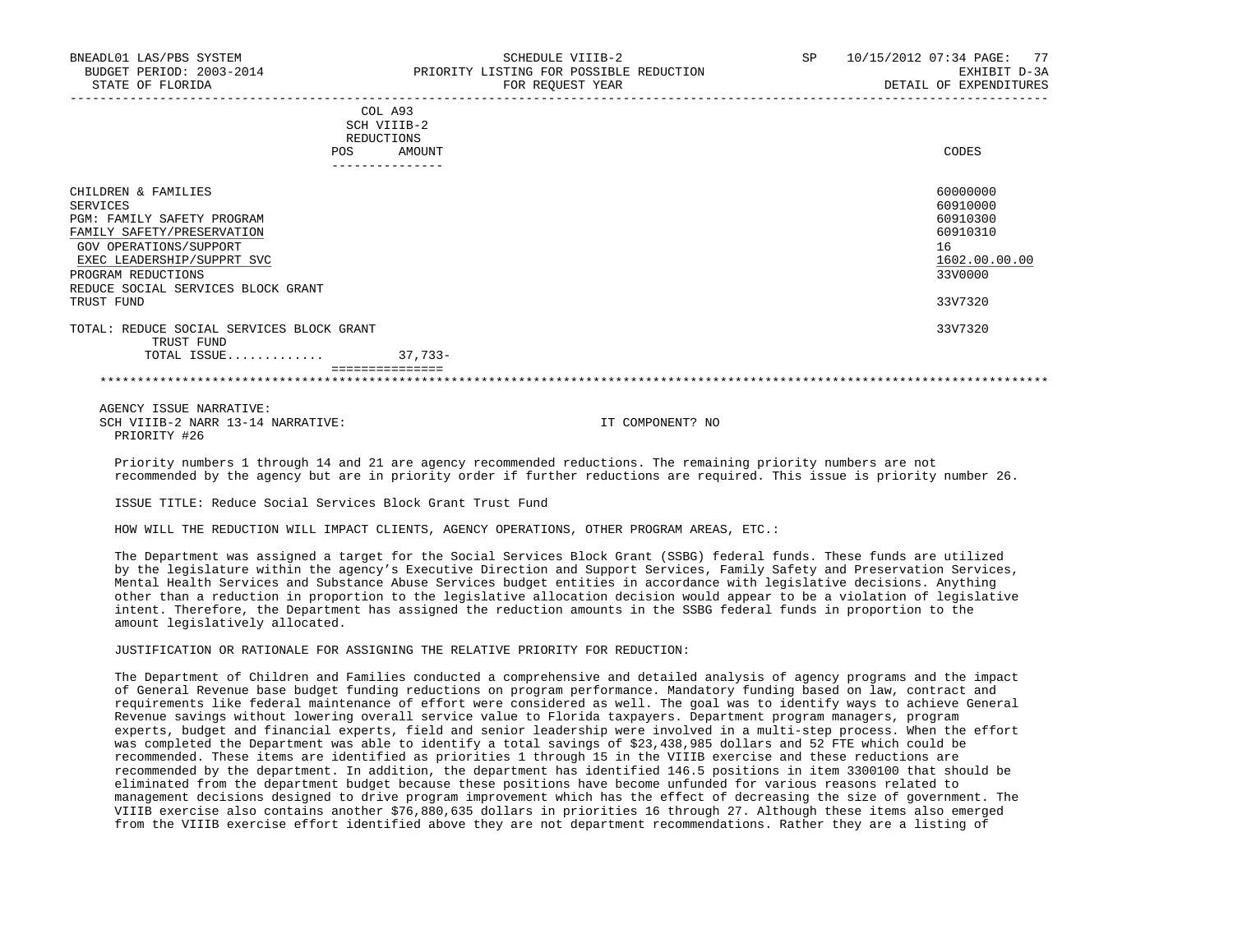| CODES<br>AMOUNT |
|-----------------|
| SCH VIIIB-2     |

|                                           | ---------- |               |
|-------------------------------------------|------------|---------------|
| CHILDREN & FAMILIES                       |            | 60000000      |
| SERVICES                                  |            | 60910000      |
| PGM: FAMILY SAFETY PROGRAM                |            | 60910300      |
| FAMILY SAFETY/PRESERVATION                |            | 60910310      |
| GOV OPERATIONS/SUPPORT                    |            | 16            |
| EXEC LEADERSHIP/SUPPRT SVC                |            | 1602.00.00.00 |
| PROGRAM REDUCTIONS                        |            | 33V0000       |
| REDUCE SOCIAL SERVICES BLOCK GRANT        |            |               |
| TRUST FUND                                |            | 33V7320       |
|                                           |            |               |
| TOTAL: REDUCE SOCIAL SERVICES BLOCK GRANT |            | 33V7320       |
| TRUST FUND                                |            |               |
| TOTAL ISSUE                               | $37.733 -$ |               |
| ===============                           |            |               |

\*\*\*\*\*\*\*\*\*\*\*\*\*\*\*\*\*\*\*\*\*\*\*\*\*\*\*\*\*\*\*\*\*\*\*\*\*\*\*\*\*\*\*\*\*\*\*\*\*\*\*\*\*\*\*\*\*\*\*\*\*\*\*\*\*\*\*\*\*\*\*\*\*\*\*\*\*\*\*\*\*\*\*\*\*\*\*\*\*\*\*\*\*\*\*\*\*\*\*\*\*\*\*\*\*\*\*\*\*\*\*\*\*\*\*\*\*\*\*\*\*\*\*\*\*\*\*

 AGENCY ISSUE NARRATIVE: SCH VIIIB-2 NARR 13-14 NARRATIVE: IT COMPONENT? NO PRIORITY #26

 Priority numbers 1 through 14 and 21 are agency recommended reductions. The remaining priority numbers are not recommended by the agency but are in priority order if further reductions are required. This issue is priority number 26.

ISSUE TITLE: Reduce Social Services Block Grant Trust Fund

HOW WILL THE REDUCTION WILL IMPACT CLIENTS, AGENCY OPERATIONS, OTHER PROGRAM AREAS, ETC.:

 The Department was assigned a target for the Social Services Block Grant (SSBG) federal funds. These funds are utilized by the legislature within the agency's Executive Direction and Support Services, Family Safety and Preservation Services, Mental Health Services and Substance Abuse Services budget entities in accordance with legislative decisions. Anything other than a reduction in proportion to the legislative allocation decision would appear to be a violation of legislative intent. Therefore, the Department has assigned the reduction amounts in the SSBG federal funds in proportion to the amount legislatively allocated.

JUSTIFICATION OR RATIONALE FOR ASSIGNING THE RELATIVE PRIORITY FOR REDUCTION:

 The Department of Children and Families conducted a comprehensive and detailed analysis of agency programs and the impact of General Revenue base budget funding reductions on program performance. Mandatory funding based on law, contract and requirements like federal maintenance of effort were considered as well. The goal was to identify ways to achieve General Revenue savings without lowering overall service value to Florida taxpayers. Department program managers, program experts, budget and financial experts, field and senior leadership were involved in a multi-step process. When the effort was completed the Department was able to identify a total savings of \$23,438,985 dollars and 52 FTE which could be recommended. These items are identified as priorities 1 through 15 in the VIIIB exercise and these reductions are recommended by the department. In addition, the department has identified 146.5 positions in item 3300100 that should be eliminated from the department budget because these positions have become unfunded for various reasons related to management decisions designed to drive program improvement which has the effect of decreasing the size of government. The VIIIB exercise also contains another \$76,880,635 dollars in priorities 16 through 27. Although these items also emerged from the VIIIB exercise effort identified above they are not department recommendations. Rather they are a listing of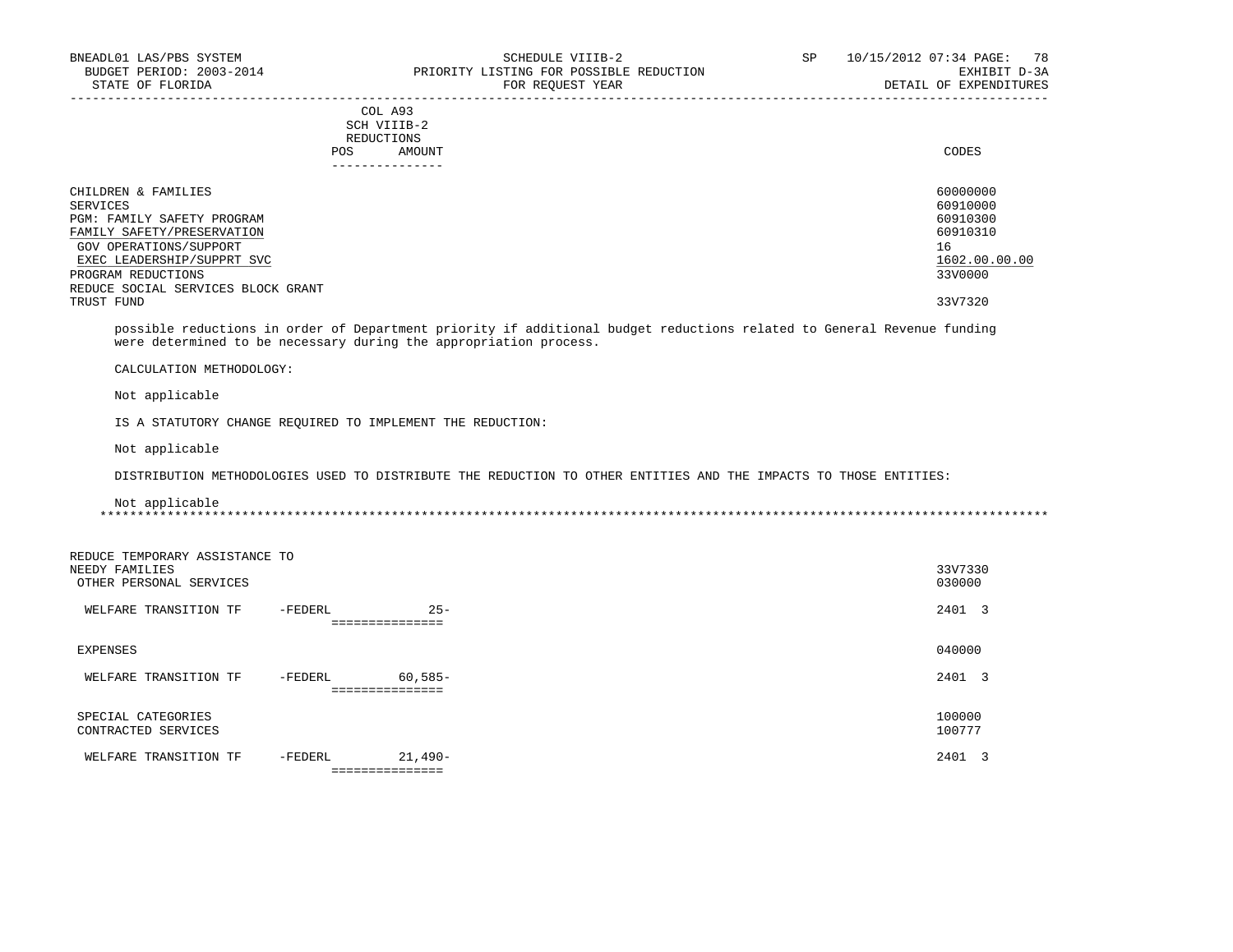# COL A93 SCH VIIIB-2 REDUCTIONS POS AMOUNT CODES AND A LOCAL AND LOCAL AND LOCAL AND LOCAL AND LOCAL AND LOCAL AND LOCAL AND LOCAL AND LOCAL AND LOCAL AND LOCAL AND LOCAL AND LOCAL AND LOCAL AND LOCAL AND LOCAL AND LOCAL AND LOCAL AND LOCAL AND LOCAL AND ---------------

| CHILDREN & FAMILIES                | 60000000      |
|------------------------------------|---------------|
| SERVICES                           | 60910000      |
| PGM: FAMILY SAFETY PROGRAM         | 60910300      |
| FAMILY SAFETY/PRESERVATION         | 60910310      |
| GOV OPERATIONS/SUPPORT             | 16            |
| EXEC LEADERSHIP/SUPPRT SVC         | 1602.00.00.00 |
| PROGRAM REDUCTIONS                 | 33V0000       |
| REDUCE SOCIAL SERVICES BLOCK GRANT |               |
| TRUST FUND                         | 33V7320       |

-----------------------------------------------------------------------------------------------------------------------------------

 possible reductions in order of Department priority if additional budget reductions related to General Revenue funding were determined to be necessary during the appropriation process.

CALCULATION METHODOLOGY:

Not applicable

IS A STATUTORY CHANGE REQUIRED TO IMPLEMENT THE REDUCTION:

Not applicable

DISTRIBUTION METHODOLOGIES USED TO DISTRIBUTE THE REDUCTION TO OTHER ENTITIES AND THE IMPACTS TO THOSE ENTITIES:

 Not applicable \*\*\*\*\*\*\*\*\*\*\*\*\*\*\*\*\*\*\*\*\*\*\*\*\*\*\*\*\*\*\*\*\*\*\*\*\*\*\*\*\*\*\*\*\*\*\*\*\*\*\*\*\*\*\*\*\*\*\*\*\*\*\*\*\*\*\*\*\*\*\*\*\*\*\*\*\*\*\*\*\*\*\*\*\*\*\*\*\*\*\*\*\*\*\*\*\*\*\*\*\*\*\*\*\*\*\*\*\*\*\*\*\*\*\*\*\*\*\*\*\*\*\*\*\*\*\*

| REDUCE TEMPORARY ASSISTANCE TO |         |                 |         |  |
|--------------------------------|---------|-----------------|---------|--|
| NEEDY FAMILIES                 |         |                 | 33V7330 |  |
| OTHER PERSONAL SERVICES        |         |                 | 030000  |  |
| WELFARE TRANSITION TF          | -FEDERL | $25 -$          | 2401 3  |  |
|                                |         | =============   |         |  |
| EXPENSES                       |         |                 | 040000  |  |
|                                |         |                 |         |  |
| WELFARE TRANSITION TF          | -FEDERL | 60,585-         | 2401 3  |  |
|                                |         | =============== |         |  |
| SPECIAL CATEGORIES             |         |                 | 100000  |  |
| CONTRACTED SERVICES            |         |                 | 100777  |  |
|                                |         |                 |         |  |
| WELFARE TRANSITION TF          | -FEDERL | $21.490-$       | 2401 3  |  |
|                                |         | =============== |         |  |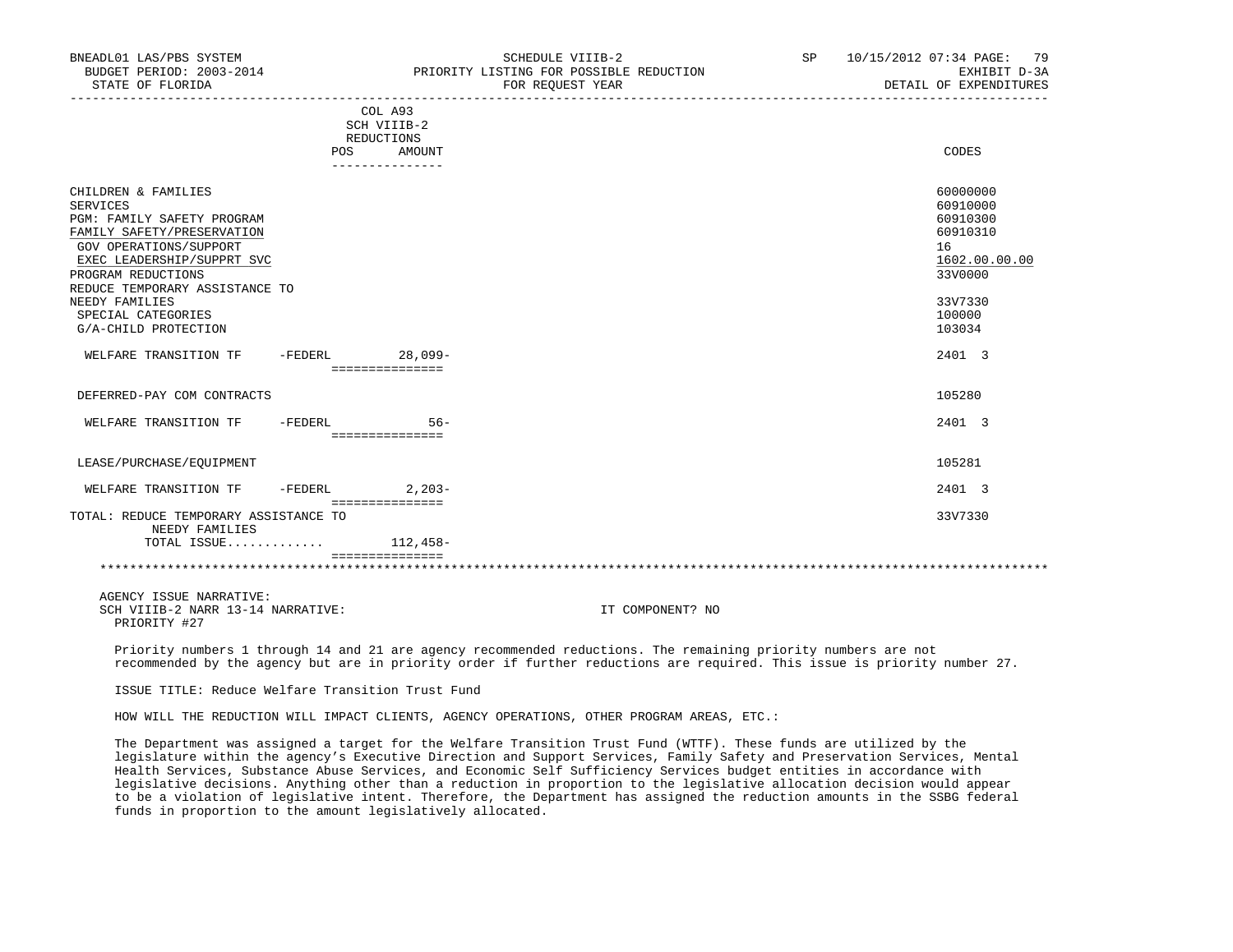| BNEADL01 LAS/PBS SYSTEM<br>BUDGET PERIOD: 2003-2014<br>STATE OF FLORIDA                                                                                                                                                                                                     |           |                                      | SCHEDULE VIIIB-2<br>PRIORITY LISTING FOR POSSIBLE REDUCTION<br>FOR REOUEST YEAR | <b>SP</b> | 10/15/2012 07:34 PAGE: 79<br>EXHIBIT D-3A<br>DETAIL OF EXPENDITURES                                           |
|-----------------------------------------------------------------------------------------------------------------------------------------------------------------------------------------------------------------------------------------------------------------------------|-----------|--------------------------------------|---------------------------------------------------------------------------------|-----------|---------------------------------------------------------------------------------------------------------------|
|                                                                                                                                                                                                                                                                             |           | COL A93<br>SCH VIIIB-2<br>REDUCTIONS |                                                                                 |           |                                                                                                               |
|                                                                                                                                                                                                                                                                             | POS       | AMOUNT<br>---------------            |                                                                                 |           | CODES                                                                                                         |
| CHILDREN & FAMILIES<br>SERVICES<br>PGM: FAMILY SAFETY PROGRAM<br>FAMILY SAFETY/PRESERVATION<br>GOV OPERATIONS/SUPPORT<br>EXEC LEADERSHIP/SUPPRT SVC<br>PROGRAM REDUCTIONS<br>REDUCE TEMPORARY ASSISTANCE TO<br>NEEDY FAMILIES<br>SPECIAL CATEGORIES<br>G/A-CHILD PROTECTION |           |                                      |                                                                                 |           | 60000000<br>60910000<br>60910300<br>60910310<br>16<br>1602.00.00.00<br>33V0000<br>33V7330<br>100000<br>103034 |
| WELFARE TRANSITION TF                                                                                                                                                                                                                                                       | $-FEDERL$ | $28.099 -$<br>===============        |                                                                                 |           | 2401 3                                                                                                        |
| DEFERRED-PAY COM CONTRACTS                                                                                                                                                                                                                                                  |           |                                      |                                                                                 |           | 105280                                                                                                        |
| WELFARE TRANSITION TF                                                                                                                                                                                                                                                       | -FEDERL   | $56 -$<br>===============            |                                                                                 |           | 2401 3                                                                                                        |
| LEASE/PURCHASE/EQUIPMENT                                                                                                                                                                                                                                                    |           |                                      |                                                                                 |           | 105281                                                                                                        |
| WELFARE TRANSITION TF                                                                                                                                                                                                                                                       | -FEDERL   | $2.203-$<br>===============          |                                                                                 |           | 2401 3                                                                                                        |
| TOTAL: REDUCE TEMPORARY ASSISTANCE TO<br>NEEDY FAMILIES                                                                                                                                                                                                                     |           |                                      |                                                                                 |           | 33V7330                                                                                                       |
| TOTAL ISSUE                                                                                                                                                                                                                                                                 |           | 112,458-<br>===============          |                                                                                 |           |                                                                                                               |
|                                                                                                                                                                                                                                                                             |           |                                      |                                                                                 |           |                                                                                                               |

 AGENCY ISSUE NARRATIVE: SCH VIIIB-2 NARR 13-14 NARRATIVE: IT COMPONENT? NO PRIORITY #27

 Priority numbers 1 through 14 and 21 are agency recommended reductions. The remaining priority numbers are not recommended by the agency but are in priority order if further reductions are required. This issue is priority number 27.

ISSUE TITLE: Reduce Welfare Transition Trust Fund

HOW WILL THE REDUCTION WILL IMPACT CLIENTS, AGENCY OPERATIONS, OTHER PROGRAM AREAS, ETC.:

 The Department was assigned a target for the Welfare Transition Trust Fund (WTTF). These funds are utilized by the legislature within the agency's Executive Direction and Support Services, Family Safety and Preservation Services, Mental Health Services, Substance Abuse Services, and Economic Self Sufficiency Services budget entities in accordance with legislative decisions. Anything other than a reduction in proportion to the legislative allocation decision would appear to be a violation of legislative intent. Therefore, the Department has assigned the reduction amounts in the SSBG federal funds in proportion to the amount legislatively allocated.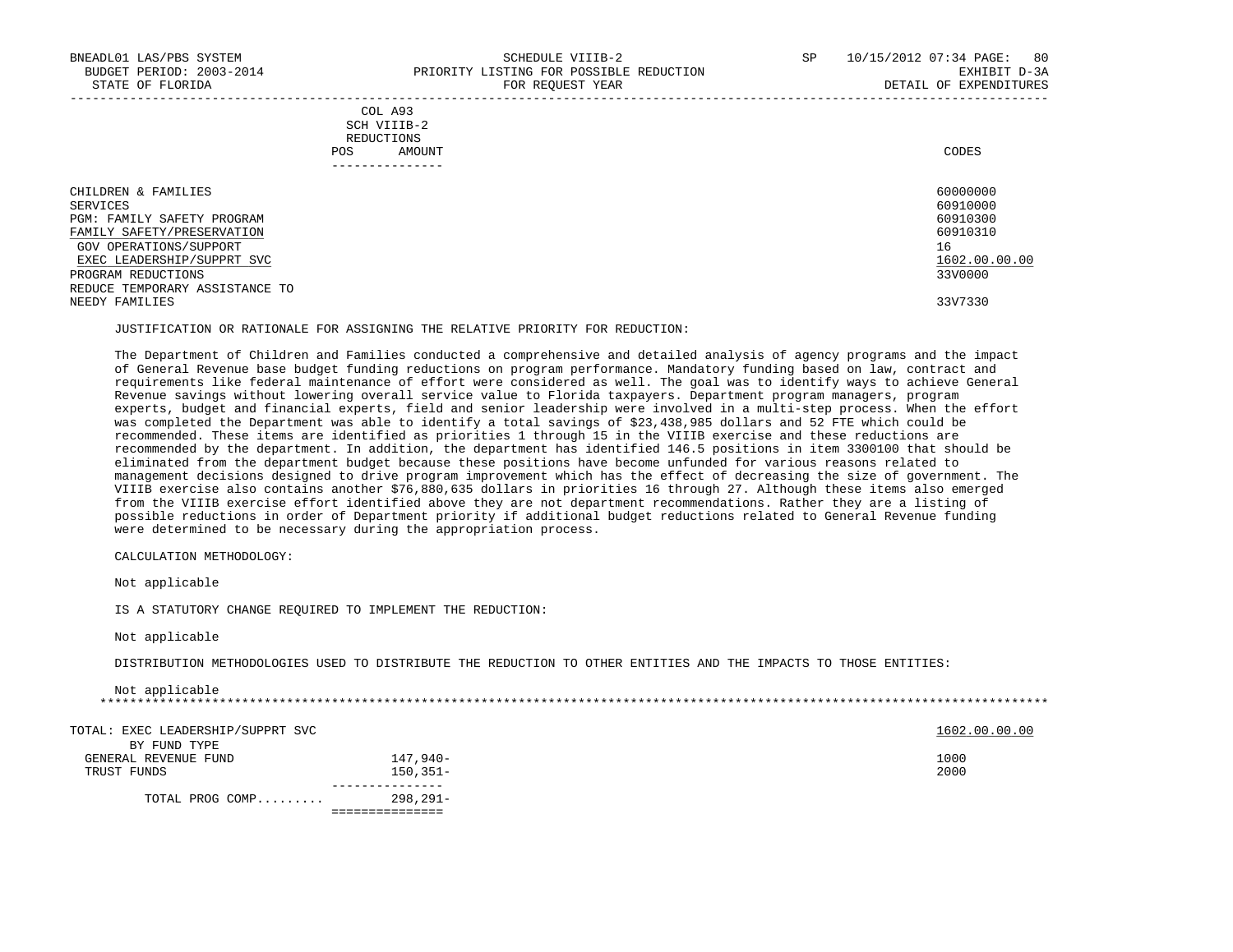|            | _______________ |       |
|------------|-----------------|-------|
| POS        | AMOUNT          | CODES |
| REDUCTIONS |                 |       |
|            | SCH VIIIB-2     |       |
|            | COL A93         |       |

| CHILDREN & FAMILIES            | 60000000      |
|--------------------------------|---------------|
| SERVICES                       | 60910000      |
| PGM: FAMILY SAFETY PROGRAM     | 60910300      |
| FAMILY SAFETY/PRESERVATION     | 60910310      |
| GOV OPERATIONS/SUPPORT         | 16            |
| EXEC LEADERSHIP/SUPPRT SVC     | 1602.00.00.00 |
| PROGRAM REDUCTIONS             | 33V0000       |
| REDUCE TEMPORARY ASSISTANCE TO |               |
| NEEDY FAMILIES                 | 33V7330       |
|                                |               |

JUSTIFICATION OR RATIONALE FOR ASSIGNING THE RELATIVE PRIORITY FOR REDUCTION:

 The Department of Children and Families conducted a comprehensive and detailed analysis of agency programs and the impact of General Revenue base budget funding reductions on program performance. Mandatory funding based on law, contract and requirements like federal maintenance of effort were considered as well. The goal was to identify ways to achieve General Revenue savings without lowering overall service value to Florida taxpayers. Department program managers, program experts, budget and financial experts, field and senior leadership were involved in a multi-step process. When the effort was completed the Department was able to identify a total savings of \$23,438,985 dollars and 52 FTE which could be recommended. These items are identified as priorities 1 through 15 in the VIIIB exercise and these reductions are recommended by the department. In addition, the department has identified 146.5 positions in item 3300100 that should be eliminated from the department budget because these positions have become unfunded for various reasons related to management decisions designed to drive program improvement which has the effect of decreasing the size of government. The VIIIB exercise also contains another \$76,880,635 dollars in priorities 16 through 27. Although these items also emerged from the VIIIB exercise effort identified above they are not department recommendations. Rather they are a listing of possible reductions in order of Department priority if additional budget reductions related to General Revenue funding were determined to be necessary during the appropriation process.

CALCULATION METHODOLOGY:

Not applicable

IS A STATUTORY CHANGE REQUIRED TO IMPLEMENT THE REDUCTION:

Not applicable

DISTRIBUTION METHODOLOGIES USED TO DISTRIBUTE THE REDUCTION TO OTHER ENTITIES AND THE IMPACTS TO THOSE ENTITIES:

| Not applicable                    |              |               |
|-----------------------------------|--------------|---------------|
|                                   |              |               |
| TOTAL: EXEC LEADERSHIP/SUPPRT SVC |              | 1602.00.00.00 |
| BY FUND TYPE                      |              |               |
| GENERAL REVENUE FUND              | 147,940-     | 1000          |
| TRUST FUNDS                       | $150.351 -$  | 2000          |
| TOTAL PROG COMP                   | $298, 291 -$ |               |
|                                   |              |               |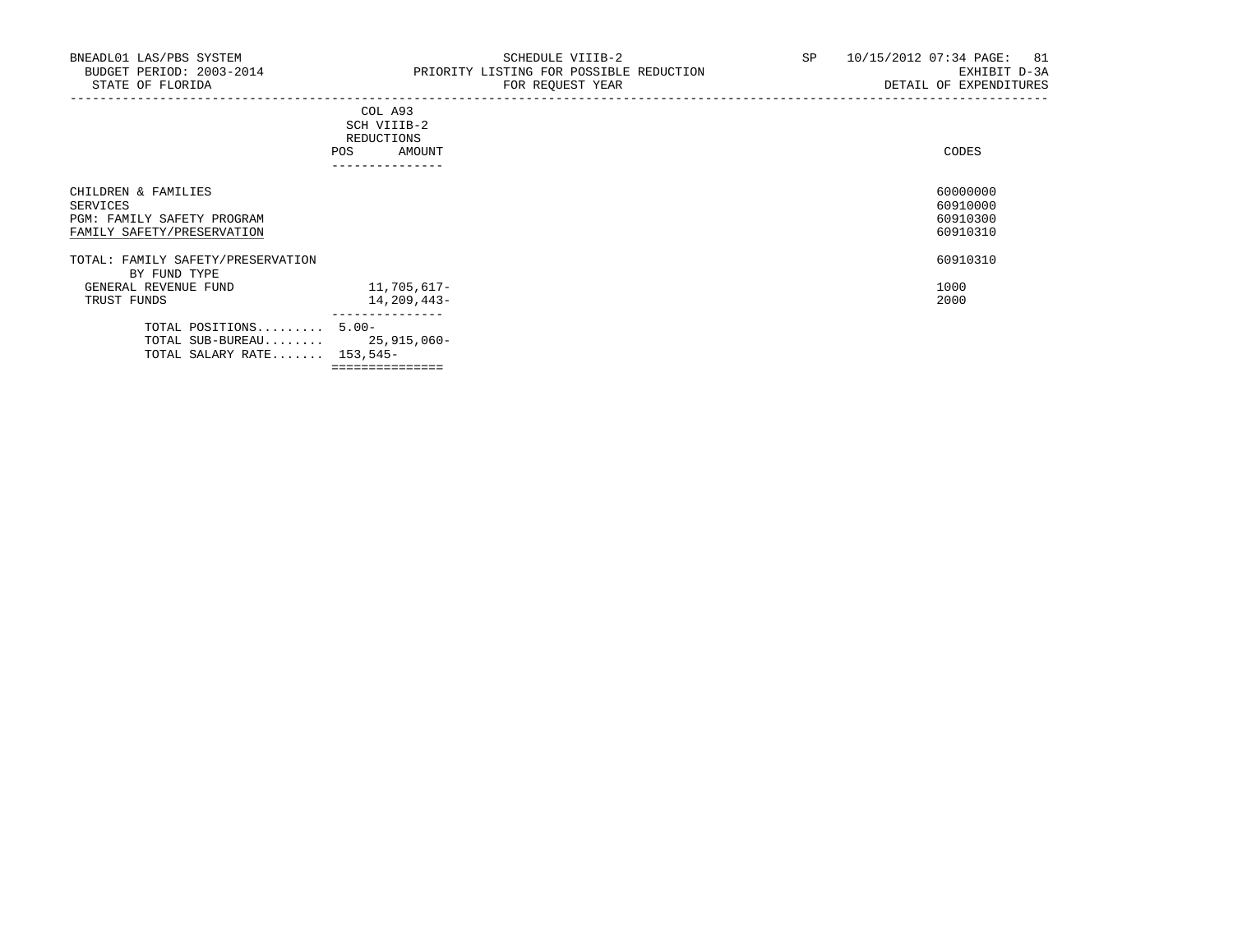|                                                                                             | COL A93<br>SCH VIIIB-2<br>REDUCTIONS<br>AMOUNT<br><b>POS</b><br>---------------- | CODES                                        |
|---------------------------------------------------------------------------------------------|----------------------------------------------------------------------------------|----------------------------------------------|
| CHILDREN & FAMILIES<br>SERVICES<br>PGM: FAMILY SAFETY PROGRAM<br>FAMILY SAFETY/PRESERVATION |                                                                                  | 60000000<br>60910000<br>60910300<br>60910310 |
| TOTAL: FAMILY SAFETY/PRESERVATION                                                           |                                                                                  | 60910310                                     |
| BY FUND TYPE<br>GENERAL REVENUE FUND<br>TRUST FUNDS                                         | 11,705,617-<br>14,209,443-                                                       | 1000<br>2000                                 |
| TOTAL POSITIONS 5.00-<br>TOTAL SALARY RATE $153,545-$                                       | ______________<br>TOTAL SUB-BUREAU 25,915,060-                                   |                                              |

===============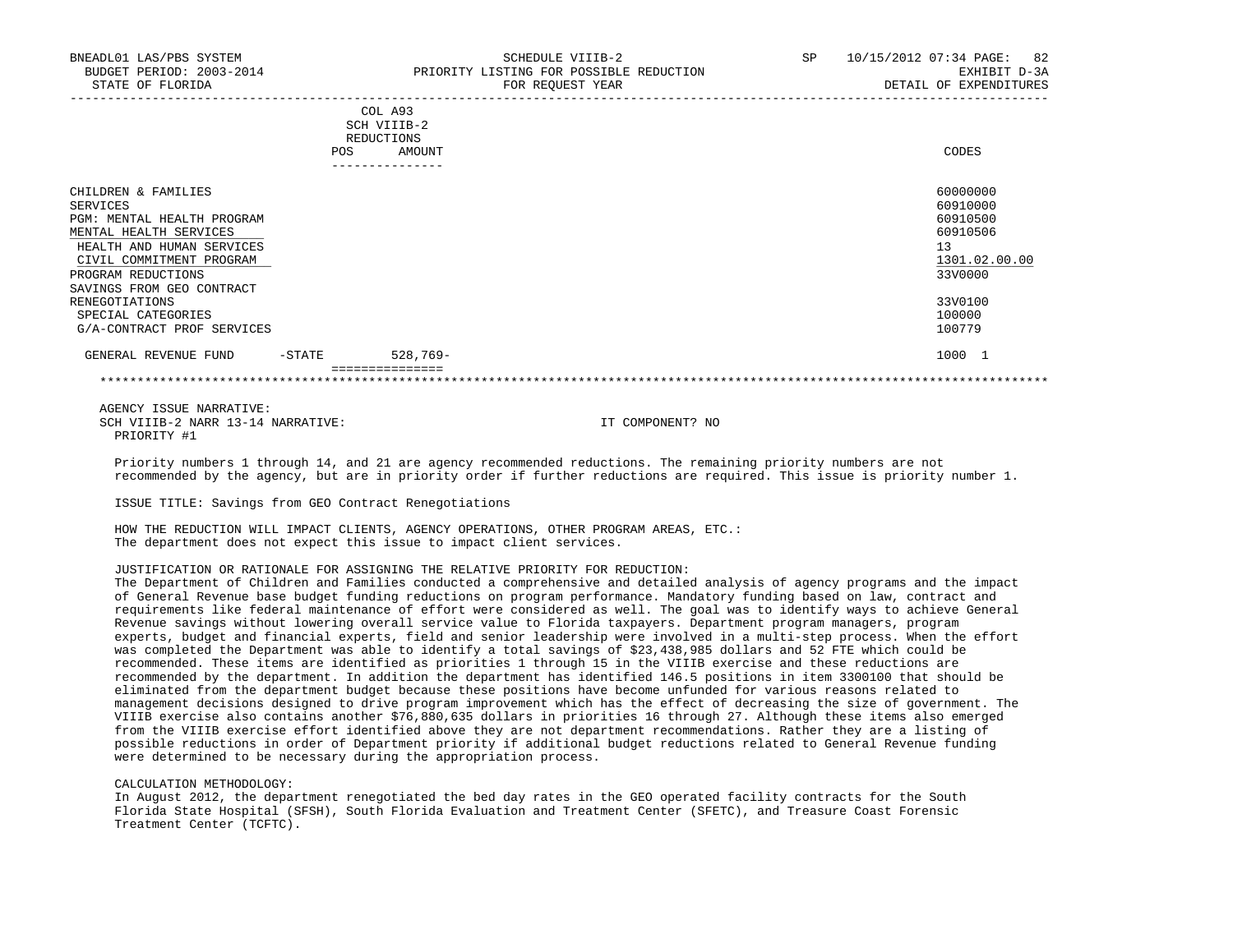|                                                                                                                                                                                                                                                                                  | <b>POS</b> | COL A93<br>SCH VIIIB-2<br><b>REDUCTIONS</b><br>AMOUNT | CODES                                                                                                         |
|----------------------------------------------------------------------------------------------------------------------------------------------------------------------------------------------------------------------------------------------------------------------------------|------------|-------------------------------------------------------|---------------------------------------------------------------------------------------------------------------|
|                                                                                                                                                                                                                                                                                  |            | ------------                                          |                                                                                                               |
| CHILDREN & FAMILIES<br><b>SERVICES</b><br>PGM: MENTAL HEALTH PROGRAM<br>MENTAL HEALTH SERVICES<br>HEALTH AND HUMAN SERVICES<br>CIVIL COMMITMENT PROGRAM<br>PROGRAM REDUCTIONS<br>SAVINGS FROM GEO CONTRACT<br>RENEGOTIATIONS<br>SPECIAL CATEGORIES<br>G/A-CONTRACT PROF SERVICES |            |                                                       | 60000000<br>60910000<br>60910500<br>60910506<br>13<br>1301.02.00.00<br>33V0000<br>33V0100<br>100000<br>100779 |
| GENERAL REVENUE FUND                                                                                                                                                                                                                                                             | -STATE     | $528,769-$                                            | 1000 1                                                                                                        |
|                                                                                                                                                                                                                                                                                  |            | ===============                                       |                                                                                                               |

\*\*\*\*\*\*\*\*\*\*\*\*\*\*\*\*\*\*\*\*\*\*\*\*\*\*\*\*\*\*\*\*\*\*\*\*\*\*\*\*\*\*\*\*\*\*\*\*\*\*\*\*\*\*\*\*\*\*\*\*\*\*\*\*\*\*\*\*\*\*\*\*\*\*\*\*\*\*\*\*\*\*\*\*\*\*\*\*\*\*\*\*\*\*\*\*\*\*\*\*\*\*\*\*\*\*\*\*\*\*\*\*\*\*\*\*\*\*\*\*\*\*\*\*\*\*\*

 AGENCY ISSUE NARRATIVE: SCH VIIIB-2 NARR 13-14 NARRATIVE: IT COMPONENT? NO PRIORITY #1

 Priority numbers 1 through 14, and 21 are agency recommended reductions. The remaining priority numbers are not recommended by the agency, but are in priority order if further reductions are required. This issue is priority number 1.

ISSUE TITLE: Savings from GEO Contract Renegotiations

 HOW THE REDUCTION WILL IMPACT CLIENTS, AGENCY OPERATIONS, OTHER PROGRAM AREAS, ETC.: The department does not expect this issue to impact client services.

## JUSTIFICATION OR RATIONALE FOR ASSIGNING THE RELATIVE PRIORITY FOR REDUCTION:

 The Department of Children and Families conducted a comprehensive and detailed analysis of agency programs and the impact of General Revenue base budget funding reductions on program performance. Mandatory funding based on law, contract and requirements like federal maintenance of effort were considered as well. The goal was to identify ways to achieve General Revenue savings without lowering overall service value to Florida taxpayers. Department program managers, program experts, budget and financial experts, field and senior leadership were involved in a multi-step process. When the effort was completed the Department was able to identify a total savings of \$23,438,985 dollars and 52 FTE which could be recommended. These items are identified as priorities 1 through 15 in the VIIIB exercise and these reductions are recommended by the department. In addition the department has identified 146.5 positions in item 3300100 that should be eliminated from the department budget because these positions have become unfunded for various reasons related to management decisions designed to drive program improvement which has the effect of decreasing the size of government. The VIIIB exercise also contains another \$76,880,635 dollars in priorities 16 through 27. Although these items also emerged from the VIIIB exercise effort identified above they are not department recommendations. Rather they are a listing of possible reductions in order of Department priority if additional budget reductions related to General Revenue funding were determined to be necessary during the appropriation process.

#### CALCULATION METHODOLOGY:

 In August 2012, the department renegotiated the bed day rates in the GEO operated facility contracts for the South Florida State Hospital (SFSH), South Florida Evaluation and Treatment Center (SFETC), and Treasure Coast Forensic Treatment Center (TCFTC).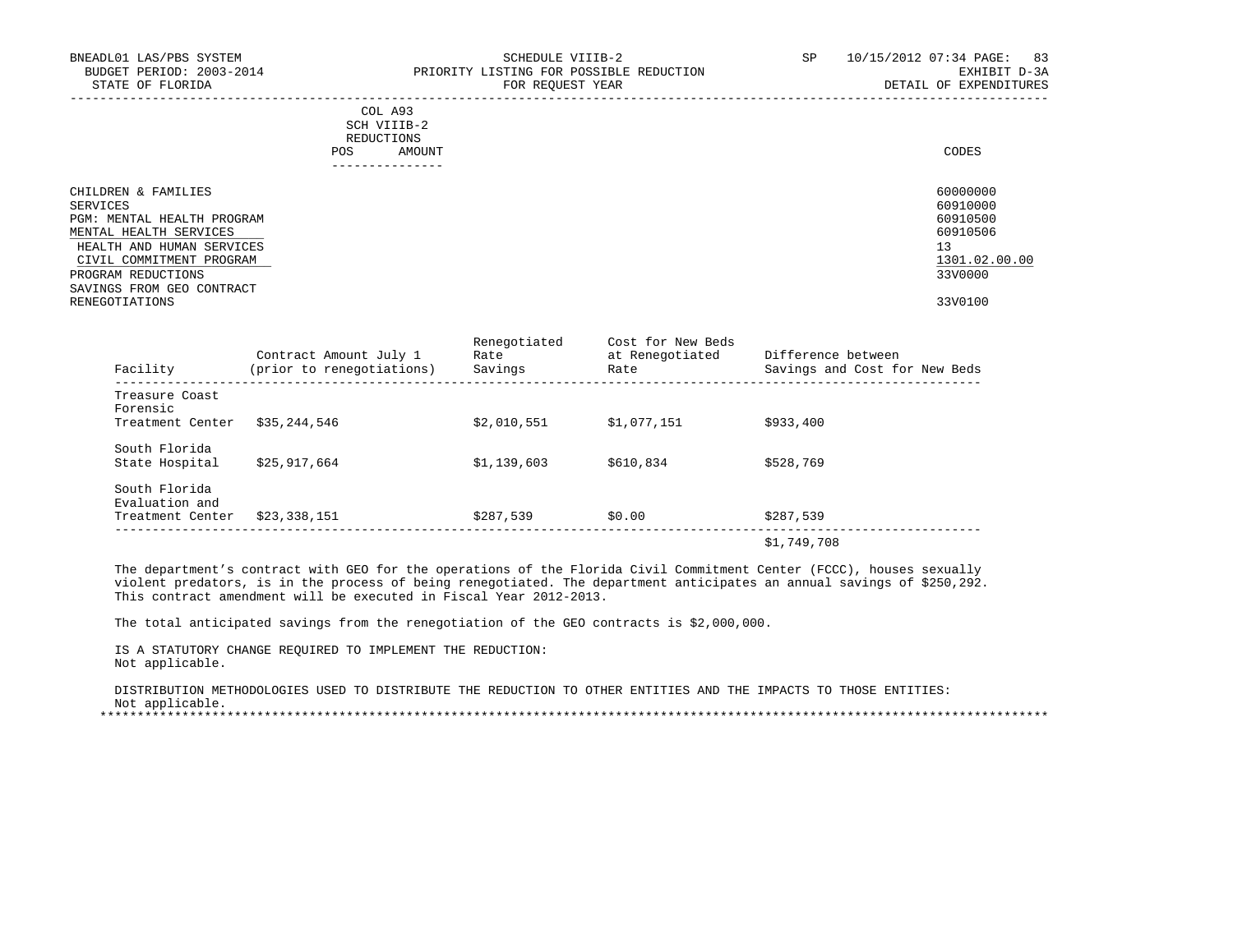| BNEADL01 LAS/PBS SYSTEM<br>BUDGET PERIOD: 2003-2014<br>STATE OF FLORIDA | SCHEDULE VIIIB-2<br>PRIORITY LISTING FOR POSSIBLE REDUCTION<br>FOR REQUEST YEAR | SP | 10/15/2012 07:34 PAGE: 83<br>EXHIBIT D-3A<br>DETAIL OF EXPENDITURES |
|-------------------------------------------------------------------------|---------------------------------------------------------------------------------|----|---------------------------------------------------------------------|
|                                                                         | COL A93<br>SCH VIIIB-2<br>REDUCTIONS<br>AMOUNT<br>POS<br>--------------         |    | CODES                                                               |
| CHILDREN & FAMILIES<br>SERVICES                                         |                                                                                 |    | 60000000<br>60910000                                                |
| PGM: MENTAL HEALTH PROGRAM                                              |                                                                                 |    | 60910500                                                            |
| MENTAL HEALTH SERVICES                                                  |                                                                                 |    | 60910506                                                            |
| HEALTH AND HUMAN SERVICES<br>CIVIL COMMITMENT PROGRAM                   |                                                                                 |    | 13<br>1301.02.00.00                                                 |
| PROGRAM REDUCTIONS                                                      |                                                                                 |    | 33V0000                                                             |
| SAVINGS FROM GEO CONTRACT                                               |                                                                                 |    |                                                                     |
| RENEGOTIATIONS                                                          |                                                                                 |    | 33V0100                                                             |

RENEGOTIATIONS 33V0100

| Facility                        | Contract Amount July 1<br>(prior to renegotiations) | Renegotiated<br>Rate<br>Savings | Cost for New Beds<br>at Renegotiated<br>Rate | Difference between<br>Savings and Cost for New Beds |
|---------------------------------|-----------------------------------------------------|---------------------------------|----------------------------------------------|-----------------------------------------------------|
| Treasure Coast<br>Forensic      |                                                     |                                 |                                              |                                                     |
| Treatment Center                | \$35,244,546                                        | \$2.010.551                     | \$1.077.151                                  | \$933,400                                           |
| South Florida                   |                                                     |                                 |                                              |                                                     |
| State Hospital                  | \$25,917,664                                        | \$1,139,603                     | \$610,834                                    | \$528,769                                           |
| South Florida<br>Evaluation and |                                                     |                                 |                                              |                                                     |
| Treatment Center                | \$23,338,151                                        | \$287,539                       | \$0.00                                       | \$287,539                                           |
|                                 |                                                     |                                 |                                              | \$1,749,708                                         |

 The department's contract with GEO for the operations of the Florida Civil Commitment Center (FCCC), houses sexually violent predators, is in the process of being renegotiated. The department anticipates an annual savings of \$250,292. This contract amendment will be executed in Fiscal Year 2012-2013.

The total anticipated savings from the renegotiation of the GEO contracts is \$2,000,000.

 IS A STATUTORY CHANGE REQUIRED TO IMPLEMENT THE REDUCTION: Not applicable.

 DISTRIBUTION METHODOLOGIES USED TO DISTRIBUTE THE REDUCTION TO OTHER ENTITIES AND THE IMPACTS TO THOSE ENTITIES: Not applicable.

\*\*\*\*\*\*\*\*\*\*\*\*\*\*\*\*\*\*\*\*\*\*\*\*\*\*\*\*\*\*\*\*\*\*\*\*\*\*\*\*\*\*\*\*\*\*\*\*\*\*\*\*\*\*\*\*\*\*\*\*\*\*\*\*\*\*\*\*\*\*\*\*\*\*\*\*\*\*\*\*\*\*\*\*\*\*\*\*\*\*\*\*\*\*\*\*\*\*\*\*\*\*\*\*\*\*\*\*\*\*\*\*\*\*\*\*\*\*\*\*\*\*\*\*\*\*\*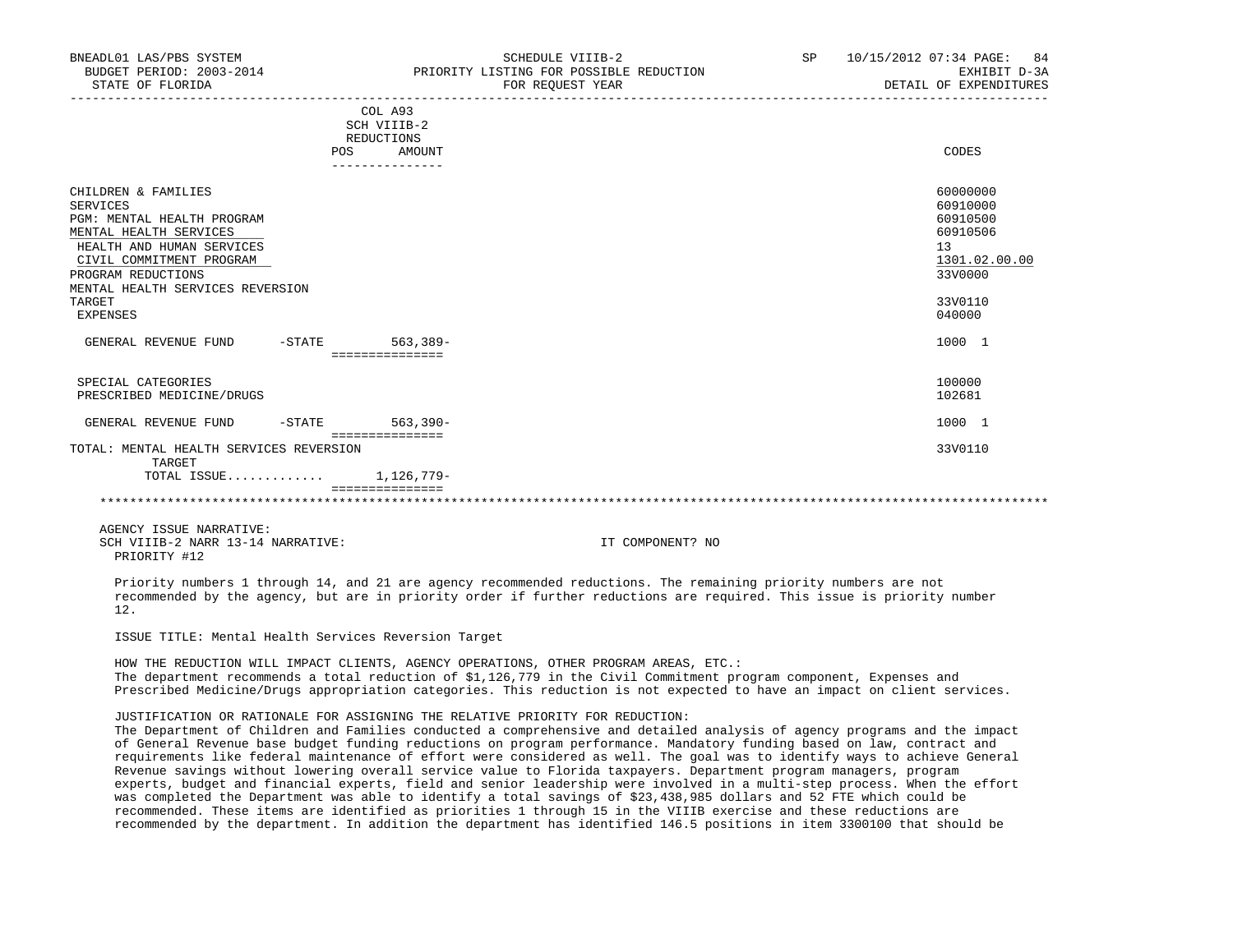| BNEADL01 LAS/PBS SYSTEM<br>BUDGET PERIOD: 2003-2014<br>STATE OF FLORIDA                                                                                                                                                                        |                                                                       | SCHEDULE VIIIB-2<br>PRIORITY LISTING FOR POSSIBLE REDUCTION<br>FOR REOUEST YEAR | SP | 10/15/2012 07:34 PAGE: 84<br>EXHIBIT D-3A<br>DETAIL OF EXPENDITURES                                 |
|------------------------------------------------------------------------------------------------------------------------------------------------------------------------------------------------------------------------------------------------|-----------------------------------------------------------------------|---------------------------------------------------------------------------------|----|-----------------------------------------------------------------------------------------------------|
|                                                                                                                                                                                                                                                | COL A93<br>SCH VIIIB-2<br>REDUCTIONS<br>POS AMOUNT<br>--------------- |                                                                                 |    | CODES                                                                                               |
| CHILDREN & FAMILIES<br><b>SERVICES</b><br>PGM: MENTAL HEALTH PROGRAM<br>MENTAL HEALTH SERVICES<br>HEALTH AND HUMAN SERVICES<br>CIVIL COMMITMENT PROGRAM<br>PROGRAM REDUCTIONS<br>MENTAL HEALTH SERVICES REVERSION<br>TARGET<br><b>EXPENSES</b> |                                                                       |                                                                                 |    | 60000000<br>60910000<br>60910500<br>60910506<br>13<br>1301.02.00.00<br>33V0000<br>33V0110<br>040000 |
| GENERAL REVENUE FUND -STATE 563,389-                                                                                                                                                                                                           | ===============                                                       |                                                                                 |    | 1000 1                                                                                              |
| SPECIAL CATEGORIES<br>PRESCRIBED MEDICINE/DRUGS                                                                                                                                                                                                |                                                                       |                                                                                 |    | 100000<br>102681                                                                                    |
| GENERAL REVENUE FUND -STATE 563,390-                                                                                                                                                                                                           | ================                                                      |                                                                                 |    | 1000 1                                                                                              |
| TOTAL: MENTAL HEALTH SERVICES REVERSION<br>TARGET                                                                                                                                                                                              |                                                                       |                                                                                 |    | 33V0110                                                                                             |
| TOTAL ISSUE $1.126.779-$                                                                                                                                                                                                                       | ===============                                                       |                                                                                 |    |                                                                                                     |
|                                                                                                                                                                                                                                                |                                                                       |                                                                                 |    |                                                                                                     |

\*\*\*\*\*\*\*\*\*\*\*\*\*\*\*\*\*\*\*\*\*\*\*\*\*\*\*\*\*\*\*\*\*\*\*\*\*\*\*\*\*\*\*\*\*\*\*\*\*\*\*\*\*\*\*\*\*\*\*\*\*\*\*\*\*\*\*\*\*\*\*\*\*\*\*\*\*\*\*\*\*\*\*\*\*\*\*\*\*\*\*\*\*\*\*\*\*\*\*\*\*\*\*\*\*\*\*\*\*\*\*\*\*\*\*\*\*\*\*\*\*\*\*\*\*\*\*

 AGENCY ISSUE NARRATIVE: SCH VIIIB-2 NARR 13-14 NARRATIVE: IT COMPONENT? NO PRIORITY #12

 Priority numbers 1 through 14, and 21 are agency recommended reductions. The remaining priority numbers are not recommended by the agency, but are in priority order if further reductions are required. This issue is priority number 12.

ISSUE TITLE: Mental Health Services Reversion Target

 HOW THE REDUCTION WILL IMPACT CLIENTS, AGENCY OPERATIONS, OTHER PROGRAM AREAS, ETC.: The department recommends a total reduction of \$1,126,779 in the Civil Commitment program component, Expenses and Prescribed Medicine/Drugs appropriation categories. This reduction is not expected to have an impact on client services.

JUSTIFICATION OR RATIONALE FOR ASSIGNING THE RELATIVE PRIORITY FOR REDUCTION:

 The Department of Children and Families conducted a comprehensive and detailed analysis of agency programs and the impact of General Revenue base budget funding reductions on program performance. Mandatory funding based on law, contract and requirements like federal maintenance of effort were considered as well. The goal was to identify ways to achieve General Revenue savings without lowering overall service value to Florida taxpayers. Department program managers, program experts, budget and financial experts, field and senior leadership were involved in a multi-step process. When the effort was completed the Department was able to identify a total savings of \$23,438,985 dollars and 52 FTE which could be recommended. These items are identified as priorities 1 through 15 in the VIIIB exercise and these reductions are recommended by the department. In addition the department has identified 146.5 positions in item 3300100 that should be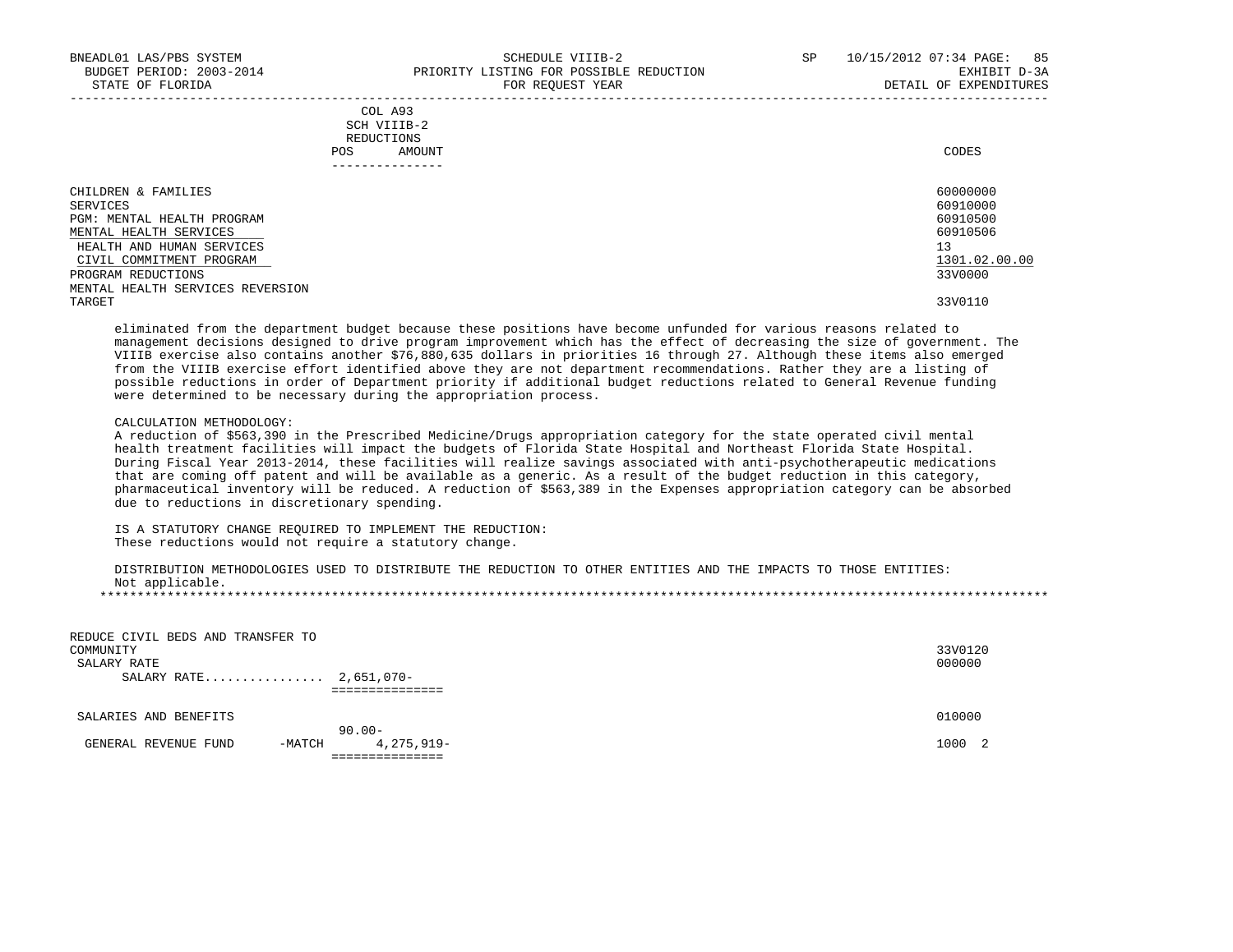|            | COL A93     |       |
|------------|-------------|-------|
|            | SCH VIIIB-2 |       |
| REDUCTIONS |             |       |
| POS        | AMOUNT      | CODES |

| - - - - - - - - - - - - - -      |               |
|----------------------------------|---------------|
| CHILDREN & FAMILIES              | 60000000      |
| SERVICES                         | 60910000      |
| PGM: MENTAL HEALTH PROGRAM       | 60910500      |
| MENTAL HEALTH SERVICES           | 60910506      |
| HEALTH AND HUMAN SERVICES        | 13            |
| CIVIL COMMITMENT PROGRAM         | 1301.02.00.00 |
| PROGRAM REDUCTIONS               | 33V0000       |
| MENTAL HEALTH SERVICES REVERSION |               |
| TARGET                           | 33V0110       |

 eliminated from the department budget because these positions have become unfunded for various reasons related to management decisions designed to drive program improvement which has the effect of decreasing the size of government. The VIIIB exercise also contains another \$76,880,635 dollars in priorities 16 through 27. Although these items also emerged from the VIIIB exercise effort identified above they are not department recommendations. Rather they are a listing of possible reductions in order of Department priority if additional budget reductions related to General Revenue funding were determined to be necessary during the appropriation process.

#### CALCULATION METHODOLOGY:

 A reduction of \$563,390 in the Prescribed Medicine/Drugs appropriation category for the state operated civil mental health treatment facilities will impact the budgets of Florida State Hospital and Northeast Florida State Hospital. During Fiscal Year 2013-2014, these facilities will realize savings associated with anti-psychotherapeutic medications that are coming off patent and will be available as a generic. As a result of the budget reduction in this category, pharmaceutical inventory will be reduced. A reduction of \$563,389 in the Expenses appropriation category can be absorbed due to reductions in discretionary spending.

 IS A STATUTORY CHANGE REQUIRED TO IMPLEMENT THE REDUCTION: These reductions would not require a statutory change.

 DISTRIBUTION METHODOLOGIES USED TO DISTRIBUTE THE REDUCTION TO OTHER ENTITIES AND THE IMPACTS TO THOSE ENTITIES: Not applicable.

\*\*\*\*\*\*\*\*\*\*\*\*\*\*\*\*\*\*\*\*\*\*\*\*\*\*\*\*\*\*\*\*\*\*\*\*\*\*\*\*\*\*\*\*\*\*\*\*\*\*\*\*\*\*\*\*\*\*\*\*\*\*\*\*\*\*\*\*\*\*\*\*\*\*\*\*\*\*\*\*\*\*\*\*\*\*\*\*\*\*\*\*\*\*\*\*\*\*\*\*\*\*\*\*\*\*\*\*\*\*\*\*\*\*\*\*\*\*\*\*\*\*\*\*\*\*\*

| REDUCE CIVIL BEDS AND TRANSFER TO<br>COMMUNITY<br>SALARY RATE<br>SALARY RATE 2,651,070- |          | =============           | 33V0120<br>000000 |  |
|-----------------------------------------------------------------------------------------|----------|-------------------------|-------------------|--|
| SALARIES AND BENEFITS                                                                   |          |                         | 010000            |  |
| GENERAL REVENUE FUND                                                                    | $-MATCH$ | $90.00 -$<br>4,275,919- | 1000 2            |  |
|                                                                                         |          |                         |                   |  |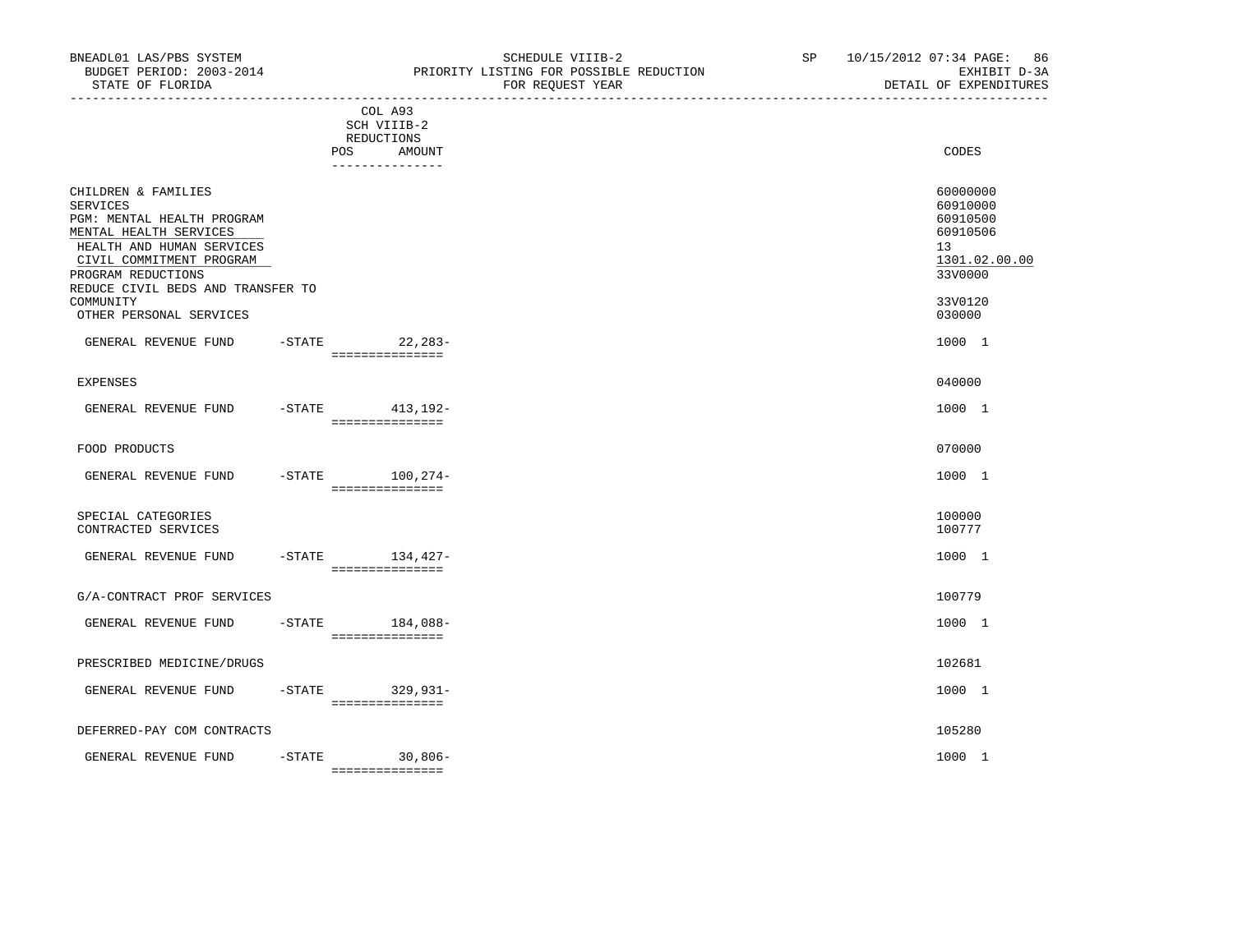|                                                                                                                                                                                                                                 |            | ______________________________                                    |                                                                                                        |
|---------------------------------------------------------------------------------------------------------------------------------------------------------------------------------------------------------------------------------|------------|-------------------------------------------------------------------|--------------------------------------------------------------------------------------------------------|
|                                                                                                                                                                                                                                 | <b>POS</b> | COL A93<br>SCH VIIIB-2<br>REDUCTIONS<br>AMOUNT<br>--------------- | CODES                                                                                                  |
| CHILDREN & FAMILIES<br><b>SERVICES</b><br>PGM: MENTAL HEALTH PROGRAM<br>MENTAL HEALTH SERVICES<br>HEALTH AND HUMAN SERVICES<br>CIVIL COMMITMENT PROGRAM<br>PROGRAM REDUCTIONS<br>REDUCE CIVIL BEDS AND TRANSFER TO<br>COMMUNITY |            |                                                                   | 60000000<br>60910000<br>60910500<br>60910506<br>13 <sup>°</sup><br>1301.02.00.00<br>33V0000<br>33V0120 |
| OTHER PERSONAL SERVICES                                                                                                                                                                                                         |            |                                                                   | 030000                                                                                                 |
| GENERAL REVENUE FUND                                                                                                                                                                                                            |            | -STATE 22, 283-<br>===============                                | 1000 1                                                                                                 |
| EXPENSES                                                                                                                                                                                                                        |            |                                                                   | 040000                                                                                                 |
| GENERAL REVENUE FUND                                                                                                                                                                                                            |            | -STATE 413, 192-<br>===============                               | 1000 1                                                                                                 |
| FOOD PRODUCTS                                                                                                                                                                                                                   |            |                                                                   | 070000                                                                                                 |
| GENERAL REVENUE FUND                                                                                                                                                                                                            |            | $-STATE$ 100, 274-<br>===============                             | 1000 1                                                                                                 |
| SPECIAL CATEGORIES<br>CONTRACTED SERVICES                                                                                                                                                                                       |            |                                                                   | 100000<br>100777                                                                                       |
| GENERAL REVENUE FUND                                                                                                                                                                                                            |            | -STATE 134,427-<br>===============                                | 1000 1                                                                                                 |
| G/A-CONTRACT PROF SERVICES                                                                                                                                                                                                      |            |                                                                   | 100779                                                                                                 |
| GENERAL REVENUE FUND                                                                                                                                                                                                            |            | $-$ STATE $184,088-$<br>---------------                           | 1000 1                                                                                                 |
| PRESCRIBED MEDICINE/DRUGS                                                                                                                                                                                                       |            |                                                                   | 102681                                                                                                 |
| GENERAL REVENUE FUND                                                                                                                                                                                                            | -STATE     | $329,931-$<br>===============                                     | 1000 1                                                                                                 |
| DEFERRED-PAY COM CONTRACTS                                                                                                                                                                                                      |            |                                                                   | 105280                                                                                                 |

GENERAL REVENUE FUND -STATE 30,806- 1000 1

===============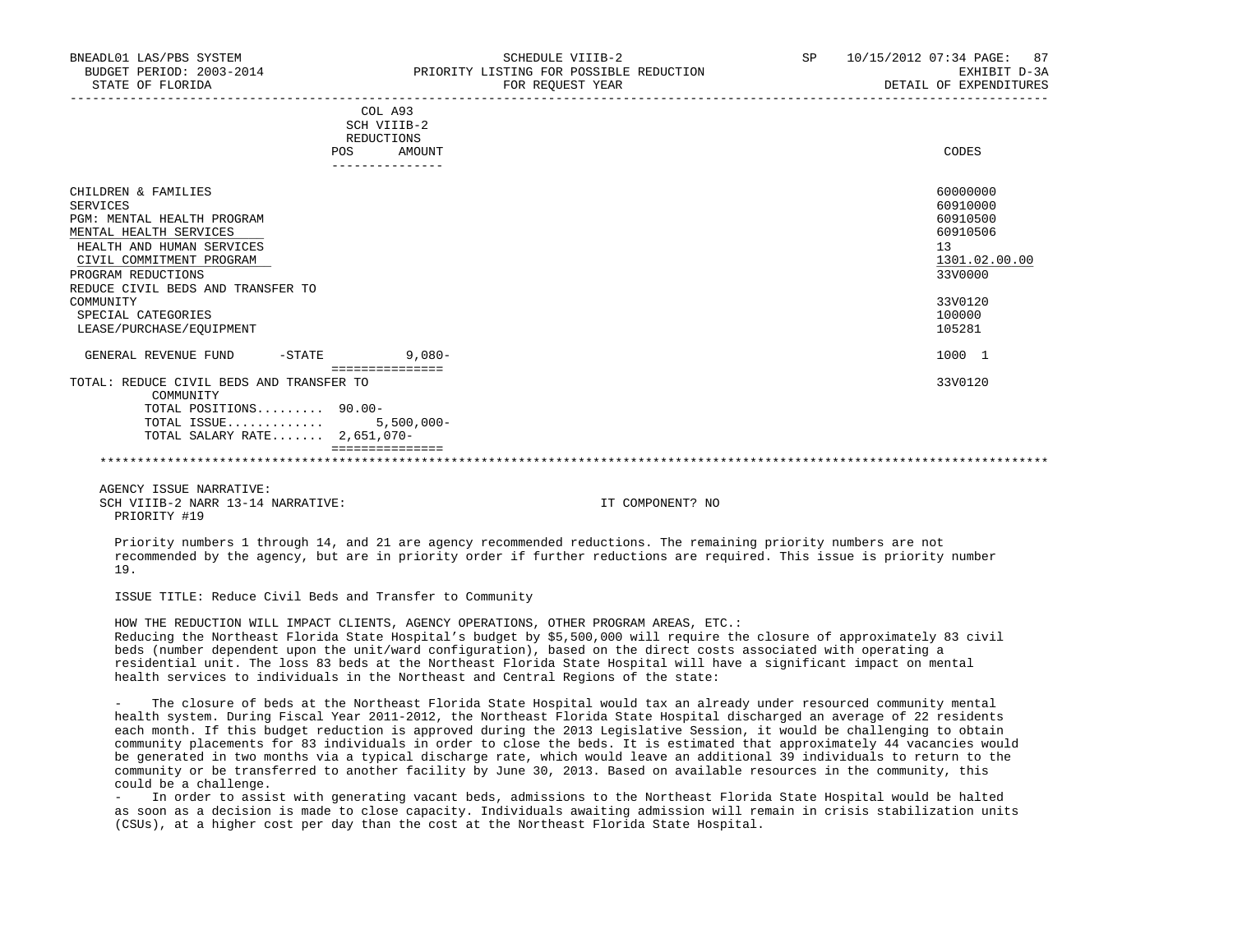| COL A93<br>SCH VIIIB-2<br>REDUCTIONS                                                                                                                                                                                                                                              |                                                                                                               |
|-----------------------------------------------------------------------------------------------------------------------------------------------------------------------------------------------------------------------------------------------------------------------------------|---------------------------------------------------------------------------------------------------------------|
| AMOUNT<br>POS                                                                                                                                                                                                                                                                     | CODES                                                                                                         |
| CHILDREN & FAMILIES<br><b>SERVICES</b><br>PGM: MENTAL HEALTH PROGRAM<br>MENTAL HEALTH SERVICES<br>HEALTH AND HUMAN SERVICES<br>CIVIL COMMITMENT PROGRAM<br>PROGRAM REDUCTIONS<br>REDUCE CIVIL BEDS AND TRANSFER TO<br>COMMUNITY<br>SPECIAL CATEGORIES<br>LEASE/PURCHASE/EQUIPMENT | 60000000<br>60910000<br>60910500<br>60910506<br>13<br>1301.02.00.00<br>33V0000<br>33V0120<br>100000<br>105281 |
| $9,080-$<br>GENERAL REVENUE FUND<br>$-$ STATE<br>===============                                                                                                                                                                                                                  | 1000 1                                                                                                        |
| TOTAL: REDUCE CIVIL BEDS AND TRANSFER TO<br>COMMUNITY<br>TOTAL POSITIONS 90.00-<br>TOTAL ISSUE<br>$5,500,000 -$<br>TOTAL SALARY RATE 2,651,070-<br>===============                                                                                                                | 33V0120                                                                                                       |

# \*\*\*\*\*\*\*\*\*\*\*\*\*\*\*\*\*\*\*\*\*\*\*\*\*\*\*\*\*\*\*\*\*\*\*\*\*\*\*\*\*\*\*\*\*\*\*\*\*\*\*\*\*\*\*\*\*\*\*\*\*\*\*\*\*\*\*\*\*\*\*\*\*\*\*\*\*\*\*\*\*\*\*\*\*\*\*\*\*\*\*\*\*\*\*\*\*\*\*\*\*\*\*\*\*\*\*\*\*\*\*\*\*\*\*\*\*\*\*\*\*\*\*\*\*\*\*

 AGENCY ISSUE NARRATIVE: SCH VIIIB-2 NARR 13-14 NARRATIVE: IT COMPONENT? NO PRIORITY #19

 Priority numbers 1 through 14, and 21 are agency recommended reductions. The remaining priority numbers are not recommended by the agency, but are in priority order if further reductions are required. This issue is priority number 19.

ISSUE TITLE: Reduce Civil Beds and Transfer to Community

 HOW THE REDUCTION WILL IMPACT CLIENTS, AGENCY OPERATIONS, OTHER PROGRAM AREAS, ETC.: Reducing the Northeast Florida State Hospital's budget by \$5,500,000 will require the closure of approximately 83 civil beds (number dependent upon the unit/ward configuration), based on the direct costs associated with operating a residential unit. The loss 83 beds at the Northeast Florida State Hospital will have a significant impact on mental health services to individuals in the Northeast and Central Regions of the state:

The closure of beds at the Northeast Florida State Hospital would tax an already under resourced community mental health system. During Fiscal Year 2011-2012, the Northeast Florida State Hospital discharged an average of 22 residents each month. If this budget reduction is approved during the 2013 Legislative Session, it would be challenging to obtain community placements for 83 individuals in order to close the beds. It is estimated that approximately 44 vacancies would be generated in two months via a typical discharge rate, which would leave an additional 39 individuals to return to the community or be transferred to another facility by June 30, 2013. Based on available resources in the community, this could be a challenge.

 - In order to assist with generating vacant beds, admissions to the Northeast Florida State Hospital would be halted as soon as a decision is made to close capacity. Individuals awaiting admission will remain in crisis stabilization units (CSUs), at a higher cost per day than the cost at the Northeast Florida State Hospital.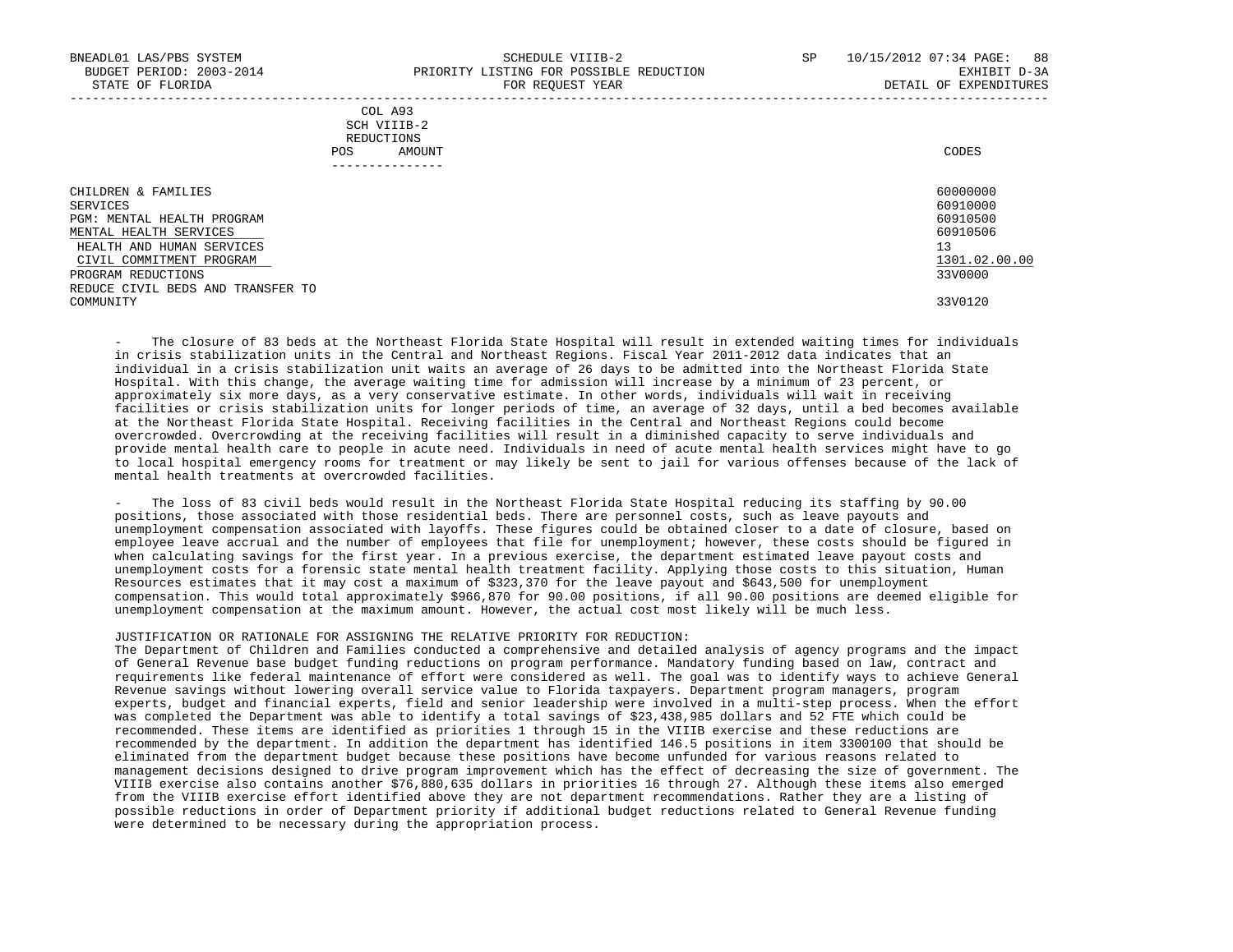| COL A93     |       |
|-------------|-------|
| SCH VIIIB-2 |       |
| REDUCTIONS  |       |
| AMOUNT      | CODES |
|             |       |

| ------------                      |               |
|-----------------------------------|---------------|
| CHILDREN & FAMILIES               | 60000000      |
| SERVICES                          | 60910000      |
| PGM: MENTAL HEALTH PROGRAM        | 60910500      |
| MENTAL HEALTH SERVICES            | 60910506      |
| HEALTH AND HUMAN SERVICES         | 13            |
| CIVIL COMMITMENT PROGRAM          | 1301.02.00.00 |
| PROGRAM REDUCTIONS                | 33V0000       |
| REDUCE CIVIL BEDS AND TRANSFER TO |               |
| COMMUNITY                         | 33V0120       |

The closure of 83 beds at the Northeast Florida State Hospital will result in extended waiting times for individuals in crisis stabilization units in the Central and Northeast Regions. Fiscal Year 2011-2012 data indicates that an individual in a crisis stabilization unit waits an average of 26 days to be admitted into the Northeast Florida State Hospital. With this change, the average waiting time for admission will increase by a minimum of 23 percent, or approximately six more days, as a very conservative estimate. In other words, individuals will wait in receiving facilities or crisis stabilization units for longer periods of time, an average of 32 days, until a bed becomes available at the Northeast Florida State Hospital. Receiving facilities in the Central and Northeast Regions could become overcrowded. Overcrowding at the receiving facilities will result in a diminished capacity to serve individuals and provide mental health care to people in acute need. Individuals in need of acute mental health services might have to go to local hospital emergency rooms for treatment or may likely be sent to jail for various offenses because of the lack of mental health treatments at overcrowded facilities.

The loss of 83 civil beds would result in the Northeast Florida State Hospital reducing its staffing by 90.00 positions, those associated with those residential beds. There are personnel costs, such as leave payouts and unemployment compensation associated with layoffs. These figures could be obtained closer to a date of closure, based on employee leave accrual and the number of employees that file for unemployment; however, these costs should be figured in when calculating savings for the first year. In a previous exercise, the department estimated leave payout costs and unemployment costs for a forensic state mental health treatment facility. Applying those costs to this situation, Human Resources estimates that it may cost a maximum of \$323,370 for the leave payout and \$643,500 for unemployment compensation. This would total approximately \$966,870 for 90.00 positions, if all 90.00 positions are deemed eligible for unemployment compensation at the maximum amount. However, the actual cost most likely will be much less.

#### JUSTIFICATION OR RATIONALE FOR ASSIGNING THE RELATIVE PRIORITY FOR REDUCTION:

 The Department of Children and Families conducted a comprehensive and detailed analysis of agency programs and the impact of General Revenue base budget funding reductions on program performance. Mandatory funding based on law, contract and requirements like federal maintenance of effort were considered as well. The goal was to identify ways to achieve General Revenue savings without lowering overall service value to Florida taxpayers. Department program managers, program experts, budget and financial experts, field and senior leadership were involved in a multi-step process. When the effort was completed the Department was able to identify a total savings of \$23,438,985 dollars and 52 FTE which could be recommended. These items are identified as priorities 1 through 15 in the VIIIB exercise and these reductions are recommended by the department. In addition the department has identified 146.5 positions in item 3300100 that should be eliminated from the department budget because these positions have become unfunded for various reasons related to management decisions designed to drive program improvement which has the effect of decreasing the size of government. The VIIIB exercise also contains another \$76,880,635 dollars in priorities 16 through 27. Although these items also emerged from the VIIIB exercise effort identified above they are not department recommendations. Rather they are a listing of possible reductions in order of Department priority if additional budget reductions related to General Revenue funding were determined to be necessary during the appropriation process.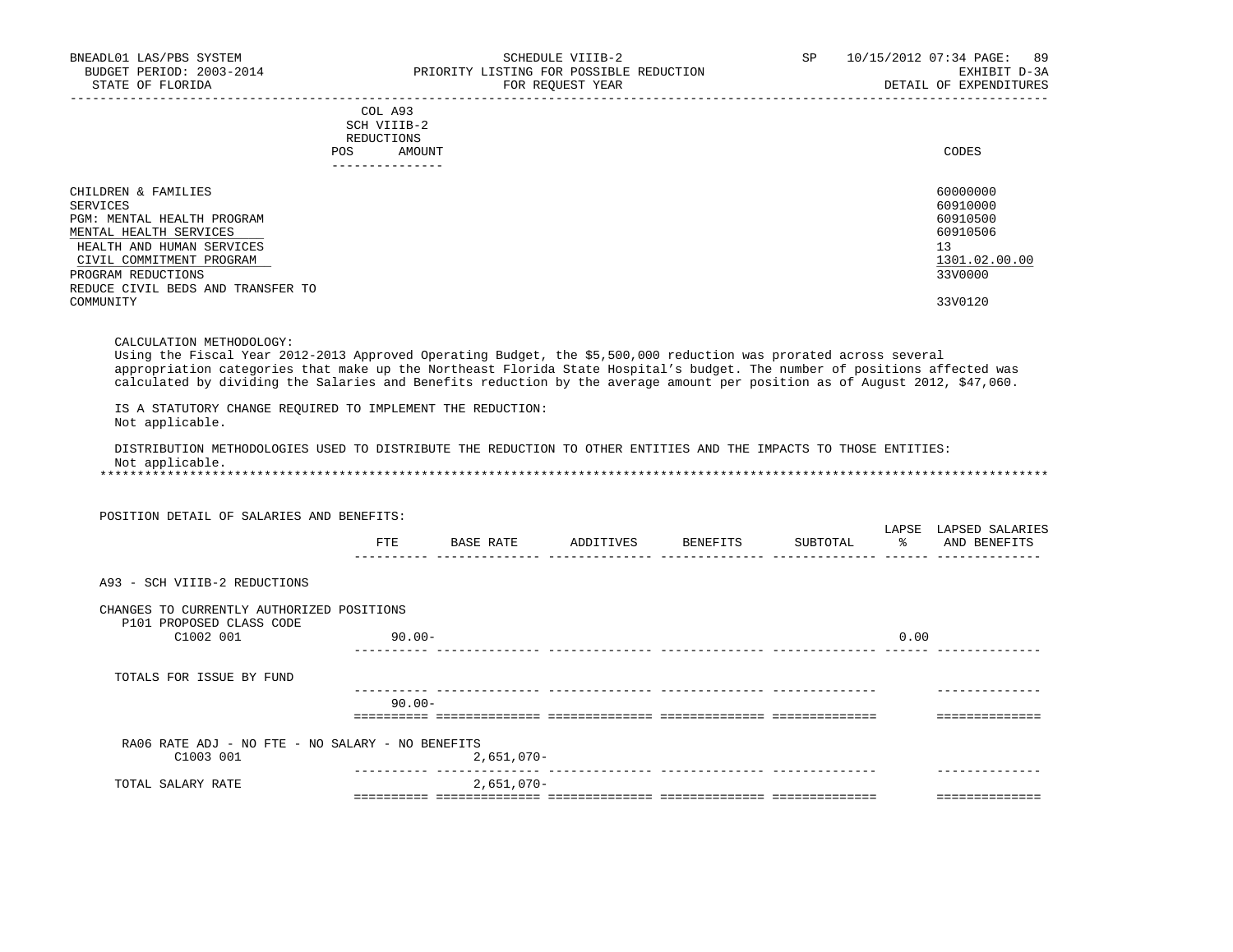|     | --------------- |       |
|-----|-----------------|-------|
| POS | AMOUNT          | CODES |
|     | REDUCTIONS      |       |
|     | SCH VIIIB-2     |       |
|     | COL A93         |       |

| CHILDREN & FAMILIES               | 60000000      |
|-----------------------------------|---------------|
| SERVICES                          | 60910000      |
| PGM: MENTAL HEALTH PROGRAM        | 60910500      |
| MENTAL HEALTH SERVICES            | 60910506      |
| HEALTH AND HUMAN SERVICES         | 13            |
| CIVIL COMMITMENT PROGRAM          | 1301.02.00.00 |
| PROGRAM REDUCTIONS                | 33V0000       |
| REDUCE CIVIL BEDS AND TRANSFER TO |               |
| COMMUNITY                         | 33V0120       |

CALCULATION METHODOLOGY:

 Using the Fiscal Year 2012-2013 Approved Operating Budget, the \$5,500,000 reduction was prorated across several appropriation categories that make up the Northeast Florida State Hospital's budget. The number of positions affected was calculated by dividing the Salaries and Benefits reduction by the average amount per position as of August 2012, \$47,060.

 IS A STATUTORY CHANGE REQUIRED TO IMPLEMENT THE REDUCTION: Not applicable.

 DISTRIBUTION METHODOLOGIES USED TO DISTRIBUTE THE REDUCTION TO OTHER ENTITIES AND THE IMPACTS TO THOSE ENTITIES: Not applicable.

\*\*\*\*\*\*\*\*\*\*\*\*\*\*\*\*\*\*\*\*\*\*\*\*\*\*\*\*\*\*\*\*\*\*\*\*\*\*\*\*\*\*\*\*\*\*\*\*\*\*\*\*\*\*\*\*\*\*\*\*\*\*\*\*\*\*\*\*\*\*\*\*\*\*\*\*\*\*\*\*\*\*\*\*\*\*\*\*\*\*\*\*\*\*\*\*\*\*\*\*\*\*\*\*\*\*\*\*\*\*\*\*\*\*\*\*\*\*\*\*\*\*\*\*\*\*\*

|                   | POSITION DETAIL OF SALARIES AND BENEFITS:                             |                   |              |                    |          |                        |                                 |
|-------------------|-----------------------------------------------------------------------|-------------------|--------------|--------------------|----------|------------------------|---------------------------------|
|                   |                                                                       | FTE               | BASE RATE    | ADDITIVES BENEFITS | SUBTOTAL | LAPSE<br>$\frac{1}{6}$ | LAPSED SALARIES<br>AND BENEFITS |
|                   | A93 - SCH VIIIB-2 REDUCTIONS                                          |                   |              |                    |          |                        |                                 |
|                   | CHANGES TO CURRENTLY AUTHORIZED POSITIONS<br>P101 PROPOSED CLASS CODE |                   |              |                    |          |                        |                                 |
|                   | C1002 001                                                             | $90.00 -$         |              |                    |          | 0.00                   |                                 |
|                   | TOTALS FOR ISSUE BY FUND                                              |                   |              |                    |          |                        |                                 |
|                   |                                                                       | $90.00 -$         |              |                    |          |                        |                                 |
|                   | RA06 RATE ADJ - NO FTE - NO SALARY - NO BENEFITS                      |                   |              |                    |          |                        |                                 |
|                   | C1003 001                                                             | ----------- ----- | $2,651,070-$ |                    |          |                        |                                 |
| TOTAL SALARY RATE |                                                                       |                   | $2,651,070-$ |                    |          |                        |                                 |
|                   |                                                                       |                   |              |                    |          |                        |                                 |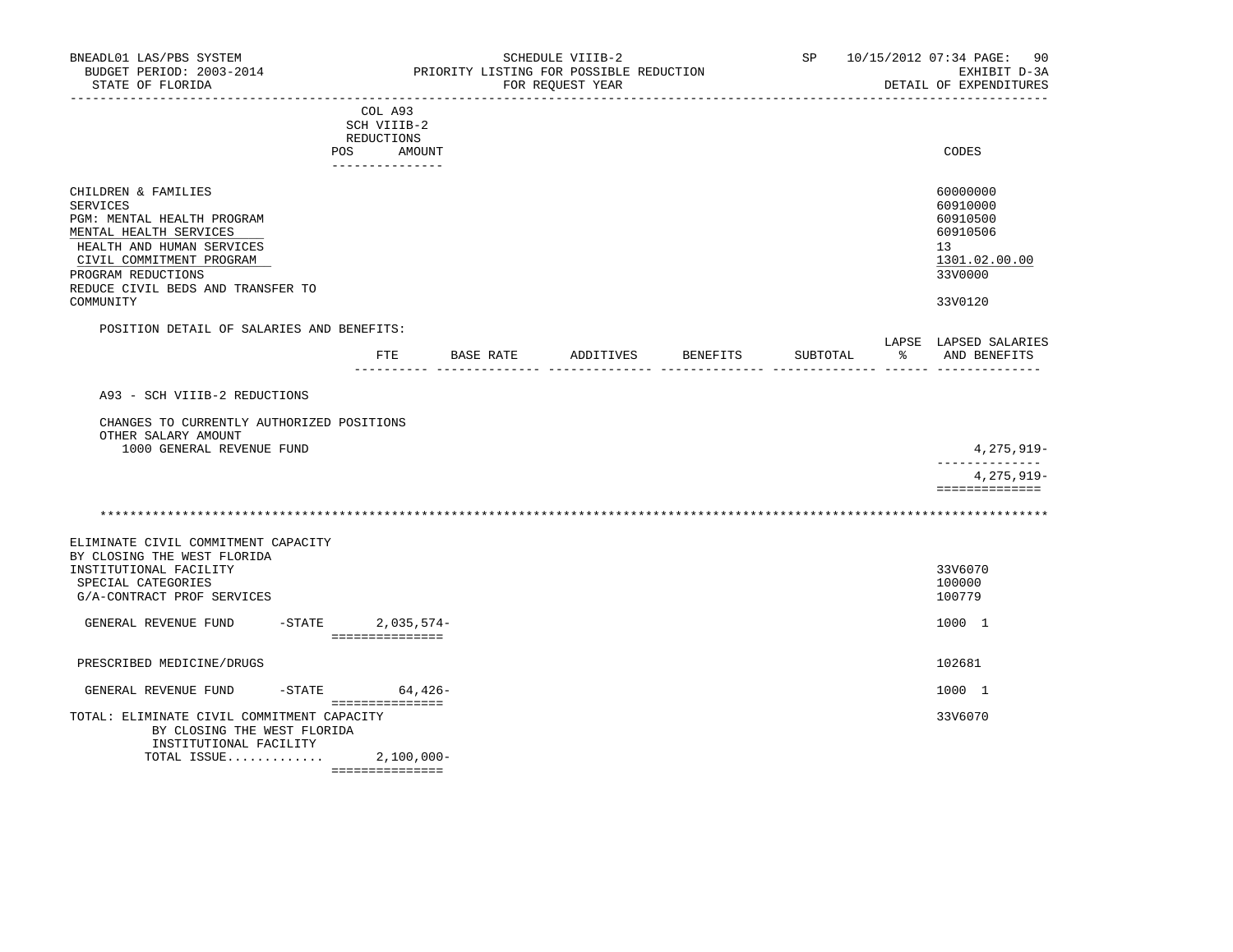| BNEADL01 LAS/PBS SYSTEM<br>BUDGET PERIOD: 2003-2014<br>STATE OF FLORIDA                                                                                                                                                  |                                                                   | SCHEDULE VIIIB-2<br>PRIORITY LISTING FOR POSSIBLE REDUCTION<br>FOR REOUEST YEAR | SP <sub>2</sub> | 10/15/2012 07:34 PAGE: 90<br>EXHIBIT D-3A<br>DETAIL OF EXPENDITURES                       |
|--------------------------------------------------------------------------------------------------------------------------------------------------------------------------------------------------------------------------|-------------------------------------------------------------------|---------------------------------------------------------------------------------|-----------------|-------------------------------------------------------------------------------------------|
| POS                                                                                                                                                                                                                      | COL A93<br>SCH VIIIB-2<br>REDUCTIONS<br>AMOUNT<br>--------------- |                                                                                 |                 | CODES                                                                                     |
| CHILDREN & FAMILIES<br>SERVICES<br>PGM: MENTAL HEALTH PROGRAM<br>MENTAL HEALTH SERVICES<br>HEALTH AND HUMAN SERVICES<br>CIVIL COMMITMENT PROGRAM<br>PROGRAM REDUCTIONS<br>REDUCE CIVIL BEDS AND TRANSFER TO<br>COMMUNITY |                                                                   |                                                                                 |                 | 60000000<br>60910000<br>60910500<br>60910506<br>13<br>1301.02.00.00<br>33V0000<br>33V0120 |
| POSITION DETAIL OF SALARIES AND BENEFITS:                                                                                                                                                                                |                                                                   |                                                                                 |                 |                                                                                           |
|                                                                                                                                                                                                                          |                                                                   | FTE BASE RATE ADDITIVES BENEFITS                                                | SUBTOTAL        | LAPSE LAPSED SALARIES<br>% AND BENEFITS                                                   |
| A93 - SCH VIIIB-2 REDUCTIONS<br>CHANGES TO CURRENTLY AUTHORIZED POSITIONS<br>OTHER SALARY AMOUNT<br>1000 GENERAL REVENUE FUND                                                                                            |                                                                   |                                                                                 |                 | 4,275,919-                                                                                |
|                                                                                                                                                                                                                          |                                                                   |                                                                                 |                 | --------------<br>4,275,919-<br>==============                                            |
|                                                                                                                                                                                                                          |                                                                   |                                                                                 |                 |                                                                                           |
| ELIMINATE CIVIL COMMITMENT CAPACITY<br>BY CLOSING THE WEST FLORIDA<br>INSTITUTIONAL FACILITY<br>SPECIAL CATEGORIES<br>G/A-CONTRACT PROF SERVICES                                                                         |                                                                   |                                                                                 |                 | 33V6070<br>100000<br>100779                                                               |
| GENERAL REVENUE FUND                                                                                                                                                                                                     | $-$ STATE 2,035,574-<br>===============                           |                                                                                 |                 | 1000 1                                                                                    |
| PRESCRIBED MEDICINE/DRUGS                                                                                                                                                                                                |                                                                   |                                                                                 |                 | 102681                                                                                    |
| GENERAL REVENUE FUND<br>$-$ STATE                                                                                                                                                                                        | $64,426-$                                                         |                                                                                 |                 | 1000 1                                                                                    |
| TOTAL: ELIMINATE CIVIL COMMITMENT CAPACITY<br>BY CLOSING THE WEST FLORIDA<br>INSTITUTIONAL FACILITY<br>TOTAL ISSUE 2,100,000-                                                                                            | ===============<br>===============                                |                                                                                 |                 | 33V6070                                                                                   |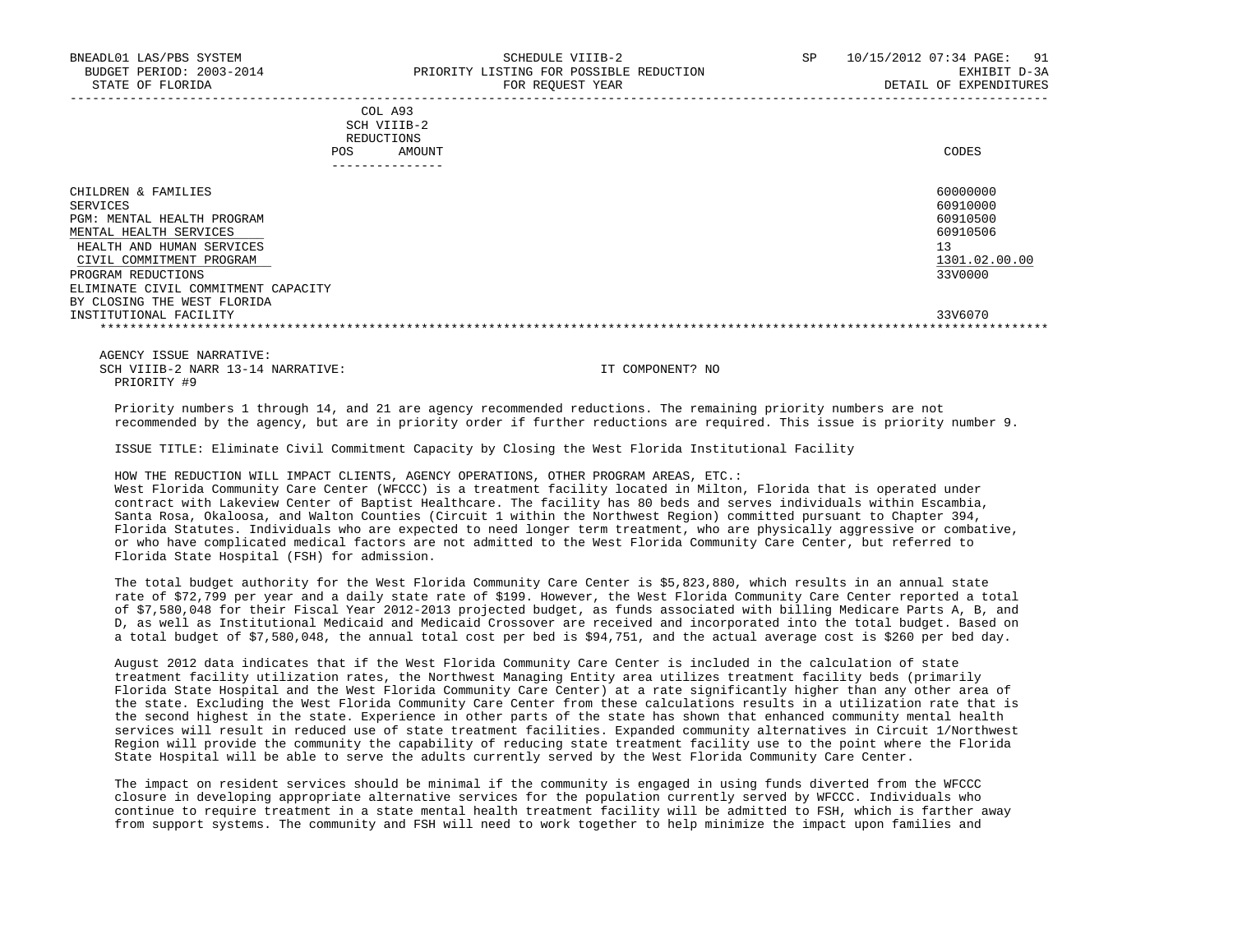| COL A93                                                                                                         |             |
|-----------------------------------------------------------------------------------------------------------------|-------------|
| the contract of the contract of the contract of the contract of the contract of the contract of the contract of |             |
| REDUCTIONS                                                                                                      |             |
| AMOUNT                                                                                                          | CODES       |
|                                                                                                                 | SCH VIIIB-2 |

| ------------                                                                                                                                     |                                                                     |
|--------------------------------------------------------------------------------------------------------------------------------------------------|---------------------------------------------------------------------|
| CHILDREN & FAMILIES<br>SERVICES<br>PGM: MENTAL HEALTH PROGRAM<br>MENTAL HEALTH SERVICES<br>HEALTH AND HUMAN SERVICES<br>CIVIL COMMITMENT PROGRAM | 60000000<br>60910000<br>60910500<br>60910506<br>13<br>1301.02.00.00 |
| PROGRAM REDUCTIONS<br>ELIMINATE CIVIL COMMITMENT CAPACITY<br>BY CLOSING THE WEST FLORIDA<br>INSTITUTIONAL FACILITY                               | 33V0000<br>33V6070                                                  |
|                                                                                                                                                  |                                                                     |

 AGENCY ISSUE NARRATIVE: SCH VIIIB-2 NARR 13-14 NARRATIVE: IT COMPONENT? NO PRIORITY #9

 Priority numbers 1 through 14, and 21 are agency recommended reductions. The remaining priority numbers are not recommended by the agency, but are in priority order if further reductions are required. This issue is priority number 9.

ISSUE TITLE: Eliminate Civil Commitment Capacity by Closing the West Florida Institutional Facility

 HOW THE REDUCTION WILL IMPACT CLIENTS, AGENCY OPERATIONS, OTHER PROGRAM AREAS, ETC.: West Florida Community Care Center (WFCCC) is a treatment facility located in Milton, Florida that is operated under contract with Lakeview Center of Baptist Healthcare. The facility has 80 beds and serves individuals within Escambia, Santa Rosa, Okaloosa, and Walton Counties (Circuit 1 within the Northwest Region) committed pursuant to Chapter 394, Florida Statutes. Individuals who are expected to need longer term treatment, who are physically aggressive or combative, or who have complicated medical factors are not admitted to the West Florida Community Care Center, but referred to Florida State Hospital (FSH) for admission.

 The total budget authority for the West Florida Community Care Center is \$5,823,880, which results in an annual state rate of \$72,799 per year and a daily state rate of \$199. However, the West Florida Community Care Center reported a total of \$7,580,048 for their Fiscal Year 2012-2013 projected budget, as funds associated with billing Medicare Parts A, B, and D, as well as Institutional Medicaid and Medicaid Crossover are received and incorporated into the total budget. Based on a total budget of \$7,580,048, the annual total cost per bed is \$94,751, and the actual average cost is \$260 per bed day.

 August 2012 data indicates that if the West Florida Community Care Center is included in the calculation of state treatment facility utilization rates, the Northwest Managing Entity area utilizes treatment facility beds (primarily Florida State Hospital and the West Florida Community Care Center) at a rate significantly higher than any other area of the state. Excluding the West Florida Community Care Center from these calculations results in a utilization rate that is the second highest in the state. Experience in other parts of the state has shown that enhanced community mental health services will result in reduced use of state treatment facilities. Expanded community alternatives in Circuit 1/Northwest Region will provide the community the capability of reducing state treatment facility use to the point where the Florida State Hospital will be able to serve the adults currently served by the West Florida Community Care Center.

 The impact on resident services should be minimal if the community is engaged in using funds diverted from the WFCCC closure in developing appropriate alternative services for the population currently served by WFCCC. Individuals who continue to require treatment in a state mental health treatment facility will be admitted to FSH, which is farther away from support systems. The community and FSH will need to work together to help minimize the impact upon families and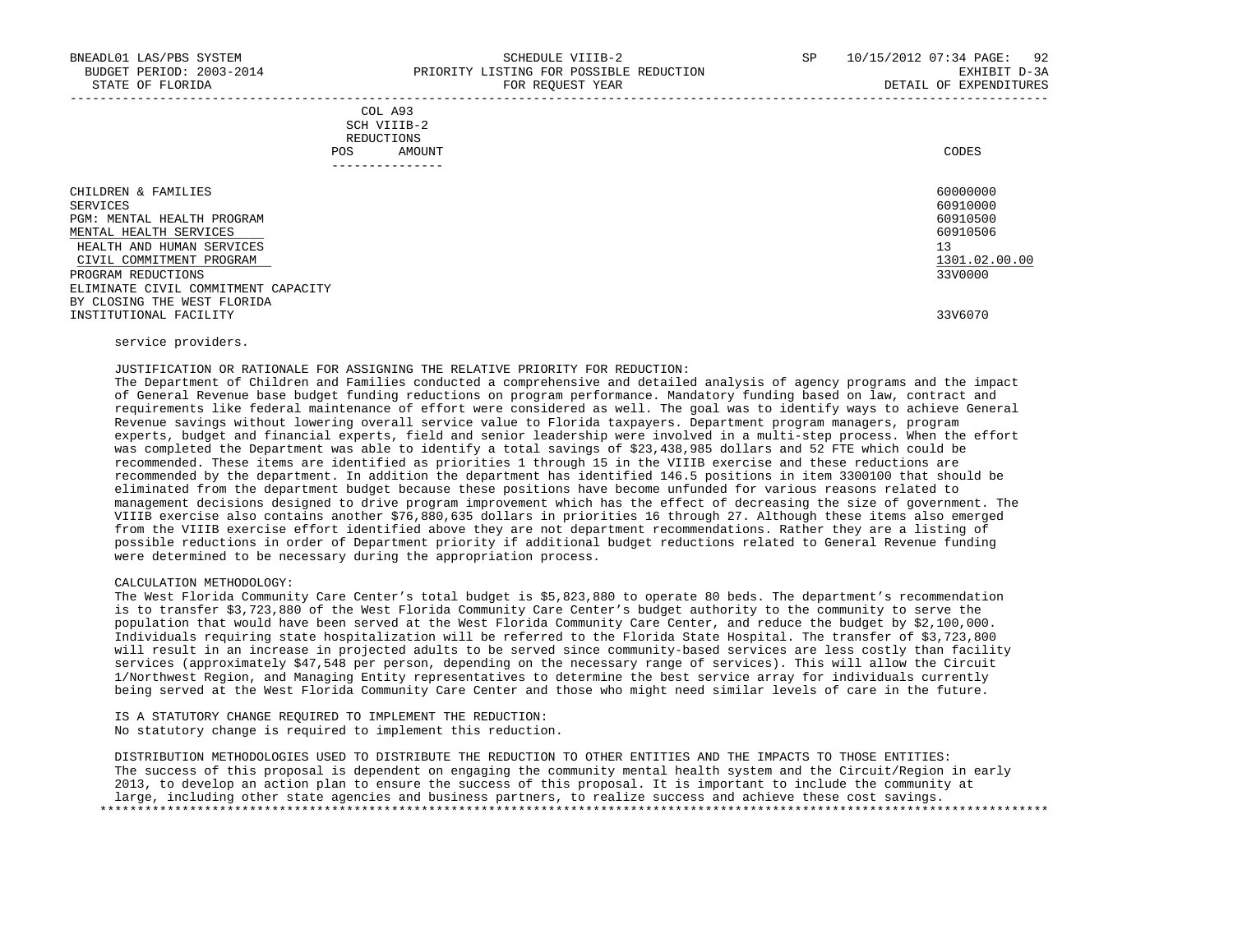| COL A93     |                 |
|-------------|-----------------|
| SCH VIIIB-2 |                 |
| REDUCTIONS  |                 |
| POS         | CODES<br>AMOUNT |

| -------------                                                                                                                                    |                                                                     |
|--------------------------------------------------------------------------------------------------------------------------------------------------|---------------------------------------------------------------------|
| CHILDREN & FAMILIES<br>SERVICES<br>PGM: MENTAL HEALTH PROGRAM<br>MENTAL HEALTH SERVICES<br>HEALTH AND HUMAN SERVICES<br>CIVIL COMMITMENT PROGRAM | 60000000<br>60910000<br>60910500<br>60910506<br>13<br>1301.02.00.00 |
| PROGRAM REDUCTIONS<br>ELIMINATE CIVIL COMMITMENT CAPACITY<br>BY CLOSING THE WEST FLORIDA                                                         | 33V0000                                                             |
| INSTITUTIONAL FACILITY                                                                                                                           | 33V6070                                                             |

# service providers.

#### JUSTIFICATION OR RATIONALE FOR ASSIGNING THE RELATIVE PRIORITY FOR REDUCTION:

 The Department of Children and Families conducted a comprehensive and detailed analysis of agency programs and the impact of General Revenue base budget funding reductions on program performance. Mandatory funding based on law, contract and requirements like federal maintenance of effort were considered as well. The goal was to identify ways to achieve General Revenue savings without lowering overall service value to Florida taxpayers. Department program managers, program experts, budget and financial experts, field and senior leadership were involved in a multi-step process. When the effort was completed the Department was able to identify a total savings of \$23,438,985 dollars and 52 FTE which could be recommended. These items are identified as priorities 1 through 15 in the VIIIB exercise and these reductions are recommended by the department. In addition the department has identified 146.5 positions in item 3300100 that should be eliminated from the department budget because these positions have become unfunded for various reasons related to management decisions designed to drive program improvement which has the effect of decreasing the size of government. The VIIIB exercise also contains another \$76,880,635 dollars in priorities 16 through 27. Although these items also emerged from the VIIIB exercise effort identified above they are not department recommendations. Rather they are a listing of possible reductions in order of Department priority if additional budget reductions related to General Revenue funding were determined to be necessary during the appropriation process.

#### CALCULATION METHODOLOGY:

 The West Florida Community Care Center's total budget is \$5,823,880 to operate 80 beds. The department's recommendation is to transfer \$3,723,880 of the West Florida Community Care Center's budget authority to the community to serve the population that would have been served at the West Florida Community Care Center, and reduce the budget by \$2,100,000. Individuals requiring state hospitalization will be referred to the Florida State Hospital. The transfer of \$3,723,800 will result in an increase in projected adults to be served since community-based services are less costly than facility services (approximately \$47,548 per person, depending on the necessary range of services). This will allow the Circuit 1/Northwest Region, and Managing Entity representatives to determine the best service array for individuals currently being served at the West Florida Community Care Center and those who might need similar levels of care in the future.

 IS A STATUTORY CHANGE REQUIRED TO IMPLEMENT THE REDUCTION: No statutory change is required to implement this reduction.

 DISTRIBUTION METHODOLOGIES USED TO DISTRIBUTE THE REDUCTION TO OTHER ENTITIES AND THE IMPACTS TO THOSE ENTITIES: The success of this proposal is dependent on engaging the community mental health system and the Circuit/Region in early 2013, to develop an action plan to ensure the success of this proposal. It is important to include the community at large, including other state agencies and business partners, to realize success and achieve these cost savings. \*\*\*\*\*\*\*\*\*\*\*\*\*\*\*\*\*\*\*\*\*\*\*\*\*\*\*\*\*\*\*\*\*\*\*\*\*\*\*\*\*\*\*\*\*\*\*\*\*\*\*\*\*\*\*\*\*\*\*\*\*\*\*\*\*\*\*\*\*\*\*\*\*\*\*\*\*\*\*\*\*\*\*\*\*\*\*\*\*\*\*\*\*\*\*\*\*\*\*\*\*\*\*\*\*\*\*\*\*\*\*\*\*\*\*\*\*\*\*\*\*\*\*\*\*\*\*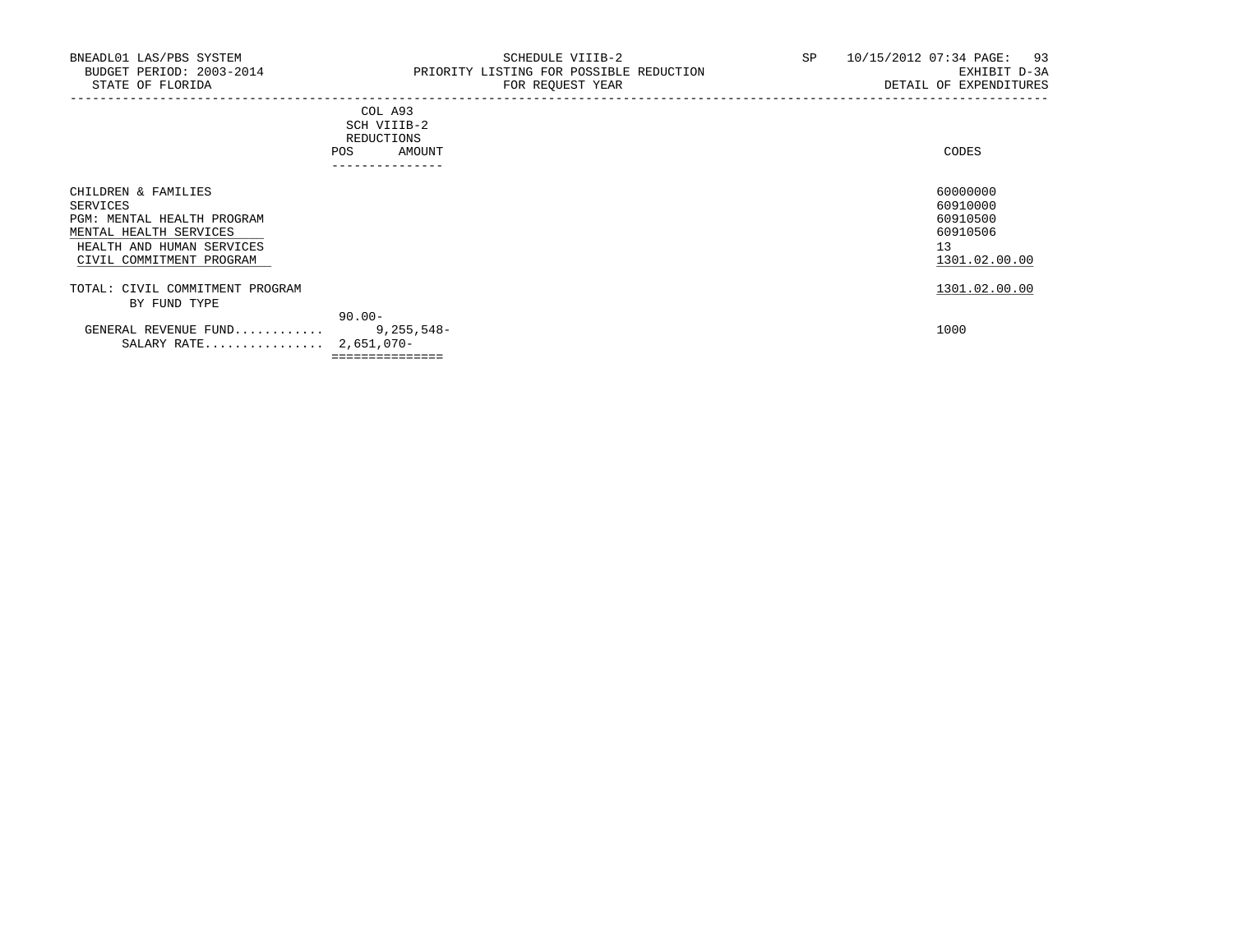| . _ _ _ _ _ _ _ _ _ _ _                                                                                                        |       |
|--------------------------------------------------------------------------------------------------------------------------------|-------|
| AMOUNT                                                                                                                         | CODES |
| <b>REDUCTIONS</b>                                                                                                              |       |
| SCH VIIIB-2<br>the contract of the contract of the contract of the contract of the contract of the contract of the contract of |       |
| COL A93                                                                                                                        |       |
|                                                                                                                                |       |

| CHILDREN & FAMILIES             |              | 60000000      |
|---------------------------------|--------------|---------------|
| SERVICES                        |              | 60910000      |
| PGM: MENTAL HEALTH PROGRAM      |              | 60910500      |
| MENTAL HEALTH SERVICES          |              | 60910506      |
| HEALTH AND HUMAN SERVICES       |              | 13            |
| CIVIL COMMITMENT PROGRAM        |              | 1301.02.00.00 |
| TOTAL: CIVIL COMMITMENT PROGRAM |              | 1301.02.00.00 |
| BY FUND TYPE                    |              |               |
|                                 | $90.00 -$    |               |
| GENERAL REVENUE FUND            | $9,255,548-$ | 1000          |
| SALARY RATE                     | 2,651,070-   |               |

===============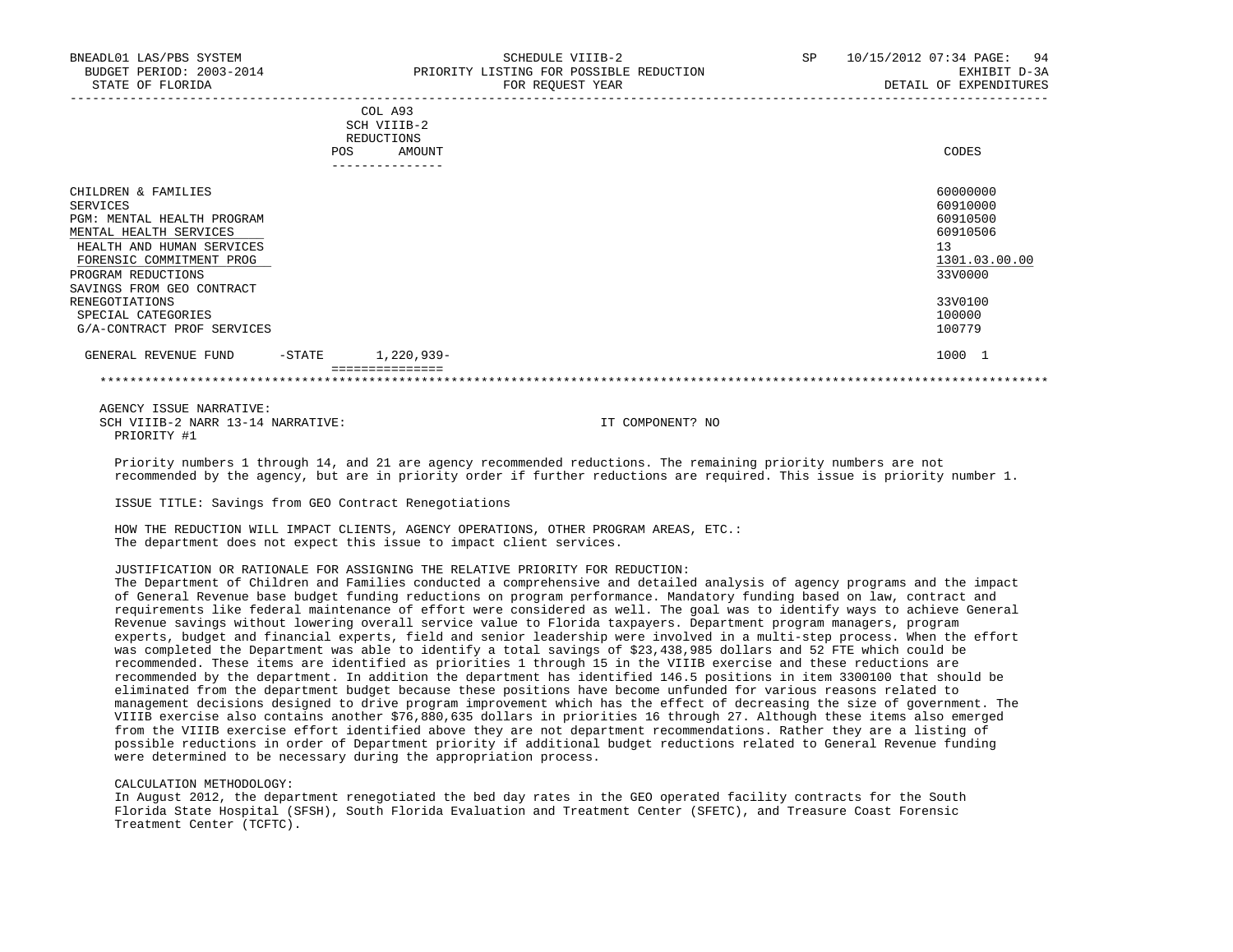|                                                                                                                                                                                                     | <b>POS</b> | COL A93<br>SCH VIIIB-2<br>REDUCTIONS<br>AMOUNT<br>---------------- | CODES                                                                          |  |
|-----------------------------------------------------------------------------------------------------------------------------------------------------------------------------------------------------|------------|--------------------------------------------------------------------|--------------------------------------------------------------------------------|--|
| CHILDREN & FAMILIES<br>SERVICES<br>PGM: MENTAL HEALTH PROGRAM<br>MENTAL HEALTH SERVICES<br>HEALTH AND HUMAN SERVICES<br>FORENSIC COMMITMENT PROG<br>PROGRAM REDUCTIONS<br>SAVINGS FROM GEO CONTRACT |            |                                                                    | 60000000<br>60910000<br>60910500<br>60910506<br>13<br>1301.03.00.00<br>33V0000 |  |
| <b>RENEGOTIATIONS</b><br>SPECIAL CATEGORIES<br>G/A-CONTRACT PROF SERVICES                                                                                                                           |            |                                                                    | 33V0100<br>100000<br>100779                                                    |  |
| GENERAL REVENUE FUND                                                                                                                                                                                | $-$ STATE  | 1,220,939-                                                         | 1000 1                                                                         |  |

 AGENCY ISSUE NARRATIVE: SCH VIIIB-2 NARR 13-14 NARRATIVE: IT COMPONENT? NO PRIORITY #1

 Priority numbers 1 through 14, and 21 are agency recommended reductions. The remaining priority numbers are not recommended by the agency, but are in priority order if further reductions are required. This issue is priority number 1.

ISSUE TITLE: Savings from GEO Contract Renegotiations

 HOW THE REDUCTION WILL IMPACT CLIENTS, AGENCY OPERATIONS, OTHER PROGRAM AREAS, ETC.: The department does not expect this issue to impact client services.

## JUSTIFICATION OR RATIONALE FOR ASSIGNING THE RELATIVE PRIORITY FOR REDUCTION:

 The Department of Children and Families conducted a comprehensive and detailed analysis of agency programs and the impact of General Revenue base budget funding reductions on program performance. Mandatory funding based on law, contract and requirements like federal maintenance of effort were considered as well. The goal was to identify ways to achieve General Revenue savings without lowering overall service value to Florida taxpayers. Department program managers, program experts, budget and financial experts, field and senior leadership were involved in a multi-step process. When the effort was completed the Department was able to identify a total savings of \$23,438,985 dollars and 52 FTE which could be recommended. These items are identified as priorities 1 through 15 in the VIIIB exercise and these reductions are recommended by the department. In addition the department has identified 146.5 positions in item 3300100 that should be eliminated from the department budget because these positions have become unfunded for various reasons related to management decisions designed to drive program improvement which has the effect of decreasing the size of government. The VIIIB exercise also contains another \$76,880,635 dollars in priorities 16 through 27. Although these items also emerged from the VIIIB exercise effort identified above they are not department recommendations. Rather they are a listing of possible reductions in order of Department priority if additional budget reductions related to General Revenue funding were determined to be necessary during the appropriation process.

#### CALCULATION METHODOLOGY:

 In August 2012, the department renegotiated the bed day rates in the GEO operated facility contracts for the South Florida State Hospital (SFSH), South Florida Evaluation and Treatment Center (SFETC), and Treasure Coast Forensic Treatment Center (TCFTC).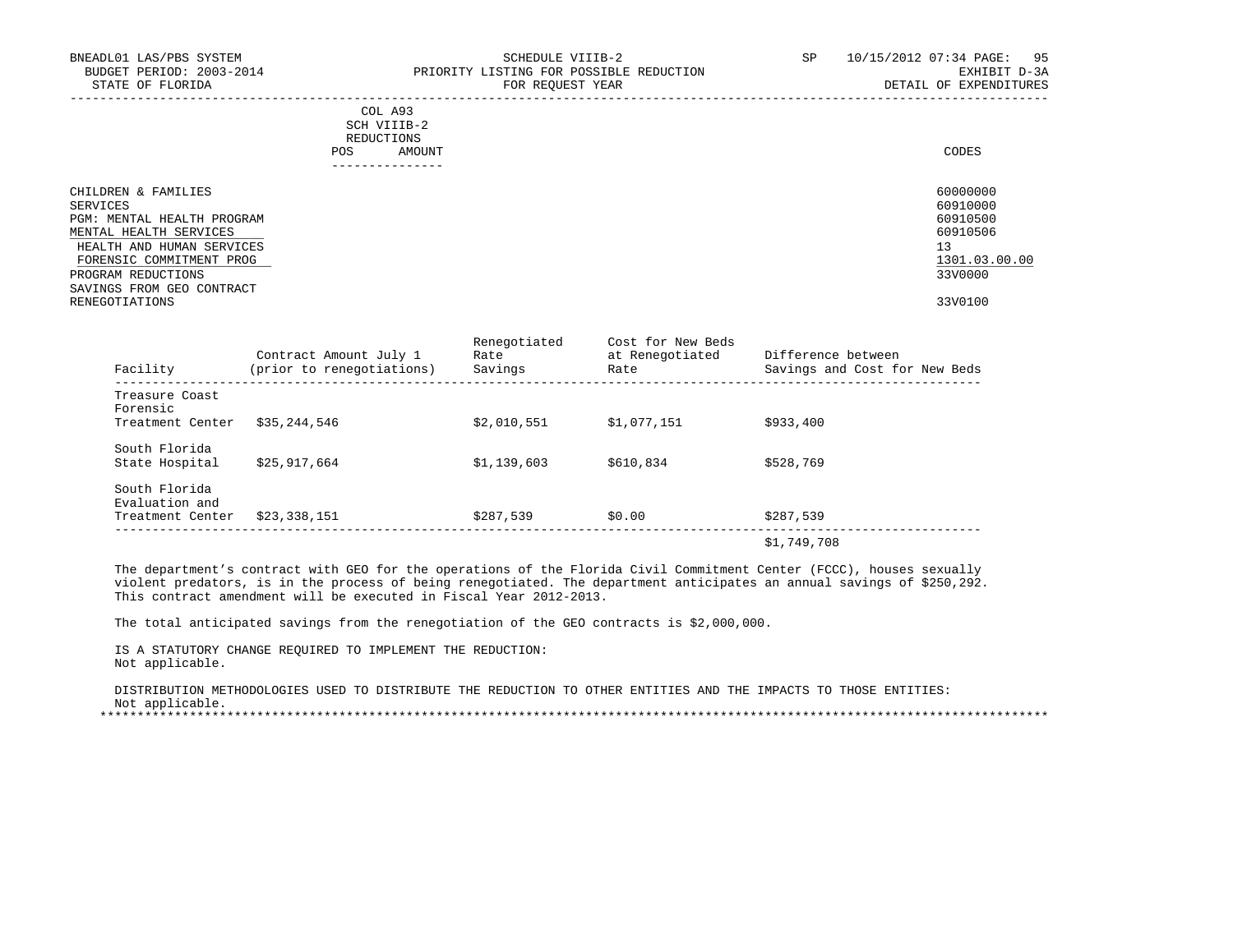| BNEADL01 LAS/PBS SYSTEM<br>BUDGET PERIOD: 2003-2014<br>STATE OF FLORIDA                 | SCHEDULE VIIIB-2<br>PRIORITY LISTING FOR POSSIBLE REDUCTION<br>FOR REQUEST YEAR | SP | 10/15/2012 07:34 PAGE: 95<br>EXHIBIT D-3A<br>DETAIL OF EXPENDITURES |
|-----------------------------------------------------------------------------------------|---------------------------------------------------------------------------------|----|---------------------------------------------------------------------|
|                                                                                         | COL A93<br>SCH VIIIB-2<br>REDUCTIONS<br>AMOUNT<br>POS<br>--------------         |    | CODES                                                               |
| CHILDREN & FAMILIES<br>SERVICES<br>PGM: MENTAL HEALTH PROGRAM<br>MENTAL HEALTH SERVICES |                                                                                 |    | 60000000<br>60910000<br>60910500<br>60910506                        |
| HEALTH AND HUMAN SERVICES<br>FORENSIC COMMITMENT PROG<br>PROGRAM REDUCTIONS             |                                                                                 |    | 13<br>1301.03.00.00<br>33V0000                                      |
| SAVINGS FROM GEO CONTRACT<br>RENEGOTIATIONS                                             |                                                                                 |    | 33V0100                                                             |

RENEGOTIATIONS 33V0100

| Facility                        | Contract Amount July 1<br>(prior to renegotiations) | Renegotiated<br>Rate<br>Savings | Cost for New Beds<br>at Renegotiated<br>Rate | Difference between<br>Savings and Cost for New Beds |
|---------------------------------|-----------------------------------------------------|---------------------------------|----------------------------------------------|-----------------------------------------------------|
| Treasure Coast<br>Forensic      |                                                     |                                 |                                              |                                                     |
| Treatment Center                | \$35,244,546                                        | \$2.010.551                     | \$1.077.151                                  | \$933,400                                           |
| South Florida                   |                                                     |                                 |                                              |                                                     |
| State Hospital                  | \$25,917,664                                        | \$1,139,603                     | \$610,834                                    | \$528,769                                           |
| South Florida<br>Evaluation and |                                                     |                                 |                                              |                                                     |
| Treatment Center                | \$23,338,151                                        | \$287,539                       | \$0.00                                       | \$287,539                                           |
|                                 |                                                     |                                 |                                              | \$1,749,708                                         |

 The department's contract with GEO for the operations of the Florida Civil Commitment Center (FCCC), houses sexually violent predators, is in the process of being renegotiated. The department anticipates an annual savings of \$250,292. This contract amendment will be executed in Fiscal Year 2012-2013.

The total anticipated savings from the renegotiation of the GEO contracts is \$2,000,000.

 IS A STATUTORY CHANGE REQUIRED TO IMPLEMENT THE REDUCTION: Not applicable.

 DISTRIBUTION METHODOLOGIES USED TO DISTRIBUTE THE REDUCTION TO OTHER ENTITIES AND THE IMPACTS TO THOSE ENTITIES: Not applicable.

\*\*\*\*\*\*\*\*\*\*\*\*\*\*\*\*\*\*\*\*\*\*\*\*\*\*\*\*\*\*\*\*\*\*\*\*\*\*\*\*\*\*\*\*\*\*\*\*\*\*\*\*\*\*\*\*\*\*\*\*\*\*\*\*\*\*\*\*\*\*\*\*\*\*\*\*\*\*\*\*\*\*\*\*\*\*\*\*\*\*\*\*\*\*\*\*\*\*\*\*\*\*\*\*\*\*\*\*\*\*\*\*\*\*\*\*\*\*\*\*\*\*\*\*\*\*\*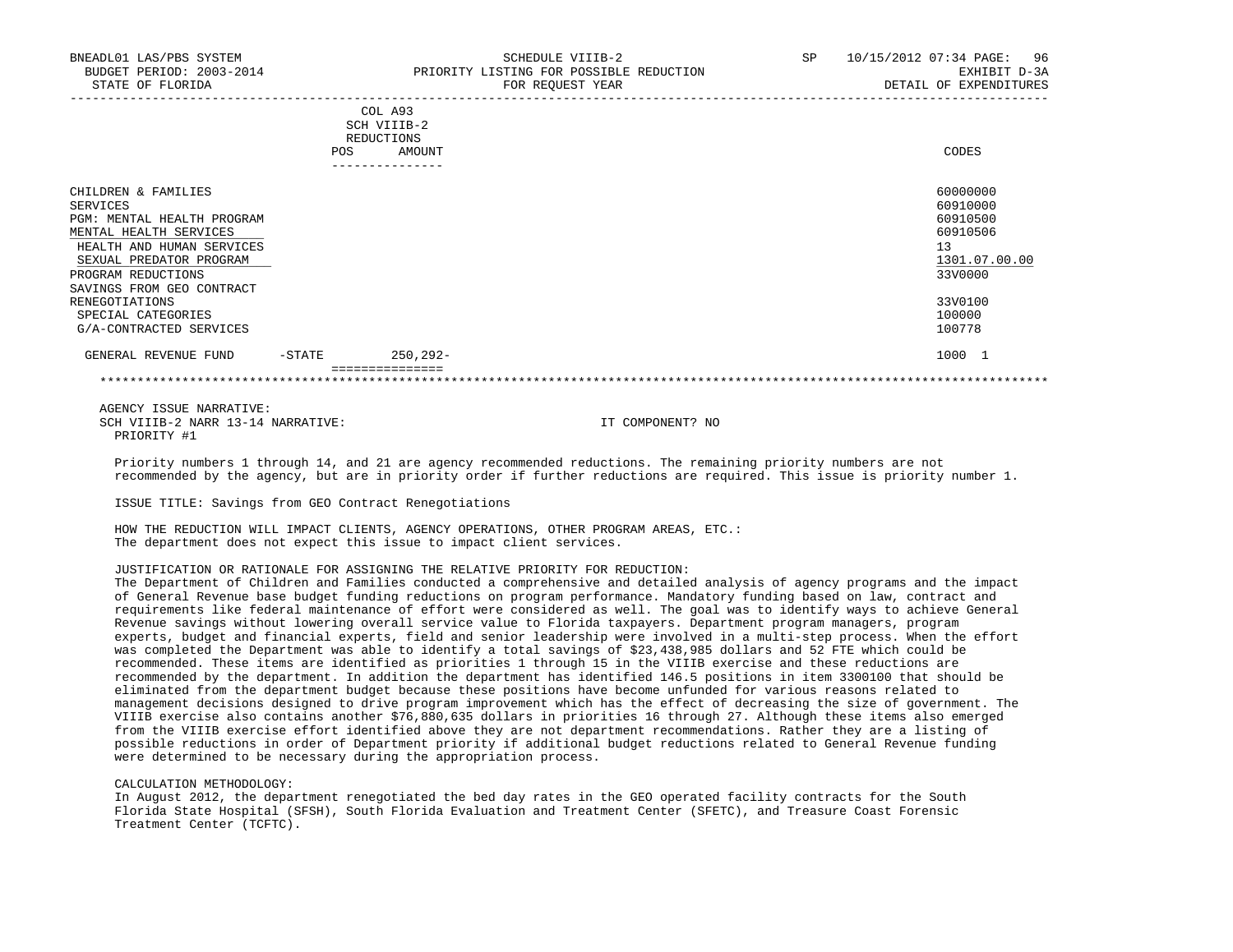|                                                                                                                                                                                                                                                                       | <b>POS</b> | COL A93<br>SCH VIIIB-2<br><b>REDUCTIONS</b><br>AMOUNT | CODES                                                                                                         |
|-----------------------------------------------------------------------------------------------------------------------------------------------------------------------------------------------------------------------------------------------------------------------|------------|-------------------------------------------------------|---------------------------------------------------------------------------------------------------------------|
|                                                                                                                                                                                                                                                                       |            | ____________                                          |                                                                                                               |
| CHILDREN & FAMILIES<br>SERVICES<br>PGM: MENTAL HEALTH PROGRAM<br>MENTAL HEALTH SERVICES<br>HEALTH AND HUMAN SERVICES<br>SEXUAL PREDATOR PROGRAM<br>PROGRAM REDUCTIONS<br>SAVINGS FROM GEO CONTRACT<br>RENEGOTIATIONS<br>SPECIAL CATEGORIES<br>G/A-CONTRACTED SERVICES |            |                                                       | 60000000<br>60910000<br>60910500<br>60910506<br>13<br>1301.07.00.00<br>33V0000<br>33V0100<br>100000<br>100778 |
|                                                                                                                                                                                                                                                                       |            |                                                       |                                                                                                               |
| GENERAL REVENUE FUND                                                                                                                                                                                                                                                  | $-$ STATE  | $250, 292 -$<br>===============                       | 1000 1                                                                                                        |
|                                                                                                                                                                                                                                                                       |            |                                                       |                                                                                                               |

\*\*\*\*\*\*\*\*\*\*\*\*\*\*\*\*\*\*\*\*\*\*\*\*\*\*\*\*\*\*\*\*\*\*\*\*\*\*\*\*\*\*\*\*\*\*\*\*\*\*\*\*\*\*\*\*\*\*\*\*\*\*\*\*\*\*\*\*\*\*\*\*\*\*\*\*\*\*\*\*\*\*\*\*\*\*\*\*\*\*\*\*\*\*\*\*\*\*\*\*\*\*\*\*\*\*\*\*\*\*\*\*\*\*\*\*\*\*\*\*\*\*\*\*\*\*\*

 AGENCY ISSUE NARRATIVE: SCH VIIIB-2 NARR 13-14 NARRATIVE: IT COMPONENT? NO PRIORITY #1

 Priority numbers 1 through 14, and 21 are agency recommended reductions. The remaining priority numbers are not recommended by the agency, but are in priority order if further reductions are required. This issue is priority number 1.

ISSUE TITLE: Savings from GEO Contract Renegotiations

 HOW THE REDUCTION WILL IMPACT CLIENTS, AGENCY OPERATIONS, OTHER PROGRAM AREAS, ETC.: The department does not expect this issue to impact client services.

## JUSTIFICATION OR RATIONALE FOR ASSIGNING THE RELATIVE PRIORITY FOR REDUCTION:

 The Department of Children and Families conducted a comprehensive and detailed analysis of agency programs and the impact of General Revenue base budget funding reductions on program performance. Mandatory funding based on law, contract and requirements like federal maintenance of effort were considered as well. The goal was to identify ways to achieve General Revenue savings without lowering overall service value to Florida taxpayers. Department program managers, program experts, budget and financial experts, field and senior leadership were involved in a multi-step process. When the effort was completed the Department was able to identify a total savings of \$23,438,985 dollars and 52 FTE which could be recommended. These items are identified as priorities 1 through 15 in the VIIIB exercise and these reductions are recommended by the department. In addition the department has identified 146.5 positions in item 3300100 that should be eliminated from the department budget because these positions have become unfunded for various reasons related to management decisions designed to drive program improvement which has the effect of decreasing the size of government. The VIIIB exercise also contains another \$76,880,635 dollars in priorities 16 through 27. Although these items also emerged from the VIIIB exercise effort identified above they are not department recommendations. Rather they are a listing of possible reductions in order of Department priority if additional budget reductions related to General Revenue funding were determined to be necessary during the appropriation process.

#### CALCULATION METHODOLOGY:

 In August 2012, the department renegotiated the bed day rates in the GEO operated facility contracts for the South Florida State Hospital (SFSH), South Florida Evaluation and Treatment Center (SFETC), and Treasure Coast Forensic Treatment Center (TCFTC).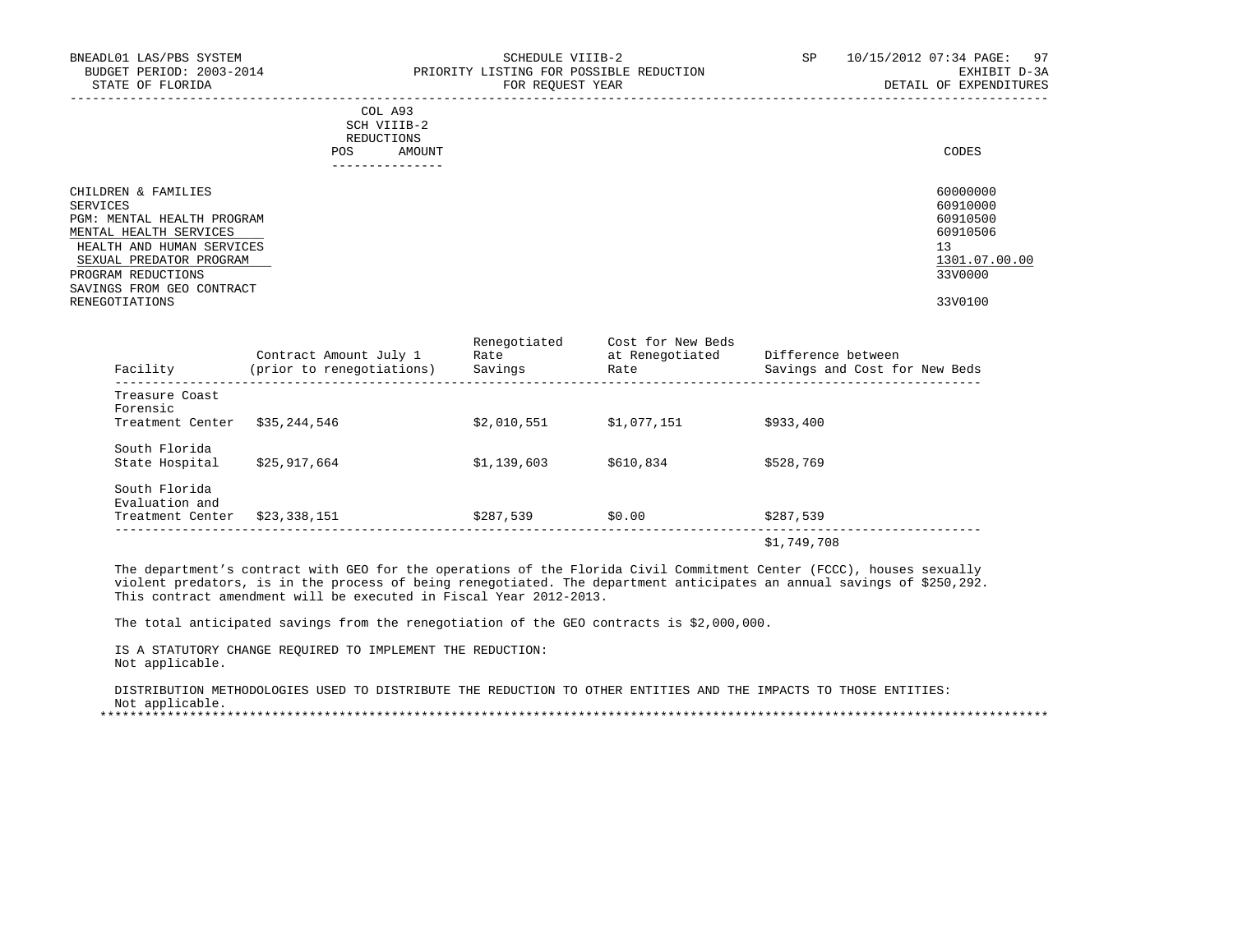| BNEADL01 LAS/PBS SYSTEM<br>BUDGET PERIOD: 2003-2014<br>STATE OF FLORIDA                                                                         | SCHEDULE VIIIB-2<br>PRIORITY LISTING FOR POSSIBLE REDUCTION<br>FOR REOUEST YEAR | SP | 10/15/2012 07:34 PAGE: 97<br>EXHIBIT D-3A<br>DETAIL OF EXPENDITURES |
|-------------------------------------------------------------------------------------------------------------------------------------------------|---------------------------------------------------------------------------------|----|---------------------------------------------------------------------|
|                                                                                                                                                 | COL A93<br>SCH VIIIB-2<br>REDUCTIONS<br>AMOUNT<br><b>POS</b><br>--------------- |    | CODES                                                               |
| CHILDREN & FAMILIES<br>SERVICES<br>PGM: MENTAL HEALTH PROGRAM<br>MENTAL HEALTH SERVICES<br>HEALTH AND HUMAN SERVICES<br>SEXUAL PREDATOR PROGRAM |                                                                                 |    | 60000000<br>60910000<br>60910500<br>60910506<br>13<br>1301.07.00.00 |
| PROGRAM REDUCTIONS<br>SAVINGS FROM GEO CONTRACT<br>RENEGOTIATIONS                                                                               |                                                                                 |    | 33V0000<br>33V0100                                                  |

RENEGOTIATIONS 33V0100

| Facility                        | Contract Amount July 1<br>(prior to renegotiations) | Renegotiated<br>Rate<br>Savings | Cost for New Beds<br>at Renegotiated<br>Rate | Difference between<br>Savings and Cost for New Beds |
|---------------------------------|-----------------------------------------------------|---------------------------------|----------------------------------------------|-----------------------------------------------------|
| Treasure Coast<br>Forensic      |                                                     |                                 |                                              |                                                     |
| Treatment Center                | \$35,244,546                                        | \$2.010.551                     | \$1.077.151                                  | \$933,400                                           |
| South Florida                   |                                                     |                                 |                                              |                                                     |
| State Hospital                  | \$25,917,664                                        | \$1,139,603                     | \$610,834                                    | \$528,769                                           |
| South Florida<br>Evaluation and |                                                     |                                 |                                              |                                                     |
| Treatment Center                | \$23,338,151                                        | \$287,539                       | \$0.00                                       | \$287,539                                           |
|                                 |                                                     |                                 |                                              | \$1,749,708                                         |

 The department's contract with GEO for the operations of the Florida Civil Commitment Center (FCCC), houses sexually violent predators, is in the process of being renegotiated. The department anticipates an annual savings of \$250,292. This contract amendment will be executed in Fiscal Year 2012-2013.

The total anticipated savings from the renegotiation of the GEO contracts is \$2,000,000.

 IS A STATUTORY CHANGE REQUIRED TO IMPLEMENT THE REDUCTION: Not applicable.

 DISTRIBUTION METHODOLOGIES USED TO DISTRIBUTE THE REDUCTION TO OTHER ENTITIES AND THE IMPACTS TO THOSE ENTITIES: Not applicable.

\*\*\*\*\*\*\*\*\*\*\*\*\*\*\*\*\*\*\*\*\*\*\*\*\*\*\*\*\*\*\*\*\*\*\*\*\*\*\*\*\*\*\*\*\*\*\*\*\*\*\*\*\*\*\*\*\*\*\*\*\*\*\*\*\*\*\*\*\*\*\*\*\*\*\*\*\*\*\*\*\*\*\*\*\*\*\*\*\*\*\*\*\*\*\*\*\*\*\*\*\*\*\*\*\*\*\*\*\*\*\*\*\*\*\*\*\*\*\*\*\*\*\*\*\*\*\*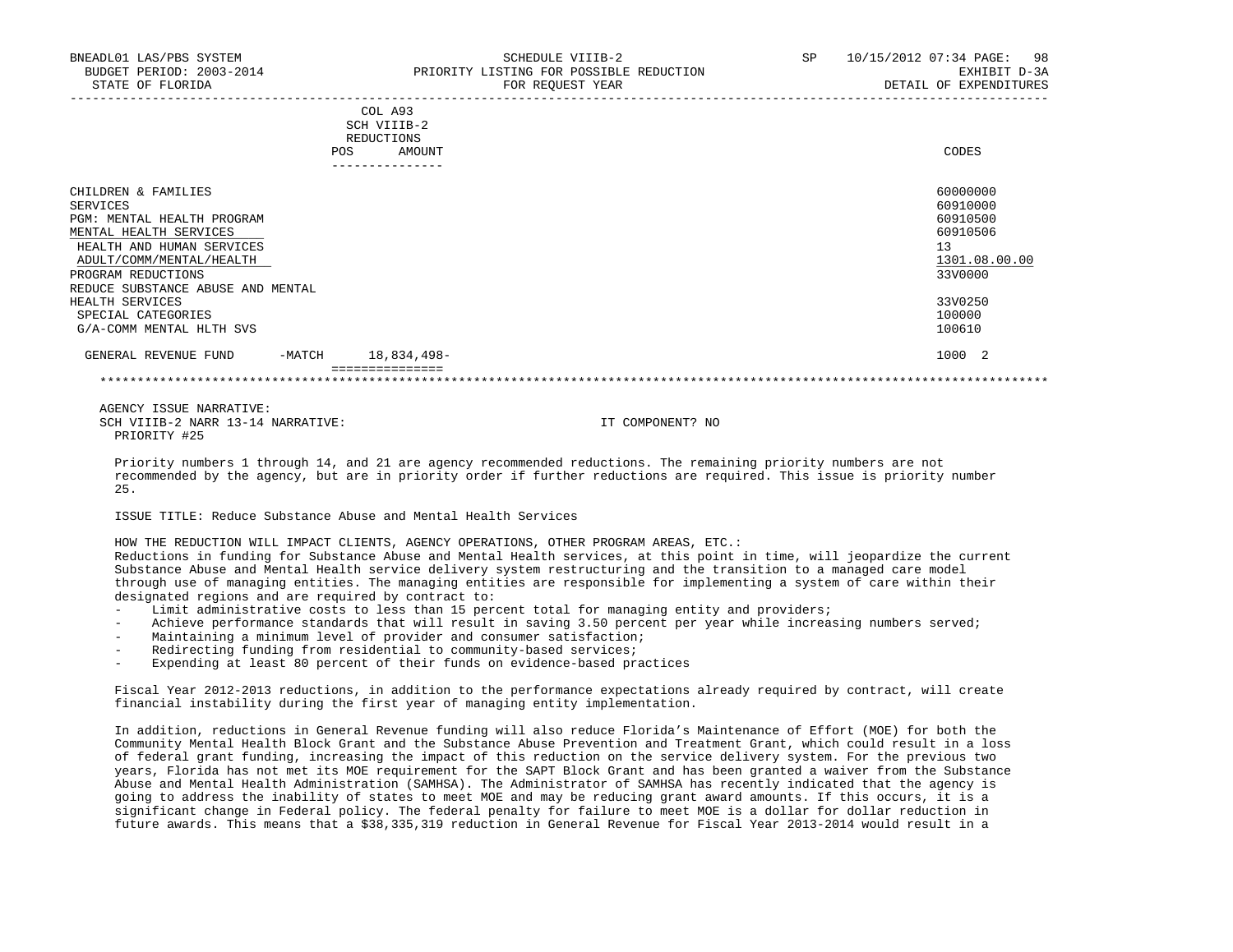| COL A93 |             |       |
|---------|-------------|-------|
|         | SCH VIIIB-2 |       |
|         | REDUCTIONS  |       |
| POS     | AMOUNT      | CODES |

| CHILDREN & FAMILIES               |          |                 | 60000000      |  |
|-----------------------------------|----------|-----------------|---------------|--|
| SERVICES                          |          |                 | 60910000      |  |
| PGM: MENTAL HEALTH PROGRAM        |          |                 | 60910500      |  |
| MENTAL HEALTH SERVICES            |          |                 | 60910506      |  |
| HEALTH AND HUMAN SERVICES         |          |                 | 13            |  |
| ADULT/COMM/MENTAL/HEALTH          |          |                 | 1301.08.00.00 |  |
| PROGRAM REDUCTIONS                |          |                 | 33V0000       |  |
| REDUCE SUBSTANCE ABUSE AND MENTAL |          |                 |               |  |
| HEALTH SERVICES                   |          |                 | 33V0250       |  |
| SPECIAL CATEGORIES                |          |                 | 100000        |  |
| G/A-COMM MENTAL HLTH SVS          |          |                 | 100610        |  |
| GENERAL REVENUE FUND              | $-MATCH$ | 18,834,498-     | 1000 2        |  |
|                                   |          | =============== |               |  |

 AGENCY ISSUE NARRATIVE: SCH VIIIB-2 NARR 13-14 NARRATIVE: IT COMPONENT? NO PRIORITY #25

 Priority numbers 1 through 14, and 21 are agency recommended reductions. The remaining priority numbers are not recommended by the agency, but are in priority order if further reductions are required. This issue is priority number 25.

ISSUE TITLE: Reduce Substance Abuse and Mental Health Services

HOW THE REDUCTION WILL IMPACT CLIENTS, AGENCY OPERATIONS, OTHER PROGRAM AREAS, ETC.:

 Reductions in funding for Substance Abuse and Mental Health services, at this point in time, will jeopardize the current Substance Abuse and Mental Health service delivery system restructuring and the transition to a managed care model through use of managing entities. The managing entities are responsible for implementing a system of care within their designated regions and are required by contract to:

- Limit administrative costs to less than 15 percent total for managing entity and providers;
- Achieve performance standards that will result in saving 3.50 percent per year while increasing numbers served;
- Maintaining a minimum level of provider and consumer satisfaction;
- Redirecting funding from residential to community-based services;
- Expending at least 80 percent of their funds on evidence-based practices

 Fiscal Year 2012-2013 reductions, in addition to the performance expectations already required by contract, will create financial instability during the first year of managing entity implementation.

 In addition, reductions in General Revenue funding will also reduce Florida's Maintenance of Effort (MOE) for both the Community Mental Health Block Grant and the Substance Abuse Prevention and Treatment Grant, which could result in a loss of federal grant funding, increasing the impact of this reduction on the service delivery system. For the previous two years, Florida has not met its MOE requirement for the SAPT Block Grant and has been granted a waiver from the Substance Abuse and Mental Health Administration (SAMHSA). The Administrator of SAMHSA has recently indicated that the agency is going to address the inability of states to meet MOE and may be reducing grant award amounts. If this occurs, it is a significant change in Federal policy. The federal penalty for failure to meet MOE is a dollar for dollar reduction in future awards. This means that a \$38,335,319 reduction in General Revenue for Fiscal Year 2013-2014 would result in a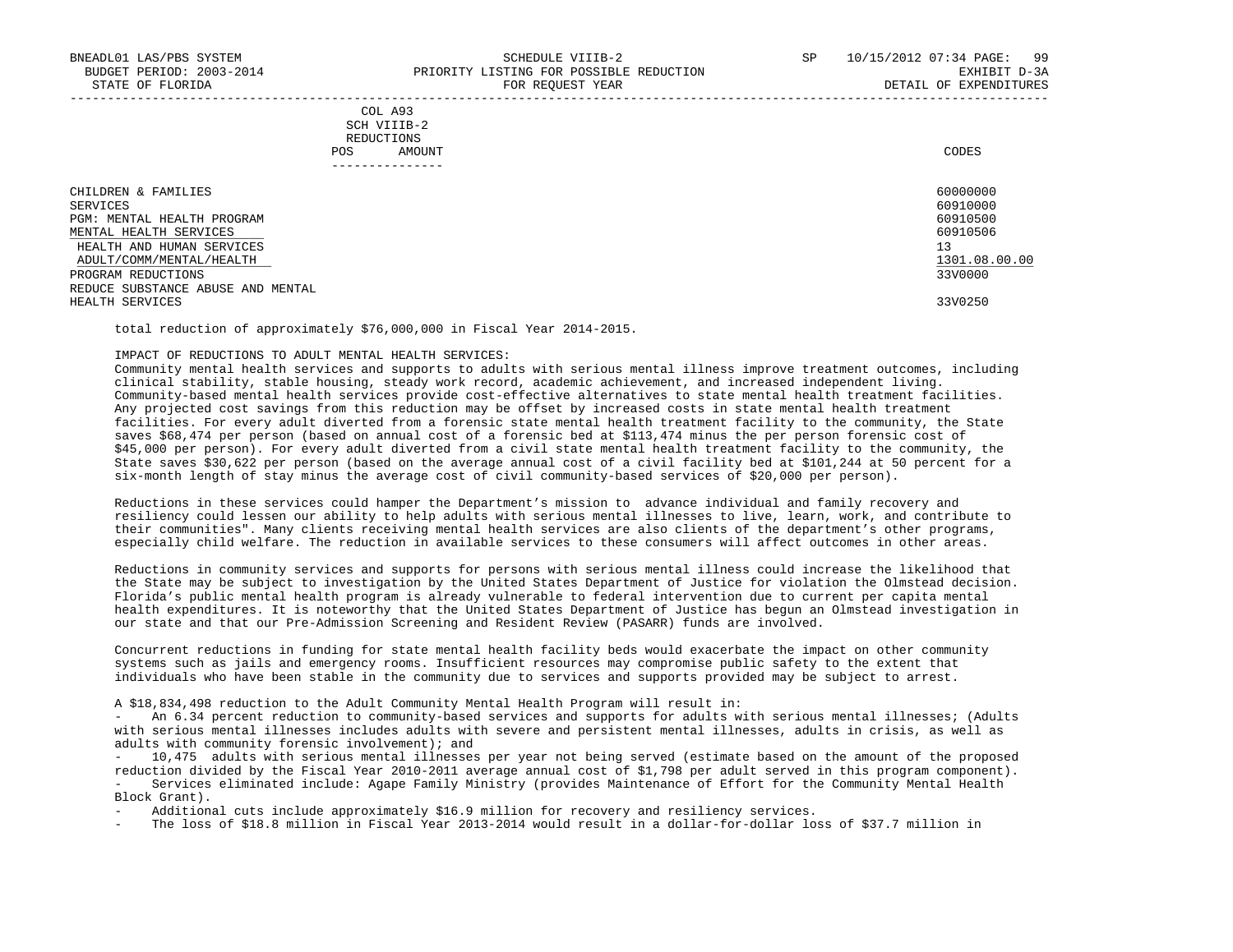## COL A93 SCH VIIIB-2 REDUCTIONS POS AMOUNT CODES ---------------

| CHILDREN & FAMILIES               | 60000000      |
|-----------------------------------|---------------|
| SERVICES                          | 60910000      |
| PGM: MENTAL HEALTH PROGRAM        | 60910500      |
| MENTAL HEALTH SERVICES            | 60910506      |
| HEALTH AND HUMAN SERVICES         | 13            |
| ADULT/COMM/MENTAL/HEALTH          | 1301.08.00.00 |
| PROGRAM REDUCTIONS                | 33V0000       |
| REDUCE SUBSTANCE ABUSE AND MENTAL |               |
| HEALTH SERVICES                   | 33V0250       |
|                                   |               |

total reduction of approximately \$76,000,000 in Fiscal Year 2014-2015.

## IMPACT OF REDUCTIONS TO ADULT MENTAL HEALTH SERVICES:

 Community mental health services and supports to adults with serious mental illness improve treatment outcomes, including clinical stability, stable housing, steady work record, academic achievement, and increased independent living. Community-based mental health services provide cost-effective alternatives to state mental health treatment facilities. Any projected cost savings from this reduction may be offset by increased costs in state mental health treatment facilities. For every adult diverted from a forensic state mental health treatment facility to the community, the State saves \$68,474 per person (based on annual cost of a forensic bed at \$113,474 minus the per person forensic cost of \$45,000 per person). For every adult diverted from a civil state mental health treatment facility to the community, the State saves \$30,622 per person (based on the average annual cost of a civil facility bed at \$101,244 at 50 percent for a six-month length of stay minus the average cost of civil community-based services of \$20,000 per person).

 Reductions in these services could hamper the Department's mission to advance individual and family recovery and resiliency could lessen our ability to help adults with serious mental illnesses to live, learn, work, and contribute to their communities". Many clients receiving mental health services are also clients of the department's other programs, especially child welfare. The reduction in available services to these consumers will affect outcomes in other areas.

 Reductions in community services and supports for persons with serious mental illness could increase the likelihood that the State may be subject to investigation by the United States Department of Justice for violation the Olmstead decision. Florida's public mental health program is already vulnerable to federal intervention due to current per capita mental health expenditures. It is noteworthy that the United States Department of Justice has begun an Olmstead investigation in our state and that our Pre-Admission Screening and Resident Review (PASARR) funds are involved.

 Concurrent reductions in funding for state mental health facility beds would exacerbate the impact on other community systems such as jails and emergency rooms. Insufficient resources may compromise public safety to the extent that individuals who have been stable in the community due to services and supports provided may be subject to arrest.

A \$18,834,498 reduction to the Adult Community Mental Health Program will result in:

 - An 6.34 percent reduction to community-based services and supports for adults with serious mental illnesses; (Adults with serious mental illnesses includes adults with severe and persistent mental illnesses, adults in crisis, as well as adults with community forensic involvement); and

 - 10,475 adults with serious mental illnesses per year not being served (estimate based on the amount of the proposed reduction divided by the Fiscal Year 2010-2011 average annual cost of \$1,798 per adult served in this program component). - Services eliminated include: Agape Family Ministry (provides Maintenance of Effort for the Community Mental Health Block Grant).

Additional cuts include approximately \$16.9 million for recovery and resiliency services.

The loss of \$18.8 million in Fiscal Year 2013-2014 would result in a dollar-for-dollar loss of \$37.7 million in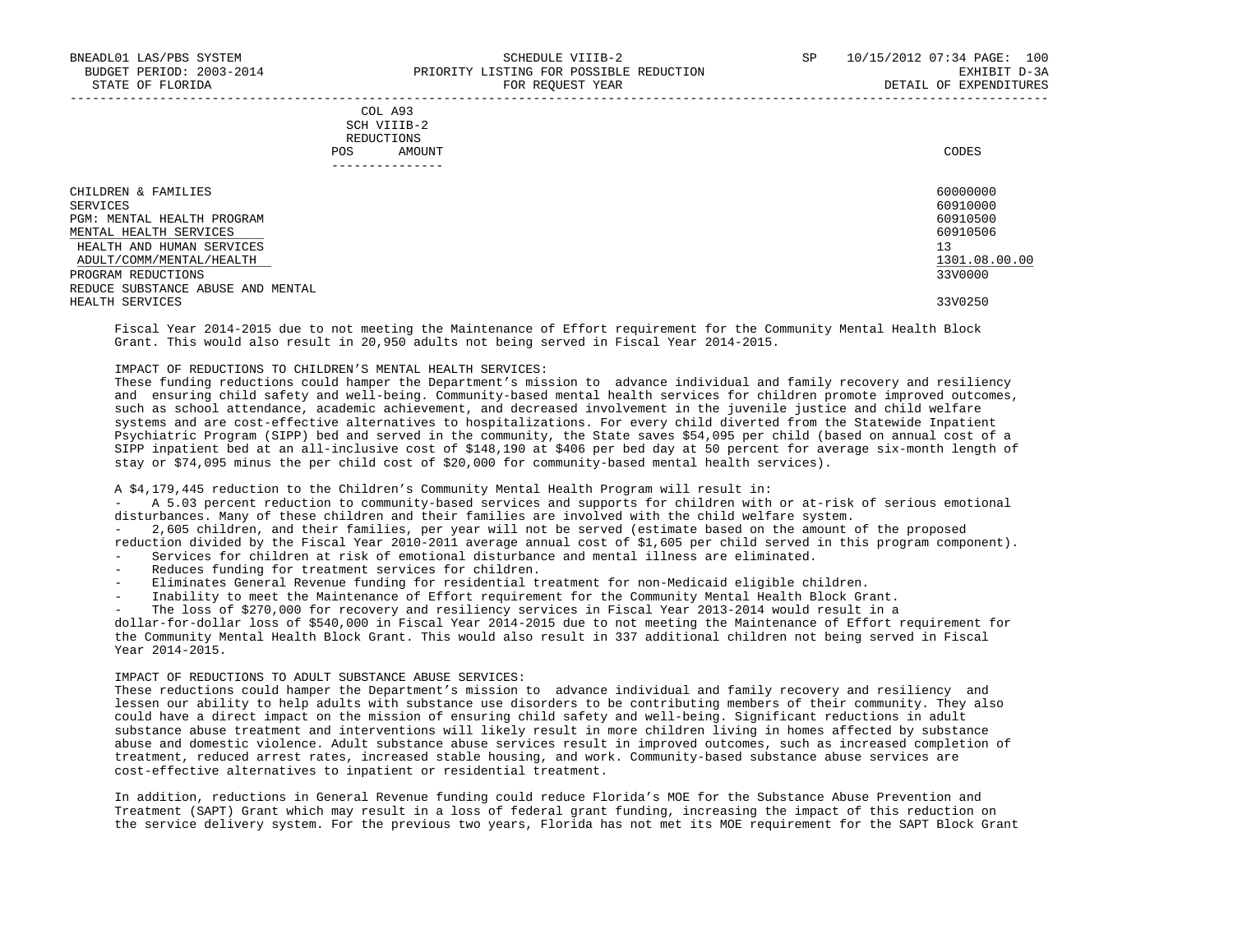## COL A93 SCH VIIIB-2 REDUCTIONS POS AMOUNT CODES ---------------

| CHILDREN & FAMILIES               | 60000000      |
|-----------------------------------|---------------|
| SERVICES                          | 60910000      |
| PGM: MENTAL HEALTH PROGRAM        | 60910500      |
| MENTAL HEALTH SERVICES            | 60910506      |
| HEALTH AND HUMAN SERVICES         | 13            |
| ADULT/COMM/MENTAL/HEALTH          | 1301.08.00.00 |
| PROGRAM REDUCTIONS                | 33V0000       |
| REDUCE SUBSTANCE ABUSE AND MENTAL |               |
| HEALTH SERVICES                   | 33V0250       |
|                                   |               |

 Fiscal Year 2014-2015 due to not meeting the Maintenance of Effort requirement for the Community Mental Health Block Grant. This would also result in 20,950 adults not being served in Fiscal Year 2014-2015.

## IMPACT OF REDUCTIONS TO CHILDREN'S MENTAL HEALTH SERVICES:

 These funding reductions could hamper the Department's mission to advance individual and family recovery and resiliency and ensuring child safety and well-being. Community-based mental health services for children promote improved outcomes, such as school attendance, academic achievement, and decreased involvement in the juvenile justice and child welfare systems and are cost-effective alternatives to hospitalizations. For every child diverted from the Statewide Inpatient Psychiatric Program (SIPP) bed and served in the community, the State saves \$54,095 per child (based on annual cost of a SIPP inpatient bed at an all-inclusive cost of \$148,190 at \$406 per bed day at 50 percent for average six-month length of stay or \$74,095 minus the per child cost of \$20,000 for community-based mental health services).

A \$4,179,445 reduction to the Children's Community Mental Health Program will result in:

 - A 5.03 percent reduction to community-based services and supports for children with or at-risk of serious emotional disturbances. Many of these children and their families are involved with the child welfare system.

 - 2,605 children, and their families, per year will not be served (estimate based on the amount of the proposed reduction divided by the Fiscal Year 2010-2011 average annual cost of \$1,605 per child served in this program component).

- Services for children at risk of emotional disturbance and mental illness are eliminated.
- Reduces funding for treatment services for children.
- Eliminates General Revenue funding for residential treatment for non-Medicaid eligible children.
- Inability to meet the Maintenance of Effort requirement for the Community Mental Health Block Grant.
- The loss of \$270,000 for recovery and resiliency services in Fiscal Year 2013-2014 would result in a

 dollar-for-dollar loss of \$540,000 in Fiscal Year 2014-2015 due to not meeting the Maintenance of Effort requirement for the Community Mental Health Block Grant. This would also result in 337 additional children not being served in Fiscal Year 2014-2015.

# IMPACT OF REDUCTIONS TO ADULT SUBSTANCE ABUSE SERVICES:

 These reductions could hamper the Department's mission to advance individual and family recovery and resiliency and lessen our ability to help adults with substance use disorders to be contributing members of their community. They also could have a direct impact on the mission of ensuring child safety and well-being. Significant reductions in adult substance abuse treatment and interventions will likely result in more children living in homes affected by substance abuse and domestic violence. Adult substance abuse services result in improved outcomes, such as increased completion of treatment, reduced arrest rates, increased stable housing, and work. Community-based substance abuse services are cost-effective alternatives to inpatient or residential treatment.

 In addition, reductions in General Revenue funding could reduce Florida's MOE for the Substance Abuse Prevention and Treatment (SAPT) Grant which may result in a loss of federal grant funding, increasing the impact of this reduction on the service delivery system. For the previous two years, Florida has not met its MOE requirement for the SAPT Block Grant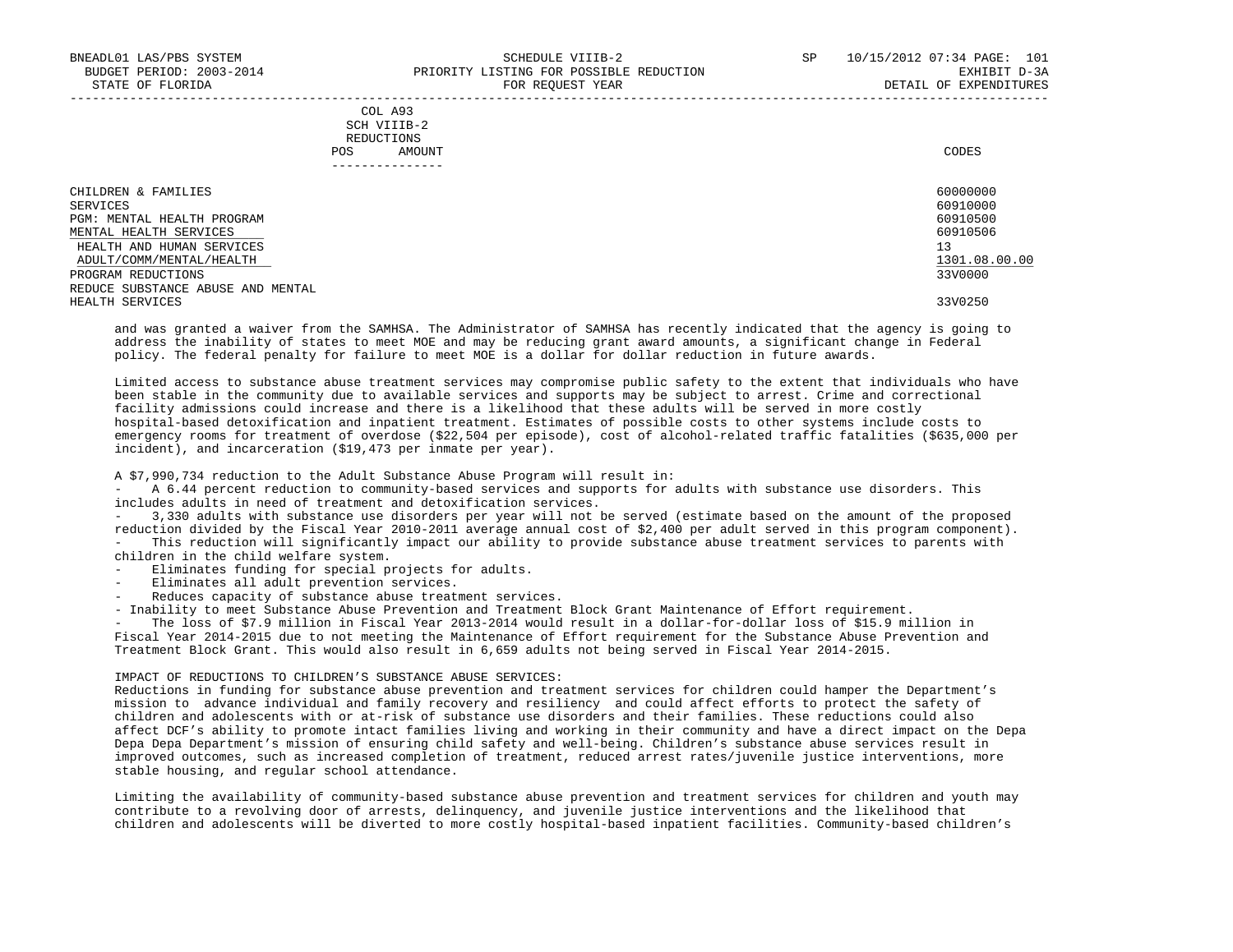## COL A93 SCH VIIIB-2 REDUCTIONS POS AMOUNT CODES ---------------

| CHILDREN & FAMILIES               | 60000000      |
|-----------------------------------|---------------|
| SERVICES                          | 60910000      |
| PGM: MENTAL HEALTH PROGRAM        | 60910500      |
| MENTAL HEALTH SERVICES            | 60910506      |
| HEALTH AND HUMAN SERVICES         | 13            |
| ADULT/COMM/MENTAL/HEALTH          | 1301.08.00.00 |
| PROGRAM REDUCTIONS                | 33V0000       |
| REDUCE SUBSTANCE ABUSE AND MENTAL |               |
| HEALTH SERVICES                   | 33V0250       |
|                                   |               |

-----------------------------------------------------------------------------------------------------------------------------------

 and was granted a waiver from the SAMHSA. The Administrator of SAMHSA has recently indicated that the agency is going to address the inability of states to meet MOE and may be reducing grant award amounts, a significant change in Federal policy. The federal penalty for failure to meet MOE is a dollar for dollar reduction in future awards.

 Limited access to substance abuse treatment services may compromise public safety to the extent that individuals who have been stable in the community due to available services and supports may be subject to arrest. Crime and correctional facility admissions could increase and there is a likelihood that these adults will be served in more costly hospital-based detoxification and inpatient treatment. Estimates of possible costs to other systems include costs to emergency rooms for treatment of overdose (\$22,504 per episode), cost of alcohol-related traffic fatalities (\$635,000 per incident), and incarceration (\$19,473 per inmate per year).

A \$7,990,734 reduction to the Adult Substance Abuse Program will result in:

 - A 6.44 percent reduction to community-based services and supports for adults with substance use disorders. This includes adults in need of treatment and detoxification services.

 - 3,330 adults with substance use disorders per year will not be served (estimate based on the amount of the proposed reduction divided by the Fiscal Year 2010-2011 average annual cost of \$2,400 per adult served in this program component). - This reduction will significantly impact our ability to provide substance abuse treatment services to parents with children in the child welfare system.

- Eliminates funding for special projects for adults.

- Eliminates all adult prevention services.
- Reduces capacity of substance abuse treatment services.

- Inability to meet Substance Abuse Prevention and Treatment Block Grant Maintenance of Effort requirement.

The loss of \$7.9 million in Fiscal Year 2013-2014 would result in a dollar-for-dollar loss of \$15.9 million in Fiscal Year 2014-2015 due to not meeting the Maintenance of Effort requirement for the Substance Abuse Prevention and Treatment Block Grant. This would also result in 6,659 adults not being served in Fiscal Year 2014-2015.

# IMPACT OF REDUCTIONS TO CHILDREN'S SUBSTANCE ABUSE SERVICES:

 Reductions in funding for substance abuse prevention and treatment services for children could hamper the Department's mission to advance individual and family recovery and resiliency and could affect efforts to protect the safety of children and adolescents with or at-risk of substance use disorders and their families. These reductions could also affect DCF's ability to promote intact families living and working in their community and have a direct impact on the Depa Depa Depa Department's mission of ensuring child safety and well-being. Children's substance abuse services result in improved outcomes, such as increased completion of treatment, reduced arrest rates/juvenile justice interventions, more stable housing, and regular school attendance.

 Limiting the availability of community-based substance abuse prevention and treatment services for children and youth may contribute to a revolving door of arrests, delinquency, and juvenile justice interventions and the likelihood that children and adolescents will be diverted to more costly hospital-based inpatient facilities. Community-based children's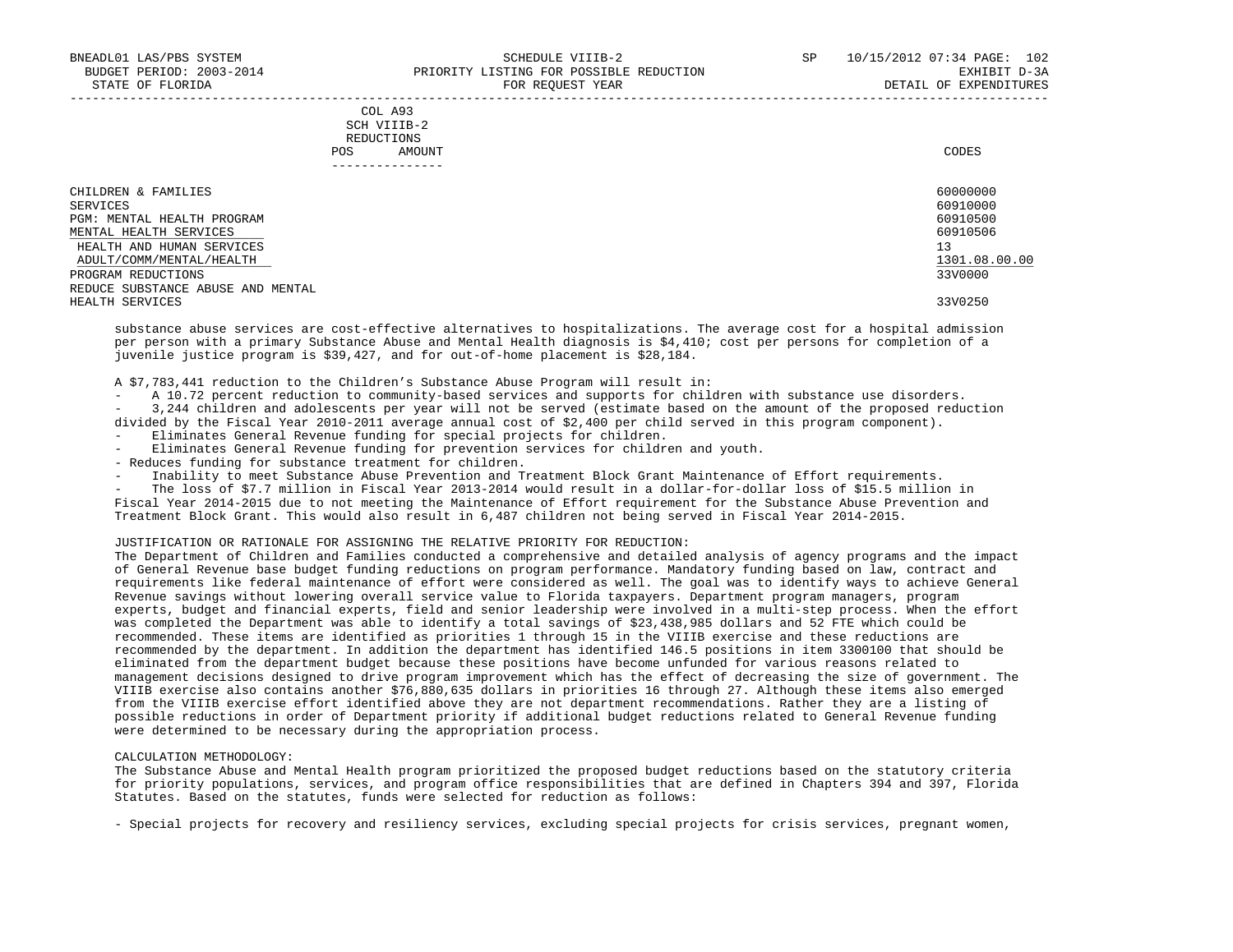## COL A93 SCH VIIIB-2 REDUCTIONS POS AMOUNT CODES ---------------

| CHILDREN & FAMILIES               | 60000000      |
|-----------------------------------|---------------|
| SERVICES                          | 60910000      |
| PGM: MENTAL HEALTH PROGRAM        | 60910500      |
| MENTAL HEALTH SERVICES            | 60910506      |
| HEALTH AND HUMAN SERVICES         | 13            |
| ADULT/COMM/MENTAL/HEALTH          | 1301.08.00.00 |
| PROGRAM REDUCTIONS                | 33V0000       |
| REDUCE SUBSTANCE ABUSE AND MENTAL |               |
| HEALTH SERVICES                   | 33V0250       |

 substance abuse services are cost-effective alternatives to hospitalizations. The average cost for a hospital admission per person with a primary Substance Abuse and Mental Health diagnosis is \$4,410; cost per persons for completion of a juvenile justice program is \$39,427, and for out-of-home placement is \$28,184.

A \$7,783,441 reduction to the Children's Substance Abuse Program will result in:

- A 10.72 percent reduction to community-based services and supports for children with substance use disorders.

 - 3,244 children and adolescents per year will not be served (estimate based on the amount of the proposed reduction divided by the Fiscal Year 2010-2011 average annual cost of \$2,400 per child served in this program component).

- Eliminates General Revenue funding for special projects for children.
- Eliminates General Revenue funding for prevention services for children and youth.
- Reduces funding for substance treatment for children.
- Inability to meet Substance Abuse Prevention and Treatment Block Grant Maintenance of Effort requirements.

The loss of \$7.7 million in Fiscal Year 2013-2014 would result in a dollar-for-dollar loss of \$15.5 million in Fiscal Year 2014-2015 due to not meeting the Maintenance of Effort requirement for the Substance Abuse Prevention and Treatment Block Grant. This would also result in 6,487 children not being served in Fiscal Year 2014-2015.

# JUSTIFICATION OR RATIONALE FOR ASSIGNING THE RELATIVE PRIORITY FOR REDUCTION:

 The Department of Children and Families conducted a comprehensive and detailed analysis of agency programs and the impact of General Revenue base budget funding reductions on program performance. Mandatory funding based on law, contract and requirements like federal maintenance of effort were considered as well. The goal was to identify ways to achieve General Revenue savings without lowering overall service value to Florida taxpayers. Department program managers, program experts, budget and financial experts, field and senior leadership were involved in a multi-step process. When the effort was completed the Department was able to identify a total savings of \$23,438,985 dollars and 52 FTE which could be recommended. These items are identified as priorities 1 through 15 in the VIIIB exercise and these reductions are recommended by the department. In addition the department has identified 146.5 positions in item 3300100 that should be eliminated from the department budget because these positions have become unfunded for various reasons related to management decisions designed to drive program improvement which has the effect of decreasing the size of government. The VIIIB exercise also contains another \$76,880,635 dollars in priorities 16 through 27. Although these items also emerged from the VIIIB exercise effort identified above they are not department recommendations. Rather they are a listing of possible reductions in order of Department priority if additional budget reductions related to General Revenue funding were determined to be necessary during the appropriation process.

#### CALCULATION METHODOLOGY:

 The Substance Abuse and Mental Health program prioritized the proposed budget reductions based on the statutory criteria for priority populations, services, and program office responsibilities that are defined in Chapters 394 and 397, Florida Statutes. Based on the statutes, funds were selected for reduction as follows:

- Special projects for recovery and resiliency services, excluding special projects for crisis services, pregnant women,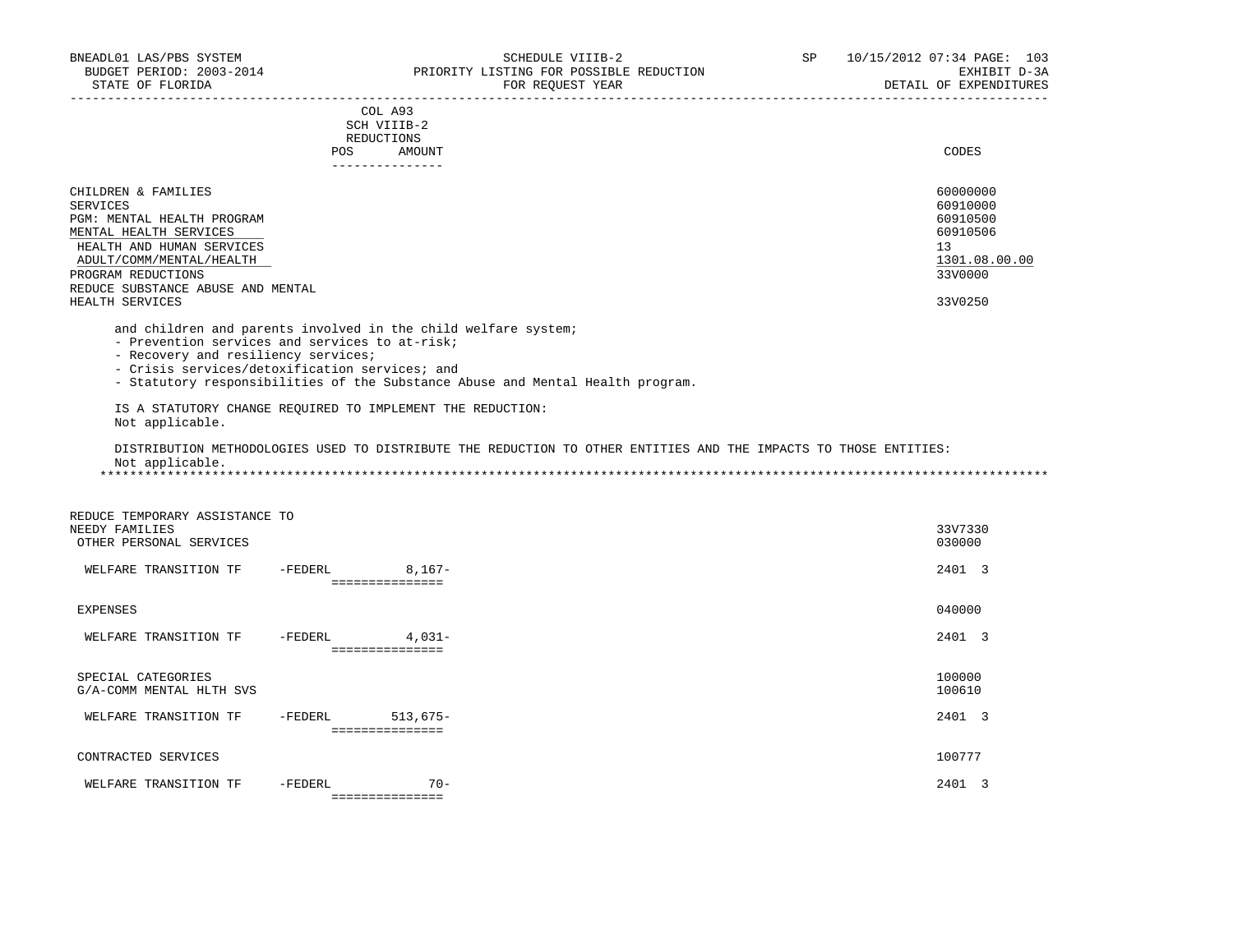## COL A93 SCH VIIIB-2 REDUCTIONS POS AMOUNT CODES ---------------

| CHILDREN & FAMILIES               | 60000000      |
|-----------------------------------|---------------|
| SERVICES                          | 60910000      |
| PGM: MENTAL HEALTH PROGRAM        | 60910500      |
| MENTAL HEALTH SERVICES            | 60910506      |
| HEALTH AND HUMAN SERVICES         | 13            |
| ADULT/COMM/MENTAL/HEALTH          | 1301.08.00.00 |
| PROGRAM REDUCTIONS                | 33V0000       |
| REDUCE SUBSTANCE ABUSE AND MENTAL |               |
| HEALTH SERVICES                   | 33V0250       |

and children and parents involved in the child welfare system;

- Prevention services and services to at-risk;

- Recovery and resiliency services;

- Crisis services/detoxification services; and

- Statutory responsibilities of the Substance Abuse and Mental Health program.

 IS A STATUTORY CHANGE REQUIRED TO IMPLEMENT THE REDUCTION: Not applicable.

 DISTRIBUTION METHODOLOGIES USED TO DISTRIBUTE THE REDUCTION TO OTHER ENTITIES AND THE IMPACTS TO THOSE ENTITIES: Not applicable.

\*\*\*\*\*\*\*\*\*\*\*\*\*\*\*\*\*\*\*\*\*\*\*\*\*\*\*\*\*\*\*\*\*\*\*\*\*\*\*\*\*\*\*\*\*\*\*\*\*\*\*\*\*\*\*\*\*\*\*\*\*\*\*\*\*\*\*\*\*\*\*\*\*\*\*\*\*\*\*\*\*\*\*\*\*\*\*\*\*\*\*\*\*\*\*\*\*\*\*\*\*\*\*\*\*\*\*\*\*\*\*\*\*\*\*\*\*\*\*\*\*\*\*\*\*\*\*

| REDUCE TEMPORARY ASSISTANCE TO |         |                 |  |         |
|--------------------------------|---------|-----------------|--|---------|
| NEEDY FAMILIES                 |         |                 |  | 33V7330 |
| OTHER PERSONAL SERVICES        |         |                 |  | 030000  |
|                                |         |                 |  |         |
| WELFARE TRANSITION TF          | -FEDERL | $8,167-$        |  | 2401 3  |
|                                |         | =============== |  |         |
| EXPENSES                       |         |                 |  | 040000  |
|                                |         |                 |  |         |
| WELFARE TRANSITION TF          | -FEDERL | $4,031-$        |  | 2401 3  |
|                                |         | =============== |  |         |
|                                |         |                 |  |         |
| SPECIAL CATEGORIES             |         |                 |  | 100000  |
| G/A-COMM MENTAL HLTH SVS       |         |                 |  | 100610  |
| WELFARE TRANSITION TF          | -FEDERL | $513,675-$      |  | 2401 3  |
|                                |         | =============== |  |         |
|                                |         |                 |  |         |
| CONTRACTED SERVICES            |         |                 |  | 100777  |
|                                |         |                 |  |         |
| WELFARE TRANSITION TF          | -FEDERL | $70 -$          |  | 2401    |
|                                |         | =============== |  |         |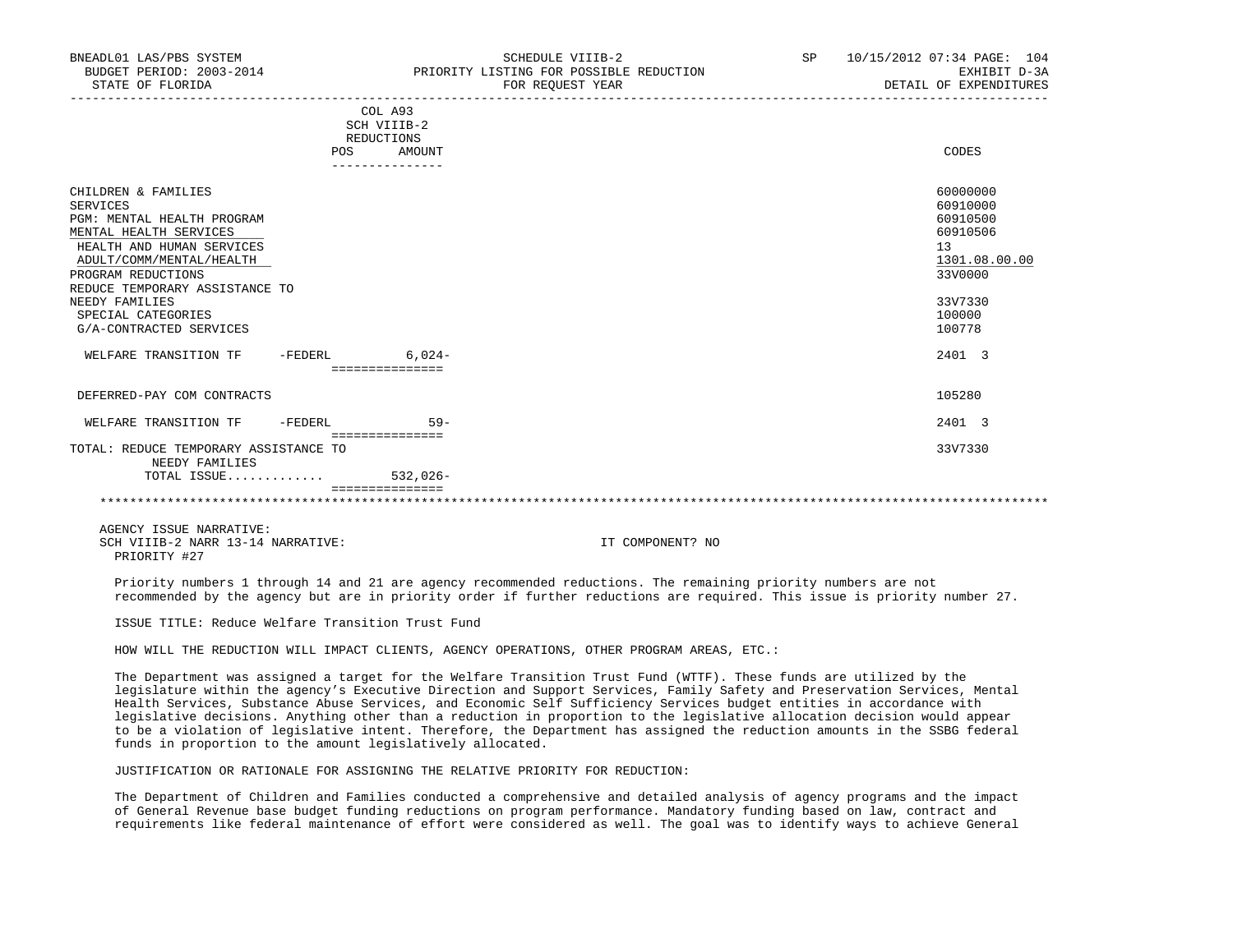| DNEAULUI LAS/FBS SISIEM<br>BUDGET PERIOD: 2003-2014<br>STATE OF FLORIDA                                                                                                                                                                                                                                             |                                                       | DUMBDULE VIIID-4<br>PRIORITY LISTING FOR POSSIBLE REDUCTION<br>FOR REOUEST YEAR | ⊣ت | TO TO AULA O PART PAGE. TUT<br>EXHIBIT D-3A<br>DETAIL OF EXPENDITURES<br>_______________________________                |
|---------------------------------------------------------------------------------------------------------------------------------------------------------------------------------------------------------------------------------------------------------------------------------------------------------------------|-------------------------------------------------------|---------------------------------------------------------------------------------|----|-------------------------------------------------------------------------------------------------------------------------|
|                                                                                                                                                                                                                                                                                                                     | COL A93<br>SCH VIIIB-2<br>REDUCTIONS<br>POS<br>AMOUNT |                                                                                 |    | CODES                                                                                                                   |
| CHILDREN & FAMILIES<br><b>SERVICES</b><br>PGM: MENTAL HEALTH PROGRAM<br>MENTAL HEALTH SERVICES<br>HEALTH AND HUMAN SERVICES<br>ADULT/COMM/MENTAL/HEALTH<br>PROGRAM REDUCTIONS<br>REDUCE TEMPORARY ASSISTANCE TO<br>NEEDY FAMILIES<br>SPECIAL CATEGORIES<br>G/A-CONTRACTED SERVICES<br>WELFARE TRANSITION TF -FEDERL | $6.024-$<br>===============                           |                                                                                 |    | 60000000<br>60910000<br>60910500<br>60910506<br>13<br>1301.08.00.00<br>33V0000<br>33V7330<br>100000<br>100778<br>2401 3 |
| DEFERRED-PAY COM CONTRACTS                                                                                                                                                                                                                                                                                          |                                                       |                                                                                 |    | 105280                                                                                                                  |
| WELFARE TRANSITION TF<br>$-FEDERL$                                                                                                                                                                                                                                                                                  | $59 -$<br>===============                             |                                                                                 |    | 2401 3                                                                                                                  |
| TOTAL: REDUCE TEMPORARY ASSISTANCE TO<br>NEEDY FAMILIES                                                                                                                                                                                                                                                             |                                                       |                                                                                 |    | 33V7330                                                                                                                 |
| TOTAL ISSUE 532,026-                                                                                                                                                                                                                                                                                                |                                                       |                                                                                 |    |                                                                                                                         |

BNEADL01 LAS/PBS SYSTEM SCHEDULE VIIIB-2 SP 10/15/2012 07:34 PAGE: 104

 =============== \*\*\*\*\*\*\*\*\*\*\*\*\*\*\*\*\*\*\*\*\*\*\*\*\*\*\*\*\*\*\*\*\*\*\*\*\*\*\*\*\*\*\*\*\*\*\*\*\*\*\*\*\*\*\*\*\*\*\*\*\*\*\*\*\*\*\*\*\*\*\*\*\*\*\*\*\*\*\*\*\*\*\*\*\*\*\*\*\*\*\*\*\*\*\*\*\*\*\*\*\*\*\*\*\*\*\*\*\*\*\*\*\*\*\*\*\*\*\*\*\*\*\*\*\*\*\*

 AGENCY ISSUE NARRATIVE: SCH VIIIB-2 NARR 13-14 NARRATIVE: IT COMPONENT? NO PRIORITY #27

 Priority numbers 1 through 14 and 21 are agency recommended reductions. The remaining priority numbers are not recommended by the agency but are in priority order if further reductions are required. This issue is priority number 27.

ISSUE TITLE: Reduce Welfare Transition Trust Fund

HOW WILL THE REDUCTION WILL IMPACT CLIENTS, AGENCY OPERATIONS, OTHER PROGRAM AREAS, ETC.:

 The Department was assigned a target for the Welfare Transition Trust Fund (WTTF). These funds are utilized by the legislature within the agency's Executive Direction and Support Services, Family Safety and Preservation Services, Mental Health Services, Substance Abuse Services, and Economic Self Sufficiency Services budget entities in accordance with legislative decisions. Anything other than a reduction in proportion to the legislative allocation decision would appear to be a violation of legislative intent. Therefore, the Department has assigned the reduction amounts in the SSBG federal funds in proportion to the amount legislatively allocated.

JUSTIFICATION OR RATIONALE FOR ASSIGNING THE RELATIVE PRIORITY FOR REDUCTION:

 The Department of Children and Families conducted a comprehensive and detailed analysis of agency programs and the impact of General Revenue base budget funding reductions on program performance. Mandatory funding based on law, contract and requirements like federal maintenance of effort were considered as well. The goal was to identify ways to achieve General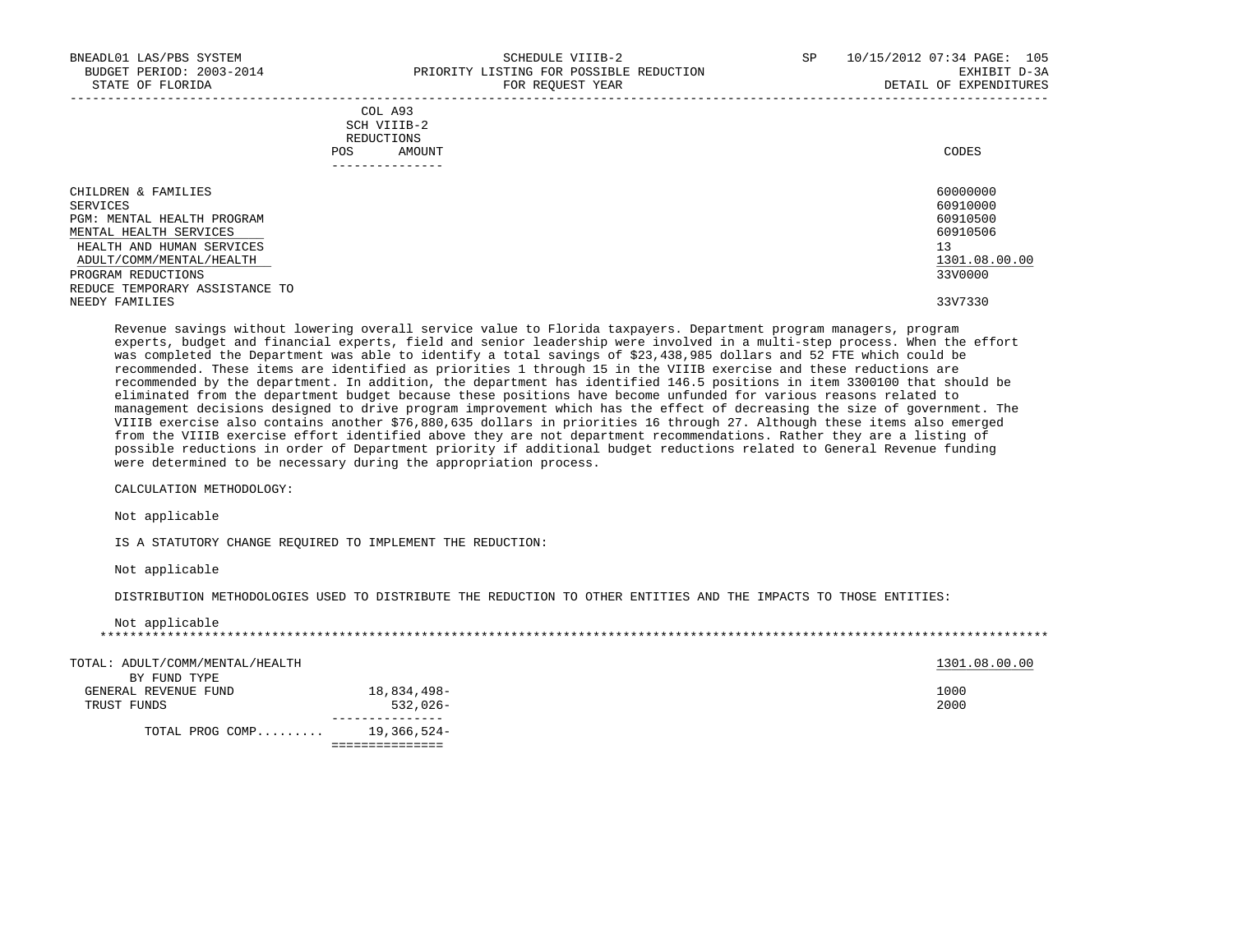| BNEADL01 LAS/PBS SYSTEM<br>BUDGET PERIOD: 2003-2014<br>STATE OF FLORIDA |      | SCHEDULE VIIIB-2<br>PRIORITY LISTING FOR POSSIBLE REDUCTION<br>FOR REQUEST YEAR | SP | 10/15/2012 07:34 PAGE: 105<br>EXHIBIT D-3A<br>DETAIL OF EXPENDITURES |
|-------------------------------------------------------------------------|------|---------------------------------------------------------------------------------|----|----------------------------------------------------------------------|
|                                                                         |      | COLA93<br>SCH VIIIB-2                                                           |    |                                                                      |
|                                                                         |      | REDUCTIONS                                                                      |    |                                                                      |
|                                                                         | POS. | AMOUNT                                                                          |    | CODES                                                                |
|                                                                         |      |                                                                                 |    |                                                                      |
| CHILDREN & FAMILIES                                                     |      |                                                                                 |    | 60000000                                                             |

| SERVICES                       | 60910000      |
|--------------------------------|---------------|
| PGM: MENTAL HEALTH PROGRAM     | 60910500      |
| MENTAL HEALTH SERVICES         | 60910506      |
| HEALTH AND HUMAN SERVICES      | 13            |
| ADULT/COMM/MENTAL/HEALTH       | 1301.08.00.00 |
| PROGRAM REDUCTIONS             | 33V0000       |
| REDUCE TEMPORARY ASSISTANCE TO |               |
| NEEDY FAMILIES                 | 33V7330       |
|                                |               |

 Revenue savings without lowering overall service value to Florida taxpayers. Department program managers, program experts, budget and financial experts, field and senior leadership were involved in a multi-step process. When the effort was completed the Department was able to identify a total savings of \$23,438,985 dollars and 52 FTE which could be recommended. These items are identified as priorities 1 through 15 in the VIIIB exercise and these reductions are recommended by the department. In addition, the department has identified 146.5 positions in item 3300100 that should be eliminated from the department budget because these positions have become unfunded for various reasons related to management decisions designed to drive program improvement which has the effect of decreasing the size of government. The VIIIB exercise also contains another \$76,880,635 dollars in priorities 16 through 27. Although these items also emerged from the VIIIB exercise effort identified above they are not department recommendations. Rather they are a listing of possible reductions in order of Department priority if additional budget reductions related to General Revenue funding were determined to be necessary during the appropriation process.

CALCULATION METHODOLOGY:

Not applicable

IS A STATUTORY CHANGE REQUIRED TO IMPLEMENT THE REDUCTION:

Not applicable

Not applicable

DISTRIBUTION METHODOLOGIES USED TO DISTRIBUTE THE REDUCTION TO OTHER ENTITIES AND THE IMPACTS TO THOSE ENTITIES:

| TOTAL: ADULT/COMM/MENTAL/HEALTH |             | 1301.08.00.00 |
|---------------------------------|-------------|---------------|
| BY FUND TYPE                    |             |               |
| GENERAL REVENUE FUND            | 18,834,498- | 1000          |
| TRUST FUNDS                     | $532.026 -$ | 2000          |
|                                 |             |               |
| TOTAL PROG COMP                 | 19,366,524- |               |

===============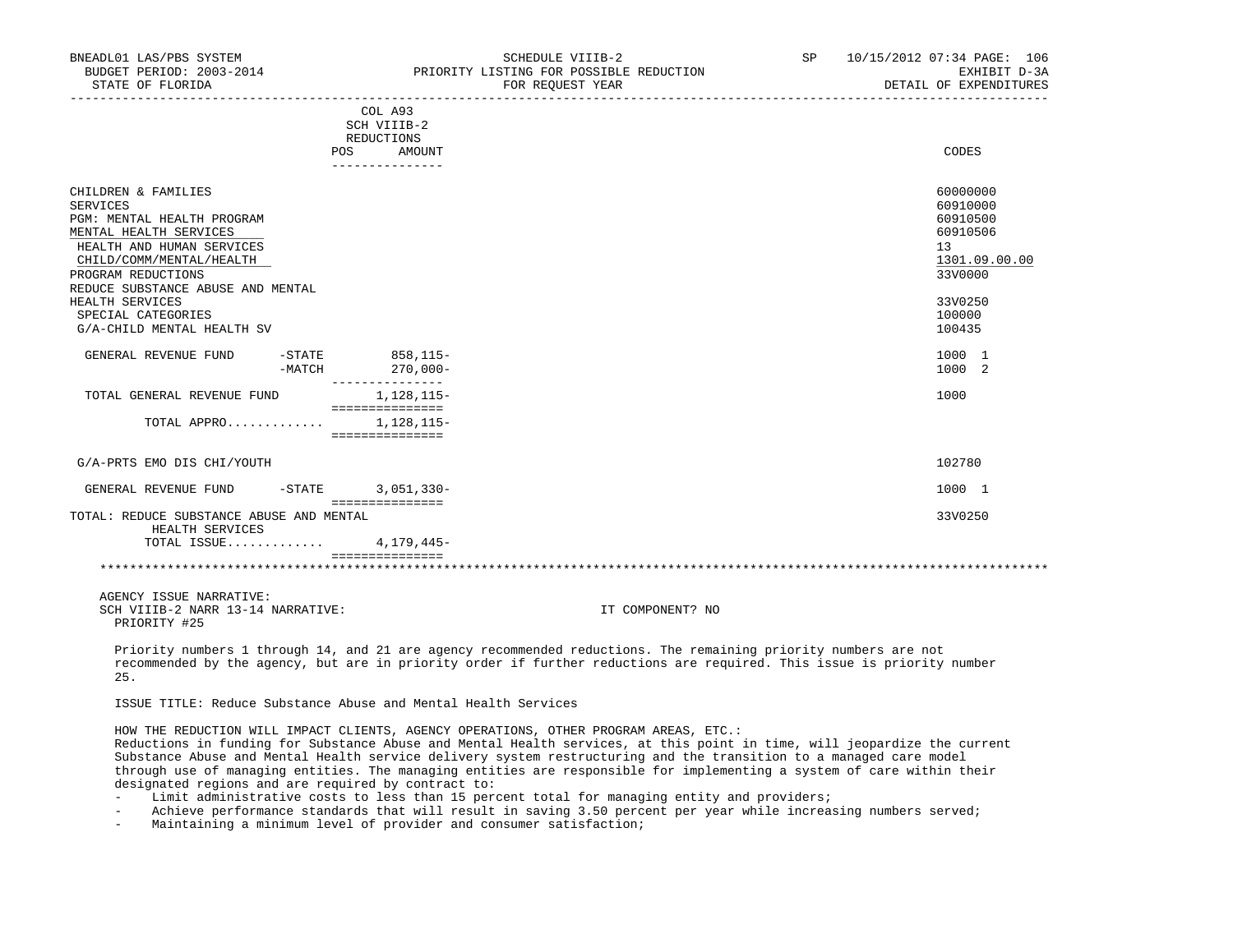| BNEADL01 LAS/PBS SYSTEM<br>BUDGET PERIOD: 2003-2014<br>STATE OF FLORIDA                                                                                                                                                                                                            |        |                                                                           | SCHEDULE VIIIB-2<br>PRIORITY LISTING FOR POSSIBLE REDUCTION<br>FOR REQUEST YEAR | SP. | 10/15/2012 07:34 PAGE: 106<br>EXHIBIT D-3A<br>DETAIL OF EXPENDITURES                                          |
|------------------------------------------------------------------------------------------------------------------------------------------------------------------------------------------------------------------------------------------------------------------------------------|--------|---------------------------------------------------------------------------|---------------------------------------------------------------------------------|-----|---------------------------------------------------------------------------------------------------------------|
|                                                                                                                                                                                                                                                                                    |        | COL A93<br>SCH VIIIB-2<br>REDUCTIONS<br>POS<br>AMOUNT<br>---------------- |                                                                                 |     | CODES                                                                                                         |
| CHILDREN & FAMILIES<br>SERVICES<br>PGM: MENTAL HEALTH PROGRAM<br>MENTAL HEALTH SERVICES<br>HEALTH AND HUMAN SERVICES<br>CHILD/COMM/MENTAL/HEALTH<br>PROGRAM REDUCTIONS<br>REDUCE SUBSTANCE ABUSE AND MENTAL<br>HEALTH SERVICES<br>SPECIAL CATEGORIES<br>G/A-CHILD MENTAL HEALTH SV |        |                                                                           |                                                                                 |     | 60000000<br>60910000<br>60910500<br>60910506<br>13<br>1301.09.00.00<br>33V0000<br>33V0250<br>100000<br>100435 |
| GENERAL REVENUE FUND                                                                                                                                                                                                                                                               | -MATCH | -STATE 858,115-<br>$270,000-$<br>---------------                          |                                                                                 |     | 1000 1<br>1000 2                                                                                              |
| TOTAL GENERAL REVENUE FUND<br>TOTAL APPRO                                                                                                                                                                                                                                          |        | 1,128,115-<br>===============<br>1,128,115-<br>===============            |                                                                                 |     | 1000                                                                                                          |
| G/A-PRTS EMO DIS CHI/YOUTH                                                                                                                                                                                                                                                         |        |                                                                           |                                                                                 |     | 102780                                                                                                        |
| GENERAL REVENUE FUND                                                                                                                                                                                                                                                               |        | -STATE 3,051,330-<br>===============                                      |                                                                                 |     | 1000 1                                                                                                        |
| TOTAL: REDUCE SUBSTANCE ABUSE AND MENTAL<br>HEALTH SERVICES<br>TOTAL ISSUE                                                                                                                                                                                                         |        | 4,179,445-<br>================                                            |                                                                                 |     | 33V0250                                                                                                       |
|                                                                                                                                                                                                                                                                                    |        |                                                                           |                                                                                 |     |                                                                                                               |
| AGENCY ISSUE NARRATIVE:<br>SCH VIIIB-2 NARR 13-14 NARRATIVE:                                                                                                                                                                                                                       |        |                                                                           | IT COMPONENT? NO                                                                |     |                                                                                                               |

PRIORITY #25

 Priority numbers 1 through 14, and 21 are agency recommended reductions. The remaining priority numbers are not recommended by the agency, but are in priority order if further reductions are required. This issue is priority number 25.

ISSUE TITLE: Reduce Substance Abuse and Mental Health Services

 HOW THE REDUCTION WILL IMPACT CLIENTS, AGENCY OPERATIONS, OTHER PROGRAM AREAS, ETC.: Reductions in funding for Substance Abuse and Mental Health services, at this point in time, will jeopardize the current Substance Abuse and Mental Health service delivery system restructuring and the transition to a managed care model through use of managing entities. The managing entities are responsible for implementing a system of care within their designated regions and are required by contract to:

- Limit administrative costs to less than 15 percent total for managing entity and providers;
- Achieve performance standards that will result in saving 3.50 percent per year while increasing numbers served;
- Maintaining a minimum level of provider and consumer satisfaction;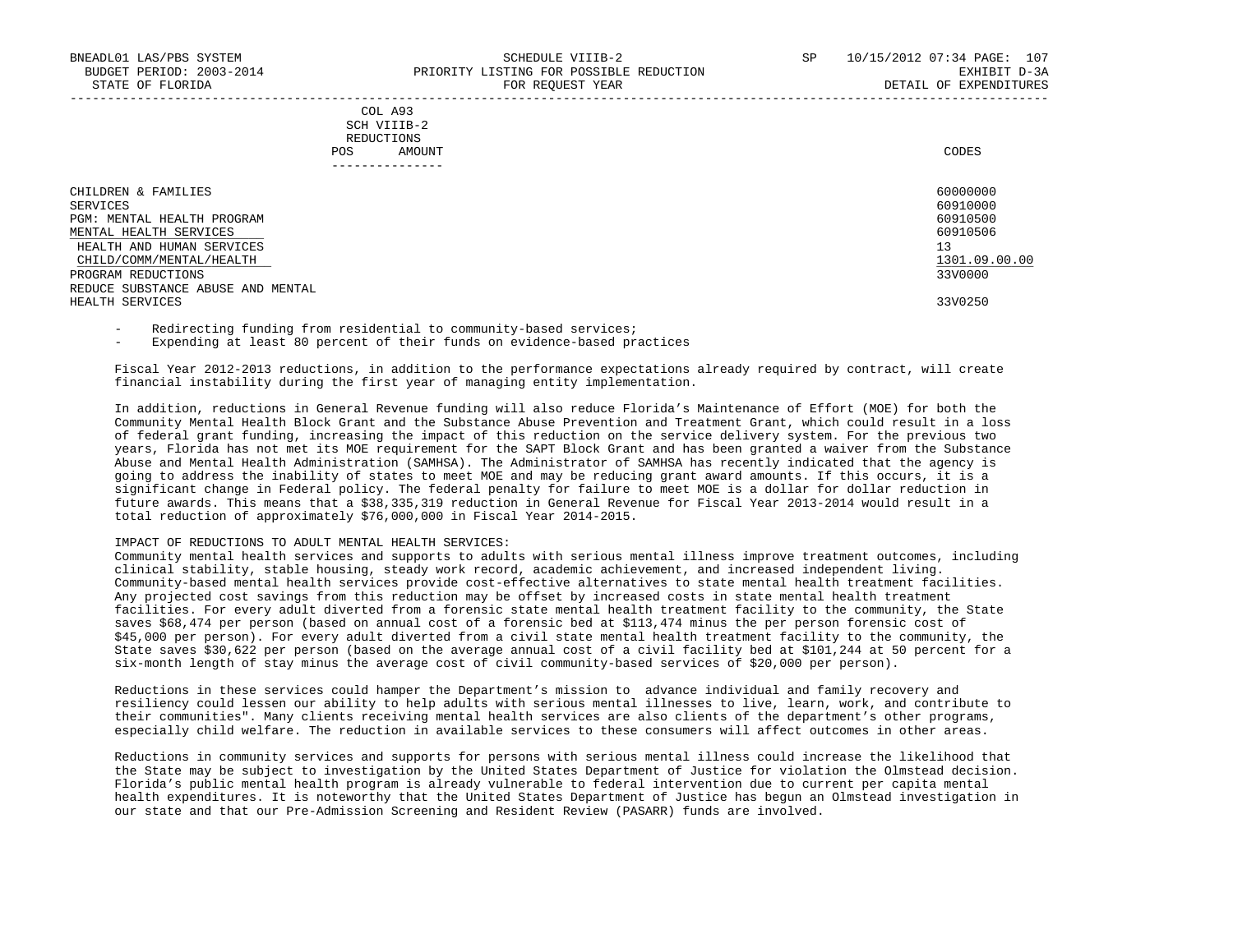## COL A93 SCH VIIIB-2 REDUCTIONS POS AMOUNT CODES ---------------

| CHILDREN & FAMILIES               | 60000000      |
|-----------------------------------|---------------|
| SERVICES                          | 60910000      |
| PGM: MENTAL HEALTH PROGRAM        | 60910500      |
| MENTAL HEALTH SERVICES            | 60910506      |
| HEALTH AND HUMAN SERVICES         | 13            |
| CHILD/COMM/MENTAL/HEALTH          | 1301.09.00.00 |
| PROGRAM REDUCTIONS                | 33V0000       |
| REDUCE SUBSTANCE ABUSE AND MENTAL |               |
| HEALTH SERVICES                   | 33V0250       |
|                                   |               |

Redirecting funding from residential to community-based services;

Expending at least 80 percent of their funds on evidence-based practices

 Fiscal Year 2012-2013 reductions, in addition to the performance expectations already required by contract, will create financial instability during the first year of managing entity implementation.

 In addition, reductions in General Revenue funding will also reduce Florida's Maintenance of Effort (MOE) for both the Community Mental Health Block Grant and the Substance Abuse Prevention and Treatment Grant, which could result in a loss of federal grant funding, increasing the impact of this reduction on the service delivery system. For the previous two years, Florida has not met its MOE requirement for the SAPT Block Grant and has been granted a waiver from the Substance Abuse and Mental Health Administration (SAMHSA). The Administrator of SAMHSA has recently indicated that the agency is going to address the inability of states to meet MOE and may be reducing grant award amounts. If this occurs, it is a significant change in Federal policy. The federal penalty for failure to meet MOE is a dollar for dollar reduction in future awards. This means that a \$38,335,319 reduction in General Revenue for Fiscal Year 2013-2014 would result in a total reduction of approximately \$76,000,000 in Fiscal Year 2014-2015.

### IMPACT OF REDUCTIONS TO ADULT MENTAL HEALTH SERVICES:

 Community mental health services and supports to adults with serious mental illness improve treatment outcomes, including clinical stability, stable housing, steady work record, academic achievement, and increased independent living. Community-based mental health services provide cost-effective alternatives to state mental health treatment facilities. Any projected cost savings from this reduction may be offset by increased costs in state mental health treatment facilities. For every adult diverted from a forensic state mental health treatment facility to the community, the State saves \$68,474 per person (based on annual cost of a forensic bed at \$113,474 minus the per person forensic cost of \$45,000 per person). For every adult diverted from a civil state mental health treatment facility to the community, the State saves \$30,622 per person (based on the average annual cost of a civil facility bed at \$101,244 at 50 percent for a six-month length of stay minus the average cost of civil community-based services of \$20,000 per person).

 Reductions in these services could hamper the Department's mission to advance individual and family recovery and resiliency could lessen our ability to help adults with serious mental illnesses to live, learn, work, and contribute to their communities". Many clients receiving mental health services are also clients of the department's other programs, especially child welfare. The reduction in available services to these consumers will affect outcomes in other areas.

 Reductions in community services and supports for persons with serious mental illness could increase the likelihood that the State may be subject to investigation by the United States Department of Justice for violation the Olmstead decision. Florida's public mental health program is already vulnerable to federal intervention due to current per capita mental health expenditures. It is noteworthy that the United States Department of Justice has begun an Olmstead investigation in our state and that our Pre-Admission Screening and Resident Review (PASARR) funds are involved.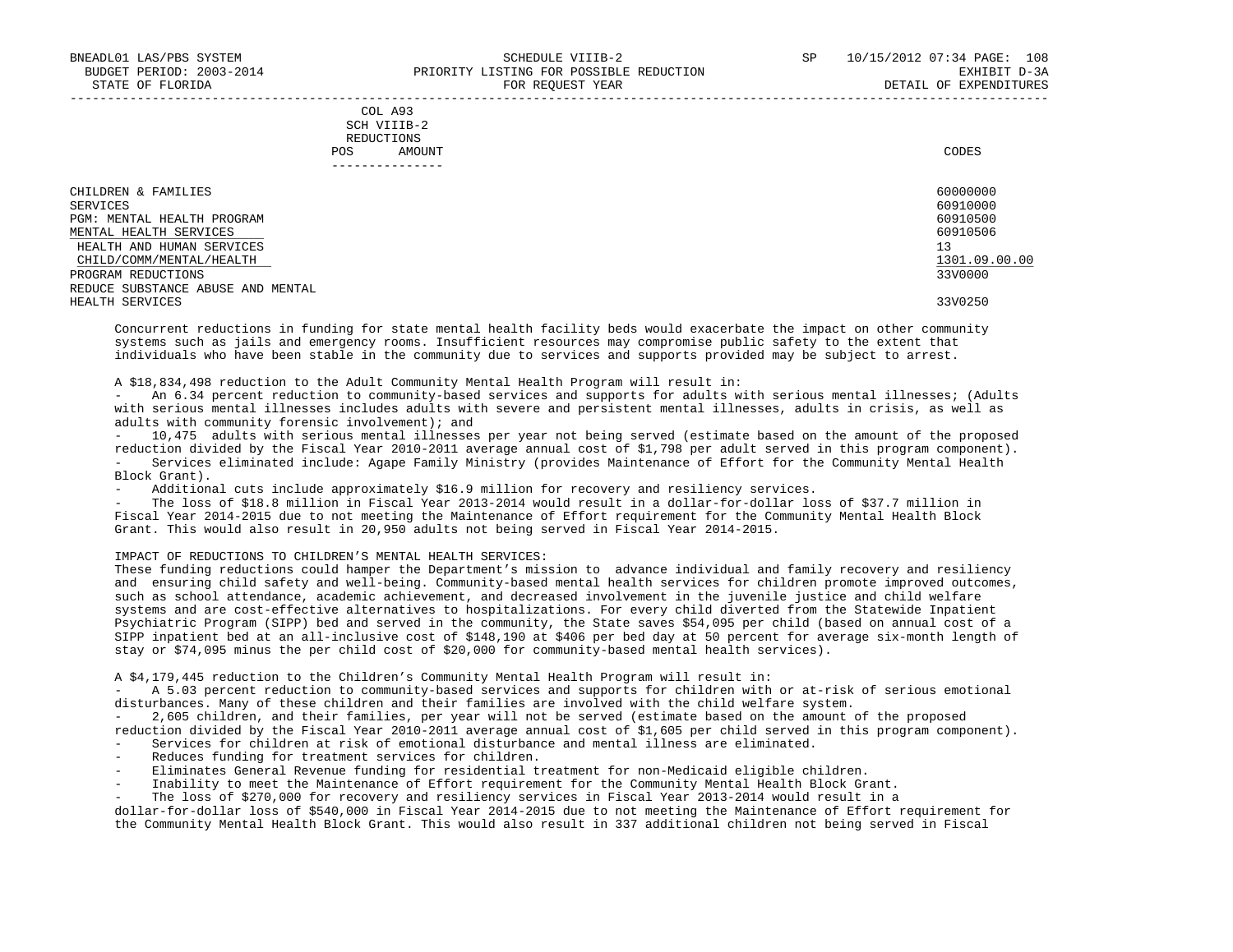## COL A93 SCH VIIIB-2 REDUCTIONS POS AMOUNT CODES ---------------

| CHILDREN & FAMILIES               | 60000000      |
|-----------------------------------|---------------|
| SERVICES                          | 60910000      |
| PGM: MENTAL HEALTH PROGRAM        | 60910500      |
| MENTAL HEALTH SERVICES            | 60910506      |
| HEALTH AND HUMAN SERVICES         | 13            |
| CHILD/COMM/MENTAL/HEALTH          | 1301.09.00.00 |
| PROGRAM REDUCTIONS                | 33V0000       |
| REDUCE SUBSTANCE ABUSE AND MENTAL |               |
| HEALTH SERVICES                   | 33V0250       |

-----------------------------------------------------------------------------------------------------------------------------------

 Concurrent reductions in funding for state mental health facility beds would exacerbate the impact on other community systems such as jails and emergency rooms. Insufficient resources may compromise public safety to the extent that individuals who have been stable in the community due to services and supports provided may be subject to arrest.

A \$18,834,498 reduction to the Adult Community Mental Health Program will result in:

 - An 6.34 percent reduction to community-based services and supports for adults with serious mental illnesses; (Adults with serious mental illnesses includes adults with severe and persistent mental illnesses, adults in crisis, as well as adults with community forensic involvement); and

 - 10,475 adults with serious mental illnesses per year not being served (estimate based on the amount of the proposed reduction divided by the Fiscal Year 2010-2011 average annual cost of \$1,798 per adult served in this program component). - Services eliminated include: Agape Family Ministry (provides Maintenance of Effort for the Community Mental Health Block Grant).

- Additional cuts include approximately \$16.9 million for recovery and resiliency services.

The loss of \$18.8 million in Fiscal Year 2013-2014 would result in a dollar-for-dollar loss of \$37.7 million in Fiscal Year 2014-2015 due to not meeting the Maintenance of Effort requirement for the Community Mental Health Block Grant. This would also result in 20,950 adults not being served in Fiscal Year 2014-2015.

# IMPACT OF REDUCTIONS TO CHILDREN'S MENTAL HEALTH SERVICES:

 These funding reductions could hamper the Department's mission to advance individual and family recovery and resiliency and ensuring child safety and well-being. Community-based mental health services for children promote improved outcomes, such as school attendance, academic achievement, and decreased involvement in the juvenile justice and child welfare systems and are cost-effective alternatives to hospitalizations. For every child diverted from the Statewide Inpatient Psychiatric Program (SIPP) bed and served in the community, the State saves \$54,095 per child (based on annual cost of a SIPP inpatient bed at an all-inclusive cost of \$148,190 at \$406 per bed day at 50 percent for average six-month length of stay or \$74,095 minus the per child cost of \$20,000 for community-based mental health services).

A \$4,179,445 reduction to the Children's Community Mental Health Program will result in:

A 5.03 percent reduction to community-based services and supports for children with or at-risk of serious emotional disturbances. Many of these children and their families are involved with the child welfare system.

 - 2,605 children, and their families, per year will not be served (estimate based on the amount of the proposed reduction divided by the Fiscal Year 2010-2011 average annual cost of \$1,605 per child served in this program component). - Services for children at risk of emotional disturbance and mental illness are eliminated.

- Reduces funding for treatment services for children.
- Eliminates General Revenue funding for residential treatment for non-Medicaid eligible children.
- Inability to meet the Maintenance of Effort requirement for the Community Mental Health Block Grant.
- The loss of \$270,000 for recovery and resiliency services in Fiscal Year 2013-2014 would result in a

 dollar-for-dollar loss of \$540,000 in Fiscal Year 2014-2015 due to not meeting the Maintenance of Effort requirement for the Community Mental Health Block Grant. This would also result in 337 additional children not being served in Fiscal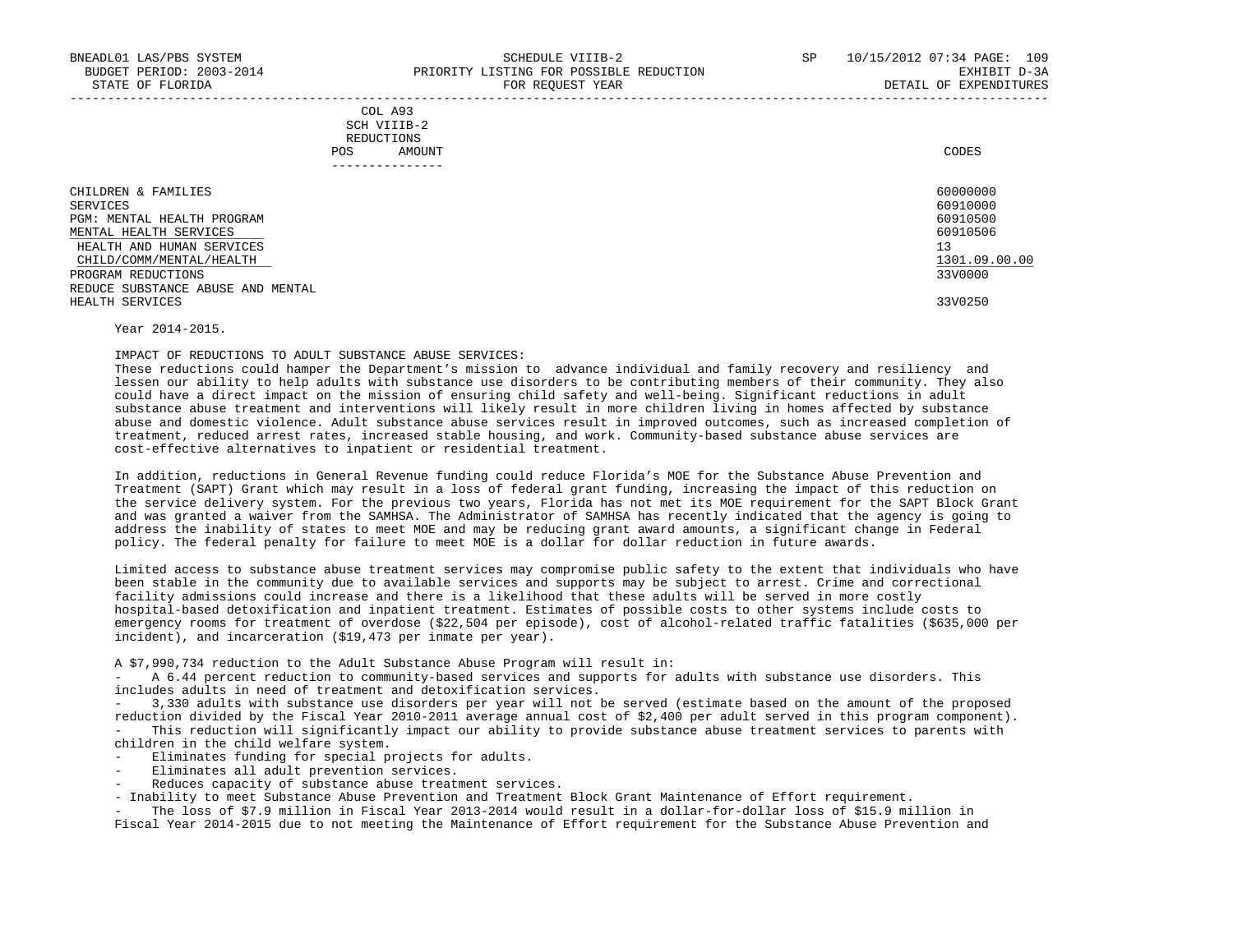| COL A93                                                                                        |
|------------------------------------------------------------------------------------------------|
| SCH VIIIB-2<br>the contract of the contract of the contract of the contract of the contract of |
| REDUCTIONS                                                                                     |
| CODES<br>AMOUNT                                                                                |
|                                                                                                |

| ------------                                            |                      |
|---------------------------------------------------------|----------------------|
| CHILDREN & FAMILIES                                     | 60000000             |
| SERVICES<br>PGM: MENTAL HEALTH PROGRAM                  | 60910000<br>60910500 |
| MENTAL HEALTH SERVICES<br>HEALTH AND HUMAN SERVICES     | 60910506<br>13       |
| CHILD/COMM/MENTAL/HEALTH                                | 1301.09.00.00        |
| PROGRAM REDUCTIONS<br>REDUCE SUBSTANCE ABUSE AND MENTAL | 33V0000              |
| HEALTH SERVICES                                         | 33V0250              |

Year 2014-2015.

IMPACT OF REDUCTIONS TO ADULT SUBSTANCE ABUSE SERVICES:

 These reductions could hamper the Department's mission to advance individual and family recovery and resiliency and lessen our ability to help adults with substance use disorders to be contributing members of their community. They also could have a direct impact on the mission of ensuring child safety and well-being. Significant reductions in adult substance abuse treatment and interventions will likely result in more children living in homes affected by substance abuse and domestic violence. Adult substance abuse services result in improved outcomes, such as increased completion of treatment, reduced arrest rates, increased stable housing, and work. Community-based substance abuse services are cost-effective alternatives to inpatient or residential treatment.

 In addition, reductions in General Revenue funding could reduce Florida's MOE for the Substance Abuse Prevention and Treatment (SAPT) Grant which may result in a loss of federal grant funding, increasing the impact of this reduction on the service delivery system. For the previous two years, Florida has not met its MOE requirement for the SAPT Block Grant and was granted a waiver from the SAMHSA. The Administrator of SAMHSA has recently indicated that the agency is going to address the inability of states to meet MOE and may be reducing grant award amounts, a significant change in Federal policy. The federal penalty for failure to meet MOE is a dollar for dollar reduction in future awards.

 Limited access to substance abuse treatment services may compromise public safety to the extent that individuals who have been stable in the community due to available services and supports may be subject to arrest. Crime and correctional facility admissions could increase and there is a likelihood that these adults will be served in more costly hospital-based detoxification and inpatient treatment. Estimates of possible costs to other systems include costs to emergency rooms for treatment of overdose (\$22,504 per episode), cost of alcohol-related traffic fatalities (\$635,000 per incident), and incarceration (\$19,473 per inmate per year).

A \$7,990,734 reduction to the Adult Substance Abuse Program will result in:

A 6.44 percent reduction to community-based services and supports for adults with substance use disorders. This includes adults in need of treatment and detoxification services.

 - 3,330 adults with substance use disorders per year will not be served (estimate based on the amount of the proposed reduction divided by the Fiscal Year 2010-2011 average annual cost of \$2,400 per adult served in this program component). This reduction will significantly impact our ability to provide substance abuse treatment services to parents with children in the child welfare system.

- Eliminates funding for special projects for adults.
- Eliminates all adult prevention services.
- Reduces capacity of substance abuse treatment services.
- Inability to meet Substance Abuse Prevention and Treatment Block Grant Maintenance of Effort requirement.

The loss of \$7.9 million in Fiscal Year 2013-2014 would result in a dollar-for-dollar loss of \$15.9 million in Fiscal Year 2014-2015 due to not meeting the Maintenance of Effort requirement for the Substance Abuse Prevention and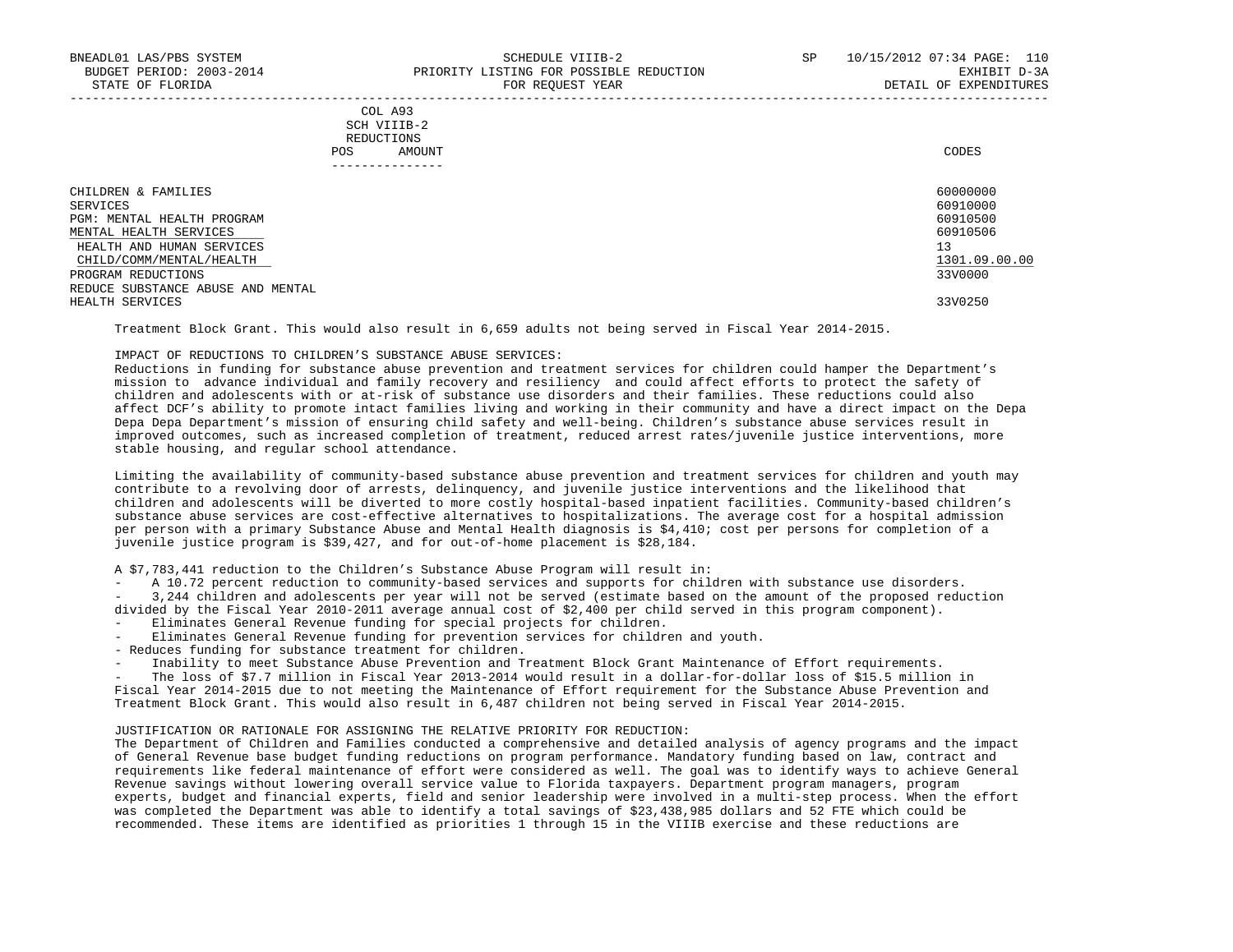| COL A93                                                                                        |
|------------------------------------------------------------------------------------------------|
| SCH VIIIB-2<br>the contract of the contract of the contract of the contract of the contract of |
| REDUCTIONS                                                                                     |
| CODES<br>AMOUNT                                                                                |
|                                                                                                |

| . _ _ _ _ _ _ _ _ _ _ _ _ _ _     |               |
|-----------------------------------|---------------|
| CHILDREN & FAMILIES               | 60000000      |
| SERVICES                          | 60910000      |
| PGM: MENTAL HEALTH PROGRAM        | 60910500      |
| MENTAL HEALTH SERVICES            | 60910506      |
| HEALTH AND HUMAN SERVICES         | 13            |
| CHILD/COMM/MENTAL/HEALTH          | 1301.09.00.00 |
| PROGRAM REDUCTIONS                | 33V0000       |
| REDUCE SUBSTANCE ABUSE AND MENTAL |               |
| HEALTH SERVICES                   | 33V0250       |

Treatment Block Grant. This would also result in 6,659 adults not being served in Fiscal Year 2014-2015.

### IMPACT OF REDUCTIONS TO CHILDREN'S SUBSTANCE ABUSE SERVICES:

 Reductions in funding for substance abuse prevention and treatment services for children could hamper the Department's mission to advance individual and family recovery and resiliency and could affect efforts to protect the safety of children and adolescents with or at-risk of substance use disorders and their families. These reductions could also affect DCF's ability to promote intact families living and working in their community and have a direct impact on the Depa Depa Depa Department's mission of ensuring child safety and well-being. Children's substance abuse services result in improved outcomes, such as increased completion of treatment, reduced arrest rates/juvenile justice interventions, more stable housing, and regular school attendance.

 Limiting the availability of community-based substance abuse prevention and treatment services for children and youth may contribute to a revolving door of arrests, delinquency, and juvenile justice interventions and the likelihood that children and adolescents will be diverted to more costly hospital-based inpatient facilities. Community-based children's substance abuse services are cost-effective alternatives to hospitalizations. The average cost for a hospital admission per person with a primary Substance Abuse and Mental Health diagnosis is \$4,410; cost per persons for completion of a juvenile justice program is \$39,427, and for out-of-home placement is \$28,184.

A \$7,783,441 reduction to the Children's Substance Abuse Program will result in:

A 10.72 percent reduction to community-based services and supports for children with substance use disorders. - 3,244 children and adolescents per year will not be served (estimate based on the amount of the proposed reduction

- divided by the Fiscal Year 2010-2011 average annual cost of \$2,400 per child served in this program component).
- Eliminates General Revenue funding for special projects for children.
- Eliminates General Revenue funding for prevention services for children and youth.
- Reduces funding for substance treatment for children.
- Inability to meet Substance Abuse Prevention and Treatment Block Grant Maintenance of Effort requirements.

The loss of \$7.7 million in Fiscal Year 2013-2014 would result in a dollar-for-dollar loss of \$15.5 million in Fiscal Year 2014-2015 due to not meeting the Maintenance of Effort requirement for the Substance Abuse Prevention and Treatment Block Grant. This would also result in 6,487 children not being served in Fiscal Year 2014-2015.

### JUSTIFICATION OR RATIONALE FOR ASSIGNING THE RELATIVE PRIORITY FOR REDUCTION:

 The Department of Children and Families conducted a comprehensive and detailed analysis of agency programs and the impact of General Revenue base budget funding reductions on program performance. Mandatory funding based on law, contract and requirements like federal maintenance of effort were considered as well. The goal was to identify ways to achieve General Revenue savings without lowering overall service value to Florida taxpayers. Department program managers, program experts, budget and financial experts, field and senior leadership were involved in a multi-step process. When the effort was completed the Department was able to identify a total savings of \$23,438,985 dollars and 52 FTE which could be recommended. These items are identified as priorities 1 through 15 in the VIIIB exercise and these reductions are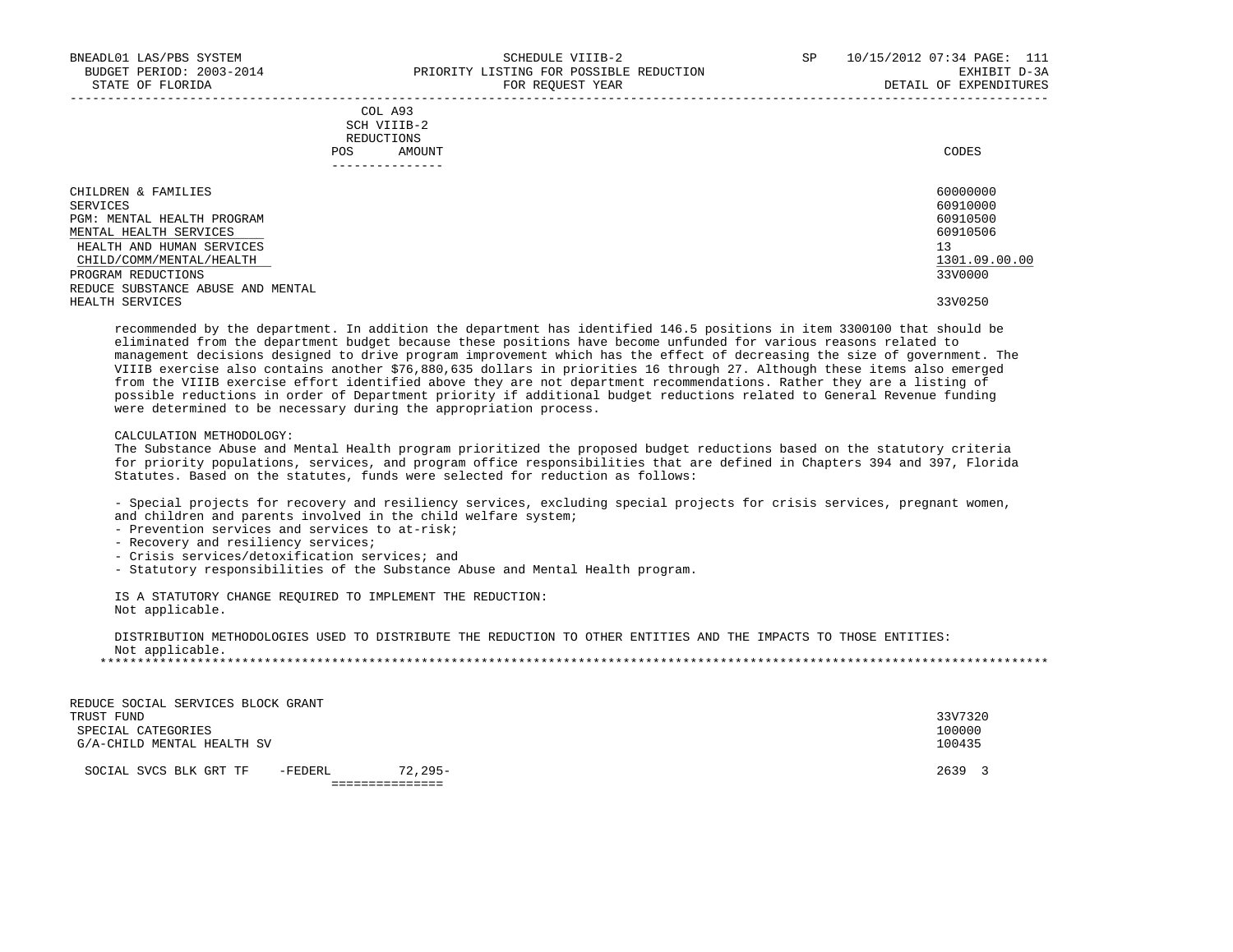| COL A93                                                                                                         |             |
|-----------------------------------------------------------------------------------------------------------------|-------------|
| the contract of the contract of the contract of the contract of the contract of the contract of the contract of |             |
| REDUCTIONS                                                                                                      |             |
| AMOUNT                                                                                                          | CODES       |
|                                                                                                                 | SCH VIIIB-2 |

| -------------                     |               |
|-----------------------------------|---------------|
| CHILDREN & FAMILIES               | 60000000      |
| SERVICES                          | 60910000      |
| PGM: MENTAL HEALTH PROGRAM        | 60910500      |
| MENTAL HEALTH SERVICES            | 60910506      |
| HEALTH AND HUMAN SERVICES         | 13            |
| CHILD/COMM/MENTAL/HEALTH          | 1301.09.00.00 |
| PROGRAM REDUCTIONS                | 33V0000       |
| REDUCE SUBSTANCE ABUSE AND MENTAL |               |
| HEALTH SERVICES                   | 33V0250       |

 recommended by the department. In addition the department has identified 146.5 positions in item 3300100 that should be eliminated from the department budget because these positions have become unfunded for various reasons related to management decisions designed to drive program improvement which has the effect of decreasing the size of government. The VIIIB exercise also contains another \$76,880,635 dollars in priorities 16 through 27. Although these items also emerged from the VIIIB exercise effort identified above they are not department recommendations. Rather they are a listing of possible reductions in order of Department priority if additional budget reductions related to General Revenue funding were determined to be necessary during the appropriation process.

#### CALCULATION METHODOLOGY:

 The Substance Abuse and Mental Health program prioritized the proposed budget reductions based on the statutory criteria for priority populations, services, and program office responsibilities that are defined in Chapters 394 and 397, Florida Statutes. Based on the statutes, funds were selected for reduction as follows:

 - Special projects for recovery and resiliency services, excluding special projects for crisis services, pregnant women, and children and parents involved in the child welfare system;

- Prevention services and services to at-risk;
- Recovery and resiliency services;
- Crisis services/detoxification services; and
- Statutory responsibilities of the Substance Abuse and Mental Health program.

 IS A STATUTORY CHANGE REQUIRED TO IMPLEMENT THE REDUCTION: Not applicable.

 DISTRIBUTION METHODOLOGIES USED TO DISTRIBUTE THE REDUCTION TO OTHER ENTITIES AND THE IMPACTS TO THOSE ENTITIES: Not applicable. \*\*\*\*\*\*\*\*\*\*\*\*\*\*\*\*\*\*\*\*\*\*\*\*\*\*\*\*\*\*\*\*\*\*\*\*\*\*\*\*\*\*\*\*\*\*\*\*\*\*\*\*\*\*\*\*\*\*\*\*\*\*\*\*\*\*\*\*\*\*\*\*\*\*\*\*\*\*\*\*\*\*\*\*\*\*\*\*\*\*\*\*\*\*\*\*\*\*\*\*\*\*\*\*\*\*\*\*\*\*\*\*\*\*\*\*\*\*\*\*\*\*\*\*\*\*\*

REDUCE SOCIAL SERVICES BLOCK GRANT<br>TRUST FUND TRUST FUND 33V7320 SPECIAL CATEGORIES 100000 G/A-CHILD MENTAL HEALTH SV

SOCIAL SVCS BLK GRT TF -FEDERL 72,295- 2639 3

===============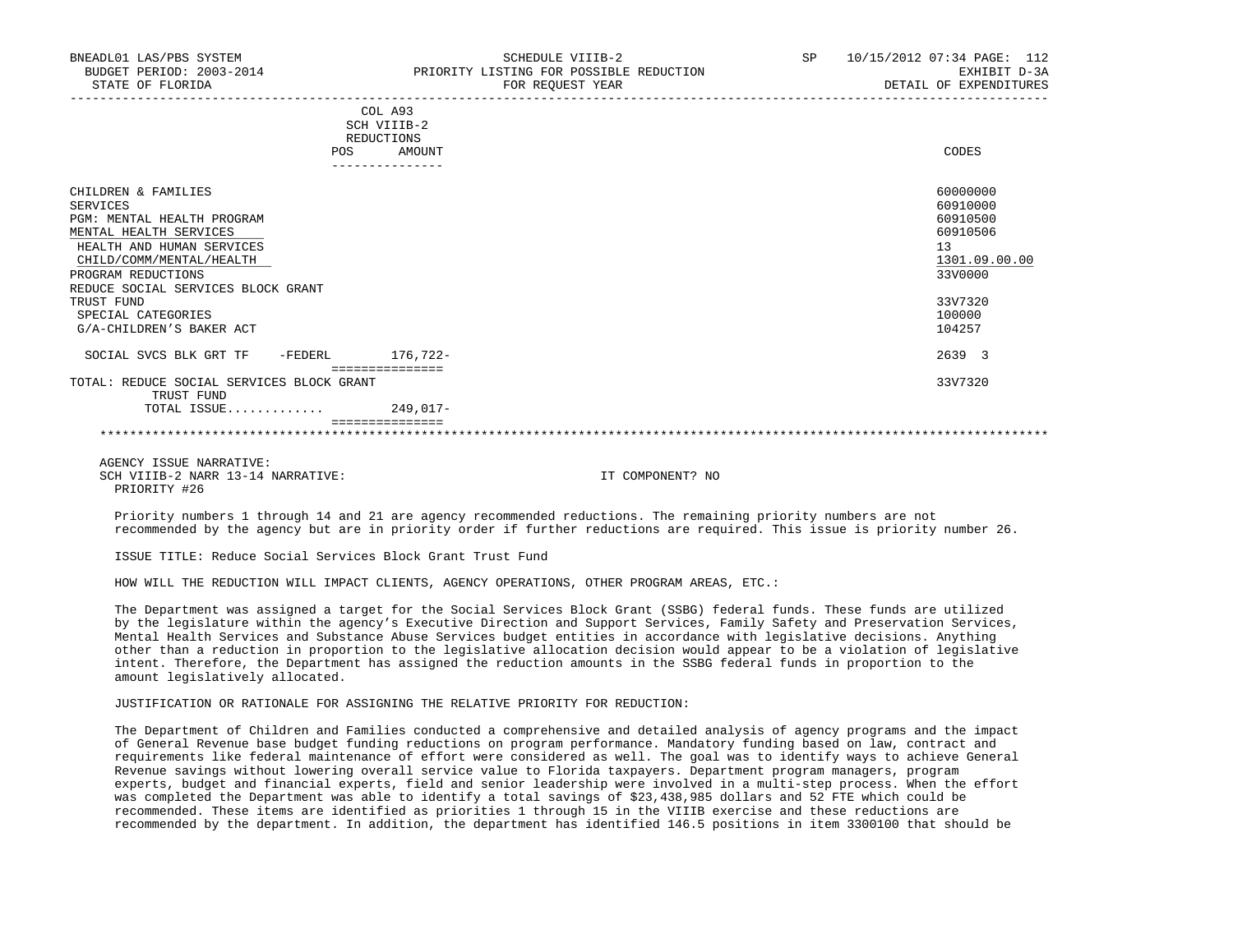|                                                         | COL A93         |               |
|---------------------------------------------------------|-----------------|---------------|
|                                                         | SCH VIIIB-2     |               |
|                                                         | REDUCTIONS      |               |
| POS                                                     | AMOUNT          | CODES         |
|                                                         | --------------- |               |
|                                                         |                 |               |
| CHILDREN & FAMILIES                                     |                 | 60000000      |
| SERVICES                                                |                 | 60910000      |
| PGM: MENTAL HEALTH PROGRAM                              |                 | 60910500      |
| MENTAL HEALTH SERVICES                                  |                 | 60910506      |
| HEALTH AND HUMAN SERVICES                               |                 | 13            |
| CHILD/COMM/MENTAL/HEALTH                                |                 | 1301.09.00.00 |
| PROGRAM REDUCTIONS                                      |                 | 33V0000       |
| REDUCE SOCIAL SERVICES BLOCK GRANT                      |                 |               |
| TRUST FUND                                              |                 | 33V7320       |
| SPECIAL CATEGORIES                                      |                 | 100000        |
| G/A-CHILDREN'S BAKER ACT                                |                 | 104257        |
|                                                         |                 |               |
| SOCIAL SVCS BLK GRT TF<br>-FEDERL                       | 176,722-        | 2639 3        |
|                                                         | =============   |               |
| TOTAL: REDUCE SOCIAL SERVICES BLOCK GRANT<br>TRUST FUND |                 | 33V7320       |
| TOTAL ISSUE                                             | 249,017-        |               |
|                                                         |                 |               |
|                                                         |                 |               |

 AGENCY ISSUE NARRATIVE: SCH VIIIB-2 NARR 13-14 NARRATIVE: IT COMPONENT? NO PRIORITY #26

 Priority numbers 1 through 14 and 21 are agency recommended reductions. The remaining priority numbers are not recommended by the agency but are in priority order if further reductions are required. This issue is priority number 26.

ISSUE TITLE: Reduce Social Services Block Grant Trust Fund

HOW WILL THE REDUCTION WILL IMPACT CLIENTS, AGENCY OPERATIONS, OTHER PROGRAM AREAS, ETC.:

 The Department was assigned a target for the Social Services Block Grant (SSBG) federal funds. These funds are utilized by the legislature within the agency's Executive Direction and Support Services, Family Safety and Preservation Services, Mental Health Services and Substance Abuse Services budget entities in accordance with legislative decisions. Anything other than a reduction in proportion to the legislative allocation decision would appear to be a violation of legislative intent. Therefore, the Department has assigned the reduction amounts in the SSBG federal funds in proportion to the amount legislatively allocated.

#### JUSTIFICATION OR RATIONALE FOR ASSIGNING THE RELATIVE PRIORITY FOR REDUCTION:

 The Department of Children and Families conducted a comprehensive and detailed analysis of agency programs and the impact of General Revenue base budget funding reductions on program performance. Mandatory funding based on law, contract and requirements like federal maintenance of effort were considered as well. The goal was to identify ways to achieve General Revenue savings without lowering overall service value to Florida taxpayers. Department program managers, program experts, budget and financial experts, field and senior leadership were involved in a multi-step process. When the effort was completed the Department was able to identify a total savings of \$23,438,985 dollars and 52 FTE which could be recommended. These items are identified as priorities 1 through 15 in the VIIIB exercise and these reductions are recommended by the department. In addition, the department has identified 146.5 positions in item 3300100 that should be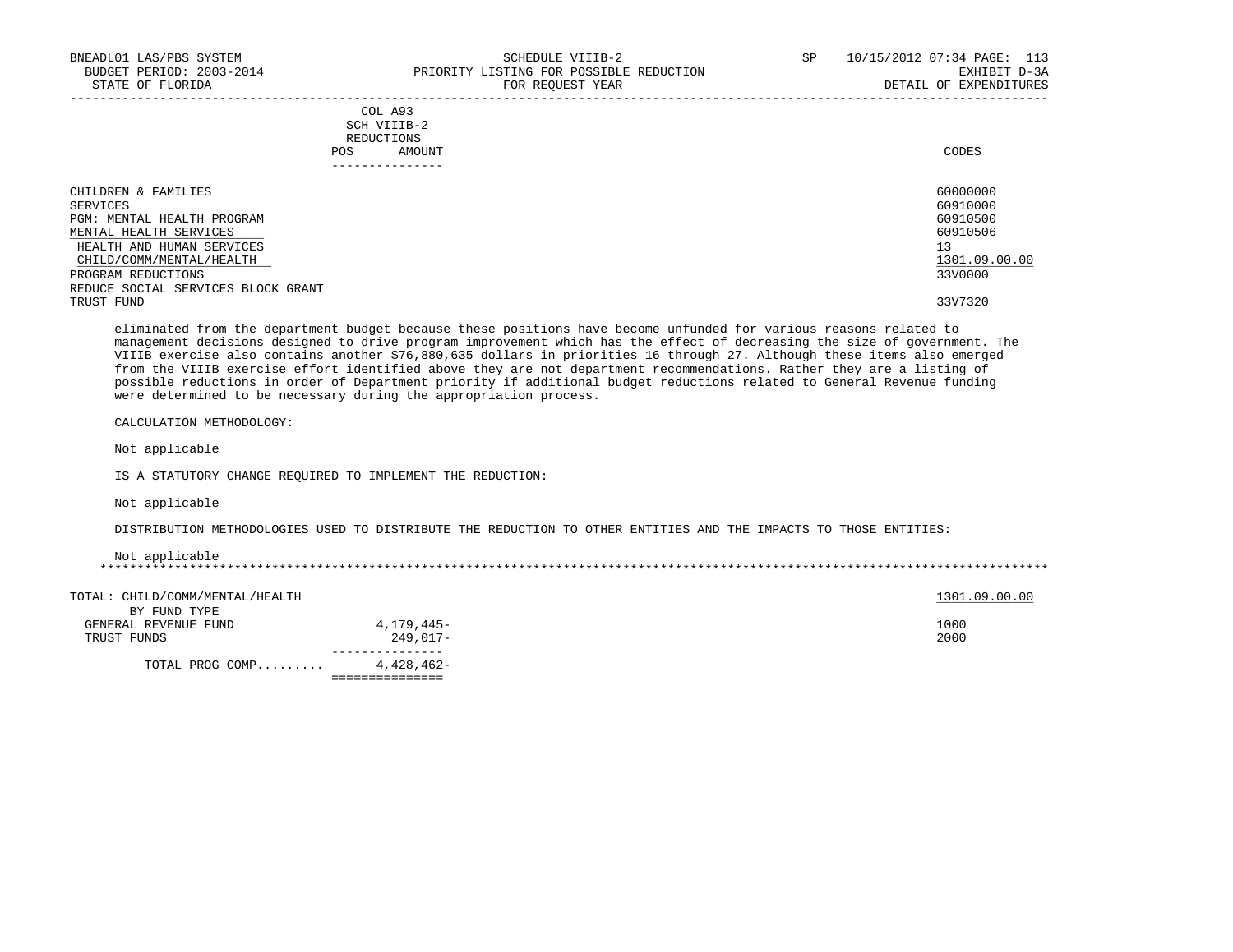| BNEADL01 LAS/PBS SYSTEM<br>BUDGET PERIOD: 2003-2014<br>STATE OF FLORIDA |                                                       | SCHEDULE VIIIB-2<br>PRIORITY LISTING FOR POSSIBLE REDUCTION<br>FOR REQUEST YEAR | SP | 10/15/2012 07:34 PAGE: 113<br>EXHIBIT D-3A<br>DETAIL OF EXPENDITURES |
|-------------------------------------------------------------------------|-------------------------------------------------------|---------------------------------------------------------------------------------|----|----------------------------------------------------------------------|
|                                                                         | COL A93<br>SCH VIIIB-2<br>REDUCTIONS<br>AMOUNT<br>POS |                                                                                 |    | CODES                                                                |
| CHILDREN & FAMILIES                                                     |                                                       |                                                                                 |    | 60000000                                                             |
| SERVICES                                                                |                                                       |                                                                                 |    | 60910000                                                             |
| PGM: MENTAL HEALTH PROGRAM                                              |                                                       |                                                                                 |    | 60910500                                                             |
| MENTAL HEALTH SERVICES                                                  |                                                       |                                                                                 |    | 60910506                                                             |
| HEALTH AND HUMAN SERVICES                                               |                                                       |                                                                                 |    | 13                                                                   |
| CHILD/COMM/MENTAL/HEALTH                                                |                                                       |                                                                                 |    | 1301.09.00.00                                                        |
| PROGRAM REDUCTIONS                                                      |                                                       |                                                                                 |    | 33V0000                                                              |
| REDUCE SOCIAL SERVICES BLOCK GRANT                                      |                                                       |                                                                                 |    |                                                                      |
| TRUST FUND                                                              |                                                       |                                                                                 |    | 33V7320                                                              |

 eliminated from the department budget because these positions have become unfunded for various reasons related to management decisions designed to drive program improvement which has the effect of decreasing the size of government. The VIIIB exercise also contains another \$76,880,635 dollars in priorities 16 through 27. Although these items also emerged from the VIIIB exercise effort identified above they are not department recommendations. Rather they are a listing of possible reductions in order of Department priority if additional budget reductions related to General Revenue funding were determined to be necessary during the appropriation process.

CALCULATION METHODOLOGY:

Not applicable

IS A STATUTORY CHANGE REQUIRED TO IMPLEMENT THE REDUCTION:

Not applicable

DISTRIBUTION METHODOLOGIES USED TO DISTRIBUTE THE REDUCTION TO OTHER ENTITIES AND THE IMPACTS TO THOSE ENTITIES:

Not applicable

\*\*\*\*\*\*\*\*\*\*\*\*\*\*\*\*\*\*\*\*\*\*\*\*\*\*\*\*\*\*\*\*\*\*\*\*\*\*\*\*\*\*\*\*\*\*\*\*\*\*\*\*\*\*\*\*\*\*\*\*\*\*\*\*\*\*\*\*\*\*\*\*\*\*\*\*\*\*\*\*\*\*\*\*\*\*\*\*\*\*\*\*\*\*\*\*\*\*\*\*\*\*\*\*\*\*\*\*\*\*\*\*\*\*\*\*\*\*\*\*\*\*\*\*\*\*\*

| GENERAL REVENUE FUND<br>TRUST FUNDS | 4,179,445–<br>$249.017-$ | 1000<br>2000 |
|-------------------------------------|--------------------------|--------------|
|                                     |                          |              |
|                                     |                          |              |
|                                     |                          |              |
|                                     |                          |              |
| TOTAL PROG COMP                     | 4,428,462-               |              |
|                                     |                          |              |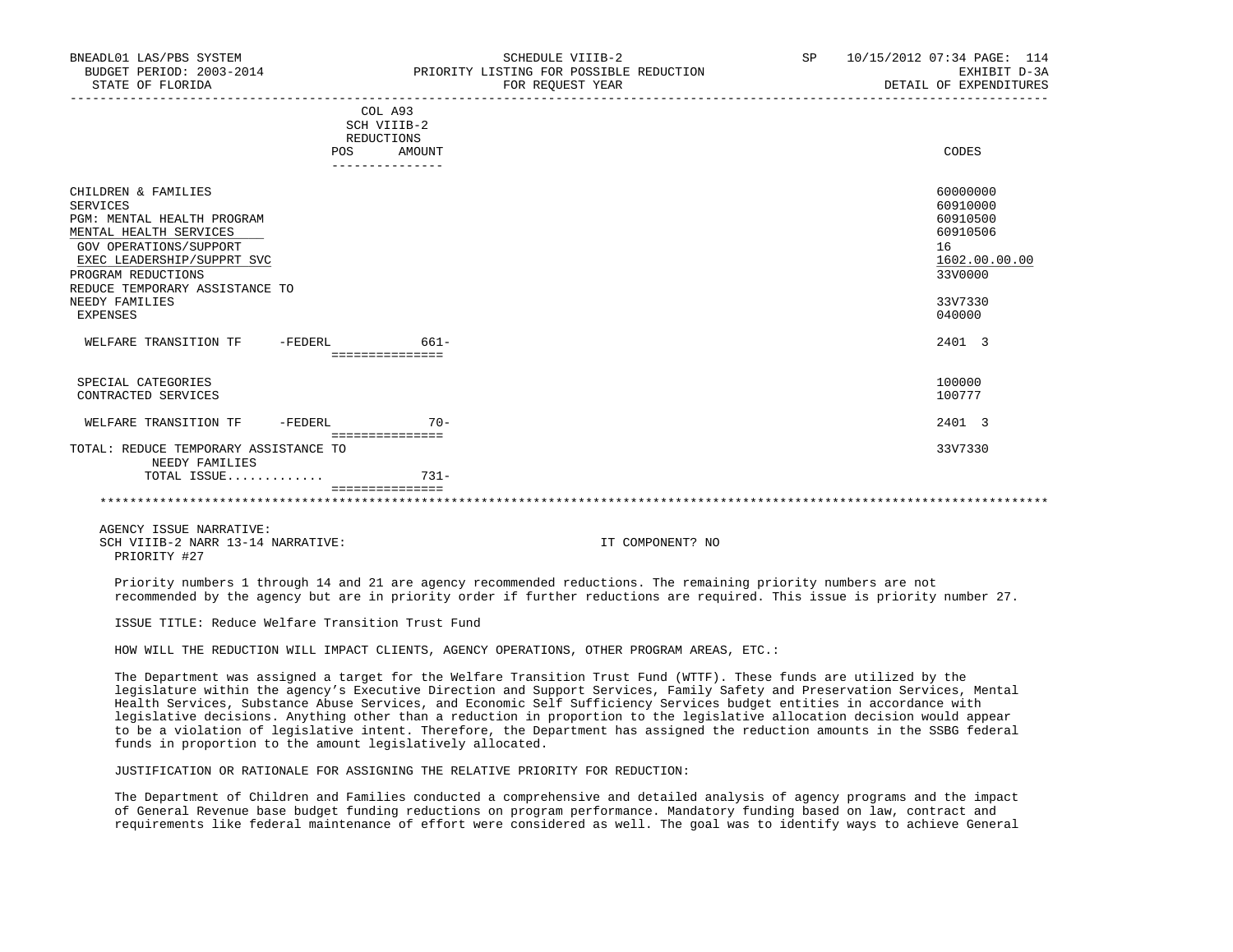| BNEADL01 LAS/PBS SYSTEM<br>BUDGET PERIOD: 2003-2014<br>STATE OF FLORIDA                                                                                                                                                                      |           | SCHEDULE VIIIB-2<br>PRIORITY LISTING FOR POSSIBLE REDUCTION<br>FOR REOUEST YEAR | SP | 10/15/2012 07:34 PAGE: 114<br>EXHIBIT D-3A<br>DETAIL OF EXPENDITURES                                |
|----------------------------------------------------------------------------------------------------------------------------------------------------------------------------------------------------------------------------------------------|-----------|---------------------------------------------------------------------------------|----|-----------------------------------------------------------------------------------------------------|
|                                                                                                                                                                                                                                              | POS.      | COL A93<br>SCH VIIIB-2<br>REDUCTIONS<br>AMOUNT                                  |    | CODES                                                                                               |
|                                                                                                                                                                                                                                              |           |                                                                                 |    |                                                                                                     |
| CHILDREN & FAMILIES<br><b>SERVICES</b><br>PGM: MENTAL HEALTH PROGRAM<br>MENTAL HEALTH SERVICES<br>GOV OPERATIONS/SUPPORT<br>EXEC LEADERSHIP/SUPPRT SVC<br>PROGRAM REDUCTIONS<br>REDUCE TEMPORARY ASSISTANCE TO<br>NEEDY FAMILIES<br>EXPENSES |           |                                                                                 |    | 60000000<br>60910000<br>60910500<br>60910506<br>16<br>1602.00.00.00<br>33V0000<br>33V7330<br>040000 |
| WELFARE TRANSITION TF                                                                                                                                                                                                                        | $-FEDERL$ | $661-$                                                                          |    | 2401 3                                                                                              |
|                                                                                                                                                                                                                                              |           | ===============                                                                 |    |                                                                                                     |
| SPECIAL CATEGORIES<br>CONTRACTED SERVICES                                                                                                                                                                                                    |           |                                                                                 |    | 100000<br>100777                                                                                    |
| WELFARE TRANSITION TF                                                                                                                                                                                                                        | $-FEDERL$ | $70 -$                                                                          |    | 2401 3                                                                                              |
| TOTAL: REDUCE TEMPORARY ASSISTANCE TO<br>NEEDY FAMILIES                                                                                                                                                                                      |           | ===============                                                                 |    | 33V7330                                                                                             |
| TOTAL ISSUE                                                                                                                                                                                                                                  |           | $731 -$                                                                         |    |                                                                                                     |
|                                                                                                                                                                                                                                              |           |                                                                                 |    |                                                                                                     |

 AGENCY ISSUE NARRATIVE: SCH VIIIB-2 NARR 13-14 NARRATIVE: IT COMPONENT? NO PRIORITY #27

 Priority numbers 1 through 14 and 21 are agency recommended reductions. The remaining priority numbers are not recommended by the agency but are in priority order if further reductions are required. This issue is priority number 27.

ISSUE TITLE: Reduce Welfare Transition Trust Fund

HOW WILL THE REDUCTION WILL IMPACT CLIENTS, AGENCY OPERATIONS, OTHER PROGRAM AREAS, ETC.:

 The Department was assigned a target for the Welfare Transition Trust Fund (WTTF). These funds are utilized by the legislature within the agency's Executive Direction and Support Services, Family Safety and Preservation Services, Mental Health Services, Substance Abuse Services, and Economic Self Sufficiency Services budget entities in accordance with legislative decisions. Anything other than a reduction in proportion to the legislative allocation decision would appear to be a violation of legislative intent. Therefore, the Department has assigned the reduction amounts in the SSBG federal funds in proportion to the amount legislatively allocated.

JUSTIFICATION OR RATIONALE FOR ASSIGNING THE RELATIVE PRIORITY FOR REDUCTION:

 The Department of Children and Families conducted a comprehensive and detailed analysis of agency programs and the impact of General Revenue base budget funding reductions on program performance. Mandatory funding based on law, contract and requirements like federal maintenance of effort were considered as well. The goal was to identify ways to achieve General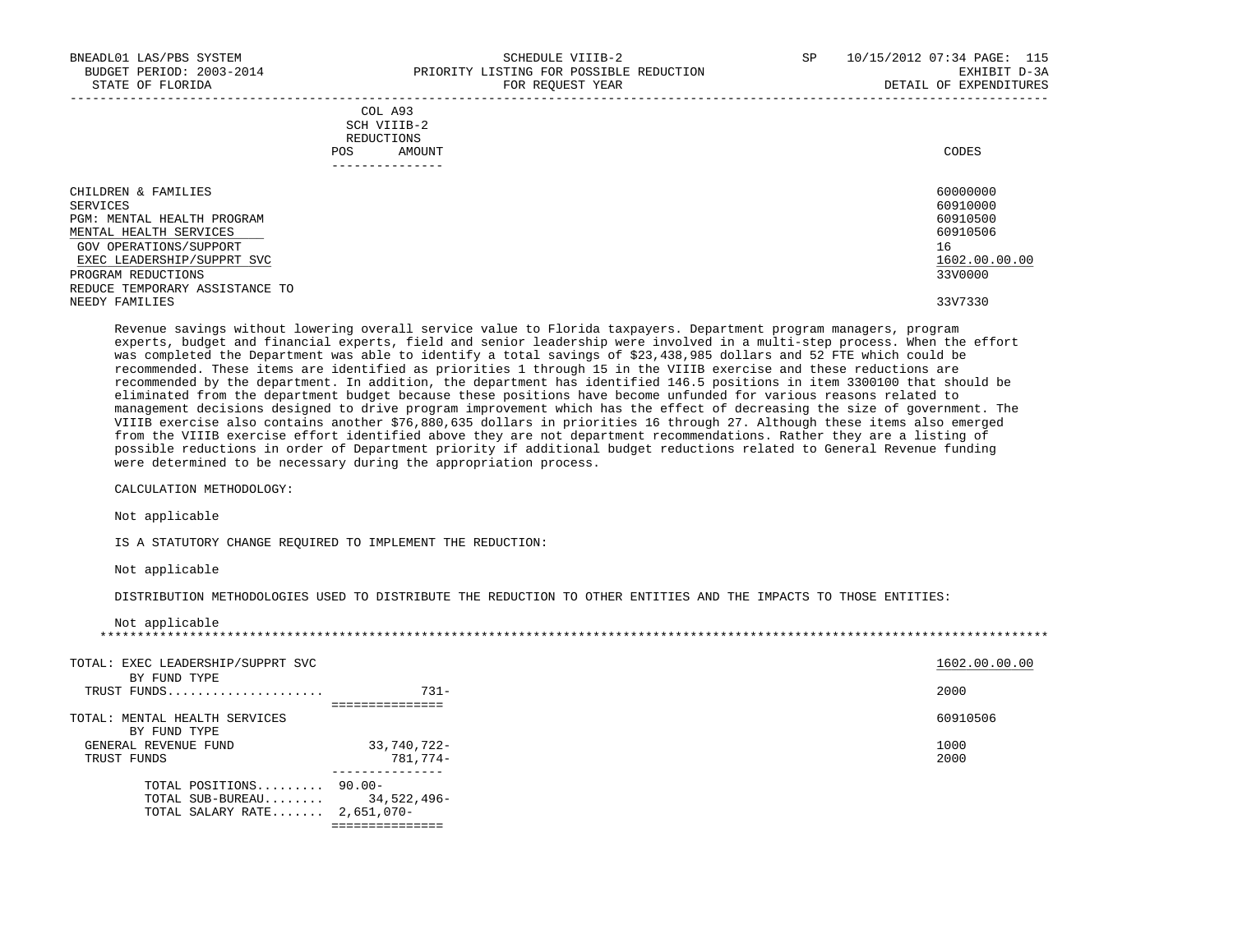|                            |     | COL A93<br>SCH VIIIB-2<br>REDUCTIONS |          |
|----------------------------|-----|--------------------------------------|----------|
|                            | POS | AMOUNT                               | CODES    |
|                            |     |                                      |          |
| CHILDREN & FAMILIES        |     |                                      | 60000000 |
| SERVICES                   |     |                                      | 60910000 |
| PGM: MENTAL HEALTH PROGRAM |     |                                      | 60910500 |
| MENTAL HEALTH SERVICES     |     |                                      | 60910506 |
| GOV OPERATIONS/SUPPORT     |     |                                      | 1 6      |

 GOV OPERATIONS/SUPPORT 16  $\frac{\text{EXEC}}{\text{EXEC}}$  LEADERSHIP/SUPPRT SVC  $\frac{1602.00}{3300000}$ PROGRAM REDUCTIONS REDUCE TEMPORARY ASSISTANCE TO<br>NEEDY FAMILIES NEEDY FAMILIES 33V7330

 Revenue savings without lowering overall service value to Florida taxpayers. Department program managers, program experts, budget and financial experts, field and senior leadership were involved in a multi-step process. When the effort was completed the Department was able to identify a total savings of \$23,438,985 dollars and 52 FTE which could be recommended. These items are identified as priorities 1 through 15 in the VIIIB exercise and these reductions are recommended by the department. In addition, the department has identified 146.5 positions in item 3300100 that should be eliminated from the department budget because these positions have become unfunded for various reasons related to management decisions designed to drive program improvement which has the effect of decreasing the size of government. The VIIIB exercise also contains another \$76,880,635 dollars in priorities 16 through 27. Although these items also emerged from the VIIIB exercise effort identified above they are not department recommendations. Rather they are a listing of possible reductions in order of Department priority if additional budget reductions related to General Revenue funding were determined to be necessary during the appropriation process.

CALCULATION METHODOLOGY:

Not applicable

IS A STATUTORY CHANGE REQUIRED TO IMPLEMENT THE REDUCTION:

TOTAL SALARY RATE....... 2,651,070-

===============

Not applicable

DISTRIBUTION METHODOLOGIES USED TO DISTRIBUTE THE REDUCTION TO OTHER ENTITIES AND THE IMPACTS TO THOSE ENTITIES:

| Not applicable                    |             |               |
|-----------------------------------|-------------|---------------|
| TOTAL: EXEC LEADERSHIP/SUPPRT SVC |             | 1602.00.00.00 |
| BY FUND TYPE                      |             |               |
| TRUST FUNDS                       | $731 -$     | 2000          |
|                                   |             |               |
| TOTAL: MENTAL HEALTH SERVICES     |             | 60910506      |
| BY FUND TYPE                      |             |               |
| GENERAL REVENUE FUND              | 33,740,722- | 1000          |
| TRUST FUNDS                       | 781,774-    | 2000          |
| TOTAL POSITIONS 90.00-            |             |               |
|                                   |             |               |
| TOTAL SUB-BUREAU $34,522,496-$    |             |               |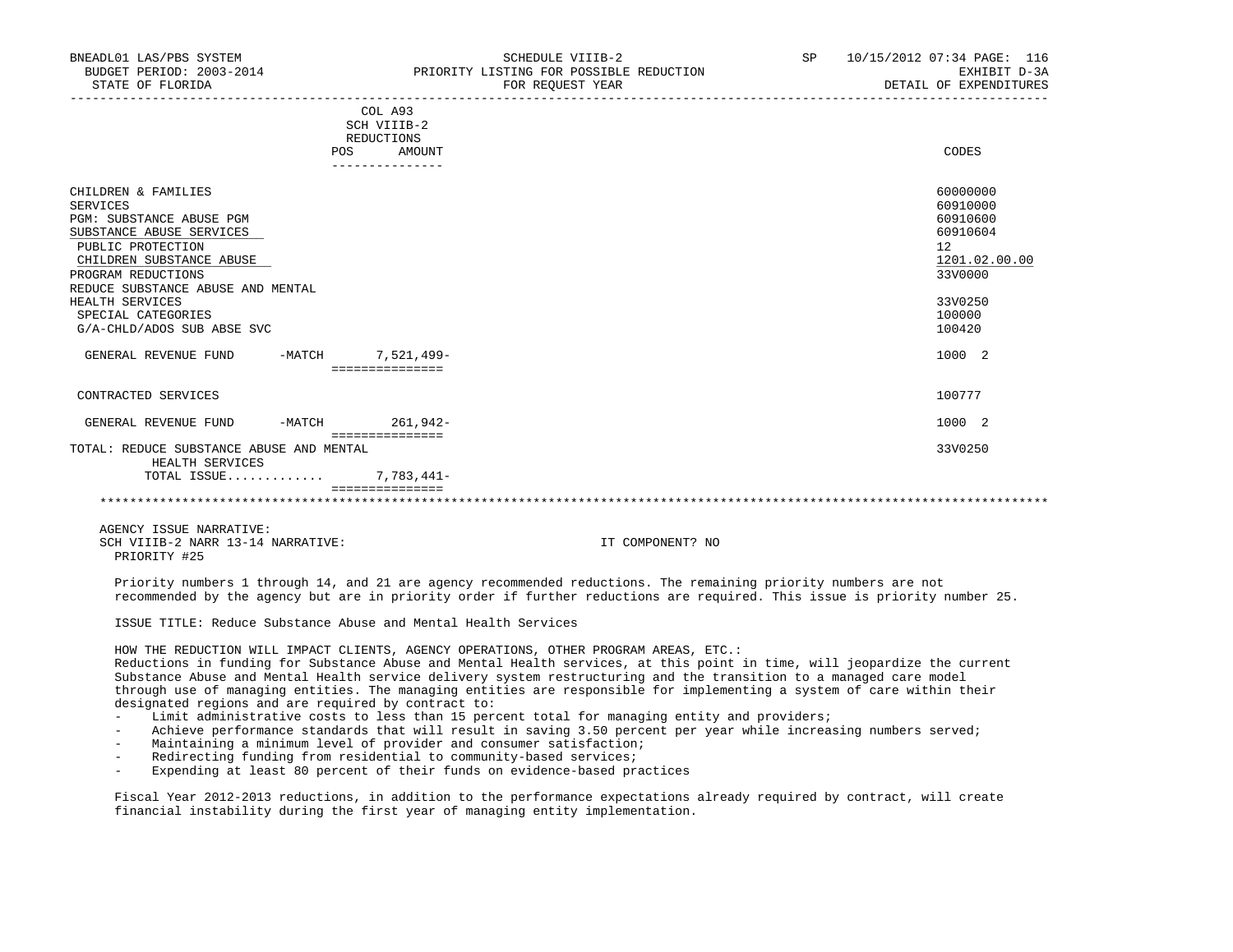|                                                                                                                                                 | POS    | COL A93<br>SCH VIIIB-2<br>REDUCTIONS<br>AMOUNT | CODES                                                               |
|-------------------------------------------------------------------------------------------------------------------------------------------------|--------|------------------------------------------------|---------------------------------------------------------------------|
|                                                                                                                                                 |        |                                                |                                                                     |
| CHILDREN & FAMILIES<br><b>SERVICES</b><br>PGM: SUBSTANCE ABUSE PGM<br>SUBSTANCE ABUSE SERVICES<br>PUBLIC PROTECTION<br>CHILDREN SUBSTANCE ABUSE |        |                                                | 60000000<br>60910000<br>60910600<br>60910604<br>12<br>1201.02.00.00 |
| PROGRAM REDUCTIONS                                                                                                                              |        |                                                | 33V0000                                                             |
| REDUCE SUBSTANCE ABUSE AND MENTAL<br>HEALTH SERVICES<br>SPECIAL CATEGORIES<br>G/A-CHLD/ADOS SUB ABSE SVC                                        |        |                                                | 33V0250<br>100000<br>100420                                         |
| GENERAL REVENUE FUND                                                                                                                            | -MATCH | 7,521,499-<br>===============                  | 1000 2                                                              |
| CONTRACTED SERVICES                                                                                                                             |        |                                                | 100777                                                              |
| GENERAL REVENUE FUND                                                                                                                            | -MATCH | 261,942-<br>===============                    | 1000 2                                                              |
| TOTAL: REDUCE SUBSTANCE ABUSE AND MENTAL<br>HEALTH SERVICES                                                                                     |        |                                                | 33V0250                                                             |
| TOTAL ISSUE                                                                                                                                     |        | $7,783,441-$                                   |                                                                     |
|                                                                                                                                                 |        |                                                |                                                                     |

 AGENCY ISSUE NARRATIVE: SCH VIIIB-2 NARR 13-14 NARRATIVE: IT COMPONENT? NO PRIORITY #25

 Priority numbers 1 through 14, and 21 are agency recommended reductions. The remaining priority numbers are not recommended by the agency but are in priority order if further reductions are required. This issue is priority number 25.

ISSUE TITLE: Reduce Substance Abuse and Mental Health Services

HOW THE REDUCTION WILL IMPACT CLIENTS, AGENCY OPERATIONS, OTHER PROGRAM AREAS, ETC.:

 Reductions in funding for Substance Abuse and Mental Health services, at this point in time, will jeopardize the current Substance Abuse and Mental Health service delivery system restructuring and the transition to a managed care model through use of managing entities. The managing entities are responsible for implementing a system of care within their designated regions and are required by contract to:

- Limit administrative costs to less than 15 percent total for managing entity and providers;
- Achieve performance standards that will result in saving 3.50 percent per year while increasing numbers served;
- Maintaining a minimum level of provider and consumer satisfaction;
- Redirecting funding from residential to community-based services;
- Expending at least 80 percent of their funds on evidence-based practices

 Fiscal Year 2012-2013 reductions, in addition to the performance expectations already required by contract, will create financial instability during the first year of managing entity implementation.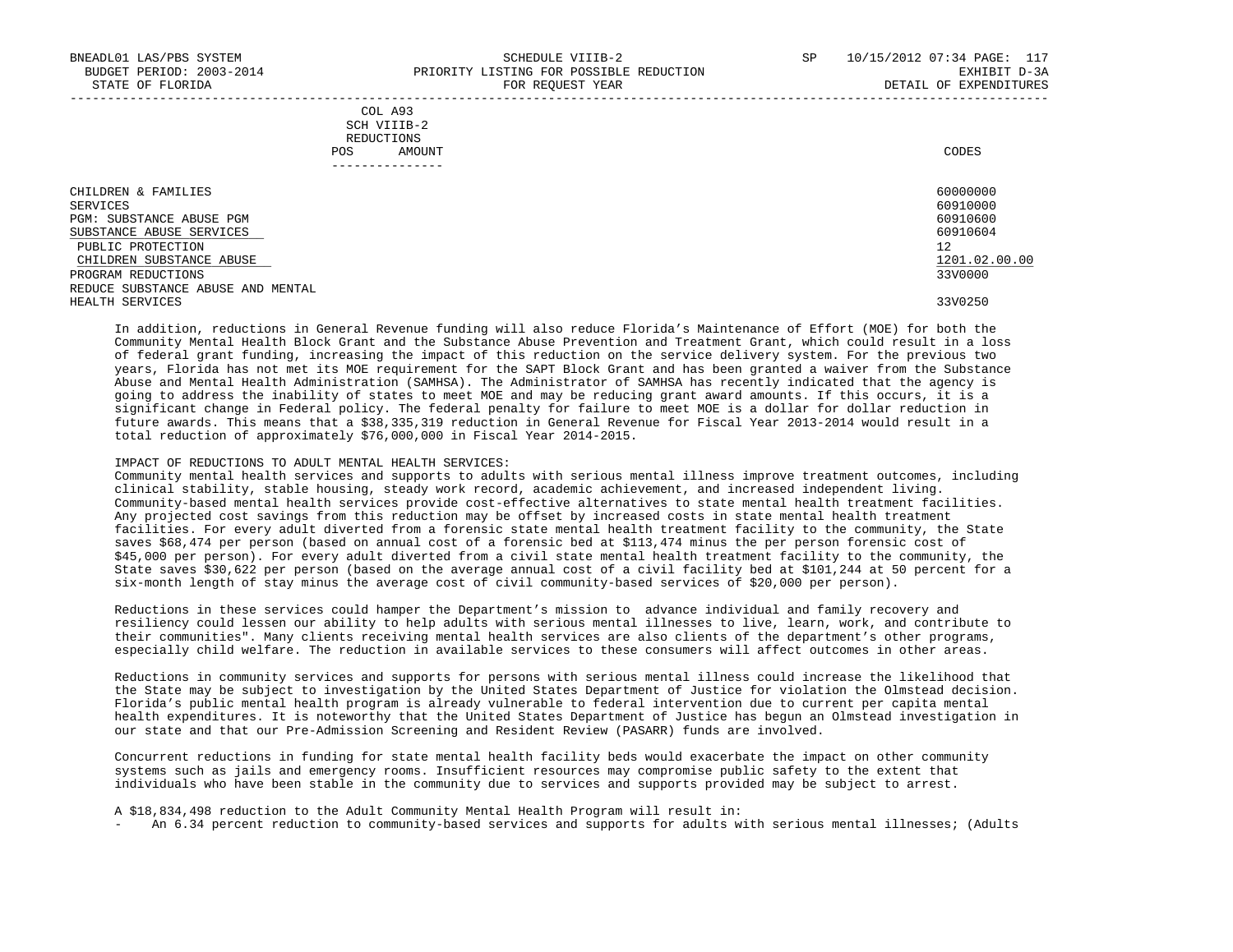| COL A93     |                 |
|-------------|-----------------|
| SCH VIIIB-2 |                 |
| REDUCTIONS  |                 |
| POS         | CODES<br>AMOUNT |

| -------------                     |               |
|-----------------------------------|---------------|
| CHILDREN & FAMILIES               | 60000000      |
| SERVICES                          | 60910000      |
| PGM: SUBSTANCE ABUSE PGM          | 60910600      |
| SUBSTANCE ABUSE SERVICES          | 60910604      |
| PUBLIC PROTECTION                 | 12            |
| CHILDREN SUBSTANCE ABUSE          | 1201.02.00.00 |
| PROGRAM REDUCTIONS                | 33V0000       |
| REDUCE SUBSTANCE ABUSE AND MENTAL |               |
| HEALTH SERVICES                   | 33V0250       |

 In addition, reductions in General Revenue funding will also reduce Florida's Maintenance of Effort (MOE) for both the Community Mental Health Block Grant and the Substance Abuse Prevention and Treatment Grant, which could result in a loss of federal grant funding, increasing the impact of this reduction on the service delivery system. For the previous two years, Florida has not met its MOE requirement for the SAPT Block Grant and has been granted a waiver from the Substance Abuse and Mental Health Administration (SAMHSA). The Administrator of SAMHSA has recently indicated that the agency is going to address the inability of states to meet MOE and may be reducing grant award amounts. If this occurs, it is a significant change in Federal policy. The federal penalty for failure to meet MOE is a dollar for dollar reduction in future awards. This means that a \$38,335,319 reduction in General Revenue for Fiscal Year 2013-2014 would result in a total reduction of approximately \$76,000,000 in Fiscal Year 2014-2015.

#### IMPACT OF REDUCTIONS TO ADULT MENTAL HEALTH SERVICES:

 Community mental health services and supports to adults with serious mental illness improve treatment outcomes, including clinical stability, stable housing, steady work record, academic achievement, and increased independent living. Community-based mental health services provide cost-effective alternatives to state mental health treatment facilities. Any projected cost savings from this reduction may be offset by increased costs in state mental health treatment facilities. For every adult diverted from a forensic state mental health treatment facility to the community, the State saves \$68,474 per person (based on annual cost of a forensic bed at \$113,474 minus the per person forensic cost of \$45,000 per person). For every adult diverted from a civil state mental health treatment facility to the community, the State saves \$30,622 per person (based on the average annual cost of a civil facility bed at \$101,244 at 50 percent for a six-month length of stay minus the average cost of civil community-based services of \$20,000 per person).

 Reductions in these services could hamper the Department's mission to advance individual and family recovery and resiliency could lessen our ability to help adults with serious mental illnesses to live, learn, work, and contribute to their communities". Many clients receiving mental health services are also clients of the department's other programs, especially child welfare. The reduction in available services to these consumers will affect outcomes in other areas.

 Reductions in community services and supports for persons with serious mental illness could increase the likelihood that the State may be subject to investigation by the United States Department of Justice for violation the Olmstead decision. Florida's public mental health program is already vulnerable to federal intervention due to current per capita mental health expenditures. It is noteworthy that the United States Department of Justice has begun an Olmstead investigation in our state and that our Pre-Admission Screening and Resident Review (PASARR) funds are involved.

 Concurrent reductions in funding for state mental health facility beds would exacerbate the impact on other community systems such as jails and emergency rooms. Insufficient resources may compromise public safety to the extent that individuals who have been stable in the community due to services and supports provided may be subject to arrest.

A \$18,834,498 reduction to the Adult Community Mental Health Program will result in:

- An 6.34 percent reduction to community-based services and supports for adults with serious mental illnesses; (Adults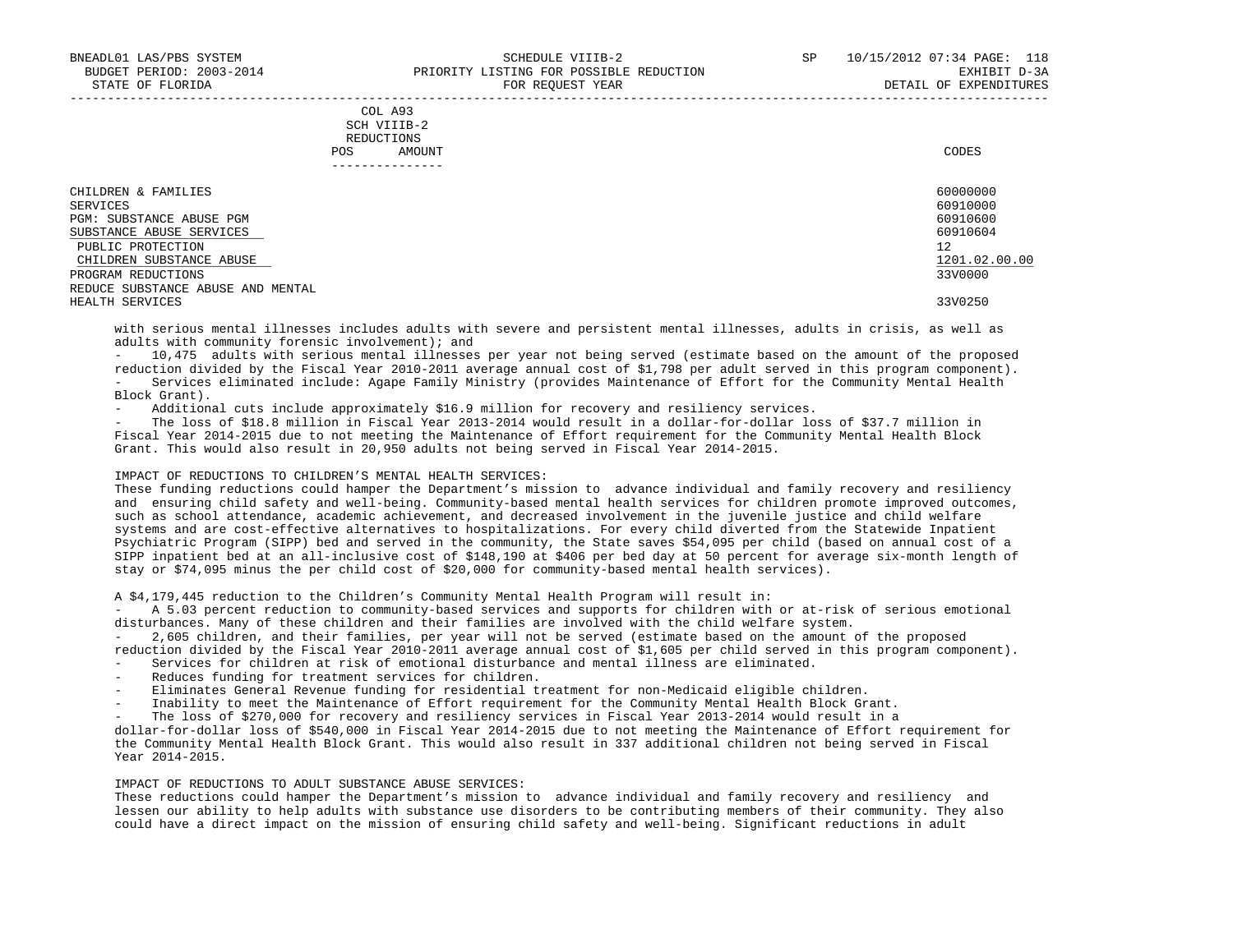| COL A93                                                                                        |
|------------------------------------------------------------------------------------------------|
| SCH VIIIB-2<br>the contract of the contract of the contract of the contract of the contract of |
| REDUCTIONS                                                                                     |
| CODES<br>AMOUNT                                                                                |
|                                                                                                |

| . _ _ _ _ _ _ _ _ _ _ _ _ _                             |                      |
|---------------------------------------------------------|----------------------|
| CHILDREN & FAMILIES                                     | 60000000             |
| SERVICES<br>PGM: SUBSTANCE ABUSE PGM                    | 60910000<br>60910600 |
| SUBSTANCE ABUSE SERVICES<br>PUBLIC PROTECTION           | 60910604<br>12       |
| CHILDREN SUBSTANCE ABUSE                                | 1201.02.00.00        |
| PROGRAM REDUCTIONS<br>REDUCE SUBSTANCE ABUSE AND MENTAL | 33V0000              |
| HEALTH SERVICES                                         | 33V0250              |

 with serious mental illnesses includes adults with severe and persistent mental illnesses, adults in crisis, as well as adults with community forensic involvement); and

 - 10,475 adults with serious mental illnesses per year not being served (estimate based on the amount of the proposed reduction divided by the Fiscal Year 2010-2011 average annual cost of \$1,798 per adult served in this program component). - Services eliminated include: Agape Family Ministry (provides Maintenance of Effort for the Community Mental Health Block Grant).

Additional cuts include approximately \$16.9 million for recovery and resiliency services.

The loss of \$18.8 million in Fiscal Year 2013-2014 would result in a dollar-for-dollar loss of \$37.7 million in Fiscal Year 2014-2015 due to not meeting the Maintenance of Effort requirement for the Community Mental Health Block Grant. This would also result in 20,950 adults not being served in Fiscal Year 2014-2015.

# IMPACT OF REDUCTIONS TO CHILDREN'S MENTAL HEALTH SERVICES:

 These funding reductions could hamper the Department's mission to advance individual and family recovery and resiliency and ensuring child safety and well-being. Community-based mental health services for children promote improved outcomes, such as school attendance, academic achievement, and decreased involvement in the juvenile justice and child welfare systems and are cost-effective alternatives to hospitalizations. For every child diverted from the Statewide Inpatient Psychiatric Program (SIPP) bed and served in the community, the State saves \$54,095 per child (based on annual cost of a SIPP inpatient bed at an all-inclusive cost of \$148,190 at \$406 per bed day at 50 percent for average six-month length of stay or \$74,095 minus the per child cost of \$20,000 for community-based mental health services).

A \$4,179,445 reduction to the Children's Community Mental Health Program will result in:

 - A 5.03 percent reduction to community-based services and supports for children with or at-risk of serious emotional disturbances. Many of these children and their families are involved with the child welfare system.

 - 2,605 children, and their families, per year will not be served (estimate based on the amount of the proposed reduction divided by the Fiscal Year 2010-2011 average annual cost of \$1,605 per child served in this program component).

- Services for children at risk of emotional disturbance and mental illness are eliminated.
- Reduces funding for treatment services for children.
- Eliminates General Revenue funding for residential treatment for non-Medicaid eligible children.
- Inability to meet the Maintenance of Effort requirement for the Community Mental Health Block Grant.
- The loss of \$270,000 for recovery and resiliency services in Fiscal Year 2013-2014 would result in a

 dollar-for-dollar loss of \$540,000 in Fiscal Year 2014-2015 due to not meeting the Maintenance of Effort requirement for the Community Mental Health Block Grant. This would also result in 337 additional children not being served in Fiscal Year 2014-2015.

### IMPACT OF REDUCTIONS TO ADULT SUBSTANCE ABUSE SERVICES:

 These reductions could hamper the Department's mission to advance individual and family recovery and resiliency and lessen our ability to help adults with substance use disorders to be contributing members of their community. They also could have a direct impact on the mission of ensuring child safety and well-being. Significant reductions in adult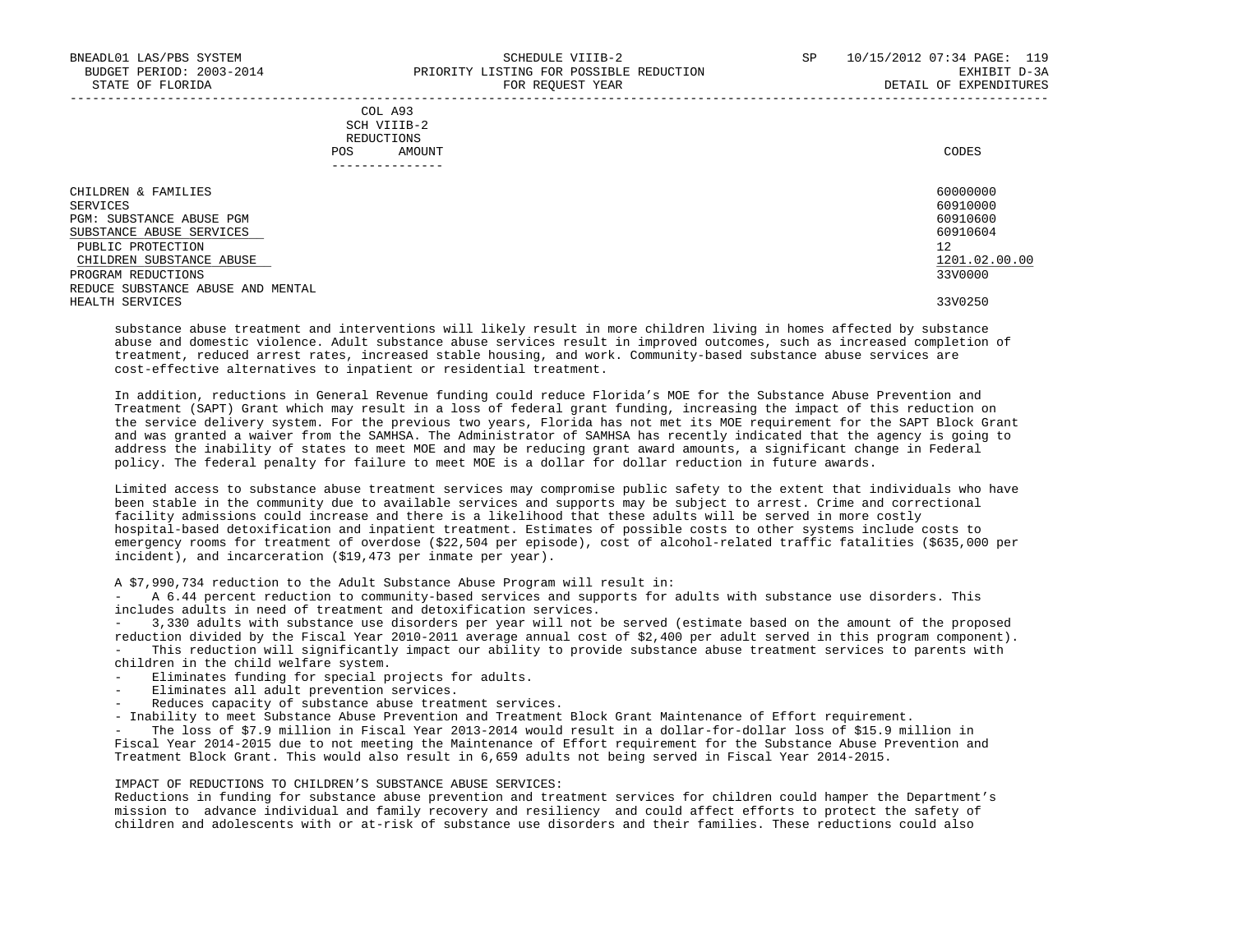| CHILDREN & FAMILIES               | 60000000      |
|-----------------------------------|---------------|
| SERVICES                          | 60910000      |
| PGM: SUBSTANCE ABUSE PGM          | 60910600      |
| SUBSTANCE ABUSE SERVICES          | 60910604      |
| PUBLIC PROTECTION                 | 12            |
| CHILDREN SUBSTANCE ABUSE          | 1201.02.00.00 |
| PROGRAM REDUCTIONS                | 33V0000       |
| REDUCE SUBSTANCE ABUSE AND MENTAL |               |
| HEALTH SERVICES                   | 33V0250       |

-----------------------------------------------------------------------------------------------------------------------------------

 substance abuse treatment and interventions will likely result in more children living in homes affected by substance abuse and domestic violence. Adult substance abuse services result in improved outcomes, such as increased completion of treatment, reduced arrest rates, increased stable housing, and work. Community-based substance abuse services are cost-effective alternatives to inpatient or residential treatment.

 In addition, reductions in General Revenue funding could reduce Florida's MOE for the Substance Abuse Prevention and Treatment (SAPT) Grant which may result in a loss of federal grant funding, increasing the impact of this reduction on the service delivery system. For the previous two years, Florida has not met its MOE requirement for the SAPT Block Grant and was granted a waiver from the SAMHSA. The Administrator of SAMHSA has recently indicated that the agency is going to address the inability of states to meet MOE and may be reducing grant award amounts, a significant change in Federal policy. The federal penalty for failure to meet MOE is a dollar for dollar reduction in future awards.

 Limited access to substance abuse treatment services may compromise public safety to the extent that individuals who have been stable in the community due to available services and supports may be subject to arrest. Crime and correctional facility admissions could increase and there is a likelihood that these adults will be served in more costly hospital-based detoxification and inpatient treatment. Estimates of possible costs to other systems include costs to emergency rooms for treatment of overdose (\$22,504 per episode), cost of alcohol-related traffic fatalities (\$635,000 per incident), and incarceration (\$19,473 per inmate per year).

A \$7,990,734 reduction to the Adult Substance Abuse Program will result in:

 - A 6.44 percent reduction to community-based services and supports for adults with substance use disorders. This includes adults in need of treatment and detoxification services.

 - 3,330 adults with substance use disorders per year will not be served (estimate based on the amount of the proposed reduction divided by the Fiscal Year 2010-2011 average annual cost of \$2,400 per adult served in this program component). - This reduction will significantly impact our ability to provide substance abuse treatment services to parents with

children in the child welfare system.

- Eliminates funding for special projects for adults.

Eliminates all adult prevention services.

Reduces capacity of substance abuse treatment services.

- Inability to meet Substance Abuse Prevention and Treatment Block Grant Maintenance of Effort requirement.

The loss of \$7.9 million in Fiscal Year 2013-2014 would result in a dollar-for-dollar loss of \$15.9 million in Fiscal Year 2014-2015 due to not meeting the Maintenance of Effort requirement for the Substance Abuse Prevention and Treatment Block Grant. This would also result in 6,659 adults not being served in Fiscal Year 2014-2015.

#### IMPACT OF REDUCTIONS TO CHILDREN'S SUBSTANCE ABUSE SERVICES:

 Reductions in funding for substance abuse prevention and treatment services for children could hamper the Department's mission to advance individual and family recovery and resiliency and could affect efforts to protect the safety of children and adolescents with or at-risk of substance use disorders and their families. These reductions could also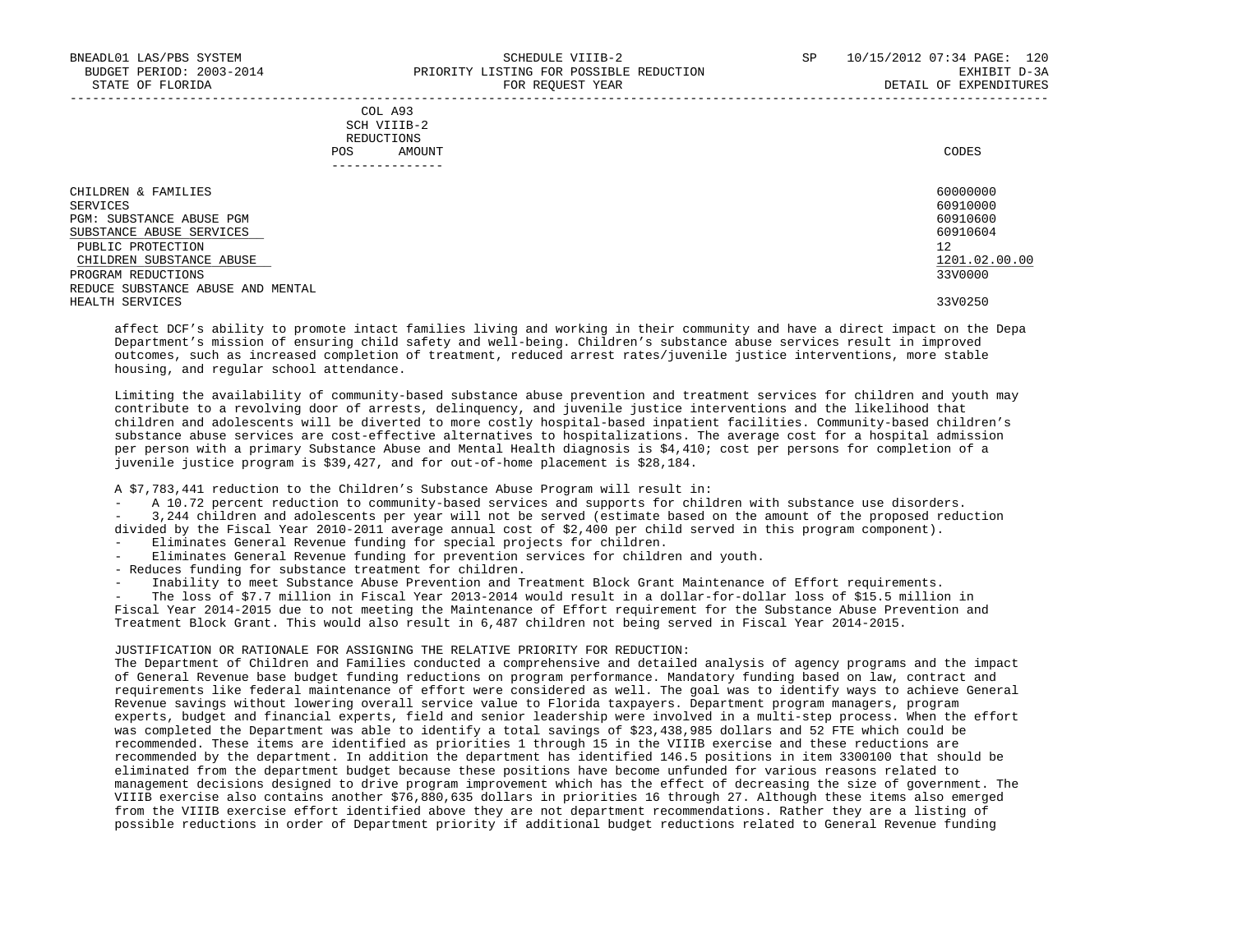| CHILDREN & FAMILIES               | 60000000      |
|-----------------------------------|---------------|
| SERVICES                          | 60910000      |
| PGM: SUBSTANCE ABUSE PGM          | 60910600      |
| SUBSTANCE ABUSE SERVICES          | 60910604      |
| PUBLIC PROTECTION                 | 12            |
| CHILDREN SUBSTANCE ABUSE          | 1201.02.00.00 |
| PROGRAM REDUCTIONS                | 33V0000       |
| REDUCE SUBSTANCE ABUSE AND MENTAL |               |
| HEALTH SERVICES                   | 33V0250       |

-----------------------------------------------------------------------------------------------------------------------------------

 affect DCF's ability to promote intact families living and working in their community and have a direct impact on the Depa Department's mission of ensuring child safety and well-being. Children's substance abuse services result in improved outcomes, such as increased completion of treatment, reduced arrest rates/juvenile justice interventions, more stable housing, and regular school attendance.

 Limiting the availability of community-based substance abuse prevention and treatment services for children and youth may contribute to a revolving door of arrests, delinquency, and juvenile justice interventions and the likelihood that children and adolescents will be diverted to more costly hospital-based inpatient facilities. Community-based children's substance abuse services are cost-effective alternatives to hospitalizations. The average cost for a hospital admission per person with a primary Substance Abuse and Mental Health diagnosis is \$4,410; cost per persons for completion of a juvenile justice program is \$39,427, and for out-of-home placement is \$28,184.

A \$7,783,441 reduction to the Children's Substance Abuse Program will result in:

 - A 10.72 percent reduction to community-based services and supports for children with substance use disorders. - 3,244 children and adolescents per year will not be served (estimate based on the amount of the proposed reduction divided by the Fiscal Year 2010-2011 average annual cost of \$2,400 per child served in this program component).

- Eliminates General Revenue funding for special projects for children.
- Eliminates General Revenue funding for prevention services for children and youth.
- Reduces funding for substance treatment for children.
- Inability to meet Substance Abuse Prevention and Treatment Block Grant Maintenance of Effort requirements.

 - The loss of \$7.7 million in Fiscal Year 2013-2014 would result in a dollar-for-dollar loss of \$15.5 million in Fiscal Year 2014-2015 due to not meeting the Maintenance of Effort requirement for the Substance Abuse Prevention and Treatment Block Grant. This would also result in 6,487 children not being served in Fiscal Year 2014-2015.

### JUSTIFICATION OR RATIONALE FOR ASSIGNING THE RELATIVE PRIORITY FOR REDUCTION:

 The Department of Children and Families conducted a comprehensive and detailed analysis of agency programs and the impact of General Revenue base budget funding reductions on program performance. Mandatory funding based on law, contract and requirements like federal maintenance of effort were considered as well. The goal was to identify ways to achieve General Revenue savings without lowering overall service value to Florida taxpayers. Department program managers, program experts, budget and financial experts, field and senior leadership were involved in a multi-step process. When the effort was completed the Department was able to identify a total savings of \$23,438,985 dollars and 52 FTE which could be recommended. These items are identified as priorities 1 through 15 in the VIIIB exercise and these reductions are recommended by the department. In addition the department has identified 146.5 positions in item 3300100 that should be eliminated from the department budget because these positions have become unfunded for various reasons related to management decisions designed to drive program improvement which has the effect of decreasing the size of government. The VIIIB exercise also contains another \$76,880,635 dollars in priorities 16 through 27. Although these items also emerged from the VIIIB exercise effort identified above they are not department recommendations. Rather they are a listing of possible reductions in order of Department priority if additional budget reductions related to General Revenue funding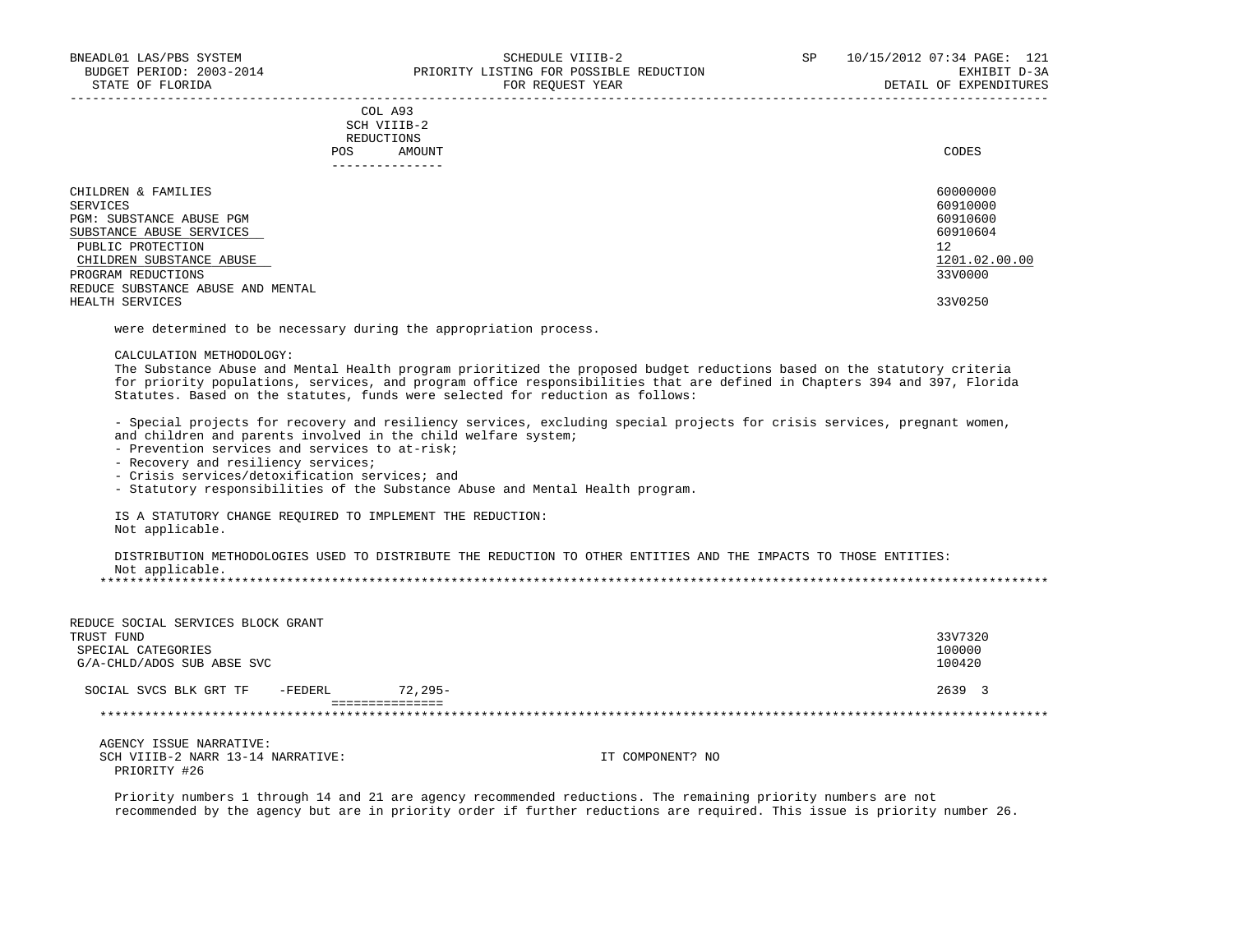| CHILDREN & FAMILIES               | 60000000      |
|-----------------------------------|---------------|
| SERVICES                          | 60910000      |
| PGM: SUBSTANCE ABUSE PGM          | 60910600      |
| SUBSTANCE ABUSE SERVICES          | 60910604      |
| PUBLIC PROTECTION                 | 12            |
| CHILDREN SUBSTANCE ABUSE          | 1201.02.00.00 |
| PROGRAM REDUCTIONS                | 33V0000       |
| REDUCE SUBSTANCE ABUSE AND MENTAL |               |
| HEALTH SERVICES                   | 33V0250       |

-----------------------------------------------------------------------------------------------------------------------------------

were determined to be necessary during the appropriation process.

#### CALCULATION METHODOLOGY:

 The Substance Abuse and Mental Health program prioritized the proposed budget reductions based on the statutory criteria for priority populations, services, and program office responsibilities that are defined in Chapters 394 and 397, Florida Statutes. Based on the statutes, funds were selected for reduction as follows:

 - Special projects for recovery and resiliency services, excluding special projects for crisis services, pregnant women, and children and parents involved in the child welfare system;

- Prevention services and services to at-risk;
- Recovery and resiliency services;
- Crisis services/detoxification services; and

- Statutory responsibilities of the Substance Abuse and Mental Health program.

 IS A STATUTORY CHANGE REQUIRED TO IMPLEMENT THE REDUCTION: Not applicable.

 DISTRIBUTION METHODOLOGIES USED TO DISTRIBUTE THE REDUCTION TO OTHER ENTITIES AND THE IMPACTS TO THOSE ENTITIES: Not applicable.<br>\*\*\*\*\*\*\*\*\*\*\*\*\*\*\*\*\*\*\*\* \*\*\*\*\*\*\*\*\*\*\*\*\*\*\*\*\*\*\*\*\*\*\*\*\*\*\*\*\*\*\*\*\*\*\*\*\*\*\*\*\*\*\*\*\*\*\*\*\*\*\*\*\*\*\*\*\*\*\*\*\*\*\*\*\*\*\*\*\*\*\*\*\*\*\*\*\*\*\*\*\*\*\*\*\*\*\*\*\*\*\*\*\*\*\*\*\*\*\*\*\*\*\*\*\*\*\*\*\*\*\*\*\*\*\*\*\*\*\*\*\*\*\*\*\*\*\*

| REDUCE SOCIAL SERVICES BLOCK GRANT |            |                  |         |
|------------------------------------|------------|------------------|---------|
| TRUST FUND                         |            |                  | 33V7320 |
| SPECIAL CATEGORIES                 |            |                  | 100000  |
| G/A-CHLD/ADOS SUB ABSE SVC         |            |                  | 100420  |
| -FEDERL<br>SOCIAL SVCS BLK GRT TF  | $72.295 -$ |                  | 2639 3  |
|                                    |            |                  |         |
|                                    |            |                  |         |
| AGENCY ISSUE NARRATIVE:            |            |                  |         |
| SCH VIIIB-2 NARR 13-14 NARRATIVE:  |            | IT COMPONENT? NO |         |
| PRIORITY #26                       |            |                  |         |

 Priority numbers 1 through 14 and 21 are agency recommended reductions. The remaining priority numbers are not recommended by the agency but are in priority order if further reductions are required. This issue is priority number 26.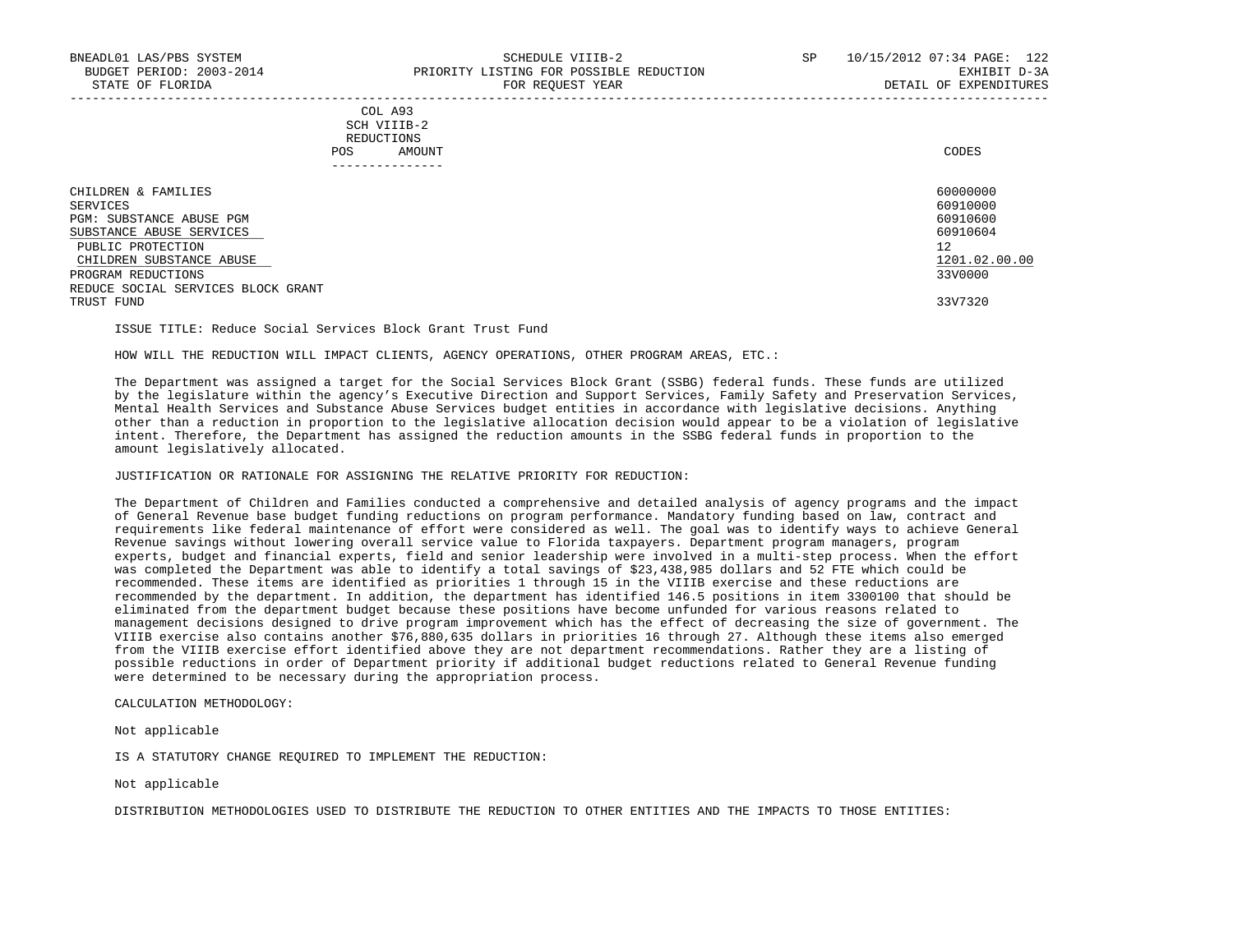### COL A93 SCH VIIIB-2 REDUCTIONS POS AMOUNT CODES ---------------

| CHILDREN & FAMILIES                | 60000000      |
|------------------------------------|---------------|
| SERVICES                           | 60910000      |
| PGM: SUBSTANCE ABUSE PGM           | 60910600      |
| SUBSTANCE ABUSE SERVICES           | 60910604      |
| PUBLIC PROTECTION                  | 12            |
| CHILDREN SUBSTANCE ABUSE           | 1201.02.00.00 |
| PROGRAM REDUCTIONS                 | 33V0000       |
| REDUCE SOCIAL SERVICES BLOCK GRANT |               |
| TRUST FUND                         | 33V7320       |

ISSUE TITLE: Reduce Social Services Block Grant Trust Fund

HOW WILL THE REDUCTION WILL IMPACT CLIENTS, AGENCY OPERATIONS, OTHER PROGRAM AREAS, ETC.:

 The Department was assigned a target for the Social Services Block Grant (SSBG) federal funds. These funds are utilized by the legislature within the agency's Executive Direction and Support Services, Family Safety and Preservation Services, Mental Health Services and Substance Abuse Services budget entities in accordance with legislative decisions. Anything other than a reduction in proportion to the legislative allocation decision would appear to be a violation of legislative intent. Therefore, the Department has assigned the reduction amounts in the SSBG federal funds in proportion to the amount legislatively allocated.

JUSTIFICATION OR RATIONALE FOR ASSIGNING THE RELATIVE PRIORITY FOR REDUCTION:

 The Department of Children and Families conducted a comprehensive and detailed analysis of agency programs and the impact of General Revenue base budget funding reductions on program performance. Mandatory funding based on law, contract and requirements like federal maintenance of effort were considered as well. The goal was to identify ways to achieve General Revenue savings without lowering overall service value to Florida taxpayers. Department program managers, program experts, budget and financial experts, field and senior leadership were involved in a multi-step process. When the effort was completed the Department was able to identify a total savings of \$23,438,985 dollars and 52 FTE which could be recommended. These items are identified as priorities 1 through 15 in the VIIIB exercise and these reductions are recommended by the department. In addition, the department has identified 146.5 positions in item 3300100 that should be eliminated from the department budget because these positions have become unfunded for various reasons related to management decisions designed to drive program improvement which has the effect of decreasing the size of government. The VIIIB exercise also contains another \$76,880,635 dollars in priorities 16 through 27. Although these items also emerged from the VIIIB exercise effort identified above they are not department recommendations. Rather they are a listing of possible reductions in order of Department priority if additional budget reductions related to General Revenue funding were determined to be necessary during the appropriation process.

CALCULATION METHODOLOGY:

Not applicable

IS A STATUTORY CHANGE REQUIRED TO IMPLEMENT THE REDUCTION:

Not applicable

DISTRIBUTION METHODOLOGIES USED TO DISTRIBUTE THE REDUCTION TO OTHER ENTITIES AND THE IMPACTS TO THOSE ENTITIES: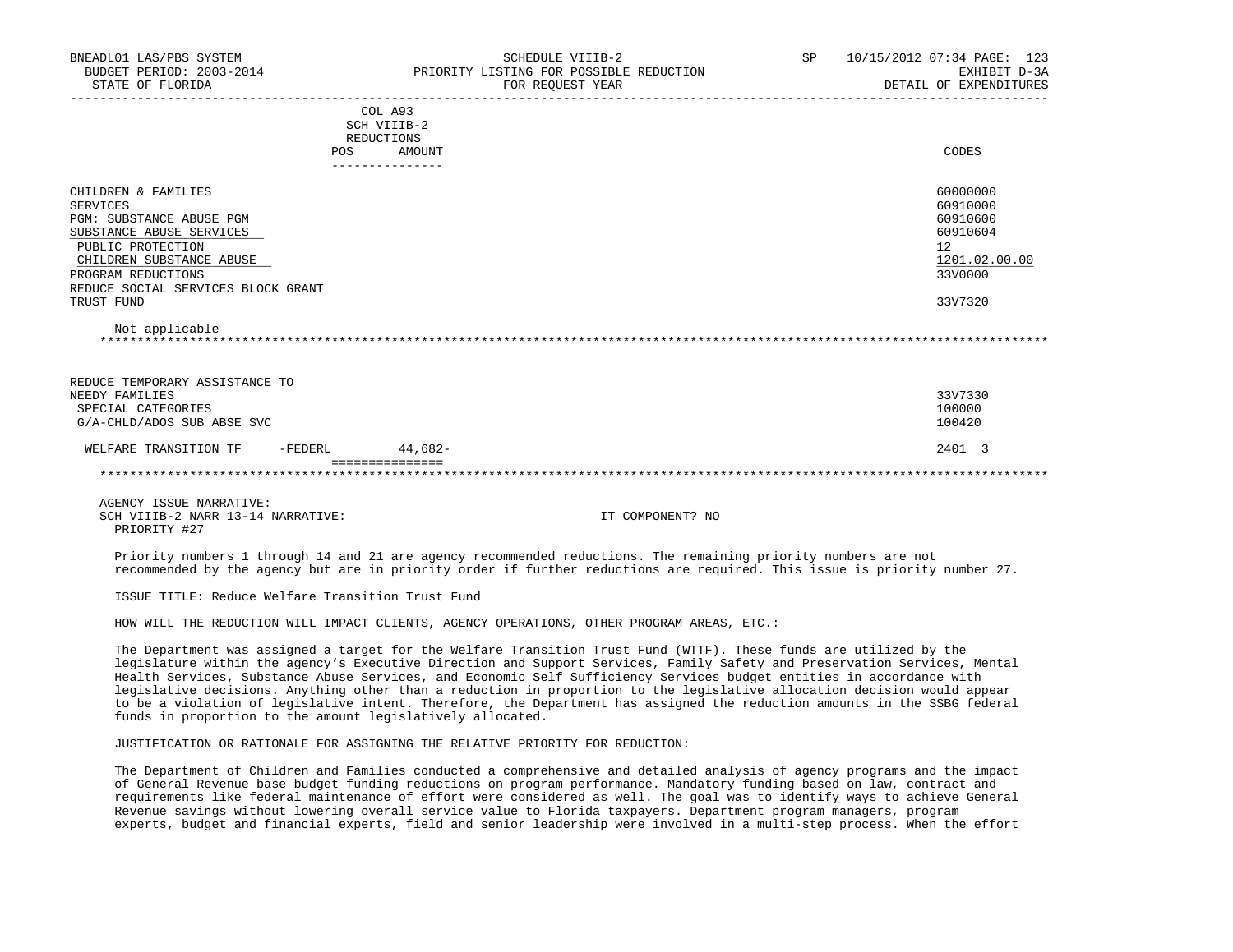| BNEADL01 LAS/PBS SYSTEM<br>BUDGET PERIOD: 2003-2014<br>STATE OF FLORIDA                                                                                                                                                              |                                             | SCHEDULE VIIIB-2<br>PRIORITY LISTING FOR POSSIBLE REDUCTION<br>FOR REQUEST YEAR | SP | 10/15/2012 07:34 PAGE: 123<br>EXHIBIT D-3A<br>DETAIL OF EXPENDITURES                      |
|--------------------------------------------------------------------------------------------------------------------------------------------------------------------------------------------------------------------------------------|---------------------------------------------|---------------------------------------------------------------------------------|----|-------------------------------------------------------------------------------------------|
|                                                                                                                                                                                                                                      | COL A93<br>SCH VIIIB-2<br>REDUCTIONS<br>POS | AMOUNT                                                                          |    | CODES                                                                                     |
| CHILDREN & FAMILIES<br>SERVICES<br>PGM: SUBSTANCE ABUSE PGM<br>SUBSTANCE ABUSE SERVICES<br>PUBLIC PROTECTION<br>CHILDREN SUBSTANCE ABUSE<br>PROGRAM REDUCTIONS<br>REDUCE SOCIAL SERVICES BLOCK GRANT<br>TRUST FUND<br>Not applicable |                                             |                                                                                 |    | 60000000<br>60910000<br>60910600<br>60910604<br>12<br>1201.02.00.00<br>33V0000<br>33V7320 |
| REDUCE TEMPORARY ASSISTANCE TO<br>NEEDY FAMILIES<br>SPECIAL CATEGORIES<br>G/A-CHLD/ADOS SUB ABSE SVC                                                                                                                                 |                                             |                                                                                 |    | 33V7330<br>100000<br>100420                                                               |
| $-FEDERL$<br>WELFARE TRANSITION TF                                                                                                                                                                                                   | ===============                             | 44,682-                                                                         |    | 2401 3                                                                                    |
|                                                                                                                                                                                                                                      |                                             |                                                                                 |    |                                                                                           |
| AGENCY ISSUE NARRATIVE:<br>SCH VIIIB-2 NARR 13-14 NARRATIVE:<br>PRIORITY #27                                                                                                                                                         |                                             | IT COMPONENT? NO                                                                |    |                                                                                           |

 Priority numbers 1 through 14 and 21 are agency recommended reductions. The remaining priority numbers are not recommended by the agency but are in priority order if further reductions are required. This issue is priority number 27.

ISSUE TITLE: Reduce Welfare Transition Trust Fund

HOW WILL THE REDUCTION WILL IMPACT CLIENTS, AGENCY OPERATIONS, OTHER PROGRAM AREAS, ETC.:

 The Department was assigned a target for the Welfare Transition Trust Fund (WTTF). These funds are utilized by the legislature within the agency's Executive Direction and Support Services, Family Safety and Preservation Services, Mental Health Services, Substance Abuse Services, and Economic Self Sufficiency Services budget entities in accordance with legislative decisions. Anything other than a reduction in proportion to the legislative allocation decision would appear to be a violation of legislative intent. Therefore, the Department has assigned the reduction amounts in the SSBG federal funds in proportion to the amount legislatively allocated.

JUSTIFICATION OR RATIONALE FOR ASSIGNING THE RELATIVE PRIORITY FOR REDUCTION:

 The Department of Children and Families conducted a comprehensive and detailed analysis of agency programs and the impact of General Revenue base budget funding reductions on program performance. Mandatory funding based on law, contract and requirements like federal maintenance of effort were considered as well. The goal was to identify ways to achieve General Revenue savings without lowering overall service value to Florida taxpayers. Department program managers, program experts, budget and financial experts, field and senior leadership were involved in a multi-step process. When the effort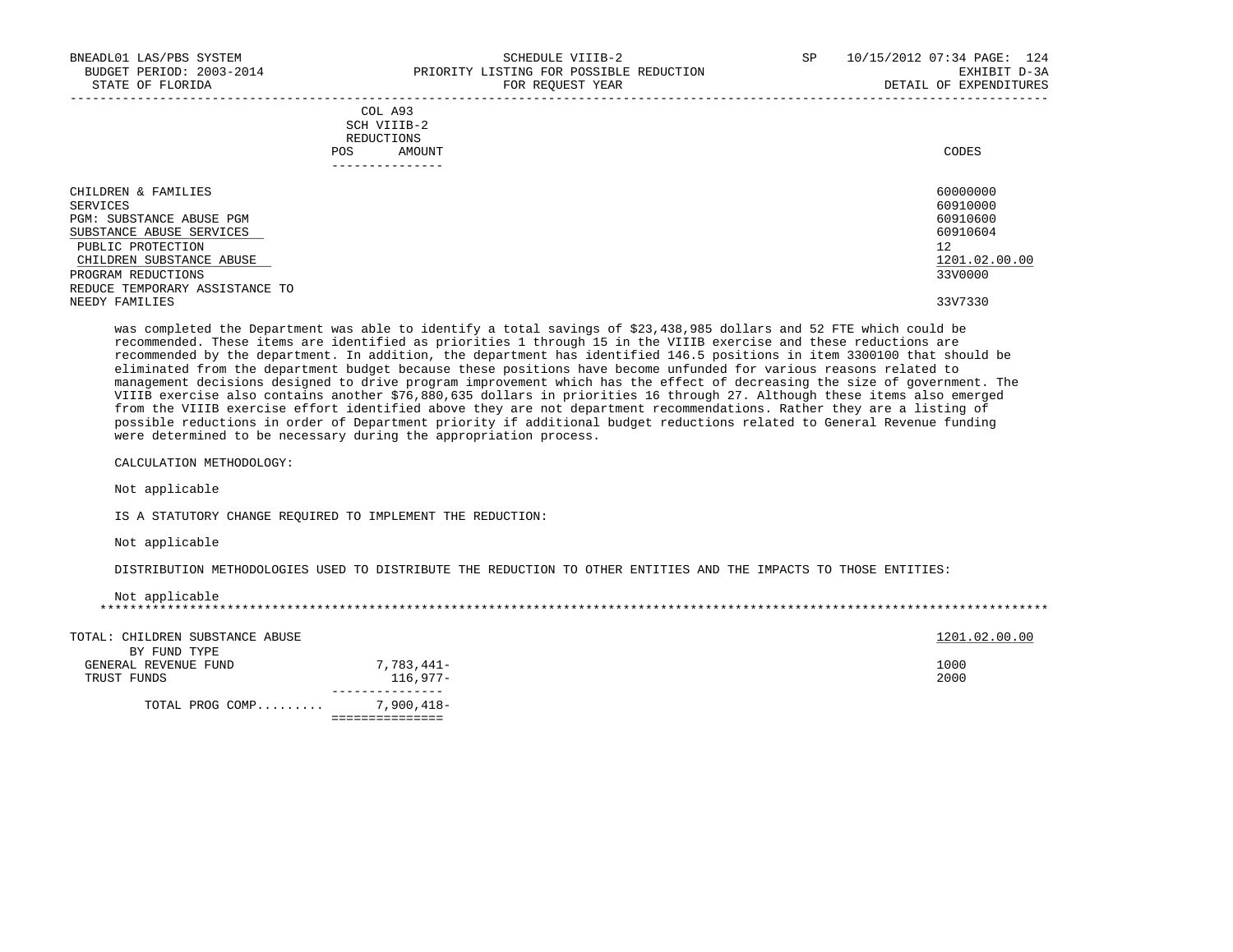| BNEADL01 LAS/PBS SYSTEM<br>BUDGET PERIOD: 2003-2014<br>STATE OF FLORIDA |      | SCHEDULE VIIIB-2<br>PRIORITY LISTING FOR POSSIBLE REDUCTION<br>FOR REOUEST YEAR | SP | 10/15/2012 07:34 PAGE: 124<br>EXHIBIT D-3A<br>DETAIL OF EXPENDITURES |
|-------------------------------------------------------------------------|------|---------------------------------------------------------------------------------|----|----------------------------------------------------------------------|
|                                                                         | POS. | COL A93<br>SCH VIIIB-2<br>REDUCTIONS<br>AMOUNT                                  |    | CODES                                                                |
| CHILDREN & FAMILIES                                                     |      |                                                                                 |    | 60000000                                                             |
| SERVICES                                                                |      |                                                                                 |    | 60910000                                                             |
| PGM: SUBSTANCE ABUSE PGM                                                |      |                                                                                 |    | 60910600                                                             |
| SUBSTANCE ABUSE SERVICES                                                |      |                                                                                 |    | 60910604                                                             |
| PUBLIC PROTECTION                                                       |      |                                                                                 |    | 12                                                                   |
| CHILDREN SUBSTANCE ABUSE                                                |      |                                                                                 |    | 1201.02.00.00                                                        |
| PROGRAM REDUCTIONS                                                      |      |                                                                                 |    | 33V0000                                                              |
| REDUCE TEMPORARY ASSISTANCE TO                                          |      |                                                                                 |    |                                                                      |
| NEEDY FAMILIES                                                          |      |                                                                                 |    | 33V7330                                                              |

 was completed the Department was able to identify a total savings of \$23,438,985 dollars and 52 FTE which could be recommended. These items are identified as priorities 1 through 15 in the VIIIB exercise and these reductions are recommended by the department. In addition, the department has identified 146.5 positions in item 3300100 that should be eliminated from the department budget because these positions have become unfunded for various reasons related to management decisions designed to drive program improvement which has the effect of decreasing the size of government. The VIIIB exercise also contains another \$76,880,635 dollars in priorities 16 through 27. Although these items also emerged from the VIIIB exercise effort identified above they are not department recommendations. Rather they are a listing of possible reductions in order of Department priority if additional budget reductions related to General Revenue funding were determined to be necessary during the appropriation process.

CALCULATION METHODOLOGY:

Not applicable

IS A STATUTORY CHANGE REQUIRED TO IMPLEMENT THE REDUCTION:

Not applicable

DISTRIBUTION METHODOLOGIES USED TO DISTRIBUTE THE REDUCTION TO OTHER ENTITIES AND THE IMPACTS TO THOSE ENTITIES:

| Not applicable |
|----------------|
|                |

| TOTAL: CHILDREN SUBSTANCE ABUSE |            | 1201.02.00.00 |
|---------------------------------|------------|---------------|
| BY FUND TYPE                    |            |               |
| GENERAL REVENUE FUND            | 7,783,441– | 1000          |
| TRUST FUNDS                     | $116.977-$ | 2000          |
|                                 |            |               |
| TOTAL PROG COMP                 | 7,900,418- |               |
|                                 |            |               |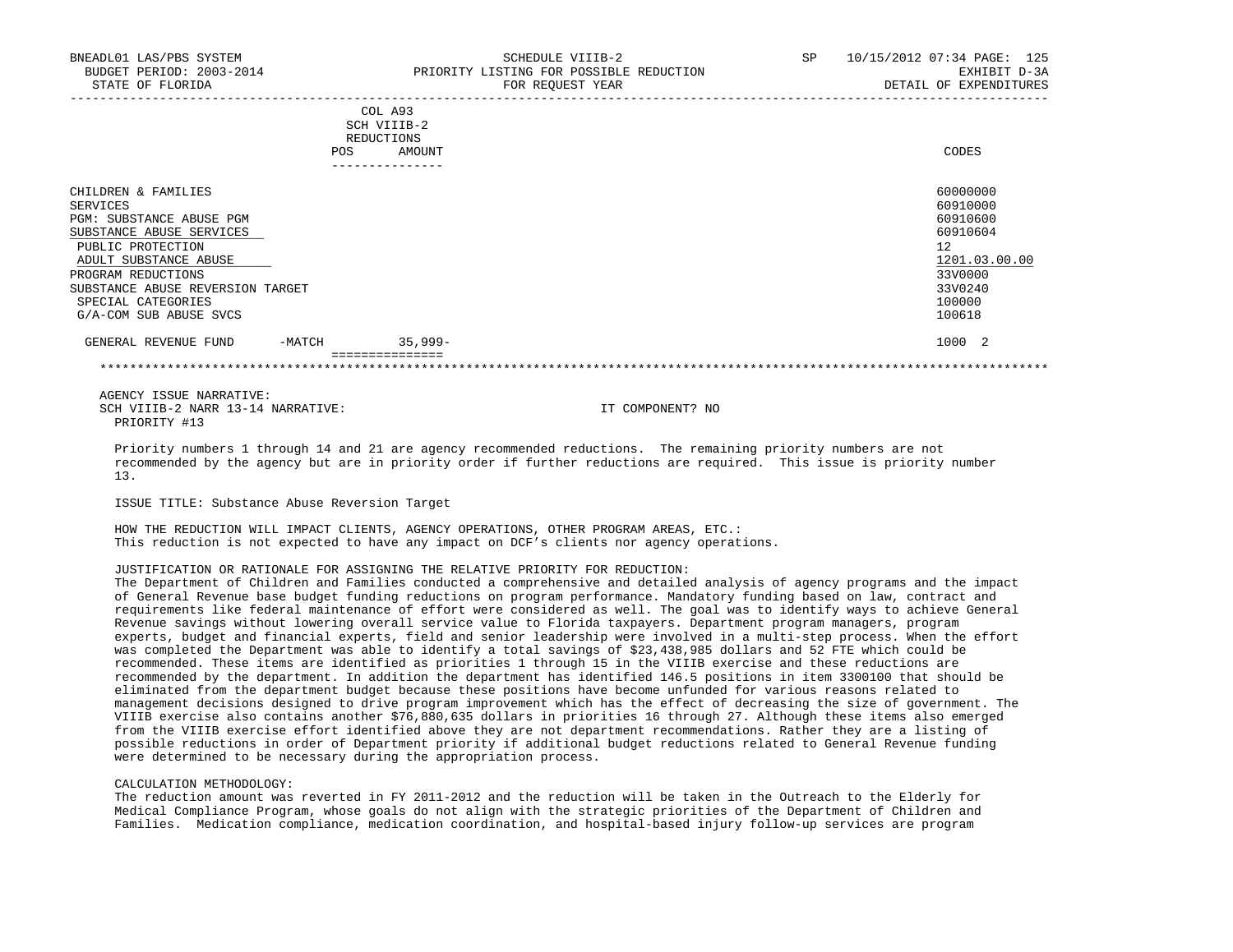|                                  | <b>POS</b> | COL A93<br>SCH VIIIB-2<br>REDUCTIONS<br>AMOUNT | CODES         |
|----------------------------------|------------|------------------------------------------------|---------------|
| CHILDREN & FAMILIES              |            |                                                | 60000000      |
| SERVICES                         |            |                                                | 60910000      |
| PGM: SUBSTANCE ABUSE PGM         |            |                                                | 60910600      |
| SUBSTANCE ABUSE SERVICES         |            |                                                | 60910604      |
| PUBLIC PROTECTION                |            |                                                | 12            |
| ADULT SUBSTANCE ABUSE            |            |                                                | 1201.03.00.00 |
| PROGRAM REDUCTIONS               |            |                                                | 33V0000       |
| SUBSTANCE ABUSE REVERSION TARGET |            |                                                | 33V0240       |
| SPECIAL CATEGORIES               |            |                                                | 100000        |
| G/A-COM SUB ABUSE SVCS           |            |                                                | 100618        |
| GENERAL REVENUE FUND             | $-MATCH$   | $35,999-$                                      | 1000 2        |
|                                  |            |                                                |               |
|                                  |            |                                                |               |

 AGENCY ISSUE NARRATIVE: SCH VIIIB-2 NARR 13-14 NARRATIVE: IT COMPONENT? NO PRIORITY #13

 Priority numbers 1 through 14 and 21 are agency recommended reductions. The remaining priority numbers are not recommended by the agency but are in priority order if further reductions are required. This issue is priority number 13.

ISSUE TITLE: Substance Abuse Reversion Target

 HOW THE REDUCTION WILL IMPACT CLIENTS, AGENCY OPERATIONS, OTHER PROGRAM AREAS, ETC.: This reduction is not expected to have any impact on DCF's clients nor agency operations.

# JUSTIFICATION OR RATIONALE FOR ASSIGNING THE RELATIVE PRIORITY FOR REDUCTION:

 The Department of Children and Families conducted a comprehensive and detailed analysis of agency programs and the impact of General Revenue base budget funding reductions on program performance. Mandatory funding based on law, contract and requirements like federal maintenance of effort were considered as well. The goal was to identify ways to achieve General Revenue savings without lowering overall service value to Florida taxpayers. Department program managers, program experts, budget and financial experts, field and senior leadership were involved in a multi-step process. When the effort was completed the Department was able to identify a total savings of \$23,438,985 dollars and 52 FTE which could be recommended. These items are identified as priorities 1 through 15 in the VIIIB exercise and these reductions are recommended by the department. In addition the department has identified 146.5 positions in item 3300100 that should be eliminated from the department budget because these positions have become unfunded for various reasons related to management decisions designed to drive program improvement which has the effect of decreasing the size of government. The VIIIB exercise also contains another \$76,880,635 dollars in priorities 16 through 27. Although these items also emerged from the VIIIB exercise effort identified above they are not department recommendations. Rather they are a listing of possible reductions in order of Department priority if additional budget reductions related to General Revenue funding were determined to be necessary during the appropriation process.

#### CALCULATION METHODOLOGY:

 The reduction amount was reverted in FY 2011-2012 and the reduction will be taken in the Outreach to the Elderly for Medical Compliance Program, whose goals do not align with the strategic priorities of the Department of Children and Families. Medication compliance, medication coordination, and hospital-based injury follow-up services are program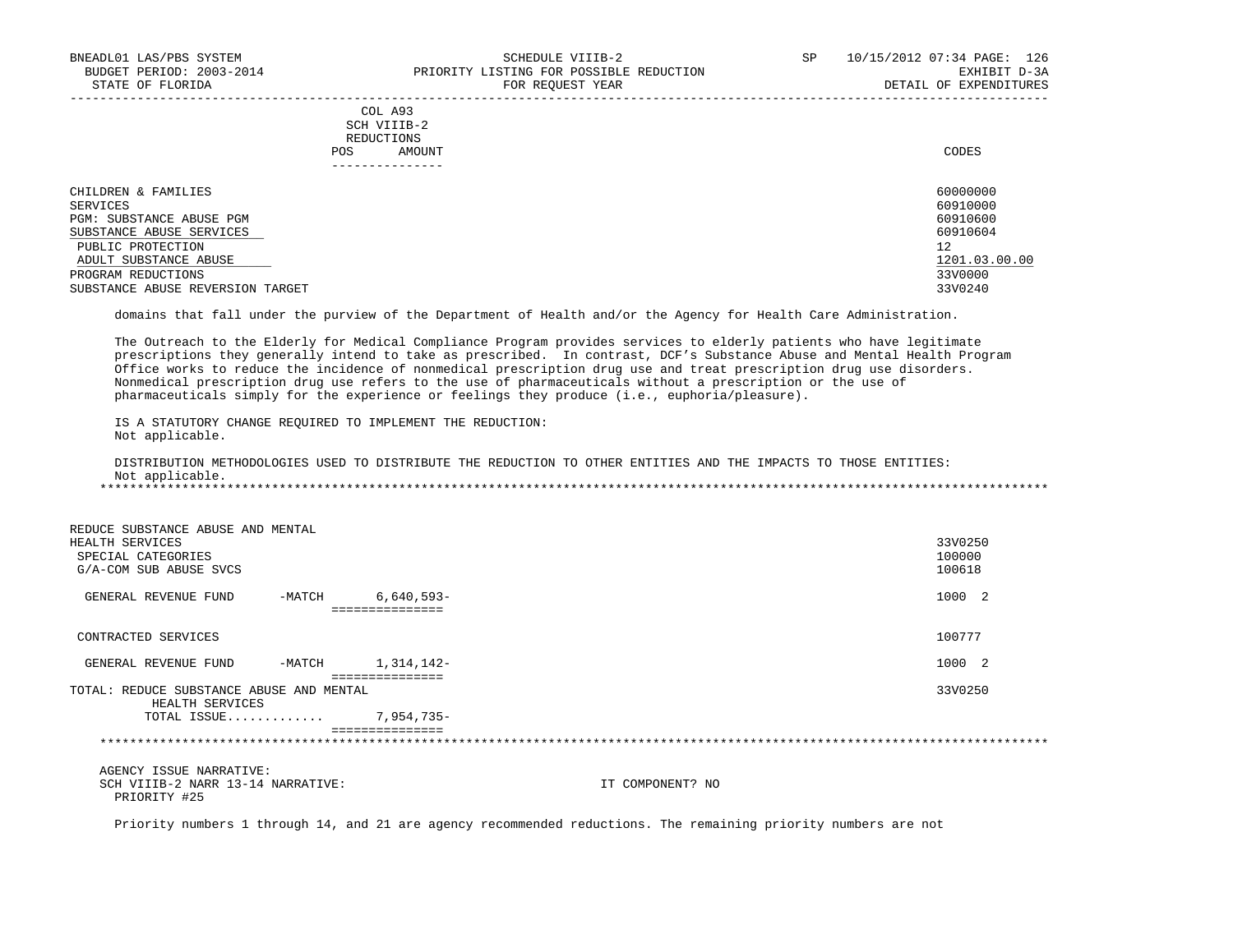### COL A93 SCH VIIIB-2 REDUCTIONS POS AMOUNT CODES AND A LOCAL AND LOCAL AND LOCAL AND LOCAL AND LOCAL AND LOCAL AND LOCAL AND LOCAL AND LOCAL AND LOCAL AND LOCAL AND LOCAL AND LOCAL AND LOCAL AND LOCAL AND LOCAL AND LOCAL AND LOCAL AND LOCAL AND LOCAL AND ---------------

| CHILDREN & FAMILIES              | 60000000      |
|----------------------------------|---------------|
| SERVICES                         | 60910000      |
| PGM: SUBSTANCE ABUSE PGM         | 60910600      |
| SUBSTANCE ABUSE SERVICES         | 60910604      |
| PUBLIC PROTECTION                | 12            |
| ADULT SUBSTANCE ABUSE            | 1201.03.00.00 |
| PROGRAM REDUCTIONS               | 33V0000       |
| SUBSTANCE ABUSE REVERSION TARGET | 33V0240       |

-----------------------------------------------------------------------------------------------------------------------------------

domains that fall under the purview of the Department of Health and/or the Agency for Health Care Administration.

 The Outreach to the Elderly for Medical Compliance Program provides services to elderly patients who have legitimate prescriptions they generally intend to take as prescribed. In contrast, DCF's Substance Abuse and Mental Health Program Office works to reduce the incidence of nonmedical prescription drug use and treat prescription drug use disorders. Nonmedical prescription drug use refers to the use of pharmaceuticals without a prescription or the use of pharmaceuticals simply for the experience or feelings they produce (i.e., euphoria/pleasure).

 IS A STATUTORY CHANGE REQUIRED TO IMPLEMENT THE REDUCTION: Not applicable.

 DISTRIBUTION METHODOLOGIES USED TO DISTRIBUTE THE REDUCTION TO OTHER ENTITIES AND THE IMPACTS TO THOSE ENTITIES: Not applicable. \*\*\*\*\*\*\*\*\*\*\*\*\*\*\*\*\*\*\*\*\*\*\*\*\*\*\*\*\*\*\*\*\*\*\*\*\*\*\*\*\*\*\*\*\*\*\*\*\*\*\*\*\*\*\*\*\*\*\*\*\*\*\*\*\*\*\*\*\*\*\*\*\*\*\*\*\*\*\*\*\*\*\*\*\*\*\*\*\*\*\*\*\*\*\*\*\*\*\*\*\*\*\*\*\*\*\*\*\*\*\*\*\*\*\*\*\*\*\*\*\*\*\*\*\*\*\*

| REDUCE SUBSTANCE ABUSE AND MENTAL<br>HEALTH SERVICES<br>SPECIAL CATEGORIES<br>G/A-COM SUB ABUSE SVCS |          |                 | 33V0250<br>100000<br>100618 |
|------------------------------------------------------------------------------------------------------|----------|-----------------|-----------------------------|
| GENERAL REVENUE FUND                                                                                 | $-MATCH$ | $6,640,593-$    | 1000 2                      |
|                                                                                                      |          | :============== |                             |
| CONTRACTED SERVICES                                                                                  |          |                 | 100777                      |
| GENERAL REVENUE FUND                                                                                 | -MATCH   | 1,314,142-      | 1000 2                      |
| TOTAL: REDUCE SUBSTANCE ABUSE AND MENTAL<br>HEALTH SERVICES                                          |          | =============== | 33V0250                     |
| TOTAL ISSUE                                                                                          |          | 7,954,735-      |                             |
|                                                                                                      |          | =============== |                             |
|                                                                                                      |          |                 |                             |

 AGENCY ISSUE NARRATIVE: SCH VIIIB-2 NARR 13-14 NARRATIVE: IT COMPONENT? NO PRIORITY #25

Priority numbers 1 through 14, and 21 are agency recommended reductions. The remaining priority numbers are not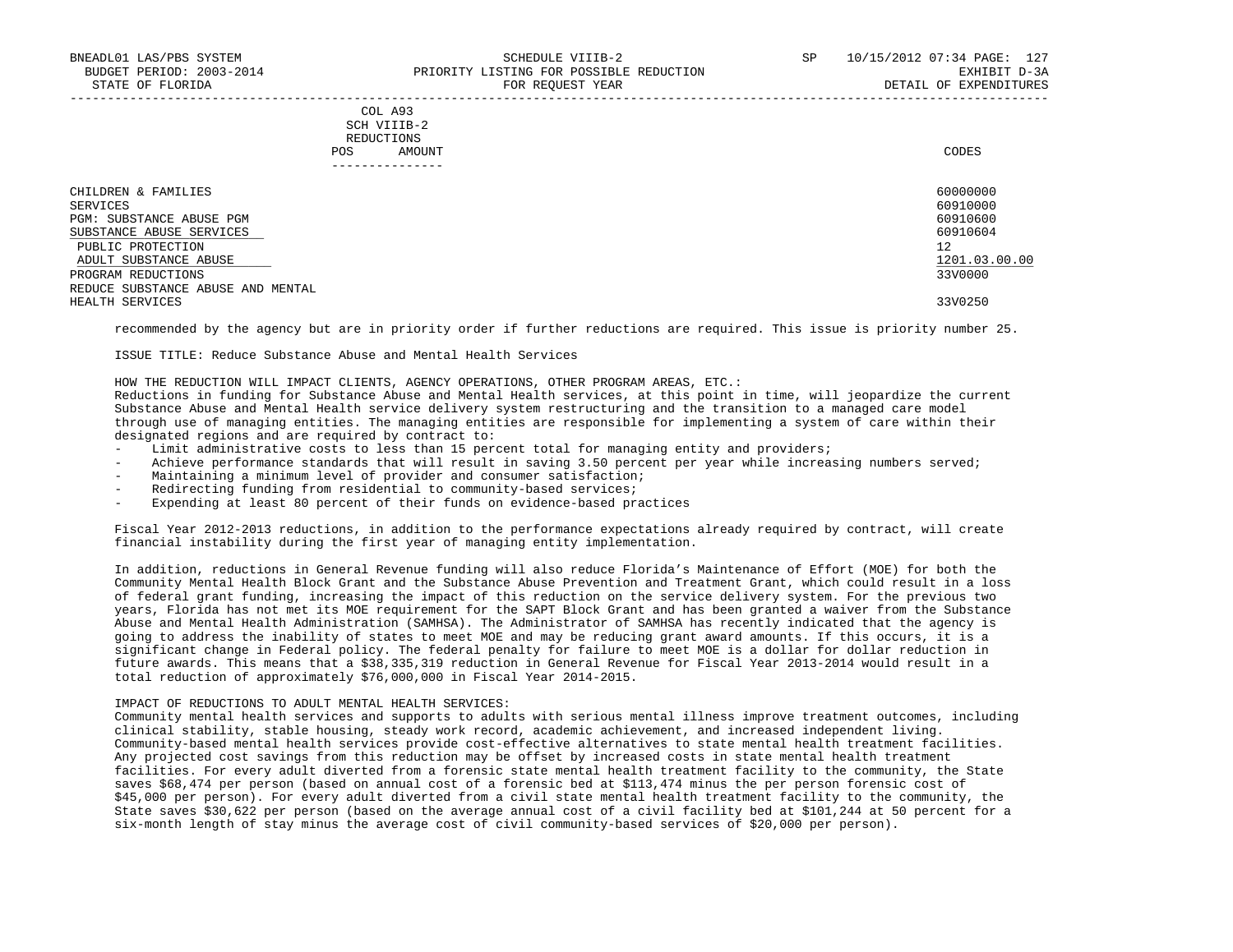### COL A93 SCH VIIIB-2 REDUCTIONS POS AMOUNT CODES ---------------

| CHILDREN & FAMILIES               | 60000000      |
|-----------------------------------|---------------|
| SERVICES                          | 60910000      |
| PGM: SUBSTANCE ABUSE PGM          | 60910600      |
| SUBSTANCE ABUSE SERVICES          | 60910604      |
| PUBLIC PROTECTION                 | 12            |
| ADULT SUBSTANCE ABUSE             | 1201.03.00.00 |
| PROGRAM REDUCTIONS                | 33V0000       |
| REDUCE SUBSTANCE ABUSE AND MENTAL |               |
| HEALTH SERVICES                   | 33V0250       |

recommended by the agency but are in priority order if further reductions are required. This issue is priority number 25.

ISSUE TITLE: Reduce Substance Abuse and Mental Health Services

HOW THE REDUCTION WILL IMPACT CLIENTS, AGENCY OPERATIONS, OTHER PROGRAM AREAS, ETC.:

 Reductions in funding for Substance Abuse and Mental Health services, at this point in time, will jeopardize the current Substance Abuse and Mental Health service delivery system restructuring and the transition to a managed care model through use of managing entities. The managing entities are responsible for implementing a system of care within their designated regions and are required by contract to:

- Limit administrative costs to less than 15 percent total for managing entity and providers;
- Achieve performance standards that will result in saving 3.50 percent per year while increasing numbers served;
- Maintaining a minimum level of provider and consumer satisfaction;
- Redirecting funding from residential to community-based services;
- Expending at least 80 percent of their funds on evidence-based practices

 Fiscal Year 2012-2013 reductions, in addition to the performance expectations already required by contract, will create financial instability during the first year of managing entity implementation.

 In addition, reductions in General Revenue funding will also reduce Florida's Maintenance of Effort (MOE) for both the Community Mental Health Block Grant and the Substance Abuse Prevention and Treatment Grant, which could result in a loss of federal grant funding, increasing the impact of this reduction on the service delivery system. For the previous two years, Florida has not met its MOE requirement for the SAPT Block Grant and has been granted a waiver from the Substance Abuse and Mental Health Administration (SAMHSA). The Administrator of SAMHSA has recently indicated that the agency is going to address the inability of states to meet MOE and may be reducing grant award amounts. If this occurs, it is a significant change in Federal policy. The federal penalty for failure to meet MOE is a dollar for dollar reduction in future awards. This means that a \$38,335,319 reduction in General Revenue for Fiscal Year 2013-2014 would result in a total reduction of approximately \$76,000,000 in Fiscal Year 2014-2015.

#### IMPACT OF REDUCTIONS TO ADULT MENTAL HEALTH SERVICES:

 Community mental health services and supports to adults with serious mental illness improve treatment outcomes, including clinical stability, stable housing, steady work record, academic achievement, and increased independent living. Community-based mental health services provide cost-effective alternatives to state mental health treatment facilities. Any projected cost savings from this reduction may be offset by increased costs in state mental health treatment facilities. For every adult diverted from a forensic state mental health treatment facility to the community, the State saves \$68,474 per person (based on annual cost of a forensic bed at \$113,474 minus the per person forensic cost of \$45,000 per person). For every adult diverted from a civil state mental health treatment facility to the community, the State saves \$30,622 per person (based on the average annual cost of a civil facility bed at \$101,244 at 50 percent for a six-month length of stay minus the average cost of civil community-based services of \$20,000 per person).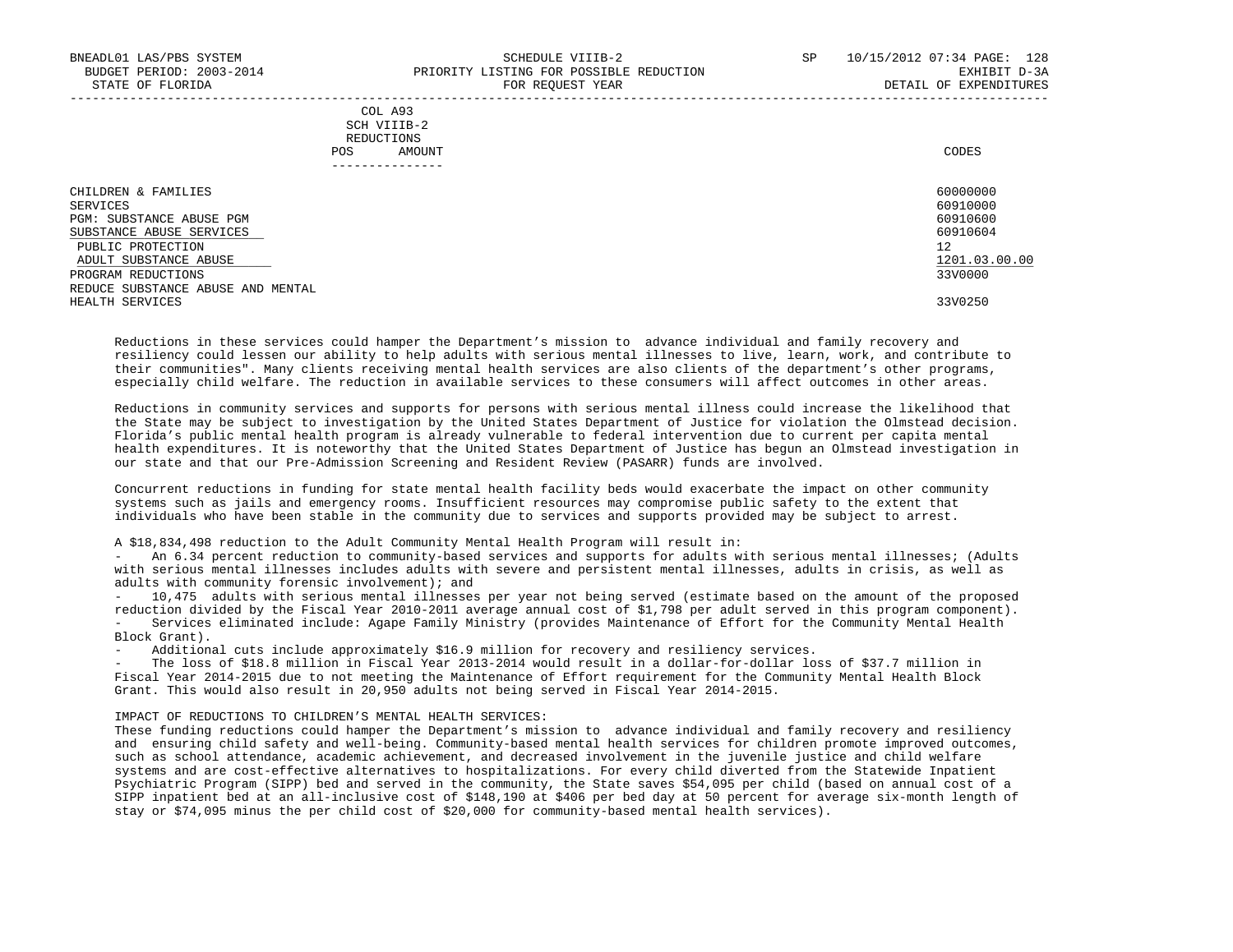| CHILDREN & FAMILIES               | 60000000      |
|-----------------------------------|---------------|
| SERVICES                          | 60910000      |
| PGM: SUBSTANCE ABUSE PGM          | 60910600      |
| SUBSTANCE ABUSE SERVICES          | 60910604      |
| PUBLIC PROTECTION                 | 12            |
| ADULT SUBSTANCE ABUSE             | 1201.03.00.00 |
| PROGRAM REDUCTIONS                | 33V0000       |
| REDUCE SUBSTANCE ABUSE AND MENTAL |               |
| HEALTH SERVICES                   | 33V0250       |

-----------------------------------------------------------------------------------------------------------------------------------

 Reductions in these services could hamper the Department's mission to advance individual and family recovery and resiliency could lessen our ability to help adults with serious mental illnesses to live, learn, work, and contribute to their communities". Many clients receiving mental health services are also clients of the department's other programs, especially child welfare. The reduction in available services to these consumers will affect outcomes in other areas.

 Reductions in community services and supports for persons with serious mental illness could increase the likelihood that the State may be subject to investigation by the United States Department of Justice for violation the Olmstead decision. Florida's public mental health program is already vulnerable to federal intervention due to current per capita mental health expenditures. It is noteworthy that the United States Department of Justice has begun an Olmstead investigation in our state and that our Pre-Admission Screening and Resident Review (PASARR) funds are involved.

 Concurrent reductions in funding for state mental health facility beds would exacerbate the impact on other community systems such as jails and emergency rooms. Insufficient resources may compromise public safety to the extent that individuals who have been stable in the community due to services and supports provided may be subject to arrest.

# A \$18,834,498 reduction to the Adult Community Mental Health Program will result in:

 - An 6.34 percent reduction to community-based services and supports for adults with serious mental illnesses; (Adults with serious mental illnesses includes adults with severe and persistent mental illnesses, adults in crisis, as well as adults with community forensic involvement); and

- 10,475 adults with serious mental illnesses per year not being served (estimate based on the amount of the proposed reduction divided by the Fiscal Year 2010-2011 average annual cost of \$1,798 per adult served in this program component). - Services eliminated include: Agape Family Ministry (provides Maintenance of Effort for the Community Mental Health Block Grant).

- Additional cuts include approximately \$16.9 million for recovery and resiliency services.

The loss of \$18.8 million in Fiscal Year 2013-2014 would result in a dollar-for-dollar loss of \$37.7 million in Fiscal Year 2014-2015 due to not meeting the Maintenance of Effort requirement for the Community Mental Health Block Grant. This would also result in 20,950 adults not being served in Fiscal Year 2014-2015.

# IMPACT OF REDUCTIONS TO CHILDREN'S MENTAL HEALTH SERVICES:

 These funding reductions could hamper the Department's mission to advance individual and family recovery and resiliency and ensuring child safety and well-being. Community-based mental health services for children promote improved outcomes, such as school attendance, academic achievement, and decreased involvement in the juvenile justice and child welfare systems and are cost-effective alternatives to hospitalizations. For every child diverted from the Statewide Inpatient Psychiatric Program (SIPP) bed and served in the community, the State saves \$54,095 per child (based on annual cost of a SIPP inpatient bed at an all-inclusive cost of \$148,190 at \$406 per bed day at 50 percent for average six-month length of stay or \$74,095 minus the per child cost of \$20,000 for community-based mental health services).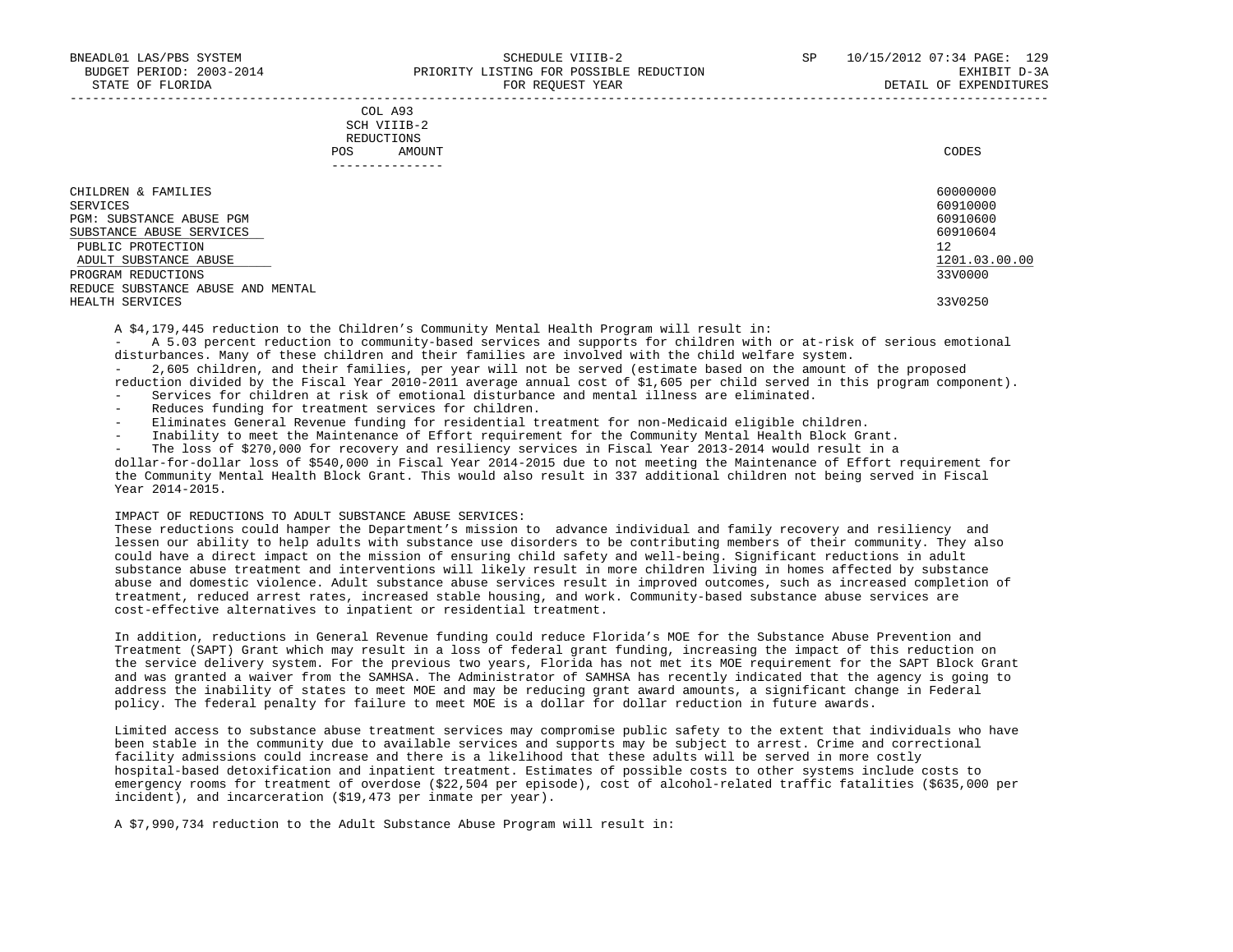| COL A93                                                                                        |
|------------------------------------------------------------------------------------------------|
| SCH VIIIB-2<br>the contract of the contract of the contract of the contract of the contract of |
| REDUCTIONS                                                                                     |
| CODES<br>AMOUNT                                                                                |
|                                                                                                |

| - - - - - - - - - - - - - -       |               |
|-----------------------------------|---------------|
| CHILDREN & FAMILIES               | 60000000      |
| SERVICES                          | 60910000      |
| PGM: SUBSTANCE ABUSE PGM          | 60910600      |
| SUBSTANCE ABUSE SERVICES          | 60910604      |
| PUBLIC PROTECTION                 | 12            |
| ADULT SUBSTANCE ABUSE             | 1201.03.00.00 |
| PROGRAM REDUCTIONS                | 33V0000       |
| REDUCE SUBSTANCE ABUSE AND MENTAL |               |
| HEALTH SERVICES                   | 33V0250       |
|                                   |               |

A \$4,179,445 reduction to the Children's Community Mental Health Program will result in:

 - A 5.03 percent reduction to community-based services and supports for children with or at-risk of serious emotional disturbances. Many of these children and their families are involved with the child welfare system.

 - 2,605 children, and their families, per year will not be served (estimate based on the amount of the proposed reduction divided by the Fiscal Year 2010-2011 average annual cost of \$1,605 per child served in this program component).

- Services for children at risk of emotional disturbance and mental illness are eliminated.
- Reduces funding for treatment services for children.
- Eliminates General Revenue funding for residential treatment for non-Medicaid eligible children.
- Inability to meet the Maintenance of Effort requirement for the Community Mental Health Block Grant.
- The loss of \$270,000 for recovery and resiliency services in Fiscal Year 2013-2014 would result in a

 dollar-for-dollar loss of \$540,000 in Fiscal Year 2014-2015 due to not meeting the Maintenance of Effort requirement for the Community Mental Health Block Grant. This would also result in 337 additional children not being served in Fiscal Year 2014-2015.

#### IMPACT OF REDUCTIONS TO ADULT SUBSTANCE ABUSE SERVICES:

 These reductions could hamper the Department's mission to advance individual and family recovery and resiliency and lessen our ability to help adults with substance use disorders to be contributing members of their community. They also could have a direct impact on the mission of ensuring child safety and well-being. Significant reductions in adult substance abuse treatment and interventions will likely result in more children living in homes affected by substance abuse and domestic violence. Adult substance abuse services result in improved outcomes, such as increased completion of treatment, reduced arrest rates, increased stable housing, and work. Community-based substance abuse services are cost-effective alternatives to inpatient or residential treatment.

 In addition, reductions in General Revenue funding could reduce Florida's MOE for the Substance Abuse Prevention and Treatment (SAPT) Grant which may result in a loss of federal grant funding, increasing the impact of this reduction on the service delivery system. For the previous two years, Florida has not met its MOE requirement for the SAPT Block Grant and was granted a waiver from the SAMHSA. The Administrator of SAMHSA has recently indicated that the agency is going to address the inability of states to meet MOE and may be reducing grant award amounts, a significant change in Federal policy. The federal penalty for failure to meet MOE is a dollar for dollar reduction in future awards.

 Limited access to substance abuse treatment services may compromise public safety to the extent that individuals who have been stable in the community due to available services and supports may be subject to arrest. Crime and correctional facility admissions could increase and there is a likelihood that these adults will be served in more costly hospital-based detoxification and inpatient treatment. Estimates of possible costs to other systems include costs to emergency rooms for treatment of overdose (\$22,504 per episode), cost of alcohol-related traffic fatalities (\$635,000 per incident), and incarceration (\$19,473 per inmate per year).

A \$7,990,734 reduction to the Adult Substance Abuse Program will result in: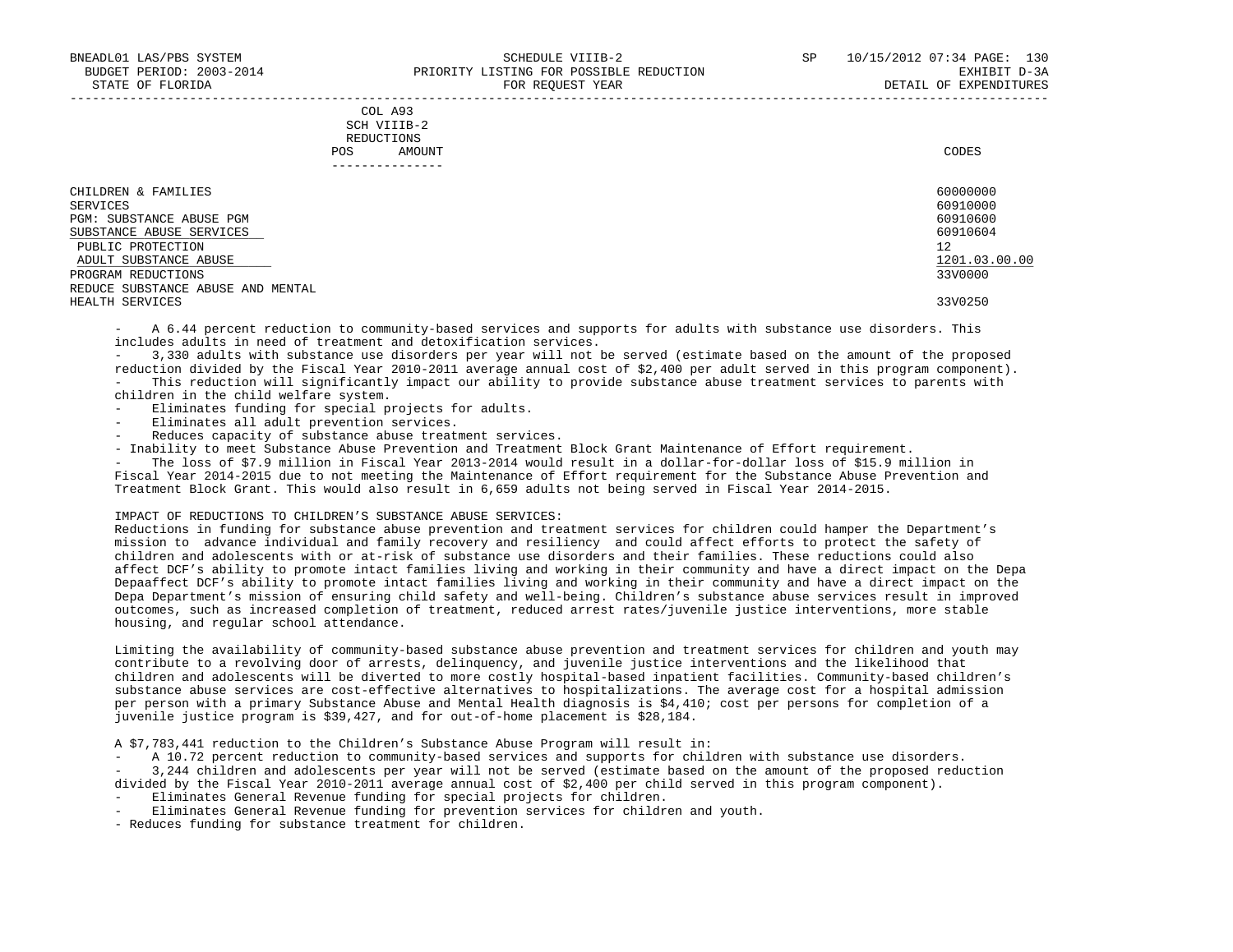|     | COL A93     |       |
|-----|-------------|-------|
|     | SCH VIIIB-2 |       |
|     | REDUCTIONS  |       |
| POS | AMOUNT      | CODES |

| ____________                      |               |
|-----------------------------------|---------------|
| CHILDREN & FAMILIES               | 60000000      |
| SERVICES                          | 60910000      |
| PGM: SUBSTANCE ABUSE PGM          | 60910600      |
| SUBSTANCE ABUSE SERVICES          | 60910604      |
| PUBLIC PROTECTION                 | 12            |
| ADULT SUBSTANCE ABUSE             | 1201.03.00.00 |
| PROGRAM REDUCTIONS                | 33V0000       |
| REDUCE SUBSTANCE ABUSE AND MENTAL |               |
| HEALTH SERVICES                   | 33V0250       |

A 6.44 percent reduction to community-based services and supports for adults with substance use disorders. This includes adults in need of treatment and detoxification services.

 - 3,330 adults with substance use disorders per year will not be served (estimate based on the amount of the proposed reduction divided by the Fiscal Year 2010-2011 average annual cost of \$2,400 per adult served in this program component). - This reduction will significantly impact our ability to provide substance abuse treatment services to parents with children in the child welfare system.

- Eliminates funding for special projects for adults.

- Eliminates all adult prevention services.
- Reduces capacity of substance abuse treatment services.

- Inability to meet Substance Abuse Prevention and Treatment Block Grant Maintenance of Effort requirement.

The loss of \$7.9 million in Fiscal Year 2013-2014 would result in a dollar-for-dollar loss of \$15.9 million in Fiscal Year 2014-2015 due to not meeting the Maintenance of Effort requirement for the Substance Abuse Prevention and Treatment Block Grant. This would also result in 6,659 adults not being served in Fiscal Year 2014-2015.

#### IMPACT OF REDUCTIONS TO CHILDREN'S SUBSTANCE ABUSE SERVICES:

 Reductions in funding for substance abuse prevention and treatment services for children could hamper the Department's mission to advance individual and family recovery and resiliency and could affect efforts to protect the safety of children and adolescents with or at-risk of substance use disorders and their families. These reductions could also affect DCF's ability to promote intact families living and working in their community and have a direct impact on the Depa Depaaffect DCF's ability to promote intact families living and working in their community and have a direct impact on the Depa Department's mission of ensuring child safety and well-being. Children's substance abuse services result in improved outcomes, such as increased completion of treatment, reduced arrest rates/juvenile justice interventions, more stable housing, and regular school attendance.

 Limiting the availability of community-based substance abuse prevention and treatment services for children and youth may contribute to a revolving door of arrests, delinquency, and juvenile justice interventions and the likelihood that children and adolescents will be diverted to more costly hospital-based inpatient facilities. Community-based children's substance abuse services are cost-effective alternatives to hospitalizations. The average cost for a hospital admission per person with a primary Substance Abuse and Mental Health diagnosis is \$4,410; cost per persons for completion of a juvenile justice program is \$39,427, and for out-of-home placement is \$28,184.

A \$7,783,441 reduction to the Children's Substance Abuse Program will result in:

- A 10.72 percent reduction to community-based services and supports for children with substance use disorders.

 - 3,244 children and adolescents per year will not be served (estimate based on the amount of the proposed reduction divided by the Fiscal Year 2010-2011 average annual cost of \$2,400 per child served in this program component).

- Eliminates General Revenue funding for special projects for children.
- Eliminates General Revenue funding for prevention services for children and youth.
- Reduces funding for substance treatment for children.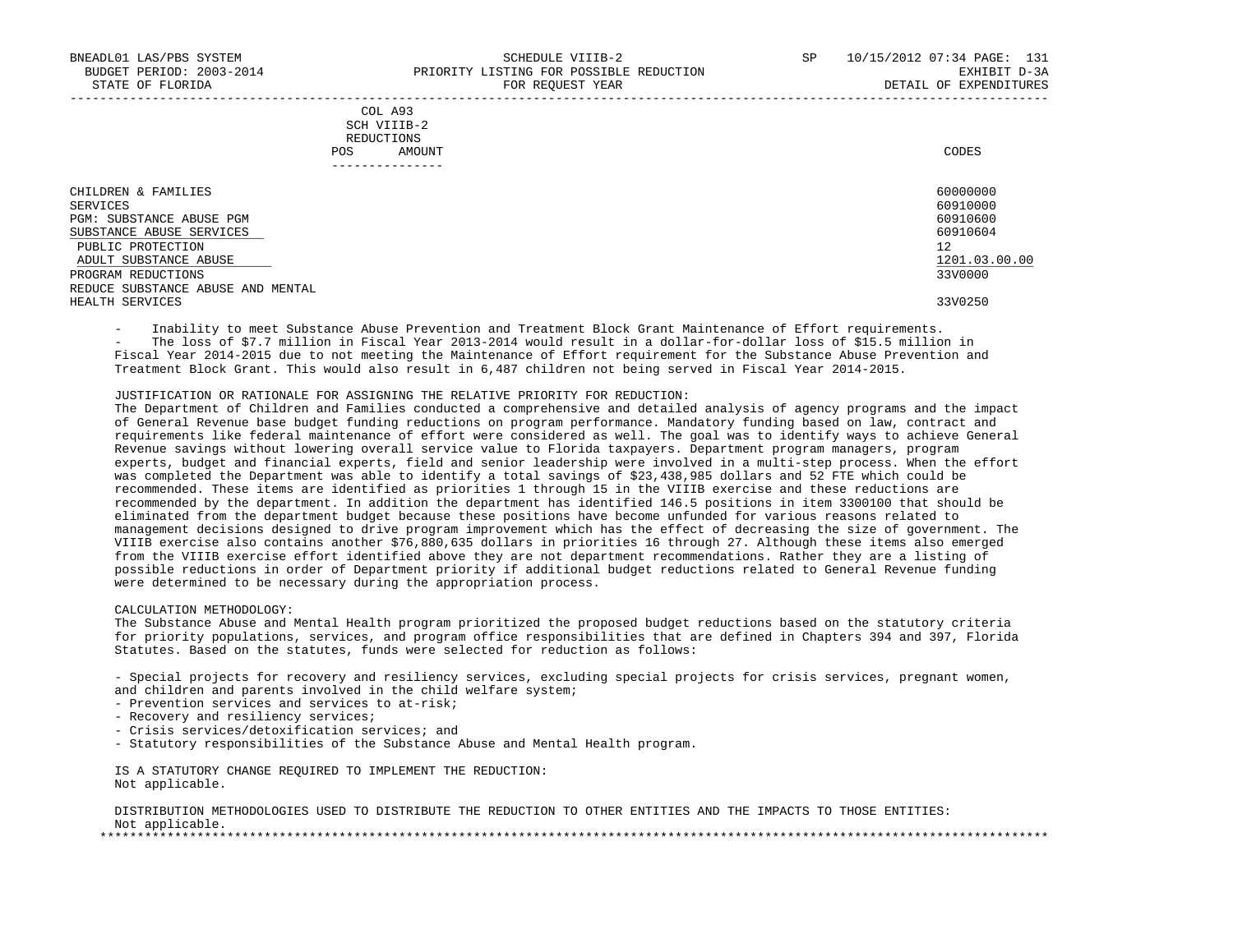|     | COL A93     |       |
|-----|-------------|-------|
|     | SCH VIIIB-2 |       |
|     | REDUCTIONS  |       |
| POS | AMOUNT      | CODES |

| . _ _ _ _ _ _ _ _ _ _ _ _ _       |               |
|-----------------------------------|---------------|
| CHILDREN & FAMILIES               | 60000000      |
| SERVICES                          | 60910000      |
| PGM: SUBSTANCE ABUSE PGM          | 60910600      |
| SUBSTANCE ABUSE SERVICES          | 60910604      |
| PUBLIC PROTECTION                 | 12            |
| ADULT SUBSTANCE ABUSE             | 1201.03.00.00 |
| PROGRAM REDUCTIONS                | 33V0000       |
| REDUCE SUBSTANCE ABUSE AND MENTAL |               |
| HEALTH SERVICES                   | 33V0250       |

- Inability to meet Substance Abuse Prevention and Treatment Block Grant Maintenance of Effort requirements.

 - The loss of \$7.7 million in Fiscal Year 2013-2014 would result in a dollar-for-dollar loss of \$15.5 million in Fiscal Year 2014-2015 due to not meeting the Maintenance of Effort requirement for the Substance Abuse Prevention and Treatment Block Grant. This would also result in 6,487 children not being served in Fiscal Year 2014-2015.

# JUSTIFICATION OR RATIONALE FOR ASSIGNING THE RELATIVE PRIORITY FOR REDUCTION:

 The Department of Children and Families conducted a comprehensive and detailed analysis of agency programs and the impact of General Revenue base budget funding reductions on program performance. Mandatory funding based on law, contract and requirements like federal maintenance of effort were considered as well. The goal was to identify ways to achieve General Revenue savings without lowering overall service value to Florida taxpayers. Department program managers, program experts, budget and financial experts, field and senior leadership were involved in a multi-step process. When the effort was completed the Department was able to identify a total savings of \$23,438,985 dollars and 52 FTE which could be recommended. These items are identified as priorities 1 through 15 in the VIIIB exercise and these reductions are recommended by the department. In addition the department has identified 146.5 positions in item 3300100 that should be eliminated from the department budget because these positions have become unfunded for various reasons related to management decisions designed to drive program improvement which has the effect of decreasing the size of government. The VIIIB exercise also contains another \$76,880,635 dollars in priorities 16 through 27. Although these items also emerged from the VIIIB exercise effort identified above they are not department recommendations. Rather they are a listing of possible reductions in order of Department priority if additional budget reductions related to General Revenue funding were determined to be necessary during the appropriation process.

# CALCULATION METHODOLOGY:

 The Substance Abuse and Mental Health program prioritized the proposed budget reductions based on the statutory criteria for priority populations, services, and program office responsibilities that are defined in Chapters 394 and 397, Florida Statutes. Based on the statutes, funds were selected for reduction as follows:

 - Special projects for recovery and resiliency services, excluding special projects for crisis services, pregnant women, and children and parents involved in the child welfare system;

- Prevention services and services to at-risk;
- Recovery and resiliency services;
- Crisis services/detoxification services; and
- Statutory responsibilities of the Substance Abuse and Mental Health program.

 IS A STATUTORY CHANGE REQUIRED TO IMPLEMENT THE REDUCTION: Not applicable.

 DISTRIBUTION METHODOLOGIES USED TO DISTRIBUTE THE REDUCTION TO OTHER ENTITIES AND THE IMPACTS TO THOSE ENTITIES: Not applicable. \*\*\*\*\*\*\*\*\*\*\*\*\*\*\*\*\*\*\*\*\*\*\*\*\*\*\*\*\*\*\*\*\*\*\*\*\*\*\*\*\*\*\*\*\*\*\*\*\*\*\*\*\*\*\*\*\*\*\*\*\*\*\*\*\*\*\*\*\*\*\*\*\*\*\*\*\*\*\*\*\*\*\*\*\*\*\*\*\*\*\*\*\*\*\*\*\*\*\*\*\*\*\*\*\*\*\*\*\*\*\*\*\*\*\*\*\*\*\*\*\*\*\*\*\*\*\*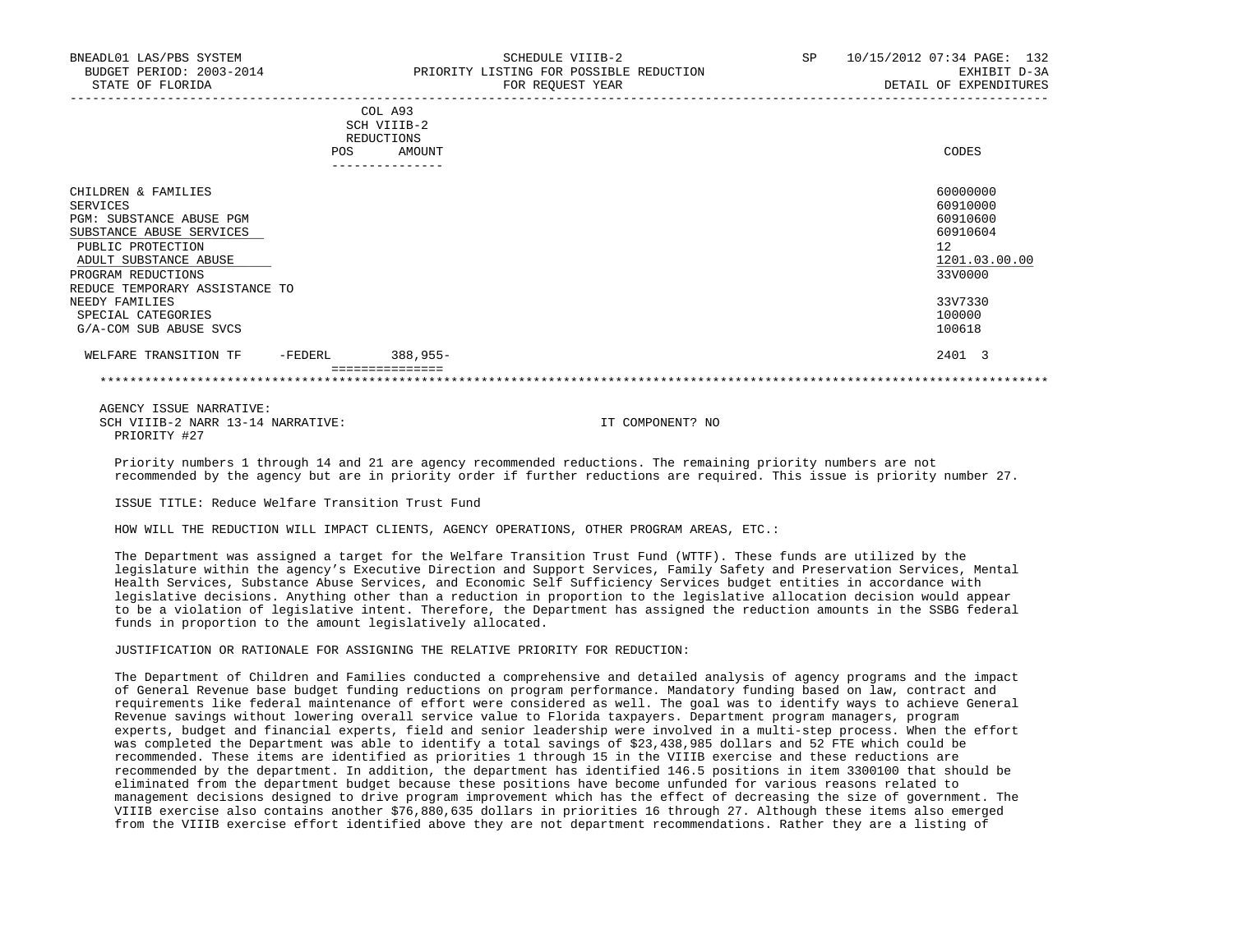|     | COL A93     |       |
|-----|-------------|-------|
|     | SCH VIIIB-2 |       |
|     | REDUCTIONS  |       |
| POS | AMOUNT      | CODES |

| CHILDREN & FAMILIES            |         |                 | 60000000      |  |
|--------------------------------|---------|-----------------|---------------|--|
| SERVICES                       |         |                 | 60910000      |  |
| PGM: SUBSTANCE ABUSE PGM       |         |                 | 60910600      |  |
| SUBSTANCE ABUSE SERVICES       |         |                 | 60910604      |  |
| PUBLIC PROTECTION              |         |                 | 12            |  |
| ADULT SUBSTANCE ABUSE          |         |                 | 1201.03.00.00 |  |
| PROGRAM REDUCTIONS             |         |                 | 33V0000       |  |
| REDUCE TEMPORARY ASSISTANCE TO |         |                 |               |  |
| NEEDY FAMILIES                 |         |                 | 33V7330       |  |
| SPECIAL CATEGORIES             |         |                 | 100000        |  |
| G/A-COM SUB ABUSE SVCS         |         |                 | 100618        |  |
| WELFARE TRANSITION TF          | -FEDERL | $388.955 -$     | 2401 3        |  |
|                                |         | =============== |               |  |

 AGENCY ISSUE NARRATIVE: SCH VIIIB-2 NARR 13-14 NARRATIVE: IT COMPONENT? NO PRIORITY #27

 Priority numbers 1 through 14 and 21 are agency recommended reductions. The remaining priority numbers are not recommended by the agency but are in priority order if further reductions are required. This issue is priority number 27.

ISSUE TITLE: Reduce Welfare Transition Trust Fund

HOW WILL THE REDUCTION WILL IMPACT CLIENTS, AGENCY OPERATIONS, OTHER PROGRAM AREAS, ETC.:

 The Department was assigned a target for the Welfare Transition Trust Fund (WTTF). These funds are utilized by the legislature within the agency's Executive Direction and Support Services, Family Safety and Preservation Services, Mental Health Services, Substance Abuse Services, and Economic Self Sufficiency Services budget entities in accordance with legislative decisions. Anything other than a reduction in proportion to the legislative allocation decision would appear to be a violation of legislative intent. Therefore, the Department has assigned the reduction amounts in the SSBG federal funds in proportion to the amount legislatively allocated.

### JUSTIFICATION OR RATIONALE FOR ASSIGNING THE RELATIVE PRIORITY FOR REDUCTION:

 The Department of Children and Families conducted a comprehensive and detailed analysis of agency programs and the impact of General Revenue base budget funding reductions on program performance. Mandatory funding based on law, contract and requirements like federal maintenance of effort were considered as well. The goal was to identify ways to achieve General Revenue savings without lowering overall service value to Florida taxpayers. Department program managers, program experts, budget and financial experts, field and senior leadership were involved in a multi-step process. When the effort was completed the Department was able to identify a total savings of \$23,438,985 dollars and 52 FTE which could be recommended. These items are identified as priorities 1 through 15 in the VIIIB exercise and these reductions are recommended by the department. In addition, the department has identified 146.5 positions in item 3300100 that should be eliminated from the department budget because these positions have become unfunded for various reasons related to management decisions designed to drive program improvement which has the effect of decreasing the size of government. The VIIIB exercise also contains another \$76,880,635 dollars in priorities 16 through 27. Although these items also emerged from the VIIIB exercise effort identified above they are not department recommendations. Rather they are a listing of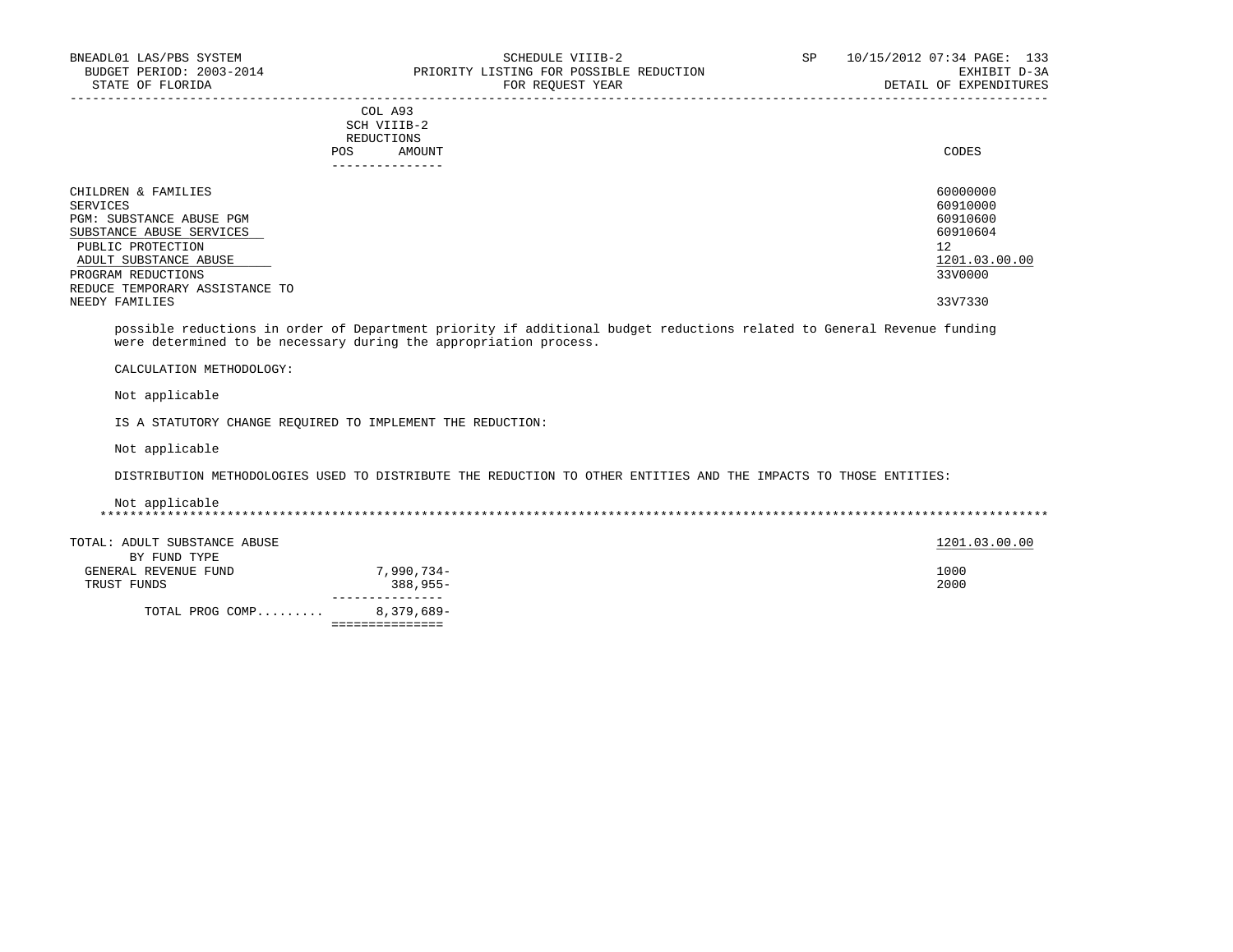### COL A93 SCH VIIIB-2 REDUCTIONS POS AMOUNT CODES AND A LOCAL CODES AND A LOCAL CODES AND A LOCAL CODES CODES AND A LOCAL CODES AND A LOCAL CODES ---------------

| CHILDREN & FAMILIES            | 60000000      |
|--------------------------------|---------------|
| SERVICES                       | 60910000      |
| PGM: SUBSTANCE ABUSE PGM       | 60910600      |
| SUBSTANCE ABUSE SERVICES       | 60910604      |
| PUBLIC PROTECTION              | 12            |
| ADULT SUBSTANCE ABUSE          | 1201.03.00.00 |
| PROGRAM REDUCTIONS             | 33V0000       |
| REDUCE TEMPORARY ASSISTANCE TO |               |
| NEEDY FAMILIES                 | 33V7330       |

-----------------------------------------------------------------------------------------------------------------------------------

 possible reductions in order of Department priority if additional budget reductions related to General Revenue funding were determined to be necessary during the appropriation process.

CALCULATION METHODOLOGY:

Not applicable

IS A STATUTORY CHANGE REQUIRED TO IMPLEMENT THE REDUCTION:

Not applicable

DISTRIBUTION METHODOLOGIES USED TO DISTRIBUTE THE REDUCTION TO OTHER ENTITIES AND THE IMPACTS TO THOSE ENTITIES:

 Not applicable \*\*\*\*\*\*\*\*\*\*\*\*\*\*\*\*\*\*\*\*\*\*\*\*\*\*\*\*\*\*\*\*\*\*\*\*\*\*\*\*\*\*\*\*\*\*\*\*\*\*\*\*\*\*\*\*\*\*\*\*\*\*\*\*\*\*\*\*\*\*\*\*\*\*\*\*\*\*\*\*\*\*\*\*\*\*\*\*\*\*\*\*\*\*\*\*\*\*\*\*\*\*\*\*\*\*\*\*\*\*\*\*\*\*\*\*\*\*\*\*\*\*\*\*\*\*\*

TOTAL: ADULT SUBSTANCE ABUSE 200.00 and the state of the state of the state of the state of the state of the state of the state of the state of the state of the state of the state of the state of the state of the state of BY FUND TYPE GENERAL REVENUE FUND 7,990,734-<br>
1000 TRUST FUNDS 388,955- 2000 ---------------

 TOTAL PROG COMP......... 8,379,689- ===============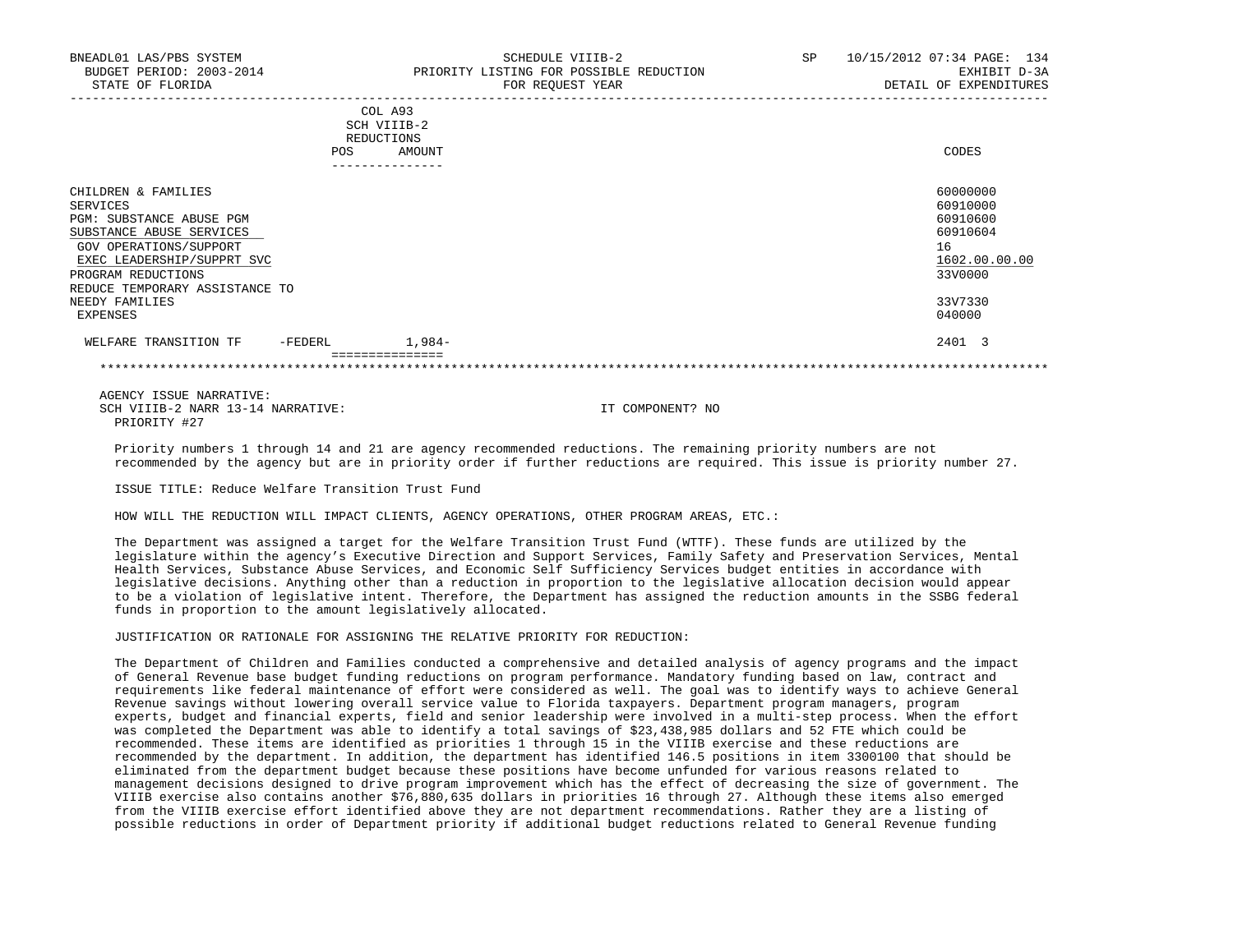| BNEADL01 LAS/PBS SYSTEM<br>BUDGET PERIOD: 2003-2014<br>STATE OF FLORIDA | SP<br>SCHEDULE VIIIB-2<br>PRIORITY LISTING FOR POSSIBLE REDUCTION<br>FOR REOUEST YEAR | 10/15/2012 07:34 PAGE: 134<br>EXHIBIT D-3A<br>DETAIL OF EXPENDITURES |
|-------------------------------------------------------------------------|---------------------------------------------------------------------------------------|----------------------------------------------------------------------|
|                                                                         | COL A93<br>SCH VIIIB-2<br>REDUCTIONS<br>AMOUNT<br>POS                                 | CODES                                                                |
| CHILDREN & FAMILIES                                                     |                                                                                       | 60000000                                                             |
| SERVICES                                                                |                                                                                       | 60910000                                                             |
| PGM: SUBSTANCE ABUSE PGM                                                |                                                                                       | 60910600                                                             |
| SUBSTANCE ABUSE SERVICES                                                |                                                                                       | 60910604                                                             |
| GOV OPERATIONS/SUPPORT                                                  |                                                                                       | 16                                                                   |
| EXEC LEADERSHIP/SUPPRT SVC                                              |                                                                                       | 1602.00.00.00                                                        |
| PROGRAM REDUCTIONS                                                      |                                                                                       | 33V0000                                                              |
| REDUCE TEMPORARY ASSISTANCE TO                                          |                                                                                       |                                                                      |
| NEEDY FAMILIES                                                          |                                                                                       | 33V7330                                                              |

 EXPENSES 040000 WELFARE TRANSITION TF FEDERL 1,984-<br>
2401 3 ===============

\*\*\*\*\*\*\*\*\*\*\*\*\*\*\*\*\*\*\*\*\*\*\*\*\*\*\*\*\*\*\*\*\*\*\*\*\*\*\*\*\*\*\*\*\*\*\*\*\*\*\*\*\*\*\*\*\*\*\*\*\*\*\*\*\*\*\*\*\*\*\*\*\*\*\*\*\*\*\*\*\*\*\*\*\*\*\*\*\*\*\*\*\*\*\*\*\*\*\*\*\*\*\*\*\*\*\*\*\*\*\*\*\*\*\*\*\*\*\*\*\*\*\*\*\*\*\*

 AGENCY ISSUE NARRATIVE: SCH VIIIB-2 NARR 13-14 NARRATIVE: IT COMPONENT? NO PRIORITY #27

 Priority numbers 1 through 14 and 21 are agency recommended reductions. The remaining priority numbers are not recommended by the agency but are in priority order if further reductions are required. This issue is priority number 27.

ISSUE TITLE: Reduce Welfare Transition Trust Fund

HOW WILL THE REDUCTION WILL IMPACT CLIENTS, AGENCY OPERATIONS, OTHER PROGRAM AREAS, ETC.:

 The Department was assigned a target for the Welfare Transition Trust Fund (WTTF). These funds are utilized by the legislature within the agency's Executive Direction and Support Services, Family Safety and Preservation Services, Mental Health Services, Substance Abuse Services, and Economic Self Sufficiency Services budget entities in accordance with legislative decisions. Anything other than a reduction in proportion to the legislative allocation decision would appear to be a violation of legislative intent. Therefore, the Department has assigned the reduction amounts in the SSBG federal funds in proportion to the amount legislatively allocated.

# JUSTIFICATION OR RATIONALE FOR ASSIGNING THE RELATIVE PRIORITY FOR REDUCTION:

 The Department of Children and Families conducted a comprehensive and detailed analysis of agency programs and the impact of General Revenue base budget funding reductions on program performance. Mandatory funding based on law, contract and requirements like federal maintenance of effort were considered as well. The goal was to identify ways to achieve General Revenue savings without lowering overall service value to Florida taxpayers. Department program managers, program experts, budget and financial experts, field and senior leadership were involved in a multi-step process. When the effort was completed the Department was able to identify a total savings of \$23,438,985 dollars and 52 FTE which could be recommended. These items are identified as priorities 1 through 15 in the VIIIB exercise and these reductions are recommended by the department. In addition, the department has identified 146.5 positions in item 3300100 that should be eliminated from the department budget because these positions have become unfunded for various reasons related to management decisions designed to drive program improvement which has the effect of decreasing the size of government. The VIIIB exercise also contains another \$76,880,635 dollars in priorities 16 through 27. Although these items also emerged from the VIIIB exercise effort identified above they are not department recommendations. Rather they are a listing of possible reductions in order of Department priority if additional budget reductions related to General Revenue funding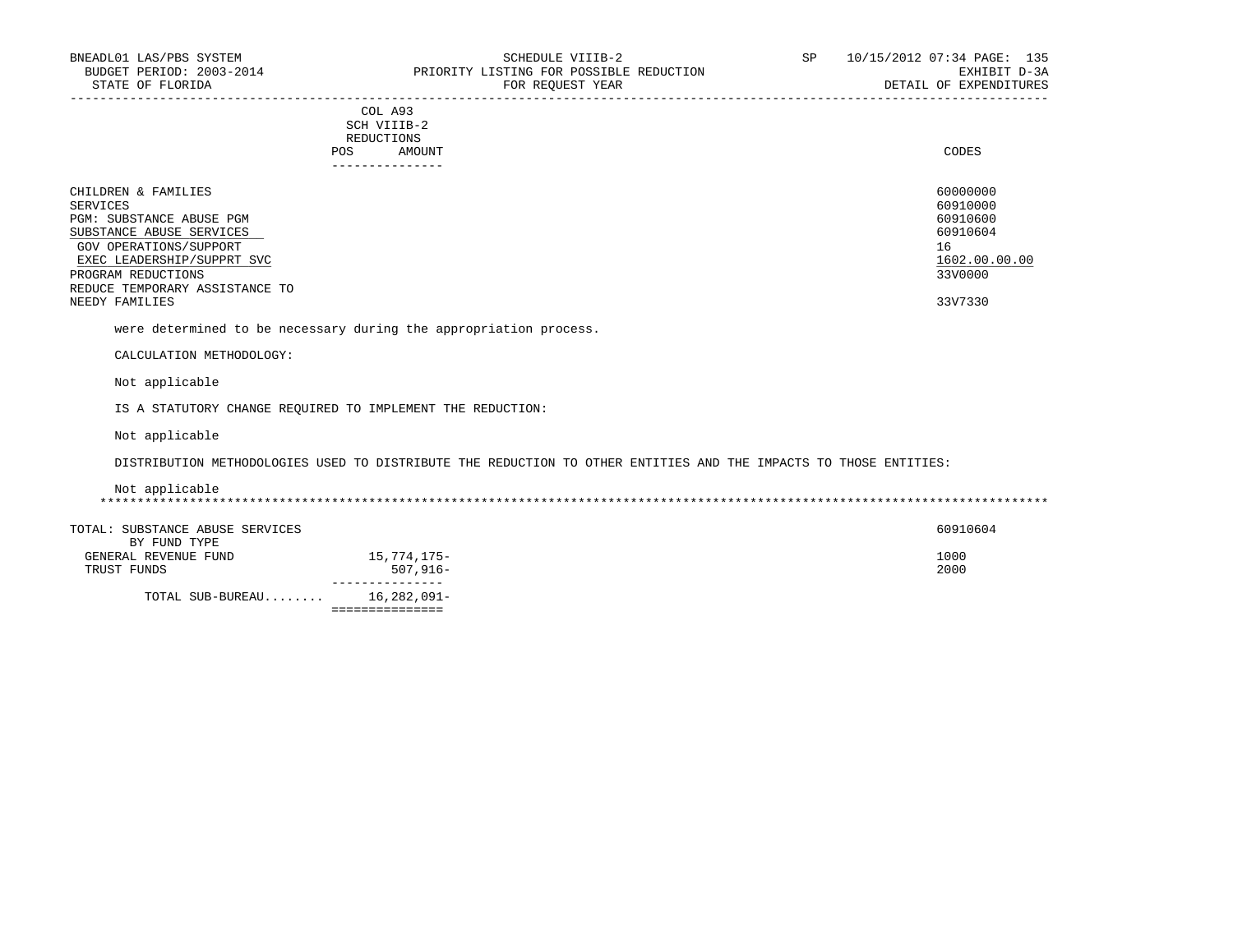| COL A93<br>SCH VIIIB-2<br>REDUCTIONS<br>AMOUNT<br><b>POS</b><br>------------ | CODES         |
|------------------------------------------------------------------------------|---------------|
| CHILDREN & FAMILIES                                                          | 60000000      |
| SERVICES                                                                     | 60910000      |
| PGM: SUBSTANCE ABUSE PGM                                                     | 60910600      |
| SUBSTANCE ABUSE SERVICES                                                     | 60910604      |
| GOV OPERATIONS/SUPPORT                                                       | 16            |
| EXEC LEADERSHIP/SUPPRT SVC                                                   | 1602.00.00.00 |
| PROGRAM REDUCTIONS                                                           | 33V0000       |
| REDUCE TEMPORARY ASSISTANCE TO                                               |               |
| NEEDY FAMILIES                                                               | 33V7330       |

were determined to be necessary during the appropriation process.

CALCULATION METHODOLOGY:

Not applicable

IS A STATUTORY CHANGE REQUIRED TO IMPLEMENT THE REDUCTION:

Not applicable

DISTRIBUTION METHODOLOGIES USED TO DISTRIBUTE THE REDUCTION TO OTHER ENTITIES AND THE IMPACTS TO THOSE ENTITIES:

# Not applicable \*\*\*\*\*\*\*\*\*\*\*\*\*\*\*\*\*\*\*\*\*\*\*\*\*\*\*\*\*\*\*\*\*\*\*\*\*\*\*\*\*\*\*\*\*\*\*\*\*\*\*\*\*\*\*\*\*\*\*\*\*\*\*\*\*\*\*\*\*\*\*\*\*\*\*\*\*\*\*\*\*\*\*\*\*\*\*\*\*\*\*\*\*\*\*\*\*\*\*\*\*\*\*\*\*\*\*\*\*\*\*\*\*\*\*\*\*\*\*\*\*\*\*\*\*\*\*

| TOTAL: SUBSTANCE ABUSE SERVICES |             | 60910604 |
|---------------------------------|-------------|----------|
| BY FUND TYPE                    |             |          |
| GENERAL REVENUE FUND            | 15,774,175– | 1000     |
| TRUST FUNDS                     | $507.916 -$ | 2000     |
|                                 |             |          |
| TOTAL SUB-BUREAU                | 16,282,091- |          |

===============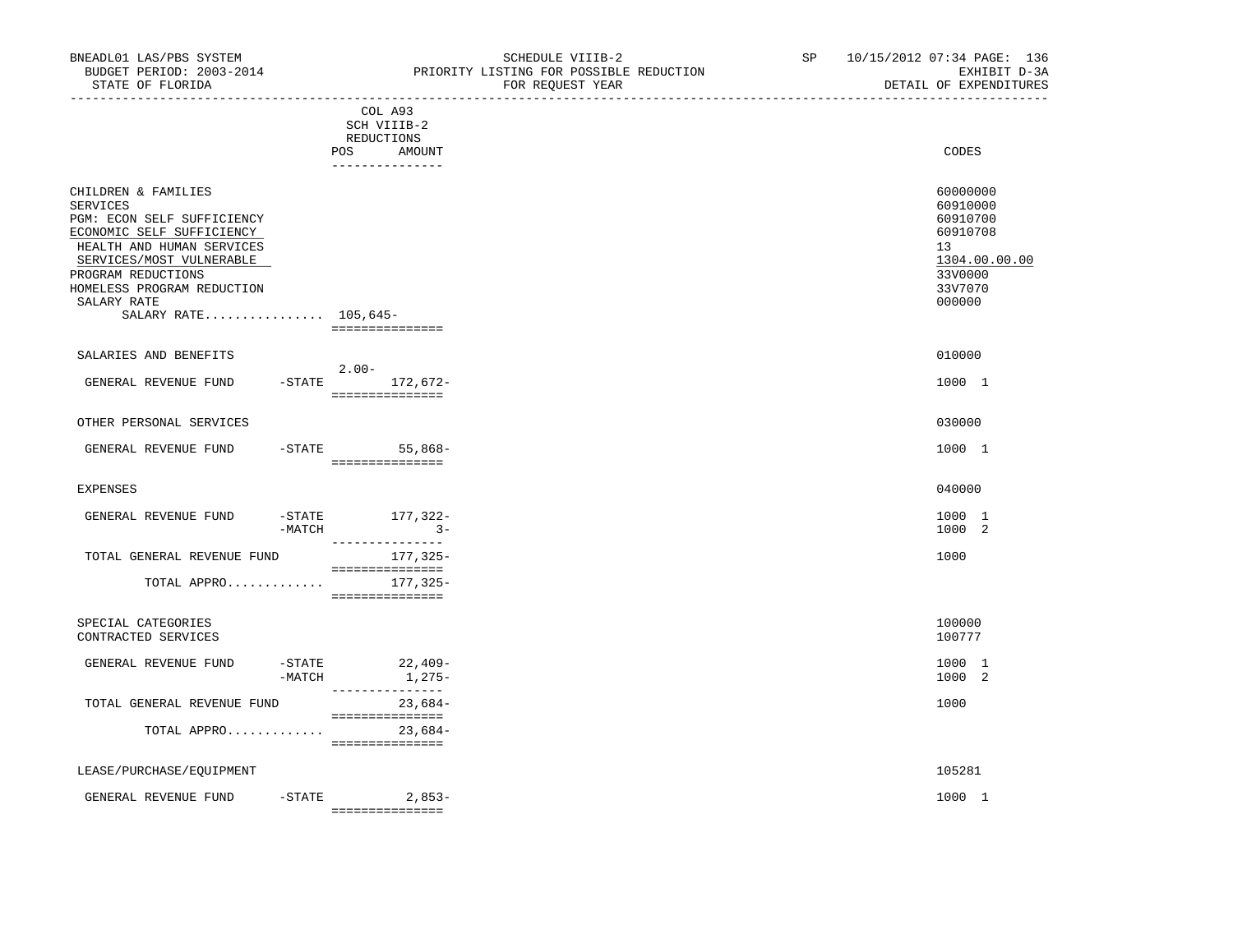|                                                                                                                                                                                                                                                       | COL A93<br>SCH VIIIB-2<br>REDUCTIONS             |                                                                                                     |
|-------------------------------------------------------------------------------------------------------------------------------------------------------------------------------------------------------------------------------------------------------|--------------------------------------------------|-----------------------------------------------------------------------------------------------------|
|                                                                                                                                                                                                                                                       | <b>POS</b><br>AMOUNT<br>_______________          | CODES                                                                                               |
| CHILDREN & FAMILIES<br><b>SERVICES</b><br>PGM: ECON SELF SUFFICIENCY<br>ECONOMIC SELF SUFFICIENCY<br>HEALTH AND HUMAN SERVICES<br>SERVICES/MOST VULNERABLE<br>PROGRAM REDUCTIONS<br>HOMELESS PROGRAM REDUCTION<br>SALARY RATE<br>SALARY RATE 105,645- | ===============                                  | 60000000<br>60910000<br>60910700<br>60910708<br>13<br>1304.00.00.00<br>33V0000<br>33V7070<br>000000 |
| SALARIES AND BENEFITS                                                                                                                                                                                                                                 |                                                  | 010000                                                                                              |
| GENERAL REVENUE FUND                                                                                                                                                                                                                                  | $2.00 -$<br>-STATE 172,672-<br>===============   | 1000 1                                                                                              |
| OTHER PERSONAL SERVICES                                                                                                                                                                                                                               |                                                  | 030000                                                                                              |
| GENERAL REVENUE FUND                                                                                                                                                                                                                                  | $-$ STATE 55,868-<br>---------------             | 1000 1                                                                                              |
| <b>EXPENSES</b>                                                                                                                                                                                                                                       |                                                  | 040000                                                                                              |
| GENERAL REVENUE FUND<br>-MATCH                                                                                                                                                                                                                        | $-$ STATE $177, 322-$<br>$3-$<br>--------------- | 1000 1<br>1000 2                                                                                    |
| TOTAL GENERAL REVENUE FUND                                                                                                                                                                                                                            | 177,325-<br>===============                      | 1000                                                                                                |
| TOTAL APPRO                                                                                                                                                                                                                                           | 177,325-<br>===============                      |                                                                                                     |
| SPECIAL CATEGORIES<br>CONTRACTED SERVICES                                                                                                                                                                                                             |                                                  | 100000<br>100777                                                                                    |
| GENERAL REVENUE FUND<br>$-MATCH$                                                                                                                                                                                                                      | $-$ STATE 22,409-<br>1,275-<br>________________  | 1000 1<br>1000 2                                                                                    |
| TOTAL GENERAL REVENUE FUND                                                                                                                                                                                                                            | $23,684-$<br>===============                     | 1000                                                                                                |
| TOTAL APPRO                                                                                                                                                                                                                                           | $23,684-$<br>===============                     |                                                                                                     |
| LEASE/PURCHASE/EQUIPMENT                                                                                                                                                                                                                              |                                                  | 105281                                                                                              |

GENERAL REVENUE FUND -STATE 2,853- 2000 1 ===============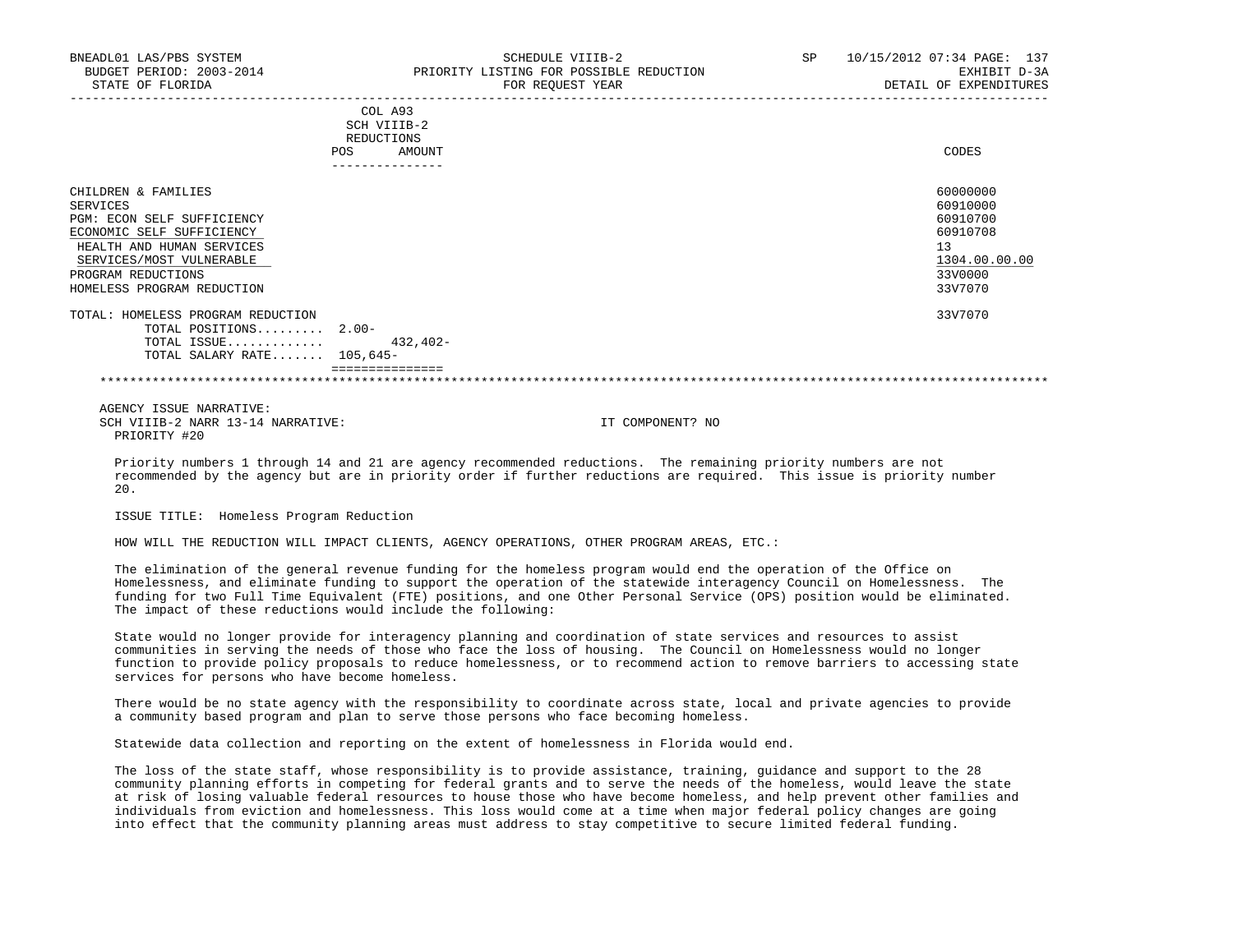| BNEADL01 LAS/PBS SYSTEM<br>BUDGET PERIOD: 2003-2014                                                                                                                                                     | SCHEDULE VIIIB-2<br>PRIORITY LISTING FOR POSSIBLE REDUCTION  | SP. | 10/15/2012 07:34 PAGE: 137<br>EXHIBIT D-3A                                                |
|---------------------------------------------------------------------------------------------------------------------------------------------------------------------------------------------------------|--------------------------------------------------------------|-----|-------------------------------------------------------------------------------------------|
| STATE OF FLORIDA                                                                                                                                                                                        | FOR REQUEST YEAR                                             |     | DETAIL OF EXPENDITURES                                                                    |
|                                                                                                                                                                                                         | COL A93<br>SCH VIIIB-2<br>REDUCTIONS<br>AMOUNT<br><b>POS</b> |     | CODES                                                                                     |
| CHILDREN & FAMILIES<br>SERVICES<br>PGM: ECON SELF SUFFICIENCY<br>ECONOMIC SELF SUFFICIENCY<br>HEALTH AND HUMAN SERVICES<br>SERVICES/MOST VULNERABLE<br>PROGRAM REDUCTIONS<br>HOMELESS PROGRAM REDUCTION |                                                              |     | 60000000<br>60910000<br>60910700<br>60910708<br>13<br>1304.00.00.00<br>33V0000<br>33V7070 |
| TOTAL: HOMELESS PROGRAM REDUCTION<br>TOTAL POSITIONS $2.00-$<br>TOTAL ISSUE<br>TOTAL SALARY RATE $105,645-$                                                                                             | 432,402-                                                     |     | 33V7070                                                                                   |
|                                                                                                                                                                                                         |                                                              |     |                                                                                           |

 AGENCY ISSUE NARRATIVE: SCH VIIIB-2 NARR 13-14 NARRATIVE: IT COMPONENT? NO PRIORITY #20

 Priority numbers 1 through 14 and 21 are agency recommended reductions. The remaining priority numbers are not recommended by the agency but are in priority order if further reductions are required. This issue is priority number 20.

ISSUE TITLE: Homeless Program Reduction

HOW WILL THE REDUCTION WILL IMPACT CLIENTS, AGENCY OPERATIONS, OTHER PROGRAM AREAS, ETC.:

 The elimination of the general revenue funding for the homeless program would end the operation of the Office on Homelessness, and eliminate funding to support the operation of the statewide interagency Council on Homelessness. The funding for two Full Time Equivalent (FTE) positions, and one Other Personal Service (OPS) position would be eliminated. The impact of these reductions would include the following:

 State would no longer provide for interagency planning and coordination of state services and resources to assist communities in serving the needs of those who face the loss of housing. The Council on Homelessness would no longer function to provide policy proposals to reduce homelessness, or to recommend action to remove barriers to accessing state services for persons who have become homeless.

 There would be no state agency with the responsibility to coordinate across state, local and private agencies to provide a community based program and plan to serve those persons who face becoming homeless.

Statewide data collection and reporting on the extent of homelessness in Florida would end.

 The loss of the state staff, whose responsibility is to provide assistance, training, guidance and support to the 28 community planning efforts in competing for federal grants and to serve the needs of the homeless, would leave the state at risk of losing valuable federal resources to house those who have become homeless, and help prevent other families and individuals from eviction and homelessness. This loss would come at a time when major federal policy changes are going into effect that the community planning areas must address to stay competitive to secure limited federal funding.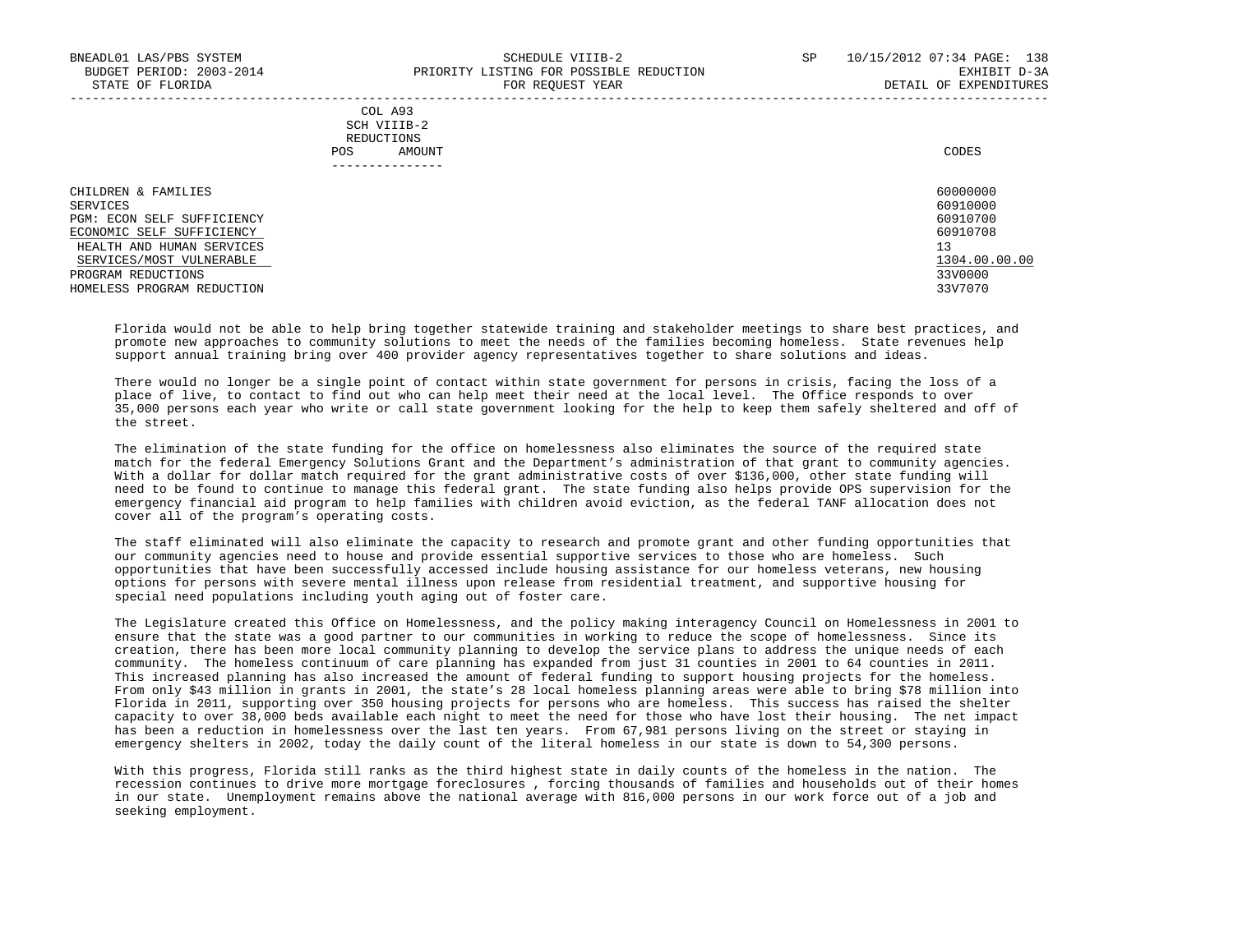| COL A93     |       |
|-------------|-------|
| SCH VIIIB-2 |       |
| REDUCTIONS  |       |
| AMOUNT      | CODES |
|             |       |

| CHILDREN & FAMILIES                                   | 60000000             |
|-------------------------------------------------------|----------------------|
| SERVICES<br>PGM: ECON SELF SUFFICIENCY                | 60910000<br>60910700 |
| ECONOMIC SELF SUFFICIENCY                             | 60910708             |
| HEALTH AND HUMAN SERVICES<br>SERVICES/MOST VULNERABLE | 13<br>1304.00.00.00  |
| PROGRAM REDUCTIONS<br>HOMELESS PROGRAM REDUCTION      | 33V0000<br>33V7070   |

 Florida would not be able to help bring together statewide training and stakeholder meetings to share best practices, and promote new approaches to community solutions to meet the needs of the families becoming homeless. State revenues help support annual training bring over 400 provider agency representatives together to share solutions and ideas.

 There would no longer be a single point of contact within state government for persons in crisis, facing the loss of a place of live, to contact to find out who can help meet their need at the local level. The Office responds to over 35,000 persons each year who write or call state government looking for the help to keep them safely sheltered and off of the street.

 The elimination of the state funding for the office on homelessness also eliminates the source of the required state match for the federal Emergency Solutions Grant and the Department's administration of that grant to community agencies. With a dollar for dollar match required for the grant administrative costs of over \$136,000, other state funding will need to be found to continue to manage this federal grant. The state funding also helps provide OPS supervision for the emergency financial aid program to help families with children avoid eviction, as the federal TANF allocation does not cover all of the program's operating costs.

 The staff eliminated will also eliminate the capacity to research and promote grant and other funding opportunities that our community agencies need to house and provide essential supportive services to those who are homeless. Such opportunities that have been successfully accessed include housing assistance for our homeless veterans, new housing options for persons with severe mental illness upon release from residential treatment, and supportive housing for special need populations including youth aging out of foster care.

 The Legislature created this Office on Homelessness, and the policy making interagency Council on Homelessness in 2001 to ensure that the state was a good partner to our communities in working to reduce the scope of homelessness. Since its creation, there has been more local community planning to develop the service plans to address the unique needs of each community. The homeless continuum of care planning has expanded from just 31 counties in 2001 to 64 counties in 2011. This increased planning has also increased the amount of federal funding to support housing projects for the homeless. From only \$43 million in grants in 2001, the state's 28 local homeless planning areas were able to bring \$78 million into Florida in 2011, supporting over 350 housing projects for persons who are homeless. This success has raised the shelter capacity to over 38,000 beds available each night to meet the need for those who have lost their housing. The net impact has been a reduction in homelessness over the last ten years. From 67,981 persons living on the street or staying in emergency shelters in 2002, today the daily count of the literal homeless in our state is down to 54,300 persons.

 With this progress, Florida still ranks as the third highest state in daily counts of the homeless in the nation. The recession continues to drive more mortgage foreclosures , forcing thousands of families and households out of their homes in our state. Unemployment remains above the national average with 816,000 persons in our work force out of a job and seeking employment.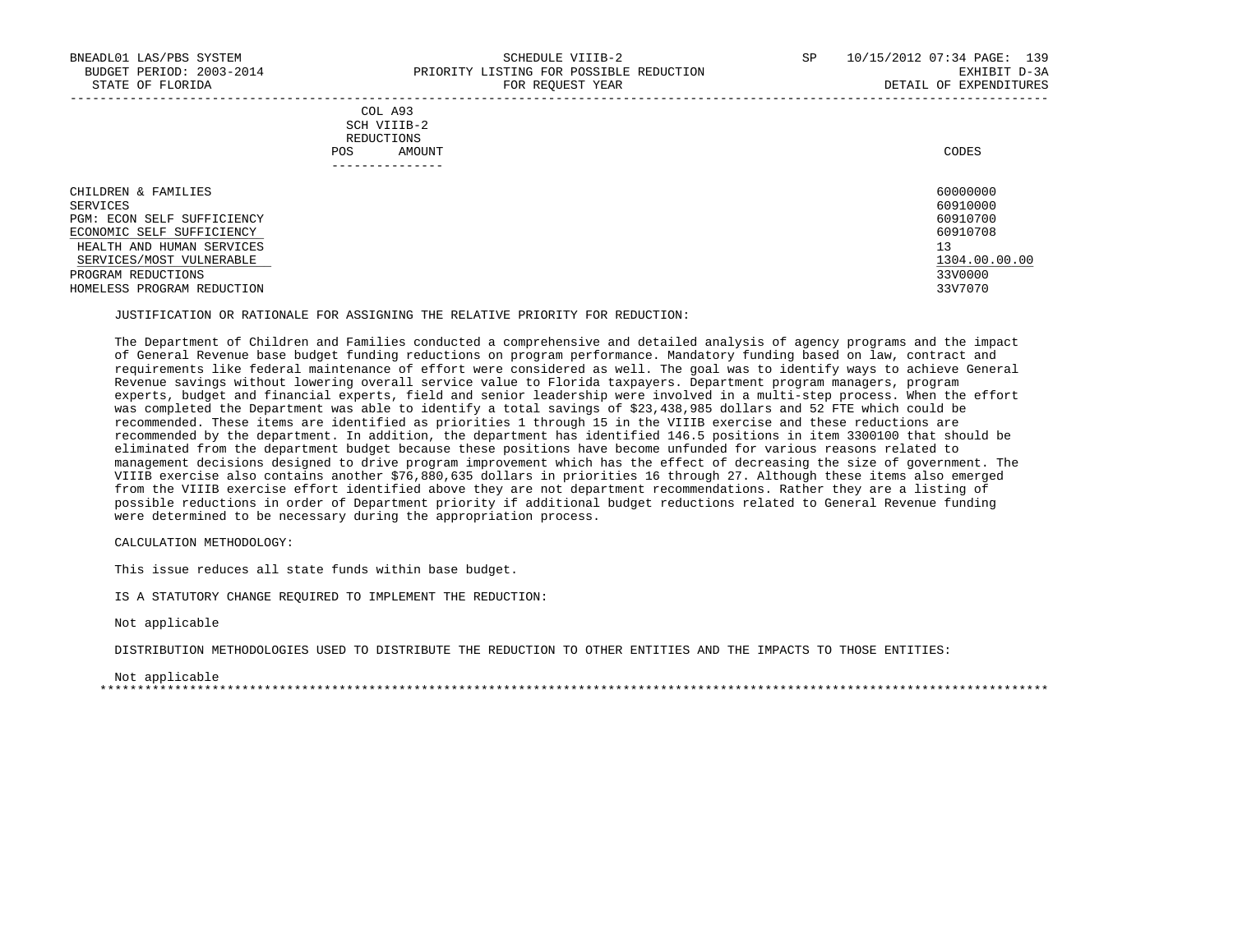|            | _______________ |       |
|------------|-----------------|-------|
| POS        | AMOUNT          | CODES |
| REDUCTIONS |                 |       |
|            | SCH VIIIB-2     |       |
|            | COL A93         |       |

| CHILDREN & FAMILIES        | 60000000      |
|----------------------------|---------------|
| SERVICES                   | 60910000      |
| PGM: ECON SELF SUFFICIENCY | 60910700      |
| ECONOMIC SELF SUFFICIENCY  | 60910708      |
| HEALTH AND HUMAN SERVICES  | 13            |
| SERVICES/MOST VULNERABLE   | 1304.00.00.00 |
| PROGRAM REDUCTIONS         | 33V0000       |
| HOMELESS PROGRAM REDUCTION | 33V7070       |

### JUSTIFICATION OR RATIONALE FOR ASSIGNING THE RELATIVE PRIORITY FOR REDUCTION:

 The Department of Children and Families conducted a comprehensive and detailed analysis of agency programs and the impact of General Revenue base budget funding reductions on program performance. Mandatory funding based on law, contract and requirements like federal maintenance of effort were considered as well. The goal was to identify ways to achieve General Revenue savings without lowering overall service value to Florida taxpayers. Department program managers, program experts, budget and financial experts, field and senior leadership were involved in a multi-step process. When the effort was completed the Department was able to identify a total savings of \$23,438,985 dollars and 52 FTE which could be recommended. These items are identified as priorities 1 through 15 in the VIIIB exercise and these reductions are recommended by the department. In addition, the department has identified 146.5 positions in item 3300100 that should be eliminated from the department budget because these positions have become unfunded for various reasons related to management decisions designed to drive program improvement which has the effect of decreasing the size of government. The VIIIB exercise also contains another \$76,880,635 dollars in priorities 16 through 27. Although these items also emerged from the VIIIB exercise effort identified above they are not department recommendations. Rather they are a listing of possible reductions in order of Department priority if additional budget reductions related to General Revenue funding were determined to be necessary during the appropriation process.

CALCULATION METHODOLOGY:

This issue reduces all state funds within base budget.

IS A STATUTORY CHANGE REQUIRED TO IMPLEMENT THE REDUCTION:

Not applicable

DISTRIBUTION METHODOLOGIES USED TO DISTRIBUTE THE REDUCTION TO OTHER ENTITIES AND THE IMPACTS TO THOSE ENTITIES:

 Not applicable \*\*\*\*\*\*\*\*\*\*\*\*\*\*\*\*\*\*\*\*\*\*\*\*\*\*\*\*\*\*\*\*\*\*\*\*\*\*\*\*\*\*\*\*\*\*\*\*\*\*\*\*\*\*\*\*\*\*\*\*\*\*\*\*\*\*\*\*\*\*\*\*\*\*\*\*\*\*\*\*\*\*\*\*\*\*\*\*\*\*\*\*\*\*\*\*\*\*\*\*\*\*\*\*\*\*\*\*\*\*\*\*\*\*\*\*\*\*\*\*\*\*\*\*\*\*\*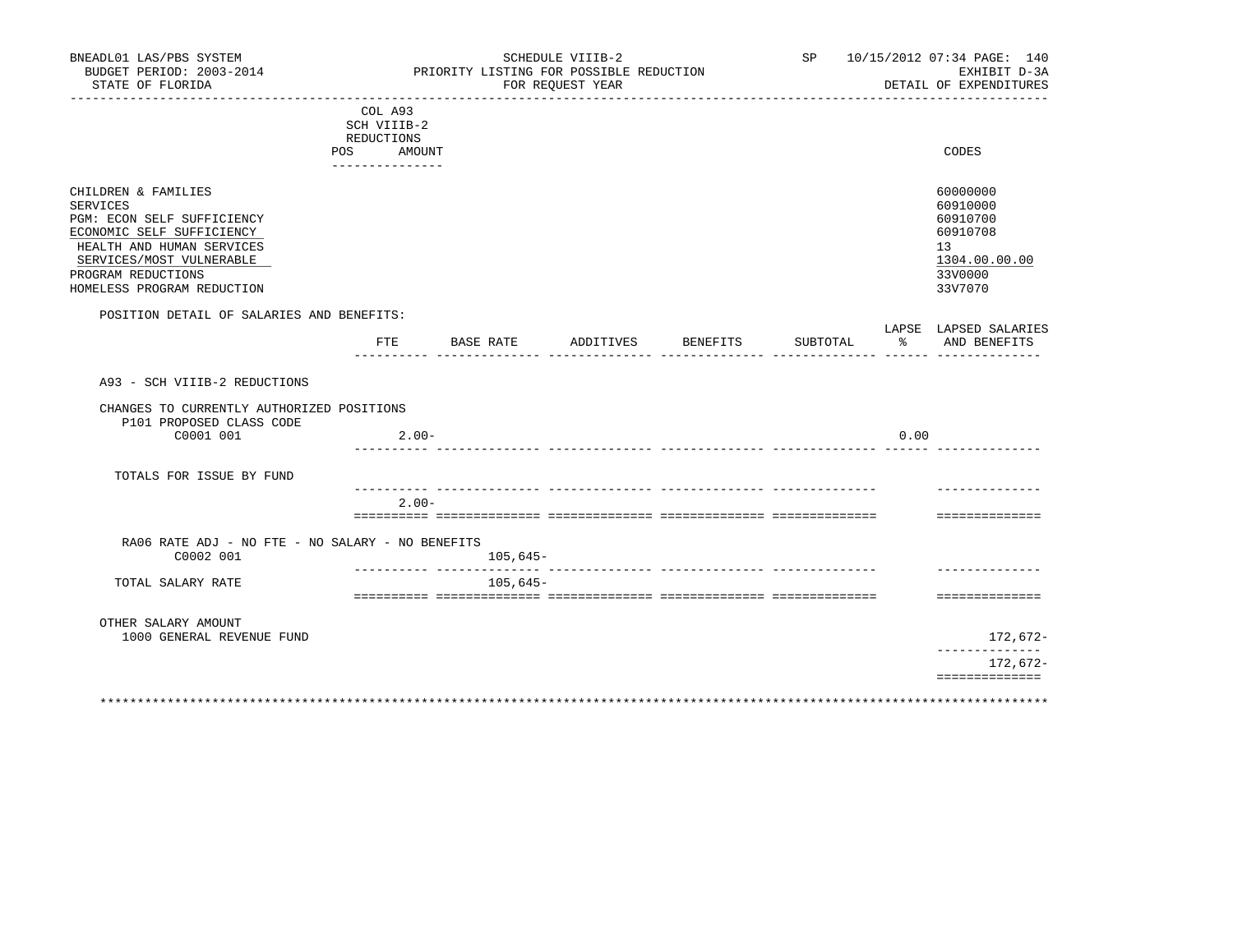| BNEADL01 LAS/PBS SYSTEM<br>BUDGET PERIOD: 2003-2014<br>STATE OF FLORIDA                                                                                                                                 |                                                                       | PRIORITY LISTING FOR POSSIBLE REDUCTION | SCHEDULE VIIIB-2<br>FOR REQUEST YEAR<br>------------ |                    |                              | SP 10/15/2012 07:34 PAGE: 140<br>EXHIBIT D-3A<br>DETAIL OF EXPENDITURES                   |
|---------------------------------------------------------------------------------------------------------------------------------------------------------------------------------------------------------|-----------------------------------------------------------------------|-----------------------------------------|------------------------------------------------------|--------------------|------------------------------|-------------------------------------------------------------------------------------------|
|                                                                                                                                                                                                         | COL A93<br>SCH VIIIB-2<br>REDUCTIONS<br>POS AMOUNT<br>--------------- |                                         |                                                      |                    |                              | CODES                                                                                     |
| CHILDREN & FAMILIES<br>SERVICES<br>PGM: ECON SELF SUFFICIENCY<br>ECONOMIC SELF SUFFICIENCY<br>HEALTH AND HUMAN SERVICES<br>SERVICES/MOST VULNERABLE<br>PROGRAM REDUCTIONS<br>HOMELESS PROGRAM REDUCTION |                                                                       |                                         |                                                      |                    |                              | 60000000<br>60910000<br>60910700<br>60910708<br>13<br>1304.00.00.00<br>33V0000<br>33V7070 |
| POSITION DETAIL OF SALARIES AND BENEFITS:                                                                                                                                                               | FTE                                                                   | BASE RATE                               |                                                      | ADDITIVES BENEFITS | SUBTOTAL                     | LAPSE LAPSED SALARIES<br>ႜႂ<br>AND BENEFITS                                               |
|                                                                                                                                                                                                         |                                                                       |                                         |                                                      |                    | ______ _______________ _____ |                                                                                           |
| A93 - SCH VIIIB-2 REDUCTIONS                                                                                                                                                                            |                                                                       |                                         |                                                      |                    |                              |                                                                                           |
| CHANGES TO CURRENTLY AUTHORIZED POSITIONS<br>P101 PROPOSED CLASS CODE<br>C0001 001                                                                                                                      | $2.00 -$                                                              |                                         |                                                      |                    |                              | 0.00                                                                                      |
| TOTALS FOR ISSUE BY FUND                                                                                                                                                                                |                                                                       |                                         |                                                      |                    |                              |                                                                                           |
|                                                                                                                                                                                                         | $2.00 -$                                                              |                                         |                                                      |                    |                              |                                                                                           |
| RA06 RATE ADJ - NO FTE - NO SALARY - NO BENEFITS<br>C0002 001                                                                                                                                           |                                                                       | $105,645-$                              |                                                      |                    |                              | ==============                                                                            |
| TOTAL SALARY RATE                                                                                                                                                                                       |                                                                       | $105,645-$                              |                                                      |                    |                              |                                                                                           |
| OTHER SALARY AMOUNT                                                                                                                                                                                     |                                                                       |                                         |                                                      |                    |                              | ==============                                                                            |
| 1000 GENERAL REVENUE FUND                                                                                                                                                                               |                                                                       |                                         |                                                      |                    |                              | 172,672-<br>-------------                                                                 |
|                                                                                                                                                                                                         |                                                                       |                                         |                                                      |                    |                              | 172,672-<br>==============                                                                |
|                                                                                                                                                                                                         |                                                                       |                                         |                                                      |                    |                              |                                                                                           |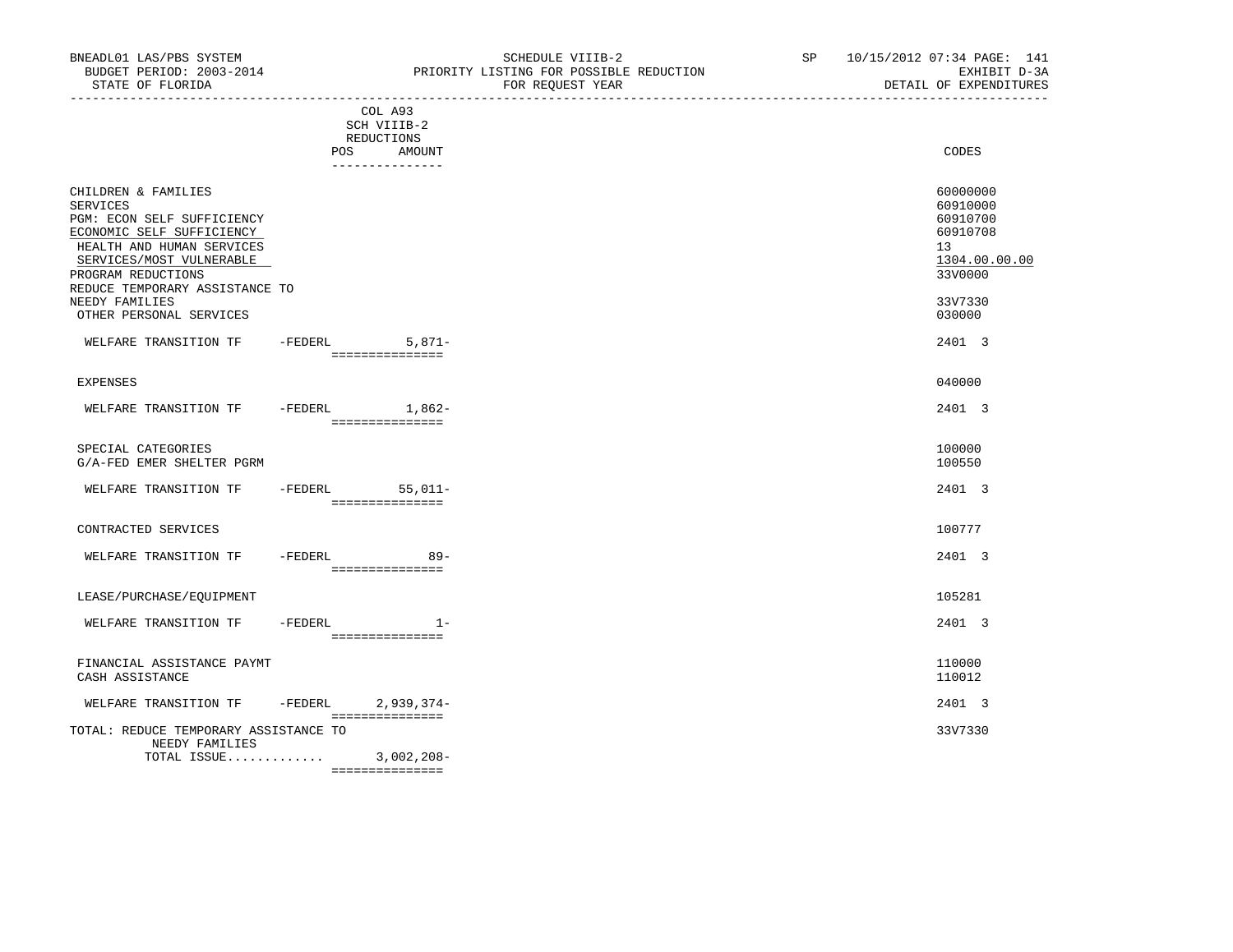TOTAL ISSUE............. 3,002,208-

===============

|                                                                                                                                                                                                                               |           | COL A93<br>SCH VIIIB-2<br>REDUCTIONS<br>POS AMOUNT | CODES                                                                                     |
|-------------------------------------------------------------------------------------------------------------------------------------------------------------------------------------------------------------------------------|-----------|----------------------------------------------------|-------------------------------------------------------------------------------------------|
|                                                                                                                                                                                                                               |           | _______________                                    |                                                                                           |
| CHILDREN & FAMILIES<br>SERVICES<br>PGM: ECON SELF SUFFICIENCY<br>ECONOMIC SELF SUFFICIENCY<br>HEALTH AND HUMAN SERVICES<br>SERVICES/MOST VULNERABLE<br>PROGRAM REDUCTIONS<br>REDUCE TEMPORARY ASSISTANCE TO<br>NEEDY FAMILIES |           |                                                    | 60000000<br>60910000<br>60910700<br>60910708<br>13<br>1304.00.00.00<br>33V0000<br>33V7330 |
| OTHER PERSONAL SERVICES                                                                                                                                                                                                       |           |                                                    | 030000                                                                                    |
| WELFARE TRANSITION TF                                                                                                                                                                                                         |           | $-FEDERL$ 5,871-<br>===============                | 2401 3                                                                                    |
| EXPENSES                                                                                                                                                                                                                      |           |                                                    | 040000                                                                                    |
| WELFARE TRANSITION TF                                                                                                                                                                                                         |           | -FEDERL 1,862-<br>----------------                 | 2401 3                                                                                    |
| SPECIAL CATEGORIES<br>G/A-FED EMER SHELTER PGRM                                                                                                                                                                               |           |                                                    | 100000<br>100550                                                                          |
| WELFARE TRANSITION TF                                                                                                                                                                                                         |           | $-FEDERL$ 55,011-<br>________________              | 2401 3                                                                                    |
| CONTRACTED SERVICES                                                                                                                                                                                                           |           |                                                    | 100777                                                                                    |
| WELFARE TRANSITION TF                                                                                                                                                                                                         | -FEDERL   | $89 -$<br>________________                         | 2401 3                                                                                    |
| LEASE/PURCHASE/EQUIPMENT                                                                                                                                                                                                      |           |                                                    | 105281                                                                                    |
| WELFARE TRANSITION TF -FEDERL                                                                                                                                                                                                 |           | $1 -$<br>---------------                           | 2401 3                                                                                    |
| FINANCIAL ASSISTANCE PAYMT<br>CASH ASSISTANCE                                                                                                                                                                                 |           |                                                    | 110000<br>110012                                                                          |
| WELFARE TRANSITION TF                                                                                                                                                                                                         | $-FEDERL$ | $2,939,374-$<br>===============                    | 2401 3                                                                                    |
| TOTAL: REDUCE TEMPORARY ASSISTANCE TO<br>NEEDY FAMILIES                                                                                                                                                                       |           |                                                    | 33V7330                                                                                   |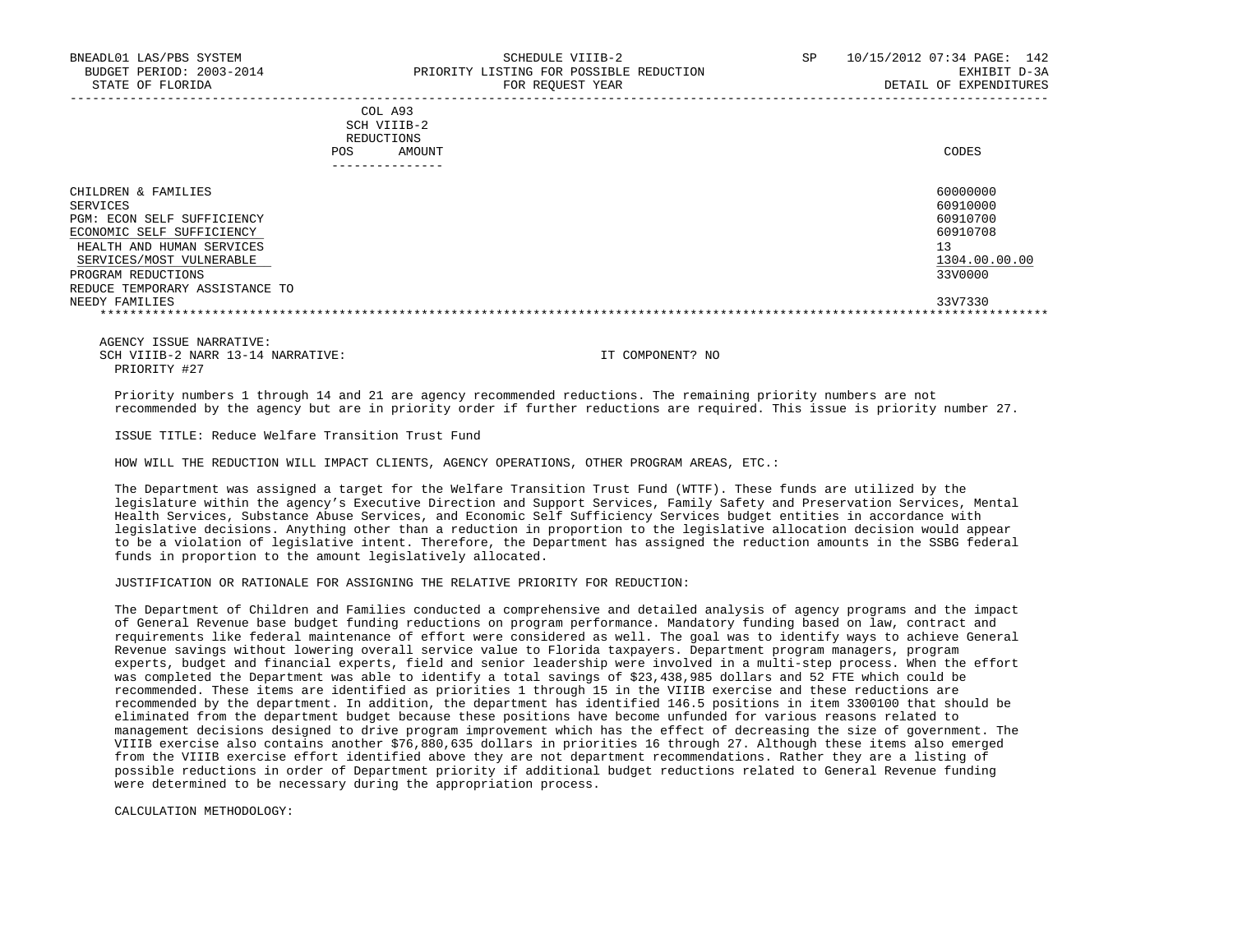|     | ---------------- |       |
|-----|------------------|-------|
| POS | AMOUNT           | CODES |
|     | REDUCTIONS       |       |
|     | SCH VIIIB-2      |       |
|     | COL A93          |       |

| CHILDREN & FAMILIES            | 60000000      |
|--------------------------------|---------------|
| SERVICES                       | 60910000      |
| PGM: ECON SELF SUFFICIENCY     | 60910700      |
| ECONOMIC SELF SUFFICIENCY      | 60910708      |
| HEALTH AND HUMAN SERVICES      |               |
| SERVICES/MOST VULNERABLE       | 1304.00.00.00 |
| PROGRAM REDUCTIONS             | 33V0000       |
| REDUCE TEMPORARY ASSISTANCE TO |               |
| NEEDY FAMILIES                 | 33V7330       |
|                                |               |

 AGENCY ISSUE NARRATIVE: SCH VIIIB-2 NARR 13-14 NARRATIVE: IT COMPONENT? NO PRIORITY #27

 Priority numbers 1 through 14 and 21 are agency recommended reductions. The remaining priority numbers are not recommended by the agency but are in priority order if further reductions are required. This issue is priority number 27.

ISSUE TITLE: Reduce Welfare Transition Trust Fund

HOW WILL THE REDUCTION WILL IMPACT CLIENTS, AGENCY OPERATIONS, OTHER PROGRAM AREAS, ETC.:

 The Department was assigned a target for the Welfare Transition Trust Fund (WTTF). These funds are utilized by the legislature within the agency's Executive Direction and Support Services, Family Safety and Preservation Services, Mental Health Services, Substance Abuse Services, and Economic Self Sufficiency Services budget entities in accordance with legislative decisions. Anything other than a reduction in proportion to the legislative allocation decision would appear to be a violation of legislative intent. Therefore, the Department has assigned the reduction amounts in the SSBG federal funds in proportion to the amount legislatively allocated.

JUSTIFICATION OR RATIONALE FOR ASSIGNING THE RELATIVE PRIORITY FOR REDUCTION:

 The Department of Children and Families conducted a comprehensive and detailed analysis of agency programs and the impact of General Revenue base budget funding reductions on program performance. Mandatory funding based on law, contract and requirements like federal maintenance of effort were considered as well. The goal was to identify ways to achieve General Revenue savings without lowering overall service value to Florida taxpayers. Department program managers, program experts, budget and financial experts, field and senior leadership were involved in a multi-step process. When the effort was completed the Department was able to identify a total savings of \$23,438,985 dollars and 52 FTE which could be recommended. These items are identified as priorities 1 through 15 in the VIIIB exercise and these reductions are recommended by the department. In addition, the department has identified 146.5 positions in item 3300100 that should be eliminated from the department budget because these positions have become unfunded for various reasons related to management decisions designed to drive program improvement which has the effect of decreasing the size of government. The VIIIB exercise also contains another \$76,880,635 dollars in priorities 16 through 27. Although these items also emerged from the VIIIB exercise effort identified above they are not department recommendations. Rather they are a listing of possible reductions in order of Department priority if additional budget reductions related to General Revenue funding were determined to be necessary during the appropriation process.

CALCULATION METHODOLOGY: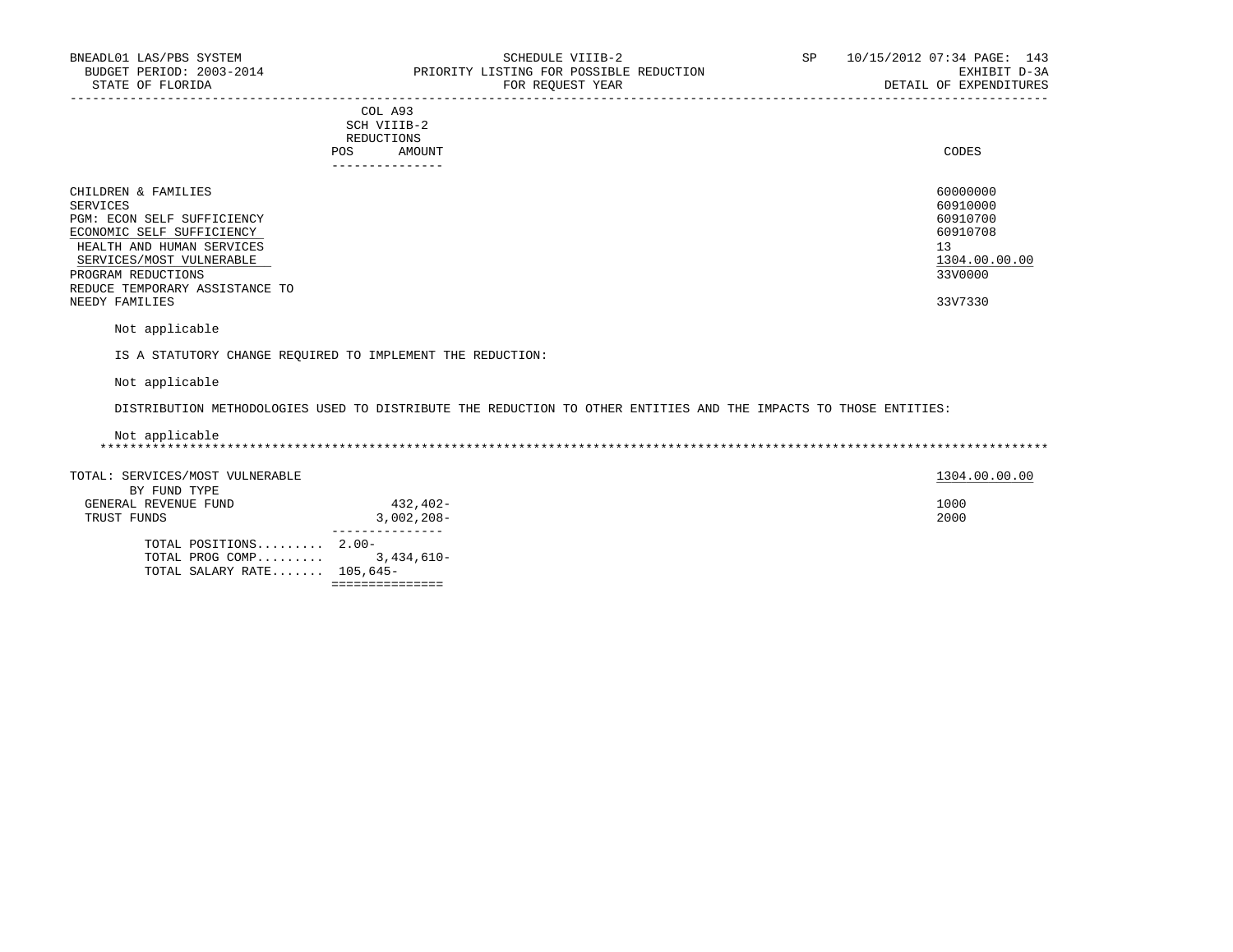| COL A93<br>SCH VIIIB-2<br>REDUCTIONS<br>AMOUNT<br>POS<br>---------------                                                                                                                                                      | CODES                                                                                     |
|-------------------------------------------------------------------------------------------------------------------------------------------------------------------------------------------------------------------------------|-------------------------------------------------------------------------------------------|
| CHILDREN & FAMILIES<br>SERVICES<br>PGM: ECON SELF SUFFICIENCY<br>ECONOMIC SELF SUFFICIENCY<br>HEALTH AND HUMAN SERVICES<br>SERVICES/MOST VULNERABLE<br>PROGRAM REDUCTIONS<br>REDUCE TEMPORARY ASSISTANCE TO<br>NEEDY FAMILIES | 60000000<br>60910000<br>60910700<br>60910708<br>13<br>1304.00.00.00<br>33V0000<br>33V7330 |
| Not applicable                                                                                                                                                                                                                |                                                                                           |

IS A STATUTORY CHANGE REQUIRED TO IMPLEMENT THE REDUCTION:

Not applicable

DISTRIBUTION METHODOLOGIES USED TO DISTRIBUTE THE REDUCTION TO OTHER ENTITIES AND THE IMPACTS TO THOSE ENTITIES:

| Not applicable |  |
|----------------|--|
|                |  |

| TOTAL SALARY RATE $105,645-$    |              |               |
|---------------------------------|--------------|---------------|
| TOTAL PROG COMP 3,434,610-      |              |               |
| TOTAL POSITIONS $2.00-$         |              |               |
|                                 |              |               |
| TRUST FUNDS                     | $3,002,208-$ | 2000          |
| GENERAL REVENUE FUND            | 432,402-     | 1000          |
| BY FUND TYPE                    |              |               |
| TOTAL: SERVICES/MOST VULNERABLE |              | 1304.00.00.00 |
|                                 |              |               |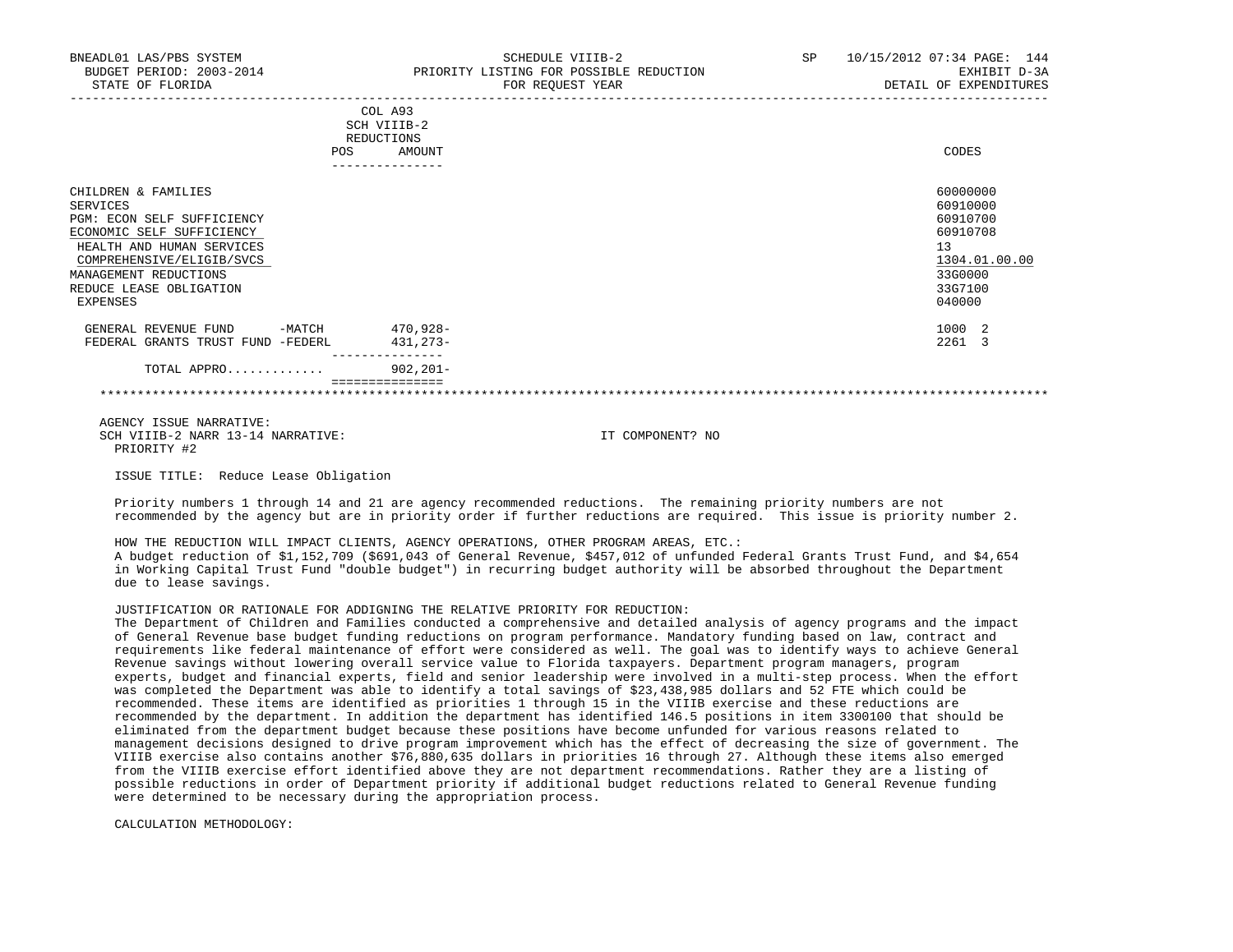| BNEADL01 LAS/PBS SYSTEM<br>BUDGET PERIOD: 2003-2014<br>STATE OF FLORIDA                                                                              | SCHEDULE VIIIB-2<br>PRIORITY LISTING FOR POSSIBLE REDUCTION<br>FOR REQUEST YEAR                        | SP | 10/15/2012 07:34 PAGE: 144<br>EXHIBIT D-3A<br>DETAIL OF EXPENDITURES |
|------------------------------------------------------------------------------------------------------------------------------------------------------|--------------------------------------------------------------------------------------------------------|----|----------------------------------------------------------------------|
|                                                                                                                                                      | COL A93<br>SCH VIIIB-2<br><b>REDUCTIONS</b><br>AMOUNT<br><b>POS</b><br>. _ _ _ _ _ _ _ _ _ _ _ _ _ _ _ |    | CODES                                                                |
| CHILDREN & FAMILIES<br>SERVICES<br>PGM: ECON SELF SUFFICIENCY<br>ECONOMIC SELF SUFFICIENCY<br>HEALTH AND HUMAN SERVICES<br>COMPREHENSIVE/ELIGIB/SVCS |                                                                                                        |    | 60000000<br>60910000<br>60910700<br>60910708<br>13<br>1304.01.00.00  |
| MANAGEMENT REDUCTIONS<br>REDUCE LEASE OBLIGATION<br>EXPENSES                                                                                         |                                                                                                        |    | 33G0000<br>33G7100<br>040000                                         |

GENERAL REVENUE FUND -MATCH 470,928- 1000 2 FEDERAL GRANTS TRUST FUND -FEDERL 431,273- 2261 3 ---------------

 TOTAL APPRO............. 902,201- ===============

\*\*\*\*\*\*\*\*\*\*\*\*\*\*\*\*\*\*\*\*\*\*\*\*\*\*\*\*\*\*\*\*\*\*\*\*\*\*\*\*\*\*\*\*\*\*\*\*\*\*\*\*\*\*\*\*\*\*\*\*\*\*\*\*\*\*\*\*\*\*\*\*\*\*\*\*\*\*\*\*\*\*\*\*\*\*\*\*\*\*\*\*\*\*\*\*\*\*\*\*\*\*\*\*\*\*\*\*\*\*\*\*\*\*\*\*\*\*\*\*\*\*\*\*\*\*\*

 AGENCY ISSUE NARRATIVE: SCH VIIIB-2 NARR 13-14 NARRATIVE: IT COMPONENT? NO PRIORITY #2

ISSUE TITLE: Reduce Lease Obligation

 Priority numbers 1 through 14 and 21 are agency recommended reductions. The remaining priority numbers are not recommended by the agency but are in priority order if further reductions are required. This issue is priority number 2.

 HOW THE REDUCTION WILL IMPACT CLIENTS, AGENCY OPERATIONS, OTHER PROGRAM AREAS, ETC.: A budget reduction of \$1,152,709 (\$691,043 of General Revenue, \$457,012 of unfunded Federal Grants Trust Fund, and \$4,654 in Working Capital Trust Fund "double budget") in recurring budget authority will be absorbed throughout the Department due to lease savings.

### JUSTIFICATION OR RATIONALE FOR ADDIGNING THE RELATIVE PRIORITY FOR REDUCTION:

 The Department of Children and Families conducted a comprehensive and detailed analysis of agency programs and the impact of General Revenue base budget funding reductions on program performance. Mandatory funding based on law, contract and requirements like federal maintenance of effort were considered as well. The goal was to identify ways to achieve General Revenue savings without lowering overall service value to Florida taxpayers. Department program managers, program experts, budget and financial experts, field and senior leadership were involved in a multi-step process. When the effort was completed the Department was able to identify a total savings of \$23,438,985 dollars and 52 FTE which could be recommended. These items are identified as priorities 1 through 15 in the VIIIB exercise and these reductions are recommended by the department. In addition the department has identified 146.5 positions in item 3300100 that should be eliminated from the department budget because these positions have become unfunded for various reasons related to management decisions designed to drive program improvement which has the effect of decreasing the size of government. The VIIIB exercise also contains another \$76,880,635 dollars in priorities 16 through 27. Although these items also emerged from the VIIIB exercise effort identified above they are not department recommendations. Rather they are a listing of possible reductions in order of Department priority if additional budget reductions related to General Revenue funding were determined to be necessary during the appropriation process.

CALCULATION METHODOLOGY: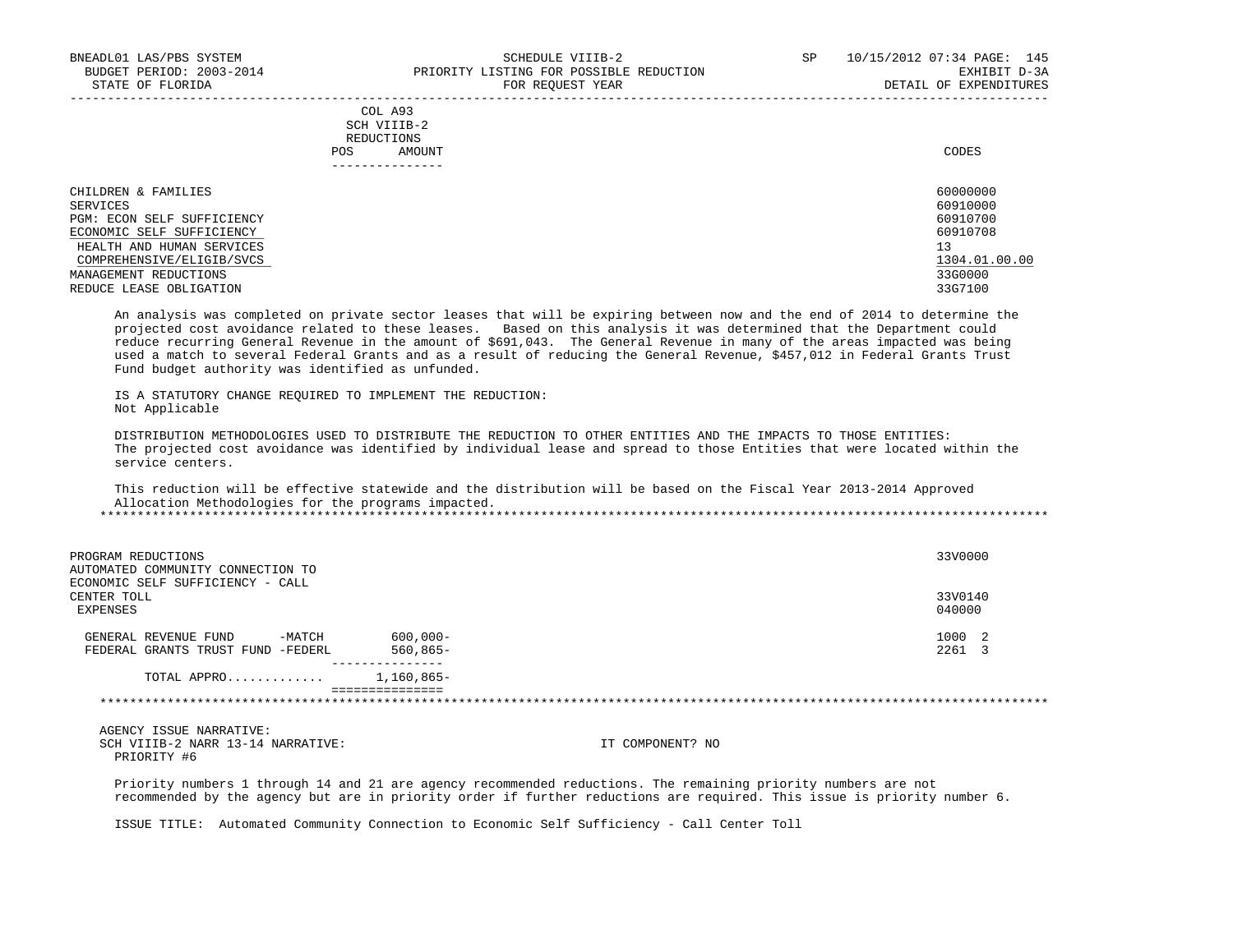|     | --------------- |       |
|-----|-----------------|-------|
| POS | AMOUNT          | CODES |
|     | REDUCTIONS      |       |
|     | SCH VIIIB-2     |       |
|     | COL A93         |       |

| CHILDREN & FAMILIES        | 60000000      |
|----------------------------|---------------|
| SERVICES                   | 60910000      |
| PGM: ECON SELF SUFFICIENCY | 60910700      |
| ECONOMIC SELF SUFFICIENCY  | 60910708      |
| HEALTH AND HUMAN SERVICES  | 13            |
| COMPREHENSIVE/ELIGIB/SVCS  | 1304.01.00.00 |
| MANAGEMENT REDUCTIONS      | 33G0000       |
| REDUCE LEASE OBLIGATION    | 33G7100       |

 An analysis was completed on private sector leases that will be expiring between now and the end of 2014 to determine the projected cost avoidance related to these leases. Based on this analysis it was determined that the Department could reduce recurring General Revenue in the amount of \$691,043. The General Revenue in many of the areas impacted was being used a match to several Federal Grants and as a result of reducing the General Revenue, \$457,012 in Federal Grants Trust Fund budget authority was identified as unfunded.

 IS A STATUTORY CHANGE REQUIRED TO IMPLEMENT THE REDUCTION: Not Applicable

 DISTRIBUTION METHODOLOGIES USED TO DISTRIBUTE THE REDUCTION TO OTHER ENTITIES AND THE IMPACTS TO THOSE ENTITIES: The projected cost avoidance was identified by individual lease and spread to those Entities that were located within the service centers.

 This reduction will be effective statewide and the distribution will be based on the Fiscal Year 2013-2014 Approved Allocation Methodologies for the programs impacted.

| PROGRAM REDUCTIONS<br>AUTOMATED COMMUNITY CONNECTION TO             |                               | 33V0000           |
|---------------------------------------------------------------------|-------------------------------|-------------------|
| ECONOMIC SELF SUFFICIENCY - CALL<br>CENTER TOLL<br>EXPENSES         |                               | 33V0140<br>040000 |
| -MATCH<br>GENERAL REVENUE FUND<br>FEDERAL GRANTS TRUST FUND -FEDERL | $600,000 -$<br>$560,865 -$    | 1000 2<br>2261    |
| TOTAL APPRO                                                         | 1,160,865-<br>=============== |                   |

 AGENCY ISSUE NARRATIVE: SCH VIIIB-2 NARR 13-14 NARRATIVE: IT COMPONENT? NO PRIORITY #6

 Priority numbers 1 through 14 and 21 are agency recommended reductions. The remaining priority numbers are not recommended by the agency but are in priority order if further reductions are required. This issue is priority number 6.

ISSUE TITLE: Automated Community Connection to Economic Self Sufficiency - Call Center Toll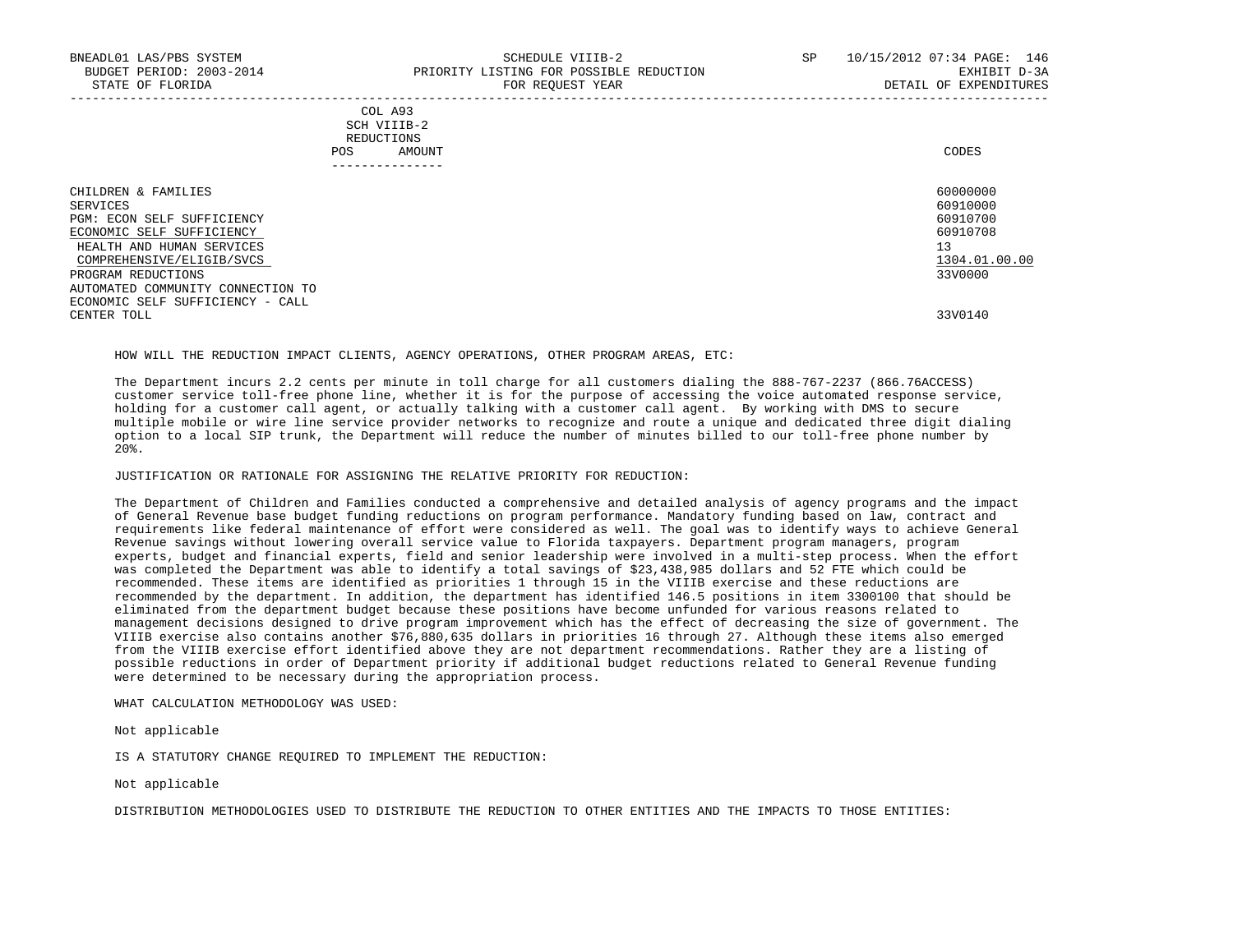|     | COL A93                                                                                                                        |       |
|-----|--------------------------------------------------------------------------------------------------------------------------------|-------|
|     | SCH VIIIB-2<br>the contract of the contract of the contract of the contract of the contract of the contract of the contract of |       |
|     | REDUCTIONS                                                                                                                     |       |
| POS | AMOUNT                                                                                                                         | CODES |
|     |                                                                                                                                |       |

| -------------                                                                                                                                        |                                                                     |
|------------------------------------------------------------------------------------------------------------------------------------------------------|---------------------------------------------------------------------|
| CHILDREN & FAMILIES<br>SERVICES<br>PGM: ECON SELF SUFFICIENCY<br>ECONOMIC SELF SUFFICIENCY<br>HEALTH AND HUMAN SERVICES<br>COMPREHENSIVE/ELIGIB/SVCS | 60000000<br>60910000<br>60910700<br>60910708<br>13<br>1304.01.00.00 |
| PROGRAM REDUCTIONS<br>AUTOMATED COMMUNITY CONNECTION TO                                                                                              | 33V0000                                                             |
| ECONOMIC SELF SUFFICIENCY - CALL<br>CENTER TOLL                                                                                                      | 33V0140                                                             |

# HOW WILL THE REDUCTION IMPACT CLIENTS, AGENCY OPERATIONS, OTHER PROGRAM AREAS, ETC:

 The Department incurs 2.2 cents per minute in toll charge for all customers dialing the 888-767-2237 (866.76ACCESS) customer service toll-free phone line, whether it is for the purpose of accessing the voice automated response service, holding for a customer call agent, or actually talking with a customer call agent. By working with DMS to secure multiple mobile or wire line service provider networks to recognize and route a unique and dedicated three digit dialing option to a local SIP trunk, the Department will reduce the number of minutes billed to our toll-free phone number by 20%.

# JUSTIFICATION OR RATIONALE FOR ASSIGNING THE RELATIVE PRIORITY FOR REDUCTION:

 The Department of Children and Families conducted a comprehensive and detailed analysis of agency programs and the impact of General Revenue base budget funding reductions on program performance. Mandatory funding based on law, contract and requirements like federal maintenance of effort were considered as well. The goal was to identify ways to achieve General Revenue savings without lowering overall service value to Florida taxpayers. Department program managers, program experts, budget and financial experts, field and senior leadership were involved in a multi-step process. When the effort was completed the Department was able to identify a total savings of \$23,438,985 dollars and 52 FTE which could be recommended. These items are identified as priorities 1 through 15 in the VIIIB exercise and these reductions are recommended by the department. In addition, the department has identified 146.5 positions in item 3300100 that should be eliminated from the department budget because these positions have become unfunded for various reasons related to management decisions designed to drive program improvement which has the effect of decreasing the size of government. The VIIIB exercise also contains another \$76,880,635 dollars in priorities 16 through 27. Although these items also emerged from the VIIIB exercise effort identified above they are not department recommendations. Rather they are a listing of possible reductions in order of Department priority if additional budget reductions related to General Revenue funding were determined to be necessary during the appropriation process.

## WHAT CALCULATION METHODOLOGY WAS USED:

Not applicable

IS A STATUTORY CHANGE REQUIRED TO IMPLEMENT THE REDUCTION:

Not applicable

DISTRIBUTION METHODOLOGIES USED TO DISTRIBUTE THE REDUCTION TO OTHER ENTITIES AND THE IMPACTS TO THOSE ENTITIES: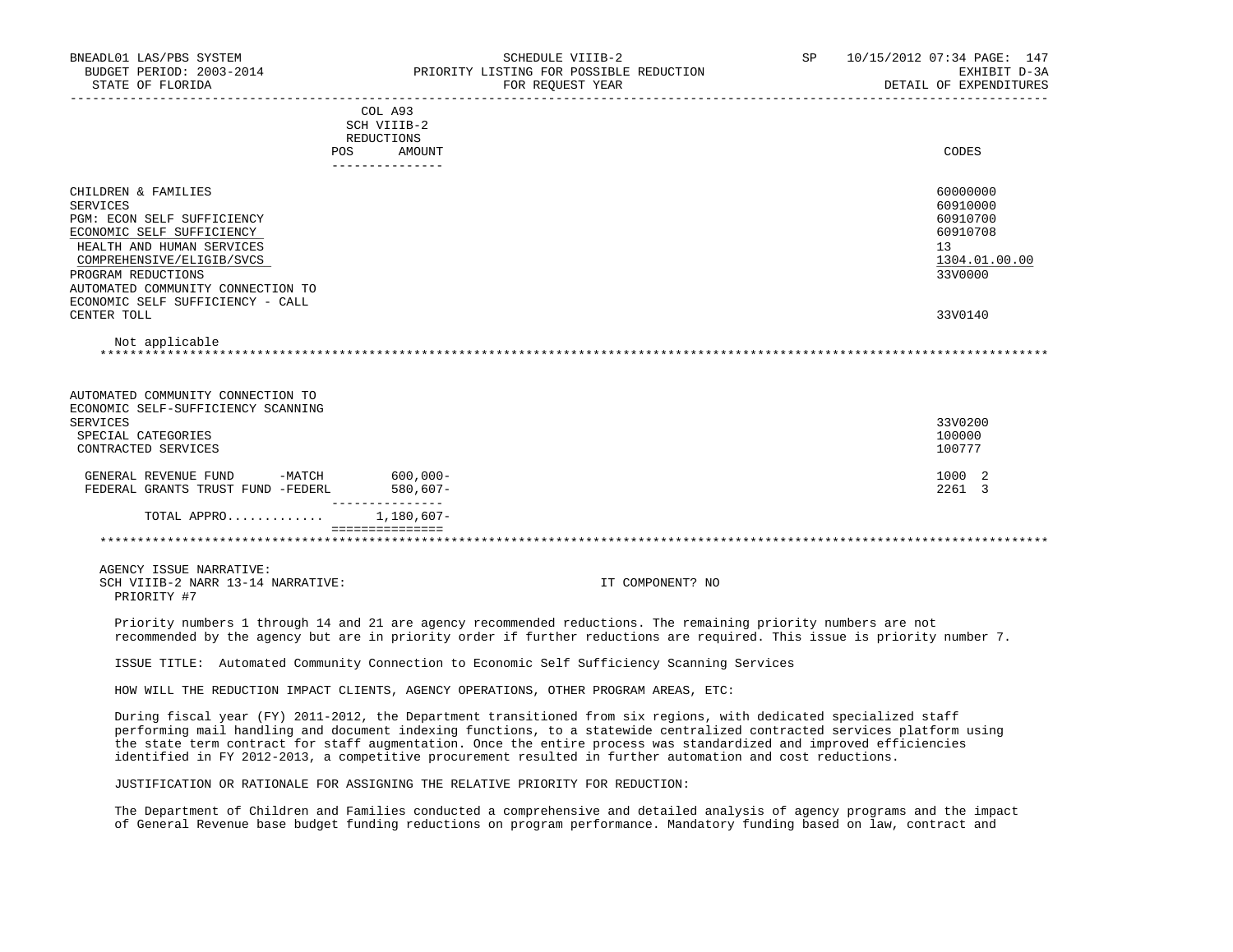| BNEADL01 LAS/PBS SYSTEM<br>BUDGET PERIOD: 2003-2014<br>STATE OF FLORIDA                                                                                                                                                                                    |                                                                       | SCHEDULE VIIIB-2<br>PRIORITY LISTING FOR POSSIBLE REDUCTION<br>FOR REQUEST YEAR<br>-----------------------------------                                                                                                                                                                                                                                                                                                                                                          | SP | 10/15/2012 07:34 PAGE: 147<br>EXHIBIT D-3A<br>DETAIL OF EXPENDITURES           |
|------------------------------------------------------------------------------------------------------------------------------------------------------------------------------------------------------------------------------------------------------------|-----------------------------------------------------------------------|---------------------------------------------------------------------------------------------------------------------------------------------------------------------------------------------------------------------------------------------------------------------------------------------------------------------------------------------------------------------------------------------------------------------------------------------------------------------------------|----|--------------------------------------------------------------------------------|
|                                                                                                                                                                                                                                                            | COL A93<br>SCH VIIIB-2<br>REDUCTIONS<br>POS AMOUNT<br>--------------- |                                                                                                                                                                                                                                                                                                                                                                                                                                                                                 |    | CODES                                                                          |
| CHILDREN & FAMILIES<br><b>SERVICES</b><br>PGM: ECON SELF SUFFICIENCY<br>ECONOMIC SELF SUFFICIENCY<br>HEALTH AND HUMAN SERVICES<br>COMPREHENSIVE/ELIGIB/SVCS<br>PROGRAM REDUCTIONS<br>AUTOMATED COMMUNITY CONNECTION TO<br>ECONOMIC SELF SUFFICIENCY - CALL |                                                                       |                                                                                                                                                                                                                                                                                                                                                                                                                                                                                 |    | 60000000<br>60910000<br>60910700<br>60910708<br>13<br>1304.01.00.00<br>33V0000 |
| CENTER TOLL<br>Not applicable                                                                                                                                                                                                                              |                                                                       |                                                                                                                                                                                                                                                                                                                                                                                                                                                                                 |    | 33V0140                                                                        |
| AUTOMATED COMMUNITY CONNECTION TO<br>ECONOMIC SELF-SUFFICIENCY SCANNING<br><b>SERVICES</b><br>SPECIAL CATEGORIES<br>CONTRACTED SERVICES                                                                                                                    |                                                                       |                                                                                                                                                                                                                                                                                                                                                                                                                                                                                 |    | 33V0200<br>100000<br>100777                                                    |
| GENERAL REVENUE FUND -MATCH 600,000-<br>FEDERAL GRANTS TRUST FUND -FEDERL                                                                                                                                                                                  | 580,607-                                                              |                                                                                                                                                                                                                                                                                                                                                                                                                                                                                 |    | 1000 2<br>2261 3                                                               |
| TOTAL APPRO 1,180,607-                                                                                                                                                                                                                                     | ________________<br>===============                                   |                                                                                                                                                                                                                                                                                                                                                                                                                                                                                 |    |                                                                                |
|                                                                                                                                                                                                                                                            |                                                                       |                                                                                                                                                                                                                                                                                                                                                                                                                                                                                 |    |                                                                                |
| AGENCY ISSUE NARRATIVE:<br>SCH VIIIB-2 NARR 13-14 NARRATIVE:<br>PRIORITY #7                                                                                                                                                                                |                                                                       | IT COMPONENT? NO                                                                                                                                                                                                                                                                                                                                                                                                                                                                |    |                                                                                |
|                                                                                                                                                                                                                                                            |                                                                       | Priority numbers 1 through 14 and 21 are agency recommended reductions. The remaining priority numbers are not<br>recommended by the agency but are in priority order if further reductions are required. This issue is priority number 7.                                                                                                                                                                                                                                      |    |                                                                                |
|                                                                                                                                                                                                                                                            |                                                                       | ISSUE TITLE: Automated Community Connection to Economic Self Sufficiency Scanning Services                                                                                                                                                                                                                                                                                                                                                                                      |    |                                                                                |
|                                                                                                                                                                                                                                                            |                                                                       | HOW WILL THE REDUCTION IMPACT CLIENTS, AGENCY OPERATIONS, OTHER PROGRAM AREAS, ETC:                                                                                                                                                                                                                                                                                                                                                                                             |    |                                                                                |
|                                                                                                                                                                                                                                                            |                                                                       | During fiscal year (FY) 2011-2012, the Department transitioned from six regions, with dedicated specialized staff<br>performing mail handling and document indexing functions, to a statewide centralized contracted services platform using<br>the state term contract for staff augmentation. Once the entire process was standardized and improved efficiencies<br>identified in FY 2012-2013, a competitive procurement resulted in further automation and cost reductions. |    |                                                                                |
|                                                                                                                                                                                                                                                            |                                                                       | JUSTIFICATION OR RATIONALE FOR ASSIGNING THE RELATIVE PRIORITY FOR REDUCTION:                                                                                                                                                                                                                                                                                                                                                                                                   |    |                                                                                |
|                                                                                                                                                                                                                                                            |                                                                       | The Department of Children and Families conducted a comprehensive and detailed analysis of agency programs and the impact<br>of General Revenue base budget funding reductions on program performance. Mandatory funding based on law, contract and                                                                                                                                                                                                                             |    |                                                                                |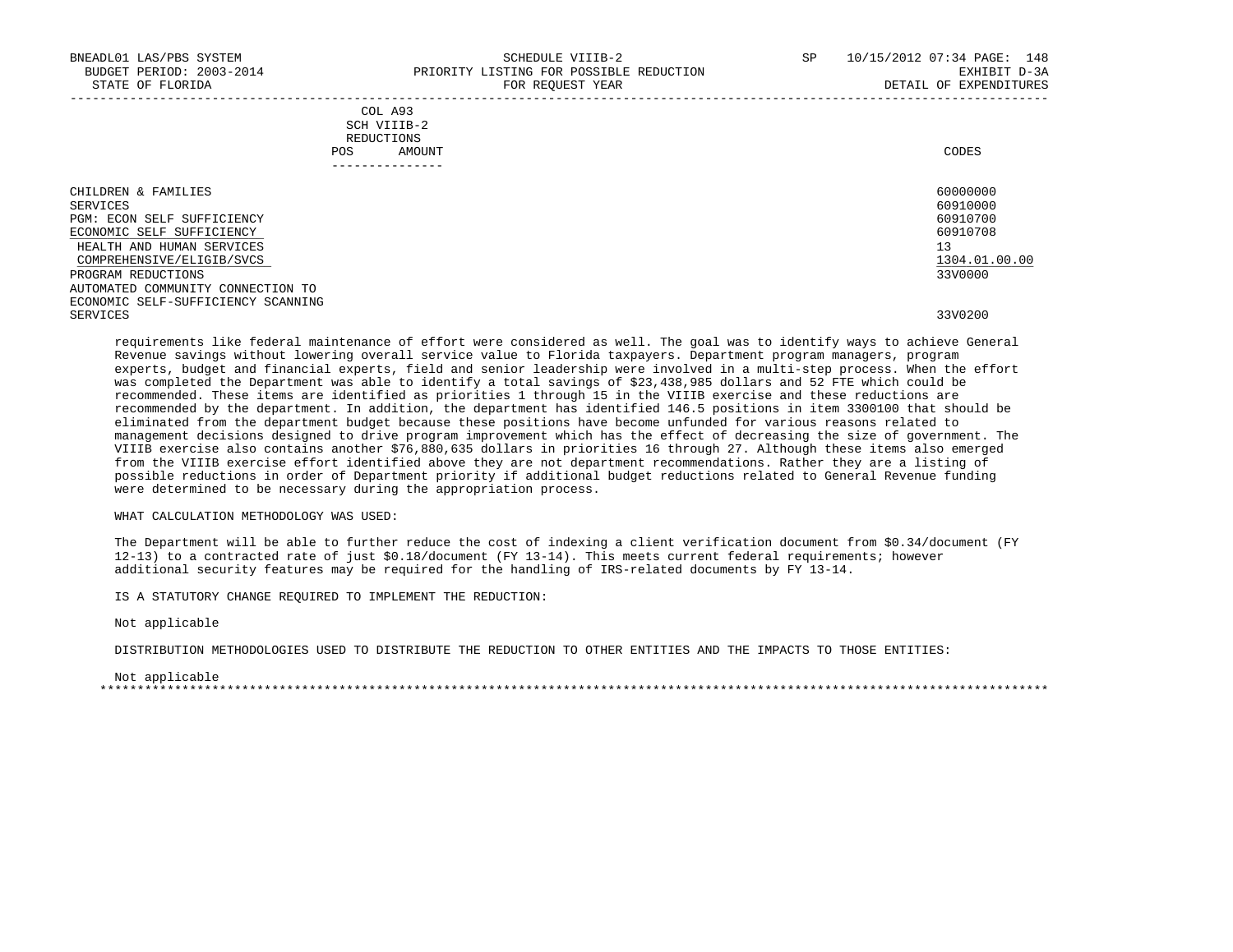| CHILDREN & FAMILIES                | 60000000      |
|------------------------------------|---------------|
| SERVICES                           | 60910000      |
| PGM: ECON SELF SUFFICIENCY         | 60910700      |
| ECONOMIC SELF SUFFICIENCY          | 60910708      |
| HEALTH AND HUMAN SERVICES          | 13            |
| COMPREHENSIVE/ELIGIB/SVCS          | 1304.01.00.00 |
| PROGRAM REDUCTIONS                 | 33V0000       |
| AUTOMATED COMMUNITY CONNECTION TO  |               |
| ECONOMIC SELF-SUFFICIENCY SCANNING |               |
| SERVICES                           | 33V0200       |

 requirements like federal maintenance of effort were considered as well. The goal was to identify ways to achieve General Revenue savings without lowering overall service value to Florida taxpayers. Department program managers, program experts, budget and financial experts, field and senior leadership were involved in a multi-step process. When the effort was completed the Department was able to identify a total savings of \$23,438,985 dollars and 52 FTE which could be recommended. These items are identified as priorities 1 through 15 in the VIIIB exercise and these reductions are recommended by the department. In addition, the department has identified 146.5 positions in item 3300100 that should be eliminated from the department budget because these positions have become unfunded for various reasons related to management decisions designed to drive program improvement which has the effect of decreasing the size of government. The VIIIB exercise also contains another \$76,880,635 dollars in priorities 16 through 27. Although these items also emerged from the VIIIB exercise effort identified above they are not department recommendations. Rather they are a listing of possible reductions in order of Department priority if additional budget reductions related to General Revenue funding were determined to be necessary during the appropriation process.

WHAT CALCULATION METHODOLOGY WAS USED:

 The Department will be able to further reduce the cost of indexing a client verification document from \$0.34/document (FY 12-13) to a contracted rate of just \$0.18/document (FY 13-14). This meets current federal requirements; however additional security features may be required for the handling of IRS-related documents by FY 13-14.

IS A STATUTORY CHANGE REQUIRED TO IMPLEMENT THE REDUCTION:

Not applicable

DISTRIBUTION METHODOLOGIES USED TO DISTRIBUTE THE REDUCTION TO OTHER ENTITIES AND THE IMPACTS TO THOSE ENTITIES:

 Not applicable \*\*\*\*\*\*\*\*\*\*\*\*\*\*\*\*\*\*\*\*\*\*\*\*\*\*\*\*\*\*\*\*\*\*\*\*\*\*\*\*\*\*\*\*\*\*\*\*\*\*\*\*\*\*\*\*\*\*\*\*\*\*\*\*\*\*\*\*\*\*\*\*\*\*\*\*\*\*\*\*\*\*\*\*\*\*\*\*\*\*\*\*\*\*\*\*\*\*\*\*\*\*\*\*\*\*\*\*\*\*\*\*\*\*\*\*\*\*\*\*\*\*\*\*\*\*\*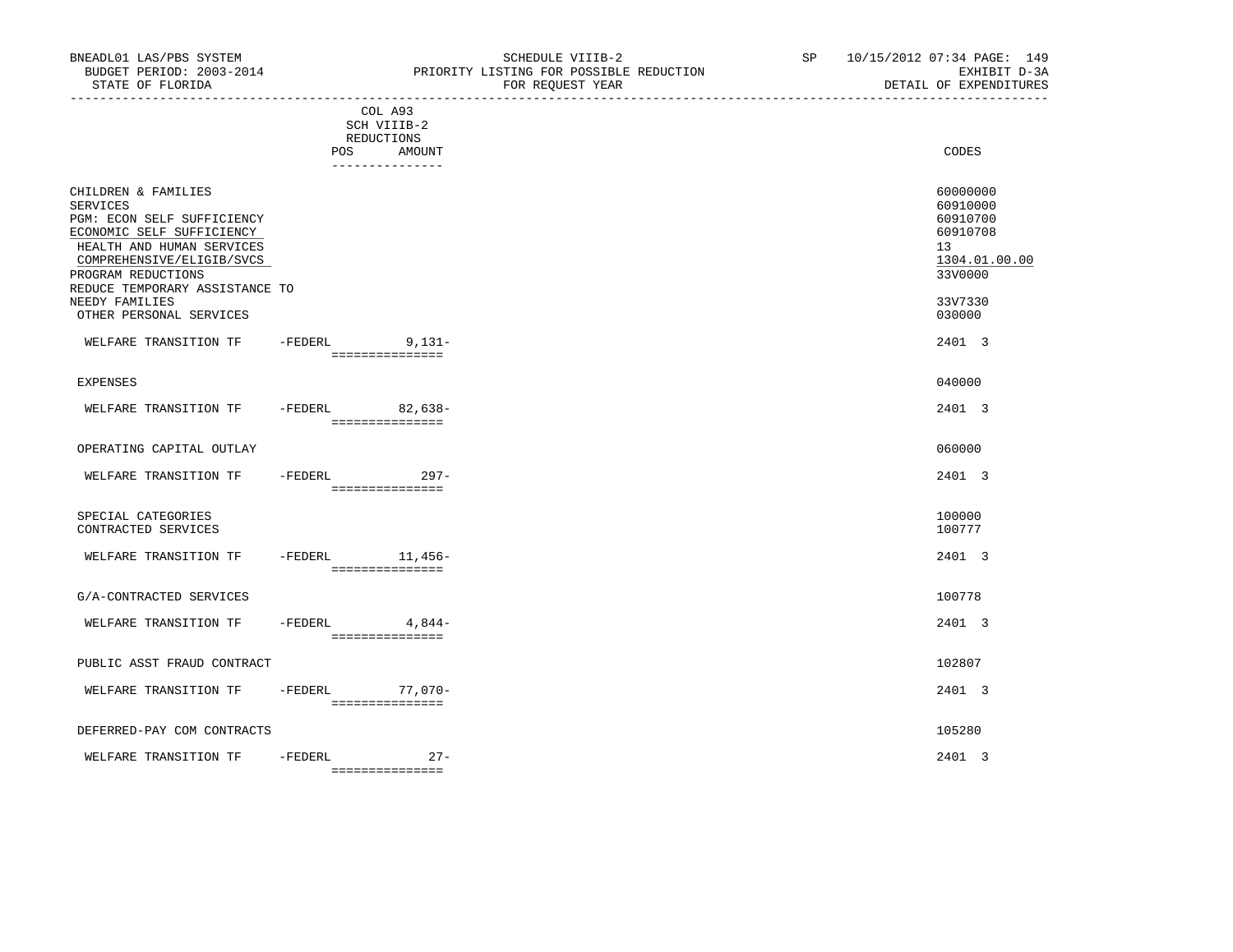|                                                                                                                                                                                                                     |                                      |                                      | ------------------------------------- |                                                                                |
|---------------------------------------------------------------------------------------------------------------------------------------------------------------------------------------------------------------------|--------------------------------------|--------------------------------------|---------------------------------------|--------------------------------------------------------------------------------|
|                                                                                                                                                                                                                     | REDUCTIONS                           | COL A93<br>SCH VIIIB-2<br>POS AMOUNT |                                       | CODES                                                                          |
| CHILDREN & FAMILIES<br><b>SERVICES</b><br>PGM: ECON SELF SUFFICIENCY<br>ECONOMIC SELF SUFFICIENCY<br>HEALTH AND HUMAN SERVICES<br>COMPREHENSIVE/ELIGIB/SVCS<br>PROGRAM REDUCTIONS<br>REDUCE TEMPORARY ASSISTANCE TO |                                      | ---------------                      |                                       | 60000000<br>60910000<br>60910700<br>60910708<br>13<br>1304.01.00.00<br>33V0000 |
| NEEDY FAMILIES<br>OTHER PERSONAL SERVICES                                                                                                                                                                           |                                      |                                      |                                       | 33V7330<br>030000                                                              |
| WELFARE TRANSITION TF                                                                                                                                                                                               | -FEDERL 9,131-                       | ===============                      |                                       | 2401 3                                                                         |
| EXPENSES                                                                                                                                                                                                            |                                      |                                      |                                       | 040000                                                                         |
| WELFARE TRANSITION TF -FEDERL 82,638-                                                                                                                                                                               | ----------------                     |                                      |                                       | 2401 3                                                                         |
| OPERATING CAPITAL OUTLAY                                                                                                                                                                                            |                                      |                                      |                                       | 060000                                                                         |
| WELFARE TRANSITION TF                                                                                                                                                                                               | -FEDERL 297-                         | ===============                      |                                       | 2401 3                                                                         |
| SPECIAL CATEGORIES<br>CONTRACTED SERVICES                                                                                                                                                                           |                                      |                                      |                                       | 100000<br>100777                                                               |
| WELFARE TRANSITION TF                                                                                                                                                                                               | $-FEDERL$ 11,456-<br>=============== |                                      |                                       | 2401 3                                                                         |
| G/A-CONTRACTED SERVICES                                                                                                                                                                                             |                                      |                                      |                                       | 100778                                                                         |
| WELFARE TRANSITION TF                                                                                                                                                                                               | $-FEDERL$<br>===============         | 4,844-                               |                                       | 2401 3                                                                         |
| PUBLIC ASST FRAUD CONTRACT                                                                                                                                                                                          |                                      |                                      |                                       | 102807                                                                         |
| WELFARE TRANSITION TF                                                                                                                                                                                               | -FEDERL                              | 77,070-<br>===============           |                                       | 2401 3                                                                         |
| DEFERRED-PAY COM CONTRACTS                                                                                                                                                                                          |                                      |                                      |                                       | 105280                                                                         |

WELFARE TRANSITION TF -FEDERL 27- 2401 3 ===============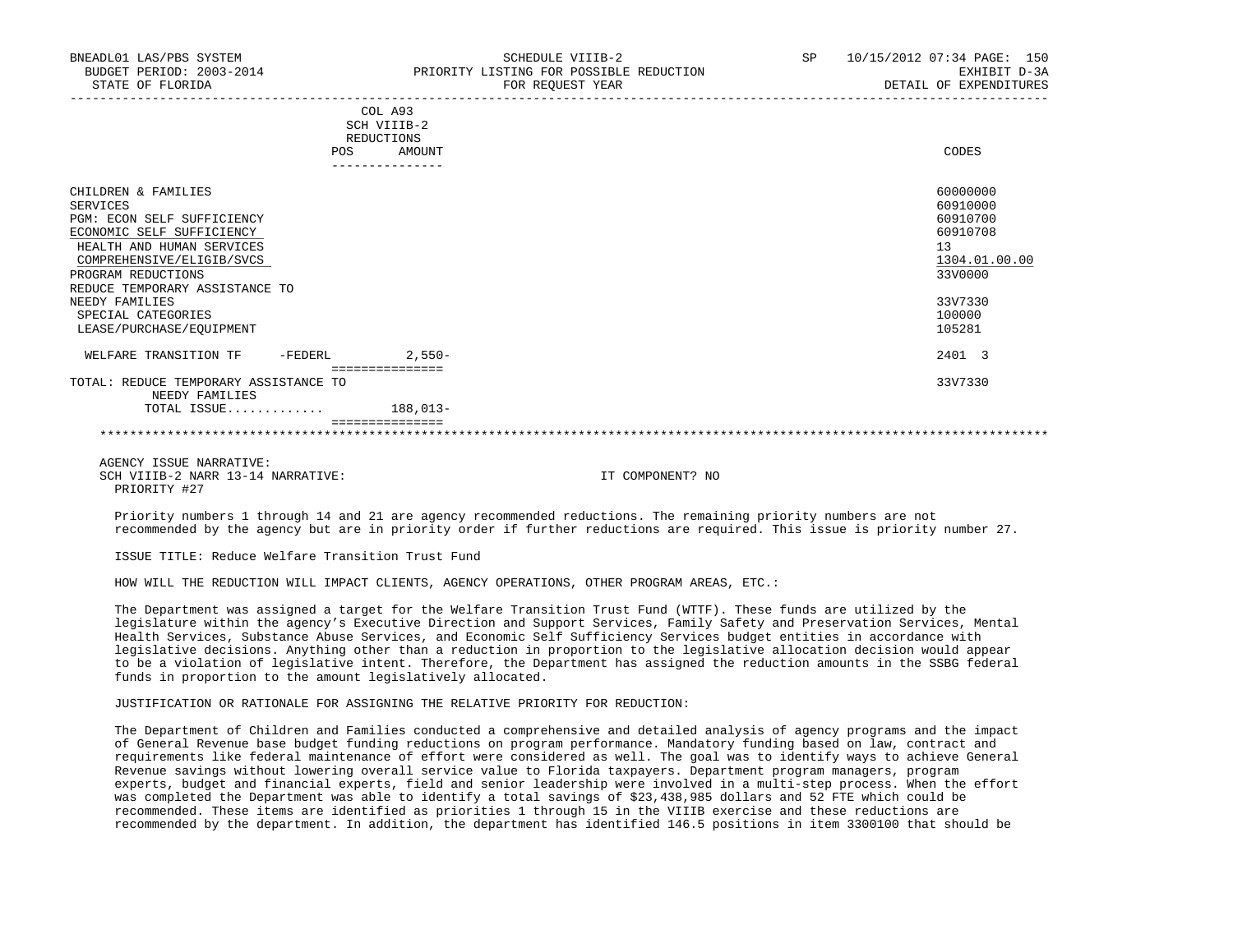|                                                         |     | COL A93         |               |
|---------------------------------------------------------|-----|-----------------|---------------|
|                                                         |     | SCH VIIIB-2     |               |
|                                                         |     | REDUCTIONS      |               |
|                                                         | POS | AMOUNT          | CODES         |
|                                                         |     |                 |               |
| CHILDREN & FAMILIES                                     |     |                 | 60000000      |
| SERVICES                                                |     |                 | 60910000      |
| PGM: ECON SELF SUFFICIENCY                              |     |                 | 60910700      |
| ECONOMIC SELF SUFFICIENCY                               |     |                 | 60910708      |
| HEALTH AND HUMAN SERVICES                               |     |                 | 13            |
| COMPREHENSIVE/ELIGIB/SVCS                               |     |                 | 1304.01.00.00 |
| PROGRAM REDUCTIONS                                      |     |                 | 33V0000       |
| REDUCE TEMPORARY ASSISTANCE TO                          |     |                 |               |
| NEEDY FAMILIES                                          |     |                 | 33V7330       |
| SPECIAL CATEGORIES                                      |     |                 | 100000        |
| LEASE/PURCHASE/EQUIPMENT                                |     |                 | 105281        |
| WELFARE TRANSITION TF<br>-FEDERL                        |     | 2,550-          | 2401 3        |
|                                                         |     | =============== |               |
| TOTAL: REDUCE TEMPORARY ASSISTANCE TO<br>NEEDY FAMILIES |     |                 | 33V7330       |
| TOTAL ISSUE                                             |     | 188,013-        |               |
|                                                         |     |                 |               |

 AGENCY ISSUE NARRATIVE: SCH VIIIB-2 NARR 13-14 NARRATIVE: IT COMPONENT? NO PRIORITY #27

 Priority numbers 1 through 14 and 21 are agency recommended reductions. The remaining priority numbers are not recommended by the agency but are in priority order if further reductions are required. This issue is priority number 27.

ISSUE TITLE: Reduce Welfare Transition Trust Fund

HOW WILL THE REDUCTION WILL IMPACT CLIENTS, AGENCY OPERATIONS, OTHER PROGRAM AREAS, ETC.:

 The Department was assigned a target for the Welfare Transition Trust Fund (WTTF). These funds are utilized by the legislature within the agency's Executive Direction and Support Services, Family Safety and Preservation Services, Mental Health Services, Substance Abuse Services, and Economic Self Sufficiency Services budget entities in accordance with legislative decisions. Anything other than a reduction in proportion to the legislative allocation decision would appear to be a violation of legislative intent. Therefore, the Department has assigned the reduction amounts in the SSBG federal funds in proportion to the amount legislatively allocated.

## JUSTIFICATION OR RATIONALE FOR ASSIGNING THE RELATIVE PRIORITY FOR REDUCTION:

 The Department of Children and Families conducted a comprehensive and detailed analysis of agency programs and the impact of General Revenue base budget funding reductions on program performance. Mandatory funding based on law, contract and requirements like federal maintenance of effort were considered as well. The goal was to identify ways to achieve General Revenue savings without lowering overall service value to Florida taxpayers. Department program managers, program experts, budget and financial experts, field and senior leadership were involved in a multi-step process. When the effort was completed the Department was able to identify a total savings of \$23,438,985 dollars and 52 FTE which could be recommended. These items are identified as priorities 1 through 15 in the VIIIB exercise and these reductions are recommended by the department. In addition, the department has identified 146.5 positions in item 3300100 that should be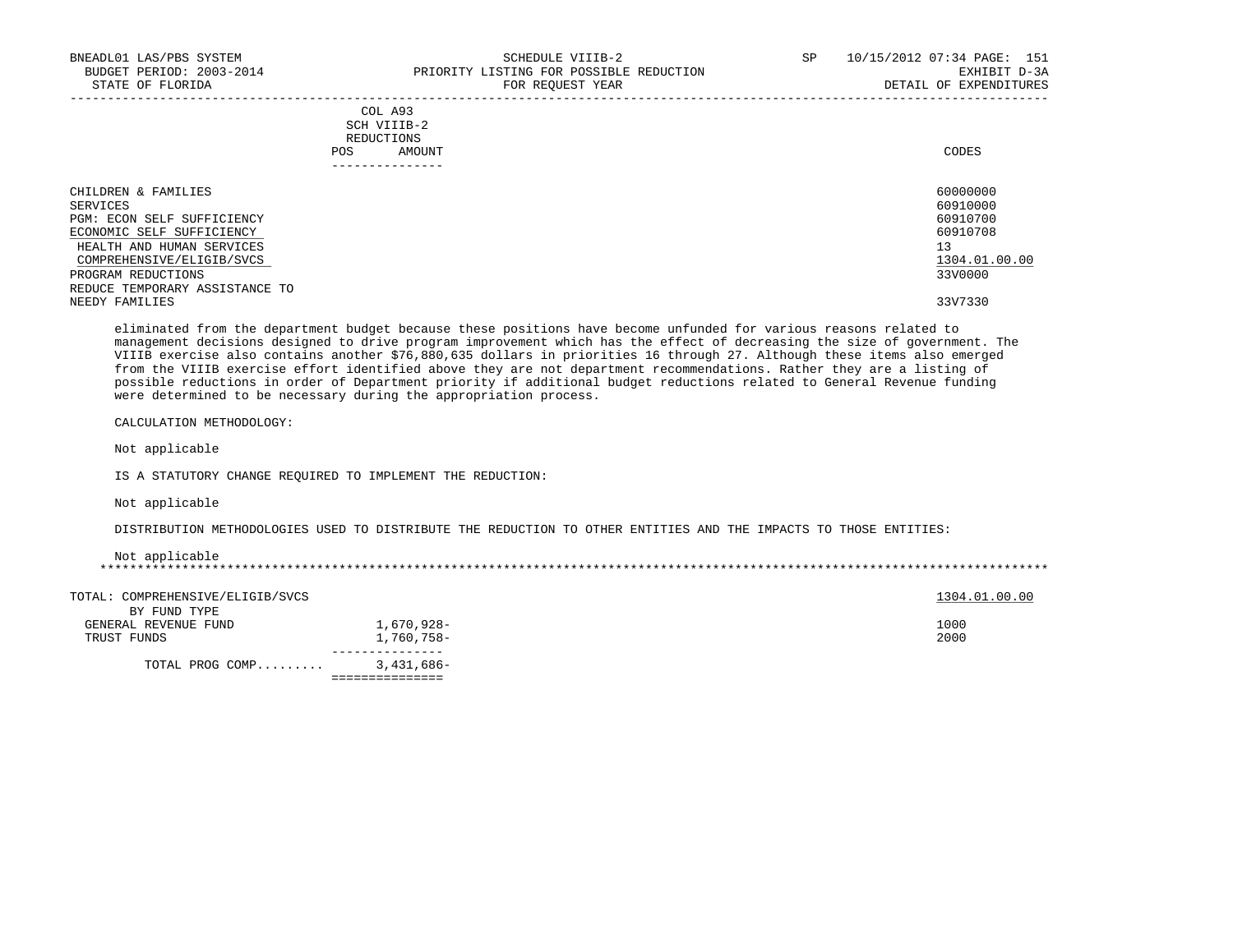| BNEADL01 LAS/PBS SYSTEM<br>BUDGET PERIOD: 2003-2014<br>STATE OF FLORIDA | SCHEDULE VIIIB-2<br>PRIORITY LISTING FOR POSSIBLE REDUCTION<br>FOR REQUEST YEAR | SP | 10/15/2012 07:34 PAGE: 151<br>EXHIBIT D-3A<br>DETAIL OF EXPENDITURES |
|-------------------------------------------------------------------------|---------------------------------------------------------------------------------|----|----------------------------------------------------------------------|
|                                                                         | COL A93<br>SCH VIIIB-2<br>REDUCTIONS<br>AMOUNT<br>POS                           |    | CODES                                                                |
| CHILDREN & FAMILIES                                                     |                                                                                 |    | 60000000                                                             |
| SERVICES                                                                |                                                                                 |    | 60910000                                                             |
| PGM: ECON SELF SUFFICIENCY<br>ECONOMIC SELF SUFFICIENCY                 |                                                                                 |    | 60910700<br>60910708                                                 |
| HEALTH AND HUMAN SERVICES                                               |                                                                                 |    | 13                                                                   |
| COMPREHENSIVE/ELIGIB/SVCS                                               |                                                                                 |    | 1304.01.00.00                                                        |
| PROGRAM REDUCTIONS                                                      |                                                                                 |    | 33V0000                                                              |
| REDUCE TEMPORARY ASSISTANCE TO                                          |                                                                                 |    |                                                                      |
| NEEDY FAMILIES                                                          |                                                                                 |    | 33V7330                                                              |

 eliminated from the department budget because these positions have become unfunded for various reasons related to management decisions designed to drive program improvement which has the effect of decreasing the size of government. The VIIIB exercise also contains another \$76,880,635 dollars in priorities 16 through 27. Although these items also emerged from the VIIIB exercise effort identified above they are not department recommendations. Rather they are a listing of possible reductions in order of Department priority if additional budget reductions related to General Revenue funding were determined to be necessary during the appropriation process.

CALCULATION METHODOLOGY:

Not applicable

IS A STATUTORY CHANGE REQUIRED TO IMPLEMENT THE REDUCTION:

Not applicable

DISTRIBUTION METHODOLOGIES USED TO DISTRIBUTE THE REDUCTION TO OTHER ENTITIES AND THE IMPACTS TO THOSE ENTITIES:

Not applicable

\*\*\*\*\*\*\*\*\*\*\*\*\*\*\*\*\*\*\*\*\*\*\*\*\*\*\*\*\*\*\*\*\*\*\*\*\*\*\*\*\*\*\*\*\*\*\*\*\*\*\*\*\*\*\*\*\*\*\*\*\*\*\*\*\*\*\*\*\*\*\*\*\*\*\*\*\*\*\*\*\*\*\*\*\*\*\*\*\*\*\*\*\*\*\*\*\*\*\*\*\*\*\*\*\*\*\*\*\*\*\*\*\*\*\*\*\*\*\*\*\*\*\*\*\*\*\*

| TOTAL PROG COMP                      | 3,431,686- |               |
|--------------------------------------|------------|---------------|
| TRUST FUNDS                          | 1,760,758- | 2000          |
| BY FUND TYPE<br>GENERAL REVENUE FUND | 1,670,928- | 1000          |
| TOTAL: COMPREHENSIVE/ELIGIB/SVCS     |            | 1304.01.00.00 |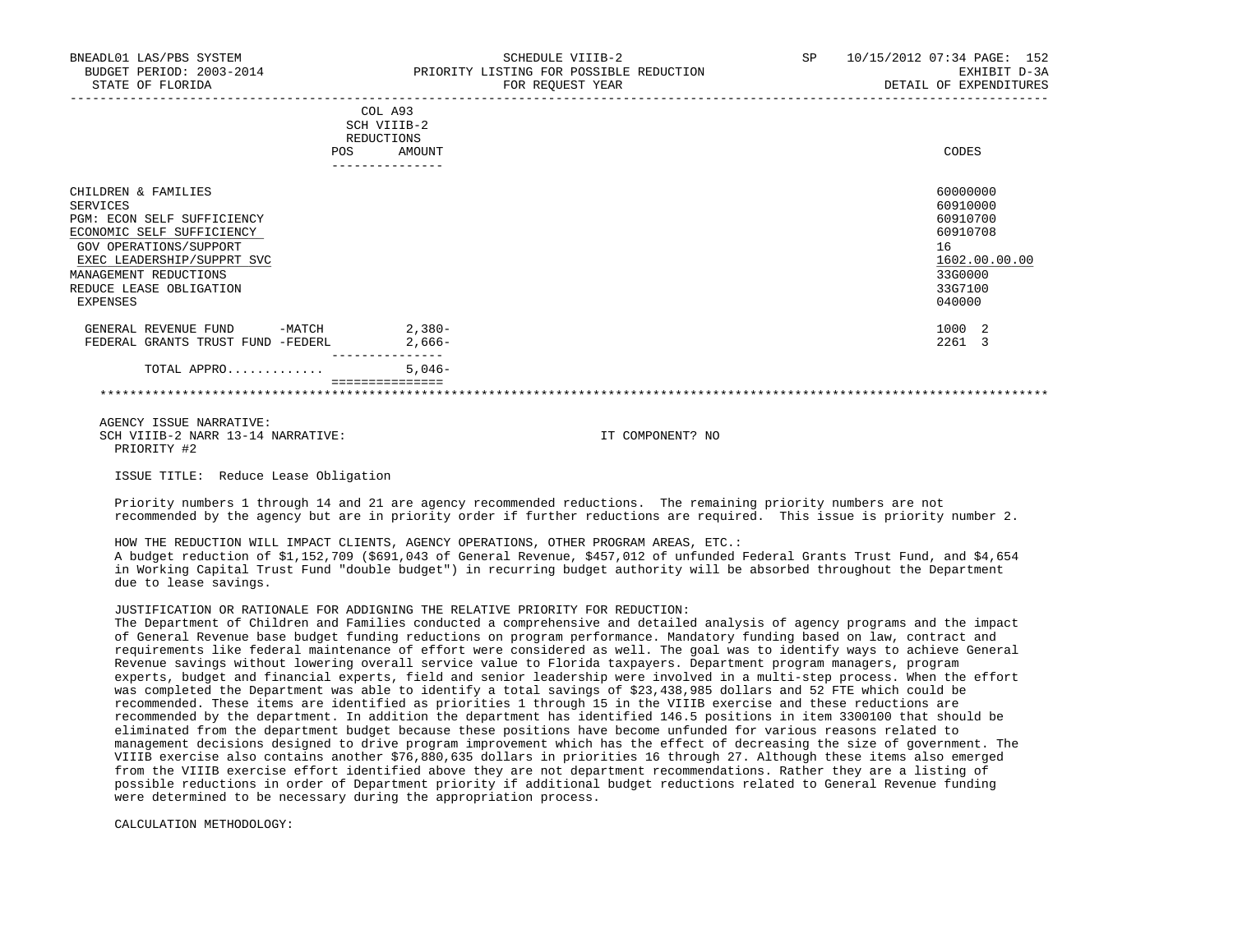| BNEADL01 LAS/PBS SYSTEM<br>BUDGET PERIOD: 2003-2014<br>STATE OF FLORIDA                                              | SCHEDULE VIIIB-2<br>PRIORITY LISTING FOR POSSIBLE REDUCTION<br>FOR REOUEST YEAR | 10/15/2012 07:34 PAGE: 152<br>SP<br>EXHIBIT D-3A<br>DETAIL OF EXPENDITURES |
|----------------------------------------------------------------------------------------------------------------------|---------------------------------------------------------------------------------|----------------------------------------------------------------------------|
|                                                                                                                      | COL A93<br>SCH VIIIB-2<br>REDUCTIONS<br>AMOUNT<br><b>POS</b>                    | CODES                                                                      |
| CHILDREN & FAMILIES<br>SERVICES<br>PGM: ECON SELF SUFFICIENCY<br>ECONOMIC SELF SUFFICIENCY<br>GOV OPERATIONS/SUPPORT |                                                                                 | 60000000<br>60910000<br>60910700<br>60910708<br>16                         |

 EXEC LEADERSHIP/SUPPRT SVC 1602.00.00.00 \_\_\_\_\_\_\_\_\_\_\_\_\_\_\_\_\_\_\_\_\_\_\_\_\_\_ \_\_\_\_\_\_\_\_\_\_\_\_\_ MANAGEMENT REDUCTIONS REDUCE LEASE OBLIGATION 33G7100<br>EXPENSES 0910000

EXPENSES 040000

| _______________ |                         |                         |                              |       |                 |  |
|-----------------|-------------------------|-------------------------|------------------------------|-------|-----------------|--|
|                 | GRANTS<br>---<br>. ч д. | <b>TRIIST</b><br>דו הדי | FEDERL                       | 2,000 | $- - -$<br>2261 |  |
|                 | GENERAL<br>∸            | FUND                    | $M \wedge T$<br>– IVI 4<br>. | 380-  | 1000            |  |

 TOTAL APPRO............. 5,046- ===============

\*\*\*\*\*\*\*\*\*\*\*\*\*\*\*\*\*\*\*\*\*\*\*\*\*\*\*\*\*\*\*\*\*\*\*\*\*\*\*\*\*\*\*\*\*\*\*\*\*\*\*\*\*\*\*\*\*\*\*\*\*\*\*\*\*\*\*\*\*\*\*\*\*\*\*\*\*\*\*\*\*\*\*\*\*\*\*\*\*\*\*\*\*\*\*\*\*\*\*\*\*\*\*\*\*\*\*\*\*\*\*\*\*\*\*\*\*\*\*\*\*\*\*\*\*\*\*

 AGENCY ISSUE NARRATIVE: SCH VIIIB-2 NARR 13-14 NARRATIVE: IT COMPONENT? NO PRIORITY #2

ISSUE TITLE: Reduce Lease Obligation

 Priority numbers 1 through 14 and 21 are agency recommended reductions. The remaining priority numbers are not recommended by the agency but are in priority order if further reductions are required. This issue is priority number 2.

 HOW THE REDUCTION WILL IMPACT CLIENTS, AGENCY OPERATIONS, OTHER PROGRAM AREAS, ETC.: A budget reduction of \$1,152,709 (\$691,043 of General Revenue, \$457,012 of unfunded Federal Grants Trust Fund, and \$4,654 in Working Capital Trust Fund "double budget") in recurring budget authority will be absorbed throughout the Department due to lease savings.

# JUSTIFICATION OR RATIONALE FOR ADDIGNING THE RELATIVE PRIORITY FOR REDUCTION:

 The Department of Children and Families conducted a comprehensive and detailed analysis of agency programs and the impact of General Revenue base budget funding reductions on program performance. Mandatory funding based on law, contract and requirements like federal maintenance of effort were considered as well. The goal was to identify ways to achieve General Revenue savings without lowering overall service value to Florida taxpayers. Department program managers, program experts, budget and financial experts, field and senior leadership were involved in a multi-step process. When the effort was completed the Department was able to identify a total savings of \$23,438,985 dollars and 52 FTE which could be recommended. These items are identified as priorities 1 through 15 in the VIIIB exercise and these reductions are recommended by the department. In addition the department has identified 146.5 positions in item 3300100 that should be eliminated from the department budget because these positions have become unfunded for various reasons related to management decisions designed to drive program improvement which has the effect of decreasing the size of government. The VIIIB exercise also contains another \$76,880,635 dollars in priorities 16 through 27. Although these items also emerged from the VIIIB exercise effort identified above they are not department recommendations. Rather they are a listing of possible reductions in order of Department priority if additional budget reductions related to General Revenue funding were determined to be necessary during the appropriation process.

CALCULATION METHODOLOGY: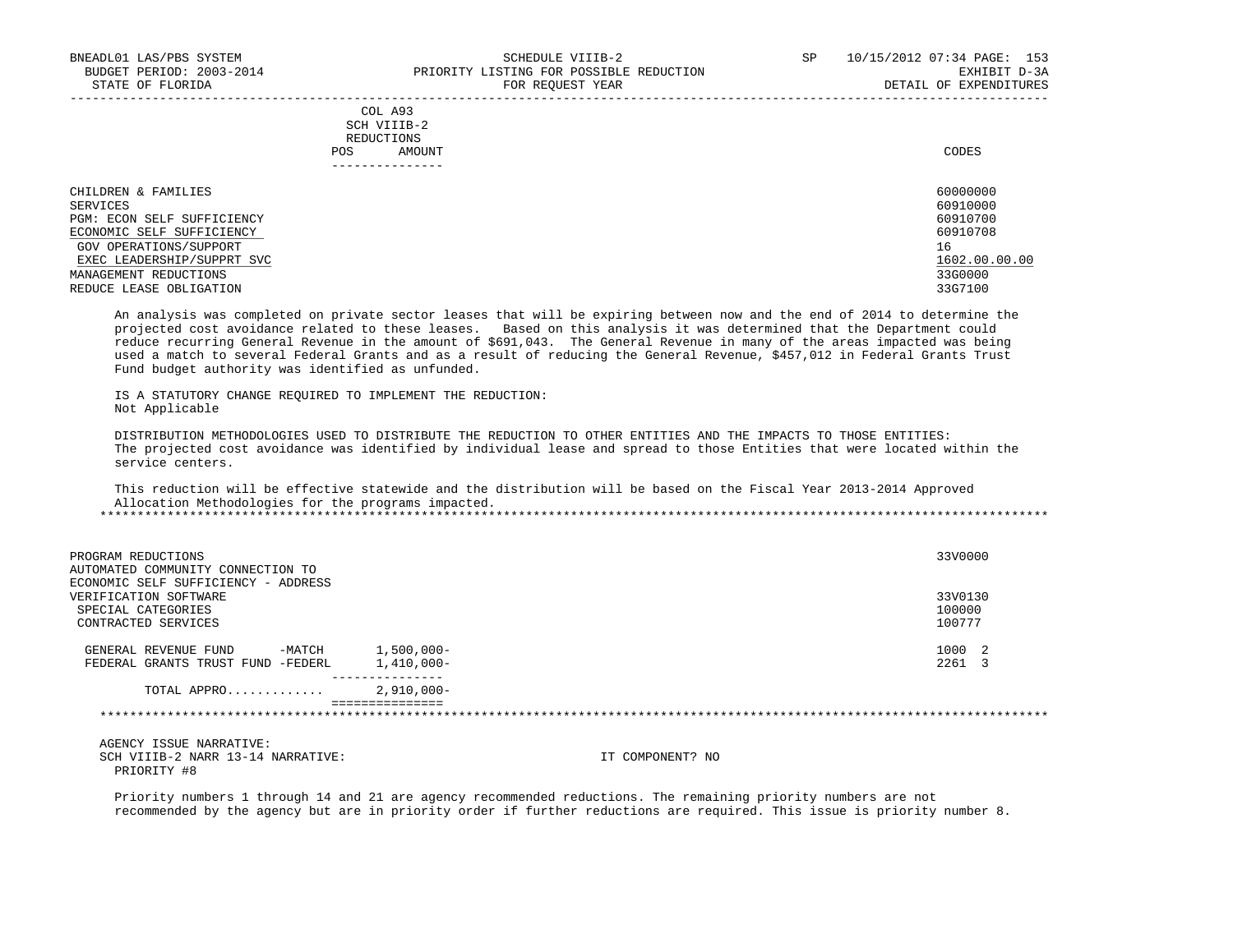# COL A93 SCH VIIIB-2 REDUCTIONS POS AMOUNT CODES AND A LOCAL AND LOCAL AND LOCAL AND LOCAL AND LOCAL AND LOCAL AND LOCAL AND LOCAL AND LOCAL AND LOCAL AND LOCAL AND LOCAL AND LOCAL AND LOCAL AND LOCAL AND LOCAL AND LOCAL AND LOCAL AND LOCAL AND LOCAL AND ---------------

| CHILDREN & FAMILIES        | 60000000      |
|----------------------------|---------------|
| SERVICES                   | 60910000      |
| PGM: ECON SELF SUFFICIENCY | 60910700      |
| ECONOMIC SELF SUFFICIENCY  | 60910708      |
| GOV OPERATIONS/SUPPORT     | 16            |
| EXEC LEADERSHIP/SUPPRT SVC | 1602.00.00.00 |
| MANAGEMENT REDUCTIONS      | 33G0000       |
| REDUCE LEASE OBLIGATION    | 33G7100       |

-----------------------------------------------------------------------------------------------------------------------------------

 An analysis was completed on private sector leases that will be expiring between now and the end of 2014 to determine the projected cost avoidance related to these leases. Based on this analysis it was determined that the Department could reduce recurring General Revenue in the amount of \$691,043. The General Revenue in many of the areas impacted was being used a match to several Federal Grants and as a result of reducing the General Revenue, \$457,012 in Federal Grants Trust Fund budget authority was identified as unfunded.

 IS A STATUTORY CHANGE REQUIRED TO IMPLEMENT THE REDUCTION: Not Applicable

 DISTRIBUTION METHODOLOGIES USED TO DISTRIBUTE THE REDUCTION TO OTHER ENTITIES AND THE IMPACTS TO THOSE ENTITIES: The projected cost avoidance was identified by individual lease and spread to those Entities that were located within the service centers.

 This reduction will be effective statewide and the distribution will be based on the Fiscal Year 2013-2014 Approved Allocation Methodologies for the programs impacted.

| PROGRAM REDUCTIONS<br>AUTOMATED COMMUNITY CONNECTION TO<br>ECONOMIC SELF SUFFICIENCY - ADDRESS |                                                   |                  | 33V0000 |
|------------------------------------------------------------------------------------------------|---------------------------------------------------|------------------|---------|
| VERIFICATION SOFTWARE                                                                          |                                                   |                  | 33V0130 |
| SPECIAL CATEGORIES                                                                             |                                                   |                  | 100000  |
| CONTRACTED SERVICES                                                                            |                                                   |                  | 100777  |
|                                                                                                |                                                   |                  | 1000 2  |
| -MATCH<br>GENERAL REVENUE FUND                                                                 | $1,500,000-$                                      |                  |         |
| FEDERAL GRANTS TRUST FUND -FEDERL                                                              | 1,410,000-                                        |                  | 2261 3  |
| TOTAL APPRO                                                                                    | --------------<br>$2,910,000-$<br>--------------- |                  |         |
|                                                                                                |                                                   |                  |         |
| AGENCY ISSUE NARRATIVE:                                                                        |                                                   |                  |         |
| SCH VIIIB-2 NARR 13-14 NARRATIVE:<br>PRIORITY #8                                               |                                                   | IT COMPONENT? NO |         |
|                                                                                                |                                                   |                  |         |

 Priority numbers 1 through 14 and 21 are agency recommended reductions. The remaining priority numbers are not recommended by the agency but are in priority order if further reductions are required. This issue is priority number 8.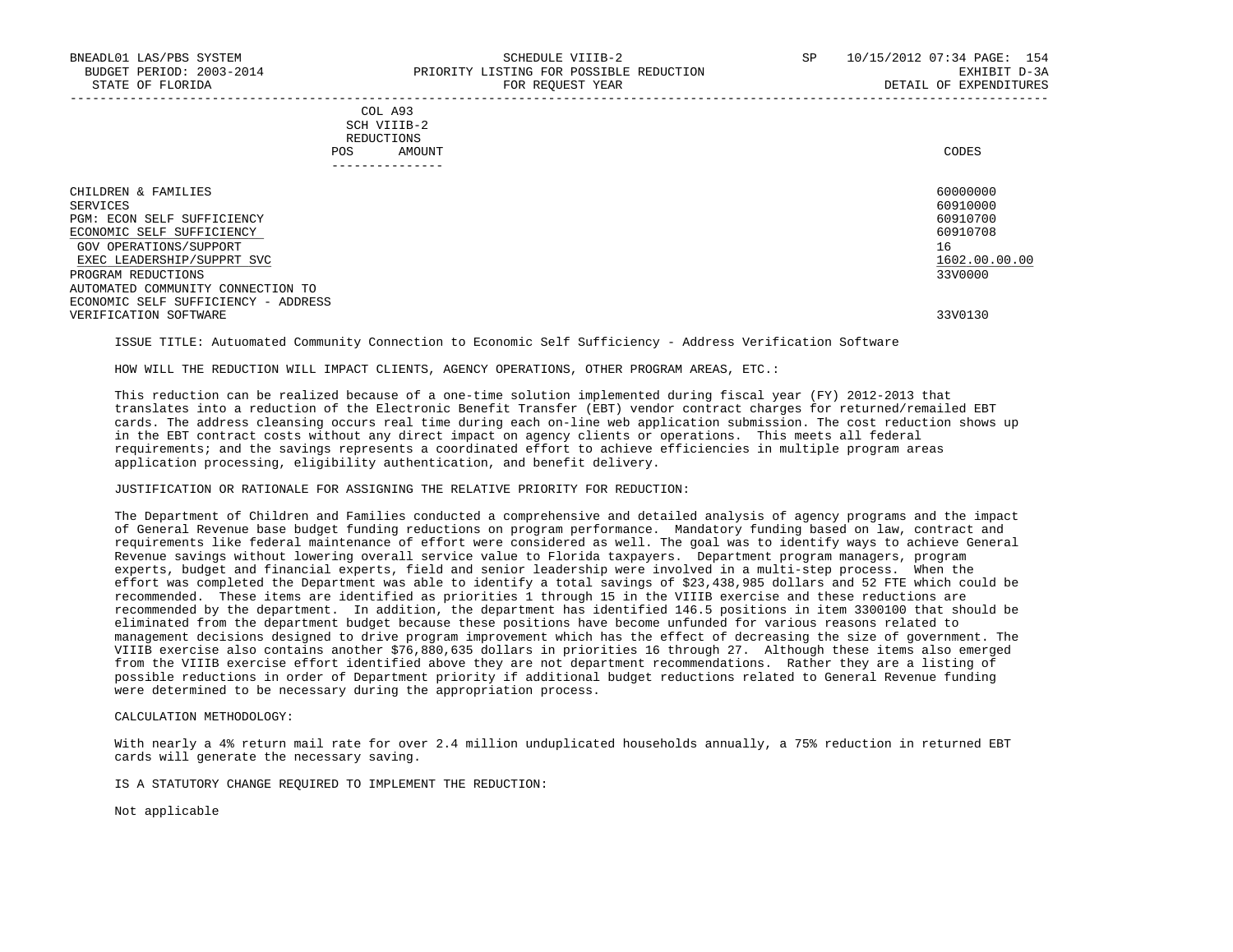# COL A93 SCH VIIIB-2 REDUCTIONS POS AMOUNT CODES ---------------

| CHILDREN & FAMILIES                 | 60000000      |
|-------------------------------------|---------------|
| SERVICES                            | 60910000      |
| PGM: ECON SELF SUFFICIENCY          | 60910700      |
| ECONOMIC SELF SUFFICIENCY           | 60910708      |
| GOV OPERATIONS/SUPPORT              | 16            |
| EXEC LEADERSHIP/SUPPRT SVC          | 1602.00.00.00 |
| PROGRAM REDUCTIONS                  | 33V0000       |
| AUTOMATED COMMUNITY CONNECTION TO   |               |
| ECONOMIC SELF SUFFICIENCY - ADDRESS |               |
| VERIFICATION SOFTWARE               | 33V0130       |

ISSUE TITLE: Autuomated Community Connection to Economic Self Sufficiency - Address Verification Software

HOW WILL THE REDUCTION WILL IMPACT CLIENTS, AGENCY OPERATIONS, OTHER PROGRAM AREAS, ETC.:

 This reduction can be realized because of a one-time solution implemented during fiscal year (FY) 2012-2013 that translates into a reduction of the Electronic Benefit Transfer (EBT) vendor contract charges for returned/remailed EBT cards. The address cleansing occurs real time during each on-line web application submission. The cost reduction shows up in the EBT contract costs without any direct impact on agency clients or operations. This meets all federal requirements; and the savings represents a coordinated effort to achieve efficiencies in multiple program areas application processing, eligibility authentication, and benefit delivery.

# JUSTIFICATION OR RATIONALE FOR ASSIGNING THE RELATIVE PRIORITY FOR REDUCTION:

 The Department of Children and Families conducted a comprehensive and detailed analysis of agency programs and the impact of General Revenue base budget funding reductions on program performance. Mandatory funding based on law, contract and requirements like federal maintenance of effort were considered as well. The goal was to identify ways to achieve General Revenue savings without lowering overall service value to Florida taxpayers. Department program managers, program experts, budget and financial experts, field and senior leadership were involved in a multi-step process. When the effort was completed the Department was able to identify a total savings of \$23,438,985 dollars and 52 FTE which could be recommended. These items are identified as priorities 1 through 15 in the VIIIB exercise and these reductions are recommended by the department. In addition, the department has identified 146.5 positions in item 3300100 that should be eliminated from the department budget because these positions have become unfunded for various reasons related to management decisions designed to drive program improvement which has the effect of decreasing the size of government. The VIIIB exercise also contains another \$76,880,635 dollars in priorities 16 through 27. Although these items also emerged from the VIIIB exercise effort identified above they are not department recommendations. Rather they are a listing of possible reductions in order of Department priority if additional budget reductions related to General Revenue funding were determined to be necessary during the appropriation process.

CALCULATION METHODOLOGY:

 With nearly a 4% return mail rate for over 2.4 million unduplicated households annually, a 75% reduction in returned EBT cards will generate the necessary saving.

IS A STATUTORY CHANGE REQUIRED TO IMPLEMENT THE REDUCTION:

Not applicable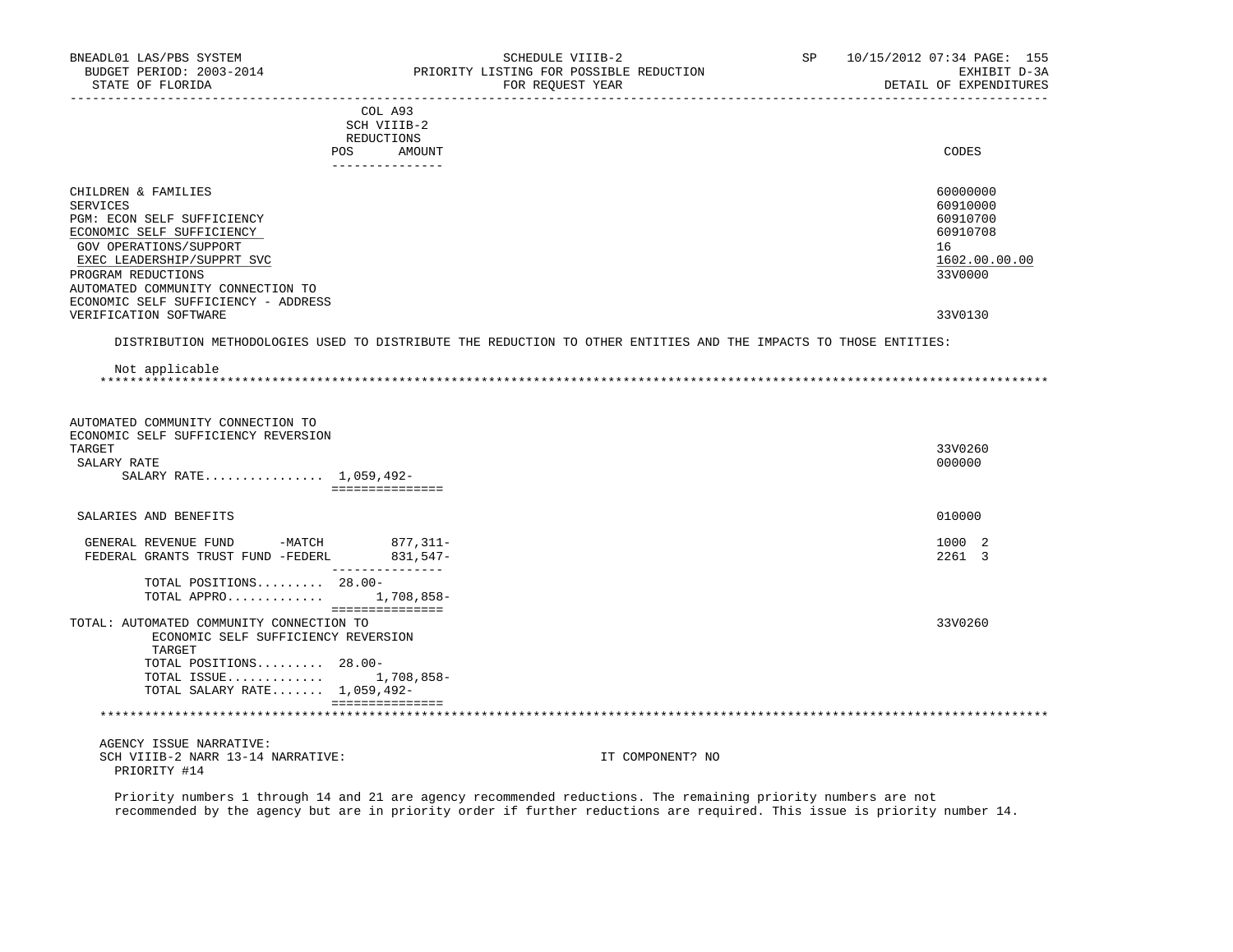| BNEADL01 LAS/PBS SYSTEM<br>BUDGET PERIOD: 2003-2014<br>STATE OF FLORIDA<br>_________________________                                                                                                                                                 | SCHEDULE VIIIB-2<br>PRIORITY LISTING FOR POSSIBLE REDUCTION<br>FOR REOUEST YEAR                                  | SP               | 10/15/2012 07:34 PAGE: 155<br>EXHIBIT D-3A<br>DETAIL OF EXPENDITURES           |
|------------------------------------------------------------------------------------------------------------------------------------------------------------------------------------------------------------------------------------------------------|------------------------------------------------------------------------------------------------------------------|------------------|--------------------------------------------------------------------------------|
|                                                                                                                                                                                                                                                      | COL A93<br>SCH VIIIB-2<br>REDUCTIONS<br>POS<br>AMOUNT<br>---------------                                         |                  | CODES                                                                          |
| CHILDREN & FAMILIES<br>SERVICES<br>PGM: ECON SELF SUFFICIENCY<br>ECONOMIC SELF SUFFICIENCY<br>GOV OPERATIONS/SUPPORT<br>EXEC LEADERSHIP/SUPPRT SVC<br>PROGRAM REDUCTIONS<br>AUTOMATED COMMUNITY CONNECTION TO<br>ECONOMIC SELF SUFFICIENCY - ADDRESS |                                                                                                                  |                  | 60000000<br>60910000<br>60910700<br>60910708<br>16<br>1602.00.00.00<br>33V0000 |
| VERIFICATION SOFTWARE                                                                                                                                                                                                                                |                                                                                                                  |                  | 33V0130                                                                        |
|                                                                                                                                                                                                                                                      | DISTRIBUTION METHODOLOGIES USED TO DISTRIBUTE THE REDUCTION TO OTHER ENTITIES AND THE IMPACTS TO THOSE ENTITIES: |                  |                                                                                |
| Not applicable<br>*****************                                                                                                                                                                                                                  |                                                                                                                  |                  |                                                                                |
| AUTOMATED COMMUNITY CONNECTION TO<br>ECONOMIC SELF SUFFICIENCY REVERSION<br>TARGET<br>SALARY RATE<br>SALARY RATE 1,059,492-                                                                                                                          | ===============                                                                                                  |                  | 33V0260<br>000000                                                              |
| SALARIES AND BENEFITS                                                                                                                                                                                                                                |                                                                                                                  |                  | 010000                                                                         |
| GENERAL REVENUE FUND -MATCH 877,311-<br>FEDERAL GRANTS TRUST FUND -FEDERL                                                                                                                                                                            | 831,547-                                                                                                         |                  | 1000 2<br>2261 3                                                               |
| TOTAL POSITIONS 28.00-<br>TOTAL APPRO 1,708,858-                                                                                                                                                                                                     | ________________                                                                                                 |                  |                                                                                |
| TOTAL: AUTOMATED COMMUNITY CONNECTION TO<br>ECONOMIC SELF SUFFICIENCY REVERSION<br>TARGET<br>TOTAL POSITIONS 28.00-<br>TOTAL ISSUE 1,708,858-<br>TOTAL SALARY RATE 1,059,492-                                                                        | ===============                                                                                                  |                  | 33V0260                                                                        |
| **********************************                                                                                                                                                                                                                   | ===============                                                                                                  |                  |                                                                                |
| AGENCY ISSUE NARRATIVE:<br>SCH VIIIB-2 NARR 13-14 NARRATIVE:<br>PRIORITY #14                                                                                                                                                                         | Defensive numbers 1 through 14 and 21 are essent mosemmended reductions. The remaining priority numbers are not  | IT COMPONENT? NO |                                                                                |

 Priority numbers 1 through 14 and 21 are agency recommended reductions. The remaining priority numbers are not recommended by the agency but are in priority order if further reductions are required. This issue is priority number 14.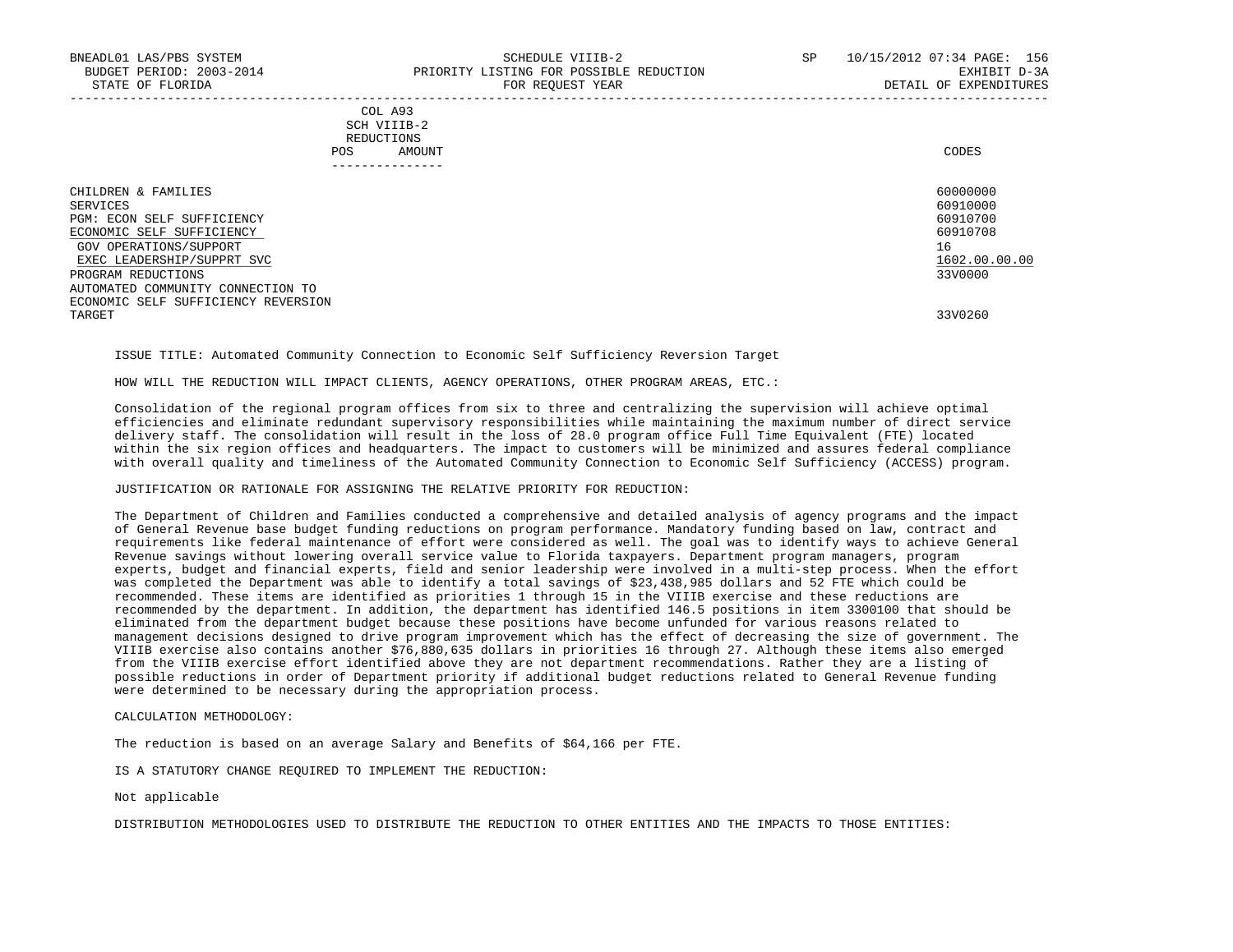|            | _______________ |       |
|------------|-----------------|-------|
| POS        | AMOUNT          | CODES |
| REDUCTIONS |                 |       |
|            | SCH VIIIB-2     |       |
|            | COL A93         |       |

| CHILDREN & FAMILIES                 | 60000000      |
|-------------------------------------|---------------|
| SERVICES                            | 60910000      |
| PGM: ECON SELF SUFFICIENCY          | 60910700      |
| ECONOMIC SELF SUFFICIENCY           | 60910708      |
| GOV OPERATIONS/SUPPORT              | 16            |
| EXEC LEADERSHIP/SUPPRT SVC          | 1602.00.00.00 |
| PROGRAM REDUCTIONS                  | 33V0000       |
| AUTOMATED COMMUNITY CONNECTION TO   |               |
| ECONOMIC SELF SUFFICIENCY REVERSION |               |
| TARGET                              | 33V0260       |

ISSUE TITLE: Automated Community Connection to Economic Self Sufficiency Reversion Target

HOW WILL THE REDUCTION WILL IMPACT CLIENTS, AGENCY OPERATIONS, OTHER PROGRAM AREAS, ETC.:

 Consolidation of the regional program offices from six to three and centralizing the supervision will achieve optimal efficiencies and eliminate redundant supervisory responsibilities while maintaining the maximum number of direct service delivery staff. The consolidation will result in the loss of 28.0 program office Full Time Equivalent (FTE) located within the six region offices and headquarters. The impact to customers will be minimized and assures federal compliance with overall quality and timeliness of the Automated Community Connection to Economic Self Sufficiency (ACCESS) program.

### JUSTIFICATION OR RATIONALE FOR ASSIGNING THE RELATIVE PRIORITY FOR REDUCTION:

 The Department of Children and Families conducted a comprehensive and detailed analysis of agency programs and the impact of General Revenue base budget funding reductions on program performance. Mandatory funding based on law, contract and requirements like federal maintenance of effort were considered as well. The goal was to identify ways to achieve General Revenue savings without lowering overall service value to Florida taxpayers. Department program managers, program experts, budget and financial experts, field and senior leadership were involved in a multi-step process. When the effort was completed the Department was able to identify a total savings of \$23,438,985 dollars and 52 FTE which could be recommended. These items are identified as priorities 1 through 15 in the VIIIB exercise and these reductions are recommended by the department. In addition, the department has identified 146.5 positions in item 3300100 that should be eliminated from the department budget because these positions have become unfunded for various reasons related to management decisions designed to drive program improvement which has the effect of decreasing the size of government. The VIIIB exercise also contains another \$76,880,635 dollars in priorities 16 through 27. Although these items also emerged from the VIIIB exercise effort identified above they are not department recommendations. Rather they are a listing of possible reductions in order of Department priority if additional budget reductions related to General Revenue funding were determined to be necessary during the appropriation process.

CALCULATION METHODOLOGY:

The reduction is based on an average Salary and Benefits of \$64,166 per FTE.

IS A STATUTORY CHANGE REQUIRED TO IMPLEMENT THE REDUCTION:

Not applicable

DISTRIBUTION METHODOLOGIES USED TO DISTRIBUTE THE REDUCTION TO OTHER ENTITIES AND THE IMPACTS TO THOSE ENTITIES: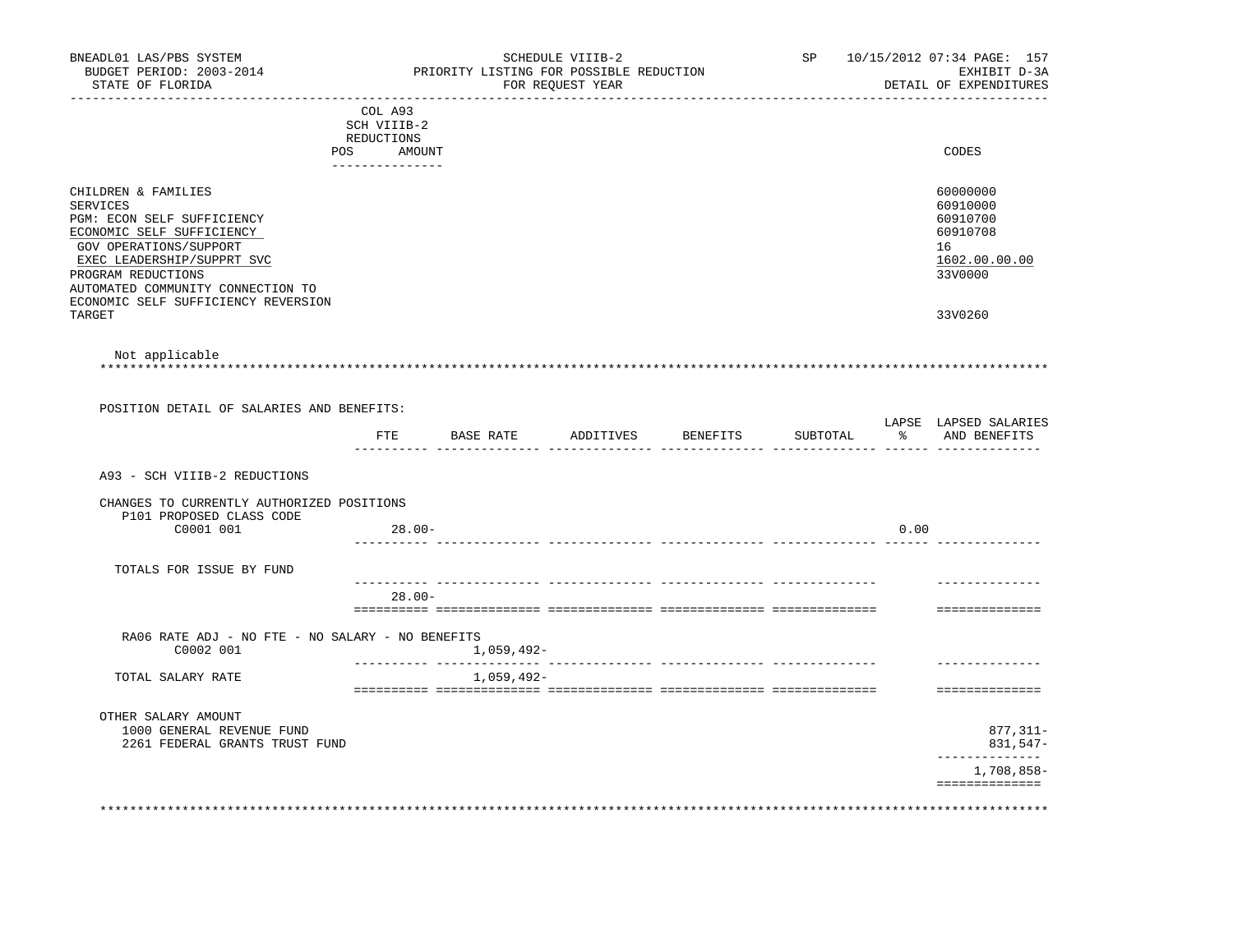| BNEADL01 LAS/PBS SYSTEM<br>BUDGET PERIOD: 2003-2014                                                                                                                                                           |                                                                   | PRIORITY LISTING FOR POSSIBLE REDUCTION | SCHEDULE VIIIB-2 |                                 | SP       |      | 10/15/2012 07:34 PAGE: 157<br>EXHIBIT D-3A                                     |
|---------------------------------------------------------------------------------------------------------------------------------------------------------------------------------------------------------------|-------------------------------------------------------------------|-----------------------------------------|------------------|---------------------------------|----------|------|--------------------------------------------------------------------------------|
| STATE OF FLORIDA                                                                                                                                                                                              |                                                                   |                                         | FOR REOUEST YEAR | . _ _ _ _ _ _ _ _ _ _ _ _ _ _ _ |          |      | DETAIL OF EXPENDITURES                                                         |
| POS                                                                                                                                                                                                           | COL A93<br>SCH VIIIB-2<br>REDUCTIONS<br>AMOUNT<br>--------------- |                                         |                  |                                 |          |      | CODES                                                                          |
| CHILDREN & FAMILIES<br>SERVICES<br>PGM: ECON SELF SUFFICIENCY<br>ECONOMIC SELF SUFFICIENCY<br>GOV OPERATIONS/SUPPORT<br>EXEC LEADERSHIP/SUPPRT SVC<br>PROGRAM REDUCTIONS<br>AUTOMATED COMMUNITY CONNECTION TO |                                                                   |                                         |                  |                                 |          |      | 60000000<br>60910000<br>60910700<br>60910708<br>16<br>1602.00.00.00<br>33V0000 |
| ECONOMIC SELF SUFFICIENCY REVERSION<br>TARGET                                                                                                                                                                 |                                                                   |                                         |                  |                                 |          |      | 33V0260                                                                        |
| Not applicable                                                                                                                                                                                                |                                                                   |                                         |                  |                                 |          |      |                                                                                |
| POSITION DETAIL OF SALARIES AND BENEFITS:                                                                                                                                                                     |                                                                   |                                         |                  |                                 |          |      |                                                                                |
|                                                                                                                                                                                                               |                                                                   | FTE BASE RATE                           |                  | ADDITIVES BENEFITS              | SUBTOTAL |      | LAPSE LAPSED SALARIES<br>% AND BENEFITS                                        |
| A93 - SCH VIIIB-2 REDUCTIONS                                                                                                                                                                                  |                                                                   |                                         |                  |                                 |          |      |                                                                                |
| CHANGES TO CURRENTLY AUTHORIZED POSITIONS<br>P101 PROPOSED CLASS CODE                                                                                                                                         |                                                                   |                                         |                  |                                 |          |      |                                                                                |
| C0001 001                                                                                                                                                                                                     | $28.00 -$                                                         |                                         |                  |                                 |          | 0.00 |                                                                                |
| TOTALS FOR ISSUE BY FUND                                                                                                                                                                                      |                                                                   |                                         |                  |                                 |          |      |                                                                                |
|                                                                                                                                                                                                               | $28.00 -$                                                         |                                         |                  |                                 |          |      | ==============                                                                 |
| RA06 RATE ADJ - NO FTE - NO SALARY - NO BENEFITS                                                                                                                                                              |                                                                   |                                         |                  |                                 |          |      |                                                                                |
| C0002 001                                                                                                                                                                                                     |                                                                   | 1,059,492-                              |                  |                                 |          |      |                                                                                |
| TOTAL SALARY RATE                                                                                                                                                                                             |                                                                   | 1,059,492-                              |                  |                                 |          |      | ==============                                                                 |
| OTHER SALARY AMOUNT<br>1000 GENERAL REVENUE FUND<br>2261 FEDERAL GRANTS TRUST FUND                                                                                                                            |                                                                   |                                         |                  |                                 |          |      | 877,311-<br>831,547-                                                           |
|                                                                                                                                                                                                               |                                                                   |                                         |                  |                                 |          |      | --------------<br>1,708,858-                                                   |
|                                                                                                                                                                                                               |                                                                   |                                         |                  |                                 |          |      | ==============                                                                 |
|                                                                                                                                                                                                               |                                                                   |                                         |                  |                                 |          |      |                                                                                |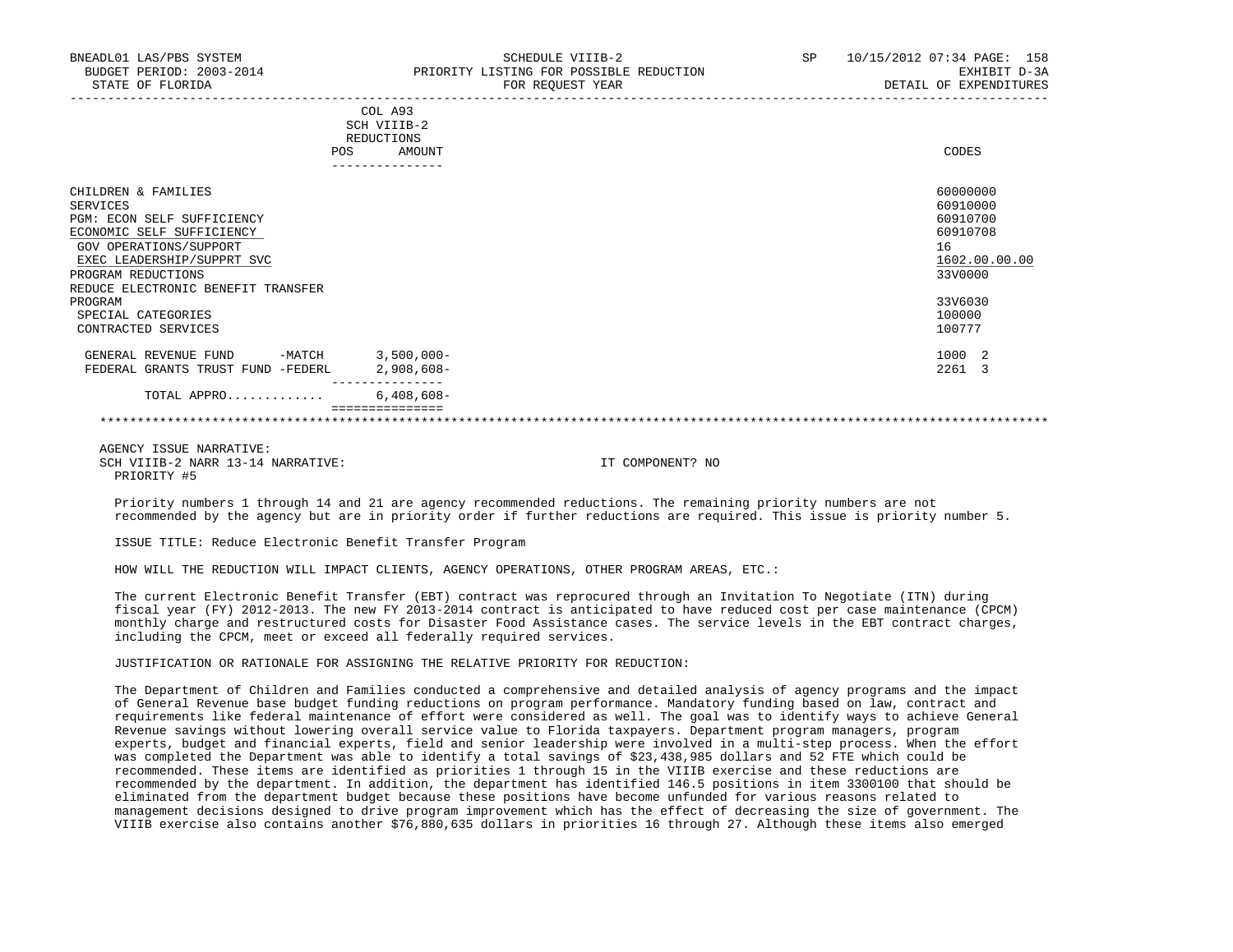| BNEADL01 LAS/PBS SYSTEM<br>BUDGET PERIOD: 2003-2014<br>STATE OF FLORIDA | SCHEDULE VIIIB-2<br>PRIORITY LISTING FOR POSSIBLE REDUCTION<br>FOR REOUEST YEAR | 10/15/2012 07:34 PAGE: 158<br>SP<br>EXHIBIT D-3A<br>DETAIL OF EXPENDITURES |
|-------------------------------------------------------------------------|---------------------------------------------------------------------------------|----------------------------------------------------------------------------|
|                                                                         | COL A93                                                                         |                                                                            |
|                                                                         | SCH VIIIB-2                                                                     |                                                                            |
|                                                                         | REDUCTIONS                                                                      |                                                                            |
|                                                                         | AMOUNT<br>POS                                                                   | CODES                                                                      |
|                                                                         | --------------                                                                  |                                                                            |
| CHILDREN & FAMILIES                                                     |                                                                                 | 60000000                                                                   |
| SERVICES                                                                |                                                                                 | 60910000                                                                   |
| PGM: ECON SELF SUFFICIENCY                                              |                                                                                 | 60910700                                                                   |
| ECONOMIC SELF SUFFICIENCY                                               |                                                                                 | 60910708                                                                   |
| GOV OPERATIONS/SUPPORT                                                  |                                                                                 | 16                                                                         |
| EXEC LEADERSHIP/SUPPRT SVC                                              |                                                                                 | 1602.00.00.00                                                              |

 EXEC LEADERSHIP/SUPPRT SVC 1602.00.00.00 \_\_\_\_\_\_\_\_\_\_\_\_\_\_\_\_\_\_\_\_\_\_\_\_\_\_ \_\_\_\_\_\_\_\_\_\_\_\_\_ PROGRAM REDUCTIONS REDUCE ELECTRONIC BENEFIT TRANSFER PROGRAM 33V6030 SPECIAL CATEGORIES 100000<br>CONTRACTED SERVICES 100777 CONTRACTED SERVICES

GENERAL REVENUE FUND -MATCH 3,500,000-<br>
FEDERAL GRANTS TRUST FUND -FEDERL 2,908,608-FEDERAL GRANTS TRUST FUND -FEDERL --------------- TOTAL APPRO............. 6,408,608-

#### =============== \*\*\*\*\*\*\*\*\*\*\*\*\*\*\*\*\*\*\*\*\*\*\*\*\*\*\*\*\*\*\*\*\*\*\*\*\*\*\*\*\*\*\*\*\*\*\*\*\*\*\*\*\*\*\*\*\*\*\*\*\*\*\*\*\*\*\*\*\*\*\*\*\*\*\*\*\*\*\*\*\*\*\*\*\*\*\*\*\*\*\*\*\*\*\*\*\*\*\*\*\*\*\*\*\*\*\*\*\*\*\*\*\*\*\*\*\*\*\*\*\*\*\*\*\*\*\*

 AGENCY ISSUE NARRATIVE: SCH VIIIB-2 NARR 13-14 NARRATIVE: IT COMPONENT? NO PRIORITY #5

 Priority numbers 1 through 14 and 21 are agency recommended reductions. The remaining priority numbers are not recommended by the agency but are in priority order if further reductions are required. This issue is priority number 5.

ISSUE TITLE: Reduce Electronic Benefit Transfer Program

HOW WILL THE REDUCTION WILL IMPACT CLIENTS, AGENCY OPERATIONS, OTHER PROGRAM AREAS, ETC.:

 The current Electronic Benefit Transfer (EBT) contract was reprocured through an Invitation To Negotiate (ITN) during fiscal year (FY) 2012-2013. The new FY 2013-2014 contract is anticipated to have reduced cost per case maintenance (CPCM) monthly charge and restructured costs for Disaster Food Assistance cases. The service levels in the EBT contract charges, including the CPCM, meet or exceed all federally required services.

### JUSTIFICATION OR RATIONALE FOR ASSIGNING THE RELATIVE PRIORITY FOR REDUCTION:

 The Department of Children and Families conducted a comprehensive and detailed analysis of agency programs and the impact of General Revenue base budget funding reductions on program performance. Mandatory funding based on law, contract and requirements like federal maintenance of effort were considered as well. The goal was to identify ways to achieve General Revenue savings without lowering overall service value to Florida taxpayers. Department program managers, program experts, budget and financial experts, field and senior leadership were involved in a multi-step process. When the effort was completed the Department was able to identify a total savings of \$23,438,985 dollars and 52 FTE which could be recommended. These items are identified as priorities 1 through 15 in the VIIIB exercise and these reductions are recommended by the department. In addition, the department has identified 146.5 positions in item 3300100 that should be eliminated from the department budget because these positions have become unfunded for various reasons related to management decisions designed to drive program improvement which has the effect of decreasing the size of government. The VIIIB exercise also contains another \$76,880,635 dollars in priorities 16 through 27. Although these items also emerged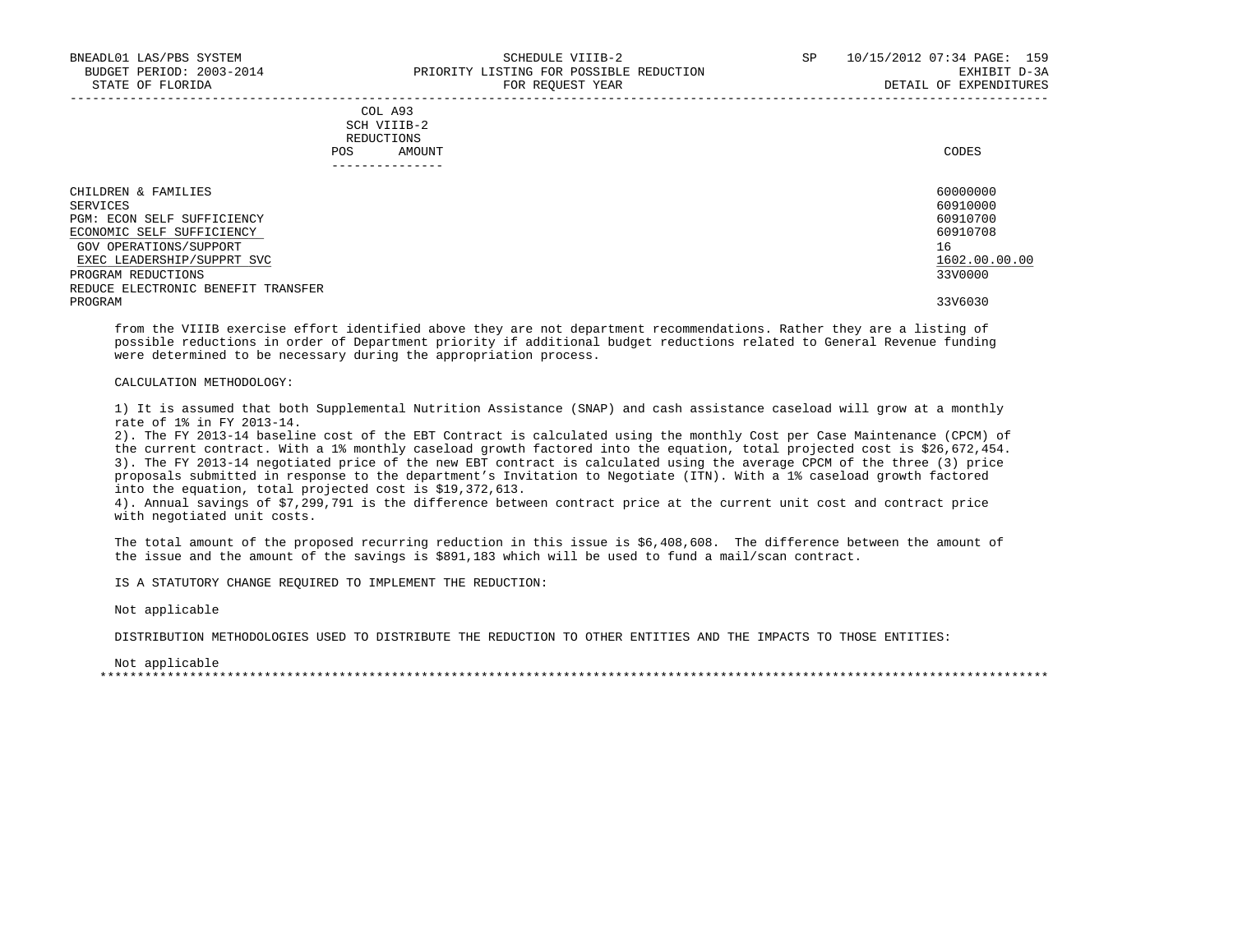| COL A93     |       |
|-------------|-------|
| SCH VIIIB-2 |       |
| REDUCTIONS  |       |
| AMOUNT      | CODES |
|             |       |

| --------------                     |               |
|------------------------------------|---------------|
| CHILDREN & FAMILIES                | 60000000      |
| SERVICES                           | 60910000      |
| PGM: ECON SELF SUFFICIENCY         | 60910700      |
| ECONOMIC SELF SUFFICIENCY          | 60910708      |
| GOV OPERATIONS/SUPPORT             | 16            |
| EXEC LEADERSHIP/SUPPRT SVC         | 1602.00.00.00 |
| PROGRAM REDUCTIONS                 | 33V0000       |
| REDUCE ELECTRONIC BENEFIT TRANSFER |               |
| PROGRAM                            | 33V6030       |

 from the VIIIB exercise effort identified above they are not department recommendations. Rather they are a listing of possible reductions in order of Department priority if additional budget reductions related to General Revenue funding were determined to be necessary during the appropriation process.

# CALCULATION METHODOLOGY:

 1) It is assumed that both Supplemental Nutrition Assistance (SNAP) and cash assistance caseload will grow at a monthly rate of 1% in FY 2013-14.

 2). The FY 2013-14 baseline cost of the EBT Contract is calculated using the monthly Cost per Case Maintenance (CPCM) of the current contract. With a 1% monthly caseload growth factored into the equation, total projected cost is \$26,672,454. 3). The FY 2013-14 negotiated price of the new EBT contract is calculated using the average CPCM of the three (3) price proposals submitted in response to the department's Invitation to Negotiate (ITN). With a 1% caseload growth factored into the equation, total projected cost is \$19,372,613.

 4). Annual savings of \$7,299,791 is the difference between contract price at the current unit cost and contract price with negotiated unit costs.

 The total amount of the proposed recurring reduction in this issue is \$6,408,608. The difference between the amount of the issue and the amount of the savings is \$891,183 which will be used to fund a mail/scan contract.

IS A STATUTORY CHANGE REQUIRED TO IMPLEMENT THE REDUCTION:

Not applicable

DISTRIBUTION METHODOLOGIES USED TO DISTRIBUTE THE REDUCTION TO OTHER ENTITIES AND THE IMPACTS TO THOSE ENTITIES:

 Not applicable \*\*\*\*\*\*\*\*\*\*\*\*\*\*\*\*\*\*\*\*\*\*\*\*\*\*\*\*\*\*\*\*\*\*\*\*\*\*\*\*\*\*\*\*\*\*\*\*\*\*\*\*\*\*\*\*\*\*\*\*\*\*\*\*\*\*\*\*\*\*\*\*\*\*\*\*\*\*\*\*\*\*\*\*\*\*\*\*\*\*\*\*\*\*\*\*\*\*\*\*\*\*\*\*\*\*\*\*\*\*\*\*\*\*\*\*\*\*\*\*\*\*\*\*\*\*\*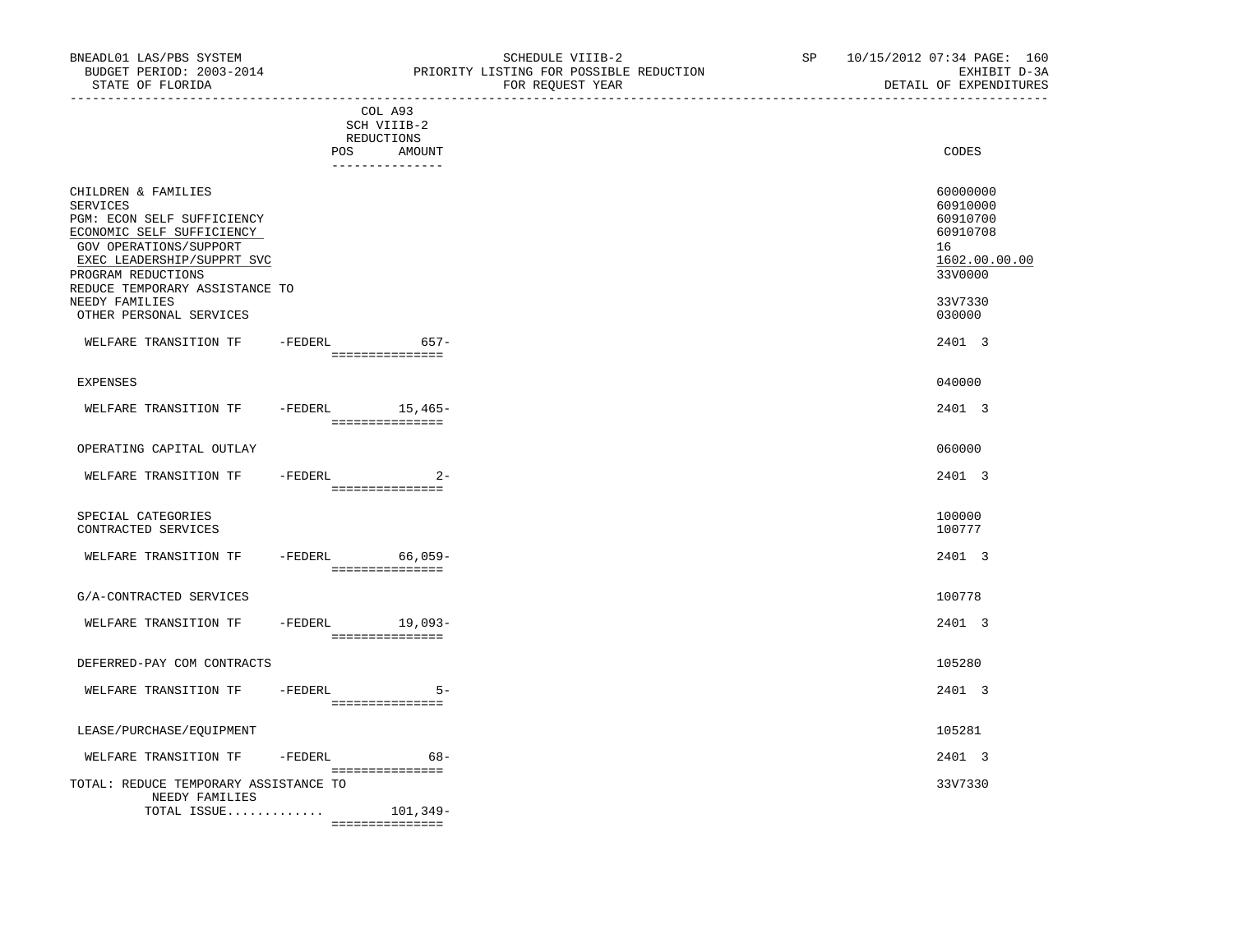| ------------------------------                          |                 |                                    |                      |
|---------------------------------------------------------|-----------------|------------------------------------|----------------------|
|                                                         |                 | COL A93                            |                      |
|                                                         |                 | SCH VIIIB-2                        |                      |
|                                                         |                 | REDUCTIONS                         |                      |
|                                                         | POS             | AMOUNT                             | CODES                |
|                                                         |                 | ---------------                    |                      |
| CHILDREN & FAMILIES<br>SERVICES                         |                 |                                    | 60000000<br>60910000 |
| PGM: ECON SELF SUFFICIENCY<br>ECONOMIC SELF SUFFICIENCY |                 |                                    | 60910700<br>60910708 |
| GOV OPERATIONS/SUPPORT<br>EXEC LEADERSHIP/SUPPRT SVC    |                 |                                    | 16<br>1602.00.00.00  |
| PROGRAM REDUCTIONS                                      |                 |                                    | 33V0000              |
| REDUCE TEMPORARY ASSISTANCE TO                          |                 |                                    |                      |
| NEEDY FAMILIES<br>OTHER PERSONAL SERVICES               |                 |                                    | 33V7330<br>030000    |
| WELFARE TRANSITION TF                                   | -FEDERL         | $657-$                             | 2401 3               |
|                                                         |                 | ===============                    |                      |
|                                                         |                 |                                    |                      |
| <b>EXPENSES</b>                                         |                 |                                    | 040000               |
| WELFARE TRANSITION TF                                   |                 | $-FEDERL$ 15,465-                  | 2401 3               |
|                                                         |                 | ___________________                |                      |
| OPERATING CAPITAL OUTLAY                                |                 |                                    | 060000               |
|                                                         |                 |                                    |                      |
| WELFARE TRANSITION TF                                   | $-FEDERL$       | $2 -$                              | 2401 3               |
|                                                         |                 | ===============                    |                      |
| SPECIAL CATEGORIES                                      |                 |                                    | 100000               |
| CONTRACTED SERVICES                                     |                 |                                    | 100777               |
|                                                         |                 |                                    |                      |
| WELFARE TRANSITION TF                                   | -FEDERL 66,059- |                                    | 2401 3               |
|                                                         |                 | ================                   |                      |
| G/A-CONTRACTED SERVICES                                 |                 |                                    | 100778               |
|                                                         |                 |                                    |                      |
| WELFARE TRANSITION TF                                   |                 | -FEDERL 19,093-<br>=============== | 2401 3               |
|                                                         |                 |                                    |                      |
| DEFERRED-PAY COM CONTRACTS                              |                 |                                    | 105280               |
|                                                         |                 |                                    |                      |
| WELFARE TRANSITION TF                                   | -FEDERL         | $5 -$<br>===============           | 2401 3               |
|                                                         |                 |                                    |                      |
| LEASE/PURCHASE/EQUIPMENT                                |                 |                                    | 105281               |
| WELFARE TRANSITION TF                                   | -FEDERL         | $68-$                              | 2401 3               |
|                                                         |                 | ===============                    |                      |
| TOTAL: REDUCE TEMPORARY ASSISTANCE TO                   |                 |                                    | 33V7330              |

 NEEDY FAMILIES TOTAL ISSUE............. 101,349-

===============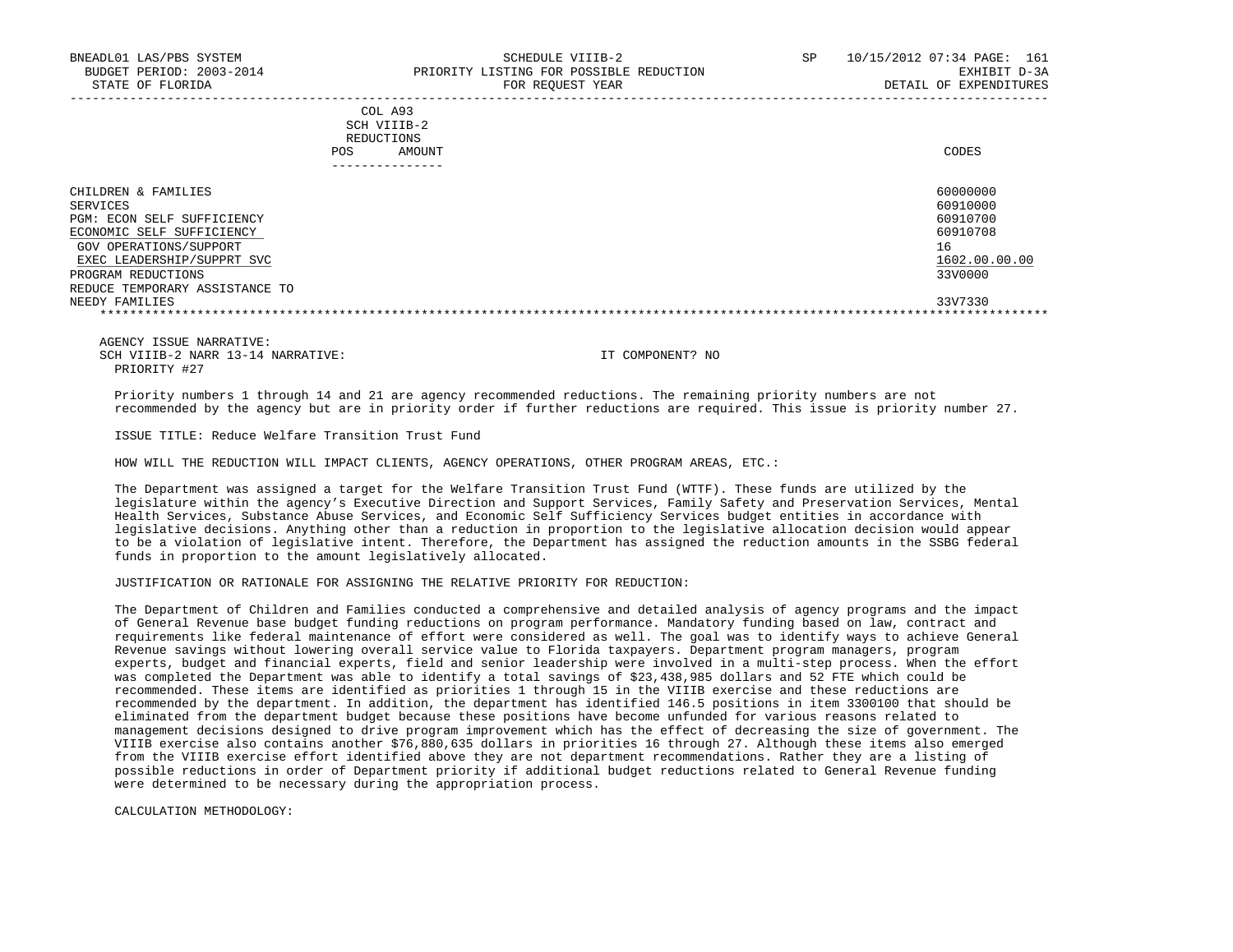| COL A93     |                 |
|-------------|-----------------|
| SCH VIIIB-2 |                 |
| REDUCTIONS  |                 |
| POS         | CODES<br>AMOUNT |

| ______________                                                                             |                                              |
|--------------------------------------------------------------------------------------------|----------------------------------------------|
| CHILDREN & FAMILIES<br>SERVICES<br>PGM: ECON SELF SUFFICIENCY<br>ECONOMIC SELF SUFFICIENCY | 60000000<br>60910000<br>60910700<br>60910708 |
| GOV OPERATIONS/SUPPORT<br>EXEC LEADERSHIP/SUPPRT SVC                                       | 16<br>1602.00.00.00                          |
| PROGRAM REDUCTIONS<br>REDUCE TEMPORARY ASSISTANCE TO<br>NEEDY FAMILIES                     | 33V0000<br>33V7330                           |
|                                                                                            |                                              |

 AGENCY ISSUE NARRATIVE: SCH VIIIB-2 NARR 13-14 NARRATIVE: IT COMPONENT? NO PRIORITY #27

 Priority numbers 1 through 14 and 21 are agency recommended reductions. The remaining priority numbers are not recommended by the agency but are in priority order if further reductions are required. This issue is priority number 27.

ISSUE TITLE: Reduce Welfare Transition Trust Fund

HOW WILL THE REDUCTION WILL IMPACT CLIENTS, AGENCY OPERATIONS, OTHER PROGRAM AREAS, ETC.:

 The Department was assigned a target for the Welfare Transition Trust Fund (WTTF). These funds are utilized by the legislature within the agency's Executive Direction and Support Services, Family Safety and Preservation Services, Mental Health Services, Substance Abuse Services, and Economic Self Sufficiency Services budget entities in accordance with legislative decisions. Anything other than a reduction in proportion to the legislative allocation decision would appear to be a violation of legislative intent. Therefore, the Department has assigned the reduction amounts in the SSBG federal funds in proportion to the amount legislatively allocated.

JUSTIFICATION OR RATIONALE FOR ASSIGNING THE RELATIVE PRIORITY FOR REDUCTION:

 The Department of Children and Families conducted a comprehensive and detailed analysis of agency programs and the impact of General Revenue base budget funding reductions on program performance. Mandatory funding based on law, contract and requirements like federal maintenance of effort were considered as well. The goal was to identify ways to achieve General Revenue savings without lowering overall service value to Florida taxpayers. Department program managers, program experts, budget and financial experts, field and senior leadership were involved in a multi-step process. When the effort was completed the Department was able to identify a total savings of \$23,438,985 dollars and 52 FTE which could be recommended. These items are identified as priorities 1 through 15 in the VIIIB exercise and these reductions are recommended by the department. In addition, the department has identified 146.5 positions in item 3300100 that should be eliminated from the department budget because these positions have become unfunded for various reasons related to management decisions designed to drive program improvement which has the effect of decreasing the size of government. The VIIIB exercise also contains another \$76,880,635 dollars in priorities 16 through 27. Although these items also emerged from the VIIIB exercise effort identified above they are not department recommendations. Rather they are a listing of possible reductions in order of Department priority if additional budget reductions related to General Revenue funding were determined to be necessary during the appropriation process.

CALCULATION METHODOLOGY: